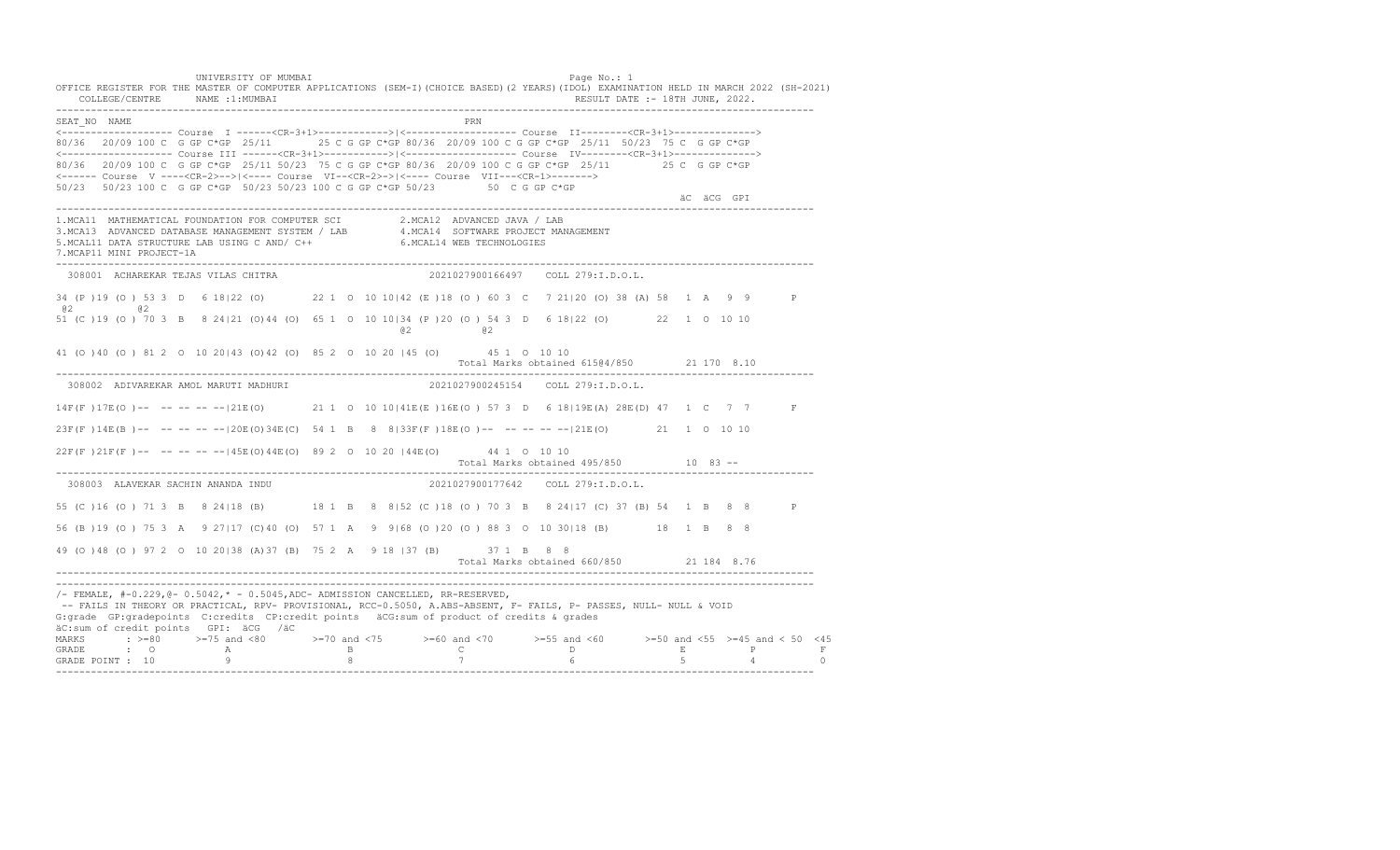UNIVERSITY OF MUMBAI Page No.: 1 OFFICE REGISTER FOR THE MASTER OF COMPUTER APPLICATIONS (SEM-I)(CHOICE BASED)(2 YEARS)(IDOL) EXAMINATION HELD IN MARCH 2022 (SH-2021) COLLEGE/CENTRE NAME :1:MUMBAI RESULT DATE :- 18TH JUNE, 2022. ---------------------------------------------------------------------------------------------------------------------------------- SEAT\_NO NAME PRIME PRIME PRODUCED A CONTROL IN THE PRIME PRIME PRIME PRIME PRIME PRIME PRIME PRIME PRIME PRIME PRIME PRIME PRIME PRIME PRIME PRIME PRIME PRIME PRIME PRIME PRIME PRIME PRIME PRIME PRIME PRIME PRIME PRIME PRI <------------------- Course I ------<CR-3+1>------------>|<------------------- Course II--------<CR-3+1>--------------> 80/36 20/09 100 C G GP C\*GP 25/11 25 C G GP C\*GP 80/36 20/09 100 C G GP C\*GP 25/11 50/23 75 C G GP C\*GP <------------------- Course III ------<CR-3+1>----------->|<------------------- Course IV--------<CR-3+1>--------------> 80/36 20/09 100 C G GP C\*GP 25/11 50/23 75 C G GP C\*GP 80/36 20/09 100 C G GP C\*GP 25/11 25 C G GP C\*GP <------ Course V ----<CR-2>-->|<---- Course VI--<CR-2>->|<---- Course VII---<CR-1>-------> 50/23 50/23 100 C G GP C\*GP 50/23 50/23 100 C G GP C\*GP 50/23 50 C G GP C\*GP äC äCG GPI ä<sup>n v</sup>ächtliche State und der State und der State und der State und der State und der State und der State und der State und der State und der State und der State und der State und der State und der State und der ---------------------------------------------------------------------------------------------------------------------------------- 1.MCA11 MATHEMATICAL FOUNDATION FOR COMPUTER SCI 2.MCA12 ADVANCED JAVA / LAB<br>3.MCA13 ADVANCED DATABASE MANAGEMENT SYSTEM / LAB 4.MCA14 SOFTWARE PROJECT MANAGEMENT<br>5.MCAL11 DATA STRUCTURE LAB U 7.MCAP11 MINI PROJECT-1A ---------------------------------------------------------------------------------------------------------------------------------- 308001 ACHAREKAR TEJAS VILAS CHITRA 2021027900166497 COLL 279:I.D.O.L. 34 (P )19 (O ) 53 3 D 6 18|22 (O) 22 1 O 10 10|42 (E )18 (O ) 60 3 C 7 21|20 (O) 38 (A) 58 1 A 9 9 P @2 @2 51 (C )19 (O ) 70 3 B 8 24|21 (O)44 (O) 65 1 O 10 10|34 (P )20 (O ) 54 3 D 6 18|22 (O) 22 1 O 10 10 @2 @2 41 (O )40 (O ) 81 2 O 10 20|43 (O)42 (O) 85 2 O 10 20 |45 (O) 45 1 O 10 10 Total Marks obtained 615@4/850 21 170 8.10 ---------------------------------------------------------------------------------------------------------------------------------- 308002 ADIVAREKAR AMOL MARUTI MADHURI 14F(F )17E(O )-- -- -- -- --|21E(O) 21 1 O 10 10|41E(E )16E(O ) 57 3 D 6 18|19E(A) 28E(D) 47 1 C 7 7 F 23F(F )14E(B )-- -- -- -- --|20E(O)34E(C) 54 1 B 8 8|33F(F )18E(O )-- -- -- -- --|21E(O) 21 1 O 10 10 22F(F )21F(F )-- -- -- -- --|45E(O)44E(O) 89 2 O 10 20 |44E(O) 44 1 O 10 10 Total Marks obtained 495/850 10 83 ------------------------------------------------------------------------------------------------------------------------------------ 308003 ALAVEKAR SACHIN ANANDA INDU 2021027900177642 COLL 279:I.D.O.L. 55 (C )16 (O ) 71 3 B 8 24|18 (B) 18 1 B 8 8|52 (C )18 (O ) 70 3 B 8 24|17 (C) 37 (B) 54 1 B 8 8 P 56 (B )19 (O ) 75 3 A 9 27|17 (C)40 (O) 57 1 A 9 9|68 (O )20 (O ) 88 3 O 10 30|18 (B) 18 1 B 8 8 49 (O )48 (O ) 97 2 O 10 20|38 (A)37 (B) 75 2 A 9 18 |37 (B) 37 1 B 8 8 Total Marks obtained 660/850 21 184 8.76 ---------------------------------------------------------------------------------------------------------------------------------- ----------------------------------------------------------------------------------------------------------------------------------  $/-$  FEMALE,  $#-0.229$ ,  $@-0.5042$ ,  $* -0.5045$ , ADC- ADMISSION CANCELLED, RR-RESERVED, -- FAILS IN THEORY OR PRACTICAL, RPV- PROVISIONAL, RCC-0.5050, A.ABS-ABSENT, F- FAILS, P- PASSES, NULL- NULL & VOID G:grade GP:gradepoints C:credits CP:credit points äCG:sum of product of credits & grades äC:sum of credit points GPI: äCG /äC MARKS : >=80 >=75 and <80 >=70 and <75 >=60 and <70 >=55 and <60 >=50 and <55 >=45 and < 50 <45<br>GRADE : O A B C D E P F<br>GRADE POINT : 10 9 8 7 6 5 4 0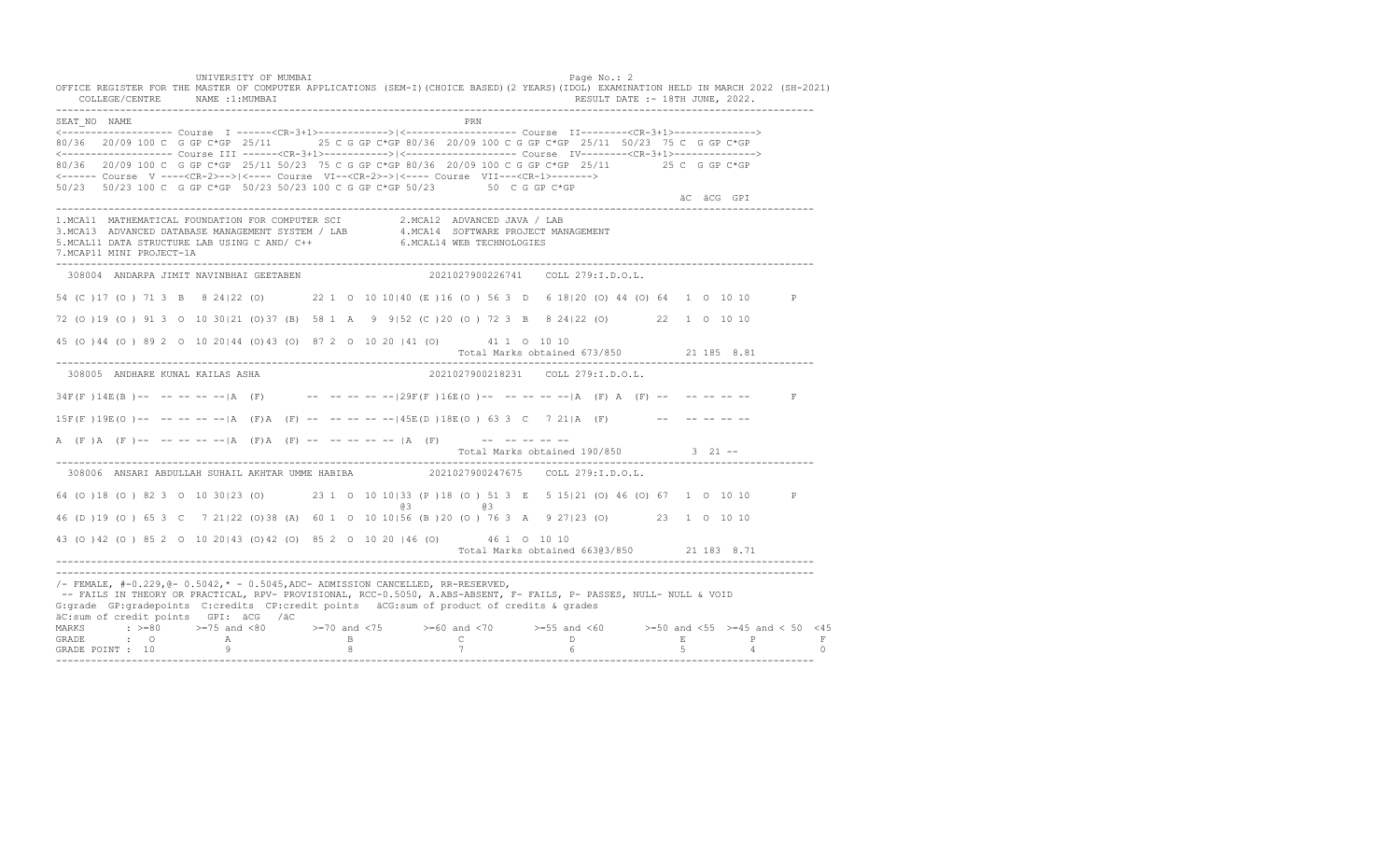UNIVERSITY OF MUMBAI Page No.: 2 OFFICE REGISTER FOR THE MASTER OF COMPUTER APPLICATIONS (SEM-I)(CHOICE BASED)(2 YEARS)(IDOL) EXAMINATION HELD IN MARCH 2022 (SH-2021) COLLEGE/CENTRE NAME :1:MUMBAI RESULT DATE :- 18TH JUNE, 2022. ---------------------------------------------------------------------------------------------------------------------------------- SEAT\_NO NAME PRIMAGE PRODUCED IN THE PRODUCED SEAT NO PRIMAGE PRIMAGE PRIMAGE PRIMAGE PRIMAGE PRIMAGE PRIMAGE PRIMAGE PRIMAGE PRIMAGE PRIMAGE PRIMAGE PRIMAGE PRIMAGE PRIMAGE PRIMAGE PRIMAGE PRIMAGE PRIMAGE PRIMAGE PRIMAGE <------------------- Course I ------<CR-3+1>------------>|<------------------- Course II--------<CR-3+1>--------------> 80/36 20/09 100 C G GP C\*GP 25/11 25 C G GP C\*GP 80/36 20/09 100 C G GP C\*GP 25/11 50/23 75 C G GP C\*GP <------------------- Course III ------<CR-3+1>----------->|<------------------- Course IV--------<CR-3+1>--------------> 80/36 20/09 100 C G GP C\*GP 25/11 50/23 75 C G GP C\*GP 80/36 20/09 100 C G GP C\*GP 25/11 25 C G GP C\*GP <------ Course V ----<CR-2>-->|<---- Course VI--<CR-2>->|<---- Course VII---<CR-1>-------> 50/23 50/23 100 C G GP C\*GP 50/23 50/23 100 C G GP C\*GP 50/23 50 C G GP C\*GP äC äCG GPI ä<sup>n v</sup>ächtliche State und der State und der State und der State und der State und der State und der State und der State und der State und der State und der State und der State und der State und der State und der ---------------------------------------------------------------------------------------------------------------------------------- 1.MCA11 MATHEMATICAL FOUNDATION FOR COMPUTER SCI 2.MCA12 ADVANCED JAVA / LAB<br>3.MCA13 ADVANCED DATABASE MANAGEMENT SYSTEM / LAB 4.MCA14 SOFTWARE PROJECT MANAGEMENT<br>5.MCAL11 DATA STRUCTURE LAB U 7.MCAP11 MINI PROJECT-1A ---------------------------------------------------------------------------------------------------------------------------------- 308004 ANDARPA JIMIT NAVINBHAI GEETABEN 2021027900226741 COLL 279:I.D.O.L. 54 (C )17 (O ) 71 3 B 8 24|22 (O) 22 1 O 10 10|40 (E )16 (O ) 56 3 D 6 18|20 (O) 44 (O) 64 1 O 10 10 P 72 (O )19 (O ) 91 3 O 10 30|21 (O)37 (B) 58 1 A 9 9|52 (C )20 (O ) 72 3 B 8 24|22 (O) 22 1 O 10 10 45 (O )44 (O ) 89 2 O 10 20|44 (O)43 (O) 87 2 O 10 20 |41 (O) 41 1 O 10 10 Total Marks obtained 673/850 21 185 8.81 ---------------------------------------------------------------------------------------------------------------------------------- 308005 ANDHARE KUNAL KAILAS ASHA 2021027900218231 COLL 279:I.D.O.L. 34F(F )14E(B )-- -- -- -- --|A (F) -- -- -- -- --|29F(F )16E(O )-- -- -- -- --|A (F) A (F) -- -- -- -- -- F  $15F(F)19E(O)$ -- -- -- -- -- |A (F)A (F) -- -- -- -- -- -- |45E(D)18E(O) 63 3 C 7 21|A (F) -- -- -- -- -- --A (F)A (F) -- -- -- -- -- |A (F) A (F) -- -- -- -- -- |A (F) -- -- -- -- -- --Total Marks obtained 190/850 3 21 ------------------------------------------------------------------------------------------------------------------------------------ 308006 ANSARI ABDULLAH SUHAIL AKHTAR UMME HABIBA 64 (O )18 (O ) 82 3 O 10 30|23 (O) 23 1 O 10 10|33 (P )18 (O ) 51 3 E 5 15|21 (O) 46 (O) 67 1 O 10 10 P @3 @3 46 (D )19 (O ) 65 3 C 7 21|22 (O)38 (A) 60 1 O 10 10|56 (B )20 (O ) 76 3 A 9 27|23 (O) 23 1 O 10 10 43 (O )42 (O ) 85 2 O 10 20|43 (O)42 (O) 85 2 O 10 20 |46 (O) 46 1 O 10 10 Total Marks obtained 663@3/850 21 183 8.71 ---------------------------------------------------------------------------------------------------------------------------------- ---------------------------------------------------------------------------------------------------------------------------------- /- FEMALE, #-0.229,@- 0.5042,\* - 0.5045,ADC- ADMISSION CANCELLED, RR-RESERVED, -- FAILS IN THEORY OR PRACTICAL, RPV- PROVISIONAL, RCC-0.5050, A.ABS-ABSENT, F- FAILS, P- PASSES, NULL- NULL & VOID G:grade GP:gradepoints C:credits CP:credit points äCG:sum of product of credits & grades äC:sum of credit points GPI: äCG /äC MARKS : >=80 >=75 and <80 >=70 and <75 >=60 and <70 >=55 and <60 >=50 and <55 >=45 and < 50 <45 GRADE : O A B C D E P F<br>GRADE POINT : 10 9 9 8 7 7 6 5 4 0 ----------------------------------------------------------------------------------------------------------------------------------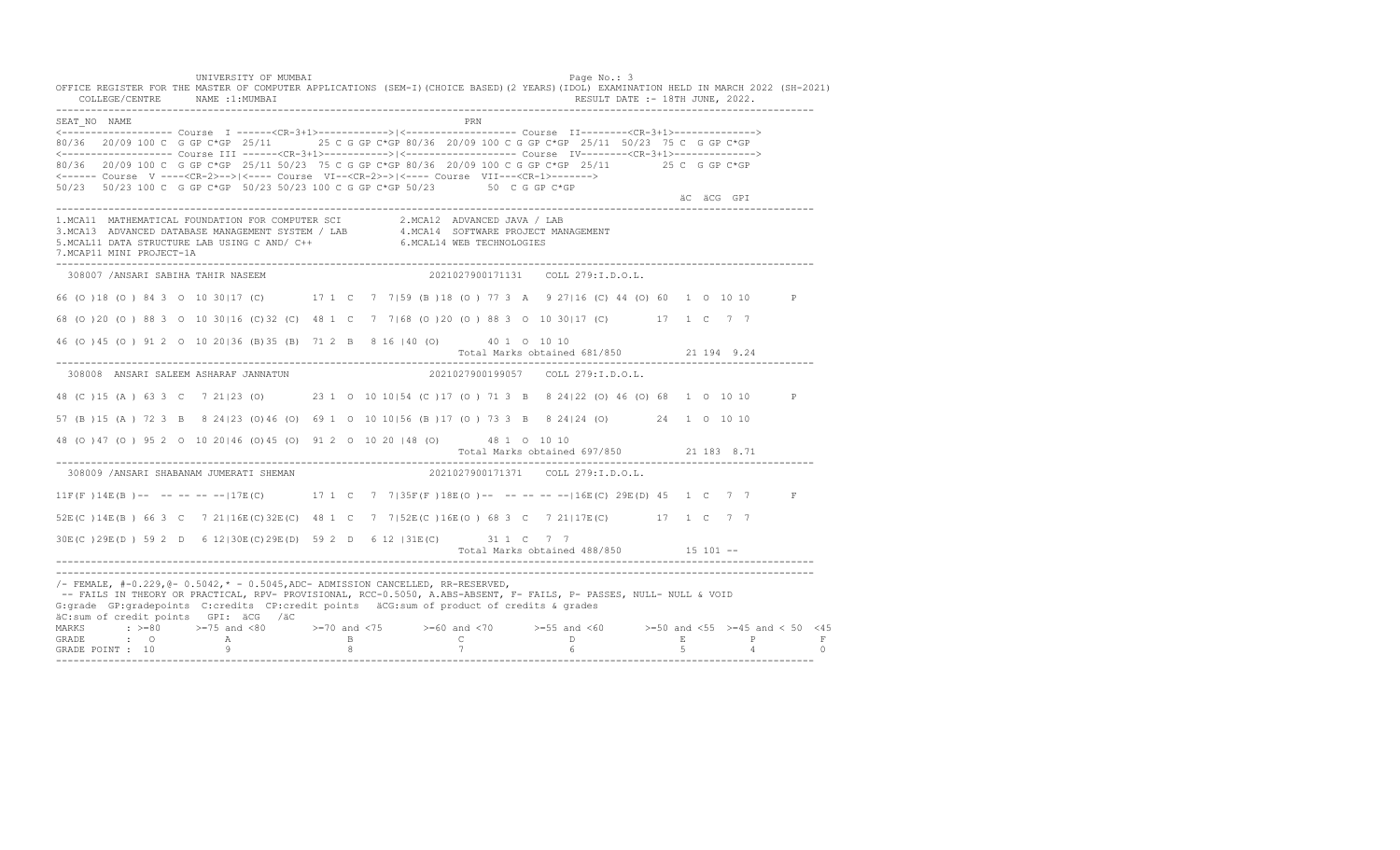UNIVERSITY OF MUMBAI Page No.: 3 OFFICE REGISTER FOR THE MASTER OF COMPUTER APPLICATIONS (SEM-I)(CHOICE BASED)(2 YEARS)(IDOL) EXAMINATION HELD IN MARCH 2022 (SH-2021) COLLEGE/CENTRE NAME :1:MUMBAI RESULT DATE :- 18TH JUNE, 2022. ---------------------------------------------------------------------------------------------------------------------------------- SEAT\_NO NAME PRN <------------------- Course I ------<CR-3+1>------------>|<------------------- Course II--------<CR-3+1>--------------> 80/36 20/09 100 C G GP C\*GP 25/11 25 C G GP C\*GP 80/36 20/09 100 C G GP C\*GP 25/11 50/23 75 C G GP C\*GP <------------------- Course III ------<CR-3+1>----------->|<------------------- Course IV--------<CR-3+1>--------------> 80/36 20/09 100 C G GP C\*GP 25/11 50/23 75 C G GP C\*GP 80/36 20/09 100 C G GP C\*GP 25/11 25 C G GP C\*GP <------ Course V ----<CR-2>-->|<---- Course VI--<CR-2>->|<---- Course VII---<CR-1>-------> 50/23 50/23 100 C G GP C\*GP 50/23 50/23 100 C G GP C\*GP 50/23 50 C G GP C\*GP äC äCG GPI ä<sup>n v</sup>ächtliche State und der State und der State und der State und der State und der State und der State und der State und der State und der State und der State und der State und der State und der State und der ---------------------------------------------------------------------------------------------------------------------------------- 1.MCA11 MATHEMATICAL FOUNDATION FOR COMPUTER SCI 2.MCA12 ADVANCED JAVA / LAB<br>3.MCA13 ADVANCED DATABASE MANAGEMENT SYSTEM / LAB 4.MCA14 SOFTWARE PROJECT MANAGEMENT<br>5.MCAL11 DATA STRUCTURE LAB U 7.MCAP11 MINI PROJECT-1A ---------------------------------------------------------------------------------------------------------------------------------- 308007 /ANSARI SABIHA TAHIR NASEEM 2021027900171131 COLL 279:I.D.O.L. 66 (O )18 (O ) 84 3 O 10 30|17 (C) 17 1 C 7 7|59 (B )18 (O ) 77 3 A 9 27|16 (C) 44 (O) 60 1 O 10 10 P 68 (O )20 (O ) 88 3 O 10 30|16 (C)32 (C) 48 1 C 7 7|68 (O )20 (O ) 88 3 O 10 30|17 (C) 17 1 C 7 7 46 (O )45 (O ) 91 2 O 10 20|36 (B)35 (B) 71 2 B 8 16 |40 (O) 40 1 O 10 10 Total Marks obtained 681/850 21 194 9.24 ---------------------------------------------------------------------------------------------------------------------------------- 308008 ANSARI SALEEM ASHARAF JANNATUN 2021027900199057 COLL 279:I.D.O.L. 48 (C )15 (A ) 63 3 C 7 21|23 (O) 23 1 O 10 10|54 (C )17 (O ) 71 3 B 8 24|22 (O) 46 (O) 68 1 O 10 10 P 57 (B )15 (A ) 72 3 B 8 24|23 (O)46 (O) 69 1 O 10 10|56 (B )17 (O ) 73 3 B 8 24|24 (O) 24 1 O 10 10 48 (O )47 (O ) 95 2 O 10 20|46 (O)45 (O) 91 2 O 10 20 |48 (O) 48 1 O 10 10 Total Marks obtained 697/850 21 183 8.71 ---------------------------------------------------------------------------------------------------------------------------------- 308009 /ANSARI SHABANAM JUMERATI SHEMAN 11F(F)14E(B)-- -- -- -- --|17E(C) 17 1 C 7 7|35F(F)18E(O)-- -- -- -----|16E(C) 29E(D) 45 1 C 7 7 F 52E(C )14E(B ) 66 3 C 7 21|16E(C)32E(C) 48 1 C 7 7|52E(C )16E(O ) 68 3 C 7 21|17E(C) 17 1 C 7 7 30E(C )29E(D ) 59 2 D 6 12|30E(C)29E(D) 59 2 D 6 12 |31E(C) 31 1 C 7 7 Total Marks obtained 488/850 15 101 ------------------------------------------------------------------------------------------------------------------------------------ ---------------------------------------------------------------------------------------------------------------------------------- /- FEMALE, #-0.229,@- 0.5042,\* - 0.5045,ADC- ADMISSION CANCELLED, RR-RESERVED, -- FAILS IN THEORY OR PRACTICAL, RPV- PROVISIONAL, RCC-0.5050, A.ABS-ABSENT, F- FAILS, P- PASSES, NULL- NULL & VOID G:grade GP:gradepoints C:credits CP:credit points äCG:sum of product of credits & grades äC:sum of credit points GPI: äCG /äC MARKS : >=80 >=75 and <80 >=70 and <75 >=60 and <70 >=55 and <60 >=50 and <55 >=45 and < 50 <45 GRADE : O A B C D E P F<br>GRADE POINT : 10 9 9 8 7 7 6 5 4 0 ----------------------------------------------------------------------------------------------------------------------------------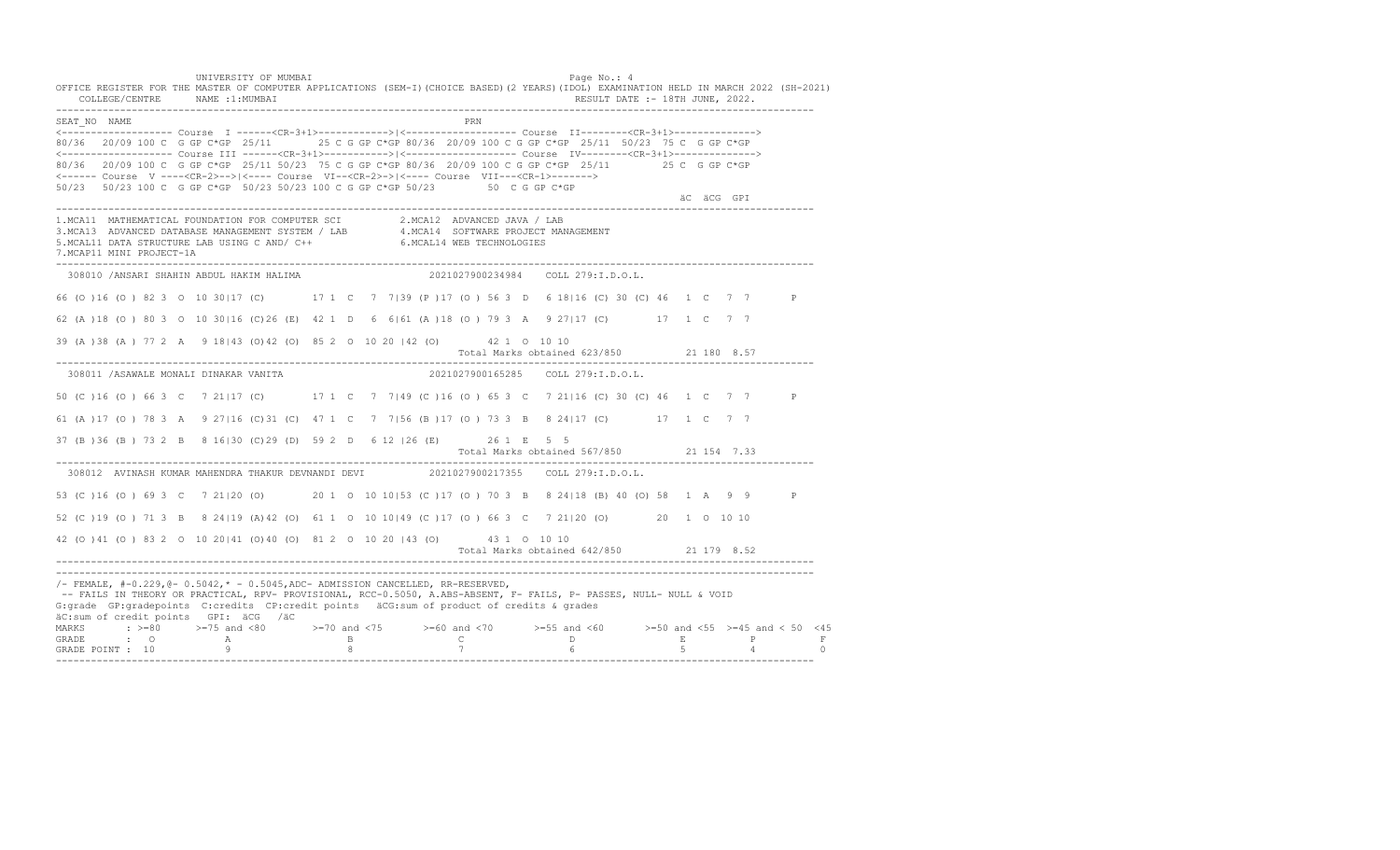UNIVERSITY OF MUMBAI PAGE OF THE PAGE OF THE PAGE OF THE PAGE OF THE PAGE OF THE PAGE OF THE PAGE OF THE PAGE OF THE PAGE OF THE PAGE OF THE PAGE OF THE PAGE OF THE PAGE OF THE PAGE OF THE PAGE OF THE PAGE OF THE PAGE OF T OFFICE REGISTER FOR THE MASTER OF COMPUTER APPLICATIONS (SEM-I)(CHOICE BASED)(2 YEARS)(IDOL) EXAMINATION HELD IN MARCH 2022 (SH-2021) COLLEGE/CENTRE NAME :1:MUMBAI RESULT DATE :- 18TH JUNE, 2022. ---------------------------------------------------------------------------------------------------------------------------------- SEAT\_NO NAME PRN <------------------- Course I ------<CR-3+1>------------>|<------------------- Course II--------<CR-3+1>--------------> 80/36 20/09 100 C G GP C\*GP 25/11 25 C G GP C\*GP 80/36 20/09 100 C G GP C\*GP 25/11 50/23 75 C G GP C\*GP <------------------- Course III ------<CR-3+1>----------->|<------------------- Course IV--------<CR-3+1>--------------> 80/36 20/09 100 C G GP C\*GP 25/11 50/23 75 C G GP C\*GP 80/36 20/09 100 C G GP C\*GP 25/11 25 C G GP C\*GP <------ Course V ----<CR-2>-->|<---- Course VI--<CR-2>->|<---- Course VII---<CR-1>-------> 50/23 50/23 100 C G GP C\*GP 50/23 50/23 100 C G GP C\*GP 50/23 50 C G GP C\*GP äC äCG GPI ä<sup>n v</sup>ächtliche State und der State und der State und der State und der State und der State und der State und der State und der State und der State und der State und der State und der State und der State und der ---------------------------------------------------------------------------------------------------------------------------------- 1.MCA11 MATHEMATICAL FOUNDATION FOR COMPUTER SCI 2.MCA12 ADVANCED JAVA / LAB<br>3.MCA13 ADVANCED DATABASE MANAGEMENT SYSTEM / LAB 4.MCA14 SOFTWARE PROJECT MANAGEMENT<br>5.MCAL11 DATA STRUCTURE LAB U 7.MCAP11 MINI PROJECT-1A ---------------------------------------------------------------------------------------------------------------------------------- 308010 /ANSARI SHAHIN ABDUL HAKIM HALIMA 2021027900234984 COLL 279:I.D.O.L. 66 (O )16 (O ) 82 3 O 10 30|17 (C) 17 1 C 7 7|39 (P )17 (O ) 56 3 D 6 18|16 (C) 30 (C) 46 1 C 7 7 P 62 (A )18 (O ) 80 3 O 10 30|16 (C)26 (E) 42 1 D 6 6|61 (A )18 (O ) 79 3 A 9 27|17 (C) 17 1 C 7 7 39 (A )38 (A ) 77 2 A 9 18|43 (O)42 (O) 85 2 O 10 20 |42 (O) 42 1 O 10 10 Total Marks obtained 623/850 21 180 8.57 ---------------------------------------------------------------------------------------------------------------------------------- 308011 /ASAWALE MONALI DINAKAR VANITA 2021027900165285 COLL 279:I.D.O.L. 50 (C )16 (O ) 66 3 C 7 21|17 (C) 17 1 C 7 7|49 (C )16 (O ) 65 3 C 7 21|16 (C) 30 (C) 46 1 C 7 7 P 61 (A )17 (O ) 78 3 A 9 27|16 (C)31 (C) 47 1 C 7 7|56 (B )17 (O ) 73 3 B 8 24|17 (C) 17 1 C 7 7 37 (B )36 (B ) 73 2 B 8 16|30 (C)29 (D) 59 2 D 6 12 |26 (E) 26 1 E 5 5 Total Marks obtained 567/850 21 154 7.33 ---------------------------------------------------------------------------------------------------------------------------------- 308012 AVINASH KUMAR MAHENDRA THAKUR DEVNANDI DEVI 53 (C )16 (O ) 69 3 C 7 21|20 (O) 20 1 O 10 10|53 (C )17 (O ) 70 3 B 8 24|18 (B) 40 (O) 58 1 A 9 9 P 52 (C )19 (O ) 71 3 B 8 24|19 (A)42 (O) 61 1 O 10 10|49 (C )17 (O ) 66 3 C 7 21|20 (O) 20 1 O 10 10 42 (O )41 (O ) 83 2 O 10 20|41 (O)40 (O) 81 2 O 10 20 |43 (O) 43 1 O 10 10 Total Marks obtained 642/850 21 179 8.52 ---------------------------------------------------------------------------------------------------------------------------------- ---------------------------------------------------------------------------------------------------------------------------------- /- FEMALE, #-0.229,@- 0.5042,\* - 0.5045,ADC- ADMISSION CANCELLED, RR-RESERVED, -- FAILS IN THEORY OR PRACTICAL, RPV- PROVISIONAL, RCC-0.5050, A.ABS-ABSENT, F- FAILS, P- PASSES, NULL- NULL & VOID G:grade GP:gradepoints C:credits CP:credit points äCG:sum of product of credits & grades äC:sum of credit points GPI: äCG /äC MARKS : >=80 >=75 and <80 >=70 and <75 >=60 and <70 >=55 and <60 >=50 and <55 >=45 and < 50 <45 GRADE : O A B C D E P F<br>GRADE POINT : 10 9 9 8 7 7 6 5 4 0 ----------------------------------------------------------------------------------------------------------------------------------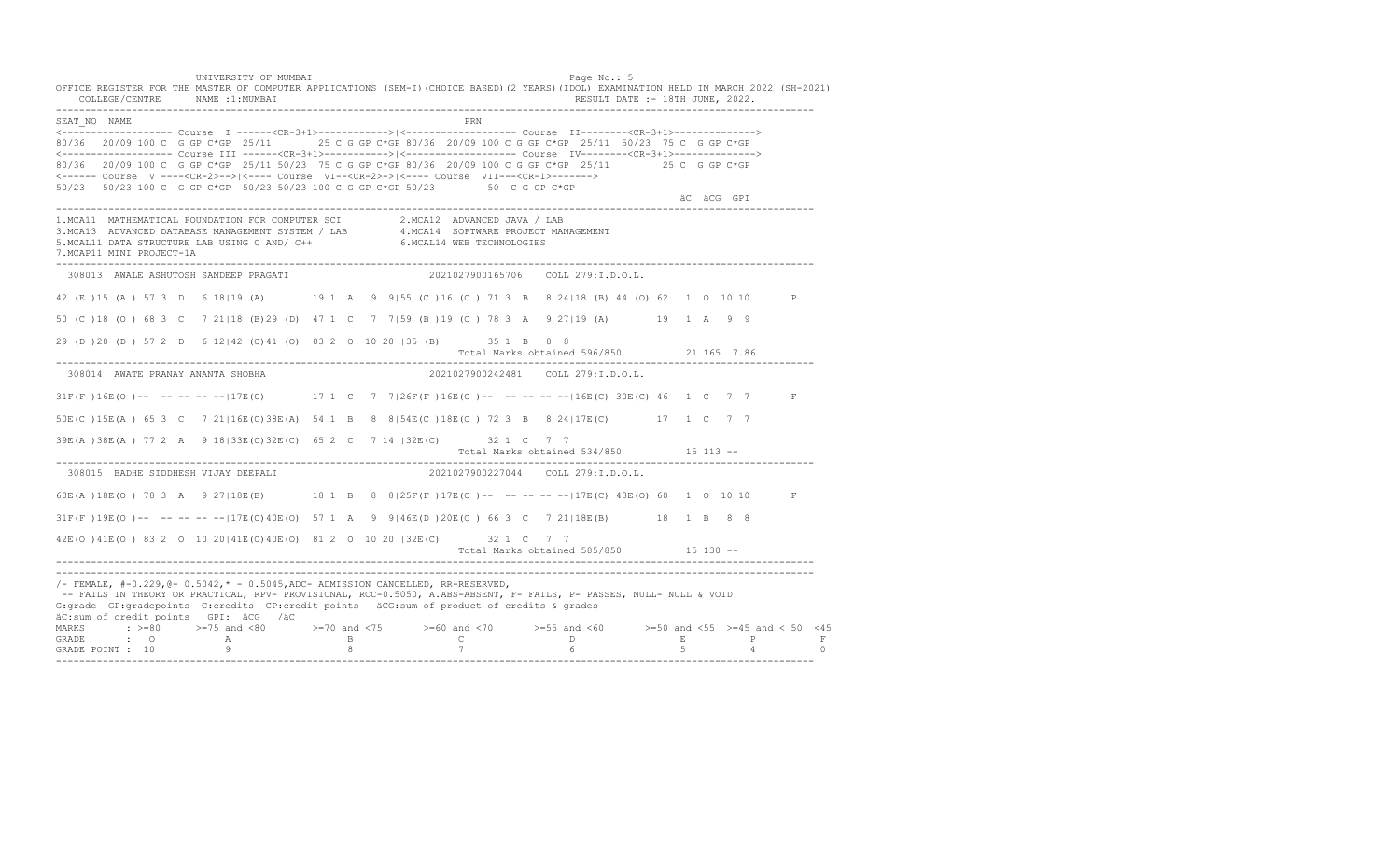UNIVERSITY OF MUMBAI Page No.: 5 OFFICE REGISTER FOR THE MASTER OF COMPUTER APPLICATIONS (SEM-I)(CHOICE BASED)(2 YEARS)(IDOL) EXAMINATION HELD IN MARCH 2022 (SH-2021) COLLEGE/CENTRE NAME :1:MUMBAI RESULT DATE :- 18TH JUNE, 2022. ---------------------------------------------------------------------------------------------------------------------------------- SEAT\_NO NAME PRN <------------------- Course I ------<CR-3+1>------------>|<------------------- Course II--------<CR-3+1>--------------> 80/36 20/09 100 C G GP C\*GP 25/11 25 C G GP C\*GP 80/36 20/09 100 C G GP C\*GP 25/11 50/23 75 C G GP C\*GP <------------------- Course III ------<CR-3+1>----------->|<------------------- Course IV--------<CR-3+1>--------------> 80/36 20/09 100 C G GP C\*GP 25/11 50/23 75 C G GP C\*GP 80/36 20/09 100 C G GP C\*GP 25/11 25 C G GP C\*GP <------ Course V ----<CR-2>-->|<---- Course VI--<CR-2>->|<---- Course VII---<CR-1>-------> 50/23 50/23 100 C G GP C\*GP 50/23 50/23 100 C G GP C\*GP 50/23 50 C G GP C\*GP äC äCG GPI ä<sup>n v</sup>ächtliche State und der State und der State und der State und der State und der State und der State und der State und der State und der State und der State und der State und der State und der State und der ---------------------------------------------------------------------------------------------------------------------------------- 1.MCA11 MATHEMATICAL FOUNDATION FOR COMPUTER SCI 2.MCA12 ADVANCED JAVA / LAB<br>3.MCA13 ADVANCED DATABASE MANAGEMENT SYSTEM / LAB 4.MCA14 SOFTWARE PROJECT MANAGEMENT<br>5.MCAL11 DATA STRUCTURE LAB U 7.MCAP11 MINI PROJECT-1A ---------------------------------------------------------------------------------------------------------------------------------- 308013 AWALE ASHUTOSH SANDEEP PRAGATI 2021027900165706 COLL 279:I.D.O.L. 42 (E )15 (A ) 57 3 D 6 18|19 (A) 19 1 A 9 9|55 (C )16 (O ) 71 3 B 8 24|18 (B) 44 (O) 62 1 O 10 10 P 50 (C )18 (O ) 68 3 C 7 21|18 (B)29 (D) 47 1 C 7 7|59 (B )19 (O ) 78 3 A 9 27|19 (A) 19 1 A 9 9 29 (D )28 (D ) 57 2 D 6 12|42 (O)41 (O) 83 2 O 10 20 |35 (B) 35 1 B 8 8 Total Marks obtained 596/850 21 165 7.86 ---------------------------------------------------------------------------------------------------------------------------------- 308014 AWATE PRANAY ANANTA SHOBHA 2021027900242481 COLL 279:I.D.O.L. 31F(F)16E(O)-- -- -- -- -- 17E(C) 17 1 C 7 7|26F(F)16E(O)-- -- -- -- -- 16E(C) 30E(C) 46 1 C 7 7 F 50E(C )15E(A ) 65 3 C 7 21|16E(C)38E(A) 54 1 B 8 8|54E(C )18E(O ) 72 3 B 8 24|17E(C) 17 1 C 7 7 39E(A )38E(A ) 77 2 A 9 18|33E(C)32E(C) 65 2 C 7 14 |32E(C) 32 1 C 7 7 Total Marks obtained 534/850 15 113 ------------------------------------------------------------------------------------------------------------------------------------ 308015 BADHE SIDDHESH VIJAY DEEPALI 60E(A )18E(O ) 78 3 A 9 27|18E(B) 18 1 B 8 8|25F(F )17E(O )-- -- -- -- --|17E(C) 43E(O) 60 1 O 10 10 F 31F(F )19E(O )-- -- -- -- --|17E(C)40E(O) 57 1 A 9 9|46E(D )20E(O ) 66 3 C 7 21|18E(B) 18 1 B 8 8 42E(O )41E(O ) 83 2 O 10 20|41E(O)40E(O) 81 2 O 10 20 |32E(C) 32 1 C 7 7 Total Marks obtained 585/850 15 130 ------------------------------------------------------------------------------------------------------------------------------------ ---------------------------------------------------------------------------------------------------------------------------------- /- FEMALE, #-0.229,@- 0.5042,\* - 0.5045,ADC- ADMISSION CANCELLED, RR-RESERVED, -- FAILS IN THEORY OR PRACTICAL, RPV- PROVISIONAL, RCC-0.5050, A.ABS-ABSENT, F- FAILS, P- PASSES, NULL- NULL & VOID G:grade GP:gradepoints C:credits CP:credit points äCG:sum of product of credits & grades äC:sum of credit points GPI: äCG /äC MARKS : >=80 >=75 and <80 >=70 and <75 >=60 and <70 >=55 and <60 >=50 and <55 >=45 and < 50 <45 GRADE : O A B C D E P F GRADE POINT : 10 9 8 7 6 5 4 0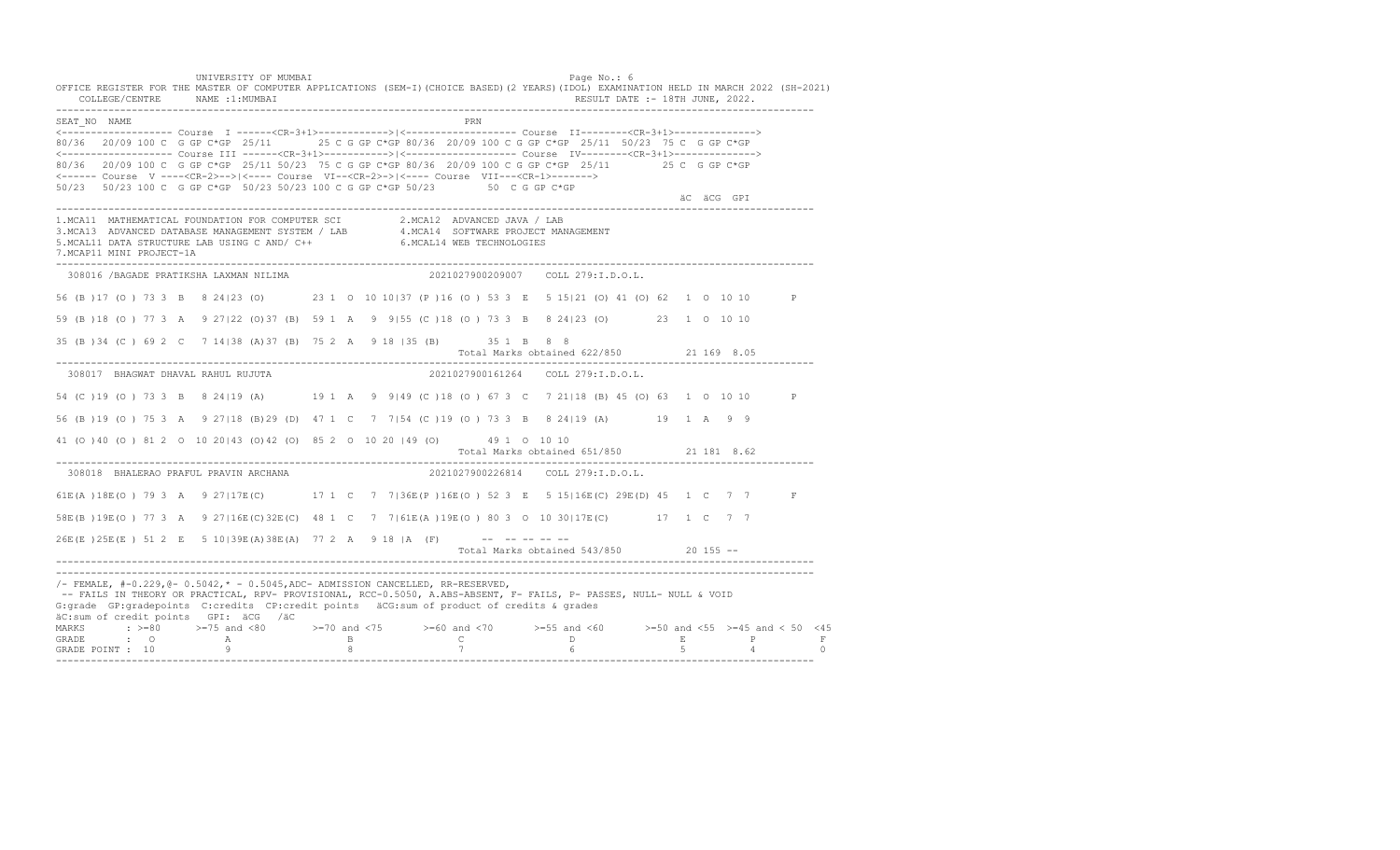UNIVERSITY OF MUMBAI Page No.: 6 OFFICE REGISTER FOR THE MASTER OF COMPUTER APPLICATIONS (SEM-I)(CHOICE BASED)(2 YEARS)(IDOL) EXAMINATION HELD IN MARCH 2022 (SH-2021) COLLEGE/CENTRE NAME :1:MUMBAI RESULT DATE :- 18TH JUNE, 2022. ---------------------------------------------------------------------------------------------------------------------------------- SEAT\_NO NAME PRIME PRIME PRODUCED A CONTROL IN THE PRIME PRIME PRIME PRIME PRIME PRIME PRIME PRIME PRIME PRIME PRIME PRIME PRIME PRIME PRIME PRIME PRIME PRIME PRIME PRIME PRIME PRIME PRIME PRIME PRIME PRIME PRIME PRIME PRI <------------------- Course I ------<CR-3+1>------------>|<------------------- Course II--------<CR-3+1>--------------> 80/36 20/09 100 C G GP C\*GP 25/11 25 C G GP C\*GP 80/36 20/09 100 C G GP C\*GP 25/11 50/23 75 C G GP C\*GP <------------------- Course III ------<CR-3+1>----------->|<------------------- Course IV--------<CR-3+1>--------------> 80/36 20/09 100 C G GP C\*GP 25/11 50/23 75 C G GP C\*GP 80/36 20/09 100 C G GP C\*GP 25/11 25 C G GP C\*GP <------ Course V ----<CR-2>-->|<---- Course VI--<CR-2>->|<---- Course VII---<CR-1>-------> 50/23 50/23 100 C G GP C\*GP 50/23 50/23 100 C G GP C\*GP 50/23 50 C G GP C\*GP äC äCG GPI ä<sup>n v</sup>ächtliche State und der State und der State und der State und der State und der State und der State und der State und der State und der State und der State und der State und der State und der State und der ---------------------------------------------------------------------------------------------------------------------------------- 1.MCA11 MATHEMATICAL FOUNDATION FOR COMPUTER SCI 2.MCA12 ADVANCED JAVA / LAB<br>3.MCA13 ADVANCED DATABASE MANAGEMENT SYSTEM / LAB 4.MCA14 SOFTWARE PROJECT MANAGEMENT<br>5.MCAL11 DATA STRUCTURE LAB U 7.MCAP11 MINI PROJECT-1A ---------------------------------------------------------------------------------------------------------------------------------- 308016 /BAGADE PRATIKSHA LAXMAN NILIMA 2021027900209007 COLL 279:I.D.O.L. 56 (B )17 (O ) 73 3 B 8 24|23 (O) 23 1 O 10 10|37 (P )16 (O ) 53 3 E 5 15|21 (O) 41 (O) 62 1 O 10 10 P 59 (B )18 (O ) 77 3 A 9 27|22 (O)37 (B) 59 1 A 9 9|55 (C )18 (O ) 73 3 B 8 24|23 (O) 23 1 O 10 10 35 (B )34 (C ) 69 2 C 7 14|38 (A)37 (B) 75 2 A 9 18 |35 (B) 35 1 B 8 8 Total Marks obtained 622/850 21 169 8.05 ---------------------------------------------------------------------------------------------------------------------------------- 308017 BHAGWAT DHAVAL RAHUL RUJUTA 2021027900161264 COLL 279:I.D.O.L. 54 (C )19 (O ) 73 3 B 8 24|19 (A) 19 1 A 9 9|49 (C )18 (O ) 67 3 C 7 21|18 (B) 45 (O) 63 1 O 10 10 P 56 (B )19 (O ) 75 3 A 9 27|18 (B)29 (D) 47 1 C 7 7|54 (C )19 (O ) 73 3 B 8 24|19 (A) 19 1 A 9 9 41 (O )40 (O ) 81 2 O 10 20|43 (O)42 (O) 85 2 O 10 20 |49 (O) 49 1 O 10 10 Total Marks obtained 651/850 21 181 8.62 ---------------------------------------------------------------------------------------------------------------------------------- 308018 BHALERAO PRAFUL PRAVIN ARCHANA 61E(A )18E(O ) 79 3 A 9 27|17E(C) 17 1 C 7 7|36E(P )16E(O ) 52 3 E 5 15|16E(C) 29E(D) 45 1 C 7 7 F 58E(B )19E(O ) 77 3 A 9 27|16E(C)32E(C) 48 1 C 7 7|61E(A )19E(O ) 80 3 O 10 30|17E(C) 17 1 C 7 7  $26E(E) 25E(E) 512 E 510|39E(A) 38E(A) 77 2 A 9 18 |A (F)$  -- -- -- -- --Total Marks obtained 543/850 20 155 ------------------------------------------------------------------------------------------------------------------------------------ ---------------------------------------------------------------------------------------------------------------------------------- /- FEMALE, #-0.229,@- 0.5042,\* - 0.5045,ADC- ADMISSION CANCELLED, RR-RESERVED, -- FAILS IN THEORY OR PRACTICAL, RPV- PROVISIONAL, RCC-0.5050, A.ABS-ABSENT, F- FAILS, P- PASSES, NULL- NULL & VOID G:grade GP:gradepoints C:credits CP:credit points äCG:sum of product of credits & grades äC:sum of credit points GPI: äCG /äC MARKS : >=80 >=75 and <80 >=70 and <75 >=60 and <70 >=55 and <60 >=50 and <55 >=45 and < 50 <45 GRADE : O A B C D E P F<br>GRADE POINT : 10 9 9 8 7 7 6 5 4 0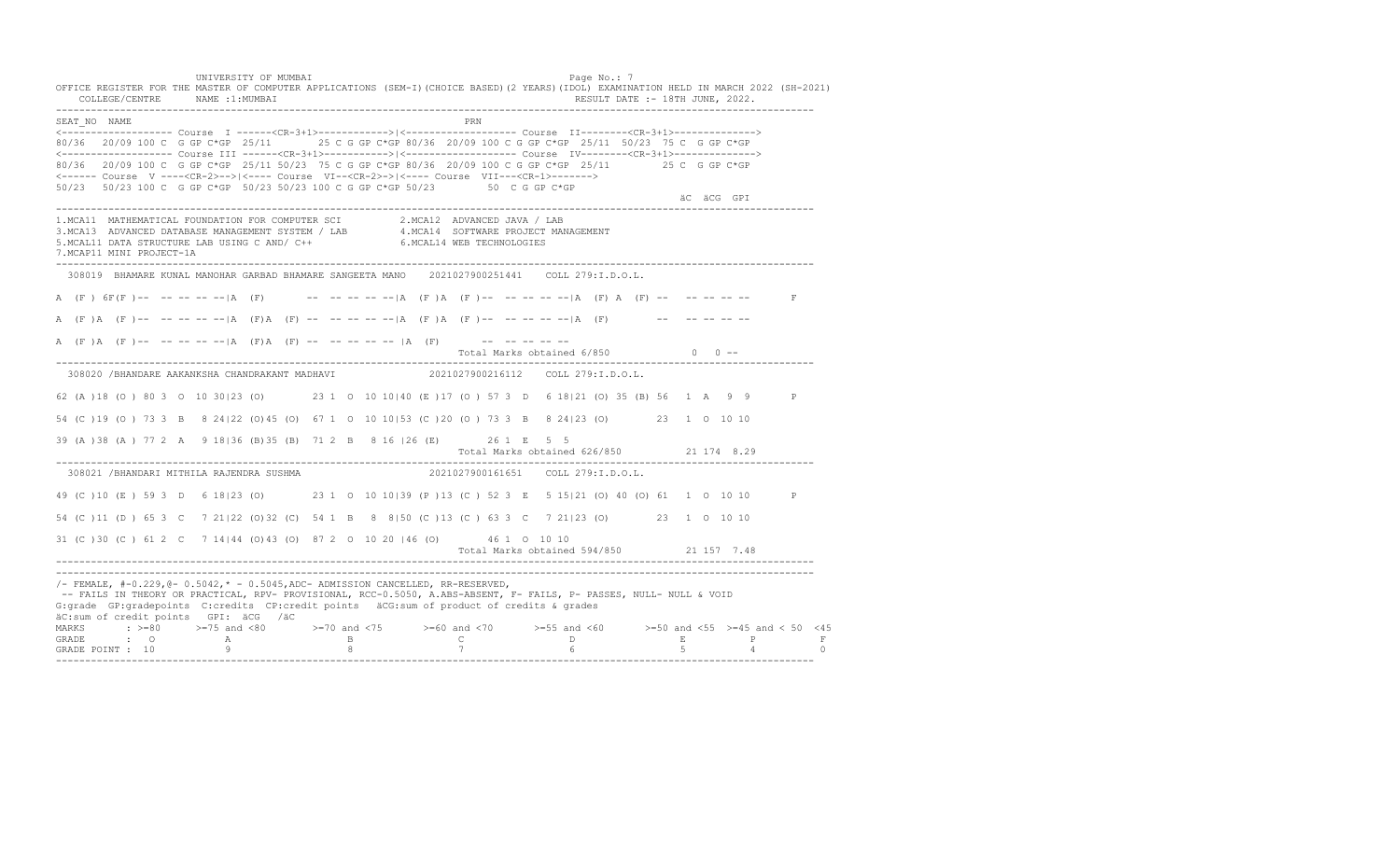UNIVERSITY OF MUMBAI PAGE OF THE PAGE OF THE PAGE OF THE PAGE OF THE PAGE OF THE PAGE OF THE PAGE OF THE PAGE OF THE PAGE OF THE PAGE OF THE PAGE OF THE PAGE OF THE PAGE OF THE PAGE OF THE PAGE OF THE PAGE OF THE PAGE OF T OFFICE REGISTER FOR THE MASTER OF COMPUTER APPLICATIONS (SEM-I)(CHOICE BASED)(2 YEARS)(IDOL) EXAMINATION HELD IN MARCH 2022 (SH-2021) COLLEGE/CENTRE NAME :1:MUMBAI RESULT DATE :- 18TH JUNE, 2022. ---------------------------------------------------------------------------------------------------------------------------------- SEAT\_NO NAME PRN <------------------- Course I ------<CR-3+1>------------>|<------------------- Course II--------<CR-3+1>--------------> 80/36 20/09 100 C G GP C\*GP 25/11 25 C G GP C\*GP 80/36 20/09 100 C G GP C\*GP 25/11 50/23 75 C G GP C\*GP <------------------- Course III ------<CR-3+1>----------->|<------------------- Course IV--------<CR-3+1>--------------> 80/36 20/09 100 C G GP C\*GP 25/11 50/23 75 C G GP C\*GP 80/36 20/09 100 C G GP C\*GP 25/11 25 C G GP C\*GP <------ Course V ----<CR-2>-->|<---- Course VI--<CR-2>->|<---- Course VII---<CR-1>-------> 50/23 50/23 100 C G GP C\*GP 50/23 50/23 100 C G GP C\*GP 50/23 50 C G GP C\*GP äC äCG GPI ä<sup>n v</sup>ächtliche State und der State und der State und der State und der State und der State und der State und der State und der State und der State und der State und der State und der State und der State und der ---------------------------------------------------------------------------------------------------------------------------------- 1.MCA11 MATHEMATICAL FOUNDATION FOR COMPUTER SCI 2.MCA12 ADVANCED JAVA / LAB 3.MCA13 ADVANCED DATABASE MANAGEMENT SYSTEM / LAB 4.MCA14 SOFTWARE PROJECT MANAGEMENT 5.MCAL11 DATA STRUCTURE LAB USING C AND/ C++ 6.MCAL14 WEB TECHNOLOGIES 7.MCAP11 MINI PROJECT-1A ---------------------------------------------------------------------------------------------------------------------------------- 308019 BHAMARE KUNAL MANOHAR GARBAD BHAMARE SANGEETA MANO 2021027900251441 COLL 279:I.D.O.L. A (F) 6F(F)-- -- -- -- -- |A (F) -- -- -- -- -- |A (F) A (F)-- -- -- -- -- |A (F) A (F) -- -- -- -- -- -- F A (F )A (F )-- -- -- -- --|A (F)A (F) -- -- -- -- --|A (F )A (F )-- -- -- -- --|A (F) -- -- -- -- -- A (F)A (F)-- -- -- -- -- |A (F)A (F) -- -- -- -- -- |A (F) -- -- -- -- -- -- --Total Marks obtained  $6/850$  0 ------------------------------------------------------------------------------------------------------------------------------------ 308020 /BHANDARE AAKANKSHA CHANDRAKANT MADHAVI 2021027900216112 COLL 279:I.D.O.L. 62 (A )18 (O ) 80 3 O 10 30|23 (O) 23 1 O 10 10|40 (E )17 (O ) 57 3 D 6 18|21 (O) 35 (B) 56 1 A 9 9 P 54 (C )19 (O ) 73 3 B 8 24|22 (O)45 (O) 67 1 O 10 10|53 (C )20 (O ) 73 3 B 8 24|23 (O) 23 1 O 10 10 39 (A )38 (A ) 77 2 A 9 18|36 (B)35 (B) 71 2 B 8 16 |26 (E) 26 1 E 5 5 Total Marks obtained 626/850 21 174 8.29 ---------------------------------------------------------------------------------------------------------------------------------- 308021 /BHANDARI MITHILA RAJENDRA SUSHMA 49 (C )10 (E ) 59 3 D 6 18|23 (O) 23 1 O 10 10|39 (P )13 (C ) 52 3 E 5 15|21 (O) 40 (O) 61 1 O 10 10 P 54 (C )11 (D ) 65 3 C 7 21|22 (O)32 (C) 54 1 B 8 8|50 (C )13 (C ) 63 3 C 7 21|23 (O) 23 1 O 10 10 31 (C )30 (C ) 61 2 C 7 14|44 (O)43 (O) 87 2 O 10 20 |46 (O) 46 1 O 10 10 Total Marks obtained 594/850 21 157 7.48 ---------------------------------------------------------------------------------------------------------------------------------- ---------------------------------------------------------------------------------------------------------------------------------- /- FEMALE, #-0.229,@- 0.5042,\* - 0.5045,ADC- ADMISSION CANCELLED, RR-RESERVED, -- FAILS IN THEORY OR PRACTICAL, RPV- PROVISIONAL, RCC-0.5050, A.ABS-ABSENT, F- FAILS, P- PASSES, NULL- NULL & VOID G:grade GP:gradepoints C:credits CP:credit points äCG:sum of product of credits & grades äC:sum of credit points GPI: äCG /äC MARKS : >=80 >=75 and <80 >=70 and <75 >=60 and <70 >=55 and <60 >=50 and <55 >=45 and < 50 <45<br>GRADE : O A B C D E P F<br>GRADE POINT : 10 9 8 7 6 5 4 0 ----------------------------------------------------------------------------------------------------------------------------------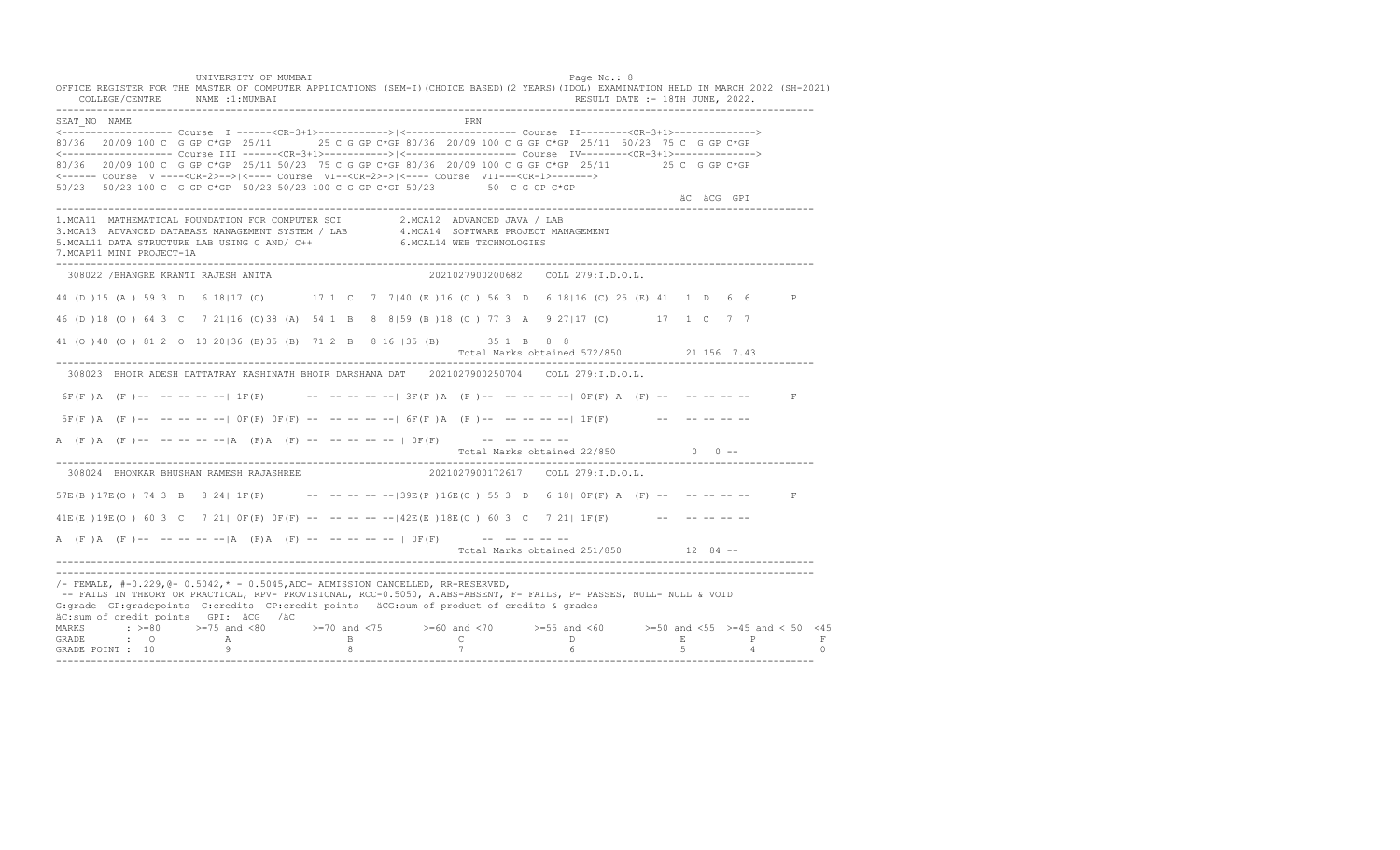UNIVERSITY OF MUMBAI Page No.: 8 OFFICE REGISTER FOR THE MASTER OF COMPUTER APPLICATIONS (SEM-I)(CHOICE BASED)(2 YEARS)(IDOL) EXAMINATION HELD IN MARCH 2022 (SH-2021)<br>COLLEGE/CENTRE NAME :1:MUMBAI COLLEGE/CENTRE NAME :1: MUMBAI ---------------------------------------------------------------------------------------------------------------------------------- SEAT\_NO NAME PRN <------------------- Course I ------<CR-3+1>------------>|<------------------- Course II--------<CR-3+1>--------------> 80/36 20/09 100 C G GP C\*GP 25/11 25 C G GP C\*GP 80/36 20/09 100 C G GP C\*GP 25/11 50/23 75 C G GP C\*GP <------------------- Course III ------<CR-3+1>----------->|<------------------- Course IV--------<CR-3+1>--------------> 80/36 20/09 100 C G GP C\*GP 25/11 50/23 75 C G GP C\*GP 80/36 20/09 100 C G GP C\*GP 25/11 25 C G GP C\*GP <------ Course V ----<CR-2>-->|<---- Course VI--<CR-2>->|<---- Course VII---<CR-1>-------> 50/23 50/23 100 C G GP C\*GP 50/23 50/23 100 C G GP C\*GP 50/23 50 C G GP C\*GP äC äCG GPI ä<sup>n v</sup>ächtliche State und der State und der State und der State und der State und der State und der State und der State und der State und der State und der State und der State und der State und der State und der ---------------------------------------------------------------------------------------------------------------------------------- 1.MCA11 MATHEMATICAL FOUNDATION FOR COMPUTER SCI 2.MCA12 ADVANCED JAVA / LAB 3.MCA13 ADVANCED DATABASE MANAGEMENT SYSTEM / LAB 4.MCA14 SOFTWARE PROJECT MANAGEMENT 5.MCAL11 DATA STRUCTURE LAB USING C AND/ C++ 6.MCAL14 WEB TECHNOLOGIES 7.MCAP11 MINI PROJECT-1A ---------------------------------------------------------------------------------------------------------------------------------- 308022 /BHANGRE KRANTI RAJESH ANITA 2021027900200682 COLL 279:I.D.O.L. 44 (D )15 (A ) 59 3 D 6 18|17 (C) 17 1 C 7 7|40 (E )16 (O ) 56 3 D 6 18|16 (C) 25 (E) 41 1 D 6 6 P 46 (D )18 (O ) 64 3 C 7 21|16 (C)38 (A) 54 1 B 8 8|59 (B )18 (O ) 77 3 A 9 27|17 (C) 17 1 C 7 7 41 (O )40 (O ) 81 2 O 10 20|36 (B)35 (B) 71 2 B 8 16 |35 (B) 35 1 B 8 8 Total Marks obtained 572/850 21 156 7.43 ---------------------------------------------------------------------------------------------------------------------------------- 308023 BHOIR ADESH DATTATRAY KASHINATH BHOIR DARSHANA DAT 2021027900250704 COLL 279:I.D.O.L.  $6F(F)$   $A$   $(F)$  -- -- -- -- --  $1F(F)$  -- -- -- -- -- -- 3F(F)  $A$   $(F)$  -- -- -- -- -- --  $0F(F)$   $A$   $(F)$  -- -- -- -- -- $5F(F)$   $A$   $(F)$  -- -- -- -- --|  $0F(F)$   $0F(F)$  -- -- -- -- --|  $6F(F)$   $A$   $(F)$  -- -- -- -- --  $1F(F)$  -- -- -- -- -- --A (F)A (F) -- -- -- -- -- |A (F) A (F) -- -- -- -- -- | OF(F) -- -- -- -- -- --Total Marks obtained  $22/850$  0 ------------------------------------------------------------------------------------------------------------------------------------ 308024 BHONKAR BHUSHAN RAMESH RAJASHREE 57E(B) 17E(O) 74 3 B 8 24| 1F(F) -- -- -- -- -- -39E(P) 16E(O) 55 3 D 6 18| 0F(F) A (F) -- -- -- -- -- F 41E(E )19E(O ) 60 3 C 7 21| 0F(F) 0F(F) -- -- -- -- --|42E(E )18E(O ) 60 3 C 7 21| 1F(F) -- -- -- -- -- A (F)A (F) -- -- -- -- -- |A (F)A (F) -- -- -- -- -- |  $0F(F)$  -- -- -- -- -- --Total Marks obtained 251/850 12 84 ------------------------------------------------------------------------------------------------------------------------------------ ----------------------------------------------------------------------------------------------------------------------------------  $/$ - FEMALE,  $#$ -0.229, @- 0.5042,  $*$  - 0.5045, ADC- ADMISSION CANCELLED, RR-RESERVED, -- FAILS IN THEORY OR PRACTICAL, RPV- PROVISIONAL, RCC-0.5050, A.ABS-ABSENT, F- FAILS, P- PASSES, NULL- NULL & VOID G:grade GP:gradepoints C:credits CP:credit points äCG:sum of product of credits & grades äC:sum of credit points GPI: äCG /äC MARKS : >=80 >=75 and <80 >=70 and <75 >=60 and <70 >=55 and <60 >=50 and <55 >=45 and < 50 <45<br>GRADE : O A B C D E P F<br>GRADE POINT : 10 9 8 7 6 5 4 0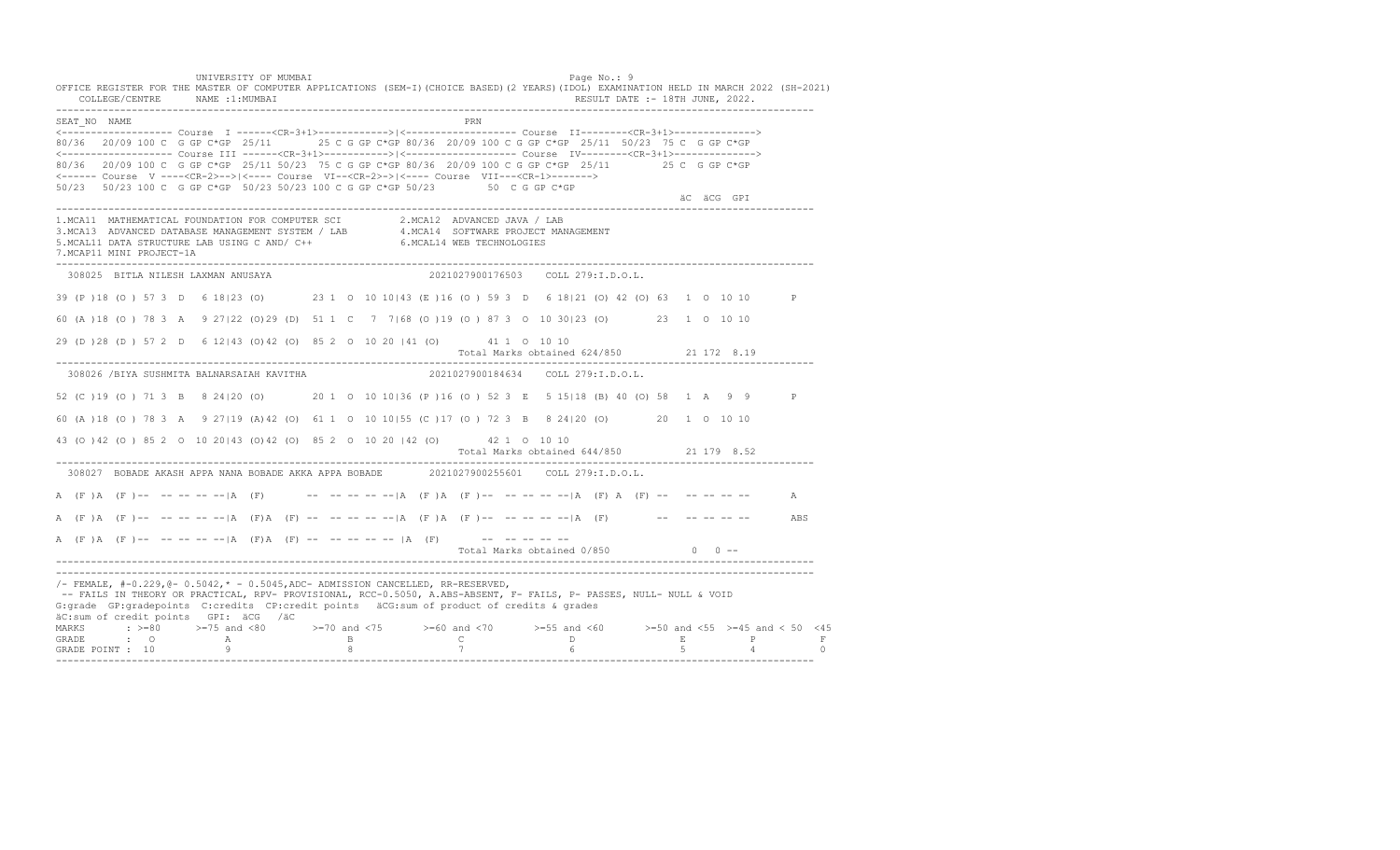UNIVERSITY OF MUMBAI Page No.: 9 OFFICE REGISTER FOR THE MASTER OF COMPUTER APPLICATIONS (SEM-I)(CHOICE BASED)(2 YEARS)(IDOL) EXAMINATION HELD IN MARCH 2022 (SH-2021) COLLEGE/CENTRE NAME :1:MUMBAI RESULT DATE :- 18TH JUNE, 2022. ---------------------------------------------------------------------------------------------------------------------------------- SEAT\_NO NAME PRIMAGE PRODUCED IN THE PRODUCED SEAT NO PRIMAGE PRIMAGE PRIMAGE PRIMAGE PRIMAGE PRIMAGE PRIMAGE PRIMAGE PRIMAGE PRIMAGE PRIMAGE PRIMAGE PRIMAGE PRIMAGE PRIMAGE PRIMAGE PRIMAGE PRIMAGE PRIMAGE PRIMAGE PRIMAGE <------------------- Course I ------<CR-3+1>------------>|<------------------- Course II--------<CR-3+1>--------------> 80/36 20/09 100 C G GP C\*GP 25/11 25 C G GP C\*GP 80/36 20/09 100 C G GP C\*GP 25/11 50/23 75 C G GP C\*GP <------------------- Course III ------<CR-3+1>----------->|<------------------- Course IV--------<CR-3+1>--------------> 80/36 20/09 100 C G GP C\*GP 25/11 50/23 75 C G GP C\*GP 80/36 20/09 100 C G GP C\*GP 25/11 25 C G GP C\*GP <------ Course V ----<CR-2>-->|<---- Course VI--<CR-2>->|<---- Course VII---<CR-1>-------> 50/23 50/23 100 C G GP C\*GP 50/23 50/23 100 C G GP C\*GP 50/23 50 C G GP C\*GP äC äCG GPI ä<sup>n v</sup>ächtliche State und der State und der State und der State und der State und der State und der State und der State und der State und der State und der State und der State und der State und der State und der ---------------------------------------------------------------------------------------------------------------------------------- 1.MCA11 MATHEMATICAL FOUNDATION FOR COMPUTER SCI 2.MCA12 ADVANCED JAVA / LAB 3.MCA13 ADVANCED DATABASE MANAGEMENT SYSTEM / LAB 4.MCA14 SOFTWARE PROJECT MANAGEMENT 5.MCAL11 DATA STRUCTURE LAB USING C AND/ C++ 6.MCAL14 WEB TECHNOLOGIES 7.MCAP11 MINI PROJECT-1A ---------------------------------------------------------------------------------------------------------------------------------- 308025 BITLA NILESH LAXMAN ANUSAYA 2021027900176503 COLL 279:I.D.O.L. 39 (P )18 (O ) 57 3 D 6 18|23 (O) 23 1 O 10 10|43 (E )16 (O ) 59 3 D 6 18|21 (O) 42 (O) 63 1 O 10 10 P 60 (A )18 (O ) 78 3 A 9 27|22 (O)29 (D) 51 1 C 7 7|68 (O )19 (O ) 87 3 O 10 30|23 (O) 23 1 O 10 10 29 (D )28 (D ) 57 2 D 6 12|43 (O)42 (O) 85 2 O 10 20 |41 (O) 41 1 O 10 10 Total Marks obtained 624/850 21 172 8.19 ---------------------------------------------------------------------------------------------------------------------------------- 308026 /BIYA SUSHMITA BALNARSAIAH KAVITHA 2021027900184634 COLL 279:I.D.O.L. 52 (C )19 (O ) 71 3 B 8 24|20 (O) 20 1 O 10 10|36 (P )16 (O ) 52 3 E 5 15|18 (B) 40 (O) 58 1 A 9 9 P 60 (A )18 (O ) 78 3 A 9 27|19 (A)42 (O) 61 1 O 10 10|55 (C )17 (O ) 72 3 B 8 24|20 (O) 20 1 O 10 10 43 (O )42 (O ) 85 2 O 10 20|43 (O)42 (O) 85 2 O 10 20 |42 (O) 42 1 O 10 10 Total Marks obtained 644/850 21 179 8.52 ---------------------------------------------------------------------------------------------------------------------------------- 308027 BOBADE AKASH APPA NANA BOBADE AKKA APPA BOBADE 2021027900255601 COLL 279:I.D.O.L. A (F )A (F )-- -- -- -- -- |A (F) -- -- -- -- -- |-A (F )A (F )-- -- -- -- -- |A (F) A (F) -- -- -- -- -- -- A A (F )A (F )-- -- -- -- -- |A (F)A (F) -- -- -- -- -- |A (F )A (F )-- -- -- -- -- -- |A (F) -- -- -- -- -- -- ABS A  $(F)$   $(A \cap (F)$  -- -- -- -- --  $|A \cap (F)$   $A \cap (F)$  -- -- -- -- --  $|A \cap (F)$  -- -- -- -- --Total Marks obtained  $0/850$  0 ------------------------------------------------------------------------------------------------------------------------------------ ----------------------------------------------------------------------------------------------------------------------------------  $/$ - FEMALE,  $#$ -0.229, @- 0.5042,  $*$  - 0.5045, ADC- ADMISSION CANCELLED, RR-RESERVED, -- FAILS IN THEORY OR PRACTICAL, RPV- PROVISIONAL, RCC-0.5050, A.ABS-ABSENT, F- FAILS, P- PASSES, NULL- NULL & VOID G:grade GP:gradepoints C:credits CP:credit points äCG:sum of product of credits & grades äC:sum of credit points GPI: äCG /äC MARKS : >=80 >=75 and <80 >=70 and <75 >=60 and <70 >=55 and <60 >=50 and <55 >=45 and < 50 <45 GRADE : O A B C D E P F GRADE POINT : 10 9 8 7 6 5 4 0 ----------------------------------------------------------------------------------------------------------------------------------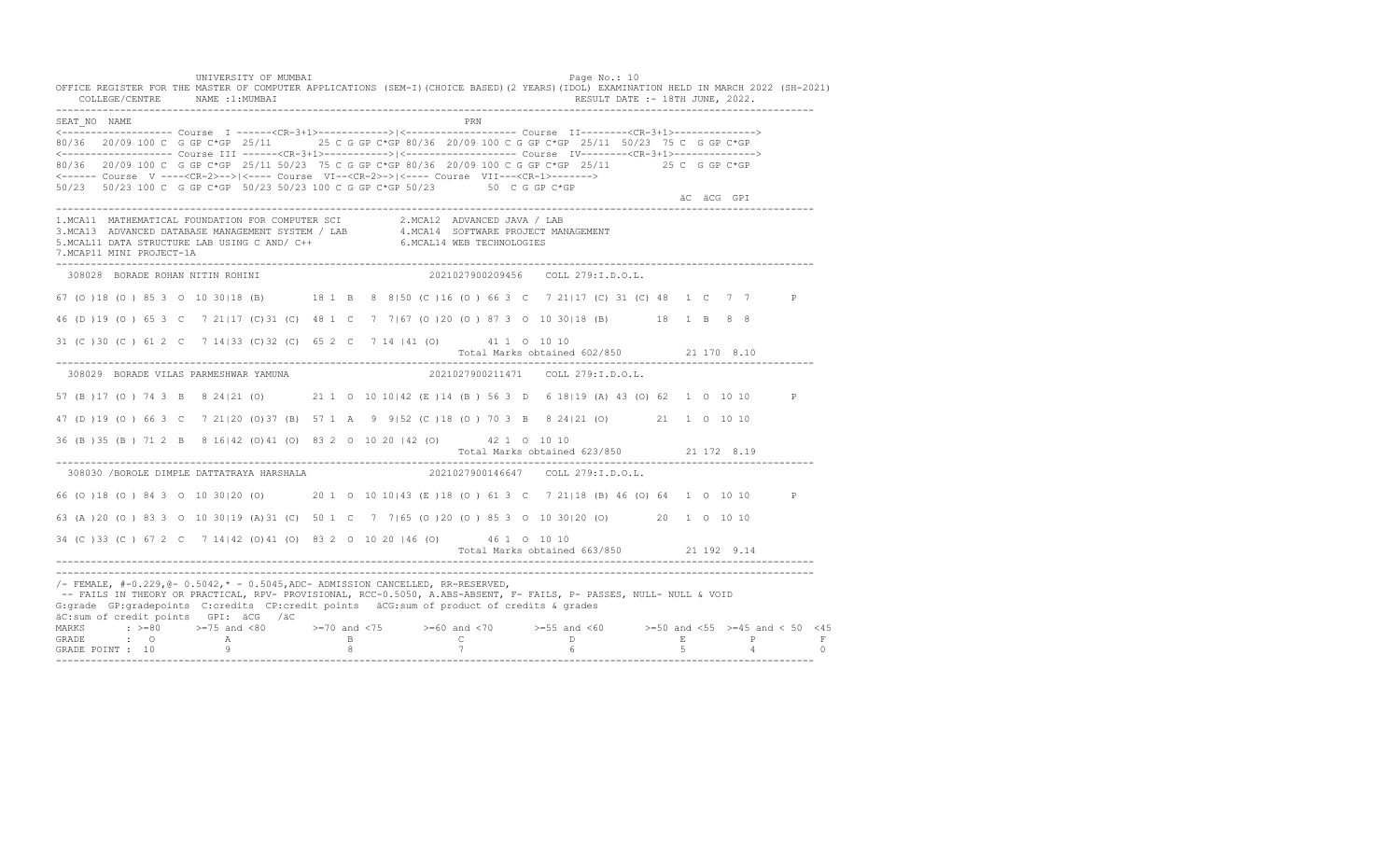UNIVERSITY OF MUMBAI PAGE OF THE PAGE OF THE PAGE OF THE PAGE OF THE PAGE OF THE PAGE OF THE PAGE OF THE PAGE OF THE PAGE OF THE PAGE OF THE PAGE OF THE PAGE OF THE PAGE OF THE PAGE OF THE PAGE OF THE PAGE OF THE PAGE OF T OFFICE REGISTER FOR THE MASTER OF COMPUTER APPLICATIONS (SEM-I)(CHOICE BASED)(2 YEARS)(IDOL) EXAMINATION HELD IN MARCH 2022 (SH-2021) COLLEGE/CENTRE NAME :1:MUMBAI RESULT DATE :- 18TH JUNE, 2022. ---------------------------------------------------------------------------------------------------------------------------------- SEAT\_NO NAME PRN <------------------- Course I ------<CR-3+1>------------>|<------------------- Course II--------<CR-3+1>--------------> 80/36 20/09 100 C G GP C\*GP 25/11 25 C G GP C\*GP 80/36 20/09 100 C G GP C\*GP 25/11 50/23 75 C G GP C\*GP <------------------- Course III ------<CR-3+1>----------->|<------------------- Course IV--------<CR-3+1>--------------> 80/36 20/09 100 C G GP C\*GP 25/11 50/23 75 C G GP C\*GP 80/36 20/09 100 C G GP C\*GP 25/11 25 C G GP C\*GP <------ Course V ----<CR-2>-->|<---- Course VI--<CR-2>->|<---- Course VII---<CR-1>-------> 50/23 50/23 100 C G GP C\*GP 50/23 50/23 100 C G GP C\*GP 50/23 50 C G GP C\*GP äC äCG GPI ä<sup>n v</sup>ächtliche State und der State und der State und der State und der State und der State und der State und der State und der State und der State und der State und der State und der State und der State und der ---------------------------------------------------------------------------------------------------------------------------------- 1.MCA11 MATHEMATICAL FOUNDATION FOR COMPUTER SCI 2.MCA12 ADVANCED JAVA / LAB<br>3.MCA13 ADVANCED DATABASE MANAGEMENT SYSTEM / LAB 4.MCA14 SOFTWARE PROJECT MANAGEMENT<br>5.MCAL11 DATA STRUCTURE LAB USI 7.MCAP11 MINI PROJECT-1A ---------------------------------------------------------------------------------------------------------------------------------- 308028 BORADE ROHAN NITIN ROHINI 2021027900209456 COLL 279:I.D.O.L. 67 (O )18 (O ) 85 3 O 10 30|18 (B) 18 1 B 8 8|50 (C )16 (O ) 66 3 C 7 21|17 (C) 31 (C) 48 1 C 7 7 P 46 (D )19 (O ) 65 3 C 7 21|17 (C)31 (C) 48 1 C 7 7|67 (O )20 (O ) 87 3 O 10 30|18 (B) 18 1 B 8 8 31 (C )30 (C ) 61 2 C 7 14|33 (C)32 (C) 65 2 C 7 14 |41 (O) 41 1 O 10 10 Total Marks obtained 602/850 21 170 8.10 ---------------------------------------------------------------------------------------------------------------------------------- 308029 BORADE VILAS PARMESHWAR YAMUNA 2021027900211471 COLL 279:I.D.O.L. 57 (B )17 (O ) 74 3 B 8 24|21 (O) 21 1 O 10 10|42 (E )14 (B ) 56 3 D 6 18|19 (A) 43 (O) 62 1 O 10 10 P 47 (D )19 (O ) 66 3 C 7 21|20 (O)37 (B) 57 1 A 9 9|52 (C )18 (O ) 70 3 B 8 24|21 (O) 21 1 O 10 10 36 (B )35 (B ) 71 2 B 8 16|42 (O)41 (O) 83 2 O 10 20 |42 (O) 42 1 O 10 10 Total Marks obtained 623/850 21 172 8.19 ---------------------------------------------------------------------------------------------------------------------------------- 308030 /BOROLE DIMPLE DATTATRAYA HARSHALA 66 (O )18 (O ) 84 3 O 10 30|20 (O) 20 1 O 10 10|43 (E )18 (O ) 61 3 C 7 21|18 (B) 46 (O) 64 1 O 10 10 P 63 (A )20 (O ) 83 3 O 10 30|19 (A)31 (C) 50 1 C 7 7|65 (O )20 (O ) 85 3 O 10 30|20 (O) 20 1 O 10 10 34 (C )33 (C ) 67 2 C 7 14|42 (O)41 (O) 83 2 O 10 20 |46 (O) 46 1 O 10 10 Total Marks obtained 663/850 21 192 9.14 ---------------------------------------------------------------------------------------------------------------------------------- ---------------------------------------------------------------------------------------------------------------------------------- /- FEMALE, #-0.229,@- 0.5042,\* - 0.5045,ADC- ADMISSION CANCELLED, RR-RESERVED, -- FAILS IN THEORY OR PRACTICAL, RPV- PROVISIONAL, RCC-0.5050, A.ABS-ABSENT, F- FAILS, P- PASSES, NULL- NULL & VOID G:grade GP:gradepoints C:credits CP:credit points äCG:sum of product of credits & grades äC:sum of credit points GPI: äCG /äC MARKS : >=80 >=75 and <80 >=70 and <75 >=60 and <70 >=55 and <60 >=50 and <55 >=45 and < 50 <45 GRADE : O A B C D E P F<br>GRADE POINT : 10 9 9 8 7 7 6 5 4 0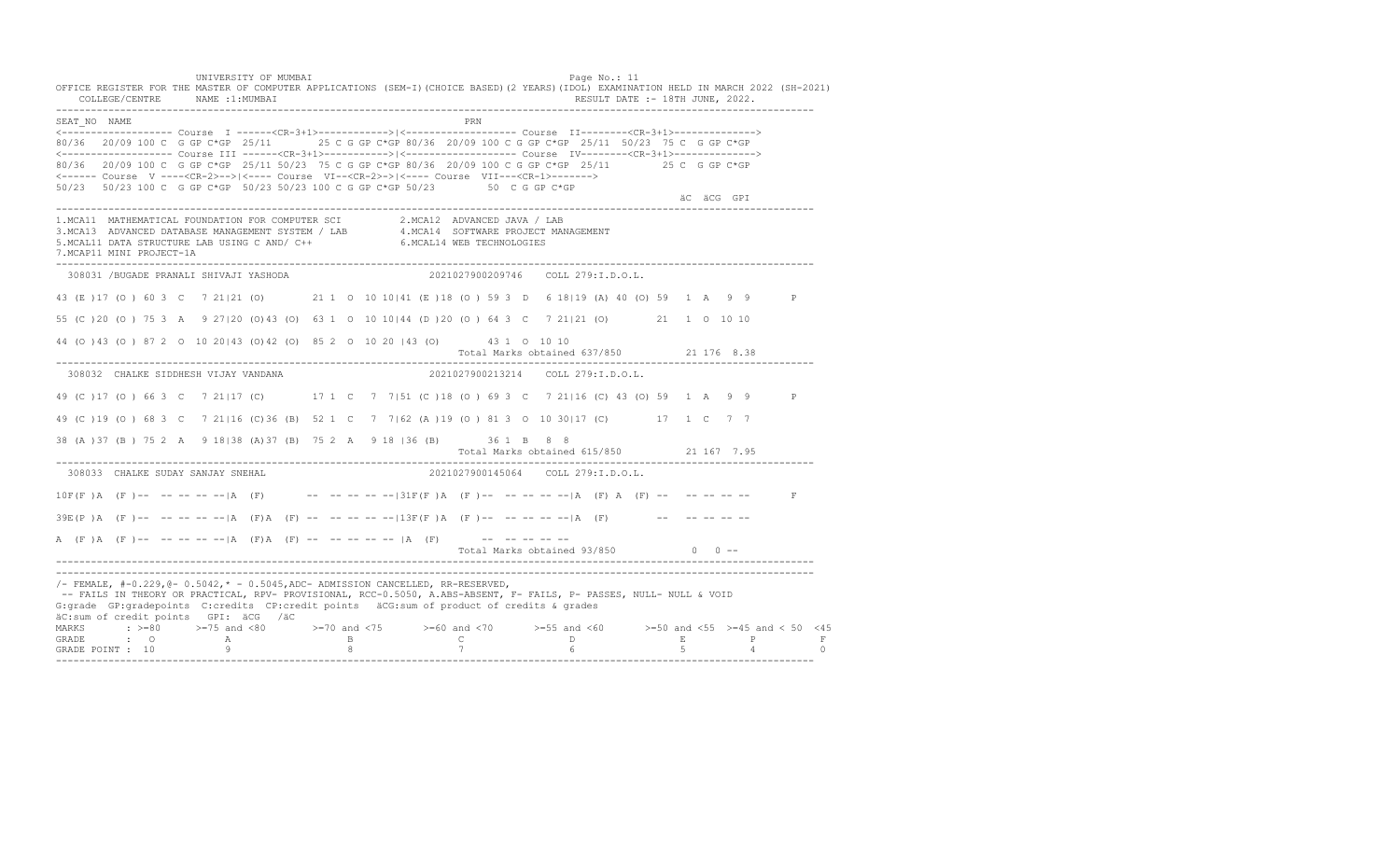UNIVERSITY OF MUMBAI PAGE OF THE PAGE OF THE PAGE OF THE PAGE OF THE PAGE OF THE PAGE OF THE PAGE OF THE PAGE OF THE PAGE OF THE PAGE OF THE PAGE OF THE PAGE OF THE PAGE OF THE PAGE OF THE PAGE OF THE PAGE OF THE PAGE OF T OFFICE REGISTER FOR THE MASTER OF COMPUTER APPLICATIONS (SEM-I)(CHOICE BASED)(2 YEARS)(IDOL) EXAMINATION HELD IN MARCH 2022 (SH-2021) COLLEGE/CENTRE NAME :1:MUMBAI RESULT DATE :- 18TH JUNE, 2022. ---------------------------------------------------------------------------------------------------------------------------------- SEAT\_NO NAME PRN <------------------- Course I ------<CR-3+1>------------>|<------------------- Course II--------<CR-3+1>--------------> 80/36 20/09 100 C G GP C\*GP 25/11 25 C G GP C\*GP 80/36 20/09 100 C G GP C\*GP 25/11 50/23 75 C G GP C\*GP <------------------- Course III ------<CR-3+1>----------->|<------------------- Course IV--------<CR-3+1>--------------> 80/36 20/09 100 C G GP C\*GP 25/11 50/23 75 C G GP C\*GP 80/36 20/09 100 C G GP C\*GP 25/11 25 C G GP C\*GP <------ Course V ----<CR-2>-->|<---- Course VI--<CR-2>->|<---- Course VII---<CR-1>-------> 50/23 50/23 100 C G GP C\*GP 50/23 50/23 100 C G GP C\*GP 50/23 50 C G GP C\*GP äC äCG GPI ä<sup>n v</sup>ächtliche State und der State und der State und der State und der State und der State und der State und der State und der State und der State und der State und der State und der State und der State und der ---------------------------------------------------------------------------------------------------------------------------------- 1.MCA11 MATHEMATICAL FOUNDATION FOR COMPUTER SCI 2.MCA12 ADVANCED JAVA / LAB<br>3.MCA13 ADVANCED DATABASE MANAGEMENT SYSTEM / LAB 4.MCA14 SOFTWARE PROJECT MANAGEMENT<br>5.MCAL11 DATA STRUCTURE LAB U 7.MCAP11 MINI PROJECT-1A ---------------------------------------------------------------------------------------------------------------------------------- 308031 /BUGADE PRANALI SHIVAJI YASHODA 2021027900209746 COLL 279:I.D.O.L. 43 (E )17 (O ) 60 3 C 7 21|21 (O) 21 1 O 10 10|41 (E )18 (O ) 59 3 D 6 18|19 (A) 40 (O) 59 1 A 9 9 P 55 (C )20 (O ) 75 3 A 9 27|20 (O)43 (O) 63 1 O 10 10|44 (D )20 (O ) 64 3 C 7 21|21 (O) 21 1 O 10 10 44 (O )43 (O ) 87 2 O 10 20|43 (O)42 (O) 85 2 O 10 20 |43 (O) 43 1 O 10 10 Total Marks obtained 637/850 21 176 8.38 ---------------------------------------------------------------------------------------------------------------------------------- 308032 CHALKE SIDDHESH VIJAY VANDANA 2021027900213214 COLL 279:I.D.O.L. 49 (C )17 (O ) 66 3 C 7 21|17 (C) 17 1 C 7 7|51 (C )18 (O ) 69 3 C 7 21|16 (C) 43 (O) 59 1 A 9 9 P 49 (C )19 (O ) 68 3 C 7 21|16 (C)36 (B) 52 1 C 7 7|62 (A )19 (O ) 81 3 O 10 30|17 (C) 17 1 C 7 7 38 (A )37 (B ) 75 2 A 9 18|38 (A)37 (B) 75 2 A 9 18 |36 (B) 36 1 B 8 8 Total Marks obtained 615/850 21 167 7.95 ---------------------------------------------------------------------------------------------------------------------------------- 308033 CHALKE SUDAY SANJAY SNEHAL 2021027900145064 COLL 279:I.D.O.L.  $10F(F)$  A (F)-- -- -- -- -- |A (F) -- -- -- -- -- -- -31F(F) A (F)-- -- -- -- -- |A (F) A (F) -- -- -- -- -- -- F  $39E(P)$  A  $(F)$  -- -- -- -- --  $|A$   $(F)$   $A$   $(F)$   $-$  -- -- -- -- --  $|13F(F)$  A  $(F)$  -- -- -- -- --  $|A$   $(F)$  -- -- -- -- -- --A  $(F)$   $(A \cap (F)$  -- -- -- -- --  $|A \cap (F)$   $A \cap (F)$  -- -- -- -- --  $|A \cap (F)$  -- -- -- -- --Total Marks obtained  $93/850$  0 ------------------------------------------------------------------------------------------------------------------------------------ ----------------------------------------------------------------------------------------------------------------------------------  $/$ - FEMALE,  $#$ -0.229, @- 0.5042,  $*$  - 0.5045, ADC- ADMISSION CANCELLED, RR-RESERVED, -- FAILS IN THEORY OR PRACTICAL, RPV- PROVISIONAL, RCC-0.5050, A.ABS-ABSENT, F- FAILS, P- PASSES, NULL- NULL & VOID G:grade GP:gradepoints C:credits CP:credit points äCG:sum of product of credits & grades äC:sum of credit points GPI: äCG /äC MARKS : >=80 >=75 and <80 >=70 and <75 >=60 and <70 >=55 and <60 >=50 and <55 >=45 and < 50 <45 GRADE : O A B C D E P F<br>GRADE POINT : 10 9 9 8 7 7 6 5 4 0 ----------------------------------------------------------------------------------------------------------------------------------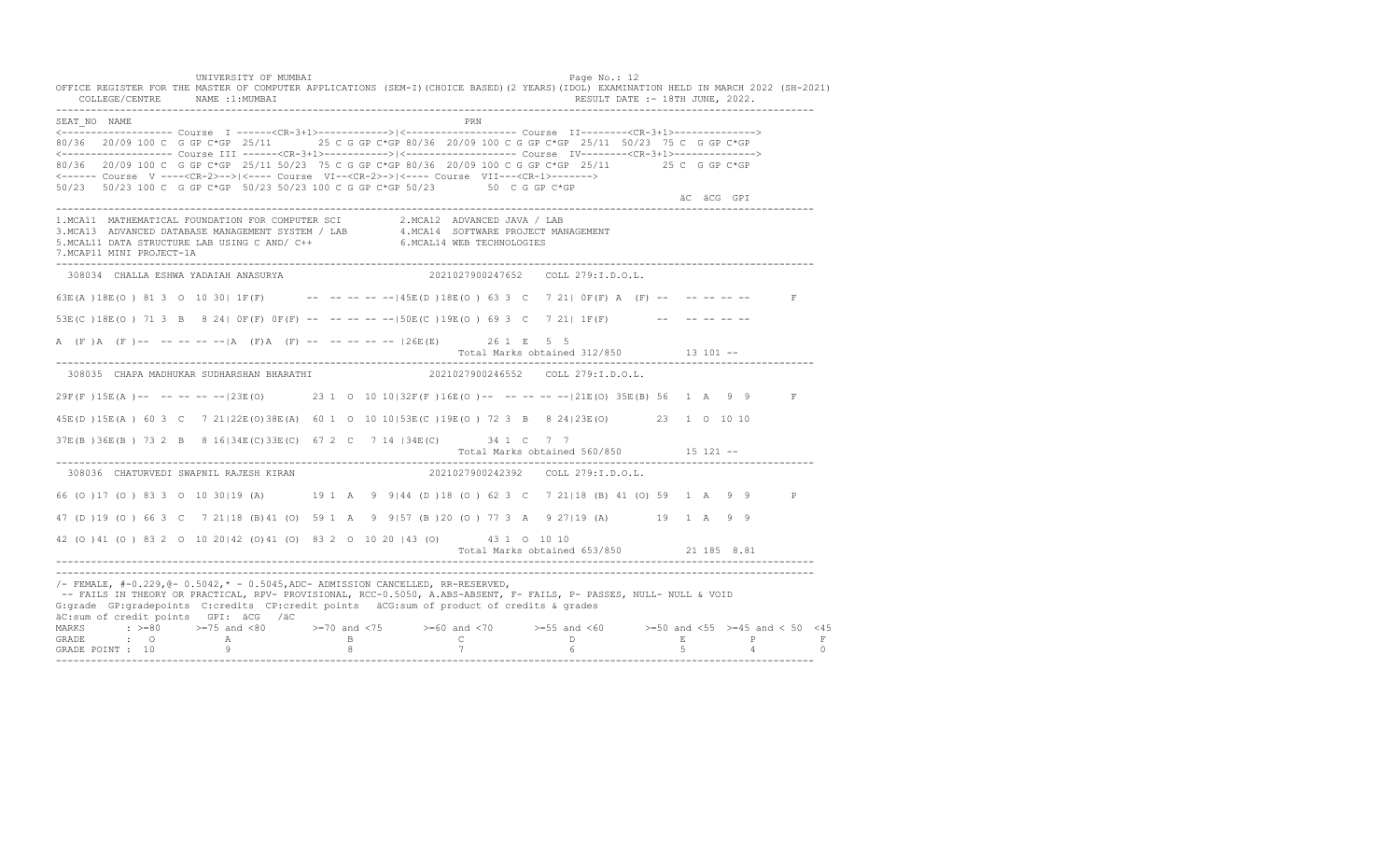UNIVERSITY OF MUMBAI PAGE OF THE PAGE OF THE PAGE OF THE PAGE OF THE PAGE OF THE PAGE OF THE PAGE OF THE PAGE OF THE PAGE OF THE PAGE OF THE PAGE OF THE PAGE OF THE PAGE OF THE PAGE OF THE PAGE OF THE PAGE OF THE PAGE OF T OFFICE REGISTER FOR THE MASTER OF COMPUTER APPLICATIONS (SEM-I)(CHOICE BASED)(2 YEARS)(IDOL) EXAMINATION HELD IN MARCH 2022 (SH-2021) COLLEGE/CENTRE NAME :1:MUMBAI RESULT DATE :- 18TH JUNE, 2022. ---------------------------------------------------------------------------------------------------------------------------------- SEAT\_NO NAME PRIMAGE PRODUCED IN THE PRODUCED SEAT NO PRIMAGE PRIMAGE PRIMAGE PRIMAGE PRIMAGE PRIMAGE PRIMAGE PRIMAGE PRIMAGE PRIMAGE PRIMAGE PRIMAGE PRIMAGE PRIMAGE PRIMAGE PRIMAGE PRIMAGE PRIMAGE PRIMAGE PRIMAGE PRIMAGE <------------------- Course I ------<CR-3+1>------------>|<------------------- Course II--------<CR-3+1>--------------> 80/36 20/09 100 C G GP C\*GP 25/11 25 C G GP C\*GP 80/36 20/09 100 C G GP C\*GP 25/11 50/23 75 C G GP C\*GP <------------------- Course III ------<CR-3+1>----------->|<------------------- Course IV--------<CR-3+1>--------------> 80/36 20/09 100 C G GP C\*GP 25/11 50/23 75 C G GP C\*GP 80/36 20/09 100 C G GP C\*GP 25/11 25 C G GP C\*GP <------ Course V ----<CR-2>-->|<---- Course VI--<CR-2>->|<---- Course VII---<CR-1>-------> 50/23 50/23 100 C G GP C\*GP 50/23 50/23 100 C G GP C\*GP 50/23 50 C G GP C\*GP äC äCG GPI ä<sup>n v</sup>ächtliche State und der State und der State und der State und der State und der State und der State und der State und der State und der State und der State und der State und der State und der State und der ---------------------------------------------------------------------------------------------------------------------------------- 1.MCA11 MATHEMATICAL FOUNDATION FOR COMPUTER SCI 2.MCA12 ADVANCED JAVA / LAB<br>3.MCA13 ADVANCED DATABASE MANAGEMENT SYSTEM / LAB 4.MCA14 SOFTWARE PROJECT MANAGEMENT<br>5.MCAL11 DATA STRUCTURE LAB USI 7.MCAP11 MINI PROJECT-1A ---------------------------------------------------------------------------------------------------------------------------------- 308034 CHALLA ESHWA YADAIAH ANASURYA 2021027900247652 COLL 279:I.D.O.L. 63E(A )18E(O ) 81 3 O 10 30| 1F(F) -- -- -- -- --|45E(D )18E(O ) 63 3 C 7 21| 0F(F) A (F) -- -- -- -- -- F 53E(C )18E(O ) 71 3 B 8 24| 0F(F) 0F(F) -- -- -- -- --|50E(C )19E(O ) 69 3 C 7 21| 1F(F) -- -- -- -- -- A (F)A (F)-- -- -- -- -- |A (F)A (F) -- -- -- -- -- |26E(E) 26 1 E 5 5 Total Marks obtained 312/850 13 101 ------------------------------------------------------------------------------------------------------------------------------------ 308035 CHAPA MADHUKAR SUDHARSHAN BHARATHI 2021027900246552 COLL 279:I.D.O.L. 29F(F )15E(A )-- -- -- -- --|23E(O) 23 1 O 10 10|32F(F )16E(O )-- -- -- -- --|21E(O) 35E(B) 56 1 A 9 9 F 45E(D )15E(A ) 60 3 C 7 21|22E(O)38E(A) 60 1 O 10 10|53E(C )19E(O ) 72 3 B 8 24|23E(O) 23 1 O 10 10 37E(B )36E(B ) 73 2 B 8 16|34E(C)33E(C) 67 2 C 7 14 |34E(C) 34 1 C 7 7 Total Marks obtained 560/850 15 121 -- ---------------------------------------------------------------------------------------------------------------------------------- 308036 CHATURVEDI SWAPNIL RAJESH KIRAN 66 (O )17 (O ) 83 3 O 10 30|19 (A) 19 1 A 9 9|44 (D )18 (O ) 62 3 C 7 21|18 (B) 41 (O) 59 1 A 9 9 P 47 (D )19 (O ) 66 3 C 7 21|18 (B)41 (O) 59 1 A 9 9|57 (B )20 (O ) 77 3 A 9 27|19 (A) 19 1 A 9 9 42 (O )41 (O ) 83 2 O 10 20|42 (O)41 (O) 83 2 O 10 20 |43 (O) 43 1 O 10 10 Total Marks obtained 653/850 21 185 8.81 ---------------------------------------------------------------------------------------------------------------------------------- ---------------------------------------------------------------------------------------------------------------------------------- /- FEMALE, #-0.229,@- 0.5042,\* - 0.5045,ADC- ADMISSION CANCELLED, RR-RESERVED, -- FAILS IN THEORY OR PRACTICAL, RPV- PROVISIONAL, RCC-0.5050, A.ABS-ABSENT, F- FAILS, P- PASSES, NULL- NULL & VOID G:grade GP:gradepoints C:credits CP:credit points äCG:sum of product of credits & grades äC:sum of credit points GPI: äCG /äC MARKS : >=80 >=75 and <80 >=70 and <75 >=60 and <70 >=55 and <60 >=50 and <55 >=45 and < 50 <45 GRADE : O A B C D E P F GRADE POINT : 10 9 8 7 6 5 4 0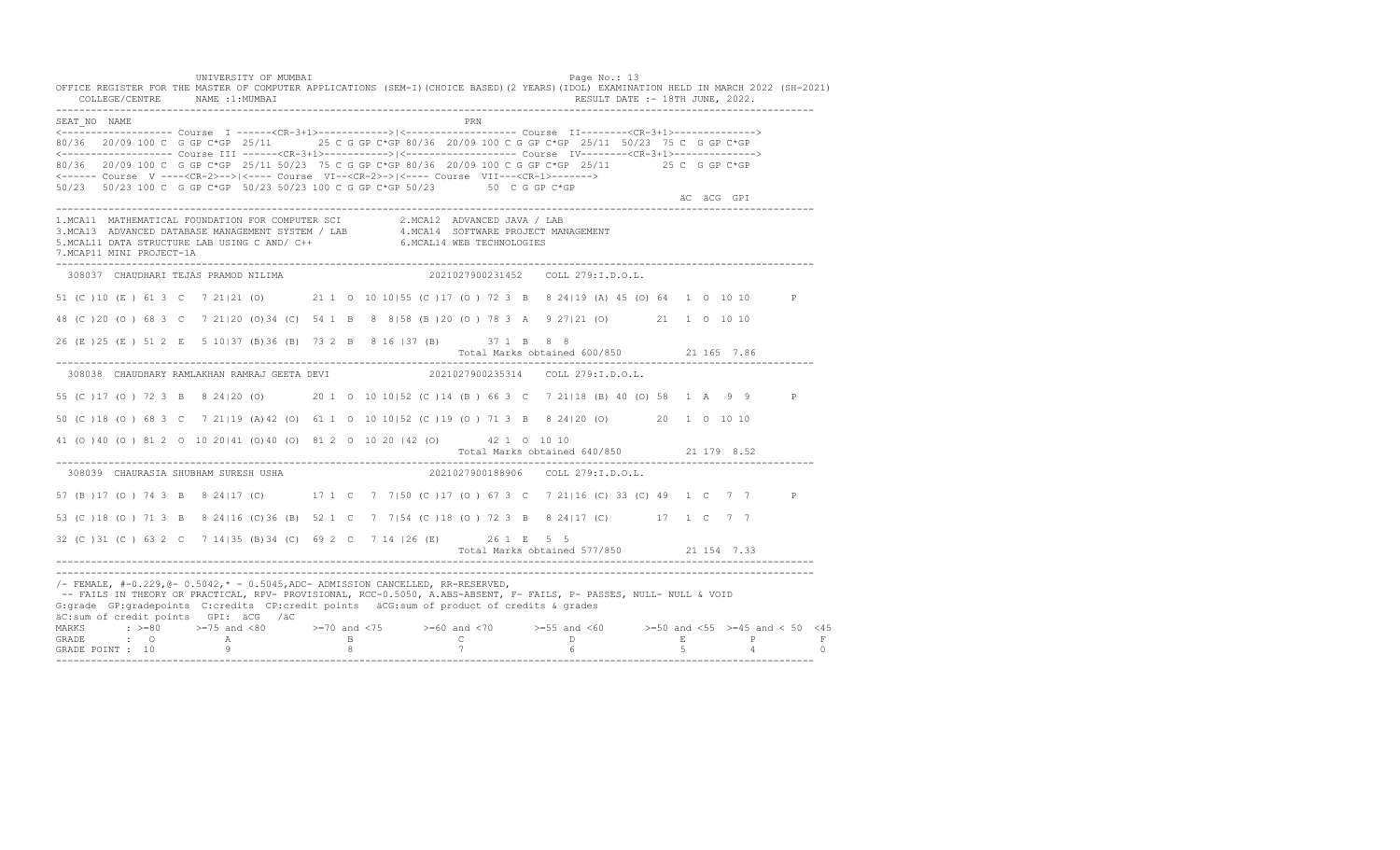UNIVERSITY OF MUMBAI PAGE OF THE PAGE OF THE PAGE OF THE PAGE OF THE PAGE OF THE PAGE OF THE PAGE OF THE PAGE OF THE PAGE OF THE PAGE OF THE PAGE OF THE PAGE OF THE PAGE OF THE PAGE OF THE PAGE OF THE PAGE OF THE PAGE OF T OFFICE REGISTER FOR THE MASTER OF COMPUTER APPLICATIONS (SEM-I)(CHOICE BASED)(2 YEARS)(IDOL) EXAMINATION HELD IN MARCH 2022 (SH-2021) COLLEGE/CENTRE NAME :1:MUMBAI RESULT DATE :- 18TH JUNE, 2022. ---------------------------------------------------------------------------------------------------------------------------------- SEAT\_NO NAME <------------------- Course I ------<CR-3+1>------------>|<------------------- Course II--------<CR-3+1>--------------> 80/36 20/09 100 C G GP C\*GP 25/11 25 C G GP C\*GP 80/36 20/09 100 C G GP C\*GP 25/11 50/23 75 C G GP C\*GP <------------------- Course III ------<CR-3+1>----------->|<------------------- Course IV--------<CR-3+1>--------------> 80/36 20/09 100 C G GP C\*GP 25/11 50/23 75 C G GP C\*GP 80/36 20/09 100 C G GP C\*GP 25/11 25 C G GP C\*GP <------ Course V ----<CR-2>-->|<---- Course VI--<CR-2>->|<---- Course VII---<CR-1>-------> 50/23 50/23 100 C G GP C\*GP 50/23 50/23 100 C G GP C\*GP 50/23 50 C G GP C\*GP äC äCG GPI ä<sup>n v</sup>ächtliche State und der State und der State und der State und der State und der State und der State und der State und der State und der State und der State und der State und der State und der State und der ---------------------------------------------------------------------------------------------------------------------------------- 1.MCA11 MATHEMATICAL FOUNDATION FOR COMPUTER SCI 2.MCA12 ADVANCED JAVA / LAB<br>3.MCA13 ADVANCED DATABASE MANAGEMENT SYSTEM / LAB 4.MCA14 SOFTWARE PROJECT MANAGEMENT<br>5.MCAL11 DATA STRUCTURE LAB USI 7.MCAP11 MINI PROJECT-1A ---------------------------------------------------------------------------------------------------------------------------------- 308037 CHAUDHARI TEJAS PRAMOD NILIMA 2021027900231452 COLL 279:I.D.O.L. 51 (C )10 (E ) 61 3 C 7 21|21 (O) 21 1 O 10 10|55 (C )17 (O ) 72 3 B 8 24|19 (A) 45 (O) 64 1 O 10 10 P 48 (C )20 (O ) 68 3 C 7 21|20 (O)34 (C) 54 1 B 8 8|58 (B )20 (O ) 78 3 A 9 27|21 (O) 21 1 O 10 10 26 (E )25 (E ) 51 2 E 5 10|37 (B)36 (B) 73 2 B 8 16 |37 (B) 37 1 B 8 8 Total Marks obtained 600/850 21 165 7.86 ---------------------------------------------------------------------------------------------------------------------------------- 308038 CHAUDHARY RAMLAKHAN RAMRAJ GEETA DEVI 2021027900235314 COLL 279:I.D.O.L. 55 (C )17 (O ) 72 3 B 8 24|20 (O) 20 1 O 10 10|52 (C )14 (B ) 66 3 C 7 21|18 (B) 40 (O) 58 1 A 9 9 P 50 (C )18 (O ) 68 3 C 7 21|19 (A)42 (O) 61 1 O 10 10|52 (C )19 (O ) 71 3 B 8 24|20 (O) 20 1 O 10 10 41 (O )40 (O ) 81 2 O 10 20|41 (O)40 (O) 81 2 O 10 20 |42 (O) 42 1 O 10 10 Total Marks obtained 640/850 21 179 8.52 ---------------------------------------------------------------------------------------------------------------------------------- 308039 CHAURASIA SHUBHAM SURESH USHA 57 (B ) 17 (O ) 74 3 B 8 24 | 17 (C) 17 1 C 7 7 | 50 (C ) 17 (O ) 67 3 C 7 21 | 16 (C) 33 (C) 49 1 C 7 7 P 53 (C )18 (O ) 71 3 B 8 24|16 (C)36 (B) 52 1 C 7 7|54 (C )18 (O ) 72 3 B 8 24|17 (C) 17 1 C 7 7 32 (C )31 (C ) 63 2 C 7 14|35 (B)34 (C) 69 2 C 7 14 |26 (E) 26 1 E 5 5 Total Marks obtained 577/850 21 154 7.33 ---------------------------------------------------------------------------------------------------------------------------------- ---------------------------------------------------------------------------------------------------------------------------------- /- FEMALE, #-0.229,@- 0.5042,\* - 0.5045,ADC- ADMISSION CANCELLED, RR-RESERVED, -- FAILS IN THEORY OR PRACTICAL, RPV- PROVISIONAL, RCC-0.5050, A.ABS-ABSENT, F- FAILS, P- PASSES, NULL- NULL & VOID G:grade GP:gradepoints C:credits CP:credit points äCG:sum of product of credits & grades äC:sum of credit points GPI: äCG /äC MARKS : >=80 >=75 and <80 >=70 and <75 >=60 and <70 >=55 and <60 >=50 and <55 >=45 and < 50 <45 GRADE : O A B C D E P F GRADE POINT : 10 9 8 7 6 5 4 0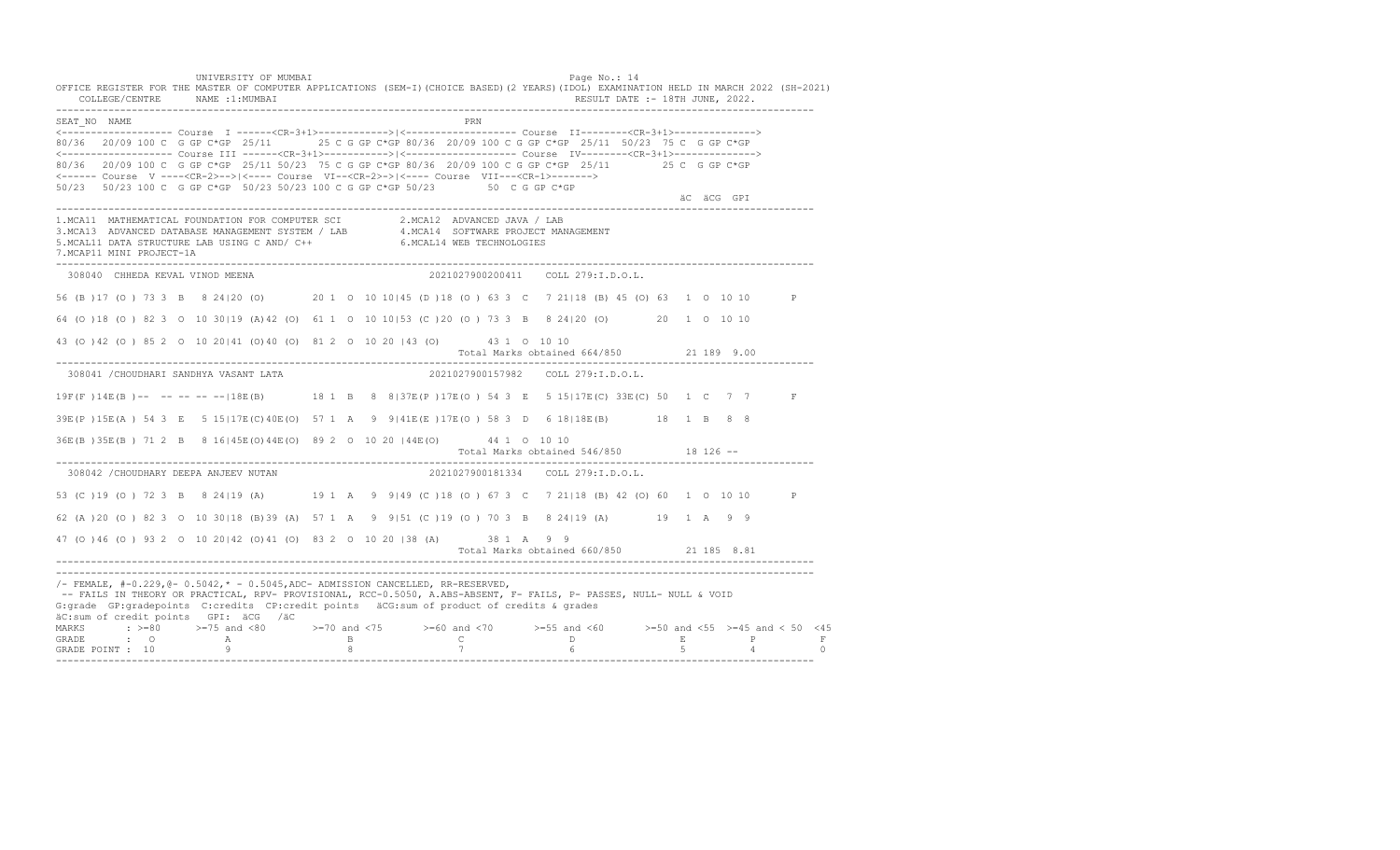UNIVERSITY OF MUMBAI PAGE OF THE PAGE OF THE PAGE OF THE PAGE OF THE PAGE OF THE PAGE OF THE PAGE OF THE PAGE OF THE PAGE OF THE PAGE OF THE PAGE OF THE PAGE OF THE PAGE OF THE PAGE OF THE PAGE OF THE PAGE OF THE PAGE OF T OFFICE REGISTER FOR THE MASTER OF COMPUTER APPLICATIONS (SEM-I)(CHOICE BASED)(2 YEARS)(IDOL) EXAMINATION HELD IN MARCH 2022 (SH-2021) COLLEGE/CENTRE NAME :1:MUMBAI RESULT DATE :- 18TH JUNE, 2022. ---------------------------------------------------------------------------------------------------------------------------------- SEAT\_NO NAME <------------------- Course I ------<CR-3+1>------------>|<------------------- Course II--------<CR-3+1>--------------> 80/36 20/09 100 C G GP C\*GP 25/11 25 C G GP C\*GP 80/36 20/09 100 C G GP C\*GP 25/11 50/23 75 C G GP C\*GP <------------------- Course III ------<CR-3+1>----------->|<------------------- Course IV--------<CR-3+1>--------------> 80/36 20/09 100 C G GP C\*GP 25/11 50/23 75 C G GP C\*GP 80/36 20/09 100 C G GP C\*GP 25/11 25 C G GP C\*GP <------ Course V ----<CR-2>-->|<---- Course VI--<CR-2>->|<---- Course VII---<CR-1>-------> 50/23 50/23 100 C G GP C\*GP 50/23 50/23 100 C G GP C\*GP 50/23 50 C G GP C\*GP äC äCG GPI ä<sup>n v</sup>ächtliche State und der State und der State und der State und der State und der State und der State und der State und der State und der State und der State und der State und der State und der State und der ---------------------------------------------------------------------------------------------------------------------------------- 1.MCA11 MATHEMATICAL FOUNDATION FOR COMPUTER SCI 2.MCA12 ADVANCED JAVA / LAB<br>3.MCA13 ADVANCED DATABASE MANAGEMENT SYSTEM / LAB 4.MCA14 SOFTWARE PROJECT MANAGEMENT<br>5.MCAL11 DATA STRUCTURE LAB USI 7.MCAP11 MINI PROJECT-1A ---------------------------------------------------------------------------------------------------------------------------------- 308040 CHHEDA KEVAL VINOD MEENA 2021027900200411 COLL 279:I.D.O.L. 56 (B )17 (O ) 73 3 B 8 24|20 (O) 20 1 O 10 10|45 (D )18 (O ) 63 3 C 7 21|18 (B) 45 (O) 63 1 O 10 10 P 64 (O )18 (O ) 82 3 O 10 30|19 (A)42 (O) 61 1 O 10 10|53 (C )20 (O ) 73 3 B 8 24|20 (O) 20 1 O 10 10 43 (O )42 (O ) 85 2 O 10 20|41 (O)40 (O) 81 2 O 10 20 |43 (O) 43 1 O 10 10 Total Marks obtained 664/850 21 189 9.00 ---------------------------------------------------------------------------------------------------------------------------------- 308041 /CHOUDHARI SANDHYA VASANT LATA 2021027900157982 COLL 279:I.D.O.L. 19F(F )14E(B )-- -- -- -- --|18E(B) 18 1 B 8 8|37E(P )17E(O ) 54 3 E 5 15|17E(C) 33E(C) 50 1 C 7 7 F 39E(P )15E(A ) 54 3 E 5 15|17E(C)40E(O) 57 1 A 9 9|41E(E )17E(O ) 58 3 D 6 18|18E(B) 18 1 B 8 8 36E(B )35E(B ) 71 2 B 8 16|45E(O)44E(O) 89 2 O 10 20 |44E(O) 44 1 O 10 10 Total Marks obtained 546/850 18 126 ------------------------------------------------------------------------------------------------------------------------------------ 308042 /CHOUDHARY DEEPA ANJEEV NUTAN 53 (C )19 (O ) 72 3 B 8 24|19 (A) 19 1 A 9 9|49 (C )18 (O ) 67 3 C 7 21|18 (B) 42 (O) 60 1 O 10 10 P 62 (A )20 (O ) 82 3 O 10 30|18 (B)39 (A) 57 1 A 9 9|51 (C )19 (O ) 70 3 B 8 24|19 (A) 19 1 A 9 9 47 (O )46 (O ) 93 2 O 10 20|42 (O)41 (O) 83 2 O 10 20 |38 (A) 38 1 A 9 9 Total Marks obtained 660/850 21 185 8.81 ---------------------------------------------------------------------------------------------------------------------------------- ---------------------------------------------------------------------------------------------------------------------------------- /- FEMALE, #-0.229,@- 0.5042,\* - 0.5045,ADC- ADMISSION CANCELLED, RR-RESERVED, -- FAILS IN THEORY OR PRACTICAL, RPV- PROVISIONAL, RCC-0.5050, A.ABS-ABSENT, F- FAILS, P- PASSES, NULL- NULL & VOID G:grade GP:gradepoints C:credits CP:credit points äCG:sum of product of credits & grades äC:sum of credit points GPI: äCG /äC MARKS : >=80 >=75 and <80 >=70 and <75 >=60 and <70 >=55 and <60 >=50 and <55 >=45 and < 50 <45 GRADE : O A B C D E P F<br>GRADE POINT : 10 9 9 8 7 7 6 5 4 0 ----------------------------------------------------------------------------------------------------------------------------------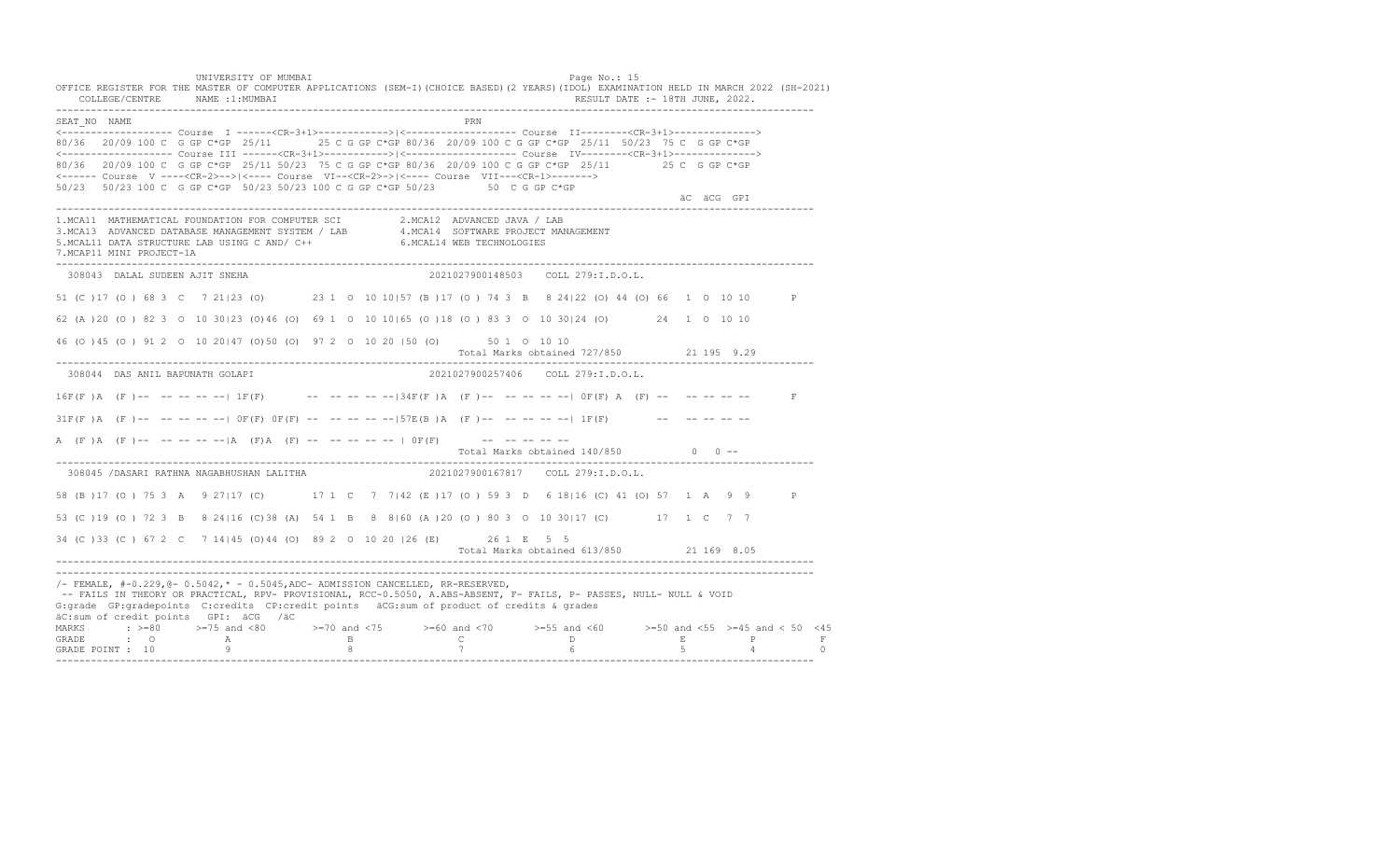UNIVERSITY OF MUMBAI PAGE OF THE PAGE OF THE PAGE OF THE PAGE OF THE PAGE OF THE PAGE OF THE PAGE OF THE PAGE OF THE PAGE OF THE PAGE OF THE PAGE OF THE PAGE OF THE PAGE OF THE PAGE OF THE PAGE OF THE PAGE OF THE PAGE OF T OFFICE REGISTER FOR THE MASTER OF COMPUTER APPLICATIONS (SEM-I)(CHOICE BASED)(2 YEARS)(IDOL) EXAMINATION HELD IN MARCH 2022 (SH-2021) COLLEGE/CENTRE NAME :1:MUMBAI RESULT DATE :- 18TH JUNE, 2022. ---------------------------------------------------------------------------------------------------------------------------------- SEAT\_NO NAME PRN <------------------- Course I ------<CR-3+1>------------>|<------------------- Course II--------<CR-3+1>--------------> 80/36 20/09 100 C G GP C\*GP 25/11 25 C G GP C\*GP 80/36 20/09 100 C G GP C\*GP 25/11 50/23 75 C G GP C\*GP <------------------- Course III ------<CR-3+1>----------->|<------------------- Course IV--------<CR-3+1>--------------> 80/36 20/09 100 C G GP C\*GP 25/11 50/23 75 C G GP C\*GP 80/36 20/09 100 C G GP C\*GP 25/11 25 C G GP C\*GP <------ Course V ----<CR-2>-->|<---- Course VI--<CR-2>->|<---- Course VII---<CR-1>-------> 50/23 50/23 100 C G GP C\*GP 50/23 50/23 100 C G GP C\*GP 50/23 50 C G GP C\*GP äC äCG GPI ä<sup>n v</sup>ächtliche State und der State und der State und der State und der State und der State und der State und der State und der State und der State und der State und der State und der State und der State und der ---------------------------------------------------------------------------------------------------------------------------------- 1.MCA11 MATHEMATICAL FOUNDATION FOR COMPUTER SCI 2.MCA12 ADVANCED JAVA / LAB 3.MCA13 ADVANCED DATABASE MANAGEMENT SYSTEM / LAB 4.MCA14 SOFTWARE PROJECT MANAGEMENT 5.MCAL11 DATA STRUCTURE LAB USING C AND/ C++ 6.MCAL14 WEB TECHNOLOGIES 7.MCAP11 MINI PROJECT-1A ---------------------------------------------------------------------------------------------------------------------------------- 308043 DALAL SUDEEN AJIT SNEHA 2021027900148503 COLL 279:I.D.O.L. 51 (C )17 (O ) 68 3 C 7 21|23 (O) 23 1 O 10 10|57 (B )17 (O ) 74 3 B 8 24|22 (O) 44 (O) 66 1 O 10 10 P 62 (A )20 (O ) 82 3 O 10 30|23 (O)46 (O) 69 1 O 10 10|65 (O )18 (O ) 83 3 O 10 30|24 (O) 24 1 O 10 10 46 (O )45 (O ) 91 2 O 10 20|47 (O)50 (O) 97 2 O 10 20 |50 (O) 50 1 O 10 10 Total Marks obtained 727/850 21 195 9.29 ---------------------------------------------------------------------------------------------------------------------------------- 308044 DAS ANIL BAPUNATH GOLAPI 2021027900257406 COLL 279:I.D.O.L.  $16F(F)$  A  $(F)$  -- -- -- -- -- |  $1F(F)$  -- -- -- -- -- --  $-134F(F)$  A  $(F)$  -- -- -- -- --  $-10F(F)$  A  $(F)$  -- -- -- -- -- -- $31F(F)$  A (F )-- -- -- -- -- | OF(F) OF(F) -- -- -- -- --|57E(B )A (F )-- -- -- -- --| 1F(F) -- -- -- -- -- --A (F )A (F )-- -- -- -- -- |A (F)A (F) -- -- -- -- -- | OF(F) -- -- -- -- -- --Total Marks obtained  $140/850$  0 ------------------------------------------------------------------------------------------------------------------------------------ 308045 /DASARI RATHNA NAGABHUSHAN LALITHA 58 (B )17 (O ) 75 3 A 9 27|17 (C) 17 1 C 7 7|42 (E )17 (O ) 59 3 D 6 18|16 (C) 41 (O) 57 1 A 9 9 P 53 (C )19 (O ) 72 3 B 8 24|16 (C)38 (A) 54 1 B 8 8|60 (A )20 (O ) 80 3 O 10 30|17 (C) 17 1 C 7 7 34 (C )33 (C ) 67 2 C 7 14|45 (O)44 (O) 89 2 O 10 20 |26 (E) 26 1 E 5 5 Total Marks obtained 613/850 21 169 8.05 ---------------------------------------------------------------------------------------------------------------------------------- ---------------------------------------------------------------------------------------------------------------------------------- /- FEMALE, #-0.229,@- 0.5042,\* - 0.5045,ADC- ADMISSION CANCELLED, RR-RESERVED, -- FAILS IN THEORY OR PRACTICAL, RPV- PROVISIONAL, RCC-0.5050, A.ABS-ABSENT, F- FAILS, P- PASSES, NULL- NULL & VOID G:grade GP:gradepoints C:credits CP:credit points äCG:sum of product of credits & grades äC:sum of credit points GPI: äCG /äC MARKS : >=80 >=75 and <80 >=70 and <75 >=60 and <70 >=55 and <60 >=50 and <55 >=45 and < 50 <45 GRADE : O A B C D E P F GRADE POINT : 10 9 8 7 6 5 4 0 ----------------------------------------------------------------------------------------------------------------------------------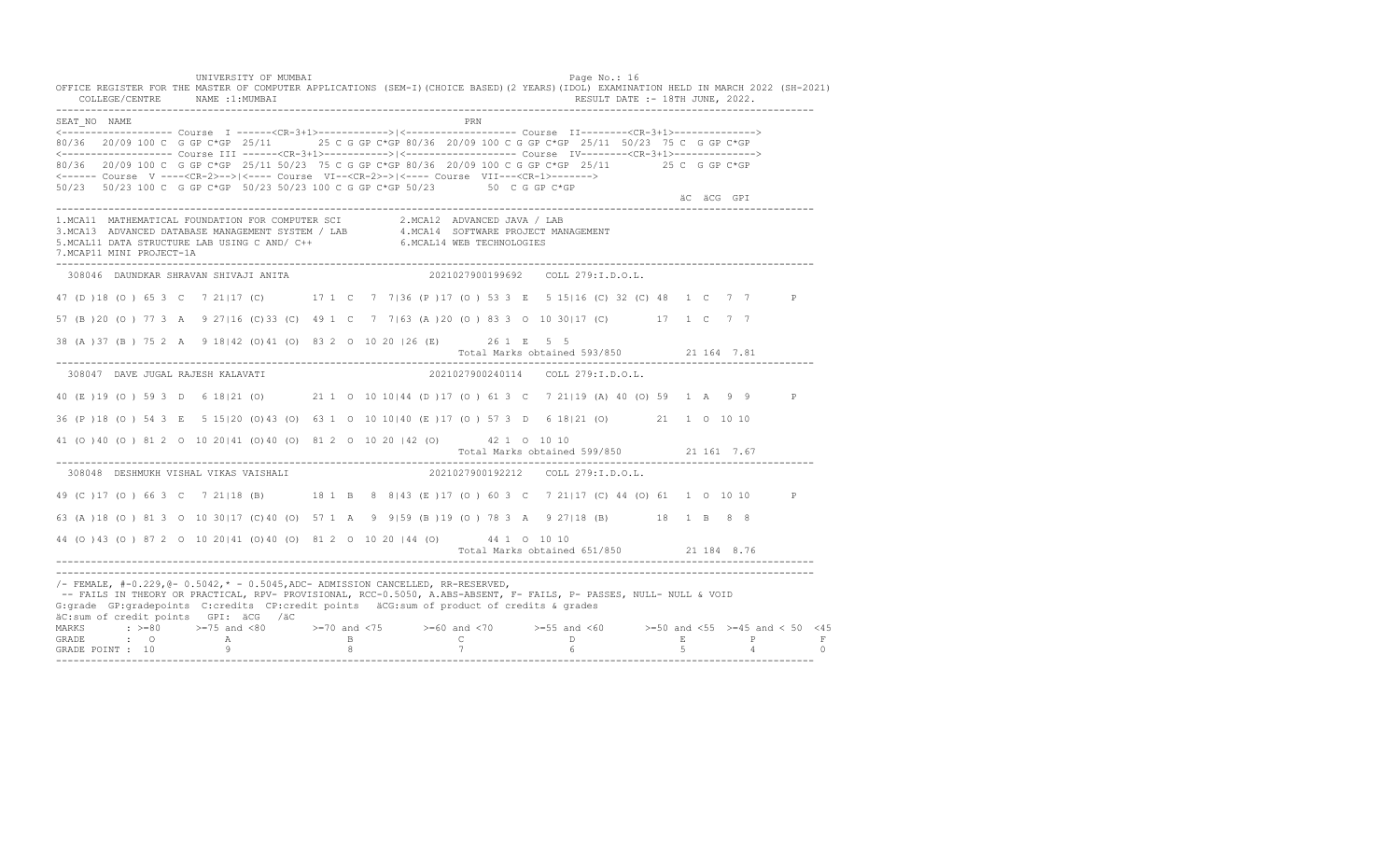UNIVERSITY OF MUMBAI PAGE OF THE PAGE OF THE PAGE OF THE PAGE OF THE PAGE OF THE PAGE OF THE PAGE OF THE PAGE OF THE PAGE OF THE PAGE OF THE PAGE OF THE PAGE OF THE PAGE OF THE PAGE OF THE PAGE OF THE PAGE OF THE PAGE OF T OFFICE REGISTER FOR THE MASTER OF COMPUTER APPLICATIONS (SEM-I)(CHOICE BASED)(2 YEARS)(IDOL) EXAMINATION HELD IN MARCH 2022 (SH-2021) COLLEGE/CENTRE NAME :1:MUMBAI RESULT DATE :- 18TH JUNE, 2022. ---------------------------------------------------------------------------------------------------------------------------------- SEAT\_NO NAME PRN <------------------- Course I ------<CR-3+1>------------>|<------------------- Course II--------<CR-3+1>--------------> 80/36 20/09 100 C G GP C\*GP 25/11 25 C G GP C\*GP 80/36 20/09 100 C G GP C\*GP 25/11 50/23 75 C G GP C\*GP <------------------- Course III ------<CR-3+1>----------->|<------------------- Course IV--------<CR-3+1>--------------> 80/36 20/09 100 C G GP C\*GP 25/11 50/23 75 C G GP C\*GP 80/36 20/09 100 C G GP C\*GP 25/11 25 C G GP C\*GP <------ Course V ----<CR-2>-->|<---- Course VI--<CR-2>->|<---- Course VII---<CR-1>-------> 50/23 50/23 100 C G GP C\*GP 50/23 50/23 100 C G GP C\*GP 50/23 50 C G GP C\*GP äC äCG GPI ä<sup>n v</sup>ächtliche State und der State und der State und der State und der State und der State und der State und der State und der State und der State und der State und der State und der State und der State und der ---------------------------------------------------------------------------------------------------------------------------------- 1.MCA11 MATHEMATICAL FOUNDATION FOR COMPUTER SCI 2.MCA12 ADVANCED JAVA / LAB<br>3.MCA13 ADVANCED DATABASE MANAGEMENT SYSTEM / LAB 4.MCA14 SOFTWARE PROJECT MANAGEMENT<br>5.MCAL11 DATA STRUCTURE LAB US 7.MCAP11 MINI PROJECT-1A ---------------------------------------------------------------------------------------------------------------------------------- 308046 DAUNDKAR SHRAVAN SHIVAJI ANITA 2021027900199692 COLL 279:I.D.O.L. 47 (D )18 (O ) 65 3 C 7 21|17 (C) 17 1 C 7 7|36 (P )17 (O ) 53 3 E 5 15|16 (C) 32 (C) 48 1 C 7 7 P 57 (B )20 (O ) 77 3 A 9 27|16 (C)33 (C) 49 1 C 7 7|63 (A )20 (O ) 83 3 O 10 30|17 (C) 17 1 C 7 7 38 (A )37 (B ) 75 2 A 9 18|42 (O)41 (O) 83 2 O 10 20 |26 (E) 26 1 E 5 5 Total Marks obtained 593/850 21 164 7.81 ---------------------------------------------------------------------------------------------------------------------------------- 308047 DAVE JUGAL RAJESH KALAVATI 2021027900240114 COLL 279:I.D.O.L. 40 (E )19 (O ) 59 3 D 6 18|21 (O) 21 1 O 10 10|44 (D )17 (O ) 61 3 C 7 21|19 (A) 40 (O) 59 1 A 9 9 P 36 (P )18 (O ) 54 3 E 5 15|20 (O)43 (O) 63 1 O 10 10|40 (E )17 (O ) 57 3 D 6 18|21 (O) 21 1 O 10 10 41 (O )40 (O ) 81 2 O 10 20|41 (O)40 (O) 81 2 O 10 20 |42 (O) 42 1 O 10 10 Total Marks obtained 599/850 21 161 7.67 ---------------------------------------------------------------------------------------------------------------------------------- 308048 DESHMUKH VISHAL VIKAS VAISHALI 49 (C ) 17 (O ) 66 3 C 7 21|18 (B) 18 1 B 8 8|43 (E ) 17 (O ) 60 3 C 7 21|17 (C ) 44 (O ) 61 1 0 10 10 P 63 (A )18 (O ) 81 3 O 10 30|17 (C)40 (O) 57 1 A 9 9|59 (B )19 (O ) 78 3 A 9 27|18 (B) 18 1 B 8 8 44 (O )43 (O ) 87 2 O 10 20|41 (O)40 (O) 81 2 O 10 20 |44 (O) 44 1 O 10 10 Total Marks obtained 651/850 21 184 8.76 ---------------------------------------------------------------------------------------------------------------------------------- ---------------------------------------------------------------------------------------------------------------------------------- /- FEMALE, #-0.229,@- 0.5042,\* - 0.5045,ADC- ADMISSION CANCELLED, RR-RESERVED, -- FAILS IN THEORY OR PRACTICAL, RPV- PROVISIONAL, RCC-0.5050, A.ABS-ABSENT, F- FAILS, P- PASSES, NULL- NULL & VOID G:grade GP:gradepoints C:credits CP:credit points äCG:sum of product of credits & grades äC:sum of credit points GPI: äCG /äC MARKS : >=80 >=75 and <80 >=70 and <75 >=60 and <70 >=55 and <60 >=50 and <55 >=45 and < 50 <45 GRADE : O A B C D E P F GRADE POINT : 10 9 8 7 6 5 4 0 ----------------------------------------------------------------------------------------------------------------------------------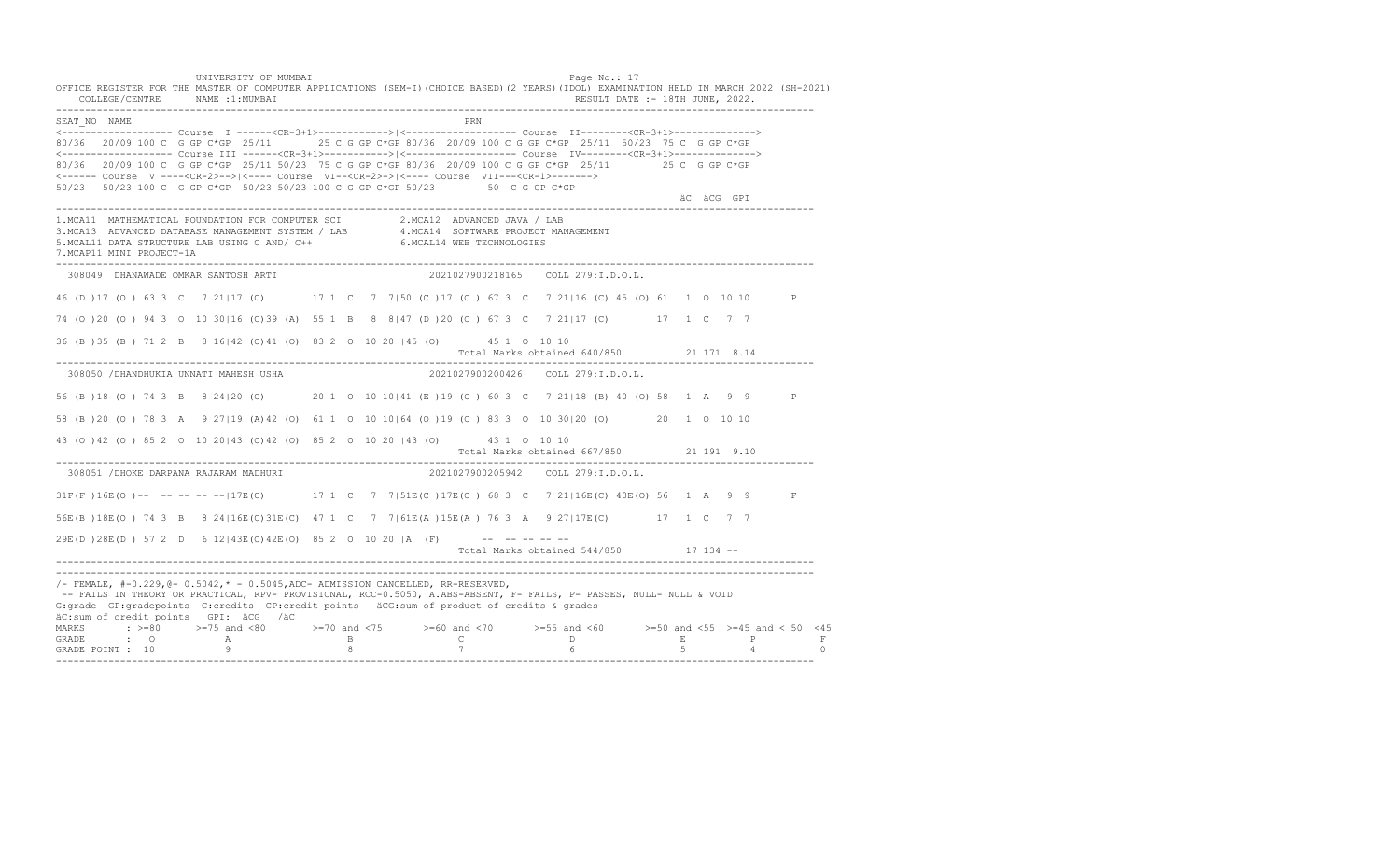UNIVERSITY OF MUMBAI PAGE OF THE PAGE OF THE PAGE OF THE PAGE OF THE PAGE OF THE PAGE OF THE PAGE OF THE PAGE OF THE PAGE OF THE PAGE OF THE PAGE OF THE PAGE OF THE PAGE OF THE PAGE OF THE PAGE OF THE PAGE OF THE PAGE OF T OFFICE REGISTER FOR THE MASTER OF COMPUTER APPLICATIONS (SEM-I)(CHOICE BASED)(2 YEARS)(IDOL) EXAMINATION HELD IN MARCH 2022 (SH-2021) COLLEGE/CENTRE NAME :1:MUMBAI RESULT DATE :- 18TH JUNE, 2022. ---------------------------------------------------------------------------------------------------------------------------------- SEAT\_NO NAME PRN <------------------- Course I ------<CR-3+1>------------>|<------------------- Course II--------<CR-3+1>--------------> 80/36 20/09 100 C G GP C\*GP 25/11 25 C G GP C\*GP 80/36 20/09 100 C G GP C\*GP 25/11 50/23 75 C G GP C\*GP <------------------- Course III ------<CR-3+1>----------->|<------------------- Course IV--------<CR-3+1>--------------> 80/36 20/09 100 C G GP C\*GP 25/11 50/23 75 C G GP C\*GP 80/36 20/09 100 C G GP C\*GP 25/11 25 C G GP C\*GP <------ Course V ----<CR-2>-->|<---- Course VI--<CR-2>->|<---- Course VII---<CR-1>-------> 50/23 50/23 100 C G GP C\*GP 50/23 50/23 100 C G GP C\*GP 50/23 50 C G GP C\*GP äC äCG GPI ä<sup>n v</sup>ächtliche State und der State und der State und der State und der State und der State und der State und der State und der State und der State und der State und der State und der State und der State und der ---------------------------------------------------------------------------------------------------------------------------------- 1.MCA11 MATHEMATICAL FOUNDATION FOR COMPUTER SCI 2.MCA12 ADVANCED JAVA / LAB<br>3.MCA13 ADVANCED DATABASE MANAGEMENT SYSTEM / LAB 4.MCA14 SOFTWARE PROJECT MANAGEMENT<br>5.MCAL11 DATA STRUCTURE LAB USI 7.MCAP11 MINI PROJECT-1A ---------------------------------------------------------------------------------------------------------------------------------- 308049 DHANAWADE OMKAR SANTOSH ARTI 2021027900218165 COLL 279:I.D.O.L. 46 (D )17 (O ) 63 3 C 7 21|17 (C) 17 1 C 7 7|50 (C )17 (O ) 67 3 C 7 21|16 (C) 45 (O) 61 1 O 10 10 P 74 (O )20 (O ) 94 3 O 10 30|16 (C)39 (A) 55 1 B 8 8|47 (D )20 (O ) 67 3 C 7 21|17 (C) 17 1 C 7 7 36 (B )35 (B ) 71 2 B 8 16|42 (O)41 (O) 83 2 O 10 20 |45 (O) 45 1 O 10 10 Total Marks obtained 640/850 21 171 8.14 ---------------------------------------------------------------------------------------------------------------------------------- 308050 /DHANDHUKIA UNNATI MAHESH USHA 2021027900200426 COLL 279:I.D.O.L. 56 (B )18 (O ) 74 3 B 8 24|20 (O) 20 1 O 10 10|41 (E )19 (O ) 60 3 C 7 21|18 (B) 40 (O) 58 1 A 9 9 P 58 (B )20 (O ) 78 3 A 9 27|19 (A)42 (O) 61 1 O 10 10|64 (O )19 (O ) 83 3 O 10 30|20 (O) 20 1 O 10 10 43 (O )42 (O ) 85 2 O 10 20|43 (O)42 (O) 85 2 O 10 20 |43 (O) 43 1 O 10 10 Total Marks obtained 667/850 21 191 9.10 ---------------------------------------------------------------------------------------------------------------------------------- 308051 /DHOKE DARPANA RAJARAM MADHURI 31F(F)16E(O)-- -- -- -- -- 17E(C) 17 1 C 7 7|51E(C)17E(O) 68 3 C 7 21|16E(C) 40E(O) 56 1 A 9 9 F 56E(B )18E(O ) 74 3 B 8 24|16E(C)31E(C) 47 1 C 7 7|61E(A )15E(A ) 76 3 A 9 27|17E(C) 17 1 C 7 7  $29E(D) 28E(D) 57 2 D 6 12 | 43E(O) 42E(O) 85 2 0 10 20 |A (F)$  -- -- -- -- --Total Marks obtained 544/850 17 134 ------------------------------------------------------------------------------------------------------------------------------------ ---------------------------------------------------------------------------------------------------------------------------------- /- FEMALE, #-0.229,@- 0.5042,\* - 0.5045,ADC- ADMISSION CANCELLED, RR-RESERVED, -- FAILS IN THEORY OR PRACTICAL, RPV- PROVISIONAL, RCC-0.5050, A.ABS-ABSENT, F- FAILS, P- PASSES, NULL- NULL & VOID G:grade GP:gradepoints C:credits CP:credit points äCG:sum of product of credits & grades äC:sum of credit points GPI: äCG /äC MARKS : >=80 >=75 and <80 >=70 and <75 >=60 and <70 >=55 and <60 >=50 and <55 >=45 and < 50 <45 GRADE : O A B C D E P F<br>GRADE POINT : 10 9 9 8 7 7 6 5 4 0 ----------------------------------------------------------------------------------------------------------------------------------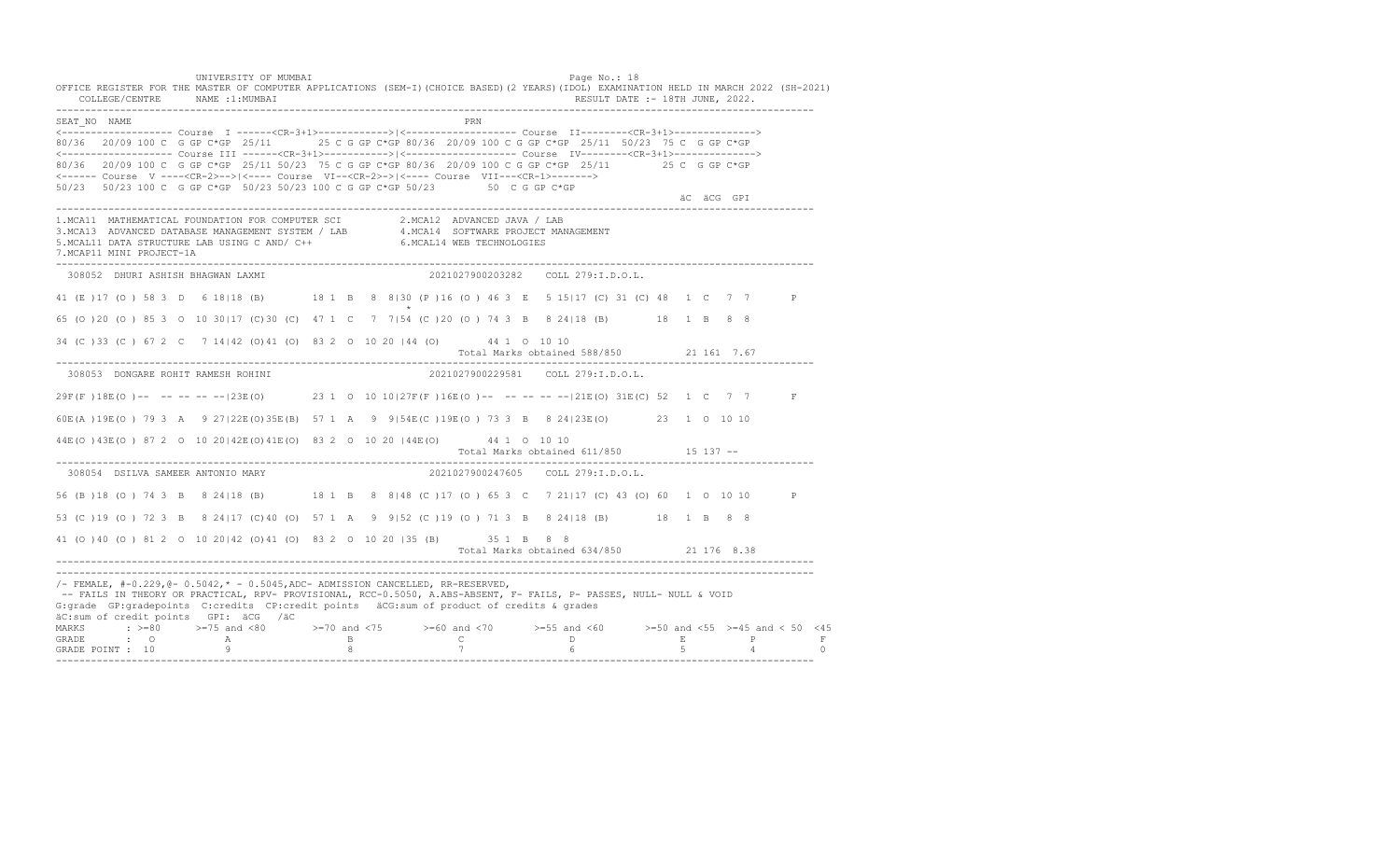UNIVERSITY OF MUMBAI PAGE OF THE PAGE OF THE PAGE OF THE PAGE OF THE PAGE OF THE PAGE OF THE PAGE OF THE PAGE OF THE PAGE OF THE PAGE OF THE PAGE OF THE PAGE OF THE PAGE OF THE PAGE OF THE PAGE OF THE PAGE OF THE PAGE OF T OFFICE REGISTER FOR THE MASTER OF COMPUTER APPLICATIONS (SEM-I)(CHOICE BASED)(2 YEARS)(IDOL) EXAMINATION HELD IN MARCH 2022 (SH-2021) COLLEGE/CENTRE NAME :1:MUMBAI RESULT DATE :- 18TH JUNE, 2022. ---------------------------------------------------------------------------------------------------------------------------------- SEAT\_NO NAME PRN <------------------- Course I ------<CR-3+1>------------>|<------------------- Course II--------<CR-3+1>--------------> 80/36 20/09 100 C G GP C\*GP 25/11 25 C G GP C\*GP 80/36 20/09 100 C G GP C\*GP 25/11 50/23 75 C G GP C\*GP <------------------- Course III ------<CR-3+1>----------->|<------------------- Course IV--------<CR-3+1>--------------> 80/36 20/09 100 C G GP C\*GP 25/11 50/23 75 C G GP C\*GP 80/36 20/09 100 C G GP C\*GP 25/11 25 C G GP C\*GP <------ Course V ----<CR-2>-->|<---- Course VI--<CR-2>->|<---- Course VII---<CR-1>-------> 50/23 50/23 100 C G GP C\*GP 50/23 50/23 100 C G GP C\*GP 50/23 50 C G GP C\*GP äC äCG GPI ä<sup>n v</sup>ächtliche State und der State und der State und der State und der State und der State und der State und der State und der State und der State und der State und der State und der State und der State und der ---------------------------------------------------------------------------------------------------------------------------------- 1.MCA11 MATHEMATICAL FOUNDATION FOR COMPUTER SCI 2.MCA12 ADVANCED JAVA / LAB<br>3.MCA13 ADVANCED DATABASE MANAGEMENT SYSTEM / LAB 4.MCA14 SOFTWARE PROJECT MANAGEMENT<br>5.MCAL11 DATA STRUCTURE LAB U 7.MCAP11 MINI PROJECT-1A ---------------------------------------------------------------------------------------------------------------------------------- 308052 DHURI ASHISH BHAGWAN LAXMI 2021027900203282 COLL 279:I.D.O.L. 41 (E ) 17 (O ) 58 3 D 6 18 | 18 (B) 18 1 B 8 8 | 30 (P ) 16 (O ) 46 3 E 5 15 | 17 (C) 31 (C) 48 1 C 7 7 P  $\star$ 65 (O )20 (O ) 85 3 O 10 30|17 (C)30 (C) 47 1 C 7 7|54 (C )20 (O ) 74 3 B 8 24|18 (B) 18 1 B 8 8 34 (C )33 (C ) 67 2 C 7 14|42 (O)41 (O) 83 2 O 10 20 |44 (O) 44 1 O 10 10 Total Marks obtained 588/850 21 161 7.67 ---------------------------------------------------------------------------------------------------------------------------------- 308053 DONGARE ROHIT RAMESH ROHINI 2021027900229581 COLL 279:I.D.O.L. 29F(F )18E(O )-- -- -- -- --|23E(O) 23 1 O 10 10|27F(F )16E(O )-- -- -- -- --|21E(O) 31E(C) 52 1 C 7 7 F 60E(A )19E(O ) 79 3 A 9 27|22E(O)35E(B) 57 1 A 9 9|54E(C )19E(O ) 73 3 B 8 24|23E(O) 23 1 O 10 10 44E(O )43E(O ) 87 2 O 10 20|42E(O)41E(O) 83 2 O 10 20 |44E(O) 44 1 O 10 10 Total Marks obtained 611/850 15 137 ------------------------------------------------------------------------------------------------------------------------------------ 308054 DSILVA SAMEER ANTONIO MARY 2021027900247605 COLL 279:I.D.O.L. 56 (B )18 (O ) 74 3 B 8 24|18 (B) 18 1 B 8 8|48 (C )17 (O ) 65 3 C 7 21|17 (C) 43 (O) 60 1 O 10 10 P 53 (C )19 (O ) 72 3 B 8 24|17 (C)40 (O) 57 1 A 9 9|52 (C )19 (O ) 71 3 B 8 24|18 (B) 18 1 B 8 8 41 (O )40 (O ) 81 2 O 10 20|42 (O)41 (O) 83 2 O 10 20 |35 (B) 35 1 B 8 8 Total Marks obtained 634/850 21 176 8.38 ---------------------------------------------------------------------------------------------------------------------------------- ---------------------------------------------------------------------------------------------------------------------------------- /- FEMALE, #-0.229,@- 0.5042,\* - 0.5045,ADC- ADMISSION CANCELLED, RR-RESERVED, -- FAILS IN THEORY OR PRACTICAL, RPV- PROVISIONAL, RCC-0.5050, A.ABS-ABSENT, F- FAILS, P- PASSES, NULL- NULL & VOID G:grade GP:gradepoints C:credits CP:credit points äCG:sum of product of credits & grades äC:sum of credit points GPI: äCG /äC MARKS : >=80 >=75 and <80 >=70 and <75 >=60 and <70 >=55 and <60 >=50 and <55 >=45 and < 50 <45 GRADE : O A B C D E P F GRADE POINT : 10 9 8 7 6 5 4 0 ----------------------------------------------------------------------------------------------------------------------------------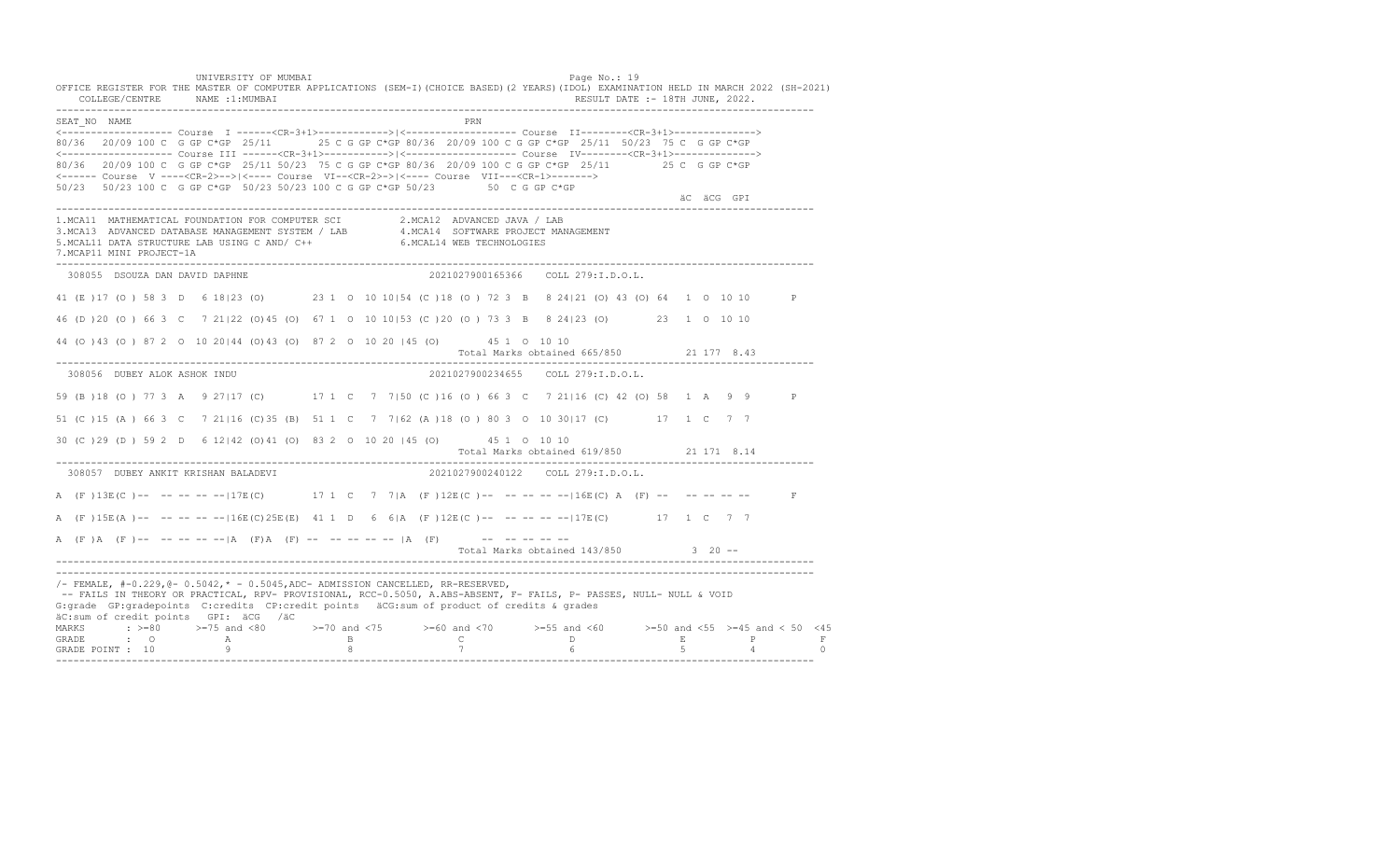UNIVERSITY OF MUMBAI PAGE OF THE PAGE OF THE PAGE OF THE PAGE OF THE PAGE OF THE PAGE OF THE PAGE OF THE PAGE OF THE PAGE OF THE PAGE OF THE PAGE OF THE PAGE OF THE PAGE OF THE PAGE OF THE PAGE OF THE PAGE OF THE PAGE OF T OFFICE REGISTER FOR THE MASTER OF COMPUTER APPLICATIONS (SEM-I)(CHOICE BASED)(2 YEARS)(IDOL) EXAMINATION HELD IN MARCH 2022 (SH-2021) COLLEGE/CENTRE NAME :1:MUMBAI RESULT DATE :- 18TH JUNE, 2022. ---------------------------------------------------------------------------------------------------------------------------------- SEAT\_NO NAME PRN <------------------- Course I ------<CR-3+1>------------>|<------------------- Course II--------<CR-3+1>--------------> 80/36 20/09 100 C G GP C\*GP 25/11 25 C G GP C\*GP 80/36 20/09 100 C G GP C\*GP 25/11 50/23 75 C G GP C\*GP <------------------- Course III ------<CR-3+1>----------->|<------------------- Course IV--------<CR-3+1>--------------> 80/36 20/09 100 C G GP C\*GP 25/11 50/23 75 C G GP C\*GP 80/36 20/09 100 C G GP C\*GP 25/11 25 C G GP C\*GP <------ Course V ----<CR-2>-->|<---- Course VI--<CR-2>->|<---- Course VII---<CR-1>-------> 50/23 50/23 100 C G GP C\*GP 50/23 50/23 100 C G GP C\*GP 50/23 50 C G GP C\*GP äC äCG GPI ä<sup>n v</sup>ächtliche State und der State und der State und der State und der State und der State und der State und der State und der State und der State und der State und der State und der State und der State und der ---------------------------------------------------------------------------------------------------------------------------------- 1.MCA11 MATHEMATICAL FOUNDATION FOR COMPUTER SCI 2.MCA12 ADVANCED JAVA / LAB 3.MCA13 ADVANCED DATABASE MANAGEMENT SYSTEM / LAB 4.MCA14 SOFTWARE PROJECT MANAGEMENT 5.MCAL11 DATA STRUCTURE LAB USING C AND/ C++ 6.MCAL14 WEB TECHNOLOGIES 7.MCAP11 MINI PROJECT-1A ---------------------------------------------------------------------------------------------------------------------------------- 308055 DSOUZA DAN DAVID DAPHNE 2021027900165366 COLL 279:I.D.O.L. 41 (E )17 (O ) 58 3 D 6 18|23 (O) 23 1 O 10 10|54 (C )18 (O ) 72 3 B 8 24|21 (O) 43 (O) 64 1 O 10 10 P 46 (D )20 (O ) 66 3 C 7 21|22 (O)45 (O) 67 1 O 10 10|53 (C )20 (O ) 73 3 B 8 24|23 (O) 23 1 O 10 10 44 (O )43 (O ) 87 2 O 10 20|44 (O)43 (O) 87 2 O 10 20 |45 (O) 45 1 O 10 10 Total Marks obtained 665/850 21 177 8.43 ---------------------------------------------------------------------------------------------------------------------------------- 308056 DUBEY ALOK ASHOK INDU 2021027900234655 COLL 279:I.D.O.L. 59 (B )18 (O ) 77 3 A 9 27|17 (C) 17 1 C 7 7|50 (C )16 (O ) 66 3 C 7 21|16 (C) 42 (O) 58 1 A 9 9 P 51 (C )15 (A ) 66 3 C 7 21|16 (C)35 (B) 51 1 C 7 7|62 (A )18 (O ) 80 3 O 10 30|17 (C) 17 1 C 7 7 30 (C )29 (D ) 59 2 D 6 12|42 (O)41 (O) 83 2 O 10 20 |45 (O) 45 1 O 10 10 Total Marks obtained 619/850 21 171 8.14 ---------------------------------------------------------------------------------------------------------------------------------- 308057 DUBEY ANKIT KRISHAN BALADEVI A (F)13E(C)-- -- -- -- --|17E(C) 17 1 C 7 7|A (F)12E(C)-- -- -- -- --|16E(C) A (F) -- -- -- -- -- F A (F )15E(A )-- -- -- -- --|16E(C)25E(E) 41 1 D 6 6|A (F )12E(C )-- -- -- -- --|17E(C) 17 1 C 7 7 A  $(F)$   $(A \cap (F)$  -- -- -- -- --  $|A \cap (F)$   $A \cap (F)$  -- -- -- -- --  $|A \cap (F)$  -- -- -- -- --Total Marks obtained 143/850 3 20 ------------------------------------------------------------------------------------------------------------------------------------ ---------------------------------------------------------------------------------------------------------------------------------- /- FEMALE, #-0.229,@- 0.5042,\* - 0.5045,ADC- ADMISSION CANCELLED, RR-RESERVED, -- FAILS IN THEORY OR PRACTICAL, RPV- PROVISIONAL, RCC-0.5050, A.ABS-ABSENT, F- FAILS, P- PASSES, NULL- NULL & VOID G:grade GP:gradepoints C:credits CP:credit points äCG:sum of product of credits & grades äC:sum of credit points GPI: äCG /äC MARKS : >=80 >=75 and <80 >=70 and <75 >=60 and <70 >=55 and <60 >=50 and <55 >=45 and < 50 <45 GRADE : O A B C D E P F<br>GRADE POINT : 10 9 9 8 7 7 6 5 4 0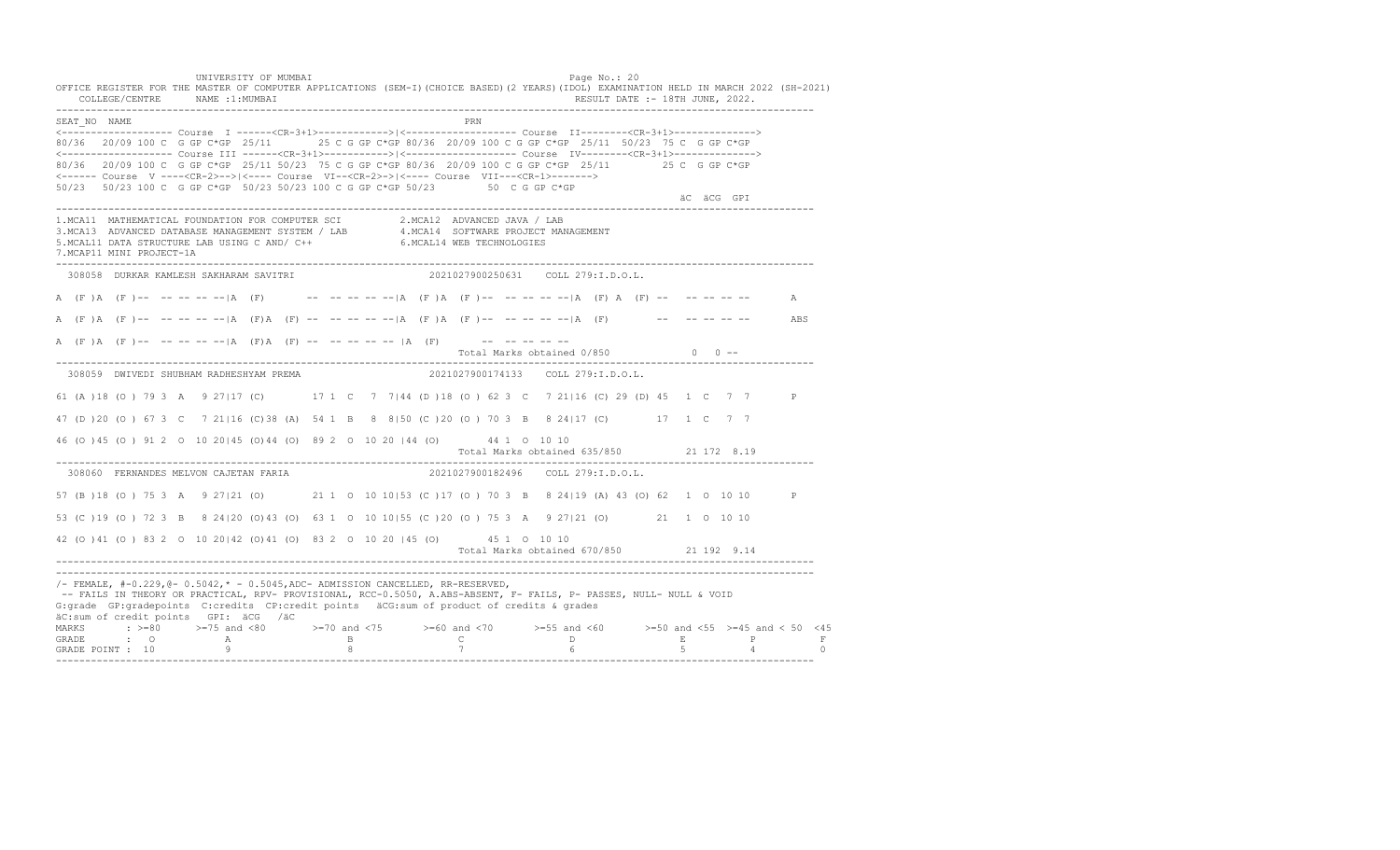UNIVERSITY OF MUMBAI PAGE OF THE PAGE OF THE PAGE OF THE PAGE OF THE PAGE OF THE PAGE OF THE PAGE OF THE PAGE O OFFICE REGISTER FOR THE MASTER OF COMPUTER APPLICATIONS (SEM-I)(CHOICE BASED)(2 YEARS)(IDOL) EXAMINATION HELD IN MARCH 2022 (SH-2021) COLLEGE/CENTRE NAME :1:MUMBAI RESULT DATE :- 18TH JUNE, 2022. ---------------------------------------------------------------------------------------------------------------------------------- SEAT\_NO NAME PRN <------------------- Course I ------<CR-3+1>------------>|<------------------- Course II--------<CR-3+1>--------------> 80/36 20/09 100 C G GP C\*GP 25/11 25 C G GP C\*GP 80/36 20/09 100 C G GP C\*GP 25/11 50/23 75 C G GP C\*GP <------------------- Course III ------<CR-3+1>----------->|<------------------- Course IV--------<CR-3+1>--------------> 80/36 20/09 100 C G GP C\*GP 25/11 50/23 75 C G GP C\*GP 80/36 20/09 100 C G GP C\*GP 25/11 25 C G GP C\*GP <------ Course V ----<CR-2>-->|<---- Course VI--<CR-2>->|<---- Course VII---<CR-1>-------> 50/23 50/23 100 C G GP C\*GP 50/23 50/23 100 C G GP C\*GP 50/23 50 C G GP C\*GP äC äCG GPI ä<sup>n v</sup>ächtliche State und der State und der State und der State und der State und der State und der State und der State und der State und der State und der State und der State und der State und der State und der ---------------------------------------------------------------------------------------------------------------------------------- 1.MCA11 MATHEMATICAL FOUNDATION FOR COMPUTER SCI 2.MCA12 ADVANCED JAVA / LAB 3.MCA13 ADVANCED DATABASE MANAGEMENT SYSTEM / LAB 4.MCA14 SOFTWARE PROJECT MANAGEMENT 5.MCAL11 DATA STRUCTURE LAB USING C AND/ C++ 6.MCAL14 WEB TECHNOLOGIES 7.MCAP11 MINI PROJECT-1A ---------------------------------------------------------------------------------------------------------------------------------- 308058 DURKAR KAMLESH SAKHARAM SAVITRI 2021027900250631 COLL 279:I.D.O.L. A (F )A (F )-- -- -- -- -- |A (F) -- -- -- -- -- |A (F )A (F )-- -- -- -- -- -- |A (F) A (F) -- -- -- -- -- -- A A (F )A (F )-- -- -- -- --|A (F)A (F) -- -- -- -- --|A (F )A (F )-- -- -- -- --|A (F) -- -- -- -- -- ABS A (F)A (F)-- -- -- -- -- |A (F)A (F) -- -- -- -- -- |A (F) -- -- -- -- -- -- --Total Marks obtained  $0/850$  0 ------------------------------------------------------------------------------------------------------------------------------------ 308059 DWIVEDI SHUBHAM RADHESHYAM PREMA 2021027900174133 COLL 279:I.D.O.L. 61 (A )18 (O ) 79 3 A 9 27|17 (C) 17 1 C 7 7|44 (D )18 (O ) 62 3 C 7 21|16 (C) 29 (D) 45 1 C 7 7 P 47 (D )20 (O ) 67 3 C 7 21|16 (C)38 (A) 54 1 B 8 8|50 (C )20 (O ) 70 3 B 8 24|17 (C) 17 1 C 7 7 46 (O )45 (O ) 91 2 O 10 20|45 (O)44 (O) 89 2 O 10 20 |44 (O) 44 1 O 10 10 Total Marks obtained 635/850 21 172 8.19 ---------------------------------------------------------------------------------------------------------------------------------- 308060 FERNANDES MELVON CAJETAN FARIA 57 (B )18 (O ) 75 3 A 9 27|21 (O) 21 1 O 10 10|53 (C )17 (O ) 70 3 B 8 24|19 (A) 43 (O) 62 1 O 10 10 P 53 (C )19 (O ) 72 3 B 8 24|20 (O)43 (O) 63 1 O 10 10|55 (C )20 (O ) 75 3 A 9 27|21 (O) 21 1 O 10 10 42 (O )41 (O ) 83 2 O 10 20|42 (O)41 (O) 83 2 O 10 20 |45 (O) 45 1 O 10 10 Total Marks obtained 670/850 21 192 9.14 ---------------------------------------------------------------------------------------------------------------------------------- ---------------------------------------------------------------------------------------------------------------------------------- /- FEMALE, #-0.229,@- 0.5042,\* - 0.5045,ADC- ADMISSION CANCELLED, RR-RESERVED, -- FAILS IN THEORY OR PRACTICAL, RPV- PROVISIONAL, RCC-0.5050, A.ABS-ABSENT, F- FAILS, P- PASSES, NULL- NULL & VOID G:grade GP:gradepoints C:credits CP:credit points äCG:sum of product of credits & grades äC:sum of credit points GPI: äCG /äC MARKS : >=80 >=75 and <80 >=70 and <75 >=60 and <70 >=55 and <60 >=50 and <55 >=45 and < 50 <45 GRADE : O A B C D E P F<br>GRADE POINT : 10 9 9 8 7 7 6 5 4 0 ----------------------------------------------------------------------------------------------------------------------------------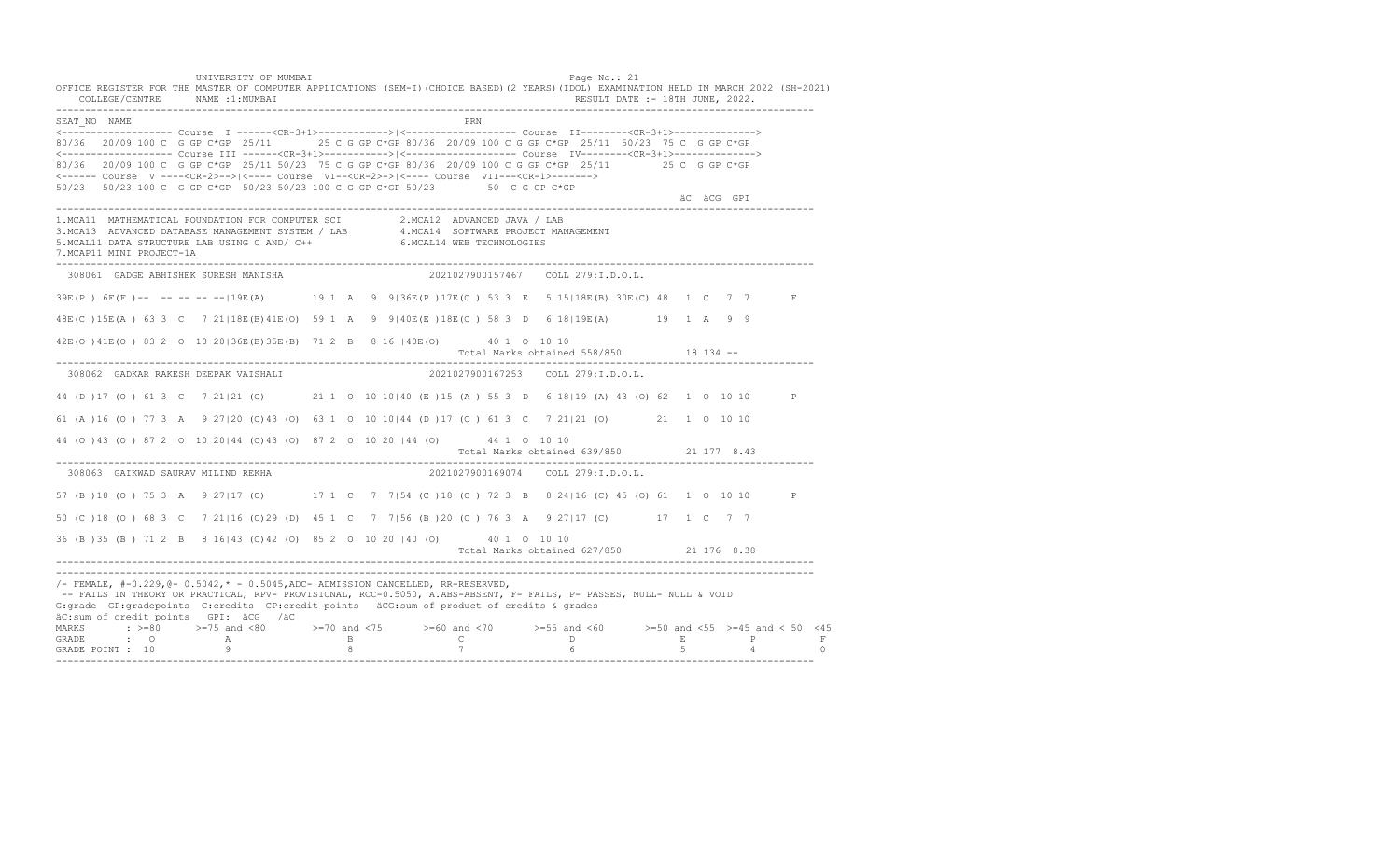UNIVERSITY OF MUMBAI PAGE OF THE PAGE OF THE PAGE OF THE PAGE OF THE PAGE OF THE PAGE OF THE PAGE OF THE PAGE OF THE PAGE OF THE PAGE OF THE PAGE OF THE PAGE OF THE PAGE OF THE PAGE OF THE PAGE OF THE PAGE OF THE PAGE OF T OFFICE REGISTER FOR THE MASTER OF COMPUTER APPLICATIONS (SEM-I)(CHOICE BASED)(2 YEARS)(IDOL) EXAMINATION HELD IN MARCH 2022 (SH-2021) COLLEGE/CENTRE NAME :1:MUMBAI RESULT DATE :- 18TH JUNE, 2022. ---------------------------------------------------------------------------------------------------------------------------------- SEAT\_NO NAME PRN <------------------- Course I ------<CR-3+1>------------>|<------------------- Course II--------<CR-3+1>--------------> 80/36 20/09 100 C G GP C\*GP 25/11 25 C G GP C\*GP 80/36 20/09 100 C G GP C\*GP 25/11 50/23 75 C G GP C\*GP <------------------- Course III ------<CR-3+1>----------->|<------------------- Course IV--------<CR-3+1>--------------> 80/36 20/09 100 C G GP C\*GP 25/11 50/23 75 C G GP C\*GP 80/36 20/09 100 C G GP C\*GP 25/11 25 C G GP C\*GP <------ Course V ----<CR-2>-->|<---- Course VI--<CR-2>->|<---- Course VII---<CR-1>-------> 50/23 50/23 100 C G GP C\*GP 50/23 50/23 100 C G GP C\*GP 50/23 50 C G GP C\*GP äC äCG GPI ä<sup>n v</sup>ächtliche State und der State und der State und der State und der State und der State und der State und der State und der State und der State und der State und der State und der State und der State und der ---------------------------------------------------------------------------------------------------------------------------------- 1.MCA11 MATHEMATICAL FOUNDATION FOR COMPUTER SCI 2.MCA12 ADVANCED JAVA / LAB<br>3.MCA13 ADVANCED DATABASE MANAGEMENT SYSTEM / LAB 4.MCA14 SOFTWARE PROJECT MANAGEMENT<br>5.MCAL11 DATA STRUCTURE LAB USI 7.MCAP11 MINI PROJECT-1A ---------------------------------------------------------------------------------------------------------------------------------- 308061 GADGE ABHISHEK SURESH MANISHA 2021027900157467 COLL 279:I.D.O.L. 39E(P ) 6F(F )-- -- -- -- --|19E(A) 19 1 A 9 9|36E(P )17E(O ) 53 3 E 5 15|18E(B) 30E(C) 48 1 C 7 7 F 48E(C )15E(A ) 63 3 C 7 21|18E(B)41E(O) 59 1 A 9 9|40E(E )18E(O ) 58 3 D 6 18|19E(A) 19 1 A 9 9 42E(O )41E(O ) 83 2 O 10 20|36E(B)35E(B) 71 2 B 8 16 |40E(O) 40 1 O 10 10 Total Marks obtained 558/850 18 134 ------------------------------------------------------------------------------------------------------------------------------------ 308062 GADKAR RAKESH DEEPAK VAISHALI 2021027900167253 COLL 279:I.D.O.L. 44 (D )17 (O ) 61 3 C 7 21|21 (O) 21 1 O 10 10|40 (E )15 (A ) 55 3 D 6 18|19 (A) 43 (O) 62 1 O 10 10 P 61 (A )16 (O ) 77 3 A 9 27|20 (O)43 (O) 63 1 O 10 10|44 (D )17 (O ) 61 3 C 7 21|21 (O) 21 1 O 10 10 44 (O )43 (O ) 87 2 O 10 20|44 (O)43 (O) 87 2 O 10 20 |44 (O) 44 1 O 10 10 Total Marks obtained 639/850 21 177 8.43 ---------------------------------------------------------------------------------------------------------------------------------- 308063 GAIKWAD SAURAV MILIND REKHA 57 (B )18 (O ) 75 3 A 9 27|17 (C) 17 1 C 7 7|54 (C )18 (O ) 72 3 B 8 24|16 (C) 45 (O) 61 1 O 10 10 P 50 (C )18 (O ) 68 3 C 7 21|16 (C)29 (D) 45 1 C 7 7|56 (B )20 (O ) 76 3 A 9 27|17 (C) 17 1 C 7 7 36 (B )35 (B ) 71 2 B 8 16|43 (O)42 (O) 85 2 O 10 20 |40 (O) 40 1 O 10 10 Total Marks obtained 627/850 21 176 8.38 ---------------------------------------------------------------------------------------------------------------------------------- ---------------------------------------------------------------------------------------------------------------------------------- /- FEMALE, #-0.229,@- 0.5042,\* - 0.5045,ADC- ADMISSION CANCELLED, RR-RESERVED, -- FAILS IN THEORY OR PRACTICAL, RPV- PROVISIONAL, RCC-0.5050, A.ABS-ABSENT, F- FAILS, P- PASSES, NULL- NULL & VOID G:grade GP:gradepoints C:credits CP:credit points äCG:sum of product of credits & grades äC:sum of credit points GPI: äCG /äC MARKS : >=80 >=75 and <80 >=70 and <75 >=60 and <70 >=55 and <60 >=50 and <55 >=45 and < 50 <45 GRADE : O A B C D E P F GRADE POINT : 10 9 8 7 6 5 4 0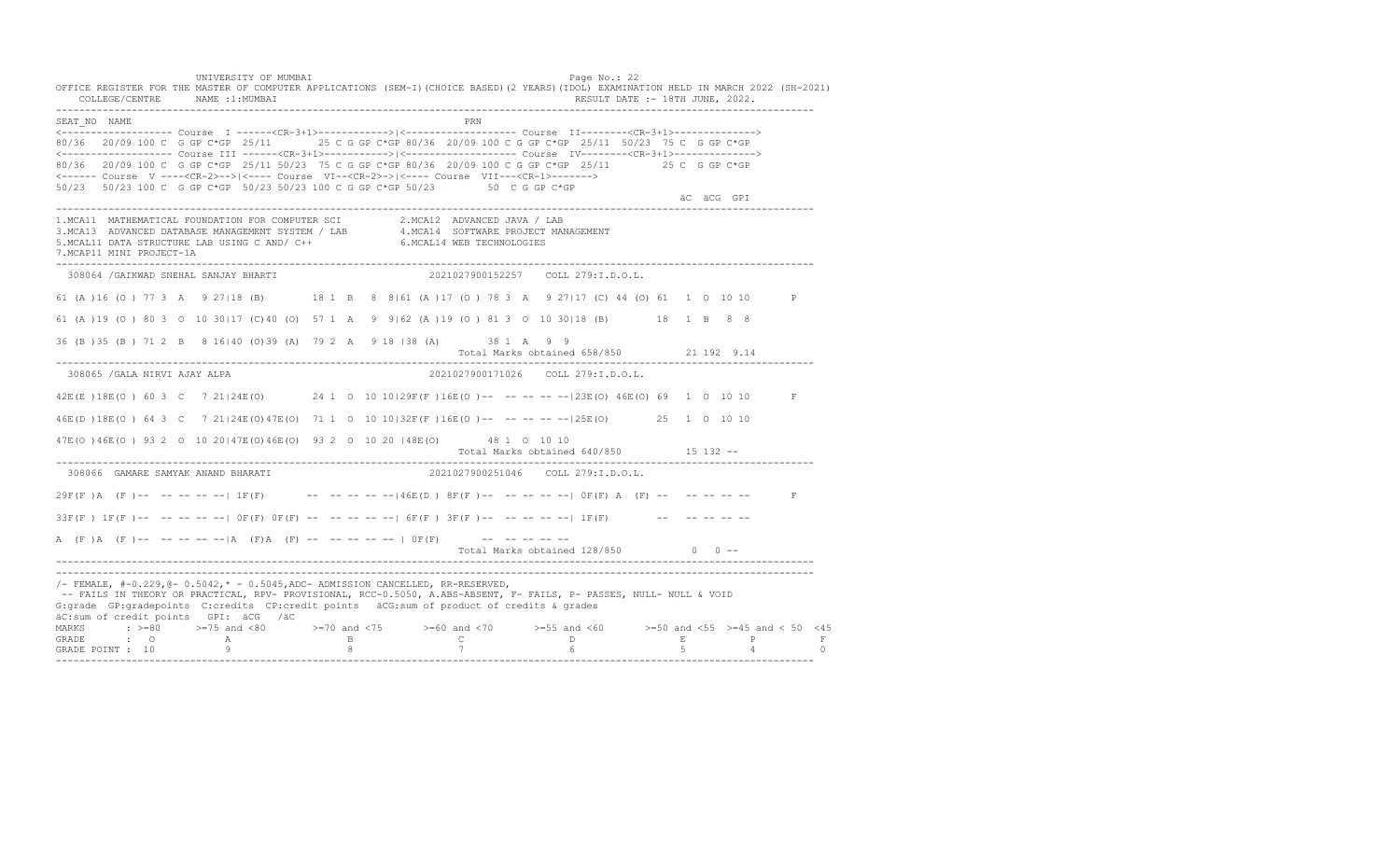UNIVERSITY OF MUMBAI PAGE OF THE PAGE OF THE PAGE OF THE PAGE OF THE PAGE OF THE PAGE OF THE PAGE OF THE PAGE O OFFICE REGISTER FOR THE MASTER OF COMPUTER APPLICATIONS (SEM-I)(CHOICE BASED)(2 YEARS)(IDOL) EXAMINATION HELD IN MARCH 2022 (SH-2021) COLLEGE/CENTRE NAME :1:MUMBAI RESULT DATE :- 18TH JUNE, 2022. ---------------------------------------------------------------------------------------------------------------------------------- SEAT\_NO NAME PRIME PRIME PRODUCED A CONTROL IN THE PRIME PRIME PRIME PRIME PRIME PRIME PRIME PRIME PRIME PRIME PRIME PRIME PRIME PRIME PRIME PRIME PRIME PRIME PRIME PRIME PRIME PRIME PRIME PRIME PRIME PRIME PRIME PRIME PRI <------------------- Course I ------<CR-3+1>------------>|<------------------- Course II--------<CR-3+1>--------------> 80/36 20/09 100 C G GP C\*GP 25/11 25 C G GP C\*GP 80/36 20/09 100 C G GP C\*GP 25/11 50/23 75 C G GP C\*GP <------------------- Course III ------<CR-3+1>----------->|<------------------- Course IV--------<CR-3+1>--------------> 80/36 20/09 100 C G GP C\*GP 25/11 50/23 75 C G GP C\*GP 80/36 20/09 100 C G GP C\*GP 25/11 25 C G GP C\*GP <------ Course V ----<CR-2>-->|<---- Course VI--<CR-2>->|<---- Course VII---<CR-1>-------> 50/23 50/23 100 C G GP C\*GP 50/23 50/23 100 C G GP C\*GP 50/23 50 C G GP C\*GP äC äCG GPI ä<sup>n v</sup>ächtliche State und der State und der State und der State und der State und der State und der State und der State und der State und der State und der State und der State und der State und der State und der ---------------------------------------------------------------------------------------------------------------------------------- 1.MCA11 MATHEMATICAL FOUNDATION FOR COMPUTER SCI 2.MCA12 ADVANCED JAVA / LAB 3.MCA13 ADVANCED DATABASE MANAGEMENT SYSTEM / LAB 4.MCA14 SOFTWARE PROJECT MANAGEMENT 5.MCAL11 DATA STRUCTURE LAB USING C AND/ C++ 6.MCAL14 WEB TECHNOLOGIES 7.MCAP11 MINI PROJECT-1A ---------------------------------------------------------------------------------------------------------------------------------- 308064 /GAIKWAD SNEHAL SANJAY BHARTI 2021027900152257 COLL 279:I.D.O.L. 61 (A )16 (O ) 77 3 A 9 27|18 (B) 18 1 B 8 8|61 (A )17 (O ) 78 3 A 9 27|17 (C) 44 (O) 61 1 O 10 10 P 61 (A )19 (O ) 80 3 O 10 30|17 (C)40 (O) 57 1 A 9 9|62 (A )19 (O ) 81 3 O 10 30|18 (B) 18 1 B 8 8 36 (B )35 (B ) 71 2 B 8 16|40 (O)39 (A) 79 2 A 9 18 |38 (A) 38 1 A 9 9 Total Marks obtained 658/850 21 192 9.14 ---------------------------------------------------------------------------------------------------------------------------------- 308065 /GALA NIRVI AJAY ALPA 2021027900171026 COLL 279:I.D.O.L. 42E(E )18E(O ) 60 3 C 7 21|24E(O) 24 1 O 10 10|29F(F )16E(O )-- -- -- -- --|23E(O) 46E(O) 69 1 O 10 10 F 46E(D )18E(O ) 64 3 C 7 21|24E(O)47E(O) 71 1 O 10 10|32F(F )16E(O )-- -- -- -- --|25E(O) 25 1 O 10 10 47E(O )46E(O ) 93 2 O 10 20|47E(O)46E(O) 93 2 O 10 20 |48E(O) 48 1 O 10 10 Total Marks obtained 640/850 15 132 ------------------------------------------------------------------------------------------------------------------------------------ 308066 GAMARE SAMYAK ANAND BHARATI  $29F(F)$  A (F)-- -- -- -- -|  $1F(F)$  -- -- -- -- --  $-146E(D)$   $8F(F)$ -- -- -- -- --  $|F(F)$  A (F) -- -- -- -- -- -- F  $33F(F)$  1F(F)-- -- -- -- --  $\vert$  OF(F) OF(F) -- -- -- --  $-$  6F(F) 3F(F)-- -- -- -- -- 1F(F) -- -- -- -- -- --A  $(F)$   $(A \cap (F)$  -- -- -- -- --  $|A \cap (F)$   $A \cap (F)$  -- -- -- -- -- --  $|A \cap (F)$  -- -- -- -- --Total Marks obtained  $128/850$  0 ------------------------------------------------------------------------------------------------------------------------------------ ---------------------------------------------------------------------------------------------------------------------------------- /- FEMALE, #-0.229,@- 0.5042,\* - 0.5045,ADC- ADMISSION CANCELLED, RR-RESERVED, -- FAILS IN THEORY OR PRACTICAL, RPV- PROVISIONAL, RCC-0.5050, A.ABS-ABSENT, F- FAILS, P- PASSES, NULL- NULL & VOID G:grade GP:gradepoints C:credits CP:credit points äCG:sum of product of credits & grades äC:sum of credit points GPI: äCG /äC MARKS : >=80 >=75 and <80 >=70 and <75 >=60 and <70 >=55 and <60 >=50 and <55 >=45 and < 50 <45 GRADE : O A B C D E P F<br>GRADE POINT : 10 9 9 8 7 7 6 5 4 0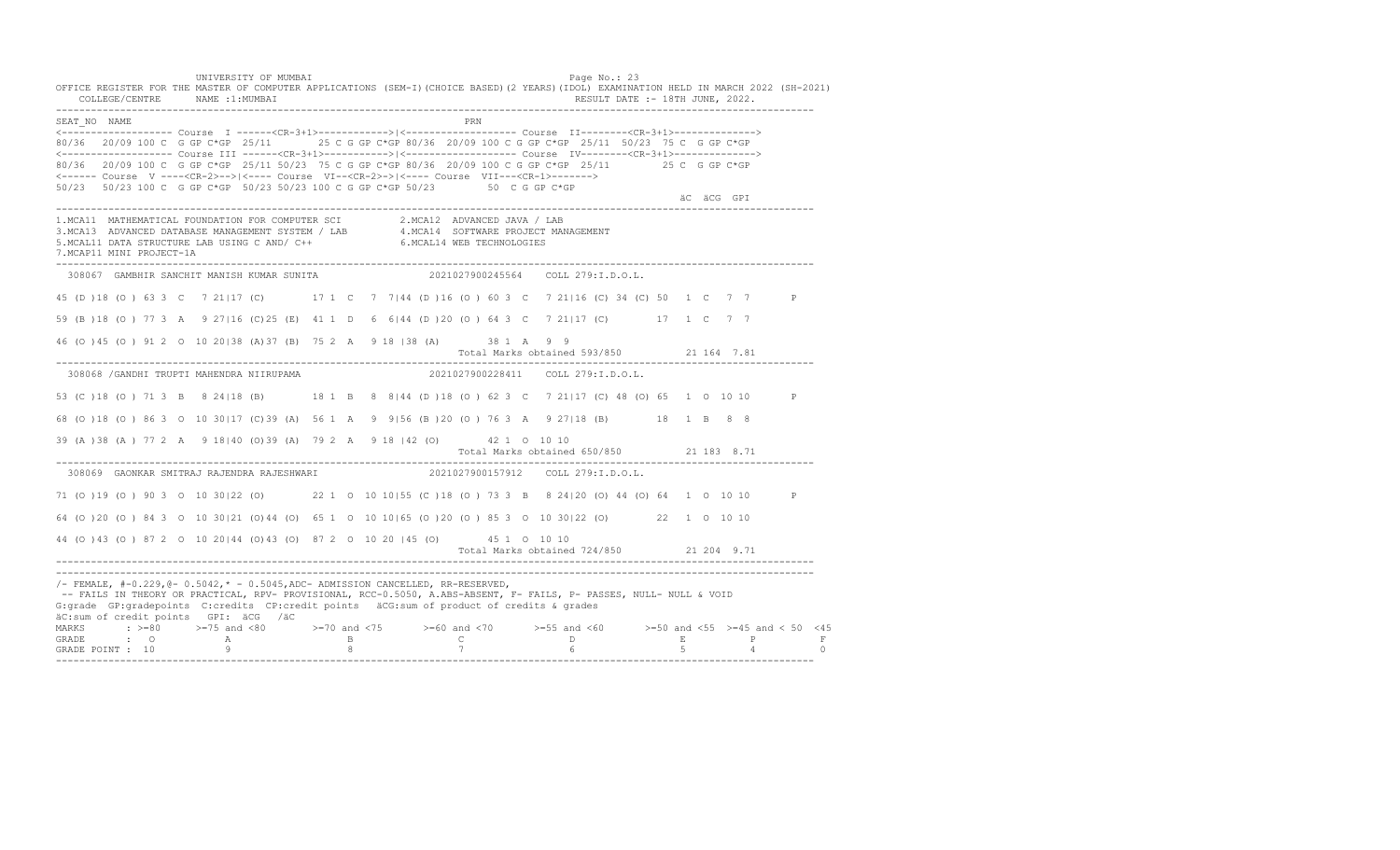UNIVERSITY OF MUMBAI PAGE OF THE PAGE OF THE PAGE OF THE PAGE OF THE PAGE OF THE PAGE OF THE PAGE OF THE PAGE OF THE PAGE OF THE PAGE OF THE PAGE OF THE PAGE OF THE PAGE OF THE PAGE OF THE PAGE OF THE PAGE OF THE PAGE OF T OFFICE REGISTER FOR THE MASTER OF COMPUTER APPLICATIONS (SEM-I)(CHOICE BASED)(2 YEARS)(IDOL) EXAMINATION HELD IN MARCH 2022 (SH-2021) COLLEGE/CENTRE NAME :1:MUMBAI RESULT DATE :- 18TH JUNE, 2022. ---------------------------------------------------------------------------------------------------------------------------------- SEAT\_NO NAME PRIMAGES AND RESERVE THE PRIMAGES AND RESERVE THE PRIMAGES AND RESERVE THE PRIMAGES AND RESERVE THE PRIMAGES AND RESERVE THE PRIMAGES AND RESERVE THE PRIMAGES AND RESERVE THE PRIMAGES AND RESERVE THE PRIMAGES <------------------- Course I ------<CR-3+1>------------>|<------------------- Course II--------<CR-3+1>--------------> 80/36 20/09 100 C G GP C\*GP 25/11 25 C G GP C\*GP 80/36 20/09 100 C G GP C\*GP 25/11 50/23 75 C G GP C\*GP <------------------- Course III ------<CR-3+1>----------->|<------------------- Course IV--------<CR-3+1>--------------> 80/36 20/09 100 C G GP C\*GP 25/11 50/23 75 C G GP C\*GP 80/36 20/09 100 C G GP C\*GP 25/11 25 C G GP C\*GP <------ Course V ----<CR-2>-->|<---- Course VI--<CR-2>->|<---- Course VII---<CR-1>-------> 50/23 50/23 100 C G GP C\*GP 50/23 50/23 100 C G GP C\*GP 50/23 50 C G GP C\*GP äC äCG GPI ä<sup>n v</sup>ächtliche State und der State und der State und der State und der State und der State und der State und der State und der State und der State und der State und der State und der State und der State und der ---------------------------------------------------------------------------------------------------------------------------------- 1.MCA11 MATHEMATICAL FOUNDATION FOR COMPUTER SCI 2.MCA12 ADVANCED JAVA / LAB<br>3.MCA13 ADVANCED DATABASE MANAGEMENT SYSTEM / LAB 4.MCA14 SOFTWARE PROJECT MANAGEMENT<br>5.MCAL11 DATA STRUCTURE LAB U 7.MCAP11 MINI PROJECT-1A ---------------------------------------------------------------------------------------------------------------------------------- 308067 GAMBHIR SANCHIT MANISH KUMAR SUNITA 2021027900245564 COLL 279:I.D.O.L. 45 (D )18 (O ) 63 3 C 7 21|17 (C) 17 1 C 7 7|44 (D )16 (O ) 60 3 C 7 21|16 (C) 34 (C) 50 1 C 7 7 P 59 (B )18 (O ) 77 3 A 9 27|16 (C)25 (E) 41 1 D 6 6|44 (D )20 (O ) 64 3 C 7 21|17 (C) 17 1 C 7 7 46 (O )45 (O ) 91 2 O 10 20|38 (A)37 (B) 75 2 A 9 18 |38 (A) 38 1 A 9 9 Total Marks obtained 593/850 21 164 7.81 ---------------------------------------------------------------------------------------------------------------------------------- 308068 /GANDHI TRUPTI MAHENDRA NIIRUPAMA 2021027900228411 COLL 279:I.D.O.L. 53 (C )18 (O ) 71 3 B 8 24|18 (B) 18 1 B 8 8|44 (D )18 (O ) 62 3 C 7 21|17 (C) 48 (O) 65 1 O 10 10 P 68 (O )18 (O ) 86 3 O 10 30|17 (C)39 (A) 56 1 A 9 9|56 (B )20 (O ) 76 3 A 9 27|18 (B) 18 1 B 8 8 39 (A )38 (A ) 77 2 A 9 18|40 (O)39 (A) 79 2 A 9 18 |42 (O) 42 1 O 10 10 Total Marks obtained 650/850 21 183 8.71 ---------------------------------------------------------------------------------------------------------------------------------- 308069 GAONKAR SMITRAJ RAJENDRA RAJESHWARI 71 (O )19 (O ) 90 3 O 10 30|22 (O) 22 1 O 10 10|55 (C )18 (O ) 73 3 B 8 24|20 (O) 44 (O) 64 1 O 10 10 P 64 (O )20 (O ) 84 3 O 10 30|21 (O)44 (O) 65 1 O 10 10|65 (O )20 (O ) 85 3 O 10 30|22 (O) 22 1 O 10 10 44 (O )43 (O ) 87 2 O 10 20|44 (O)43 (O) 87 2 O 10 20 |45 (O) 45 1 O 10 10 Total Marks obtained 724/850 21 204 9.71 ---------------------------------------------------------------------------------------------------------------------------------- ---------------------------------------------------------------------------------------------------------------------------------- /- FEMALE, #-0.229,@- 0.5042,\* - 0.5045,ADC- ADMISSION CANCELLED, RR-RESERVED, -- FAILS IN THEORY OR PRACTICAL, RPV- PROVISIONAL, RCC-0.5050, A.ABS-ABSENT, F- FAILS, P- PASSES, NULL- NULL & VOID G:grade GP:gradepoints C:credits CP:credit points äCG:sum of product of credits & grades äC:sum of credit points GPI: äCG /äC MARKS : >=80 >=75 and <80 >=70 and <75 >=60 and <70 >=55 and <60 >=50 and <55 >=45 and < 50 <45 GRADE : O A B C D E P F<br>GRADE POINT : 10 9 9 8 7 7 6 5 4 0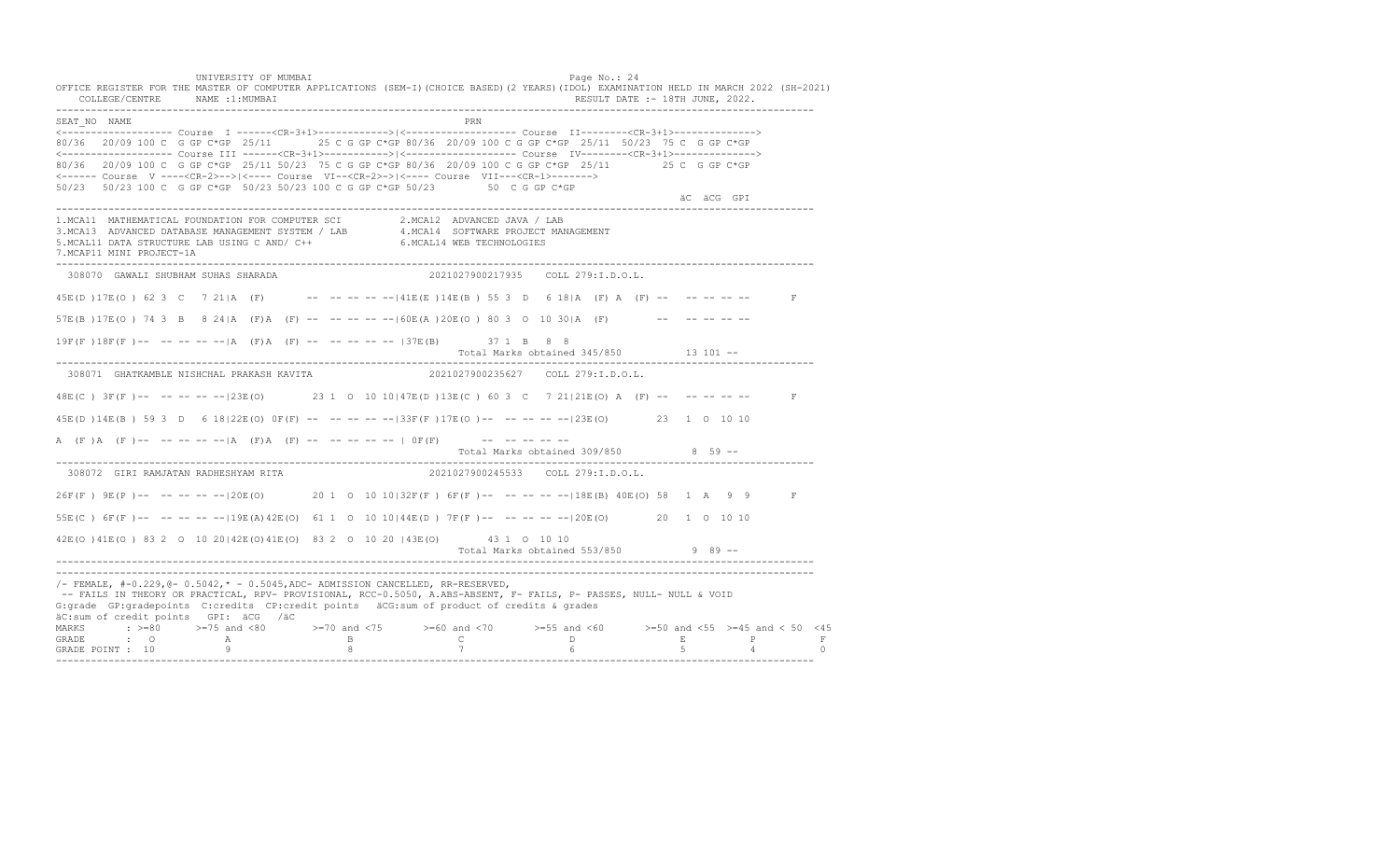UNIVERSITY OF MUMBAI PAGE OF THE PAGE OF THE PAGE OF THE PAGE OF THE PAGE OF THE PAGE OF THE PAGE OF THE PAGE OF THE PAGE OF THE PAGE OF THE PAGE OF THE PAGE OF THE PAGE OF THE PAGE OF THE PAGE OF THE PAGE OF THE PAGE OF T OFFICE REGISTER FOR THE MASTER OF COMPUTER APPLICATIONS (SEM-I)(CHOICE BASED)(2 YEARS)(IDOL) EXAMINATION HELD IN MARCH 2022 (SH-2021)<br>COLLEGE/CENTRE NAME :1:MUMBAI COLLEGE/CENTRE NAME :1: MUMBAI ---------------------------------------------------------------------------------------------------------------------------------- SEAT\_NO NAME PRIMAGE PRODUCED IN THE PRODUCED SEAT NO PRIMAGE PRIMAGE PRIMAGE PRIMAGE PRIMAGE PRIMAGE PRIMAGE PRIMAGE PRIMAGE PRIMAGE PRIMAGE PRIMAGE PRIMAGE PRIMAGE PRIMAGE PRIMAGE PRIMAGE PRIMAGE PRIMAGE PRIMAGE PRIMAGE <------------------- Course I ------<CR-3+1>------------>|<------------------- Course II--------<CR-3+1>--------------> 80/36 20/09 100 C G GP C\*GP 25/11 25 C G GP C\*GP 80/36 20/09 100 C G GP C\*GP 25/11 50/23 75 C G GP C\*GP <------------------- Course III ------<CR-3+1>----------->|<------------------- Course IV--------<CR-3+1>--------------> 80/36 20/09 100 C G GP C\*GP 25/11 50/23 75 C G GP C\*GP 80/36 20/09 100 C G GP C\*GP 25/11 25 C G GP C\*GP <------ Course V ----<CR-2>-->|<---- Course VI--<CR-2>->|<---- Course VII---<CR-1>-------> 50/23 50/23 100 C G GP C\*GP 50/23 50/23 100 C G GP C\*GP 50/23 50 C G GP C\*GP äC äCG GPI ä<sup>n v</sup>ächtliche State und der State und der State und der State und der State und der State und der State und der State und der State und der State und der State und der State und der State und der State und der ---------------------------------------------------------------------------------------------------------------------------------- 1.MCA11 MATHEMATICAL FOUNDATION FOR COMPUTER SCI 2.MCA12 ADVANCED JAVA / LAB 3.MCA13 ADVANCED DATABASE MANAGEMENT SYSTEM / LAB 4.MCA14 SOFTWARE PROJECT MANAGEMENT 5.MCAL11 DATA STRUCTURE LAB USING C AND/ C++ 6.MCAL14 WEB TECHNOLOGIES 7.MCAP11 MINI PROJECT-1A ---------------------------------------------------------------------------------------------------------------------------------- 308070 GAWALI SHUBHAM SUHAS SHARADA 2021027900217935 COLL 279:I.D.O.L. 45E(D )17E(O ) 62 3 C 7 21|A (F) -- -- -- -- --|41E(E )14E(B ) 55 3 D 6 18|A (F) A (F) -- -- -- -- -- F 57E(B )17E(O ) 74 3 B 8 24|A (F)A (F) -- -- -- -- --|60E(A )20E(O ) 80 3 O 10 30|A (F) -- -- -- -- --  $19F(F) 18F(F) - - - - - - - |A (F)A (F) - - - - - - - - - |37E(B)$  37 1 B 8 8 Total Marks obtained 345/850 13 101 ------------------------------------------------------------------------------------------------------------------------------------ 308071 GHATKAMBLE NISHCHAL PRAKASH KAVITA 2021027900235627 COLL 279:I.D.O.L. 48E(C) 3F(F)-- -- -- -- -- 123E(O) 23 1 0 10 10 147E(D) 13E(C) 60 3 C 7 21 21 E(O) A (F) -- -- -- -- --45E(D )14E(B ) 59 3 D 6 18|22E(O) 0F(F) -- -- -- -- --|33F(F )17E(O )-- -- -- -- --|23E(O) 23 1 O 10 10 A (F)A (F) -- -- -- -- -- |A (F) A (F) -- -- -- -- -- | OF(F) -- -- -- -- -- --Total Marks obtained 309/850 8 59 ------------------------------------------------------------------------------------------------------------------------------------ 308072 GIRI RAMJATAN RADHESHYAM RITA 26F(F ) 9E(P )-- -- -- -- --|20E(O) 20 1 O 10 10|32F(F ) 6F(F )-- -- -- -- --|18E(B) 40E(O) 58 1 A 9 9 F 55E(C ) 6F(F )-- -- -- -- --|19E(A)42E(O) 61 1 O 10 10|44E(D ) 7F(F )-- -- -- -- --|20E(O) 20 1 O 10 10 42E(O )41E(O ) 83 2 O 10 20|42E(O)41E(O) 83 2 O 10 20 |43E(O) 43 1 O 10 10 Total Marks obtained 553/850 9 89 ------------------------------------------------------------------------------------------------------------------------------------ ---------------------------------------------------------------------------------------------------------------------------------- /- FEMALE, #-0.229,@- 0.5042,\* - 0.5045,ADC- ADMISSION CANCELLED, RR-RESERVED, -- FAILS IN THEORY OR PRACTICAL, RPV- PROVISIONAL, RCC-0.5050, A.ABS-ABSENT, F- FAILS, P- PASSES, NULL- NULL & VOID G:grade GP:gradepoints C:credits CP:credit points äCG:sum of product of credits & grades äC:sum of credit points GPI: äCG /äC MARKS : >=80 >=75 and <80 >=70 and <75 >=60 and <70 >=55 and <60 >=50 and <55 >=45 and < 50 <45<br>GRADE : O A B C D E P F<br>GRADE POINT : 10 9 8 7 6 5 4 0 ----------------------------------------------------------------------------------------------------------------------------------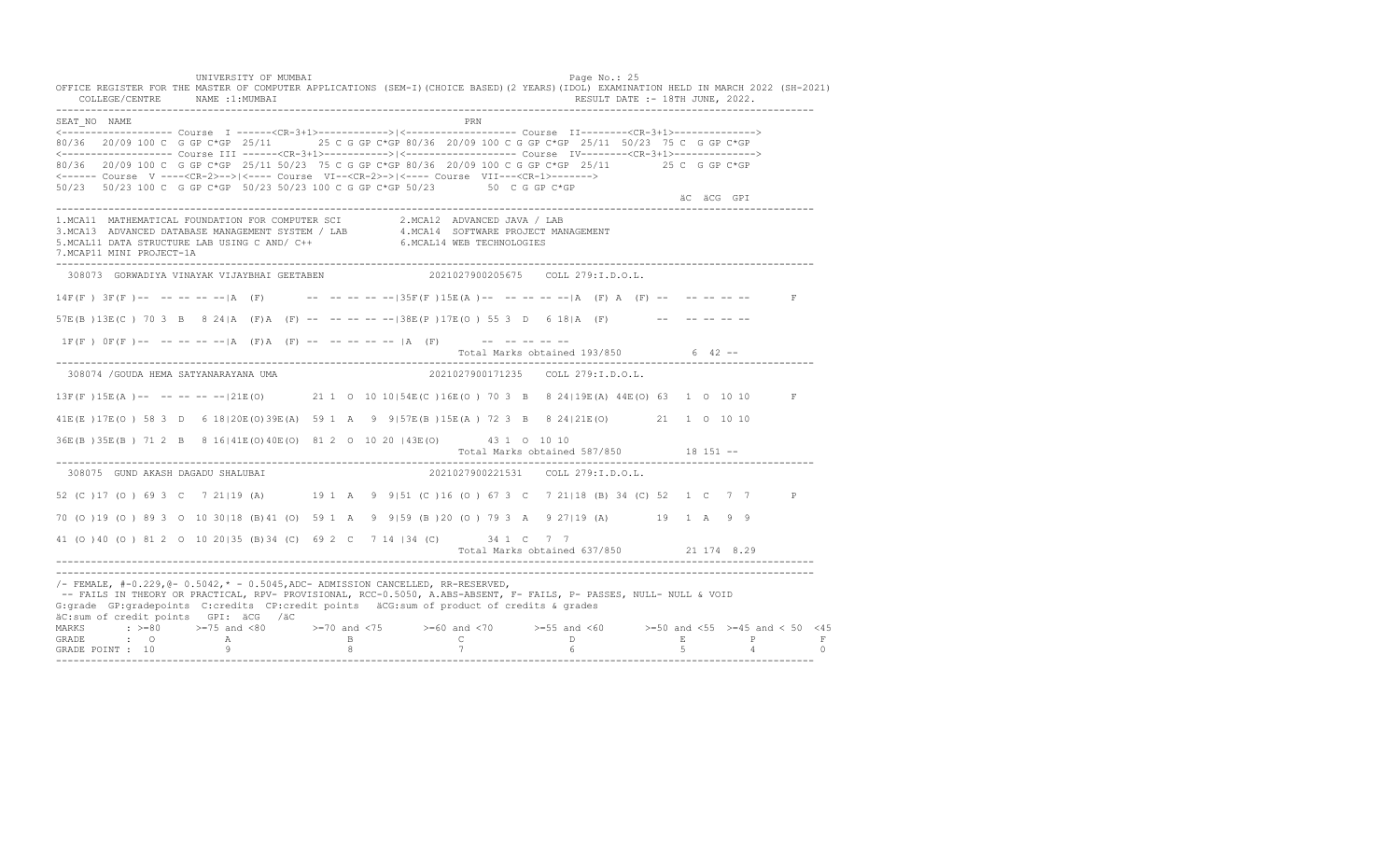UNIVERSITY OF MUMBAI PAGE OF THE PAGE OF THE PAGE OF THE PAGE OF THE PAGE OF THE PAGE OF THE PAGE OF THE PAGE O OFFICE REGISTER FOR THE MASTER OF COMPUTER APPLICATIONS (SEM-I)(CHOICE BASED)(2 YEARS)(IDOL) EXAMINATION HELD IN MARCH 2022 (SH-2021) COLLEGE/CENTRE NAME :1:MUMBAI RESULT DATE :- 18TH JUNE, 2022. ---------------------------------------------------------------------------------------------------------------------------------- SEAT\_NO NAME PRN <------------------- Course I ------<CR-3+1>------------>|<------------------- Course II--------<CR-3+1>--------------> 80/36 20/09 100 C G GP C\*GP 25/11 25 C G GP C\*GP 80/36 20/09 100 C G GP C\*GP 25/11 50/23 75 C G GP C\*GP <------------------- Course III ------<CR-3+1>----------->|<------------------- Course IV--------<CR-3+1>--------------> 80/36 20/09 100 C G GP C\*GP 25/11 50/23 75 C G GP C\*GP 80/36 20/09 100 C G GP C\*GP 25/11 25 C G GP C\*GP <------ Course V ----<CR-2>-->|<---- Course VI--<CR-2>->|<---- Course VII---<CR-1>-------> 50/23 50/23 100 C G GP C\*GP 50/23 50/23 100 C G GP C\*GP 50/23 50 C G GP C\*GP äC äCG GPI ä<sup>n v</sup>ächtliche State und der State und der State und der State und der State und der State und der State und der State und der State und der State und der State und der State und der State und der State und der ---------------------------------------------------------------------------------------------------------------------------------- 1.MCA11 MATHEMATICAL FOUNDATION FOR COMPUTER SCI 2.MCA12 ADVANCED JAVA / LAB<br>3.MCA13 ADVANCED DATABASE MANAGEMENT SYSTEM / LAB 4.MCA14 SOFTWARE PROJECT MANAGEMENT<br>5.MCAL11 DATA STRUCTURE LAB US 7.MCAP11 MINI PROJECT-1A ---------------------------------------------------------------------------------------------------------------------------------- 308073 GORWADIYA VINAYAK VIJAYBHAI GEETABEN 2021027900205675 COLL 279:I.D.O.L.  $14F(F)$   $3F(F)$  -- -- -- -- -- |A (F) -- -- -- -- -- -- -- --  $35F(F)$   $15E(A)$  -- -- -- -- -- |A (F) A (F) -- -- -- -- -- -- F  $57E(B)13E(C)$  70 3 B 8 241A (F) A (F) -- -- -- -- -- -138E(P) 17E(O) 55 3 D 6 181A (F) -- -- -- -- -- $1F(F)$   $0F(F)$  -- -- -- -- -- |A (F)A (F) -- -- -- -- -- |A (F) -- -- -- -- -- --Total Marks obtained 193/850 6 42 ------------------------------------------------------------------------------------------------------------------------------------ 308074 /GOUDA HEMA SATYANARAYANA UMA 2021027900171235 COLL 279:I.D.O.L. 13F(F )15E(A )-- -- -- -- --|21E(O) 21 1 O 10 10|54E(C )16E(O ) 70 3 B 8 24|19E(A) 44E(O) 63 1 O 10 10 F 41E(E )17E(O ) 58 3 D 6 18|20E(O)39E(A) 59 1 A 9 9|57E(B )15E(A ) 72 3 B 8 24|21E(O) 21 1 O 10 10 36E(B )35E(B ) 71 2 B 8 16|41E(O)40E(O) 81 2 O 10 20 |43E(O) 43 1 O 10 10 Total Marks obtained 587/850 18 151 ------------------------------------------------------------------------------------------------------------------------------------ 308075 GUND AKASH DAGADU SHALUBAI 2021027900221531 COLL 279:I.D.O.L. 52 (C )17 (O ) 69 3 C 7 21|19 (A) 19 1 A 9 9|51 (C )16 (O ) 67 3 C 7 21|18 (B) 34 (C) 52 1 C 7 7 P 70 (O )19 (O ) 89 3 O 10 30|18 (B)41 (O) 59 1 A 9 9|59 (B )20 (O ) 79 3 A 9 27|19 (A) 19 1 A 9 9 41 (O )40 (O ) 81 2 O 10 20|35 (B)34 (C) 69 2 C 7 14 |34 (C) 34 1 C 7 7 Total Marks obtained 637/850 21 174 8.29 ---------------------------------------------------------------------------------------------------------------------------------- ---------------------------------------------------------------------------------------------------------------------------------- /- FEMALE, #-0.229,@- 0.5042,\* - 0.5045,ADC- ADMISSION CANCELLED, RR-RESERVED, -- FAILS IN THEORY OR PRACTICAL, RPV- PROVISIONAL, RCC-0.5050, A.ABS-ABSENT, F- FAILS, P- PASSES, NULL- NULL & VOID G:grade GP:gradepoints C:credits CP:credit points äCG:sum of product of credits & grades äC:sum of credit points GPI: äCG /äC MARKS : >=80 >=75 and <80 >=70 and <75 >=60 and <70 >=55 and <60 >=50 and <55 >=45 and < 50 <45 GRADE : O A B C D E P F<br>GRADE POINT : 10 9 9 8 7 7 6 5 4 0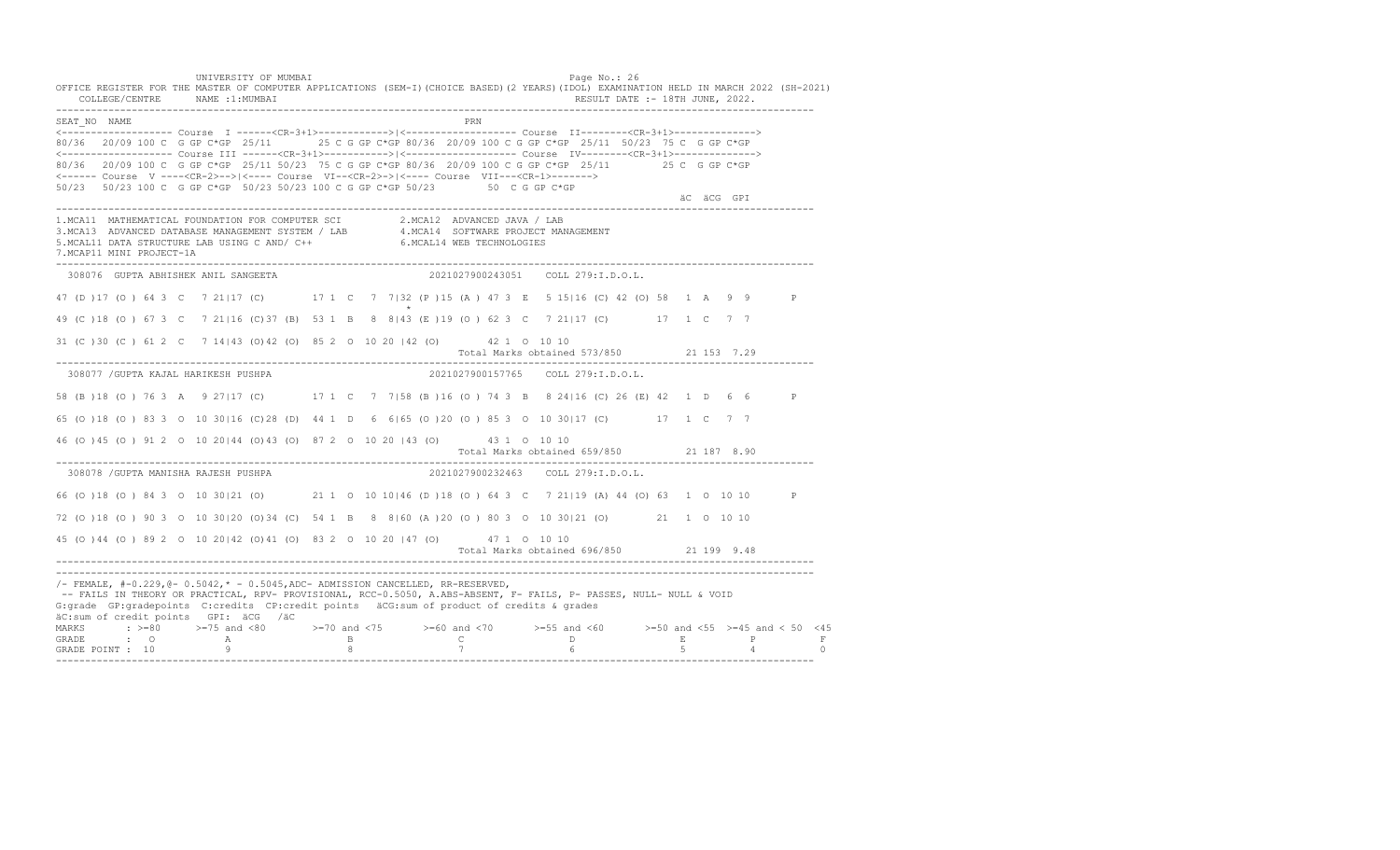UNIVERSITY OF MUMBAI PAGE OF THE PAGE OF THE PAGE OF THE PAGE OF THE PAGE OF THE PAGE OF THE PAGE OF THE PAGE OF THE PAGE OF THE PAGE OF THE PAGE OF THE PAGE OF THE PAGE OF THE PAGE OF THE PAGE OF THE PAGE OF THE PAGE OF T OFFICE REGISTER FOR THE MASTER OF COMPUTER APPLICATIONS (SEM-I)(CHOICE BASED)(2 YEARS)(IDOL) EXAMINATION HELD IN MARCH 2022 (SH-2021) COLLEGE/CENTRE NAME :1:MUMBAI RESULT DATE :- 18TH JUNE, 2022. ---------------------------------------------------------------------------------------------------------------------------------- SEAT\_NO NAME PRN <------------------- Course I ------<CR-3+1>------------>|<------------------- Course II--------<CR-3+1>--------------> 80/36 20/09 100 C G GP C\*GP 25/11 25 C G GP C\*GP 80/36 20/09 100 C G GP C\*GP 25/11 50/23 75 C G GP C\*GP <------------------- Course III ------<CR-3+1>----------->|<------------------- Course IV--------<CR-3+1>--------------> 80/36 20/09 100 C G GP C\*GP 25/11 50/23 75 C G GP C\*GP 80/36 20/09 100 C G GP C\*GP 25/11 25 C G GP C\*GP <------ Course V ----<CR-2>-->|<---- Course VI--<CR-2>->|<---- Course VII---<CR-1>-------> 50/23 50/23 100 C G GP C\*GP 50/23 50/23 100 C G GP C\*GP 50/23 50 C G GP C\*GP äC äCG GPI ä<sup>n v</sup>ächtliche State und der State und der State und der State und der State und der State und der State und der State und der State und der State und der State und der State und der State und der State und der ---------------------------------------------------------------------------------------------------------------------------------- 1.MCA11 MATHEMATICAL FOUNDATION FOR COMPUTER SCI 2.MCA12 ADVANCED JAVA / LAB<br>3.MCA13 ADVANCED DATABASE MANAGEMENT SYSTEM / LAB 4.MCA14 SOFTWARE PROJECT MANAGEMENT<br>5.MCAL11 DATA STRUCTURE LAB USI 7.MCAP11 MINI PROJECT-1A ---------------------------------------------------------------------------------------------------------------------------------- 308076 GUPTA ABHISHEK ANIL SANGEETA 2021027900243051 COLL 279:I.D.O.L. 47 (D )17 (O ) 64 3 C 7 21|17 (C) 17 1 C 7 7|32 (P )15 (A ) 47 3 E 5 15|16 (C) 42 (O) 58 1 A 9 9 P  $\star$ 49 (C )18 (O ) 67 3 C 7 21|16 (C)37 (B) 53 1 B 8 8|43 (E )19 (O ) 62 3 C 7 21|17 (C) 17 1 C 7 7 31 (C )30 (C ) 61 2 C 7 14|43 (O)42 (O) 85 2 O 10 20 |42 (O) 42 1 O 10 10 Total Marks obtained 573/850 21 153 7.29 ---------------------------------------------------------------------------------------------------------------------------------- 308077 /GUPTA KAJAL HARIKESH PUSHPA 2021027900157765 COLL 279:I.D.O.L. 58 (B )18 (O ) 76 3 A 9 27|17 (C) 17 1 C 7 7|58 (B )16 (O ) 74 3 B 8 24|16 (C) 26 (E) 42 1 D 6 6 P 65 (O )18 (O ) 83 3 O 10 30|16 (C)28 (D) 44 1 D 6 6|65 (O )20 (O ) 85 3 O 10 30|17 (C) 17 1 C 7 7 46 (O )45 (O ) 91 2 O 10 20|44 (O)43 (O) 87 2 O 10 20 |43 (O) 43 1 O 10 10 Total Marks obtained 659/850 21 187 8.90 ---------------------------------------------------------------------------------------------------------------------------------- 308078 /GUPTA MANISHA RAJESH PUSHPA 66 (O )18 (O ) 84 3 O 10 30|21 (O) 21 1 O 10 10|46 (D )18 (O ) 64 3 C 7 21|19 (A) 44 (O) 63 1 O 10 10 P 72 (O )18 (O ) 90 3 O 10 30|20 (O)34 (C) 54 1 B 8 8|60 (A )20 (O ) 80 3 O 10 30|21 (O) 21 1 O 10 10 45 (O )44 (O ) 89 2 O 10 20|42 (O)41 (O) 83 2 O 10 20 |47 (O) 47 1 O 10 10 Total Marks obtained 696/850 21 199 9.48 ---------------------------------------------------------------------------------------------------------------------------------- ---------------------------------------------------------------------------------------------------------------------------------- /- FEMALE, #-0.229,@- 0.5042,\* - 0.5045,ADC- ADMISSION CANCELLED, RR-RESERVED, -- FAILS IN THEORY OR PRACTICAL, RPV- PROVISIONAL, RCC-0.5050, A.ABS-ABSENT, F- FAILS, P- PASSES, NULL- NULL & VOID G:grade GP:gradepoints C:credits CP:credit points äCG:sum of product of credits & grades äC:sum of credit points GPI: äCG /äC MARKS : >=80 >=75 and <80 >=70 and <75 >=60 and <70 >=55 and <60 >=50 and <55 >=45 and < 50 <45 GRADE : O A B C D E P F<br>GRADE POINT : 10 9 9 8 7 7 6 5 4 0 ----------------------------------------------------------------------------------------------------------------------------------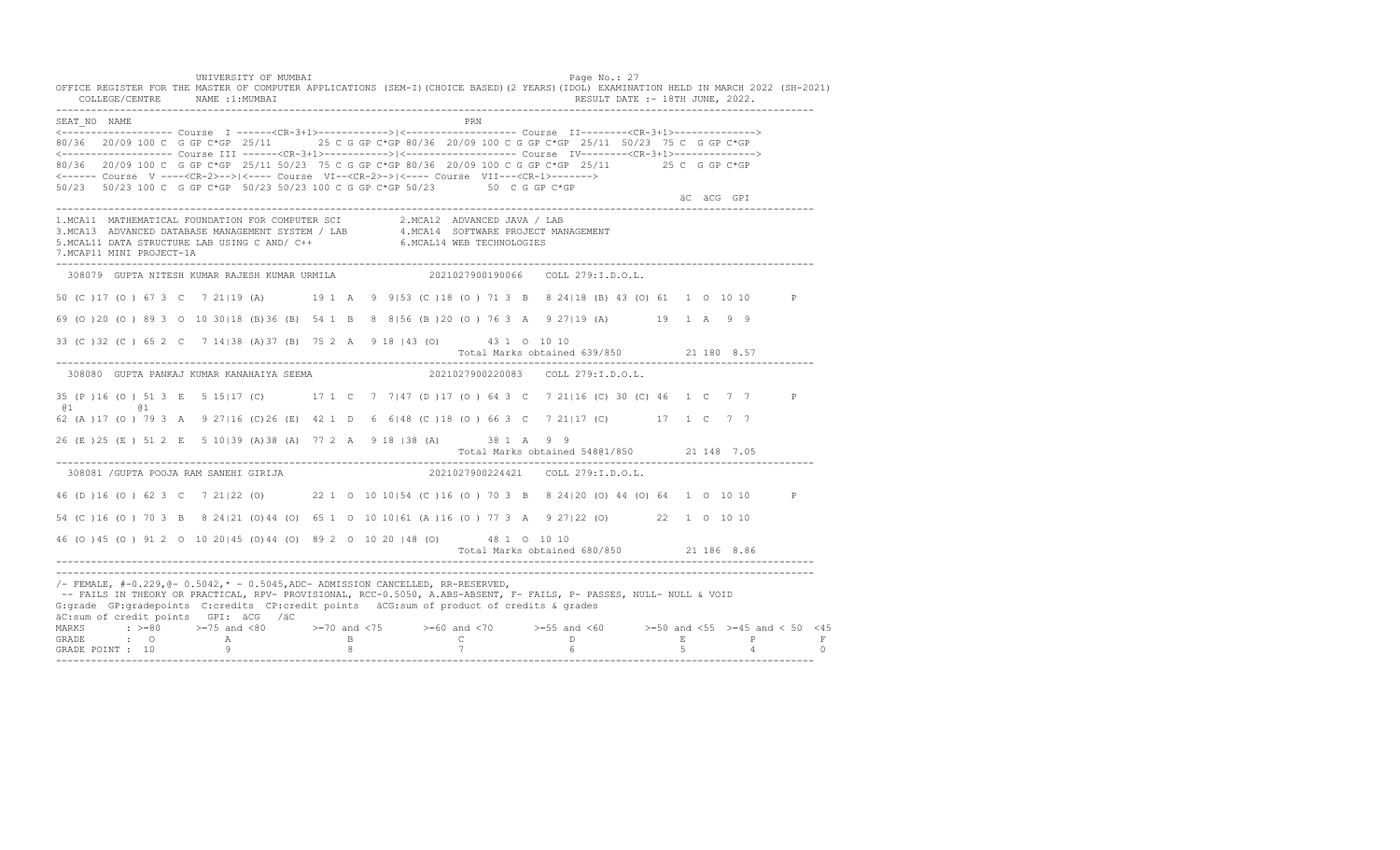UNIVERSITY OF MUMBAI PAGE OF THE PAGE OF THE PAGE OF THE PAGE OF THE PAGE OF THE PAGE OF THE PAGE OF THE PAGE OF THE PAGE OF THE PAGE OF THE PAGE OF THE PAGE OF THE PAGE OF THE PAGE OF THE PAGE OF THE PAGE OF THE PAGE OF T OFFICE REGISTER FOR THE MASTER OF COMPUTER APPLICATIONS (SEM-I)(CHOICE BASED)(2 YEARS)(IDOL) EXAMINATION HELD IN MARCH 2022 (SH-2021) COLLEGE/CENTRE NAME :1:MUMBAI RESULT DATE :- 18TH JUNE, 2022. ---------------------------------------------------------------------------------------------------------------------------------- SEAT\_NO NAME PRN <------------------- Course I ------<CR-3+1>------------>|<------------------- Course II--------<CR-3+1>--------------> 80/36 20/09 100 C G GP C\*GP 25/11 25 C G GP C\*GP 80/36 20/09 100 C G GP C\*GP 25/11 50/23 75 C G GP C\*GP <------------------- Course III ------<CR-3+1>----------->|<------------------- Course IV--------<CR-3+1>--------------> 80/36 20/09 100 C G GP C\*GP 25/11 50/23 75 C G GP C\*GP 80/36 20/09 100 C G GP C\*GP 25/11 25 C G GP C\*GP <------ Course V ----<CR-2>-->|<---- Course VI--<CR-2>->|<---- Course VII---<CR-1>-------> 50/23 50/23 100 C G GP C\*GP 50/23 50/23 100 C G GP C\*GP 50/23 50 C G GP C\*GP äC äCG GPI ä<sup>n v</sup>ächtliche State und der State und der State und der State und der State und der State und der State und der State und der State und der State und der State und der State und der State und der State und der ---------------------------------------------------------------------------------------------------------------------------------- 1.MCA11 MATHEMATICAL FOUNDATION FOR COMPUTER SCI 2.MCA12 ADVANCED JAVA / LAB<br>3.MCA13 ADVANCED DATABASE MANAGEMENT SYSTEM / LAB 4.MCA14 SOFTWARE PROJECT MANAGEMENT<br>5.MCAL11 DATA STRUCTURE LAB USI 7.MCAP11 MINI PROJECT-1A ---------------------------------------------------------------------------------------------------------------------------------- 308079 GUPTA NITESH KUMAR RAJESH KUMAR URMILA 2021027900190066 COLL 279:I.D.O.L. 50 (C )17 (O ) 67 3 C 7 21|19 (A) 19 1 A 9 9|53 (C )18 (O ) 71 3 B 8 24|18 (B) 43 (O) 61 1 O 10 10 P 69 (O )20 (O ) 89 3 O 10 30|18 (B)36 (B) 54 1 B 8 8|56 (B )20 (O ) 76 3 A 9 27|19 (A) 19 1 A 9 9 33 (C )32 (C ) 65 2 C 7 14|38 (A)37 (B) 75 2 A 9 18 |43 (O) 43 1 O 10 10 Total Marks obtained 639/850 21 180 8.57 ---------------------------------------------------------------------------------------------------------------------------------- 308080 GUPTA PANKAJ KUMAR KANAHAIYA SEEMA 2021027900220083 COLL 279:I.D.O.L. 35 (P )16 (O ) 51 3 E 5 15|17 (C) 17 1 C 7 7|47 (D )17 (O ) 64 3 C 7 21|16 (C) 30 (C) 46 1 C 7 7 P @1 @1 62 (A )17 (O ) 79 3 A 9 27|16 (C)26 (E) 42 1 D 6 6|48 (C )18 (O ) 66 3 C 7 21|17 (C) 17 1 C 7 7 26 (E )25 (E ) 51 2 E 5 10|39 (A)38 (A) 77 2 A 9 18 |38 (A) 38 1 A 9 9 Total Marks obtained 548@1/850 21 148 7.05 ---------------------------------------------------------------------------------------------------------------------------------- 308081 /GUPTA POOJA RAM SANEHI GIRIJA 46 (D )16 (O ) 62 3 C 7 21|22 (O) 22 1 O 10 10|54 (C )16 (O ) 70 3 B 8 24|20 (O) 44 (O) 64 1 O 10 10 P 54 (C )16 (O ) 70 3 B 8 24|21 (O)44 (O) 65 1 O 10 10|61 (A )16 (O ) 77 3 A 9 27|22 (O) 22 1 O 10 10 46 (O )45 (O ) 91 2 O 10 20|45 (O)44 (O) 89 2 O 10 20 |48 (O) 48 1 O 10 10 Total Marks obtained 680/850 21 186 8.86 ---------------------------------------------------------------------------------------------------------------------------------- ---------------------------------------------------------------------------------------------------------------------------------- /- FEMALE, #-0.229,@- 0.5042,\* - 0.5045,ADC- ADMISSION CANCELLED, RR-RESERVED, -- FAILS IN THEORY OR PRACTICAL, RPV- PROVISIONAL, RCC-0.5050, A.ABS-ABSENT, F- FAILS, P- PASSES, NULL- NULL & VOID G:grade GP:gradepoints C:credits CP:credit points äCG:sum of product of credits & grades äC:sum of credit points GPI: äCG /äC MARKS : >=80 >=75 and <80 >=70 and <75 >=60 and <70 >=55 and <60 >=50 and <55 >=45 and < 50 <45 GRADE : O A B C D E P F GRADE POINT : 10 9 8 7 6 5 4 0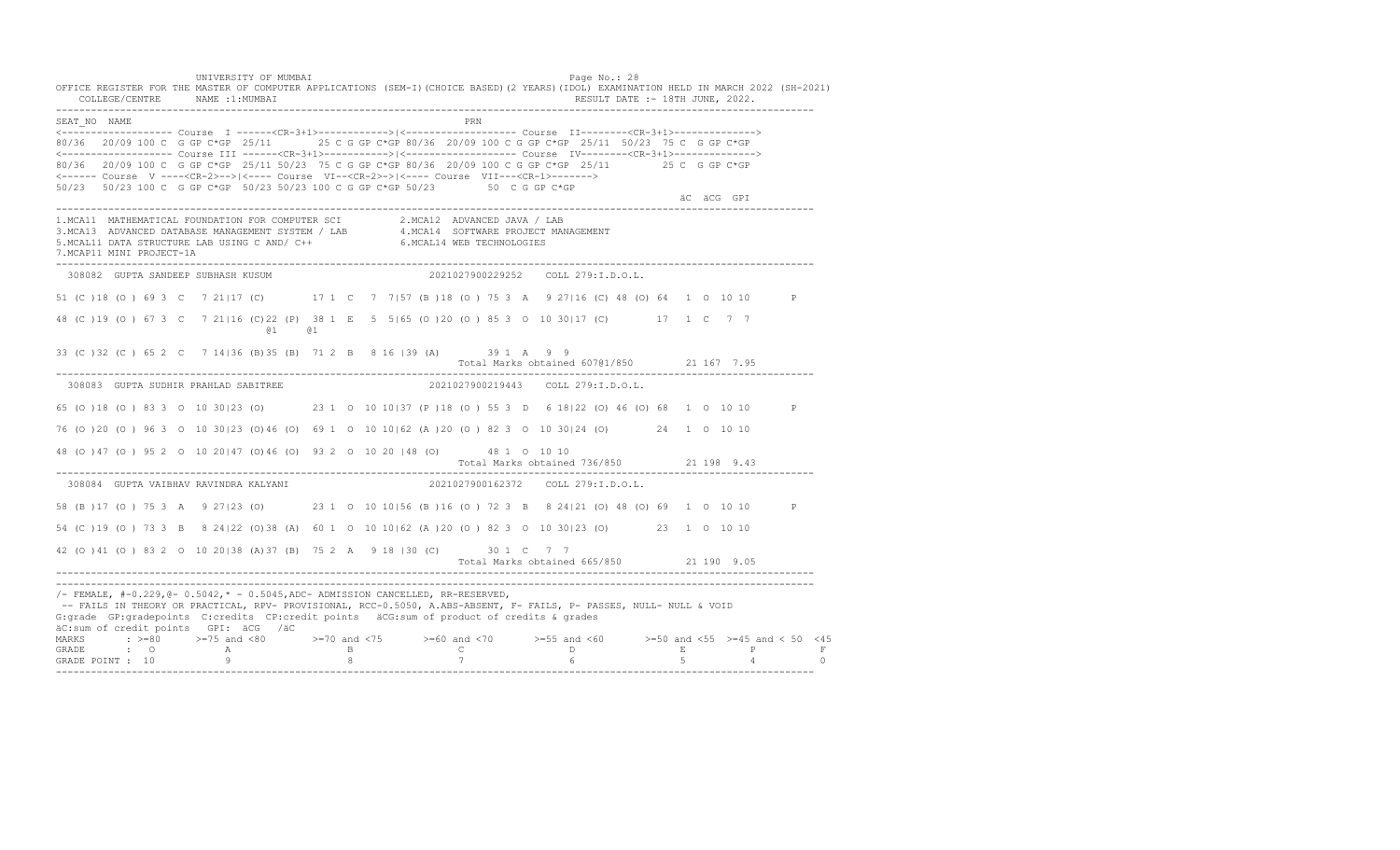UNIVERSITY OF MUMBAI PAGE OF THE PAGE OF THE PAGE OF THE PAGE OF THE PAGE OF THE PAGE OF THE PAGE OF THE PAGE OF THE PAGE OF THE PAGE OF THE PAGE OF THE PAGE OF THE PAGE OF THE PAGE OF THE PAGE OF THE PAGE OF THE PAGE OF T OFFICE REGISTER FOR THE MASTER OF COMPUTER APPLICATIONS (SEM-I)(CHOICE BASED)(2 YEARS)(IDOL) EXAMINATION HELD IN MARCH 2022 (SH-2021) COLLEGE/CENTRE NAME :1:MUMBAI RESULT DATE :- 18TH JUNE, 2022. ---------------------------------------------------------------------------------------------------------------------------------- SEAT\_NO \_\_NAME PRN <------------------- Course I ------<CR-3+1>------------>|<------------------- Course II--------<CR-3+1>--------------> 80/36 20/09 100 C G GP C\*GP 25/11 25 C G GP C\*GP 80/36 20/09 100 C G GP C\*GP 25/11 50/23 75 C G GP C\*GP <------------------- Course III ------<CR-3+1>----------->|<------------------- Course IV--------<CR-3+1>--------------> 80/36 20/09 100 C G GP C\*GP 25/11 50/23 75 C G GP C\*GP 80/36 20/09 100 C G GP C\*GP 25/11 25 C G GP C\*GP <------ Course V ----<CR-2>-->|<---- Course VI--<CR-2>->|<---- Course VII---<CR-1>-------> 50/23 50/23 100 C G GP C\*GP 50/23 50/23 100 C G GP C\*GP 50/23 50 C G GP C\*GP äC äCG GPI ä<sup>n v</sup>ächtliche State und der State und der State und der State und der State und der State und der State und der State und der State und der State und der State und der State und der State und der State und der ---------------------------------------------------------------------------------------------------------------------------------- 1.MCA11 MATHEMATICAL FOUNDATION FOR COMPUTER SCI 2.MCA12 ADVANCED JAVA / LAB<br>3.MCA13 ADVANCED DATABASE MANAGEMENT SYSTEM / LAB 4.MCA14 SOFTWARE PROJECT MANAGEMENT<br>5.MCAL11 DATA STRUCTURE LAB USI 7.MCAP11 MINI PROJECT-1A ---------------------------------------------------------------------------------------------------------------------------------- 308082 GUPTA SANDEEP SUBHASH KUSUM 2021027900229252 COLL 279:I.D.O.L. 51 (C )18 (O ) 69 3 C 7 21|17 (C) 17 1 C 7 7|57 (B )18 (O ) 75 3 A 9 27|16 (C) 48 (O) 64 1 O 10 10 P 48 (C )19 (O ) 67 3 C 7 21|16 (C)22 (P) 38 1 E 5 5|65 (O )20 (O ) 85 3 O 10 30|17 (C) 17 1 C 7 7 @1 @1 33 (C )32 (C ) 65 2 C 7 14|36 (B)35 (B) 71 2 B 8 16 |39 (A) 39 1 A 9 9 Total Marks obtained 607@1/850 21 167 7.95 ---------------------------------------------------------------------------------------------------------------------------------- 308083 GUPTA SUDHIR PRAHLAD SABITREE 65 (O )18 (O ) 83 3 O 10 30|23 (O) 23 1 O 10 10|37 (P )18 (O ) 55 3 D 6 18|22 (O) 46 (O) 68 1 O 10 10 P 76 (O )20 (O ) 96 3 O 10 30|23 (O)46 (O) 69 1 O 10 10|62 (A )20 (O ) 82 3 O 10 30|24 (O) 24 1 O 10 10 48 (O )47 (O ) 95 2 O 10 20|47 (O)46 (O) 93 2 O 10 20 |48 (O) 48 1 O 10 10 Total Marks obtained 736/850 21 198 9.43 ---------------------------------------------------------------------------------------------------------------------------------- 308084 GUPTA VAIBHAV RAVINDRA KALYANI 2021027900162372 COLL 279:I.D.O.L. 58 (B )17 (O ) 75 3 A 9 27|23 (O) 23 1 O 10 10|56 (B )16 (O ) 72 3 B 8 24|21 (O) 48 (O) 69 1 O 10 10 P 54 (C )19 (O ) 73 3 B 8 24|22 (O)38 (A) 60 1 O 10 10|62 (A )20 (O ) 82 3 O 10 30|23 (O) 23 1 O 10 10 42 (O )41 (O ) 83 2 O 10 20|38 (A)37 (B) 75 2 A 9 18 |30 (C) 30 1 C 7 7 Total Marks obtained 665/850 21 190 9.05 ---------------------------------------------------------------------------------------------------------------------------------- ----------------------------------------------------------------------------------------------------------------------------------  $/-$  FEMALE,  $#-0.229$ ,  $@-0.5042$ ,  $* -0.5045$ , ADC- ADMISSION CANCELLED, RR-RESERVED, -- FAILS IN THEORY OR PRACTICAL, RPV- PROVISIONAL, RCC-0.5050, A.ABS-ABSENT, F- FAILS, P- PASSES, NULL- NULL & VOID G:grade GP:gradepoints C:credits CP:credit points äCG:sum of product of credits & grades äC:sum of credit points GPI: äCG /äC MARKS : >=80 >=75 and <80 >=70 and <75 >=60 and <70 >=55 and <60 >=50 and <55 >=45 and < 50 <45<br>GRADE : O A B C D E P F<br>GRADE POINT : 10 9 8 7 6 5 4 0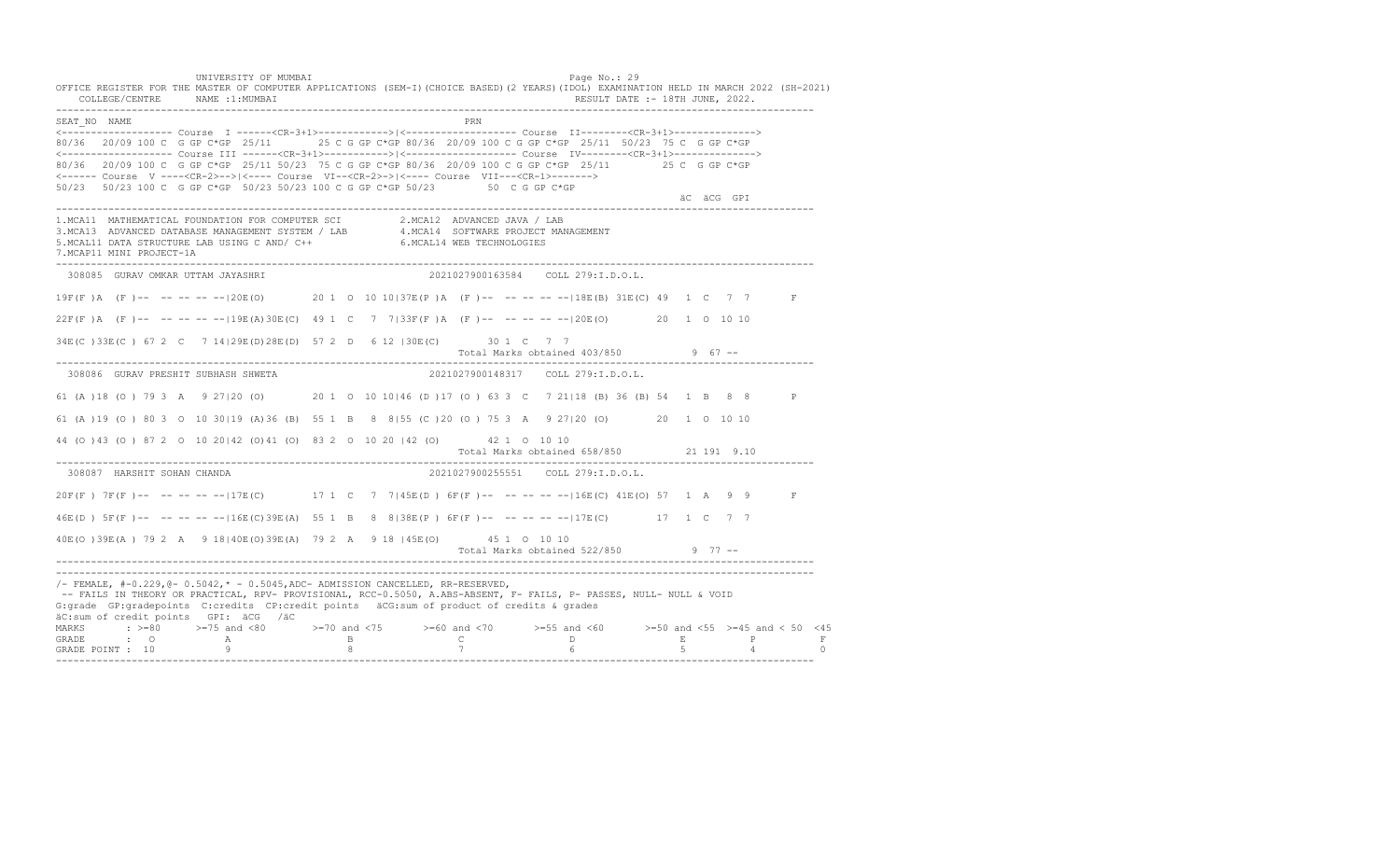UNIVERSITY OF MUMBAI PAGE OF THE PAGE OF THE PAGE OF THE PAGE OF THE PAGE OF THE PAGE OF THE PAGE OF THE PAGE OF THE PAGE OF THE PAGE OF THE PAGE OF THE PAGE OF THE PAGE OF THE PAGE OF THE PAGE OF THE PAGE OF THE PAGE OF T OFFICE REGISTER FOR THE MASTER OF COMPUTER APPLICATIONS (SEM-I)(CHOICE BASED)(2 YEARS)(IDOL) EXAMINATION HELD IN MARCH 2022 (SH-2021) COLLEGE/CENTRE NAME :1:MUMBAI RESULT DATE :- 18TH JUNE, 2022. ---------------------------------------------------------------------------------------------------------------------------------- SEAT\_NO NAME PRN <------------------- Course I ------<CR-3+1>------------>|<------------------- Course II--------<CR-3+1>--------------> 80/36 20/09 100 C G GP C\*GP 25/11 25 C G GP C\*GP 80/36 20/09 100 C G GP C\*GP 25/11 50/23 75 C G GP C\*GP <------------------- Course III ------<CR-3+1>----------->|<------------------- Course IV--------<CR-3+1>--------------> 80/36 20/09 100 C G GP C\*GP 25/11 50/23 75 C G GP C\*GP 80/36 20/09 100 C G GP C\*GP 25/11 25 C G GP C\*GP <------ Course V ----<CR-2>-->|<---- Course VI--<CR-2>->|<---- Course VII---<CR-1>-------> 50/23 50/23 100 C G GP C\*GP 50/23 50/23 100 C G GP C\*GP 50/23 50 C G GP C\*GP äC äCG GPI ä<sup>n v</sup>ächtliche State und der State und der State und der State und der State und der State und der State und der State und der State und der State und der State und der State und der State und der State und der ---------------------------------------------------------------------------------------------------------------------------------- 1.MCA11 MATHEMATICAL FOUNDATION FOR COMPUTER SCI 2.MCA12 ADVANCED JAVA / LAB<br>3.MCA13 ADVANCED DATABASE MANAGEMENT SYSTEM / LAB 4.MCA14 SOFTWARE PROJECT MANAGEMENT<br>5.MCAL11 DATA STRUCTURE LAB USI 7.MCAP11 MINI PROJECT-1A ---------------------------------------------------------------------------------------------------------------------------------- 308085 GURAV OMKAR UTTAM JAYASHRI 2021027900163584 COLL 279:I.D.O.L. 19F(F )A (F )-- -- -- -- --|20E(O) 20 1 O 10 10|37E(P )A (F )-- -- -- -- --|18E(B) 31E(C) 49 1 C 7 7 F  $22F(F)$  A (F )-- -- -- -- --  $19E(A)30E(C)$  49 1 C 7 7 133F(F) A (F )-- -- -- -- -- -120E(O) 20 1 O 10 10 34E(C )33E(C ) 67 2 C 7 14|29E(D)28E(D) 57 2 D 6 12 |30E(C) 30 1 C 7 7 Total Marks obtained 403/850 9 67 ------------------------------------------------------------------------------------------------------------------------------------ 308086 GURAV PRESHIT SUBHASH SHWETA 2021027900148317 COLL 279:I.D.O.L. 61 (A )18 (O ) 79 3 A 9 27|20 (O) 20 1 O 10 10|46 (D )17 (O ) 63 3 C 7 21|18 (B) 36 (B) 54 1 B 8 8 P 61 (A )19 (O ) 80 3 O 10 30|19 (A)36 (B) 55 1 B 8 8|55 (C )20 (O ) 75 3 A 9 27|20 (O) 20 1 O 10 10 44 (O )43 (O ) 87 2 O 10 20|42 (O)41 (O) 83 2 O 10 20 |42 (O) 42 1 O 10 10 Total Marks obtained 658/850 21 191 9.10 ---------------------------------------------------------------------------------------------------------------------------------- 308087 HARSHIT SOHAN CHANDA 2021027900255551 COLL 279:I.D.O.L. 20F(F ) 7F(F )-- -- -- -- --|17E(C) 17 1 C 7 7|45E(D ) 6F(F )-- -- -- -- --|16E(C) 41E(O) 57 1 A 9 9 F 46E(D ) 5F(F )-- -- -- -- --|16E(C)39E(A) 55 1 B 8 8|38E(P ) 6F(F )-- -- -- -- --|17E(C) 17 1 C 7 7 40E(O )39E(A ) 79 2 A 9 18|40E(O)39E(A) 79 2 A 9 18 |45E(O) 45 1 O 10 10 Total Marks obtained 522/850 9 77 ------------------------------------------------------------------------------------------------------------------------------------ ---------------------------------------------------------------------------------------------------------------------------------- /- FEMALE, #-0.229,@- 0.5042,\* - 0.5045,ADC- ADMISSION CANCELLED, RR-RESERVED, -- FAILS IN THEORY OR PRACTICAL, RPV- PROVISIONAL, RCC-0.5050, A.ABS-ABSENT, F- FAILS, P- PASSES, NULL- NULL & VOID G:grade GP:gradepoints C:credits CP:credit points äCG:sum of product of credits & grades äC:sum of credit points GPI: äCG /äC MARKS : >=80 >=75 and <80 >=70 and <75 >=60 and <70 >=55 and <60 >=50 and <55 >=45 and < 50 <45 GRADE : O A B C D E P F GRADE POINT : 10 9 8 7 6 5 4 0 ----------------------------------------------------------------------------------------------------------------------------------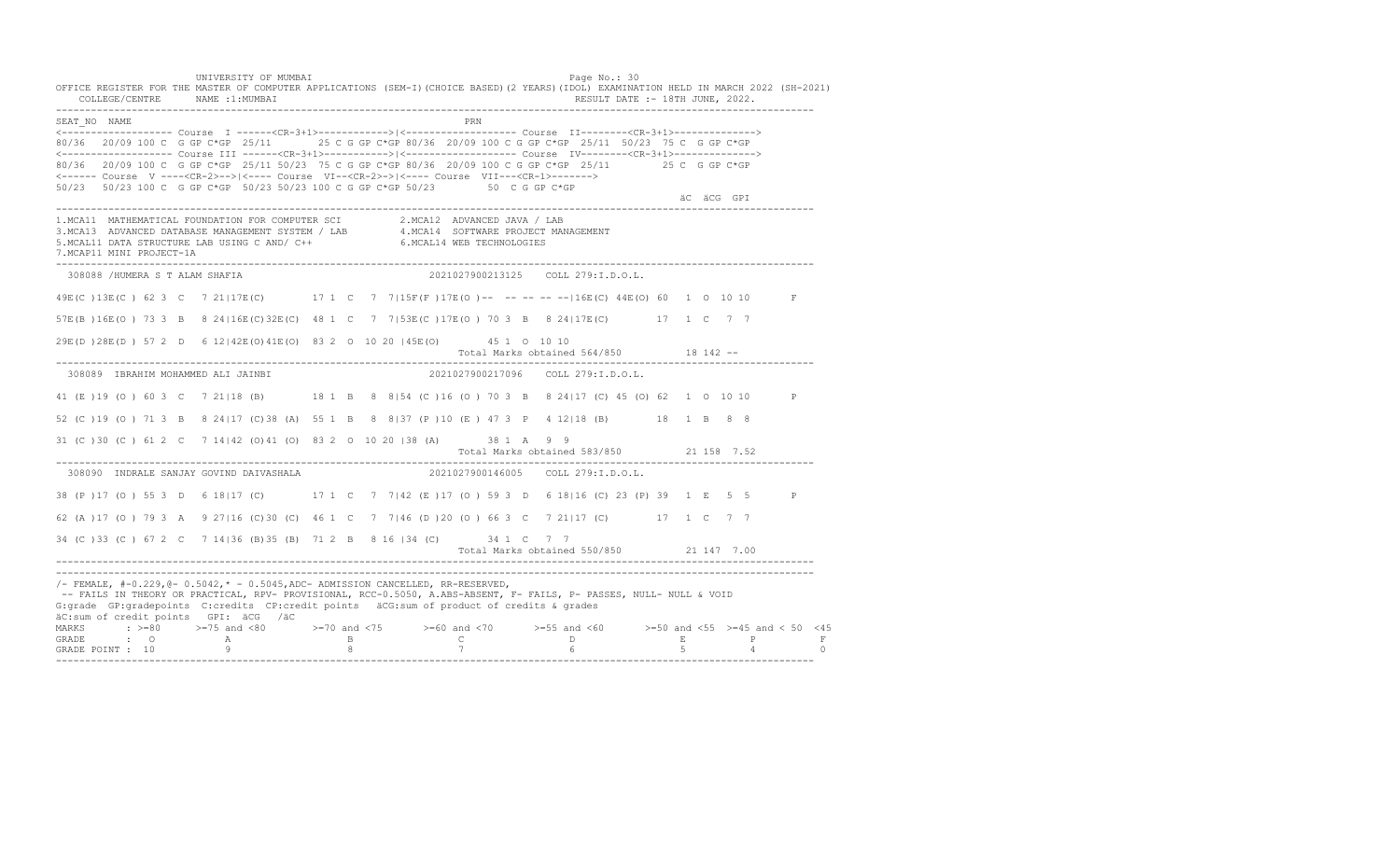UNIVERSITY OF MUMBAI PAGE OF THE PAGE OF THE PAGE OF THE PAGE OF THE PAGE OF THE PAGE OF THE PAGE OF THE PAGE OF THE PAGE OF THE PAGE OF THE PAGE OF THE PAGE OF THE PAGE OF THE PAGE OF THE PAGE OF THE PAGE OF THE PAGE OF T OFFICE REGISTER FOR THE MASTER OF COMPUTER APPLICATIONS (SEM-I)(CHOICE BASED)(2 YEARS)(IDOL) EXAMINATION HELD IN MARCH 2022 (SH-2021) COLLEGE/CENTRE NAME :1:MUMBAI RESULT DATE :- 18TH JUNE, 2022. ---------------------------------------------------------------------------------------------------------------------------------- SEAT\_NO NAME PRN <------------------- Course I ------<CR-3+1>------------>|<------------------- Course II--------<CR-3+1>--------------> 80/36 20/09 100 C G GP C\*GP 25/11 25 C G GP C\*GP 80/36 20/09 100 C G GP C\*GP 25/11 50/23 75 C G GP C\*GP <------------------- Course III ------<CR-3+1>----------->|<------------------- Course IV--------<CR-3+1>--------------> 80/36 20/09 100 C G GP C\*GP 25/11 50/23 75 C G GP C\*GP 80/36 20/09 100 C G GP C\*GP 25/11 25 C G GP C\*GP <------ Course V ----<CR-2>-->|<---- Course VI--<CR-2>->|<---- Course VII---<CR-1>-------> 50/23 50/23 100 C G GP C\*GP 50/23 50/23 100 C G GP C\*GP 50/23 50 C G GP C\*GP äC äCG GPI ä<sup>n v</sup>ächtliche State und der State und der State und der State und der State und der State und der State und der State und der State und der State und der State und der State und der State und der State und der ---------------------------------------------------------------------------------------------------------------------------------- 1.MCA11 MATHEMATICAL FOUNDATION FOR COMPUTER SCI 2.MCA12 ADVANCED JAVA / LAB<br>3.MCA13 ADVANCED DATABASE MANAGEMENT SYSTEM / LAB 4.MCA14 SOFTWARE PROJECT MANAGEMENT<br>5.MCAL11 DATA STRUCTURE LAB USI 7.MCAP11 MINI PROJECT-1A ---------------------------------------------------------------------------------------------------------------------------------- 308088 /HUMERA S T ALAM SHAFIA 2021027900213125 COLL 279:I.D.O.L. 49E(C )13E(C ) 62 3 C 7 21|17E(C) 17 1 C 7 7|15F(F )17E(O )-- -- -- -- --|16E(C) 44E(O) 60 1 O 10 10 F 57E(B )16E(O ) 73 3 B 8 24|16E(C)32E(C) 48 1 C 7 7|53E(C )17E(O ) 70 3 B 8 24|17E(C) 17 1 C 7 7 29E(D )28E(D ) 57 2 D 6 12|42E(O)41E(O) 83 2 O 10 20 |45E(O) 45 1 O 10 10 Total Marks obtained 564/850 18 142 -- ---------------------------------------------------------------------------------------------------------------------------------- 308089 IBRAHIM MOHAMMED ALI JAINBI 2021027900217096 COLL 279:I.D.O.L. 41 (E )19 (O ) 60 3 C 7 21|18 (B) 18 1 B 8 8|54 (C )16 (O ) 70 3 B 8 24|17 (C) 45 (O) 62 1 O 10 10 P 52 (C )19 (O ) 71 3 B 8 24|17 (C)38 (A) 55 1 B 8 8|37 (P )10 (E ) 47 3 P 4 12|18 (B) 18 1 B 8 8 31 (C )30 (C ) 61 2 C 7 14|42 (O)41 (O) 83 2 O 10 20 |38 (A) 38 1 A 9 9 Total Marks obtained 583/850 21 158 7.52 ---------------------------------------------------------------------------------------------------------------------------------- 308090 INDRALE SANJAY GOVIND DAIVASHALA 38 (P )17 (O ) 55 3 D 6 18|17 (C) 17 1 C 7 7|42 (E )17 (O ) 59 3 D 6 18|16 (C) 23 (P) 39 1 E 5 5 P 62 (A )17 (O ) 79 3 A 9 27|16 (C)30 (C) 46 1 C 7 7|46 (D )20 (O ) 66 3 C 7 21|17 (C) 17 1 C 7 7 34 (C )33 (C ) 67 2 C 7 14|36 (B)35 (B) 71 2 B 8 16 |34 (C) 34 1 C 7 7 Total Marks obtained 550/850 21 147 7.00 ---------------------------------------------------------------------------------------------------------------------------------- ---------------------------------------------------------------------------------------------------------------------------------- /- FEMALE, #-0.229,@- 0.5042,\* - 0.5045,ADC- ADMISSION CANCELLED, RR-RESERVED, -- FAILS IN THEORY OR PRACTICAL, RPV- PROVISIONAL, RCC-0.5050, A.ABS-ABSENT, F- FAILS, P- PASSES, NULL- NULL & VOID G:grade GP:gradepoints C:credits CP:credit points äCG:sum of product of credits & grades äC:sum of credit points GPI: äCG /äC MARKS : >=80 >=75 and <80 >=70 and <75 >=60 and <70 >=55 and <60 >=50 and <55 >=45 and < 50 <45 GRADE : O A B C D E P F<br>GRADE POINT : 10 9 9 8 7 7 6 5 4 0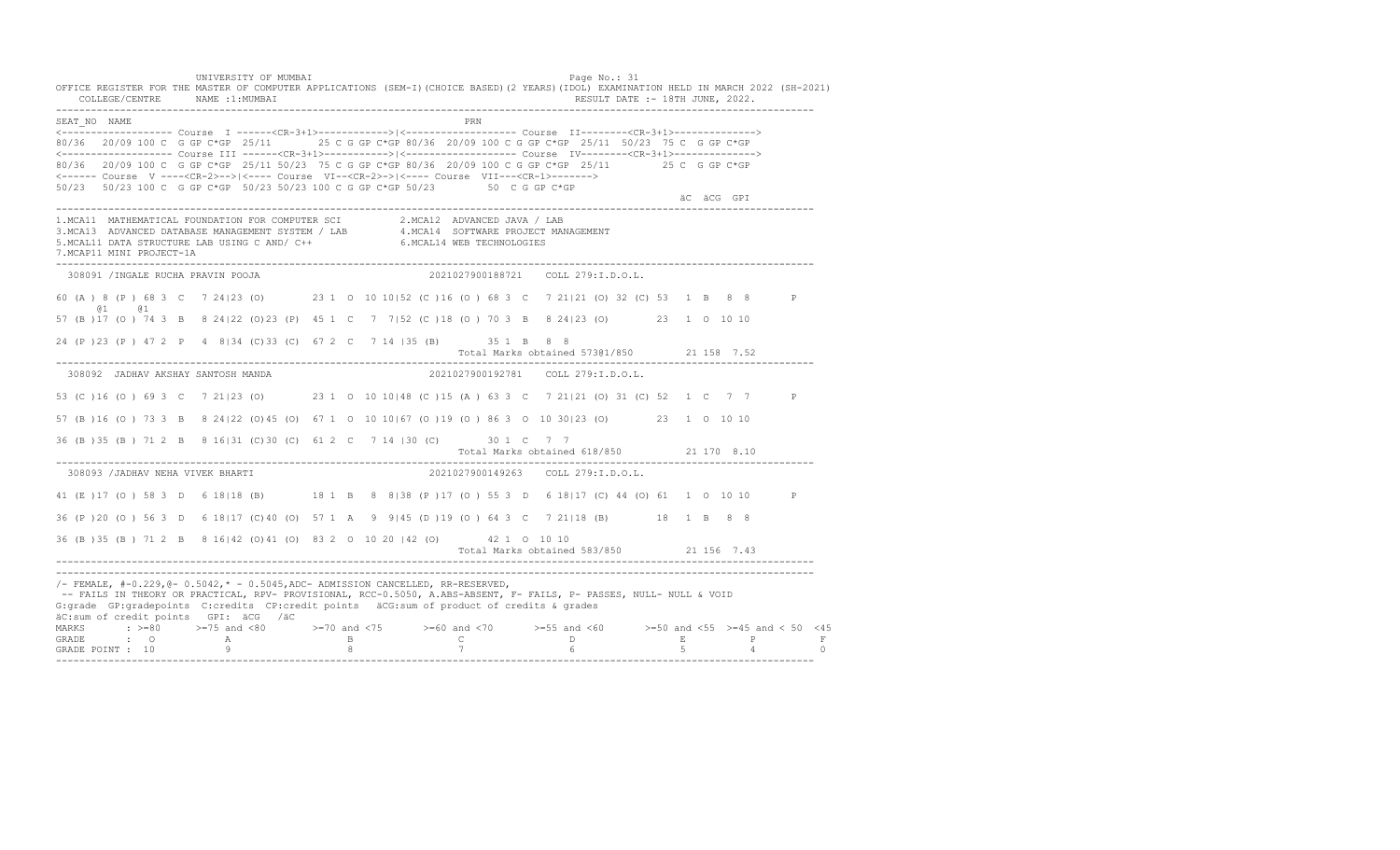UNIVERSITY OF MUMBAI PAGE OF THE PAGE OF THE PAGE OF THE PAGE OF THE PAGE OF THE PAGE OF THE PAGE OF THE PAGE OF THE PAGE OF THE PAGE OF THE PAGE OF THE PAGE OF THE PAGE OF THE PAGE OF THE PAGE OF THE PAGE OF THE PAGE OF T OFFICE REGISTER FOR THE MASTER OF COMPUTER APPLICATIONS (SEM-I)(CHOICE BASED)(2 YEARS)(IDOL) EXAMINATION HELD IN MARCH 2022 (SH-2021) COLLEGE/CENTRE NAME :1:MUMBAI RESULT DATE :- 18TH JUNE, 2022. ---------------------------------------------------------------------------------------------------------------------------------- SEAT\_NO NAME PRIME PRIME PRODUCED A CONTROL IN THE PRIME PRIME PRIME PRIME PRIME PRIME PRIME PRIME PRIME PRIME PRIME PRIME PRIME PRIME PRIME PRIME PRIME PRIME PRIME PRIME PRIME PRIME PRIME PRIME PRIME PRIME PRIME PRIME PRI <------------------- Course I ------<CR-3+1>------------>|<------------------- Course II--------<CR-3+1>--------------> 80/36 20/09 100 C G GP C\*GP 25/11 25 C G GP C\*GP 80/36 20/09 100 C G GP C\*GP 25/11 50/23 75 C G GP C\*GP <------------------- Course III ------<CR-3+1>----------->|<------------------- Course IV--------<CR-3+1>--------------> 80/36 20/09 100 C G GP C\*GP 25/11 50/23 75 C G GP C\*GP 80/36 20/09 100 C G GP C\*GP 25/11 25 C G GP C\*GP <------ Course V ----<CR-2>-->|<---- Course VI--<CR-2>->|<---- Course VII---<CR-1>-------> 50/23 50/23 100 C G GP C\*GP 50/23 50/23 100 C G GP C\*GP 50/23 50 C G GP C\*GP äC äCG GPI ä<sup>n v</sup>ächtliche State und der State und der State und der State und der State und der State und der State und der State und der State und der State und der State und der State und der State und der State und der ---------------------------------------------------------------------------------------------------------------------------------- 1.MCA11 MATHEMATICAL FOUNDATION FOR COMPUTER SCI 2.MCA12 ADVANCED JAVA / LAB<br>3.MCA13 ADVANCED DATABASE MANAGEMENT SYSTEM / LAB 4.MCA14 SOFTWARE PROJECT MANAGEMENT<br>5.MCAL11 DATA STRUCTURE LAB U 7.MCAP11 MINI PROJECT-1A ---------------------------------------------------------------------------------------------------------------------------------- 308091 /INGALE RUCHA PRAVIN POOJA 2021027900188721 COLL 279:I.D.O.L. 60 (A ) 8 (P ) 68 3 C 7 24|23 (O) 23 1 O 10 10|52 (C )16 (O ) 68 3 C 7 21|21 (O) 32 (C) 53 1 B 8 8 P @1 @1 57 (B )17 (O ) 74 3 B 8 24|22 (O)23 (P) 45 1 C 7 7|52 (C )18 (O ) 70 3 B 8 24|23 (O) 23 1 O 10 10 24 (P )23 (P ) 47 2 P 4 8|34 (C)33 (C) 67 2 C 7 14 |35 (B) 35 1 B 8 8 Total Marks obtained 573@1/850 21 158 7.52 ---------------------------------------------------------------------------------------------------------------------------------- 308092 JADHAV AKSHAY SANTOSH MANDA 2021027900192781 COLL 279:I.D.O.L. 53 (C )16 (O ) 69 3 C 7 21|23 (O) 23 1 O 10 10|48 (C )15 (A ) 63 3 C 7 21|21 (O) 31 (C) 52 1 C 7 7 P 57 (B )16 (O ) 73 3 B 8 24|22 (O)45 (O) 67 1 O 10 10|67 (O )19 (O ) 86 3 O 10 30|23 (O) 23 1 O 10 10 36 (B )35 (B ) 71 2 B 8 16|31 (C)30 (C) 61 2 C 7 14 |30 (C) 30 1 C 7 7 Total Marks obtained 618/850 21 170 8.10 ---------------------------------------------------------------------------------------------------------------------------------- 308093 /JADHAV NEHA VIVEK BHARTI 2021027900149263 COLL 279:I.D.O.L. 41 (E ) 17 (O ) 58 3 D 6 18 | 18 (B) 18 1 B 8 8 | 38 (P ) 17 (O ) 55 3 D 6 18 | 17 (C) 44 (O ) 61 1 0 10 10 P 36 (P )20 (O ) 56 3 D 6 18|17 (C)40 (O) 57 1 A 9 9|45 (D )19 (O ) 64 3 C 7 21|18 (B) 18 1 B 8 8 36 (B )35 (B ) 71 2 B 8 16|42 (O)41 (O) 83 2 O 10 20 |42 (O) 42 1 O 10 10 Total Marks obtained 583/850 21 156 7.43 ---------------------------------------------------------------------------------------------------------------------------------- ---------------------------------------------------------------------------------------------------------------------------------- /- FEMALE, #-0.229,@- 0.5042,\* - 0.5045,ADC- ADMISSION CANCELLED, RR-RESERVED, -- FAILS IN THEORY OR PRACTICAL, RPV- PROVISIONAL, RCC-0.5050, A.ABS-ABSENT, F- FAILS, P- PASSES, NULL- NULL & VOID G:grade GP:gradepoints C:credits CP:credit points äCG:sum of product of credits & grades äC:sum of credit points GPI: äCG /äC MARKS : >=80 >=75 and <80 >=70 and <75 >=60 and <70 >=55 and <60 >=50 and <55 >=45 and < 50 <45 GRADE : O A B C D E P F<br>GRADE POINT : 10 9 9 8 7 7 6 5 4 0 ----------------------------------------------------------------------------------------------------------------------------------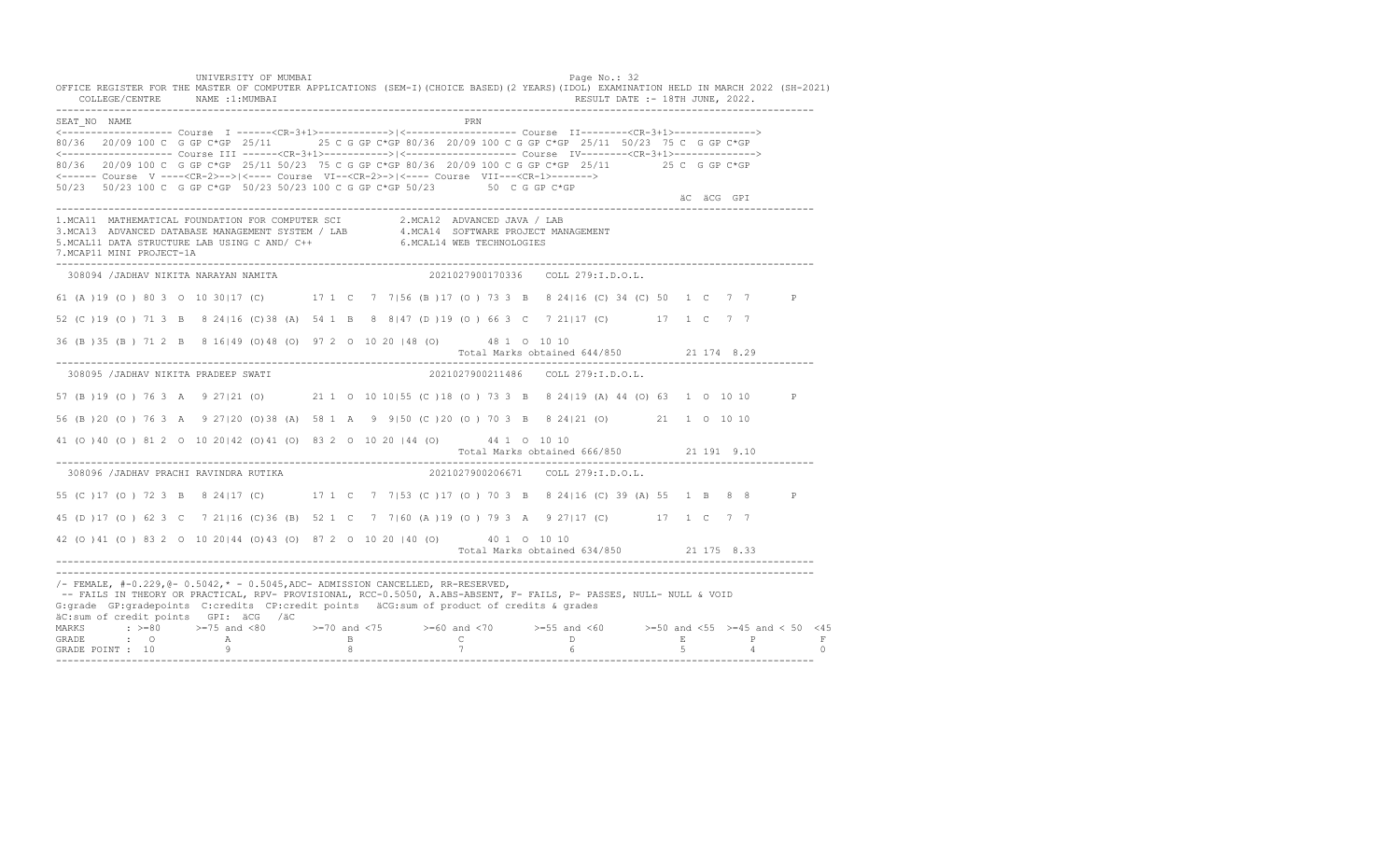UNIVERSITY OF MUMBAI PAGE OF THE PAGE OF THE PAGE OF THE PAGE OF THE PAGE OF THE PAGE OF THE PAGE OF THE PAGE OF THE PAGE OF THE PAGE OF THE PAGE OF THE PAGE OF THE PAGE OF THE PAGE OF THE PAGE OF THE PAGE OF THE PAGE OF T OFFICE REGISTER FOR THE MASTER OF COMPUTER APPLICATIONS (SEM-I)(CHOICE BASED)(2 YEARS)(IDOL) EXAMINATION HELD IN MARCH 2022 (SH-2021) COLLEGE/CENTRE NAME :1:MUMBAI RESULT DATE :- 18TH JUNE, 2022. ---------------------------------------------------------------------------------------------------------------------------------- SEAT\_NO NAME <------------------- Course I ------<CR-3+1>------------>|<------------------- Course II--------<CR-3+1>--------------> 80/36 20/09 100 C G GP C\*GP 25/11 25 C G GP C\*GP 80/36 20/09 100 C G GP C\*GP 25/11 50/23 75 C G GP C\*GP <------------------- Course III ------<CR-3+1>----------->|<------------------- Course IV--------<CR-3+1>--------------> 80/36 20/09 100 C G GP C\*GP 25/11 50/23 75 C G GP C\*GP 80/36 20/09 100 C G GP C\*GP 25/11 25 C G GP C\*GP <------ Course V ----<CR-2>-->|<---- Course VI--<CR-2>->|<---- Course VII---<CR-1>-------> 50/23 50/23 100 C G GP C\*GP 50/23 50/23 100 C G GP C\*GP 50/23 50 C G GP C\*GP äC äCG GPI ä<sup>n v</sup>ächtliche State und der State und der State und der State und der State und der State und der State und der State und der State und der State und der State und der State und der State und der State und der ---------------------------------------------------------------------------------------------------------------------------------- 1.MCA11 MATHEMATICAL FOUNDATION FOR COMPUTER SCI 2.MCA12 ADVANCED JAVA / LAB<br>3.MCA13 ADVANCED DATABASE MANAGEMENT SYSTEM / LAB 4.MCA14 SOFTWARE PROJECT MANAGEMENT<br>5.MCAL11 DATA STRUCTURE LAB U 7.MCAP11 MINI PROJECT-1A ---------------------------------------------------------------------------------------------------------------------------------- 308094 /JADHAV NIKITA NARAYAN NAMITA 2021027900170336 COLL 279:I.D.O.L. 61 (A )19 (O ) 80 3 O 10 30|17 (C) 17 1 C 7 7|56 (B )17 (O ) 73 3 B 8 24|16 (C) 34 (C) 50 1 C 7 7 P 52 (C )19 (O ) 71 3 B 8 24|16 (C)38 (A) 54 1 B 8 8|47 (D )19 (O ) 66 3 C 7 21|17 (C) 17 1 C 7 7 36 (B )35 (B ) 71 2 B 8 16|49 (O)48 (O) 97 2 O 10 20 |48 (O) 48 1 O 10 10 Total Marks obtained 644/850 21 174 8.29 ---------------------------------------------------------------------------------------------------------------------------------- 308095 /JADHAV NIKITA PRADEEP SWATI 2021027900211486 COLL 279:I.D.O.L. 57 (B )19 (O ) 76 3 A 9 27|21 (O) 21 1 O 10 10|55 (C )18 (O ) 73 3 B 8 24|19 (A) 44 (O) 63 1 O 10 10 P 56 (B )20 (O ) 76 3 A 9 27|20 (O)38 (A) 58 1 A 9 9|50 (C )20 (O ) 70 3 B 8 24|21 (O) 21 1 O 10 10 41 (O )40 (O ) 81 2 O 10 20|42 (O)41 (O) 83 2 O 10 20 |44 (O) 44 1 O 10 10 Total Marks obtained 666/850 21 191 9.10 ---------------------------------------------------------------------------------------------------------------------------------- 308096 /JADHAV PRACHI RAVINDRA RUTIKA 55 (C )17 (O ) 72 3 B 8 24|17 (C) 17 1 C 7 7|53 (C )17 (O ) 70 3 B 8 24|16 (C) 39 (A) 55 1 B 8 8 P 45 (D )17 (O ) 62 3 C 7 21|16 (C)36 (B) 52 1 C 7 7|60 (A )19 (O ) 79 3 A 9 27|17 (C) 17 1 C 7 7 42 (O )41 (O ) 83 2 O 10 20|44 (O)43 (O) 87 2 O 10 20 |40 (O) 40 1 O 10 10 Total Marks obtained 634/850 21 175 8.33 ---------------------------------------------------------------------------------------------------------------------------------- ---------------------------------------------------------------------------------------------------------------------------------- /- FEMALE, #-0.229,@- 0.5042,\* - 0.5045,ADC- ADMISSION CANCELLED, RR-RESERVED, -- FAILS IN THEORY OR PRACTICAL, RPV- PROVISIONAL, RCC-0.5050, A.ABS-ABSENT, F- FAILS, P- PASSES, NULL- NULL & VOID G:grade GP:gradepoints C:credits CP:credit points äCG:sum of product of credits & grades äC:sum of credit points GPI: äCG /äC MARKS : >=80 >=75 and <80 >=70 and <75 >=60 and <70 >=55 and <60 >=50 and <55 >=45 and < 50 <45 GRADE : O A B C D E P F<br>GRADE POINT : 10 9 9 8 7 7 6 5 4 0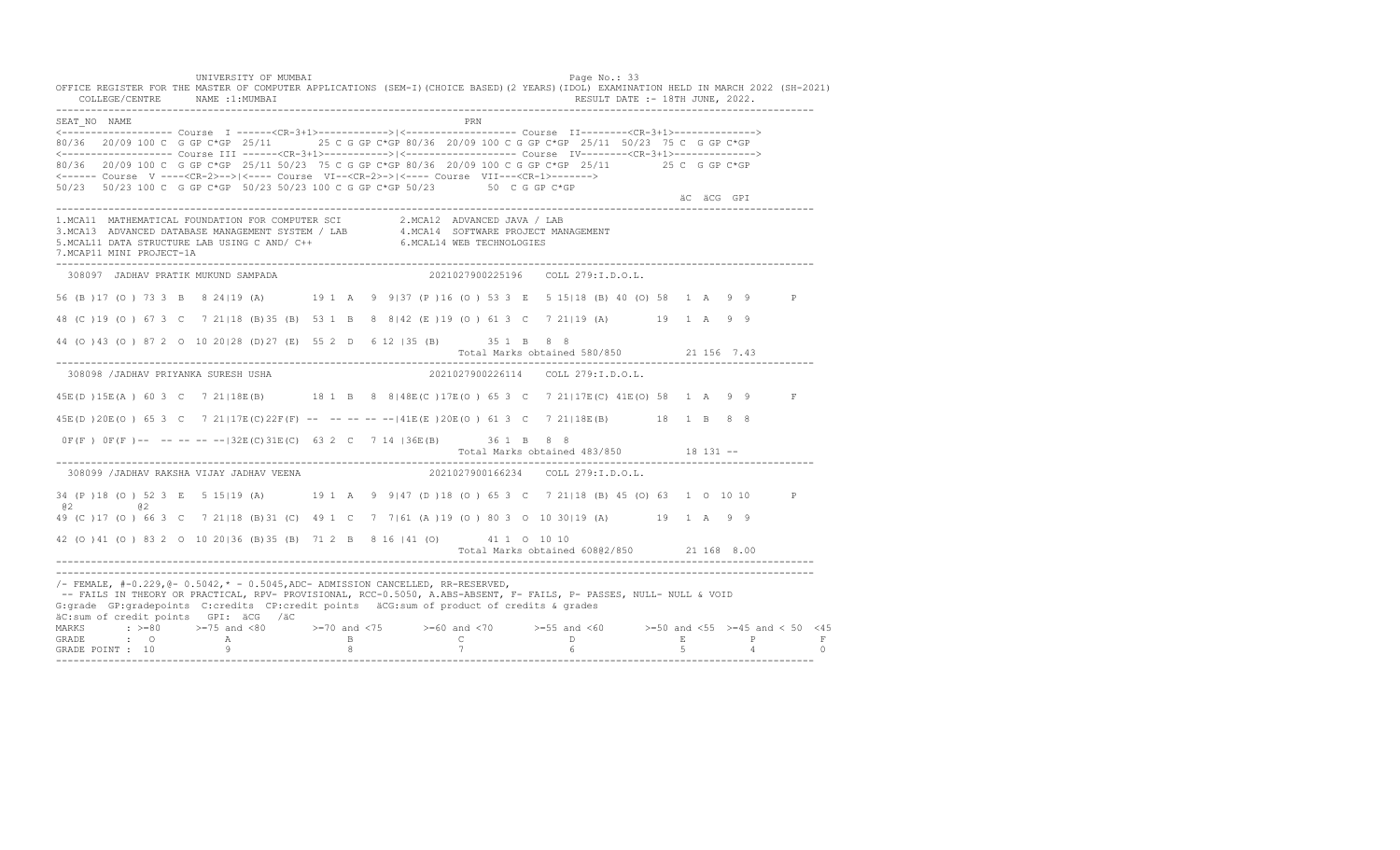UNIVERSITY OF MUMBAI PAGE OF THE PAGE OF THE PAGE OF THE PAGE OF THE PAGE OF THE PAGE OF THE PAGE OF THE PAGE OF THE PAGE OF THE PAGE OF THE PAGE OF THE PAGE OF THE PAGE OF THE PAGE OF THE PAGE OF THE PAGE OF THE PAGE OF T OFFICE REGISTER FOR THE MASTER OF COMPUTER APPLICATIONS (SEM-I)(CHOICE BASED)(2 YEARS)(IDOL) EXAMINATION HELD IN MARCH 2022 (SH-2021) COLLEGE/CENTRE NAME :1:MUMBAI RESULT DATE :- 18TH JUNE, 2022. ---------------------------------------------------------------------------------------------------------------------------------- SEAT\_NO NAME PRIME PRIME PRODUCED A CONTROL IN THE PRIME PRIME PRIME PRIME PRIME PRIME PRIME PRIME PRIME PRIME PRIME PRIME PRIME PRIME PRIME PRIME PRIME PRIME PRIME PRIME PRIME PRIME PRIME PRIME PRIME PRIME PRIME PRIME PRI <------------------- Course I ------<CR-3+1>------------>|<------------------- Course II--------<CR-3+1>--------------> 80/36 20/09 100 C G GP C\*GP 25/11 25 C G GP C\*GP 80/36 20/09 100 C G GP C\*GP 25/11 50/23 75 C G GP C\*GP <------------------- Course III ------<CR-3+1>----------->|<------------------- Course IV--------<CR-3+1>--------------> 80/36 20/09 100 C G GP C\*GP 25/11 50/23 75 C G GP C\*GP 80/36 20/09 100 C G GP C\*GP 25/11 25 C G GP C\*GP <------ Course V ----<CR-2>-->|<---- Course VI--<CR-2>->|<---- Course VII---<CR-1>-------> 50/23 50/23 100 C G GP C\*GP 50/23 50/23 100 C G GP C\*GP 50/23 50 C G GP C\*GP äC äCG GPI ä<sup>n v</sup>ächtliche State und der State und der State und der State und der State und der State und der State und der State und der State und der State und der State und der State und der State und der State und der ---------------------------------------------------------------------------------------------------------------------------------- 1.MCA11 MATHEMATICAL FOUNDATION FOR COMPUTER SCI 2.MCA12 ADVANCED JAVA / LAB<br>3.MCA13 ADVANCED DATABASE MANAGEMENT SYSTEM / LAB 4.MCA14 SOFTWARE PROJECT MANAGEMENT<br>5.MCAL11 DATA STRUCTURE LAB USI 7.MCAP11 MINI PROJECT-1A ---------------------------------------------------------------------------------------------------------------------------------- 308097 JADHAV PRATIK MUKUND SAMPADA 2021027900225196 COLL 279:I.D.O.L. 56 (B )17 (O ) 73 3 B 8 24|19 (A) 19 1 A 9 9|37 (P )16 (O ) 53 3 E 5 15|18 (B) 40 (O) 58 1 A 9 9 P 48 (C )19 (O ) 67 3 C 7 21|18 (B)35 (B) 53 1 B 8 8|42 (E )19 (O ) 61 3 C 7 21|19 (A) 19 1 A 9 9 44 (O )43 (O ) 87 2 O 10 20|28 (D)27 (E) 55 2 D 6 12 |35 (B) 35 1 B 8 8 Total Marks obtained 580/850 21 156 7.43 ---------------------------------------------------------------------------------------------------------------------------------- 308098 /JADHAV PRIYANKA SURESH USHA 2021027900226114 COLL 279:I.D.O.L. 45E(D )15E(A ) 60 3 C 7 21|18E(B) 18 1 B 8 8|48E(C )17E(O ) 65 3 C 7 21|17E(C) 41E(O) 58 1 A 9 9 F 45E(D )20E(O ) 65 3 C 7 21|17E(C)22F(F) -- -- -- -- --|41E(E )20E(O ) 61 3 C 7 21|18E(B) 18 1 B 8 8 0F(F ) 0F(F )-- -- -- -- --|32E(C)31E(C) 63 2 C 7 14 |36E(B) 36 1 B 8 8 Total Marks obtained 483/850 18 131 -- ---------------------------------------------------------------------------------------------------------------------------------- 308099 /JADHAV RAKSHA VIJAY JADHAV VEENA 34 (P )18 (O ) 52 3 E 5 15|19 (A) 19 1 A 9 9|47 (D )18 (O ) 65 3 C 7 21|18 (B) 45 (O) 63 1 O 10 10 P @2 @2 49 (C )17 (O ) 66 3 C 7 21|18 (B)31 (C) 49 1 C 7 7|61 (A )19 (O ) 80 3 O 10 30|19 (A) 19 1 A 9 9 42 (O )41 (O ) 83 2 O 10 20|36 (B)35 (B) 71 2 B 8 16 |41 (O) 41 1 O 10 10 Total Marks obtained 608@2/850 21 168 8.00 ---------------------------------------------------------------------------------------------------------------------------------- ---------------------------------------------------------------------------------------------------------------------------------- /- FEMALE, #-0.229,@- 0.5042,\* - 0.5045,ADC- ADMISSION CANCELLED, RR-RESERVED, -- FAILS IN THEORY OR PRACTICAL, RPV- PROVISIONAL, RCC-0.5050, A.ABS-ABSENT, F- FAILS, P- PASSES, NULL- NULL & VOID G:grade GP:gradepoints C:credits CP:credit points äCG:sum of product of credits & grades äC:sum of credit points GPI: äCG /äC MARKS : >=80 >=75 and <80 >=70 and <75 >=60 and <70 >=55 and <60 >=50 and <55 >=45 and < 50 <45 GRADE : O A B C D E P F GRADE POINT : 10 9 8 7 6 5 4 0 ----------------------------------------------------------------------------------------------------------------------------------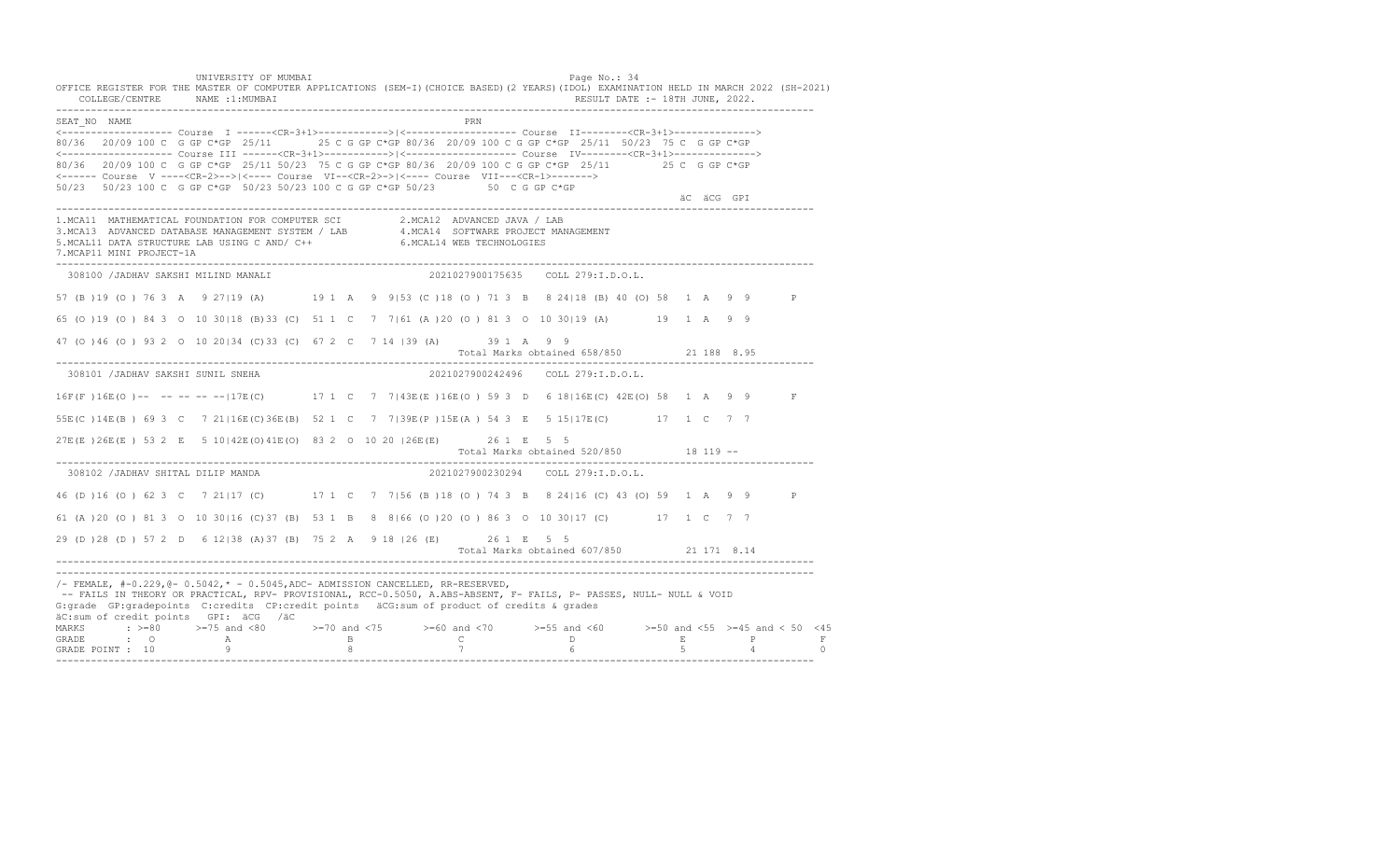UNIVERSITY OF MUMBAI PAGE OF THE PAGE OF THE PAGE OF THE PAGE OF THE PAGE OF THE PAGE OF THE PAGE OF THE PAGE OF THE PAGE OF THE PAGE OF THE PAGE OF THE PAGE OF THE PAGE OF THE PAGE OF THE PAGE OF THE PAGE OF THE PAGE OF T OFFICE REGISTER FOR THE MASTER OF COMPUTER APPLICATIONS (SEM-I)(CHOICE BASED)(2 YEARS)(IDOL) EXAMINATION HELD IN MARCH 2022 (SH-2021) COLLEGE/CENTRE NAME :1:MUMBAI RESULT DATE :- 18TH JUNE, 2022. ---------------------------------------------------------------------------------------------------------------------------------- SEAT\_NO NAME <------------------- Course I ------<CR-3+1>------------>|<------------------- Course II--------<CR-3+1>--------------> 80/36 20/09 100 C G GP C\*GP 25/11 25 C G GP C\*GP 80/36 20/09 100 C G GP C\*GP 25/11 50/23 75 C G GP C\*GP <------------------- Course III ------<CR-3+1>----------->|<------------------- Course IV--------<CR-3+1>--------------> 80/36 20/09 100 C G GP C\*GP 25/11 50/23 75 C G GP C\*GP 80/36 20/09 100 C G GP C\*GP 25/11 25 C G GP C\*GP <------ Course V ----<CR-2>-->|<---- Course VI--<CR-2>->|<---- Course VII---<CR-1>-------> 50/23 50/23 100 C G GP C\*GP 50/23 50/23 100 C G GP C\*GP 50/23 50 C G GP C\*GP äC äCG GPI ä<sup>n v</sup>ächtliche State und der State und der State und der State und der State und der State und der State und der State und der State und der State und der State und der State und der State und der State und der ---------------------------------------------------------------------------------------------------------------------------------- 1.MCA11 MATHEMATICAL FOUNDATION FOR COMPUTER SCI 2.MCA12 ADVANCED JAVA / LAB<br>3.MCA13 ADVANCED DATABASE MANAGEMENT SYSTEM / LAB 4.MCA14 SOFTWARE PROJECT MANAGEMENT<br>5.MCAL11 DATA STRUCTURE LAB U 7.MCAP11 MINI PROJECT-1A ---------------------------------------------------------------------------------------------------------------------------------- 308100 /JADHAV SAKSHI MILIND MANALI 2021027900175635 COLL 279:I.D.O.L. 57 (B )19 (O ) 76 3 A 9 27|19 (A) 19 1 A 9 9|53 (C )18 (O ) 71 3 B 8 24|18 (B) 40 (O) 58 1 A 9 9 P 65 (O )19 (O ) 84 3 O 10 30|18 (B)33 (C) 51 1 C 7 7|61 (A )20 (O ) 81 3 O 10 30|19 (A) 19 1 A 9 9 47 (O )46 (O ) 93 2 O 10 20|34 (C)33 (C) 67 2 C 7 14 |39 (A) 39 1 A 9 9 Total Marks obtained 658/850 21 188 8.95 ---------------------------------------------------------------------------------------------------------------------------------- 308101 /JADHAV SAKSHI SUNIL SNEHA 2021027900242496 COLL 279:I.D.O.L. 16F(F )16E(O )-- -- -- -- --|17E(C) 17 1 C 7 7|43E(E )16E(O ) 59 3 D 6 18|16E(C) 42E(O) 58 1 A 9 9 F 55E(C )14E(B ) 69 3 C 7 21|16E(C)36E(B) 52 1 C 7 7|39E(P )15E(A ) 54 3 E 5 15|17E(C) 17 1 C 7 7 27E(E )26E(E ) 53 2 E 5 10|42E(O)41E(O) 83 2 O 10 20 |26E(E) 26 1 E 5 5 Total Marks obtained 520/850 18 119 ------------------------------------------------------------------------------------------------------------------------------------ 308102 /JADHAV SHITAL DILIP MANDA 2021027900230294 COLL 279:I.D.O.L. 46 (D )16 (O ) 62 3 C 7 21|17 (C) 17 1 C 7 7|56 (B )18 (O ) 74 3 B 8 24|16 (C) 43 (O) 59 1 A 9 9 P 61 (A )20 (O ) 81 3 O 10 30|16 (C)37 (B) 53 1 B 8 8|66 (O )20 (O ) 86 3 O 10 30|17 (C) 17 1 C 7 7 29 (D )28 (D ) 57 2 D 6 12|38 (A)37 (B) 75 2 A 9 18 |26 (E) 26 1 E 5 5 Total Marks obtained 607/850 21 171 8.14 ---------------------------------------------------------------------------------------------------------------------------------- ---------------------------------------------------------------------------------------------------------------------------------- /- FEMALE, #-0.229,@- 0.5042,\* - 0.5045,ADC- ADMISSION CANCELLED, RR-RESERVED, -- FAILS IN THEORY OR PRACTICAL, RPV- PROVISIONAL, RCC-0.5050, A.ABS-ABSENT, F- FAILS, P- PASSES, NULL- NULL & VOID G:grade GP:gradepoints C:credits CP:credit points äCG:sum of product of credits & grades äC:sum of credit points GPI: äCG /äC MARKS : >=80 >=75 and <80 >=70 and <75 >=60 and <70 >=55 and <60 >=50 and <55 >=45 and < 50 <45 GRADE : O A B C D E P F GRADE POINT : 10 9 8 7 6 5 4 0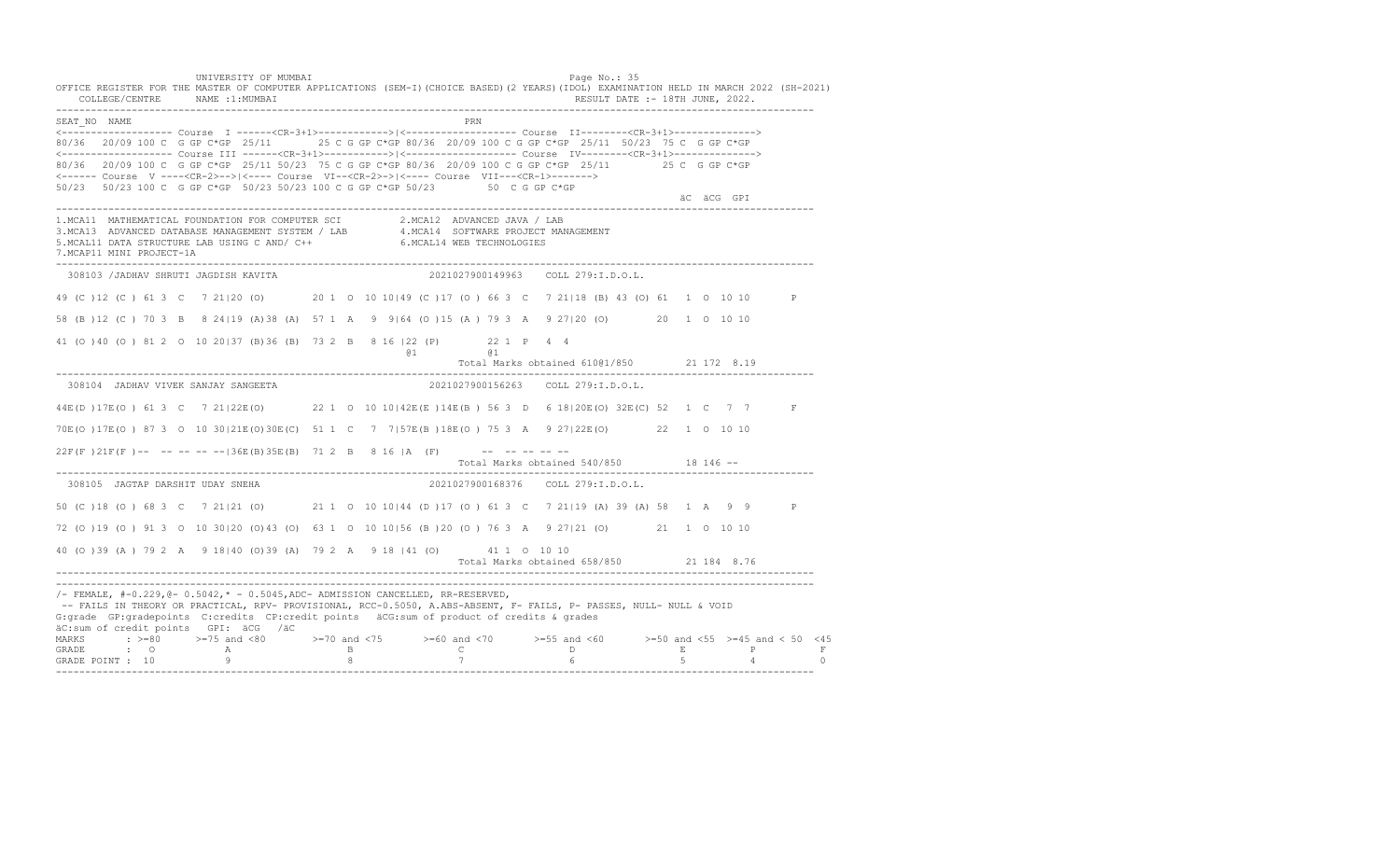UNIVERSITY OF MUMBAI PAGE OF THE PAGE OF THE PAGE OF THE PAGE OF THE PAGE OF THE PAGE OF THE PAGE OF THE PAGE OF THE PAGE OF THE PAGE OF THE PAGE OF THE PAGE OF THE PAGE OF THE PAGE OF THE PAGE OF THE PAGE OF THE PAGE OF T OFFICE REGISTER FOR THE MASTER OF COMPUTER APPLICATIONS (SEM-I)(CHOICE BASED)(2 YEARS)(IDOL) EXAMINATION HELD IN MARCH 2022 (SH-2021) COLLEGE/CENTRE NAME :1:MUMBAI RESULT DATE :- 18TH JUNE, 2022. ---------------------------------------------------------------------------------------------------------------------------------- SEAT\_NO NAME PRIMAGES AND RESERVE THE PRIMAGES AND RESERVE THE PRIMAGES AND RESERVE THE PRIMAGES AND RESERVE THE PRIMAGES AND RESERVE THE PRIMAGES AND RESERVE THE PRIMAGES AND RESERVE THE PRIMAGES AND RESERVE THE PRIMAGES <------------------- Course I ------<CR-3+1>------------>|<------------------- Course II--------<CR-3+1>--------------> 80/36 20/09 100 C G GP C\*GP 25/11 25 C G GP C\*GP 80/36 20/09 100 C G GP C\*GP 25/11 50/23 75 C G GP C\*GP <------------------- Course III ------<CR-3+1>----------->|<------------------- Course IV--------<CR-3+1>--------------> 80/36 20/09 100 C G GP C\*GP 25/11 50/23 75 C G GP C\*GP 80/36 20/09 100 C G GP C\*GP 25/11 25 C G GP C\*GP <------ Course V ----<CR-2>-->|<---- Course VI--<CR-2>->|<---- Course VII---<CR-1>-------> 50/23 50/23 100 C G GP C\*GP 50/23 50/23 100 C G GP C\*GP 50/23 50 C G GP C\*GP äC äCG GPI ä<sup>n v</sup>ächtliche State und der State und der State und der State und der State und der State und der State und der State und der State und der State und der State und der State und der State und der State und der ---------------------------------------------------------------------------------------------------------------------------------- 1.MCA11 MATHEMATICAL FOUNDATION FOR COMPUTER SCI 2.MCA12 ADVANCED JAVA / LAB<br>3.MCA13 ADVANCED DATABASE MANAGEMENT SYSTEM / LAB 4.MCA14 SOFTWARE PROJECT MANAGEMENT<br>5.MCAL11 DATA STRUCTURE LAB U 7.MCAP11 MINI PROJECT-1A ---------------------------------------------------------------------------------------------------------------------------------- 308103 /JADHAV SHRUTI JAGDISH KAVITA 2021027900149963 COLL 279:I.D.O.L. 49 (C )12 (C ) 61 3 C 7 21|20 (O) 20 1 O 10 10|49 (C )17 (O ) 66 3 C 7 21|18 (B) 43 (O) 61 1 O 10 10 P 58 (B )12 (C ) 70 3 B 8 24|19 (A)38 (A) 57 1 A 9 9|64 (O )15 (A ) 79 3 A 9 27|20 (O) 20 1 O 10 10 41 (O )40 (O ) 81 2 O 10 20|37 (B)36 (B) 73 2 B 8 16 |22 (P) 22 1 P 4 4 @1 @1 Total Marks obtained 610@1/850 21 172 8.19 ---------------------------------------------------------------------------------------------------------------------------------- 308104 JADHAV VIVEK SANJAY SANGEETA 2021027900156263 COLL 279:I.D.O.L. 44E(D )17E(O ) 61 3 C 7 21|22E(O) 22 1 O 10 10|42E(E )14E(B ) 56 3 D 6 18|20E(O) 32E(C) 52 1 C 7 7 F 70E(O )17E(O ) 87 3 O 10 30|21E(O)30E(C) 51 1 C 7 7|57E(B )18E(O ) 75 3 A 9 27|22E(O) 22 1 O 10 10  $22F(F) 21F(F)$  -- -- -- -- --  $36E(B) 35E(B) 71 2 B 8 16 |A (F)$  -- -- -- -- -- Total Marks obtained 540/850 18 146 -- ---------------------------------------------------------------------------------------------------------------------------------- 308105 JAGTAP DARSHIT UDAY SNEHA 2021027900168376 COLL 279:I.D.O.L. 50 (C )18 (O ) 68 3 C 7 21|21 (O) 21 1 O 10 10|44 (D )17 (O ) 61 3 C 7 21|19 (A) 39 (A) 58 1 A 9 9 P 72 (O )19 (O ) 91 3 O 10 30|20 (O)43 (O) 63 1 O 10 10|56 (B )20 (O ) 76 3 A 9 27|21 (O) 21 1 O 10 10 40 (O )39 (A ) 79 2 A 9 18|40 (O)39 (A) 79 2 A 9 18 |41 (O) 41 1 O 10 10 Total Marks obtained 658/850 21 184 8.76 ---------------------------------------------------------------------------------------------------------------------------------- ----------------------------------------------------------------------------------------------------------------------------------  $/-$  FEMALE,  $#-0.229$ ,  $@-0.5042$ ,  $* -0.5045$ , ADC- ADMISSION CANCELLED, RR-RESERVED, -- FAILS IN THEORY OR PRACTICAL, RPV- PROVISIONAL, RCC-0.5050, A.ABS-ABSENT, F- FAILS, P- PASSES, NULL- NULL & VOID G:grade GP:gradepoints C:credits CP:credit points äCG:sum of product of credits & grades äC:sum of credit points GPI: äCG /äC MARKS : >=80 >=75 and <80 >=70 and <75 >=60 and <70 >=55 and <60 >=50 and <55 >=45 and < 50 <45<br>GRADE : O A B C D E P F<br>GRADE POINT : 10 9 8 7 6 5 4 0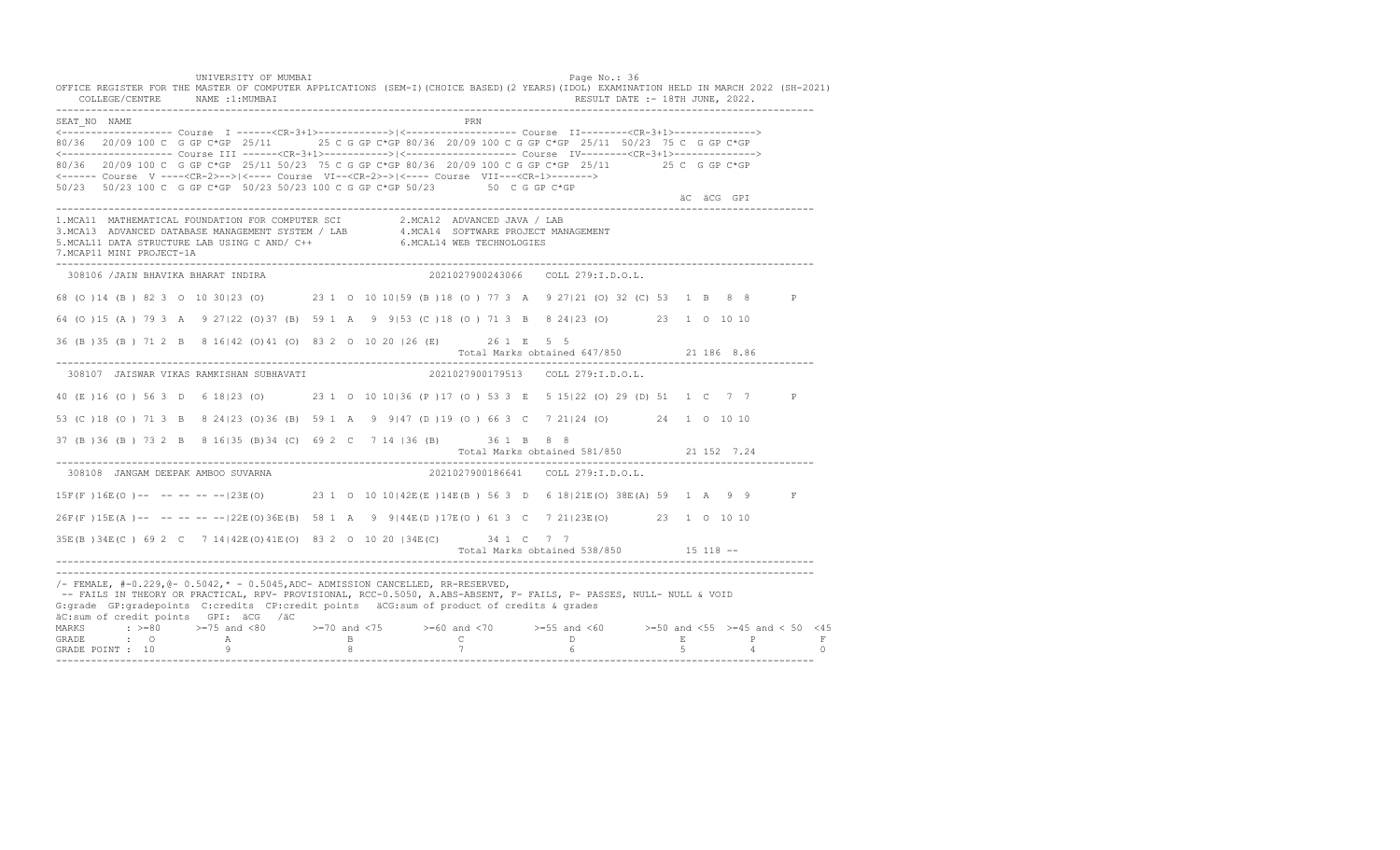UNIVERSITY OF MUMBAI PAGE OF THE PAGE OF THE PAGE OF THE PAGE OF THE PAGE OF THE PAGE OF THE PAGE OF THE PAGE OF THE PAGE OF THE PAGE OF THE PAGE OF THE PAGE OF THE PAGE OF THE PAGE OF THE PAGE OF THE PAGE OF THE PAGE OF T OFFICE REGISTER FOR THE MASTER OF COMPUTER APPLICATIONS (SEM-I)(CHOICE BASED)(2 YEARS)(IDOL) EXAMINATION HELD IN MARCH 2022 (SH-2021) COLLEGE/CENTRE NAME :1:MUMBAI RESULT DATE :- 18TH JUNE, 2022. ---------------------------------------------------------------------------------------------------------------------------------- SEAT\_NO NAME PRIME PRIME PRODUCED A CONTROL IN THE PRIME PRIME PRIME PRIME PRIME PRIME PRIME PRIME PRIME PRIME PRIME PRIME PRIME PRIME PRIME PRIME PRIME PRIME PRIME PRIME PRIME PRIME PRIME PRIME PRIME PRIME PRIME PRIME PRI <------------------- Course I ------<CR-3+1>------------>|<------------------- Course II--------<CR-3+1>--------------> 80/36 20/09 100 C G GP C\*GP 25/11 25 C G GP C\*GP 80/36 20/09 100 C G GP C\*GP 25/11 50/23 75 C G GP C\*GP <------------------- Course III ------<CR-3+1>----------->|<------------------- Course IV--------<CR-3+1>--------------> 80/36 20/09 100 C G GP C\*GP 25/11 50/23 75 C G GP C\*GP 80/36 20/09 100 C G GP C\*GP 25/11 25 C G GP C\*GP <------ Course V ----<CR-2>-->|<---- Course VI--<CR-2>->|<---- Course VII---<CR-1>-------> 50/23 50/23 100 C G GP C\*GP 50/23 50/23 100 C G GP C\*GP 50/23 50 C G GP C\*GP äC äCG GPI ä<sup>n v</sup>ächtliche State und der State und der State und der State und der State und der State und der State und der State und der State und der State und der State und der State und der State und der State und der ---------------------------------------------------------------------------------------------------------------------------------- 1.MCA11 MATHEMATICAL FOUNDATION FOR COMPUTER SCI 2.MCA12 ADVANCED JAVA / LAB<br>3.MCA13 ADVANCED DATABASE MANAGEMENT SYSTEM / LAB 4.MCA14 SOFTWARE PROJECT MANAGEMENT<br>5.MCAL11 DATA STRUCTURE LAB U 7.MCAP11 MINI PROJECT-1A ---------------------------------------------------------------------------------------------------------------------------------- 308106 /JAIN BHAVIKA BHARAT INDIRA 2021027900243066 COLL 279:I.D.O.L. 68 (O )14 (B ) 82 3 O 10 30|23 (O) 23 1 O 10 10|59 (B )18 (O ) 77 3 A 9 27|21 (O) 32 (C) 53 1 B 8 8 P 64 (O )15 (A ) 79 3 A 9 27|22 (O)37 (B) 59 1 A 9 9|53 (C )18 (O ) 71 3 B 8 24|23 (O) 23 1 O 10 10 36 (B )35 (B ) 71 2 B 8 16|42 (O)41 (O) 83 2 O 10 20 |26 (E) 26 1 E 5 5 Total Marks obtained 647/850 21 186 8.86 ---------------------------------------------------------------------------------------------------------------------------------- 308107 JAISWAR VIKAS RAMKISHAN SUBHAVATI 2021027900179513 COLL 279:I.D.O.L. 40 (E )16 (O ) 56 3 D 6 18|23 (O) 23 1 O 10 10|36 (P )17 (O ) 53 3 E 5 15|22 (O) 29 (D) 51 1 C 7 7 P 53 (C )18 (O ) 71 3 B 8 24|23 (O)36 (B) 59 1 A 9 9|47 (D )19 (O ) 66 3 C 7 21|24 (O) 24 1 O 10 10 37 (B )36 (B ) 73 2 B 8 16|35 (B)34 (C) 69 2 C 7 14 |36 (B) 36 1 B 8 8 Total Marks obtained 581/850 21 152 7.24 ---------------------------------------------------------------------------------------------------------------------------------- 308108 JANGAM DEEPAK AMBOO SUVARNA 2021027900186641 COLL 279:I.D.O.L. 15F(F )16E(O )-- -- -- -- --|23E(O) 23 1 O 10 10|42E(E )14E(B ) 56 3 D 6 18|21E(O) 38E(A) 59 1 A 9 9 F 26F(F )15E(A )-- -- -- -- --|22E(O)36E(B) 58 1 A 9 9|44E(D )17E(O ) 61 3 C 7 21|23E(O) 23 1 O 10 10 35E(B )34E(C ) 69 2 C 7 14|42E(O)41E(O) 83 2 O 10 20 |34E(C) 34 1 C 7 7 Total Marks obtained 538/850 15 118 ------------------------------------------------------------------------------------------------------------------------------------ ---------------------------------------------------------------------------------------------------------------------------------- /- FEMALE, #-0.229,@- 0.5042,\* - 0.5045,ADC- ADMISSION CANCELLED, RR-RESERVED, -- FAILS IN THEORY OR PRACTICAL, RPV- PROVISIONAL, RCC-0.5050, A.ABS-ABSENT, F- FAILS, P- PASSES, NULL- NULL & VOID G:grade GP:gradepoints C:credits CP:credit points äCG:sum of product of credits & grades äC:sum of credit points GPI: äCG /äC MARKS : >=80 >=75 and <80 >=70 and <75 >=60 and <70 >=55 and <60 >=50 and <55 >=45 and < 50 <45 GRADE : O A B C D E P F<br>GRADE POINT : 10 9 9 8 7 7 6 5 4 0 ----------------------------------------------------------------------------------------------------------------------------------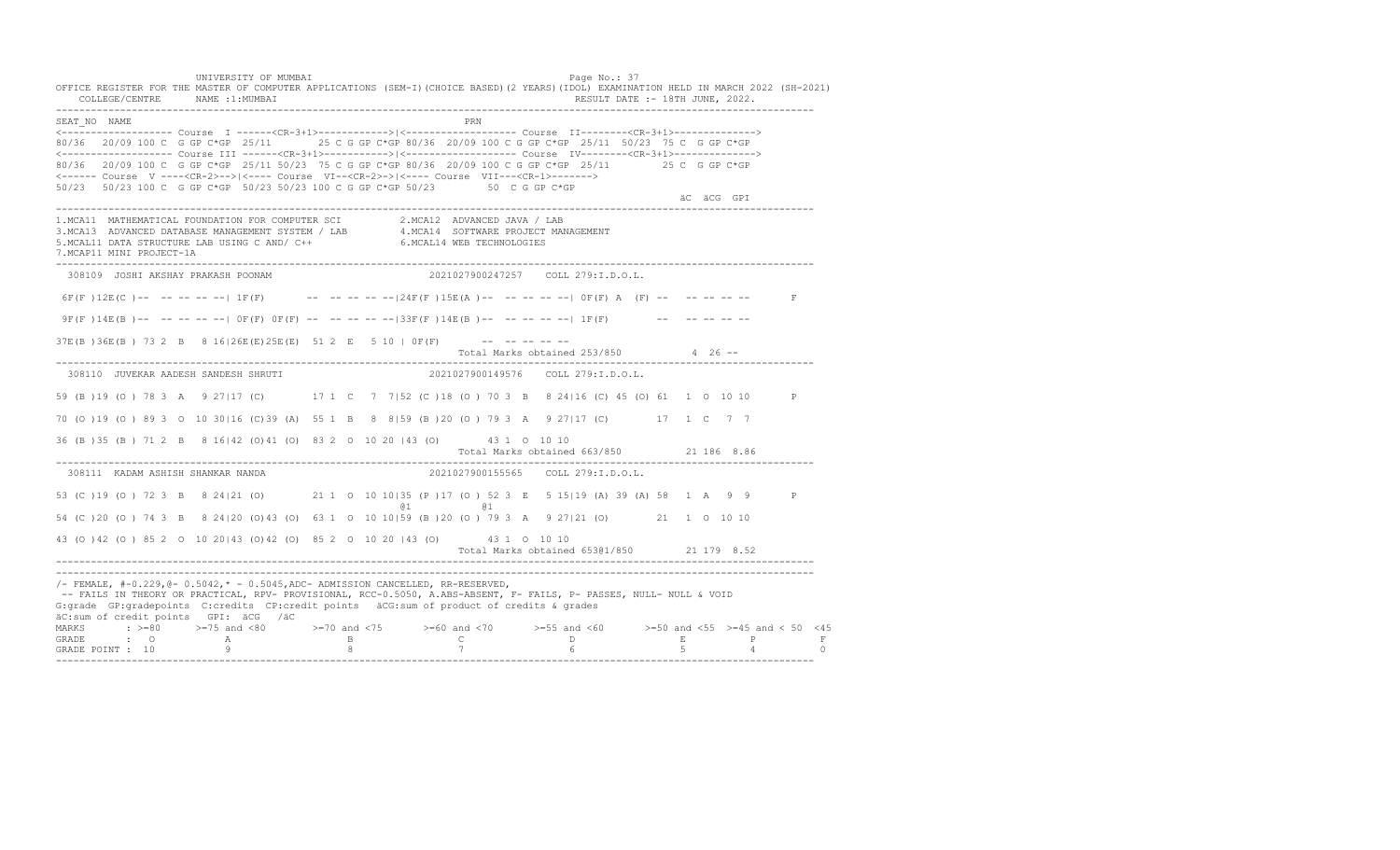UNIVERSITY OF MUMBAI PAGE OF THE PAGE OF THE PAGE OF THE PAGE OF THE PAGE OF THE PAGE OF THE PAGE OF THE PAGE OF THE PAGE OF THE PAGE OF THE PAGE OF THE PAGE OF THE PAGE OF THE PAGE OF THE PAGE OF THE PAGE OF THE PAGE OF T OFFICE REGISTER FOR THE MASTER OF COMPUTER APPLICATIONS (SEM-I)(CHOICE BASED)(2 YEARS)(IDOL) EXAMINATION HELD IN MARCH 2022 (SH-2021) COLLEGE/CENTRE NAME :1:MUMBAI RESULT DATE :- 18TH JUNE, 2022. ---------------------------------------------------------------------------------------------------------------------------------- SEAT\_NO NAME PRN <------------------- Course I ------<CR-3+1>------------>|<------------------- Course II--------<CR-3+1>--------------> 80/36 20/09 100 C G GP C\*GP 25/11 25 C G GP C\*GP 80/36 20/09 100 C G GP C\*GP 25/11 50/23 75 C G GP C\*GP <------------------- Course III ------<CR-3+1>----------->|<------------------- Course IV--------<CR-3+1>--------------> 80/36 20/09 100 C G GP C\*GP 25/11 50/23 75 C G GP C\*GP 80/36 20/09 100 C G GP C\*GP 25/11 25 C G GP C\*GP <------ Course V ----<CR-2>-->|<---- Course VI--<CR-2>->|<---- Course VII---<CR-1>-------> 50/23 50/23 100 C G GP C\*GP 50/23 50/23 100 C G GP C\*GP 50/23 50 C G GP C\*GP äC äCG GPI ä<sup>n v</sup>ächtliche State und der State und der State und der State und der State und der State und der State und der State und der State und der State und der State und der State und der State und der State und der ---------------------------------------------------------------------------------------------------------------------------------- 1.MCA11 MATHEMATICAL FOUNDATION FOR COMPUTER SCI 2.MCA12 ADVANCED JAVA / LAB 3.MCA13 ADVANCED DATABASE MANAGEMENT SYSTEM / LAB 4.MCA14 SOFTWARE PROJECT MANAGEMENT 5.MCAL11 DATA STRUCTURE LAB USING C AND/ C++ 6.MCAL14 WEB TECHNOLOGIES 7.MCAP11 MINI PROJECT-1A ---------------------------------------------------------------------------------------------------------------------------------- 308109 JOSHI AKSHAY PRAKASH POONAM 2021027900247257 COLL 279:I.D.O.L. 6F(F)  $12E(C)$  -- -- -- -- -- |  $1F(F)$  -- -- -- -- -- |  $24F(F)$   $15E(A)$  -- -- -- -- -- |  $0F(F)$  A (F) -- -- -- -- -- -- F  $9F(F) 14E(B)$  -- -- -- -- --  $0F(F) 0F(F)$  -- -- -- -- -- 33F(F) 14E(B) -- -- -- -- -- 1 IF(F) -- -- -- -- -- -- $37E(B) 36E(B) 73 2 B 8 16|26E(E) 25E(E) 51 2 E 5 10 |0F(F)$  --------Total Marks obtained 253/850 4 26 ------------------------------------------------------------------------------------------------------------------------------------ 308110 JUVEKAR AADESH SANDESH SHRUTI 2021027900149576 COLL 279:I.D.O.L. 59 (B )19 (O ) 78 3 A 9 27|17 (C) 17 1 C 7 7|52 (C )18 (O ) 70 3 B 8 24|16 (C) 45 (O) 61 1 O 10 10 P 70 (O )19 (O ) 89 3 O 10 30|16 (C)39 (A) 55 1 B 8 8|59 (B )20 (O ) 79 3 A 9 27|17 (C) 17 1 C 7 7 36 (B )35 (B ) 71 2 B 8 16|42 (O)41 (O) 83 2 O 10 20 |43 (O) 43 1 O 10 10 Total Marks obtained 663/850 21 186 8.86 ---------------------------------------------------------------------------------------------------------------------------------- 308111 KADAM ASHISH SHANKAR NANDA 2021027900155565 COLL 279:I.D.O.L. 53 (C )19 (O ) 72 3 B 8 24|21 (O) 21 1 O 10 10|35 (P )17 (O ) 52 3 E 5 15|19 (A) 39 (A) 58 1 A 9 9 P @1 @1 54 (C )20 (O ) 74 3 B 8 24|20 (O)43 (O) 63 1 O 10 10|59 (B )20 (O ) 79 3 A 9 27|21 (O) 21 1 O 10 10 43 (O )42 (O ) 85 2 O 10 20|43 (O)42 (O) 85 2 O 10 20 |43 (O) 43 1 O 10 10 Total Marks obtained 653@1/850 21 179 8.52 ---------------------------------------------------------------------------------------------------------------------------------- ---------------------------------------------------------------------------------------------------------------------------------- /- FEMALE, #-0.229,@- 0.5042,\* - 0.5045,ADC- ADMISSION CANCELLED, RR-RESERVED, -- FAILS IN THEORY OR PRACTICAL, RPV- PROVISIONAL, RCC-0.5050, A.ABS-ABSENT, F- FAILS, P- PASSES, NULL- NULL & VOID G:grade GP:gradepoints C:credits CP:credit points äCG:sum of product of credits & grades äC:sum of credit points GPI: äCG /äC MARKS : >=80 >=75 and <80 >=70 and <75 >=60 and <70 >=55 and <60 >=50 and <55 >=45 and < 50 <45 GRADE : O A B C D E P F<br>GRADE POINT : 10 9 9 8 7 7 6 5 4 0 ----------------------------------------------------------------------------------------------------------------------------------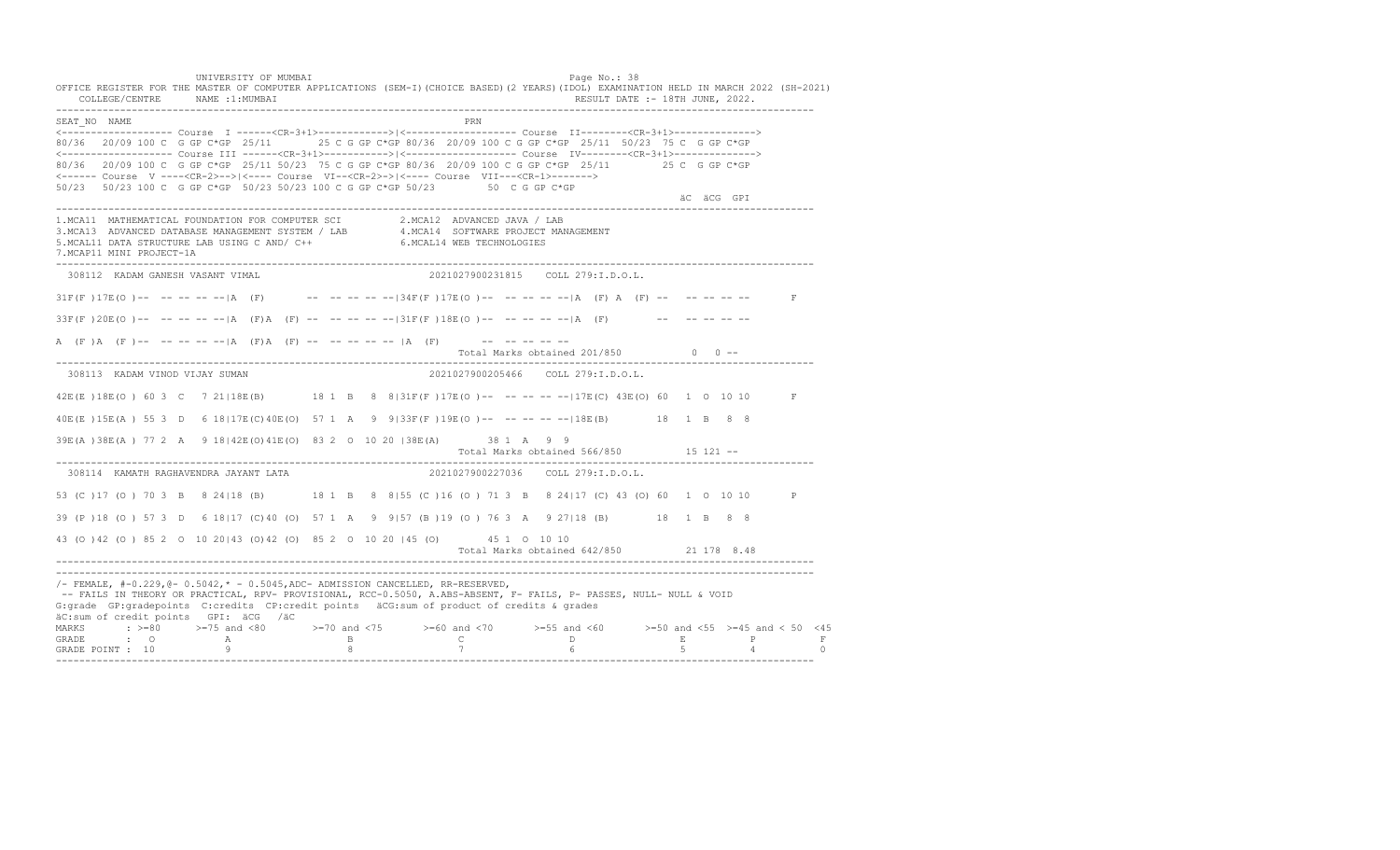UNIVERSITY OF MUMBAI PAGE OF THE PAGE OF THE PAGE OF THE PAGE OF THE PAGE OF THE PAGE OF THE PAGE OF THE PAGE O OFFICE REGISTER FOR THE MASTER OF COMPUTER APPLICATIONS (SEM-I)(CHOICE BASED)(2 YEARS)(IDOL) EXAMINATION HELD IN MARCH 2022 (SH-2021) COLLEGE/CENTRE NAME :1:MUMBAI RESULT DATE :- 18TH JUNE, 2022. ---------------------------------------------------------------------------------------------------------------------------------- SEAT\_NO NAME PRIME PRIME PRODUCED A CONTROL IN THE PRIME PRIME PRIME PRIME PRIME PRIME PRIME PRIME PRIME PRIME PRIME PRIME PRIME PRIME PRIME PRIME PRIME PRIME PRIME PRIME PRIME PRIME PRIME PRIME PRIME PRIME PRIME PRIME PRI <------------------- Course I ------<CR-3+1>------------>|<------------------- Course II--------<CR-3+1>--------------> 80/36 20/09 100 C G GP C\*GP 25/11 25 C G GP C\*GP 80/36 20/09 100 C G GP C\*GP 25/11 50/23 75 C G GP C\*GP <------------------- Course III ------<CR-3+1>----------->|<------------------- Course IV--------<CR-3+1>--------------> 80/36 20/09 100 C G GP C\*GP 25/11 50/23 75 C G GP C\*GP 80/36 20/09 100 C G GP C\*GP 25/11 25 C G GP C\*GP <------ Course V ----<CR-2>-->|<---- Course VI--<CR-2>->|<---- Course VII---<CR-1>-------> 50/23 50/23 100 C G GP C\*GP 50/23 50/23 100 C G GP C\*GP 50/23 50 C G GP C\*GP äC äCG GPI ä<sup>n v</sup>ächtliche State und der State und der State und der State und der State und der State und der State und der State und der State und der State und der State und der State und der State und der State und der ---------------------------------------------------------------------------------------------------------------------------------- 1.MCA11 MATHEMATICAL FOUNDATION FOR COMPUTER SCI 2.MCA12 ADVANCED JAVA / LAB 3.MCA13 ADVANCED DATABASE MANAGEMENT SYSTEM / LAB 4.MCA14 SOFTWARE PROJECT MANAGEMENT 5.MCAL11 DATA STRUCTURE LAB USING C AND/ C++ 6.MCAL14 WEB TECHNOLOGIES 7.MCAP11 MINI PROJECT-1A ---------------------------------------------------------------------------------------------------------------------------------- 308112 KADAM GANESH VASANT VIMAL 2021027900231815 COLL 279:I.D.O.L.  $31F(F) 17E(O)$  -- -- -- -- |A (F) -- -- -- -- -- |34F(F)17E(O) -- -- -- -- -- |A (F) A (F) -- -- -- -- -- F  $33F(F)20E(O)$ -- -- -- -- -- |A (F)A (F) -- -- -- -- -- |31F(F)18E(O) -- -- -- -- -- |A (F) -- -- -- -- -- --A (F)A (F)-- -- -- -- -- |A (F)A (F) -- -- -- -- -- |A (F) -- -- -- -- -- -- --Total Marks obtained 201/850 0 0 ------------------------------------------------------------------------------------------------------------------------------------ 308113 KADAM VINOD VIJAY SUMAN 2021027900205466 COLL 279:I.D.O.L. 42E(E)18E(O) 60 3 C 7 21 118E(B) 18 1 B 8 8|31F(F)17E(O) -- -- -- -- -- 17E(C) 43E(O) 60 1 0 10 D F 40E(E )15E(A ) 55 3 D 6 18|17E(C)40E(O) 57 1 A 9 9|33F(F )19E(O )-- -- -- -- --|18E(B) 18 1 B 8 8 39E(A )38E(A ) 77 2 A 9 18|42E(O)41E(O) 83 2 O 10 20 |38E(A) 38 1 A 9 9 Total Marks obtained 566/850 15 121 -- ---------------------------------------------------------------------------------------------------------------------------------- 308114 KAMATH RAGHAVENDRA JAYANT LATA 53 (C )17 (O ) 70 3 B 8 24|18 (B) 18 1 B 8 8|55 (C )16 (O ) 71 3 B 8 24|17 (C) 43 (O) 60 1 O 10 10 P 39 (P )18 (O ) 57 3 D 6 18|17 (C)40 (O) 57 1 A 9 9|57 (B )19 (O ) 76 3 A 9 27|18 (B) 18 1 B 8 8 43 (O )42 (O ) 85 2 O 10 20|43 (O)42 (O) 85 2 O 10 20 |45 (O) 45 1 O 10 10 Total Marks obtained 642/850 21 178 8.48 ---------------------------------------------------------------------------------------------------------------------------------- ---------------------------------------------------------------------------------------------------------------------------------- /- FEMALE, #-0.229,@- 0.5042,\* - 0.5045,ADC- ADMISSION CANCELLED, RR-RESERVED, -- FAILS IN THEORY OR PRACTICAL, RPV- PROVISIONAL, RCC-0.5050, A.ABS-ABSENT, F- FAILS, P- PASSES, NULL- NULL & VOID G:grade GP:gradepoints C:credits CP:credit points äCG:sum of product of credits & grades äC:sum of credit points GPI: äCG /äC MARKS : >=80 >=75 and <80 >=70 and <75 >=60 and <70 >=55 and <60 >=50 and <55 >=45 and < 50 <45 GRADE : O A B C D E P F GRADE POINT : 10 9 8 7 6 5 4 0 ----------------------------------------------------------------------------------------------------------------------------------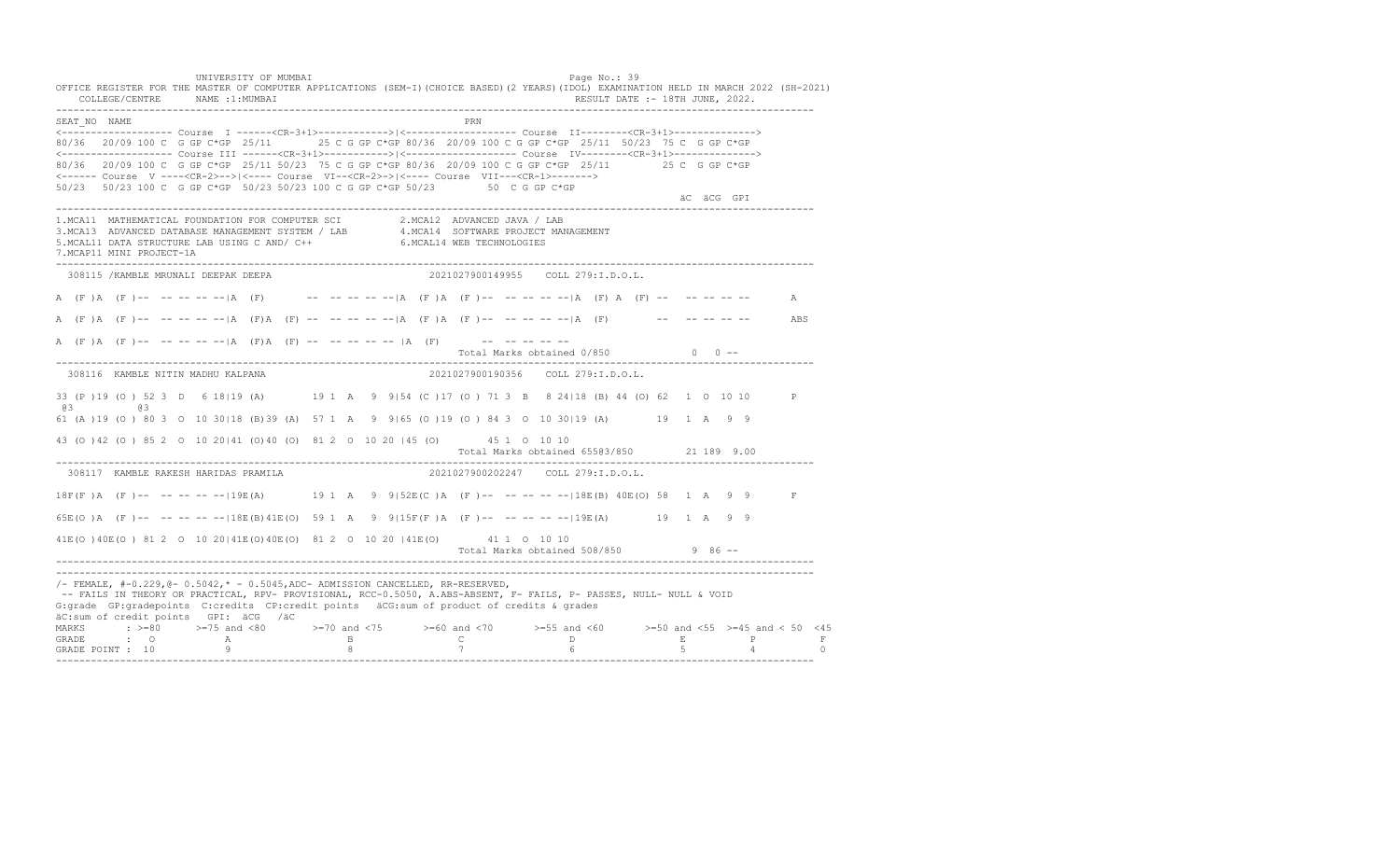UNIVERSITY OF MUMBAI PAGE OF THE PAGE OF THE PAGE OF THE PAGE OF THE PAGE OF THE PAGE OF THE PAGE OF THE PAGE OF THE PAGE OF THE PAGE OF THE PAGE OF THE PAGE OF THE PAGE OF THE PAGE OF THE PAGE OF THE PAGE OF THE PAGE OF T OFFICE REGISTER FOR THE MASTER OF COMPUTER APPLICATIONS (SEM-I)(CHOICE BASED)(2 YEARS)(IDOL) EXAMINATION HELD IN MARCH 2022 (SH-2021) COLLEGE/CENTRE NAME :1:MUMBAI RESULT DATE :- 18TH JUNE, 2022. ---------------------------------------------------------------------------------------------------------------------------------- SEAT\_NO NAME PRIME PRIME PRODUCED A CONTROL IN THE PRIME PRIME PRIME PRIME PRIME PRIME PRIME PRIME PRIME PRIME PRIME PRIME PRIME PRIME PRIME PRIME PRIME PRIME PRIME PRIME PRIME PRIME PRIME PRIME PRIME PRIME PRIME PRIME PRI <------------------- Course I ------<CR-3+1>------------>|<------------------- Course II--------<CR-3+1>--------------> 80/36 20/09 100 C G GP C\*GP 25/11 25 C G GP C\*GP 80/36 20/09 100 C G GP C\*GP 25/11 50/23 75 C G GP C\*GP <------------------- Course III ------<CR-3+1>----------->|<------------------- Course IV--------<CR-3+1>--------------> 80/36 20/09 100 C G GP C\*GP 25/11 50/23 75 C G GP C\*GP 80/36 20/09 100 C G GP C\*GP 25/11 25 C G GP C\*GP <------ Course V ----<CR-2>-->|<---- Course VI--<CR-2>->|<---- Course VII---<CR-1>-------> 50/23 50/23 100 C G GP C\*GP 50/23 50/23 100 C G GP C\*GP 50/23 50 C G GP C\*GP äC äCG GPI ä<sup>n v</sup>ächtliche State und der State und der State und der State und der State und der State und der State und der State und der State und der State und der State und der State und der State und der State und der ---------------------------------------------------------------------------------------------------------------------------------- 1.MCA11 MATHEMATICAL FOUNDATION FOR COMPUTER SCI 2.MCA12 ADVANCED JAVA / LAB 3.MCA13 ADVANCED DATABASE MANAGEMENT SYSTEM / LAB 4.MCA14 SOFTWARE PROJECT MANAGEMENT 5.MCAL11 DATA STRUCTURE LAB USING C AND/ C++ 6.MCAL14 WEB TECHNOLOGIES 7.MCAP11 MINI PROJECT-1A ---------------------------------------------------------------------------------------------------------------------------------- 308115 /KAMBLE MRUNALI DEEPAK DEEPA 2021027900149955 COLL 279:I.D.O.L. A (F )A (F )-- -- -- -- -- |A (F) -- -- -- -- -- |A (F )A (F )-- -- -- -- -- -- |A (F) A (F) -- -- -- -- -- -- A A (F )A (F )-- -- -- -- --|A (F)A (F) -- -- -- -- --|A (F )A (F )-- -- -- -- --|A (F) -- -- -- -- -- ABS A  $(F)$  A  $(F)$  -- -- -- -- -- |A  $(F)$  A  $(F)$  -- -- -- -- -- |A  $(F)$  -- -- -- -- -- --Total Marks obtained 0/850 0 0 ------------------------------------------------------------------------------------------------------------------------------------ 308116 KAMBLE NITIN MADHU KALPANA 2021027900190356 COLL 279:I.D.O.L. 33 (P )19 (O ) 52 3 D 6 18|19 (A) 19 1 A 9 9|54 (C )17 (O ) 71 3 B 8 24|18 (B) 44 (O) 62 1 O 10 10 P @3 @3 61 (A )19 (O ) 80 3 O 10 30|18 (B)39 (A) 57 1 A 9 9|65 (O )19 (O ) 84 3 O 10 30|19 (A) 19 1 A 9 9 43 (O )42 (O ) 85 2 O 10 20|41 (O)40 (O) 81 2 O 10 20 |45 (O) 45 1 O 10 10 Total Marks obtained 655@3/850 21 189 9.00 ---------------------------------------------------------------------------------------------------------------------------------- 308117 KAMBLE RAKESH HARIDAS PRAMILA 18F(F )A (F )-- -- -- -- --|19E(A) 19 1 A 9 9|52E(C )A (F )-- -- -- -- --|18E(B) 40E(O) 58 1 A 9 9 F 65E(O )A (F )-- -- -- -- --|18E(B)41E(O) 59 1 A 9 9|15F(F )A (F )-- -- -- -- --|19E(A) 19 1 A 9 9 41E(O )40E(O ) 81 2 O 10 20|41E(O)40E(O) 81 2 O 10 20 |41E(O) 41 1 O 10 10 Total Marks obtained 508/850 9 86 ------------------------------------------------------------------------------------------------------------------------------------ ---------------------------------------------------------------------------------------------------------------------------------- /- FEMALE, #-0.229,@- 0.5042,\* - 0.5045,ADC- ADMISSION CANCELLED, RR-RESERVED, -- FAILS IN THEORY OR PRACTICAL, RPV- PROVISIONAL, RCC-0.5050, A.ABS-ABSENT, F- FAILS, P- PASSES, NULL- NULL & VOID G:grade GP:gradepoints C:credits CP:credit points äCG:sum of product of credits & grades äC:sum of credit points GPI: äCG /äC MARKS : >=80 >=75 and <80 >=70 and <75 >=60 and <70 >=55 and <60 >=50 and <55 >=45 and < 50 <45 GRADE : O A B C D E P F<br>GRADE POINT : 10 9 9 8 7 7 6 5 4 0 ----------------------------------------------------------------------------------------------------------------------------------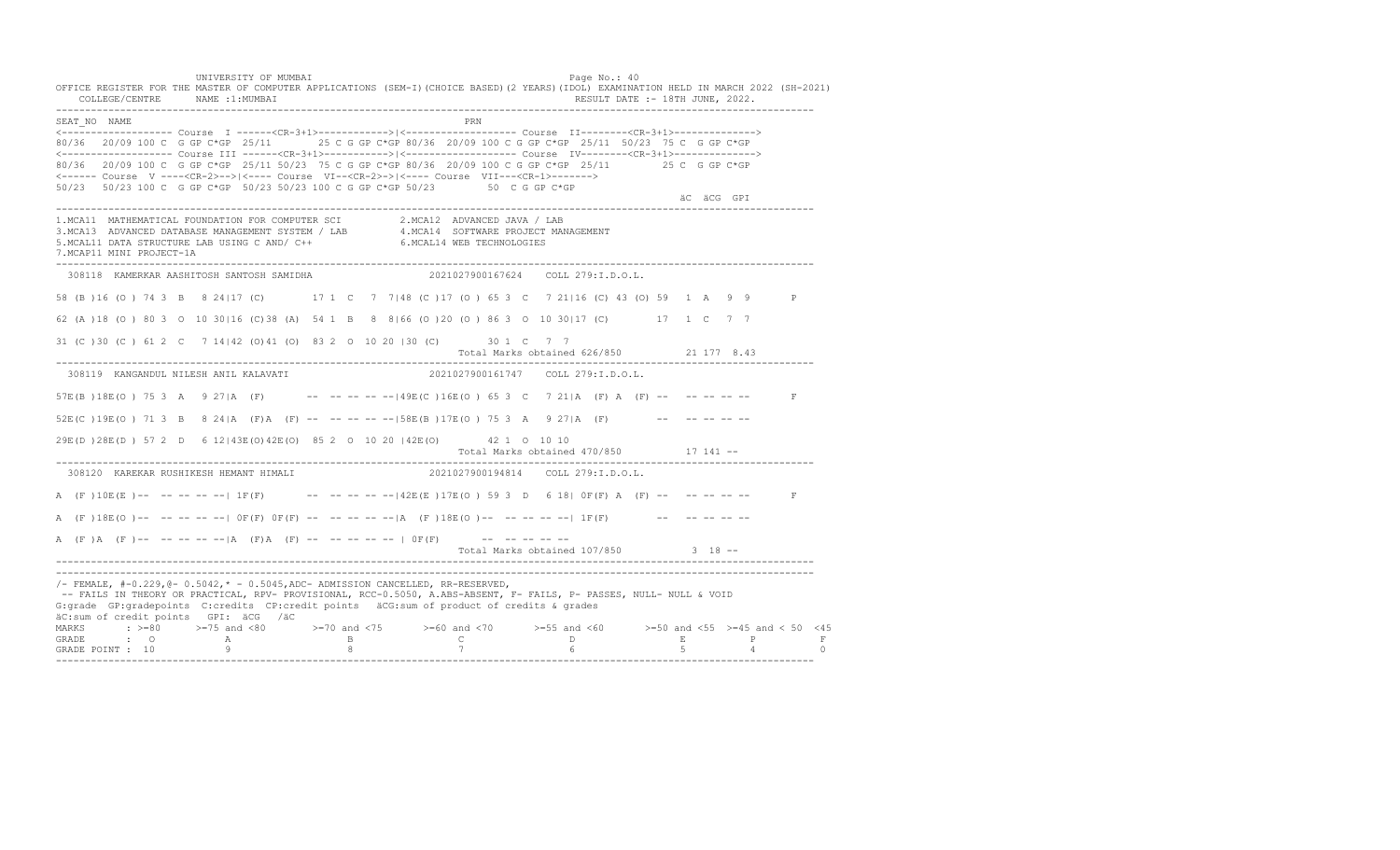UNIVERSITY OF MUMBAI PAGE OF THE PAGE OF THE PAGE OF THE PAGE OF THE PAGE OF THE PAGE OF THE PAGE OF THE PAGE OF THE PAGE OF THE PAGE OF THE PAGE OF THE PAGE OF THE PAGE OF THE PAGE OF THE PAGE OF THE PAGE OF THE PAGE OF T OFFICE REGISTER FOR THE MASTER OF COMPUTER APPLICATIONS (SEM-I)(CHOICE BASED)(2 YEARS)(IDOL) EXAMINATION HELD IN MARCH 2022 (SH-2021) COLLEGE/CENTRE NAME :1:MUMBAI RESULT DATE :- 18TH JUNE, 2022. ---------------------------------------------------------------------------------------------------------------------------------- SEAT\_NO NAME PRN <------------------- Course I ------<CR-3+1>------------>|<------------------- Course II--------<CR-3+1>--------------> 80/36 20/09 100 C G GP C\*GP 25/11 25 C G GP C\*GP 80/36 20/09 100 C G GP C\*GP 25/11 50/23 75 C G GP C\*GP <------------------- Course III ------<CR-3+1>----------->|<------------------- Course IV--------<CR-3+1>--------------> 80/36 20/09 100 C G GP C\*GP 25/11 50/23 75 C G GP C\*GP 80/36 20/09 100 C G GP C\*GP 25/11 25 C G GP C\*GP <------ Course V ----<CR-2>-->|<---- Course VI--<CR-2>->|<---- Course VII---<CR-1>-------> 50/23 50/23 100 C G GP C\*GP 50/23 50/23 100 C G GP C\*GP 50/23 50 C G GP C\*GP äC äCG GPI ä<sup>n v</sup>ächtliche State und der State und der State und der State und der State und der State und der State und der State und der State und der State und der State und der State und der State und der State und der ---------------------------------------------------------------------------------------------------------------------------------- 1.MCA11 MATHEMATICAL FOUNDATION FOR COMPUTER SCI 2.MCA12 ADVANCED JAVA / LAB<br>3.MCA13 ADVANCED DATABASE MANAGEMENT SYSTEM / LAB 4.MCA14 SOFTWARE PROJECT MANAGEMENT<br>5.MCAL11 DATA STRUCTURE LAB U 7.MCAP11 MINI PROJECT-1A ---------------------------------------------------------------------------------------------------------------------------------- 308118 KAMERKAR AASHITOSH SANTOSH SAMIDHA 2021027900167624 COLL 279:I.D.O.L. 58 (B )16 (O ) 74 3 B 8 24|17 (C) 17 1 C 7 7|48 (C )17 (O ) 65 3 C 7 21|16 (C) 43 (O) 59 1 A 9 9 P 62 (A )18 (O ) 80 3 O 10 30|16 (C)38 (A) 54 1 B 8 8|66 (O )20 (O ) 86 3 O 10 30|17 (C) 17 1 C 7 7 31 (C )30 (C ) 61 2 C 7 14|42 (O)41 (O) 83 2 O 10 20 |30 (C) 30 1 C 7 7 Total Marks obtained 626/850 21 177 8.43 ---------------------------------------------------------------------------------------------------------------------------------- 308119 KANGANDUL NILESH ANIL KALAVATI 2021027900161747 COLL 279:I.D.O.L. 57E(B )18E(O ) 75 3 A 9 27|A (F) -- -- -- -- --|49E(C )16E(O ) 65 3 C 7 21|A (F) A (F) -- -- -- -- -- F  $52E(C)19E(O)$  71 3 B 8 24|A (F)A (F) -- -- -- -- -- --158E(B)17E(O) 75 3 A 9 27|A (F) -- -- -- -- --29E(D )28E(D ) 57 2 D 6 12|43E(O)42E(O) 85 2 O 10 20 |42E(O) 42 1 O 10 10 Total Marks obtained 470/850 17 141 -- ---------------------------------------------------------------------------------------------------------------------------------- 308120 KAREKAR RUSHIKESH HEMANT HIMALI A (F)10E(E)-- -- -- -- | 1F(F) -- -- -- -- -- | 42E(E)17E(O) 59 3 D 6 18| 0F(F) A (F) -- -- -- -- -- F A (F)18E(O)-- -- -- -- -| OF(F) OF(F) -- -- -- -- -| A (F)18E(O)-- -- -- -- --| 1F(F) -- -- -- -- --A  $(F)$   $(A \cap (F)$  -- -- -- -- --  $|A \cap (F)$   $A \cap (F)$  -- -- -- -- -- --  $|A \cap (F)$  -- -- -- -- --Total Marks obtained 107/850 3 18 ------------------------------------------------------------------------------------------------------------------------------------ ---------------------------------------------------------------------------------------------------------------------------------- /- FEMALE, #-0.229,@- 0.5042,\* - 0.5045,ADC- ADMISSION CANCELLED, RR-RESERVED, -- FAILS IN THEORY OR PRACTICAL, RPV- PROVISIONAL, RCC-0.5050, A.ABS-ABSENT, F- FAILS, P- PASSES, NULL- NULL & VOID G:grade GP:gradepoints C:credits CP:credit points äCG:sum of product of credits & grades äC:sum of credit points GPI: äCG /äC MARKS : >=80 >=75 and <80 >=70 and <75 >=60 and <70 >=55 and <60 >=50 and <55 >=45 and < 50 <45 GRADE : O A B C D E P F<br>GRADE POINT : 10 9 9 8 7 7 6 5 4 0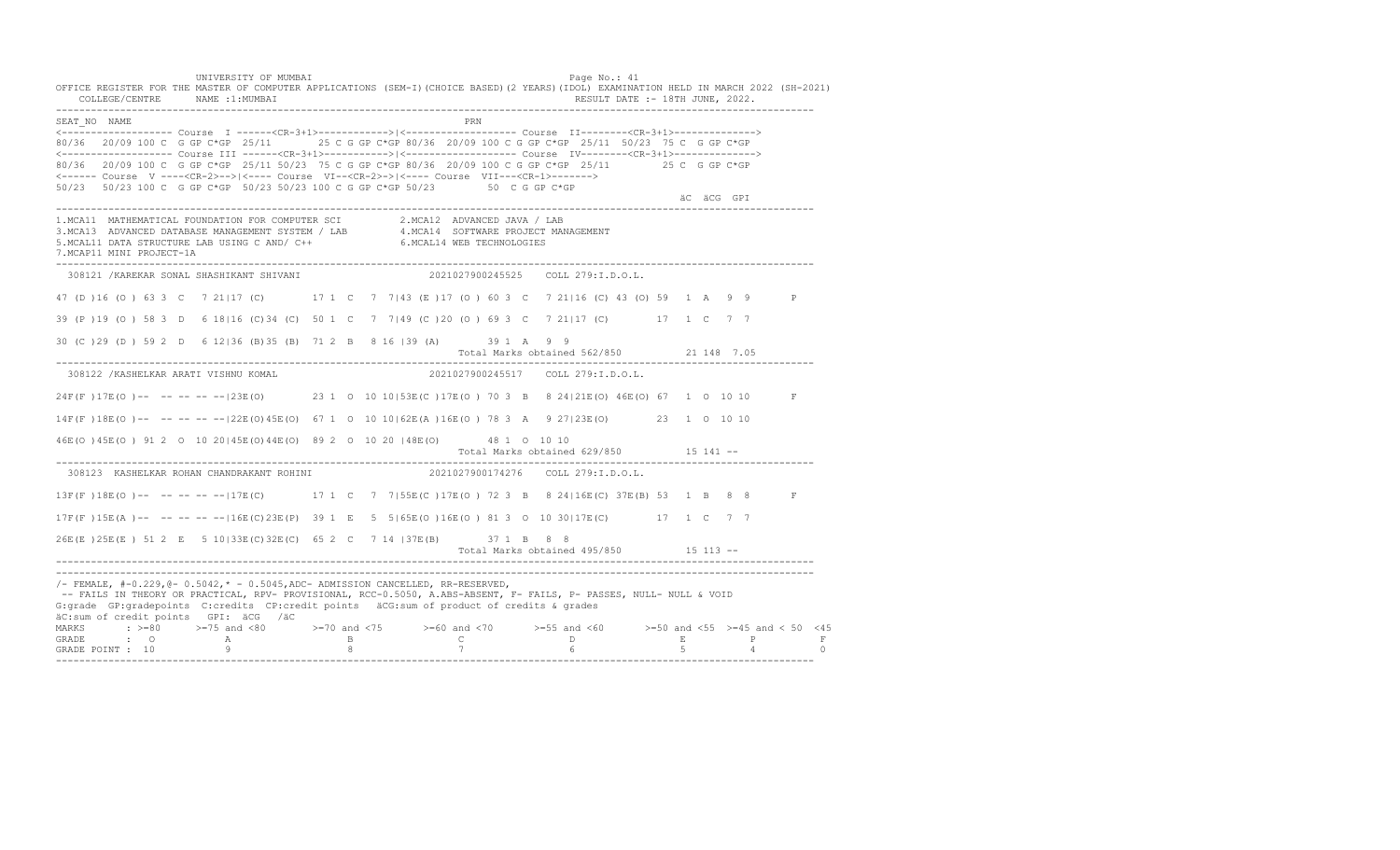UNIVERSITY OF MUMBAI PAGE OF THE PAGE OF THE PAGE OF THE PAGE OF THE PAGE OF THE PAGE OF THE PAGE OF THE PAGE OF THE PAGE OF THE PAGE OF THE PAGE OF THE PAGE OF THE PAGE OF THE PAGE OF THE PAGE OF THE PAGE OF THE PAGE OF T OFFICE REGISTER FOR THE MASTER OF COMPUTER APPLICATIONS (SEM-I)(CHOICE BASED)(2 YEARS)(IDOL) EXAMINATION HELD IN MARCH 2022 (SH-2021) COLLEGE/CENTRE NAME :1:MUMBAI RESULT DATE :- 18TH JUNE, 2022. ---------------------------------------------------------------------------------------------------------------------------------- SEAT\_NO NAME PRN <------------------- Course I ------<CR-3+1>------------>|<------------------- Course II--------<CR-3+1>--------------> 80/36 20/09 100 C G GP C\*GP 25/11 25 C G GP C\*GP 80/36 20/09 100 C G GP C\*GP 25/11 50/23 75 C G GP C\*GP <------------------- Course III ------<CR-3+1>----------->|<------------------- Course IV--------<CR-3+1>--------------> 80/36 20/09 100 C G GP C\*GP 25/11 50/23 75 C G GP C\*GP 80/36 20/09 100 C G GP C\*GP 25/11 25 C G GP C\*GP <------ Course V ----<CR-2>-->|<---- Course VI--<CR-2>->|<---- Course VII---<CR-1>-------> 50/23 50/23 100 C G GP C\*GP 50/23 50/23 100 C G GP C\*GP 50/23 50 C G GP C\*GP äC äCG GPI ä<sup>n v</sup>ächtliche State und der State und der State und der State und der State und der State und der State und der State und der State und der State und der State und der State und der State und der State und der ---------------------------------------------------------------------------------------------------------------------------------- 1.MCA11 MATHEMATICAL FOUNDATION FOR COMPUTER SCI 2.MCA12 ADVANCED JAVA / LAB<br>3.MCA13 ADVANCED DATABASE MANAGEMENT SYSTEM / LAB 4.MCA14 SOFTWARE PROJECT MANAGEMENT<br>5.MCAL11 DATA STRUCTURE LAB U 7.MCAP11 MINI PROJECT-1A ---------------------------------------------------------------------------------------------------------------------------------- 308121 /KAREKAR SONAL SHASHIKANT SHIVANI 2021027900245525 COLL 279:I.D.O.L. 47 (D )16 (O ) 63 3 C 7 21|17 (C) 17 1 C 7 7|43 (E )17 (O ) 60 3 C 7 21|16 (C) 43 (O) 59 1 A 9 9 P 39 (P )19 (O ) 58 3 D 6 18|16 (C)34 (C) 50 1 C 7 7|49 (C )20 (O ) 69 3 C 7 21|17 (C) 17 1 C 7 7 30 (C )29 (D ) 59 2 D 6 12|36 (B)35 (B) 71 2 B 8 16 |39 (A) 39 1 A 9 9 Total Marks obtained 562/850 21 148 7.05 ---------------------------------------------------------------------------------------------------------------------------------- 308122 /KASHELKAR ARATI VISHNU KOMAL 2021027900245517 COLL 279:I.D.O.L. 24F(F )17E(O )-- -- -- -- --|23E(O) 23 1 O 10 10|53E(C )17E(O ) 70 3 B 8 24|21E(O) 46E(O) 67 1 O 10 10 F 14F(F )18E(O )-- -- -- -- --|22E(O)45E(O) 67 1 O 10 10|62E(A )16E(O ) 78 3 A 9 27|23E(O) 23 1 O 10 10 46E(O )45E(O ) 91 2 O 10 20|45E(O)44E(O) 89 2 O 10 20 |48E(O) 48 1 O 10 10 Total Marks obtained 629/850 15 141 ------------------------------------------------------------------------------------------------------------------------------------ 308123 KASHELKAR ROHAN CHANDRAKANT ROHINI 13F(F) 18E(O) -- -- -- -- -- 17E(C) 17 1 C 7 7| 55E(C) 17E(O) 72 3 B 8 24| 16E(C) 37E(B) 53 1 B 8 8 F 17F(F )15E(A )-- -- -- -- --|16E(C)23E(P) 39 1 E 5 5|65E(O )16E(O ) 81 3 O 10 30|17E(C) 17 1 C 7 7 26E(E )25E(E ) 51 2 E 5 10|33E(C)32E(C) 65 2 C 7 14 |37E(B) 37 1 B 8 8 Total Marks obtained 495/850 15 113 ------------------------------------------------------------------------------------------------------------------------------------ ---------------------------------------------------------------------------------------------------------------------------------- /- FEMALE, #-0.229,@- 0.5042,\* - 0.5045,ADC- ADMISSION CANCELLED, RR-RESERVED, -- FAILS IN THEORY OR PRACTICAL, RPV- PROVISIONAL, RCC-0.5050, A.ABS-ABSENT, F- FAILS, P- PASSES, NULL- NULL & VOID G:grade GP:gradepoints C:credits CP:credit points äCG:sum of product of credits & grades äC:sum of credit points GPI: äCG /äC MARKS : >=80 >=75 and <80 >=70 and <75 >=60 and <70 >=55 and <60 >=50 and <55 >=45 and < 50 <45 GRADE : O A B C D E P F GRADE POINT : 10 9 8 7 6 5 4 0 ----------------------------------------------------------------------------------------------------------------------------------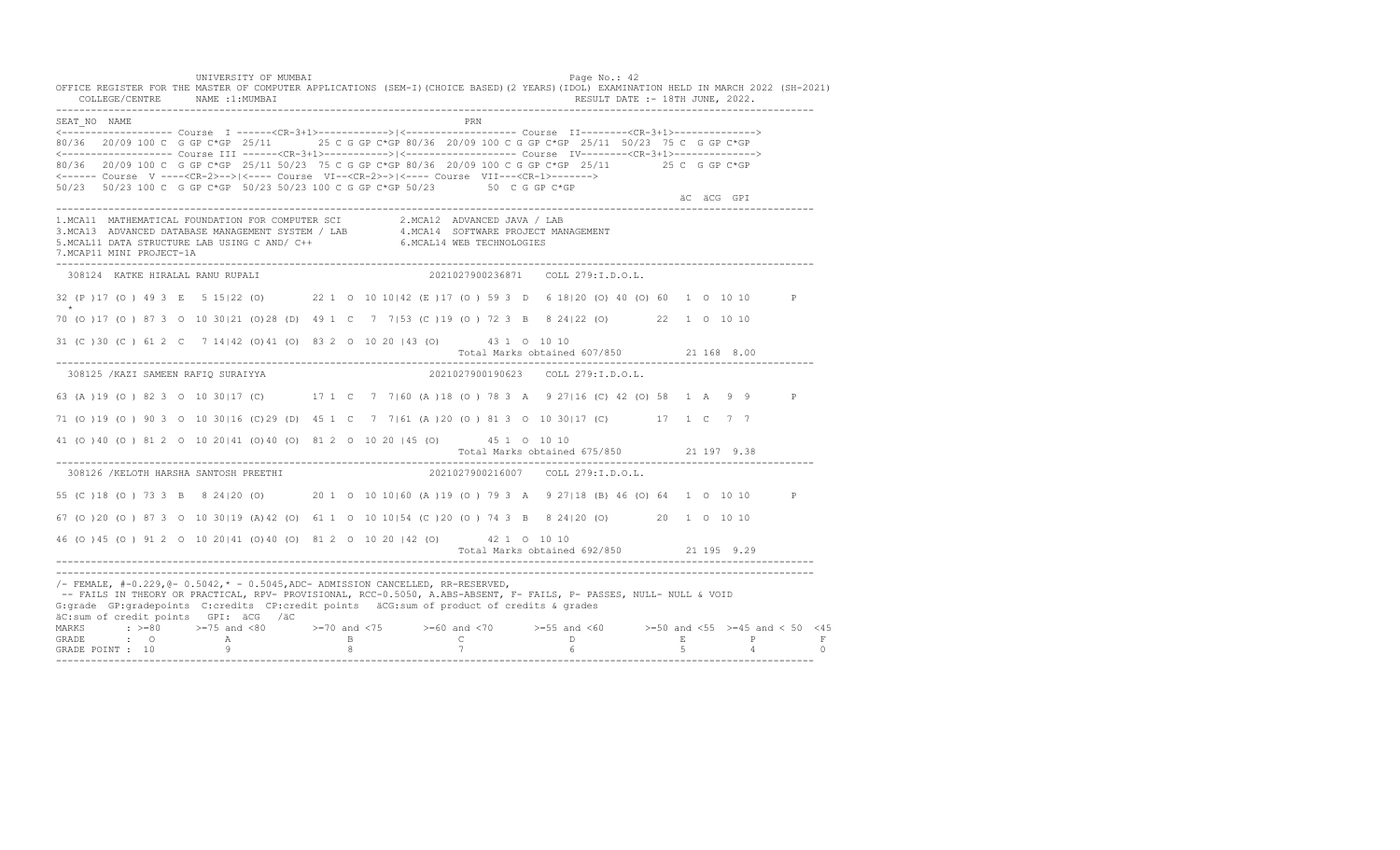UNIVERSITY OF MUMBAI PAGE OF THE PAGE OF THE PAGE OF THE PAGE OF THE PAGE OF THE PAGE OF THE PAGE OF THE PAGE OF THE PAGE OF THE PAGE OF THE PAGE OF THE PAGE OF THE PAGE OF THE PAGE OF THE PAGE OF THE PAGE OF THE PAGE OF T OFFICE REGISTER FOR THE MASTER OF COMPUTER APPLICATIONS (SEM-I)(CHOICE BASED)(2 YEARS)(IDOL) EXAMINATION HELD IN MARCH 2022 (SH-2021) COLLEGE/CENTRE NAME :1:MUMBAI RESULT DATE :- 18TH JUNE, 2022. ---------------------------------------------------------------------------------------------------------------------------------- SEAT\_NO NAME PRN <------------------- Course I ------<CR-3+1>------------>|<------------------- Course II--------<CR-3+1>--------------> 80/36 20/09 100 C G GP C\*GP 25/11 25 C G GP C\*GP 80/36 20/09 100 C G GP C\*GP 25/11 50/23 75 C G GP C\*GP <------------------- Course III ------<CR-3+1>----------->|<------------------- Course IV--------<CR-3+1>--------------> 80/36 20/09 100 C G GP C\*GP 25/11 50/23 75 C G GP C\*GP 80/36 20/09 100 C G GP C\*GP 25/11 25 C G GP C\*GP <------ Course V ----<CR-2>-->|<---- Course VI--<CR-2>->|<---- Course VII---<CR-1>-------> 50/23 50/23 100 C G GP C\*GP 50/23 50/23 100 C G GP C\*GP 50/23 50 C G GP C\*GP äC äCG GPI ä<sup>n v</sup>ächtliche State und der State und der State und der State und der State und der State und der State und der State und der State und der State und der State und der State und der State und der State und der ---------------------------------------------------------------------------------------------------------------------------------- 1.MCA11 MATHEMATICAL FOUNDATION FOR COMPUTER SCI 2.MCA12 ADVANCED JAVA / LAB<br>3.MCA13 ADVANCED DATABASE MANAGEMENT SYSTEM / LAB 4.MCA14 SOFTWARE PROJECT MANAGEMENT<br>5.MCAL11 DATA STRUCTURE LAB USI 7.MCAP11 MINI PROJECT-1A ---------------------------------------------------------------------------------------------------------------------------------- 308124 KATKE HIRALAL RANU RUPALI 2021027900236871 COLL 279:I.D.O.L. 32 (P )17 (O ) 49 3 E 5 15|22 (O) 22 1 O 10 10|42 (E )17 (O ) 59 3 D 6 18|20 (O) 40 (O) 60 1 O 10 10 P \*\*\* 70 (O )17 (O ) 87 3 O 10 30|21 (O)28 (D) 49 1 C 7 7|53 (C )19 (O ) 72 3 B 8 24|22 (O) 22 1 O 10 10 31 (C )30 (C ) 61 2 C 7 14|42 (O)41 (O) 83 2 O 10 20 |43 (O) 43 1 O 10 10 Total Marks obtained 607/850 21 168 8.00 ---------------------------------------------------------------------------------------------------------------------------------- 308125 /KAZI SAMEEN RAFIQ SURAIYYA 2021027900190623 COLL 279:I.D.O.L. 63 (A )19 (O ) 82 3 O 10 30|17 (C) 17 1 C 7 7|60 (A )18 (O ) 78 3 A 9 27|16 (C) 42 (O) 58 1 A 9 9 P 71 (O )19 (O ) 90 3 O 10 30|16 (C)29 (D) 45 1 C 7 7|61 (A )20 (O ) 81 3 O 10 30|17 (C) 17 1 C 7 7 41 (O )40 (O ) 81 2 O 10 20|41 (O)40 (O) 81 2 O 10 20 |45 (O) 45 1 O 10 10 Total Marks obtained 675/850 21 197 9.38 ---------------------------------------------------------------------------------------------------------------------------------- 308126 /KELOTH HARSHA SANTOSH PREETHI 55 (C )18 (O ) 73 3 B 8 24|20 (O) 20 1 O 10 10|60 (A )19 (O ) 79 3 A 9 27|18 (B) 46 (O) 64 1 O 10 10 P 67 (O )20 (O ) 87 3 O 10 30|19 (A)42 (O) 61 1 O 10 10|54 (C )20 (O ) 74 3 B 8 24|20 (O) 20 1 O 10 10 46 (O )45 (O ) 91 2 O 10 20|41 (O)40 (O) 81 2 O 10 20 |42 (O) 42 1 O 10 10 Total Marks obtained 692/850 21 195 9.29 ---------------------------------------------------------------------------------------------------------------------------------- ---------------------------------------------------------------------------------------------------------------------------------- /- FEMALE, #-0.229,@- 0.5042,\* - 0.5045,ADC- ADMISSION CANCELLED, RR-RESERVED, -- FAILS IN THEORY OR PRACTICAL, RPV- PROVISIONAL, RCC-0.5050, A.ABS-ABSENT, F- FAILS, P- PASSES, NULL- NULL & VOID G:grade GP:gradepoints C:credits CP:credit points äCG:sum of product of credits & grades äC:sum of credit points GPI: äCG /äC MARKS : >=80 >=75 and <80 >=70 and <75 >=60 and <70 >=55 and <60 >=50 and <55 >=45 and < 50 <45 GRADE : O A B C D E P F GRADE POINT : 10 9 8 7 6 5 4 0 ----------------------------------------------------------------------------------------------------------------------------------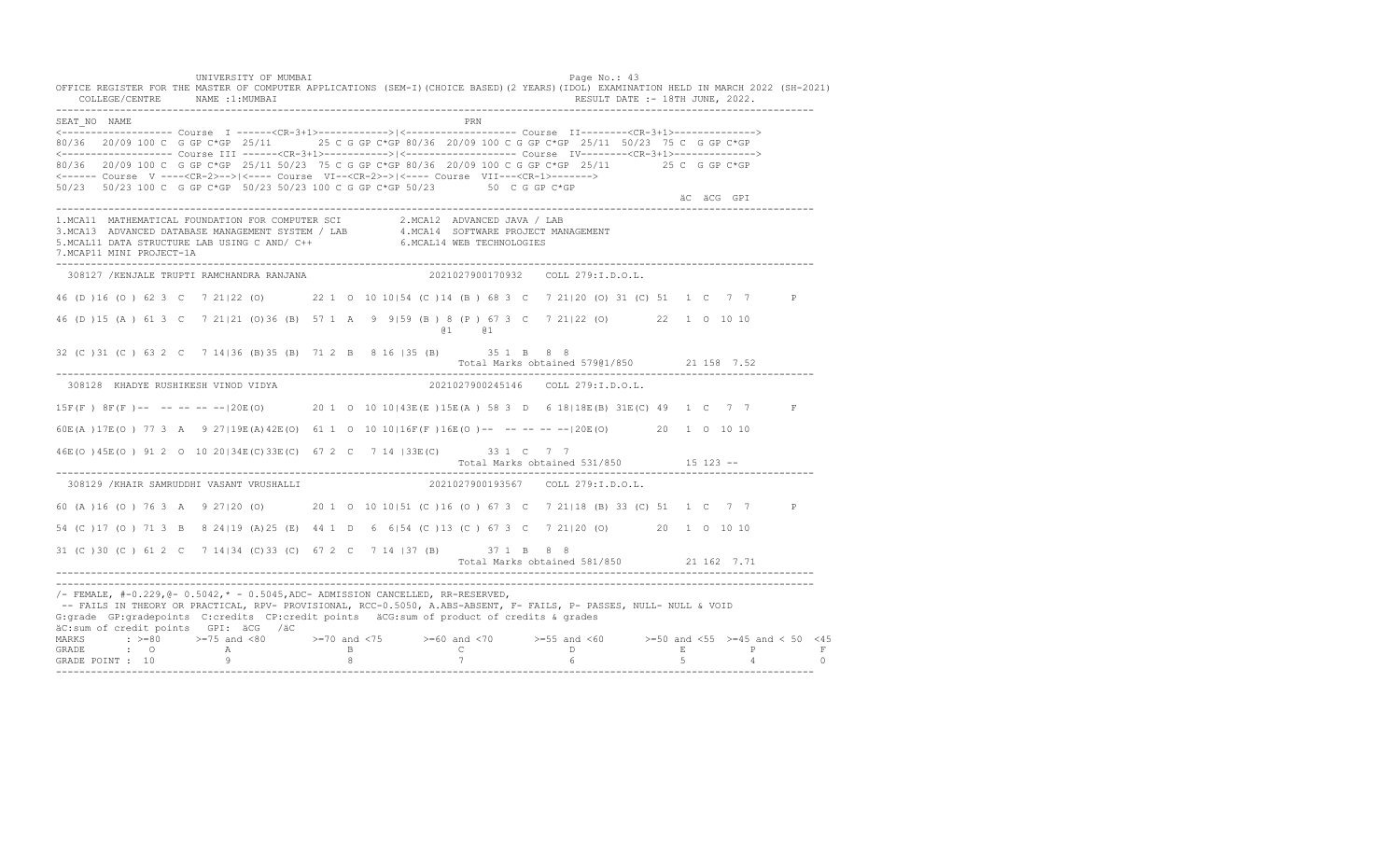UNIVERSITY OF MUMBAI PAGE OF THE PAGE OF THE PAGE OF THE PAGE OF THE PAGE OF THE PAGE OF THE PAGE OF THE PAGE OF THE PAGE OF THE PAGE OF THE PAGE OF THE PAGE OF THE PAGE OF THE PAGE OF THE PAGE OF THE PAGE OF THE PAGE OF T OFFICE REGISTER FOR THE MASTER OF COMPUTER APPLICATIONS (SEM-I)(CHOICE BASED)(2 YEARS)(IDOL) EXAMINATION HELD IN MARCH 2022 (SH-2021) COLLEGE/CENTRE NAME :1:MUMBAI RESULT DATE :- 18TH JUNE, 2022. ---------------------------------------------------------------------------------------------------------------------------------- SEAT\_NO NAME PRN <------------------- Course I ------<CR-3+1>------------>|<------------------- Course II--------<CR-3+1>--------------> 80/36 20/09 100 C G GP C\*GP 25/11 25 C G GP C\*GP 80/36 20/09 100 C G GP C\*GP 25/11 50/23 75 C G GP C\*GP <------------------- Course III ------<CR-3+1>----------->|<------------------- Course IV--------<CR-3+1>--------------> 80/36 20/09 100 C G GP C\*GP 25/11 50/23 75 C G GP C\*GP 80/36 20/09 100 C G GP C\*GP 25/11 25 C G GP C\*GP <------ Course V ----<CR-2>-->|<---- Course VI--<CR-2>->|<---- Course VII---<CR-1>-------> 50/23 50/23 100 C G GP C\*GP 50/23 50/23 100 C G GP C\*GP 50/23 50 C G GP C\*GP äC äCG GPI ä<sup>n v</sup>ächtliche State und der State und der State und der State und der State und der State und der State und der State und der State und der State und der State und der State und der State und der State und der ---------------------------------------------------------------------------------------------------------------------------------- 1.MCA11 MATHEMATICAL FOUNDATION FOR COMPUTER SCI 2.MCA12 ADVANCED JAVA / LAB<br>3.MCA13 ADVANCED DATABASE MANAGEMENT SYSTEM / LAB 4.MCA14 SOFTWARE PROJECT MANAGEMENT<br>5.MCAL11 DATA STRUCTURE LAB U 7.MCAP11 MINI PROJECT-1A ---------------------------------------------------------------------------------------------------------------------------------- 308127 /KENJALE TRUPTI RAMCHANDRA RANJANA 2021027900170932 COLL 279:I.D.O.L. 46 (D )16 (O ) 62 3 C 7 21|22 (O) 22 1 O 10 10|54 (C )14 (B ) 68 3 C 7 21|20 (O) 31 (C) 51 1 C 7 7 P 46 (D )15 (A ) 61 3 C 7 21|21 (O)36 (B) 57 1 A 9 9|59 (B ) 8 (P ) 67 3 C 7 21|22 (O) 22 1 O 10 10 @1 @1 32 (C )31 (C ) 63 2 C 7 14|36 (B)35 (B) 71 2 B 8 16 |35 (B) 35 1 B 8 8 Total Marks obtained 579@1/850 21 158 7.52 ---------------------------------------------------------------------------------------------------------------------------------- 308128 KHADYE RUSHIKESH VINOD VIDYA 15F(F ) 8F(F )-- -- -- -- --|20E(O) 20 1 O 10 10|43E(E )15E(A ) 58 3 D 6 18|18E(B) 31E(C) 49 1 C 7 7 F 60E(A )17E(O ) 77 3 A 9 27|19E(A)42E(O) 61 1 O 10 10|16F(F )16E(O )-- -- -- -- --|20E(O) 20 1 O 10 10 46E(O )45E(O ) 91 2 O 10 20|34E(C)33E(C) 67 2 C 7 14 |33E(C) 33 1 C 7 7 Total Marks obtained 531/850 15 123 ------------------------------------------------------------------------------------------------------------------------------------ 308129 /KHAIR SAMRUDDHI VASANT VRUSHALLI 2021027900193567 COLL 279:I.D.O.L. 60 (A )16 (O ) 76 3 A 9 27|20 (O) 20 1 O 10 10|51 (C )16 (O ) 67 3 C 7 21|18 (B) 33 (C) 51 1 C 7 7 P 54 (C )17 (O ) 71 3 B 8 24|19 (A)25 (E) 44 1 D 6 6|54 (C )13 (C ) 67 3 C 7 21|20 (O) 20 1 O 10 10 31 (C )30 (C ) 61 2 C 7 14|34 (C)33 (C) 67 2 C 7 14 |37 (B) 37 1 B 8 8 Total Marks obtained 581/850 21 162 7.71 ---------------------------------------------------------------------------------------------------------------------------------- ----------------------------------------------------------------------------------------------------------------------------------  $/-$  FEMALE,  $#-0.229$ ,  $@-0.5042$ ,  $* -0.5045$ , ADC- ADMISSION CANCELLED, RR-RESERVED, -- FAILS IN THEORY OR PRACTICAL, RPV- PROVISIONAL, RCC-0.5050, A.ABS-ABSENT, F- FAILS, P- PASSES, NULL- NULL & VOID G:grade GP:gradepoints C:credits CP:credit points äCG:sum of product of credits & grades äC:sum of credit points GPI: äCG /äC MARKS : >=80 >=75 and <80 >=70 and <75 >=60 and <70 >=55 and <60 >=50 and <55 >=45 and < 50 <45<br>GRADE : O A B C D E P F<br>GRADE POINT : 10 9 8 7 6 5 4 0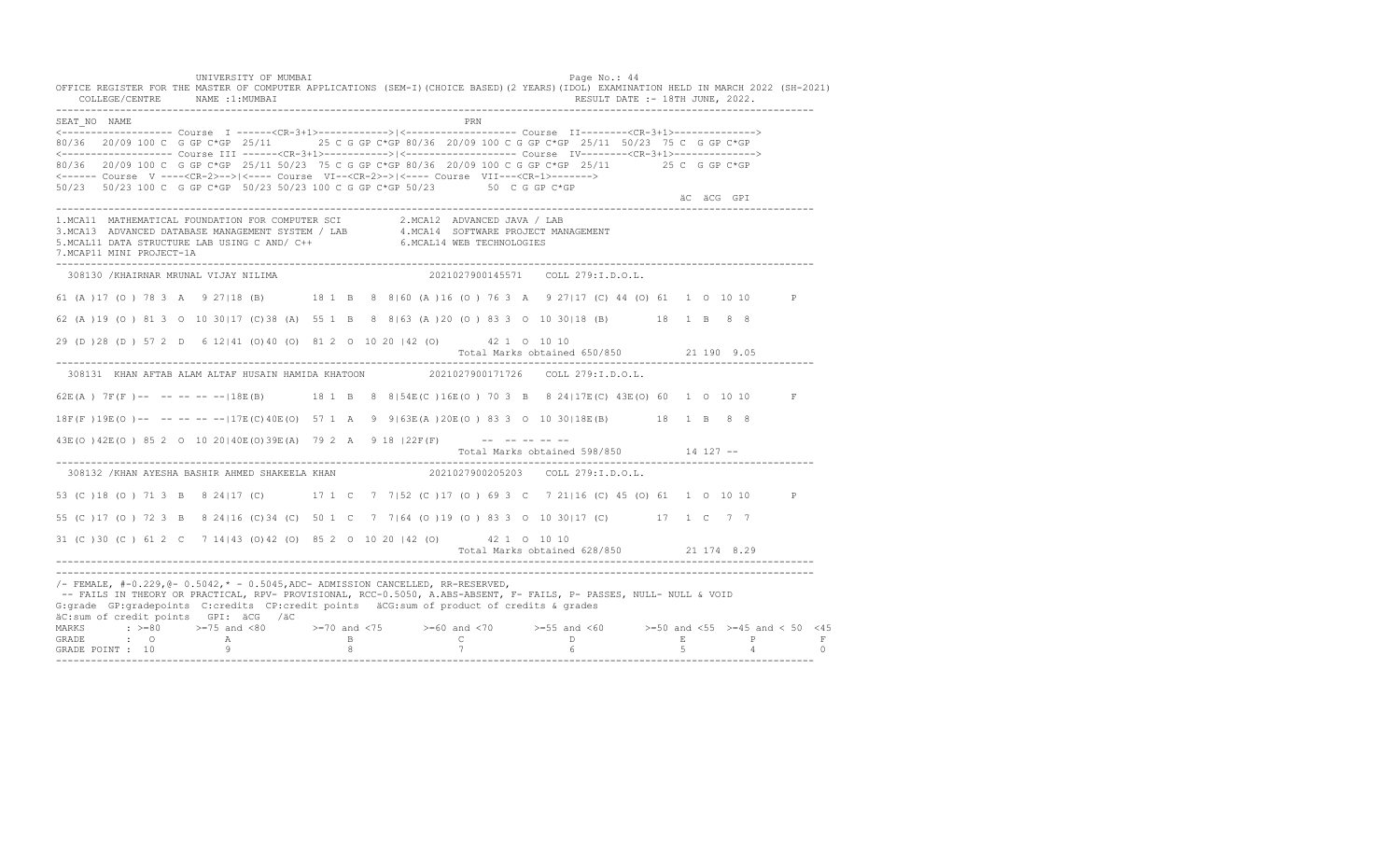UNIVERSITY OF MUMBAI PAGE OF THE PAGE OF THE PAGE OF THE PAGE OF THE PAGE OF THE PAGE OF THE PAGE OF THE PAGE OF THE PAGE OF THE PAGE OF THE PAGE OF THE PAGE OF THE PAGE OF THE PAGE OF THE PAGE OF THE PAGE OF THE PAGE OF T OFFICE REGISTER FOR THE MASTER OF COMPUTER APPLICATIONS (SEM-I)(CHOICE BASED)(2 YEARS)(IDOL) EXAMINATION HELD IN MARCH 2022 (SH-2021) COLLEGE/CENTRE NAME :1:MUMBAI RESULT DATE :- 18TH JUNE, 2022. ---------------------------------------------------------------------------------------------------------------------------------- SEAT\_NO NAME PRN <------------------- Course I ------<CR-3+1>------------>|<------------------- Course II--------<CR-3+1>--------------> 80/36 20/09 100 C G GP C\*GP 25/11 25 C G GP C\*GP 80/36 20/09 100 C G GP C\*GP 25/11 50/23 75 C G GP C\*GP <------------------- Course III ------<CR-3+1>----------->|<------------------- Course IV--------<CR-3+1>--------------> 80/36 20/09 100 C G GP C\*GP 25/11 50/23 75 C G GP C\*GP 80/36 20/09 100 C G GP C\*GP 25/11 25 C G GP C\*GP <------ Course V ----<CR-2>-->|<---- Course VI--<CR-2>->|<---- Course VII---<CR-1>-------> 50/23 50/23 100 C G GP C\*GP 50/23 50/23 100 C G GP C\*GP 50/23 50 C G GP C\*GP äC äCG GPI ä<sup>n v</sup>ächtliche State und der State und der State und der State und der State und der State und der State und der State und der State und der State und der State und der State und der State und der State und der ---------------------------------------------------------------------------------------------------------------------------------- 1.MCA11 MATHEMATICAL FOUNDATION FOR COMPUTER SCI 2.MCA12 ADVANCED JAVA / LAB 3.MCA13 ADVANCED DATABASE MANAGEMENT SYSTEM / LAB 4.MCA14 SOFTWARE PROJECT MANAGEMENT 5.MCAL11 DATA STRUCTURE LAB USING C AND/ C++ 6.MCAL14 WEB TECHNOLOGIES 7.MCAP11 MINI PROJECT-1A ---------------------------------------------------------------------------------------------------------------------------------- 308130 /KHAIRNAR MRUNAL VIJAY NILIMA 2021027900145571 COLL 279:I.D.O.L. 61 (A )17 (O ) 78 3 A 9 27|18 (B) 18 1 B 8 8|60 (A )16 (O ) 76 3 A 9 27|17 (C) 44 (O) 61 1 O 10 10 P 62 (A )19 (O ) 81 3 O 10 30|17 (C)38 (A) 55 1 B 8 8|63 (A )20 (O ) 83 3 O 10 30|18 (B) 18 1 B 8 8 29 (D )28 (D ) 57 2 D 6 12|41 (O)40 (O) 81 2 O 10 20 |42 (O) 42 1 O 10 10 Total Marks obtained 650/850 21 190 9.05 ---------------------------------------------------------------------------------------------------------------------------------- 308131 KHAN AFTAB ALAM ALTAF HUSAIN HAMIDA KHATOON 2021027900171726 COLL 279:I.D.O.L. 62E(A ) 7F(F )-- -- -- -- --|18E(B) 18 1 B 8 8|54E(C )16E(O ) 70 3 B 8 24|17E(C) 43E(O) 60 1 O 10 10 F 18F(F )19E(O )-- -- -- -- --|17E(C)40E(O) 57 1 A 9 9|63E(A )20E(O ) 83 3 O 10 30|18E(B) 18 1 B 8 8 43E(O) 42E(O) 85 2 0 10 20 | 40E(O) 39E(A) 79 2 A 9 18 | 22F(F) -- -- -- -- -- Total Marks obtained 598/850 14 127 -- ---------------------------------------------------------------------------------------------------------------------------------- 308132 /KHAN AYESHA BASHIR AHMED SHAKEELA KHAN 2021027900205203 COLL 279:I.D.O.L. 53 (C )18 (O ) 71 3 B 8 24|17 (C) 17 1 C 7 7|52 (C )17 (O ) 69 3 C 7 21|16 (C) 45 (O) 61 1 O 10 10 P 55 (C )17 (O ) 72 3 B 8 24|16 (C)34 (C) 50 1 C 7 7|64 (O )19 (O ) 83 3 O 10 30|17 (C) 17 1 C 7 7 31 (C )30 (C ) 61 2 C 7 14|43 (O)42 (O) 85 2 O 10 20 |42 (O) 42 1 O 10 10 Total Marks obtained 628/850 21 174 8.29 ---------------------------------------------------------------------------------------------------------------------------------- ---------------------------------------------------------------------------------------------------------------------------------- /- FEMALE, #-0.229,@- 0.5042,\* - 0.5045,ADC- ADMISSION CANCELLED, RR-RESERVED, -- FAILS IN THEORY OR PRACTICAL, RPV- PROVISIONAL, RCC-0.5050, A.ABS-ABSENT, F- FAILS, P- PASSES, NULL- NULL & VOID G:grade GP:gradepoints C:credits CP:credit points äCG:sum of product of credits & grades äC:sum of credit points GPI: äCG /äC MARKS : >=80 >=75 and <80 >=70 and <75 >=60 and <70 >=55 and <60 >=50 and <55 >=45 and < 50 <45 GRADE : O A B C D E P F<br>GRADE POINT : 10 9 9 8 7 7 6 5 4 0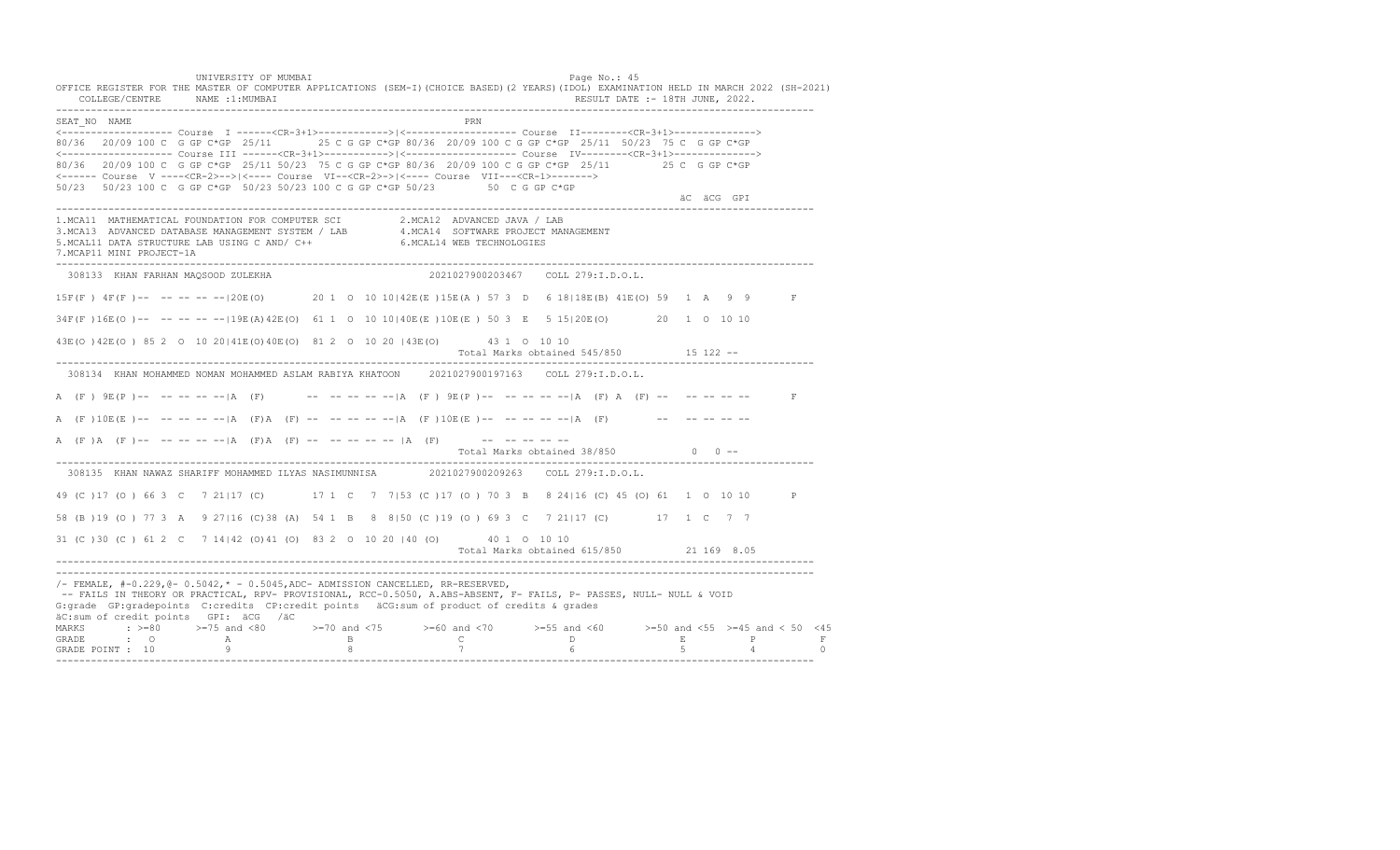UNIVERSITY OF MUMBAI PAGE OF THE PAGE OF THE PAGE OF THE PAGE OF THE PAGE OF THE PAGE OF THE PAGE OF THE PAGE OF THE PAGE OF THE PAGE OF THE PAGE OF THE PAGE OF THE PAGE OF THE PAGE OF THE PAGE OF THE PAGE OF THE PAGE OF T OFFICE REGISTER FOR THE MASTER OF COMPUTER APPLICATIONS (SEM-I)(CHOICE BASED)(2 YEARS)(IDOL) EXAMINATION HELD IN MARCH 2022 (SH-2021) COLLEGE/CENTRE NAME :1:MUMBAI RESULT DATE :- 18TH JUNE, 2022. ---------------------------------------------------------------------------------------------------------------------------------- SEAT\_NO NAME PRIMAGE PRODUCED IN THE PRODUCED SEAT NO PRIMAGE PRIMAGE PRIMAGE PRIMAGE PRIMAGE PRIMAGE PRIMAGE PRIMAGE PRIMAGE PRIMAGE PRIMAGE PRIMAGE PRIMAGE PRIMAGE PRIMAGE PRIMAGE PRIMAGE PRIMAGE PRIMAGE PRIMAGE PRIMAGE <------------------- Course I ------<CR-3+1>------------>|<------------------- Course II--------<CR-3+1>--------------> 80/36 20/09 100 C G GP C\*GP 25/11 25 C G GP C\*GP 80/36 20/09 100 C G GP C\*GP 25/11 50/23 75 C G GP C\*GP <------------------- Course III ------<CR-3+1>----------->|<------------------- Course IV--------<CR-3+1>--------------> 80/36 20/09 100 C G GP C\*GP 25/11 50/23 75 C G GP C\*GP 80/36 20/09 100 C G GP C\*GP 25/11 25 C G GP C\*GP <------ Course V ----<CR-2>-->|<---- Course VI--<CR-2>->|<---- Course VII---<CR-1>-------> 50/23 50/23 100 C G GP C\*GP 50/23 50/23 100 C G GP C\*GP 50/23 50 C G GP C\*GP äC äCG GPI ä<sup>n v</sup>ächtliche State und der State und der State und der State und der State und der State und der State und der State und der State und der State und der State und der State und der State und der State und der ---------------------------------------------------------------------------------------------------------------------------------- 1.MCA11 MATHEMATICAL FOUNDATION FOR COMPUTER SCI 2.MCA12 ADVANCED JAVA / LAB 3.MCA13 ADVANCED DATABASE MANAGEMENT SYSTEM / LAB 4.MCA14 SOFTWARE PROJECT MANAGEMENT 5.MCAL11 DATA STRUCTURE LAB USING C AND/ C++ 6.MCAL14 WEB TECHNOLOGIES 7.MCAP11 MINI PROJECT-1A ---------------------------------------------------------------------------------------------------------------------------------- 308133 KHAN FARHAN MAQSOOD ZULEKHA 2021027900203467 COLL 279:I.D.O.L. 15F(F ) 4F(F )-- -- -- -- --|20E(O) 20 1 O 10 10|42E(E )15E(A ) 57 3 D 6 18|18E(B) 41E(O) 59 1 A 9 9 F 34F(F )16E(O )-- -- -- -- --|19E(A)42E(O) 61 1 O 10 10|40E(E )10E(E ) 50 3 E 5 15|20E(O) 20 1 O 10 10 43E(O )42E(O ) 85 2 O 10 20|41E(O)40E(O) 81 2 O 10 20 |43E(O) 43 1 O 10 10 Total Marks obtained 545/850 15 122 ------------------------------------------------------------------------------------------------------------------------------------ 308134 KHAN MOHAMMED NOMAN MOHAMMED ASLAM RABIYA KHATOON 2021027900197163 COLL 279:I.D.O.L. A (F)  $9E(P)$ -- -- -- -- -- |A (F) -- -- -- -- -- -- |A (F)  $9E(P)$ -- -- -- -- -- |A (F) A (F) -- -- -- -- -- --A  $(F) 10E(E)$ -- -- -- -- --|A  $(F)$ A  $(F)$  -- -- -- -- --|A  $(F) 10E(E)$ -- -- -- -- --|A  $(F)$  -- -- -- -- -- --A (F)A (F) -- -- -- -- -- |A (F) A (F) -- -- -- -- -- |A (F) -- -- -- -- -- --Total Marks obtained  $38/850$  0 ------------------------------------------------------------------------------------------------------------------------------------ 308135 KHAN NAWAZ SHARIFF MOHAMMED ILYAS NASIMUNNISA 2021027900209263 COLL 279:I.D.O.L. 49 (C )17 (O ) 66 3 C 7 21|17 (C) 17 1 C 7 7|53 (C )17 (O ) 70 3 B 8 24|16 (C) 45 (O) 61 1 O 10 10 P 58 (B )19 (O ) 77 3 A 9 27|16 (C)38 (A) 54 1 B 8 8|50 (C )19 (O ) 69 3 C 7 21|17 (C) 17 1 C 7 7 31 (C )30 (C ) 61 2 C 7 14|42 (O)41 (O) 83 2 O 10 20 |40 (O) 40 1 O 10 10 Total Marks obtained 615/850 21 169 8.05 ---------------------------------------------------------------------------------------------------------------------------------- ---------------------------------------------------------------------------------------------------------------------------------- /- FEMALE, #-0.229,@- 0.5042,\* - 0.5045,ADC- ADMISSION CANCELLED, RR-RESERVED, -- FAILS IN THEORY OR PRACTICAL, RPV- PROVISIONAL, RCC-0.5050, A.ABS-ABSENT, F- FAILS, P- PASSES, NULL- NULL & VOID G:grade GP:gradepoints C:credits CP:credit points äCG:sum of product of credits & grades äC:sum of credit points GPI: äCG /äC MARKS : >=80 >=75 and <80 >=70 and <75 >=60 and <70 >=55 and <60 >=50 and <55 >=45 and < 50 <45<br>GRADE : O A B C D E P F<br>GRADE POINT : 10 9 8 7 6 5 4 0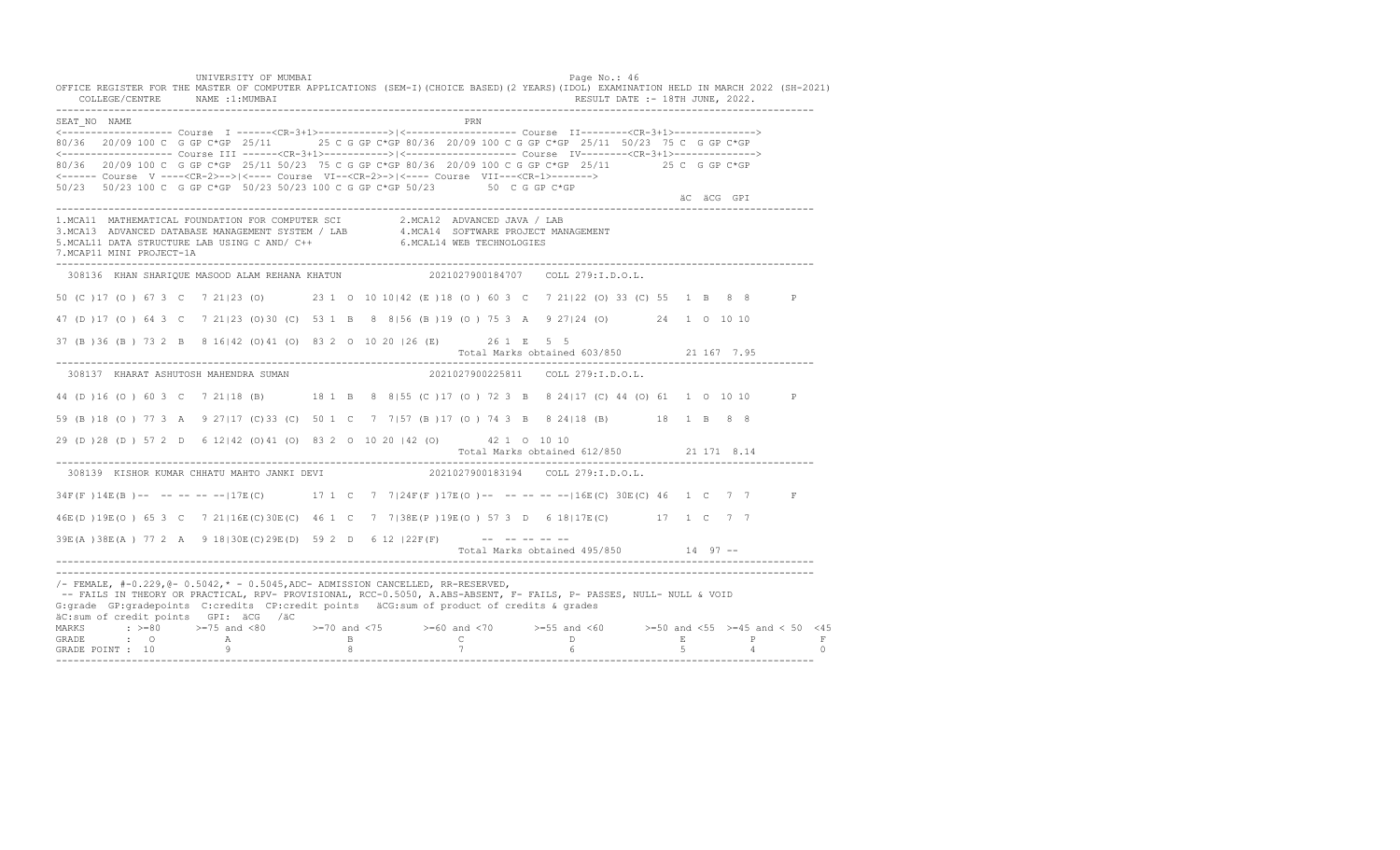UNIVERSITY OF MUMBAI PAGE OF THE PAGE OF THE PAGE OF THE PAGE OF THE PAGE OF THE PAGE OF THE PAGE OF THE PAGE OF THE PAGE OF THE PAGE OF THE PAGE OF THE PAGE OF THE PAGE OF THE PAGE OF THE PAGE OF THE PAGE OF THE PAGE OF T OFFICE REGISTER FOR THE MASTER OF COMPUTER APPLICATIONS (SEM-I)(CHOICE BASED)(2 YEARS)(IDOL) EXAMINATION HELD IN MARCH 2022 (SH-2021) COLLEGE/CENTRE NAME :1:MUMBAI RESULT DATE :- 18TH JUNE, 2022. ---------------------------------------------------------------------------------------------------------------------------------- SEAT\_NO NAME PRN <------------------- Course I ------<CR-3+1>------------>|<------------------- Course II--------<CR-3+1>--------------> 80/36 20/09 100 C G GP C\*GP 25/11 25 C G GP C\*GP 80/36 20/09 100 C G GP C\*GP 25/11 50/23 75 C G GP C\*GP <------------------- Course III ------<CR-3+1>----------->|<------------------- Course IV--------<CR-3+1>--------------> 80/36 20/09 100 C G GP C\*GP 25/11 50/23 75 C G GP C\*GP 80/36 20/09 100 C G GP C\*GP 25/11 25 C G GP C\*GP <------ Course V ----<CR-2>-->|<---- Course VI--<CR-2>->|<---- Course VII---<CR-1>-------> 50/23 50/23 100 C G GP C\*GP 50/23 50/23 100 C G GP C\*GP 50/23 50 C G GP C\*GP äC äCG GPI ä<sup>n v</sup>ächtliche State und der State und der State und der State und der State und der State und der State und der State und der State und der State und der State und der State und der State und der State und der ---------------------------------------------------------------------------------------------------------------------------------- 1.MCA11 MATHEMATICAL FOUNDATION FOR COMPUTER SCI 2.MCA12 ADVANCED JAVA / LAB<br>3.MCA13 ADVANCED DATABASE MANAGEMENT SYSTEM / LAB 4.MCA14 SOFTWARE PROJECT MANAGEMENT<br>5.MCAL11 DATA STRUCTURE LAB U 7.MCAP11 MINI PROJECT-1A ---------------------------------------------------------------------------------------------------------------------------------- 308136 KHAN SHARIQUE MASOOD ALAM REHANA KHATUN 2021027900184707 COLL 279:I.D.O.L. 50 (C )17 (O ) 67 3 C 7 21|23 (O) 23 1 O 10 10|42 (E )18 (O ) 60 3 C 7 21|22 (O) 33 (C) 55 1 B 8 8 P 47 (D )17 (O ) 64 3 C 7 21|23 (O)30 (C) 53 1 B 8 8|56 (B )19 (O ) 75 3 A 9 27|24 (O) 24 1 O 10 10 37 (B )36 (B ) 73 2 B 8 16|42 (O)41 (O) 83 2 O 10 20 |26 (E) 26 1 E 5 5 Total Marks obtained 603/850 21 167 7.95 ---------------------------------------------------------------------------------------------------------------------------------- 308137 KHARAT ASHUTOSH MAHENDRA SUMAN 2021027900225811 COLL 279:I.D.O.L. 44 (D )16 (O ) 60 3 C 7 21|18 (B) 18 1 B 8 8|55 (C )17 (O ) 72 3 B 8 24|17 (C) 44 (O) 61 1 O 10 10 P 59 (B )18 (O ) 77 3 A 9 27|17 (C)33 (C) 50 1 C 7 7|57 (B )17 (O ) 74 3 B 8 24|18 (B) 18 1 B 8 8 29 (D )28 (D ) 57 2 D 6 12|42 (O)41 (O) 83 2 O 10 20 |42 (O) 42 1 O 10 10 Total Marks obtained 612/850 21 171 8.14 ---------------------------------------------------------------------------------------------------------------------------------- 308139 KISHOR KUMAR CHHATU MAHTO JANKI DEVI 34F(F)14E(B)-- -- -- -- --|17E(C) 17 1 C 7 7|24F(F)17E(O)-- -- -- -----|16E(C) 30E(C) 46 1 C 7 7 F 46E(D )19E(O ) 65 3 C 7 21|16E(C)30E(C) 46 1 C 7 7|38E(P )19E(O ) 57 3 D 6 18|17E(C) 17 1 C 7 7  $39E(A) 38E(A) 77 2 A 9 18 | 30E(C) 29E(D) 59 2 D 6 12 | 22F(F)$  -- -- -- -- --Total Marks obtained 495/850 14 97 ------------------------------------------------------------------------------------------------------------------------------------ ---------------------------------------------------------------------------------------------------------------------------------- /- FEMALE, #-0.229,@- 0.5042,\* - 0.5045,ADC- ADMISSION CANCELLED, RR-RESERVED, -- FAILS IN THEORY OR PRACTICAL, RPV- PROVISIONAL, RCC-0.5050, A.ABS-ABSENT, F- FAILS, P- PASSES, NULL- NULL & VOID G:grade GP:gradepoints C:credits CP:credit points äCG:sum of product of credits & grades äC:sum of credit points GPI: äCG /äC MARKS : >=80 >=75 and <80 >=70 and <75 >=60 and <70 >=55 and <60 >=50 and <55 >=45 and < 50 <45 GRADE : O A B C D E P F GRADE POINT : 10 9 8 7 6 5 4 0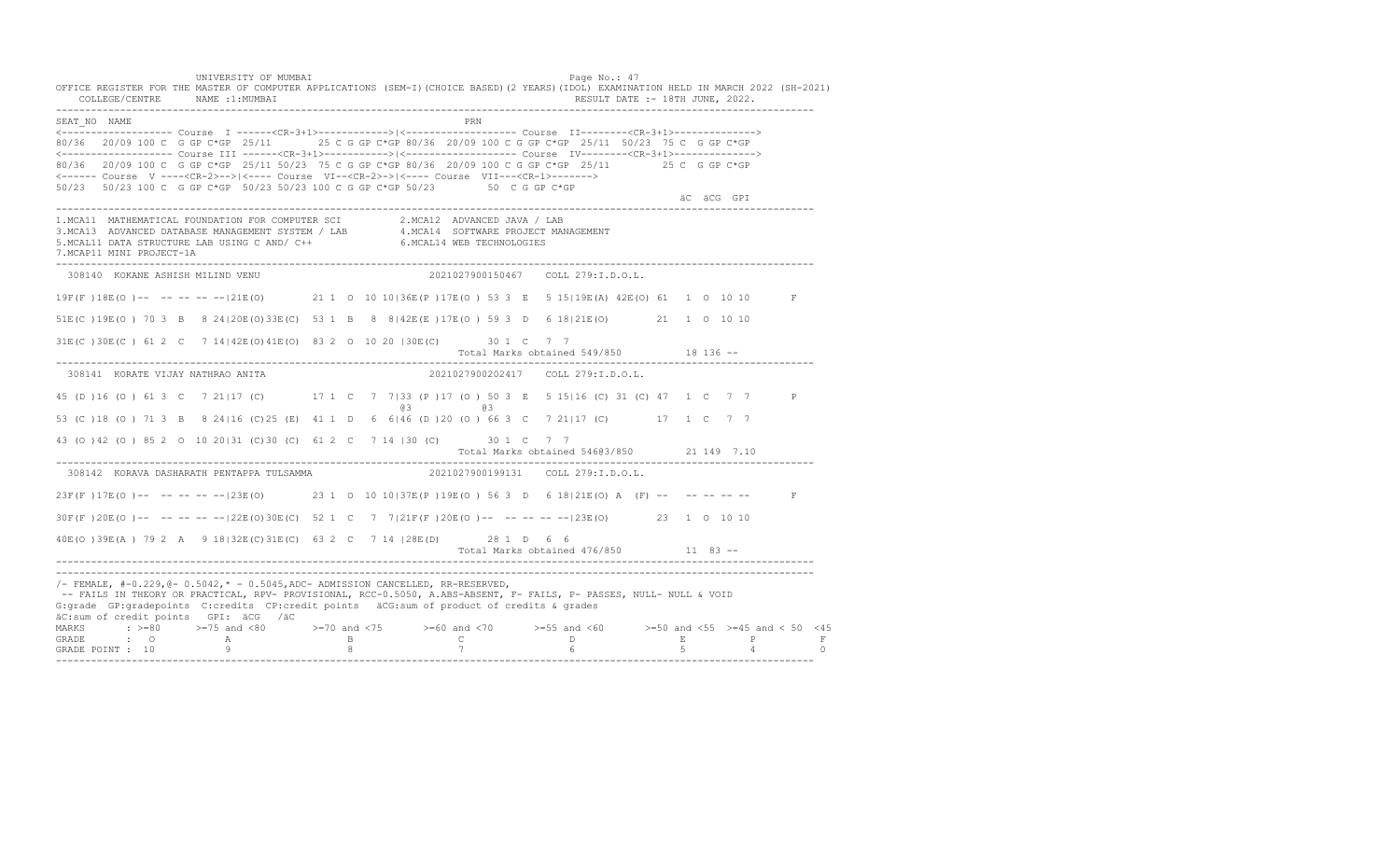UNIVERSITY OF MUMBAI PAGE OF THE PAGE OF THE PAGE OF THE PAGE OF THE PAGE OF THE PAGE OF THE PAGE OF THE PAGE OF THE PAGE OF THE PAGE OF THE PAGE OF THE PAGE OF THE PAGE OF THE PAGE OF THE PAGE OF THE PAGE OF THE PAGE OF T OFFICE REGISTER FOR THE MASTER OF COMPUTER APPLICATIONS (SEM-I)(CHOICE BASED)(2 YEARS)(IDOL) EXAMINATION HELD IN MARCH 2022 (SH-2021) COLLEGE/CENTRE NAME :1:MUMBAI RESULT DATE :- 18TH JUNE, 2022. ---------------------------------------------------------------------------------------------------------------------------------- SEAT\_NO NAME PRIME PRIME PRODUCED A CONTROL IN THE PRIME PRIME PRIME PRIME PRIME PRIME PRIME PRIME PRIME PRIME PRIME PRIME PRIME PRIME PRIME PRIME PRIME PRIME PRIME PRIME PRIME PRIME PRIME PRIME PRIME PRIME PRIME PRIME PRI <------------------- Course I ------<CR-3+1>------------>|<------------------- Course II--------<CR-3+1>--------------> 80/36 20/09 100 C G GP C\*GP 25/11 25 C G GP C\*GP 80/36 20/09 100 C G GP C\*GP 25/11 50/23 75 C G GP C\*GP <------------------- Course III ------<CR-3+1>----------->|<------------------- Course IV--------<CR-3+1>--------------> 80/36 20/09 100 C G GP C\*GP 25/11 50/23 75 C G GP C\*GP 80/36 20/09 100 C G GP C\*GP 25/11 25 C G GP C\*GP <------ Course V ----<CR-2>-->|<---- Course VI--<CR-2>->|<---- Course VII---<CR-1>-------> 50/23 50/23 100 C G GP C\*GP 50/23 50/23 100 C G GP C\*GP 50/23 50 C G GP C\*GP äC äCG GPI ä<sup>n v</sup>ächtliche State und der State und der State und der State und der State und der State und der State und der State und der State und der State und der State und der State und der State und der State und der ---------------------------------------------------------------------------------------------------------------------------------- 1.MCA11 MATHEMATICAL FOUNDATION FOR COMPUTER SCI 2.MCA12 ADVANCED JAVA / LAB<br>3.MCA13 ADVANCED DATABASE MANAGEMENT SYSTEM / LAB 4.MCA14 SOFTWARE PROJECT MANAGEMENT<br>5.MCAL11 DATA STRUCTURE LAB U 7.MCAP11 MINI PROJECT-1A ---------------------------------------------------------------------------------------------------------------------------------- 308140 KOKANE ASHISH MILIND VENU 2021027900150467 COLL 279:I.D.O.L. 19F(F )18E(O )-- -- -- -- --|21E(O) 21 1 O 10 10|36E(P )17E(O ) 53 3 E 5 15|19E(A) 42E(O) 61 1 O 10 10 F 51E(C )19E(O ) 70 3 B 8 24|20E(O)33E(C) 53 1 B 8 8|42E(E )17E(O ) 59 3 D 6 18|21E(O) 21 1 O 10 10 31E(C )30E(C ) 61 2 C 7 14|42E(O)41E(O) 83 2 O 10 20 |30E(C) 30 1 C 7 7 Total Marks obtained 549/850 18 136 ------------------------------------------------------------------------------------------------------------------------------------ 308141 KORATE VIJAY NATHRAO ANITA 2021027900202417 COLL 279:I.D.O.L. 45 (D )16 (O ) 61 3 C 7 21|17 (C) 17 1 C 7 7|33 (P )17 (O ) 50 3 E 5 15|16 (C) 31 (C) 47 1 C 7 7 P @3 @3 53 (C )18 (O ) 71 3 B 8 24|16 (C)25 (E) 41 1 D 6 6|46 (D )20 (O ) 66 3 C 7 21|17 (C) 17 1 C 7 7 43 (O )42 (O ) 85 2 O 10 20|31 (C)30 (C) 61 2 C 7 14 |30 (C) 30 1 C 7 7 Total Marks obtained 546@3/850 21 149 7.10 ---------------------------------------------------------------------------------------------------------------------------------- 308142 KORAVA DASHARATH PENTAPPA TULSAMMA 23F(F)17E(O)-- -- -- -- -- 23E(O) 23 1 0 10 10|37E(P)19E(O) 56 3 D 6 18|21E(O) A (F) -- -- -- -- -- F 30F(F )20E(O )-- -- -- -- --|22E(O)30E(C) 52 1 C 7 7|21F(F )20E(O )-- -- -- -- --|23E(O) 23 1 O 10 10 40E(O )39E(A ) 79 2 A 9 18|32E(C)31E(C) 63 2 C 7 14 |28E(D) 28 1 D 6 6 Total Marks obtained 476/850 11 83 ------------------------------------------------------------------------------------------------------------------------------------ ---------------------------------------------------------------------------------------------------------------------------------- /- FEMALE, #-0.229,@- 0.5042,\* - 0.5045,ADC- ADMISSION CANCELLED, RR-RESERVED, -- FAILS IN THEORY OR PRACTICAL, RPV- PROVISIONAL, RCC-0.5050, A.ABS-ABSENT, F- FAILS, P- PASSES, NULL- NULL & VOID G:grade GP:gradepoints C:credits CP:credit points äCG:sum of product of credits & grades äC:sum of credit points GPI: äCG /äC MARKS : >=80 >=75 and <80 >=70 and <75 >=60 and <70 >=55 and <60 >=50 and <55 >=45 and < 50 <45 GRADE : O A B C D E P F<br>GRADE POINT : 10 9 9 8 7 7 6 5 4 0 ----------------------------------------------------------------------------------------------------------------------------------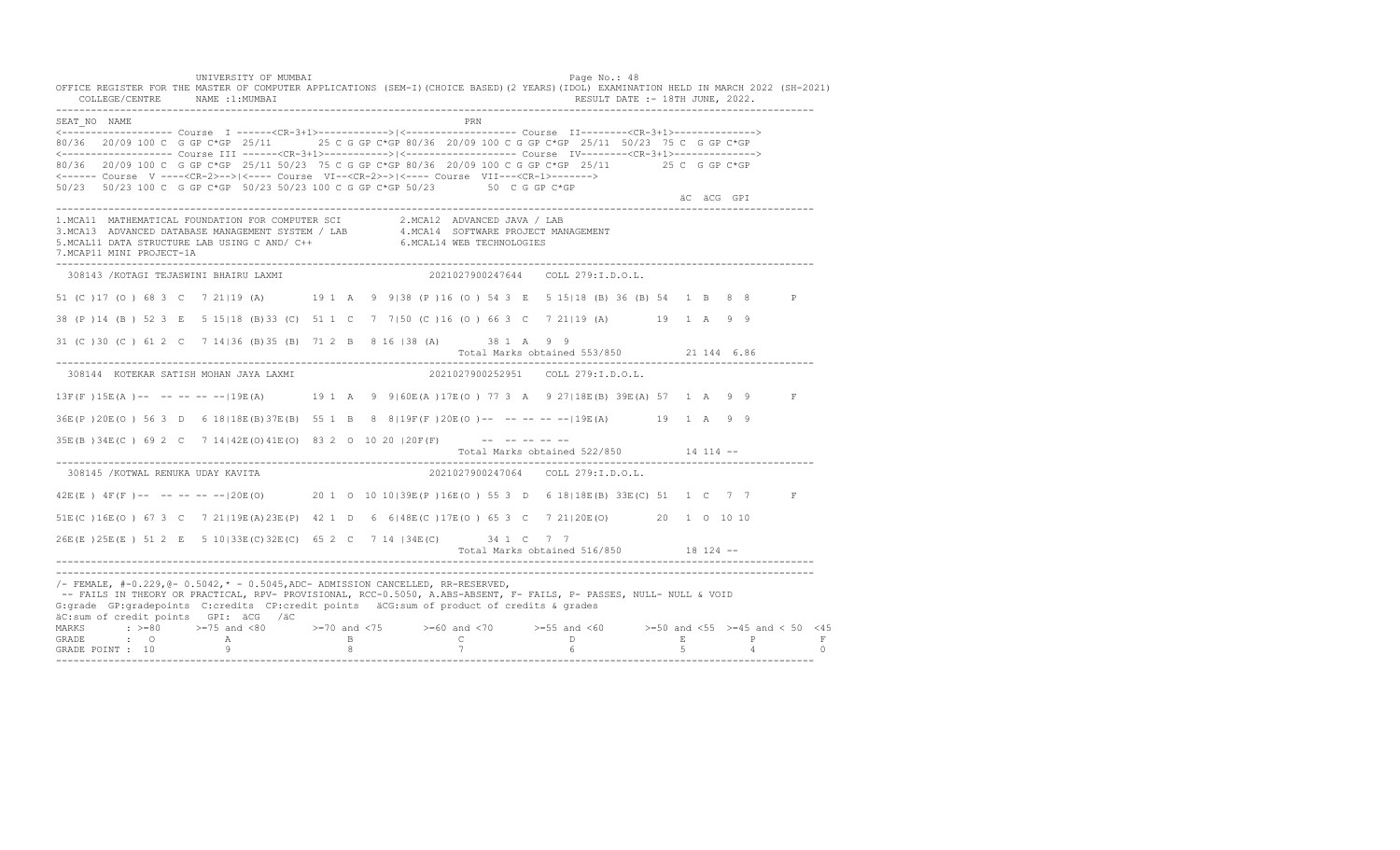UNIVERSITY OF MUMBAI PAGE OF THE PAGE OF THE PAGE OF THE PAGE OF THE PAGE OF THE PAGE OF THE PAGE OF THE PAGE OF THE PAGE OF THE PAGE OF THE PAGE OF THE PAGE OF THE PAGE OF THE PAGE OF THE PAGE OF THE PAGE OF THE PAGE OF T OFFICE REGISTER FOR THE MASTER OF COMPUTER APPLICATIONS (SEM-I)(CHOICE BASED)(2 YEARS)(IDOL) EXAMINATION HELD IN MARCH 2022 (SH-2021) COLLEGE/CENTRE NAME :1:MUMBAI RESULT DATE :- 18TH JUNE, 2022. ---------------------------------------------------------------------------------------------------------------------------------- SEAT\_NO NAME PRN <------------------- Course I ------<CR-3+1>------------>|<------------------- Course II--------<CR-3+1>--------------> 80/36 20/09 100 C G GP C\*GP 25/11 25 C G GP C\*GP 80/36 20/09 100 C G GP C\*GP 25/11 50/23 75 C G GP C\*GP <------------------- Course III ------<CR-3+1>----------->|<------------------- Course IV--------<CR-3+1>--------------> 80/36 20/09 100 C G GP C\*GP 25/11 50/23 75 C G GP C\*GP 80/36 20/09 100 C G GP C\*GP 25/11 25 C G GP C\*GP <------ Course V ----<CR-2>-->|<---- Course VI--<CR-2>->|<---- Course VII---<CR-1>-------> 50/23 50/23 100 C G GP C\*GP 50/23 50/23 100 C G GP C\*GP 50/23 50 C G GP C\*GP äC äCG GPI ä<sup>n v</sup>ächtliche State und der State und der State und der State und der State und der State und der State und der State und der State und der State und der State und der State und der State und der State und der ---------------------------------------------------------------------------------------------------------------------------------- 1.MCA11 MATHEMATICAL FOUNDATION FOR COMPUTER SCI 2.MCA12 ADVANCED JAVA / LAB<br>3.MCA13 ADVANCED DATABASE MANAGEMENT SYSTEM / LAB 4.MCA14 SOFTWARE PROJECT MANAGEMENT<br>5.MCAL11 DATA STRUCTURE LAB U 7.MCAP11 MINI PROJECT-1A ---------------------------------------------------------------------------------------------------------------------------------- 308143 /KOTAGI TEJASWINI BHAIRU LAXMI 2021027900247644 COLL 279:I.D.O.L. 51 (C )17 (O ) 68 3 C 7 21|19 (A) 19 1 A 9 9|38 (P )16 (O ) 54 3 E 5 15|18 (B) 36 (B) 54 1 B 8 8 P 38 (P )14 (B ) 52 3 E 5 15|18 (B)33 (C) 51 1 C 7 7|50 (C )16 (O ) 66 3 C 7 21|19 (A) 19 1 A 9 9 31 (C )30 (C ) 61 2 C 7 14|36 (B)35 (B) 71 2 B 8 16 |38 (A) 38 1 A 9 9 Total Marks obtained 553/850 21 144 6.86 ---------------------------------------------------------------------------------------------------------------------------------- 308144 KOTEKAR SATISH MOHAN JAYA LAXMI 2021027900252951 COLL 279:I.D.O.L. 13F(F )15E(A )-- -- -- -- --|19E(A) 19 1 A 9 9|60E(A )17E(O ) 77 3 A 9 27|18E(B) 39E(A) 57 1 A 9 9 F 36E(P )20E(O ) 56 3 D 6 18|18E(B)37E(B) 55 1 B 8 8|19F(F )20E(O )-- -- -- -- --|19E(A) 19 1 A 9 9 35E(B) 34E(C) 69 2 C 7 14 | 42E (O) 41E (O) 83 2 0 10 20 | 20F(F) --------- Total Marks obtained 522/850 14 114 -- ---------------------------------------------------------------------------------------------------------------------------------- 308145 /KOTWAL RENUKA UDAY KAVITA 2021027900247064 COLL 279:I.D.O.L. 42E(E) 4F(F)-- -- -- -- -- | 20E(O) 20 1 0 10 10 | 39E(P) 16E(O) 55 3 D 6 18 | 18E(B) 33E(C) 51 1 C 7 7 F 51E(C )16E(O ) 67 3 C 7 21|19E(A)23E(P) 42 1 D 6 6|48E(C )17E(O ) 65 3 C 7 21|20E(O) 20 1 O 10 10 26E(E )25E(E ) 51 2 E 5 10|33E(C)32E(C) 65 2 C 7 14 |34E(C) 34 1 C 7 7 Total Marks obtained 516/850 18 124 ------------------------------------------------------------------------------------------------------------------------------------ ---------------------------------------------------------------------------------------------------------------------------------- /- FEMALE, #-0.229,@- 0.5042,\* - 0.5045,ADC- ADMISSION CANCELLED, RR-RESERVED, -- FAILS IN THEORY OR PRACTICAL, RPV- PROVISIONAL, RCC-0.5050, A.ABS-ABSENT, F- FAILS, P- PASSES, NULL- NULL & VOID G:grade GP:gradepoints C:credits CP:credit points äCG:sum of product of credits & grades äC:sum of credit points GPI: äCG /äC MARKS : >=80 >=75 and <80 >=70 and <75 >=60 and <70 >=55 and <60 >=50 and <55 >=45 and < 50 <45 GRADE : O A B C D E P F GRADE POINT : 10 9 8 7 6 5 4 0 ----------------------------------------------------------------------------------------------------------------------------------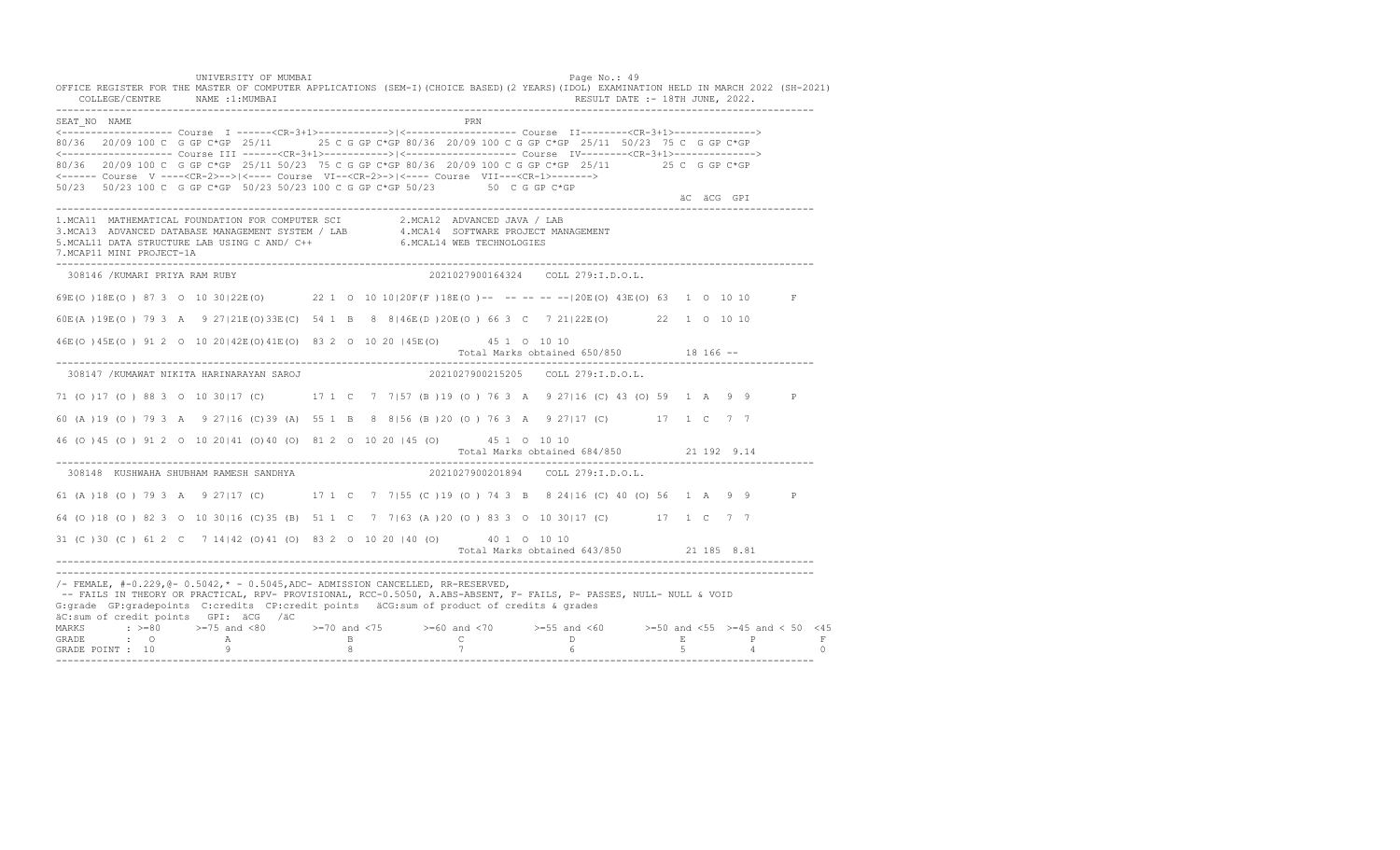UNIVERSITY OF MUMBAI PAGE OF THE PAGE OF THE PAGE OF THE PAGE OF THE PAGE OF THE PAGE OF THE PAGE OF THE PAGE OF THE PAGE OF THE PAGE OF THE PAGE OF THE PAGE OF THE PAGE OF THE PAGE OF THE PAGE OF THE PAGE OF THE PAGE OF T OFFICE REGISTER FOR THE MASTER OF COMPUTER APPLICATIONS (SEM-I)(CHOICE BASED)(2 YEARS)(IDOL) EXAMINATION HELD IN MARCH 2022 (SH-2021) COLLEGE/CENTRE NAME :1:MUMBAI RESULT DATE :- 18TH JUNE, 2022. ---------------------------------------------------------------------------------------------------------------------------------- SEAT\_NO NAME <------------------- Course I ------<CR-3+1>------------>|<------------------- Course II--------<CR-3+1>--------------> 80/36 20/09 100 C G GP C\*GP 25/11 25 C G GP C\*GP 80/36 20/09 100 C G GP C\*GP 25/11 50/23 75 C G GP C\*GP <------------------- Course III ------<CR-3+1>----------->|<------------------- Course IV--------<CR-3+1>--------------> 80/36 20/09 100 C G GP C\*GP 25/11 50/23 75 C G GP C\*GP 80/36 20/09 100 C G GP C\*GP 25/11 25 C G GP C\*GP <------ Course V ----<CR-2>-->|<---- Course VI--<CR-2>->|<---- Course VII---<CR-1>-------> 50/23 50/23 100 C G GP C\*GP 50/23 50/23 100 C G GP C\*GP 50/23 50 C G GP C\*GP äC äCG GPI ä<sup>n v</sup>ächtliche State und der State und der State und der State und der State und der State und der State und der State und der State und der State und der State und der State und der State und der State und der ---------------------------------------------------------------------------------------------------------------------------------- 1.MCA11 MATHEMATICAL FOUNDATION FOR COMPUTER SCI 2.MCA12 ADVANCED JAVA / LAB<br>3.MCA13 ADVANCED DATABASE MANAGEMENT SYSTEM / LAB 4.MCA14 SOFTWARE PROJECT MANAGEMENT<br>5.MCAL11 DATA STRUCTURE LAB U 7.MCAP11 MINI PROJECT-1A ---------------------------------------------------------------------------------------------------------------------------------- 308146 /KUMARI PRIYA RAM RUBY 2021027900164324 COLL 279:I.D.O.L. 69E(O )18E(O ) 87 3 O 10 30|22E(O) 22 1 O 10 10|20F(F )18E(O )-- -- -- -- --|20E(O) 43E(O) 63 1 O 10 10 F 60E(A )19E(O ) 79 3 A 9 27|21E(O)33E(C) 54 1 B 8 8|46E(D )20E(O ) 66 3 C 7 21|22E(O) 22 1 O 10 10 46E(O )45E(O ) 91 2 O 10 20|42E(O)41E(O) 83 2 O 10 20 |45E(O) 45 1 O 10 10 Total Marks obtained 650/850 18 166 ------------------------------------------------------------------------------------------------------------------------------------ 308147 /KUMAWAT NIKITA HARINARAYAN SAROJ 2021027900215205 COLL 279:I.D.O.L. 71 (O )17 (O ) 88 3 O 10 30|17 (C) 17 1 C 7 7|57 (B )19 (O ) 76 3 A 9 27|16 (C) 43 (O) 59 1 A 9 9 P 60 (A )19 (O ) 79 3 A 9 27|16 (C)39 (A) 55 1 B 8 8|56 (B )20 (O ) 76 3 A 9 27|17 (C) 17 1 C 7 7 46 (O )45 (O ) 91 2 O 10 20|41 (O)40 (O) 81 2 O 10 20 |45 (O) 45 1 O 10 10 Total Marks obtained 684/850 21 192 9.14 ---------------------------------------------------------------------------------------------------------------------------------- 308148 KUSHWAHA SHUBHAM RAMESH SANDHYA 61 (A )18 (O ) 79 3 A 9 27|17 (C) 17 1 C 7 7|55 (C )19 (O ) 74 3 B 8 24|16 (C) 40 (O) 56 1 A 9 9 P 64 (O )18 (O ) 82 3 O 10 30|16 (C)35 (B) 51 1 C 7 7|63 (A )20 (O ) 83 3 O 10 30|17 (C) 17 1 C 7 7 31 (C )30 (C ) 61 2 C 7 14|42 (O)41 (O) 83 2 O 10 20 |40 (O) 40 1 O 10 10 Total Marks obtained 643/850 21 185 8.81 ---------------------------------------------------------------------------------------------------------------------------------- ---------------------------------------------------------------------------------------------------------------------------------- /- FEMALE, #-0.229,@- 0.5042,\* - 0.5045,ADC- ADMISSION CANCELLED, RR-RESERVED, -- FAILS IN THEORY OR PRACTICAL, RPV- PROVISIONAL, RCC-0.5050, A.ABS-ABSENT, F- FAILS, P- PASSES, NULL- NULL & VOID G:grade GP:gradepoints C:credits CP:credit points äCG:sum of product of credits & grades äC:sum of credit points GPI: äCG /äC MARKS : >=80 >=75 and <80 >=70 and <75 >=60 and <70 >=55 and <60 >=50 and <55 >=45 and < 50 <45 GRADE : O A B C D E P F GRADE POINT : 10 9 8 7 6 5 4 0 ----------------------------------------------------------------------------------------------------------------------------------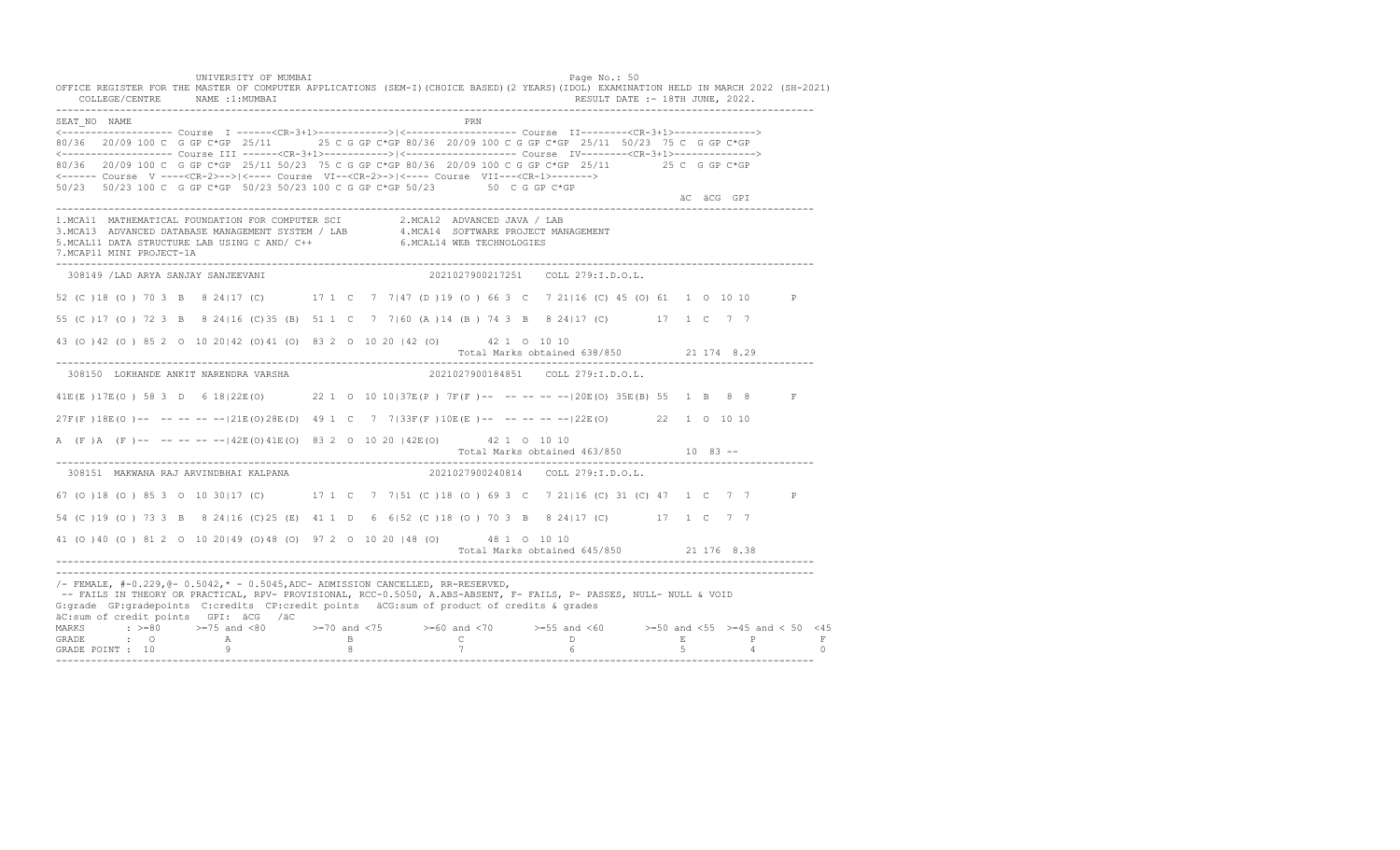UNIVERSITY OF MUMBAI PAGE OF THE PAGE OF THE PAGE OF THE PAGE OF THE PAGE OF THE PAGE OF THE PAGE OF THE PAGE OF THE PAGE OF THE PAGE OF THE PAGE OF THE PAGE OF THE PAGE OF THE PAGE OF THE PAGE OF THE PAGE OF THE PAGE OF T OFFICE REGISTER FOR THE MASTER OF COMPUTER APPLICATIONS (SEM-I)(CHOICE BASED)(2 YEARS)(IDOL) EXAMINATION HELD IN MARCH 2022 (SH-2021) COLLEGE/CENTRE NAME :1:MUMBAI RESULT DATE :- 18TH JUNE, 2022. ---------------------------------------------------------------------------------------------------------------------------------- SEAT\_NO NAME PRN <------------------- Course I ------<CR-3+1>------------>|<------------------- Course II--------<CR-3+1>--------------> 80/36 20/09 100 C G GP C\*GP 25/11 25 C G GP C\*GP 80/36 20/09 100 C G GP C\*GP 25/11 50/23 75 C G GP C\*GP <------------------- Course III ------<CR-3+1>----------->|<------------------- Course IV--------<CR-3+1>--------------> 80/36 20/09 100 C G GP C\*GP 25/11 50/23 75 C G GP C\*GP 80/36 20/09 100 C G GP C\*GP 25/11 25 C G GP C\*GP <------ Course V ----<CR-2>-->|<---- Course VI--<CR-2>->|<---- Course VII---<CR-1>-------> 50/23 50/23 100 C G GP C\*GP 50/23 50/23 100 C G GP C\*GP 50/23 50 C G GP C\*GP äC äCG GPI ä<sup>n v</sup>ächtliche State und der State und der State und der State und der State und der State und der State und der State und der State und der State und der State und der State und der State und der State und der ---------------------------------------------------------------------------------------------------------------------------------- 1.MCA11 MATHEMATICAL FOUNDATION FOR COMPUTER SCI 2.MCA12 ADVANCED JAVA / LAB<br>3.MCA13 ADVANCED DATABASE MANAGEMENT SYSTEM / LAB 4.MCA14 SOFTWARE PROJECT MANAGEMENT<br>5.MCAL11 DATA STRUCTURE LAB U 7.MCAP11 MINI PROJECT-1A ---------------------------------------------------------------------------------------------------------------------------------- 308149 /LAD ARYA SANJAY SANJEEVANI 2021027900217251 COLL 279:I.D.O.L. 52 (C )18 (O ) 70 3 B 8 24|17 (C) 17 1 C 7 7|47 (D )19 (O ) 66 3 C 7 21|16 (C) 45 (O) 61 1 O 10 10 P 55 (C )17 (O ) 72 3 B 8 24|16 (C)35 (B) 51 1 C 7 7|60 (A )14 (B ) 74 3 B 8 24|17 (C) 17 1 C 7 7 43 (O )42 (O ) 85 2 O 10 20|42 (O)41 (O) 83 2 O 10 20 |42 (O) 42 1 O 10 10 Total Marks obtained 638/850 21 174 8.29 ---------------------------------------------------------------------------------------------------------------------------------- 308150 LOKHANDE ANKIT NARENDRA VARSHA 2021027900184851 COLL 279:I.D.O.L. 41E(E )17E(O ) 58 3 D 6 18|22E(O) 22 1 O 10 10|37E(P ) 7F(F )-- -- -- -- --|20E(O) 35E(B) 55 1 B 8 8 F 27F(F )18E(O )-- -- -- -- --|21E(O)28E(D) 49 1 C 7 7|33F(F )10E(E )-- -- -- -- --|22E(O) 22 1 O 10 10 A (F)A (F)-- -- -- -- -- | 42E (O) 41E (O) 83 2 0 10 20 | 42E (O) 42 1 0 10 10 Total Marks obtained 463/850 10 83 ------------------------------------------------------------------------------------------------------------------------------------ 308151 MAKWANA RAJ ARVINDBHAI KALPANA 67 (O )18 (O ) 85 3 O 10 30|17 (C) 17 1 C 7 7|51 (C )18 (O ) 69 3 C 7 21|16 (C) 31 (C) 47 1 C 7 7 P 54 (C )19 (O ) 73 3 B 8 24|16 (C)25 (E) 41 1 D 6 6|52 (C )18 (O ) 70 3 B 8 24|17 (C) 17 1 C 7 7 41 (O )40 (O ) 81 2 O 10 20|49 (O)48 (O) 97 2 O 10 20 |48 (O) 48 1 O 10 10 Total Marks obtained 645/850 21 176 8.38 ---------------------------------------------------------------------------------------------------------------------------------- ---------------------------------------------------------------------------------------------------------------------------------- /- FEMALE, #-0.229,@- 0.5042,\* - 0.5045,ADC- ADMISSION CANCELLED, RR-RESERVED, -- FAILS IN THEORY OR PRACTICAL, RPV- PROVISIONAL, RCC-0.5050, A.ABS-ABSENT, F- FAILS, P- PASSES, NULL- NULL & VOID G:grade GP:gradepoints C:credits CP:credit points äCG:sum of product of credits & grades äC:sum of credit points GPI: äCG /äC MARKS : >=80 >=75 and <80 >=70 and <75 >=60 and <70 >=55 and <60 >=50 and <55 >=45 and < 50 <45 GRADE : O A B C D E P F GRADE POINT : 10 9 8 7 6 5 4 0 ----------------------------------------------------------------------------------------------------------------------------------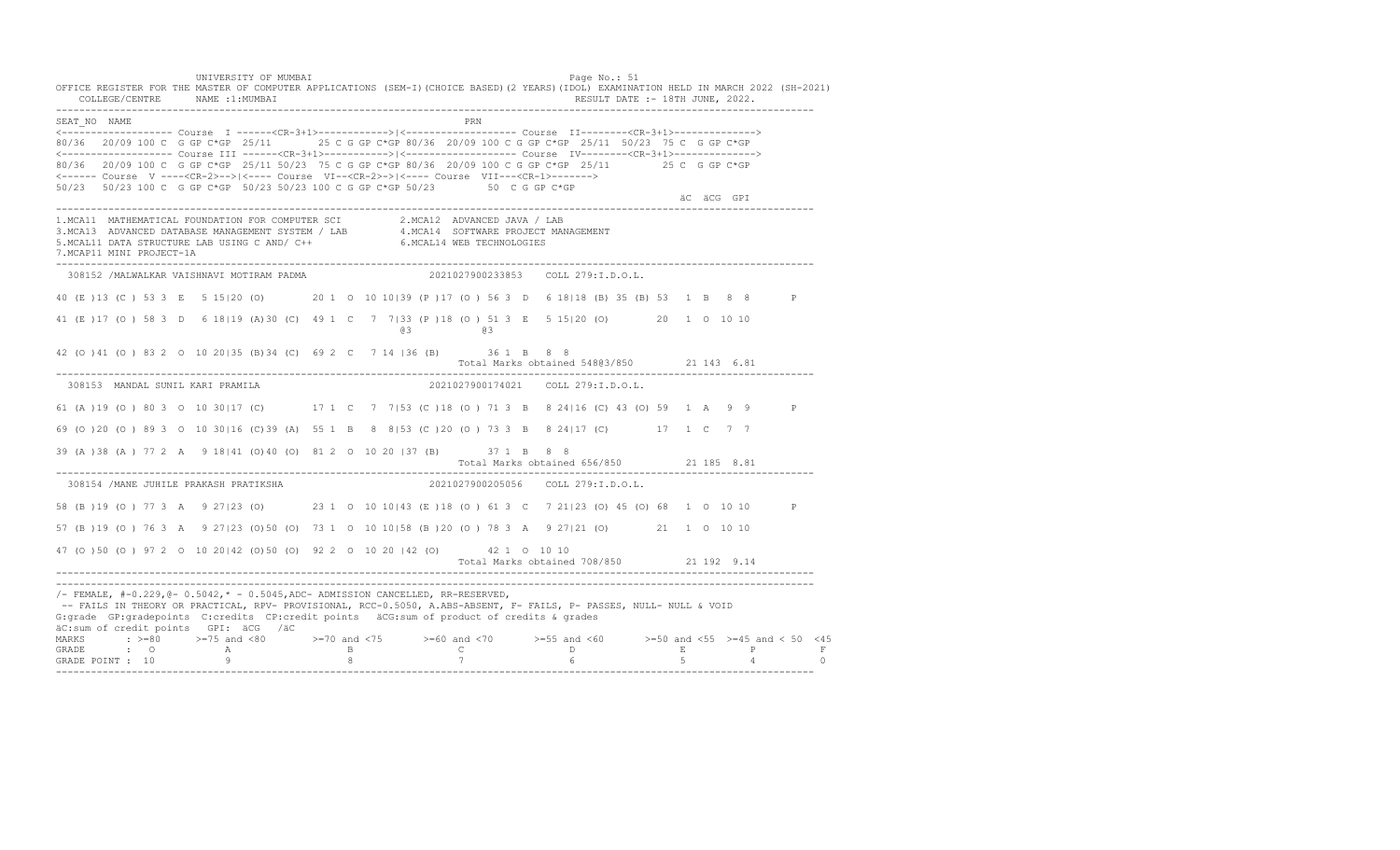UNIVERSITY OF MUMBAI PAGE OF THE PAGE OF THE PAGE OF THE PAGE OF THE PAGE OF THE PAGE OF THE PAGE OF THE PAGE OF THE PAGE OF THE PAGE OF THE PAGE OF THE PAGE OF THE PAGE OF THE PAGE OF THE PAGE OF THE PAGE OF THE PAGE OF T OFFICE REGISTER FOR THE MASTER OF COMPUTER APPLICATIONS (SEM-I)(CHOICE BASED)(2 YEARS)(IDOL) EXAMINATION HELD IN MARCH 2022 (SH-2021) COLLEGE/CENTRE NAME :1:MUMBAI RESULT DATE :- 18TH JUNE, 2022. ---------------------------------------------------------------------------------------------------------------------------------- SEAT\_NO NAME PRIMAGE PRODUCED IN THE PRIMAGE PRIMAGE PRIMAGE PRIMAGE PRIMAGE PRIMAGE PRIMAGE PRIMAGE PRIMAGE PRIMAGE PRIMAGE PRIMAGE PRIMAGE PRIMAGE PRIMAGE PRIMAGE PRIMAGE PRIMAGE PRIMAGE PRIMAGE PRIMAGE PRIMAGE PRIMAGE P <------------------- Course I ------<CR-3+1>------------>|<------------------- Course II--------<CR-3+1>--------------> 80/36 20/09 100 C G GP C\*GP 25/11 25 C G GP C\*GP 80/36 20/09 100 C G GP C\*GP 25/11 50/23 75 C G GP C\*GP <------------------- Course III ------<CR-3+1>----------->|<------------------- Course IV--------<CR-3+1>--------------> 80/36 20/09 100 C G GP C\*GP 25/11 50/23 75 C G GP C\*GP 80/36 20/09 100 C G GP C\*GP 25/11 25 C G GP C\*GP <------ Course V ----<CR-2>-->|<---- Course VI--<CR-2>->|<---- Course VII---<CR-1>-------> 50/23 50/23 100 C G GP C\*GP 50/23 50/23 100 C G GP C\*GP 50/23 50 C G GP C\*GP äC äCG GPI ä<sup>n v</sup>ächtliche State und der State und der State und der State und der State und der State und der State und der State und der State und der State und der State und der State und der State und der State und der ---------------------------------------------------------------------------------------------------------------------------------- 1.MCA11 MATHEMATICAL FOUNDATION FOR COMPUTER SCI 2.MCA12 ADVANCED JAVA / LAB<br>3.MCA13 ADVANCED DATABASE MANAGEMENT SYSTEM / LAB 4.MCA14 SOFTWARE PROJECT MANAGEMENT<br>5.MCAL11 DATA STRUCTURE LAB U 7.MCAP11 MINI PROJECT-1A ---------------------------------------------------------------------------------------------------------------------------------- 308152 /MALWALKAR VAISHNAVI MOTIRAM PADMA 2021027900233853 COLL 279:I.D.O.L. 40 (E )13 (C ) 53 3 E 5 15|20 (O) 20 1 O 10 10|39 (P )17 (O ) 56 3 D 6 18|18 (B) 35 (B) 53 1 B 8 8 P 41 (E )17 (O ) 58 3 D 6 18|19 (A)30 (C) 49 1 C 7 7|33 (P )18 (O ) 51 3 E 5 15|20 (O) 20 1 O 10 10 @3 @3 42 (O )41 (O ) 83 2 O 10 20|35 (B)34 (C) 69 2 C 7 14 |36 (B) 36 1 B 8 8 Total Marks obtained 548@3/850 21 143 6.81 ---------------------------------------------------------------------------------------------------------------------------------- 308153 MANDAL SUNIL KARI PRAMILA 61 (A )19 (O ) 80 3 O 10 30|17 (C) 17 1 C 7 7|53 (C )18 (O ) 71 3 B 8 24|16 (C) 43 (O) 59 1 A 9 9 P 69 (O )20 (O ) 89 3 O 10 30|16 (C)39 (A) 55 1 B 8 8|53 (C )20 (O ) 73 3 B 8 24|17 (C) 17 1 C 7 7 39 (A )38 (A ) 77 2 A 9 18|41 (O)40 (O) 81 2 O 10 20 |37 (B) 37 1 B 8 8 Total Marks obtained 656/850 21 185 8.81 ---------------------------------------------------------------------------------------------------------------------------------- 308154 /MANE JUHILE PRAKASH PRATIKSHA 2021027900205056 COLL 279:I.D.O.L. 58 (B )19 (O ) 77 3 A 9 27|23 (O) 23 1 O 10 10|43 (E )18 (O ) 61 3 C 7 21|23 (O) 45 (O) 68 1 O 10 10 P 57 (B )19 (O ) 76 3 A 9 27|23 (O)50 (O) 73 1 O 10 10|58 (B )20 (O ) 78 3 A 9 27|21 (O) 21 1 O 10 10 47 (O )50 (O ) 97 2 O 10 20|42 (O)50 (O) 92 2 O 10 20 |42 (O) 42 1 O 10 10 Total Marks obtained 708/850 21 192 9.14 ---------------------------------------------------------------------------------------------------------------------------------- ----------------------------------------------------------------------------------------------------------------------------------  $/-$  FEMALE,  $#-0.229$ ,  $@-0.5042$ ,  $* -0.5045$ , ADC- ADMISSION CANCELLED, RR-RESERVED, -- FAILS IN THEORY OR PRACTICAL, RPV- PROVISIONAL, RCC-0.5050, A.ABS-ABSENT, F- FAILS, P- PASSES, NULL- NULL & VOID G:grade GP:gradepoints C:credits CP:credit points äCG:sum of product of credits & grades äC:sum of credit points GPI: äCG /äC MARKS : >=80 >=75 and <80 >=70 and <75 >=60 and <70 >=55 and <60 >=50 and <55 >=45 and < 50 <45<br>GRADE : O A B C D E P F<br>GRADE POINT : 10 9 8 7 6 5 4 0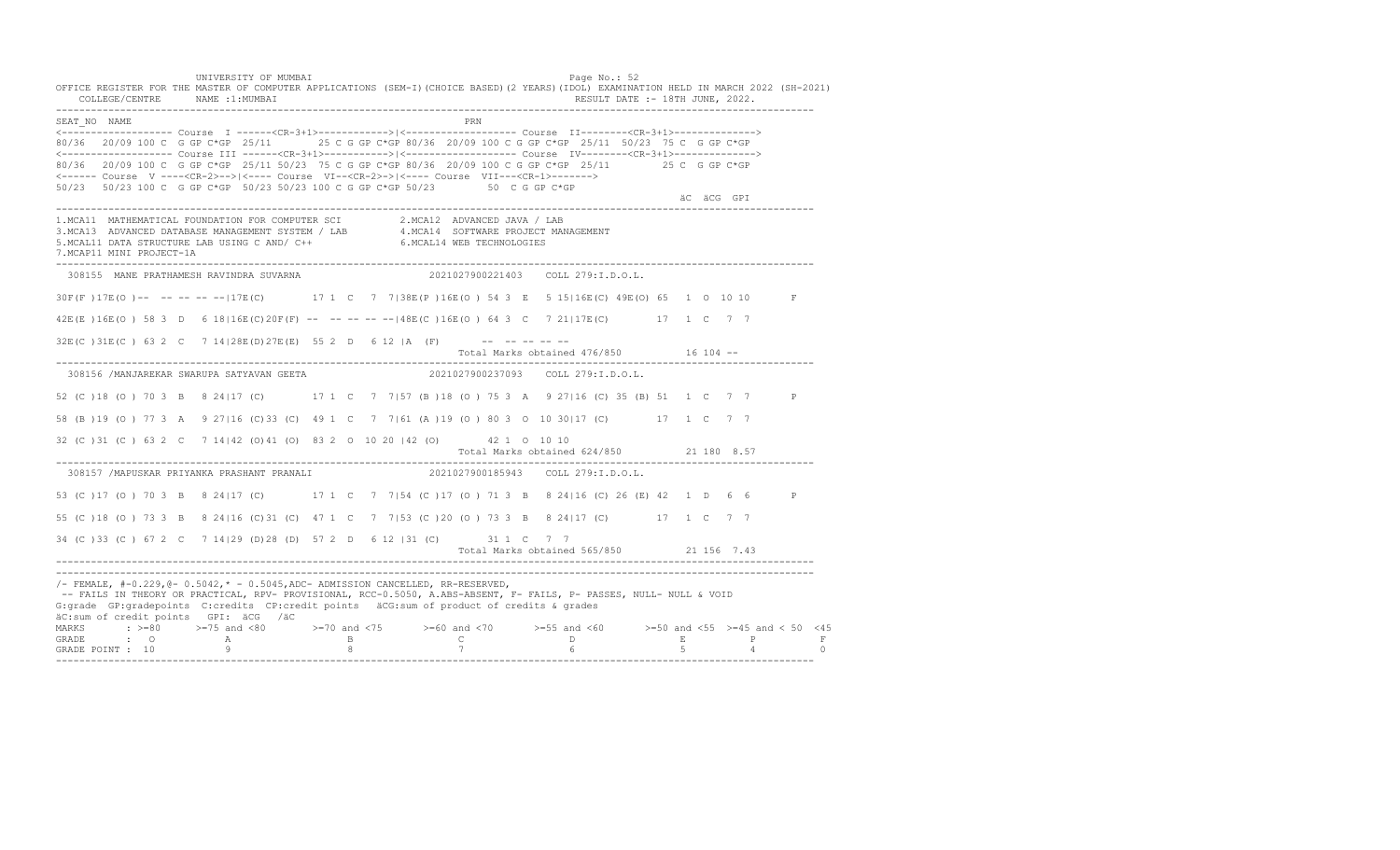UNIVERSITY OF MUMBAI PAGE OF THE PAGE OF THE PAGE OF THE PAGE OF THE PAGE OF THE PAGE OF THE PAGE OF THE PAGE OF THE PAGE OF THE PAGE OF THE PAGE OF THE PAGE OF THE PAGE OF THE PAGE OF THE PAGE OF THE PAGE OF THE PAGE OF T OFFICE REGISTER FOR THE MASTER OF COMPUTER APPLICATIONS (SEM-I)(CHOICE BASED)(2 YEARS)(IDOL) EXAMINATION HELD IN MARCH 2022 (SH-2021) COLLEGE/CENTRE NAME :1:MUMBAI RESULT DATE :- 18TH JUNE, 2022. ---------------------------------------------------------------------------------------------------------------------------------- SEAT\_NO NAME PRN <------------------- Course I ------<CR-3+1>------------>|<------------------- Course II--------<CR-3+1>--------------> 80/36 20/09 100 C G GP C\*GP 25/11 25 C G GP C\*GP 80/36 20/09 100 C G GP C\*GP 25/11 50/23 75 C G GP C\*GP <------------------- Course III ------<CR-3+1>----------->|<------------------- Course IV--------<CR-3+1>--------------> 80/36 20/09 100 C G GP C\*GP 25/11 50/23 75 C G GP C\*GP 80/36 20/09 100 C G GP C\*GP 25/11 25 C G GP C\*GP <------ Course V ----<CR-2>-->|<---- Course VI--<CR-2>->|<---- Course VII---<CR-1>-------> 50/23 50/23 100 C G GP C\*GP 50/23 50/23 100 C G GP C\*GP 50/23 50 C G GP C\*GP äC äCG GPI ä<sup>n v</sup>ächtliche State und der State und der State und der State und der State und der State und der State und der State und der State und der State und der State und der State und der State und der State und der ---------------------------------------------------------------------------------------------------------------------------------- 1.MCA11 MATHEMATICAL FOUNDATION FOR COMPUTER SCI 2.MCA12 ADVANCED JAVA / LAB<br>3.MCA13 ADVANCED DATABASE MANAGEMENT SYSTEM / LAB 4.MCA14 SOFTWARE PROJECT MANAGEMENT<br>5.MCAL11 DATA STRUCTURE LAB U 7.MCAP11 MINI PROJECT-1A ---------------------------------------------------------------------------------------------------------------------------------- 308155 MANE PRATHAMESH RAVINDRA SUVARNA 2021027900221403 COLL 279:I.D.O.L. 30F(F )17E(O )-- -- -- -- --|17E(C) 17 1 C 7 7|38E(P )16E(O ) 54 3 E 5 15|16E(C) 49E(O) 65 1 O 10 10 F 42E(E )16E(O ) 58 3 D 6 18|16E(C)20F(F) -- -- -- -- --|48E(C )16E(O ) 64 3 C 7 21|17E(C) 17 1 C 7 7  $32E(C)$   $31E(C)$  63 2 C 7  $14$   $|28E(D)$   $27E(E)$  55 2 D 6 12 |A (F) --------Total Marks obtained 476/850 16 104 ------------------------------------------------------------------------------------------------------------------------------------ 308156 /MANJAREKAR SWARUPA SATYAVAN GEETA 2021027900237093 COLL 279:I.D.O.L. 52 (C )18 (O ) 70 3 B 8 24|17 (C) 17 1 C 7 7|57 (B )18 (O ) 75 3 A 9 27|16 (C) 35 (B) 51 1 C 7 7 P 58 (B )19 (O ) 77 3 A 9 27|16 (C)33 (C) 49 1 C 7 7|61 (A )19 (O ) 80 3 O 10 30|17 (C) 17 1 C 7 7 32 (C )31 (C ) 63 2 C 7 14|42 (O)41 (O) 83 2 O 10 20 |42 (O) 42 1 O 10 10 Total Marks obtained 624/850 21 180 8.57 ---------------------------------------------------------------------------------------------------------------------------------- 308157 /MAPUSKAR PRIYANKA PRASHANT PRANALI 53 (C )17 (O ) 70 3 B 8 24|17 (C) 17 1 C 7 7|54 (C )17 (O ) 71 3 B 8 24|16 (C) 26 (E) 42 1 D 6 6 P 55 (C )18 (O ) 73 3 B 8 24|16 (C)31 (C) 47 1 C 7 7|53 (C )20 (O ) 73 3 B 8 24|17 (C) 17 1 C 7 7 34 (C )33 (C ) 67 2 C 7 14|29 (D)28 (D) 57 2 D 6 12 |31 (C) 31 1 C 7 7 Total Marks obtained 565/850 21 156 7.43 ---------------------------------------------------------------------------------------------------------------------------------- ---------------------------------------------------------------------------------------------------------------------------------- /- FEMALE, #-0.229,@- 0.5042,\* - 0.5045,ADC- ADMISSION CANCELLED, RR-RESERVED, -- FAILS IN THEORY OR PRACTICAL, RPV- PROVISIONAL, RCC-0.5050, A.ABS-ABSENT, F- FAILS, P- PASSES, NULL- NULL & VOID G:grade GP:gradepoints C:credits CP:credit points äCG:sum of product of credits & grades äC:sum of credit points GPI: äCG /äC MARKS : >=80 >=75 and <80 >=70 and <75 >=60 and <70 >=55 and <60 >=50 and <55 >=45 and < 50 <45 GRADE : O A B C D E P F GRADE POINT : 10 9 8 7 6 5 4 0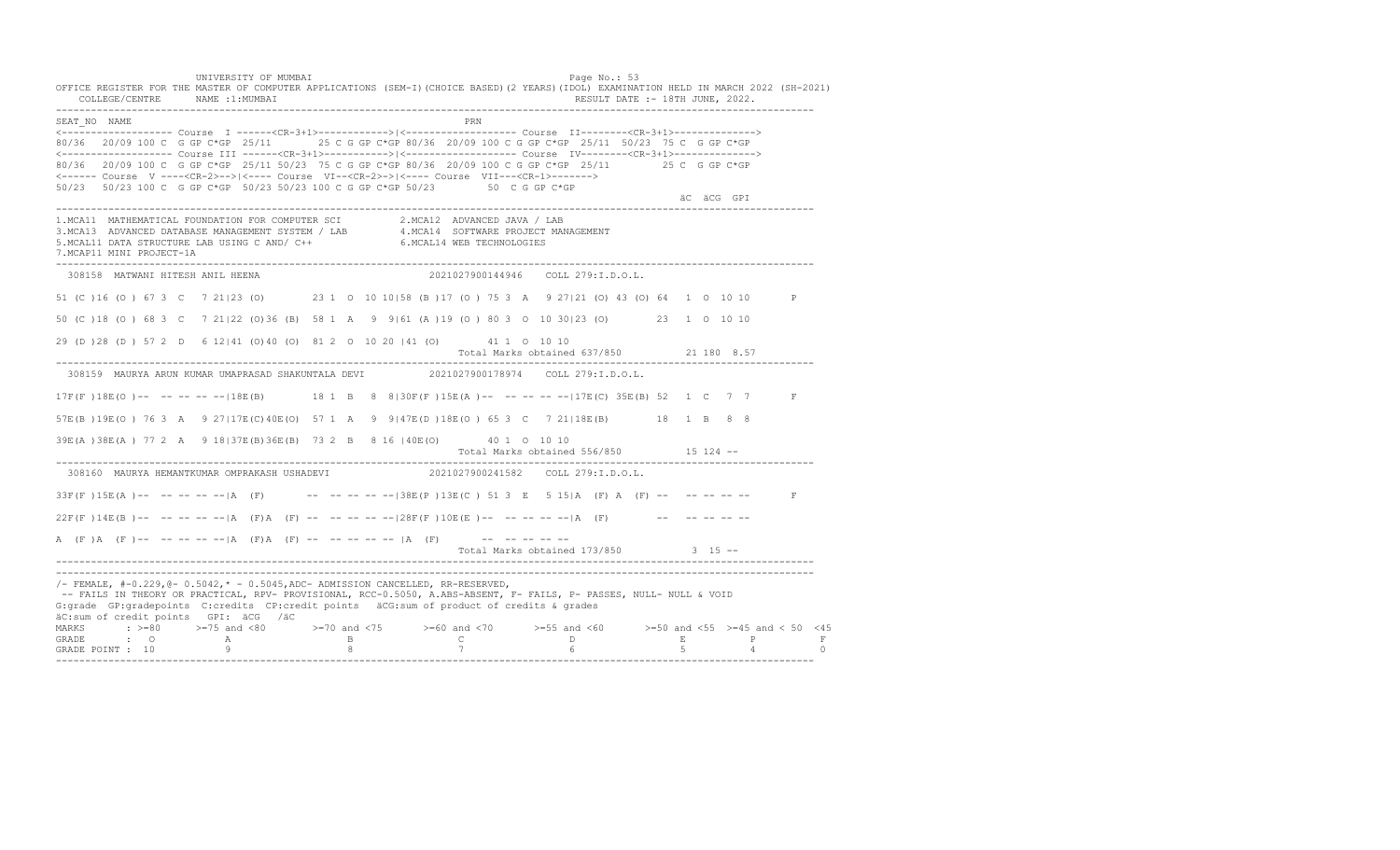UNIVERSITY OF MUMBAI PAGE OF THE PAGE OF THE PAGE OF THE PAGE OF THE PAGE OF THE PAGE OF THE PAGE OF THE PAGE O OFFICE REGISTER FOR THE MASTER OF COMPUTER APPLICATIONS (SEM-I)(CHOICE BASED)(2 YEARS)(IDOL) EXAMINATION HELD IN MARCH 2022 (SH-2021) COLLEGE/CENTRE NAME :1:MUMBAI RESULT DATE :- 18TH JUNE, 2022. ---------------------------------------------------------------------------------------------------------------------------------- SEAT\_NO NAME PRIME PRIME PRODUCED A CONTROL IN THE PRIME PRIME PRIME PRIME PRIME PRIME PRIME PRIME PRIME PRIME PRIME PRIME PRIME PRIME PRIME PRIME PRIME PRIME PRIME PRIME PRIME PRIME PRIME PRIME PRIME PRIME PRIME PRIME PRI <------------------- Course I ------<CR-3+1>------------>|<------------------- Course II--------<CR-3+1>--------------> 80/36 20/09 100 C G GP C\*GP 25/11 25 C G GP C\*GP 80/36 20/09 100 C G GP C\*GP 25/11 50/23 75 C G GP C\*GP <------------------- Course III ------<CR-3+1>----------->|<------------------- Course IV--------<CR-3+1>--------------> 80/36 20/09 100 C G GP C\*GP 25/11 50/23 75 C G GP C\*GP 80/36 20/09 100 C G GP C\*GP 25/11 25 C G GP C\*GP <------ Course V ----<CR-2>-->|<---- Course VI--<CR-2>->|<---- Course VII---<CR-1>-------> 50/23 50/23 100 C G GP C\*GP 50/23 50/23 100 C G GP C\*GP 50/23 50 C G GP C\*GP äC äCG GPI ä<sup>n v</sup>ächtliche State und der State und der State und der State und der State und der State und der State und der State und der State und der State und der State und der State und der State und der State und der ---------------------------------------------------------------------------------------------------------------------------------- 1.MCA11 MATHEMATICAL FOUNDATION FOR COMPUTER SCI 2.MCA12 ADVANCED JAVA / LAB 3.MCA13 ADVANCED DATABASE MANAGEMENT SYSTEM / LAB 4.MCA14 SOFTWARE PROJECT MANAGEMENT 5.MCAL11 DATA STRUCTURE LAB USING C AND/ C++ 6.MCAL14 WEB TECHNOLOGIES 7.MCAP11 MINI PROJECT-1A ---------------------------------------------------------------------------------------------------------------------------------- 308158 MATWANI HITESH ANIL HEENA 2021027900144946 COLL 279:I.D.O.L. 51 (C )16 (O ) 67 3 C 7 21|23 (O) 23 1 O 10 10|58 (B )17 (O ) 75 3 A 9 27|21 (O) 43 (O) 64 1 O 10 10 P 50 (C )18 (O ) 68 3 C 7 21|22 (O)36 (B) 58 1 A 9 9|61 (A )19 (O ) 80 3 O 10 30|23 (O) 23 1 O 10 10 29 (D )28 (D ) 57 2 D 6 12|41 (O)40 (O) 81 2 O 10 20 |41 (O) 41 1 O 10 10 Total Marks obtained 637/850 21 180 8.57 ---------------------------------------------------------------------------------------------------------------------------------- 308159 MAURYA ARUN KUMAR UMAPRASAD SHAKUNTALA DEVI 2021027900178974 COLL 279:I.D.O.L. 17F(F )18E(O )-- -- -- -- --|18E(B) 18 1 B 8 8|30F(F )15E(A )-- -- -- -- --|17E(C) 35E(B) 52 1 C 7 7 F 57E(B )19E(O ) 76 3 A 9 27|17E(C)40E(O) 57 1 A 9 9|47E(D )18E(O ) 65 3 C 7 21|18E(B) 18 1 B 8 8 39E(A )38E(A ) 77 2 A 9 18|37E(B)36E(B) 73 2 B 8 16 |40E(O) 40 1 O 10 10 Total Marks obtained 556/850 15 124 -- ---------------------------------------------------------------------------------------------------------------------------------- 308160 MAURYA HEMANTKUMAR OMPRAKASH USHADEVI  $33F(F) 15E(A)$  -- -- -- --  $|A (F)$  -- -- -- -- -- -- 38E(P)13E(C) 51 3 E 5 15|A (F) A (F) -- -- -- -- -- F  $22F(F) 14E(B)$  -- -- -- -- -- |A (F)A (F) -- -- -- -- -- |28F(F)10E(E) -- -- -- -- -- |A (F) -- -- -- -- -- --A  $(F)$   $(A \cap (F)$  -- -- -- -- --  $|A \cap (F)$   $A \cap (F)$  -- -- -- -- --  $|A \cap (F)$  -- -- -- -- --Total Marks obtained 173/850 3 15 ------------------------------------------------------------------------------------------------------------------------------------ ---------------------------------------------------------------------------------------------------------------------------------- /- FEMALE, #-0.229,@- 0.5042,\* - 0.5045,ADC- ADMISSION CANCELLED, RR-RESERVED, -- FAILS IN THEORY OR PRACTICAL, RPV- PROVISIONAL, RCC-0.5050, A.ABS-ABSENT, F- FAILS, P- PASSES, NULL- NULL & VOID G:grade GP:gradepoints C:credits CP:credit points äCG:sum of product of credits & grades äC:sum of credit points GPI: äCG /äC MARKS : >=80 >=75 and <80 >=70 and <75 >=60 and <70 >=55 and <60 >=50 and <55 >=45 and < 50 <45 GRADE : O A B C D E P F<br>GRADE POINT : 10 9 9 8 7 7 6 5 4 0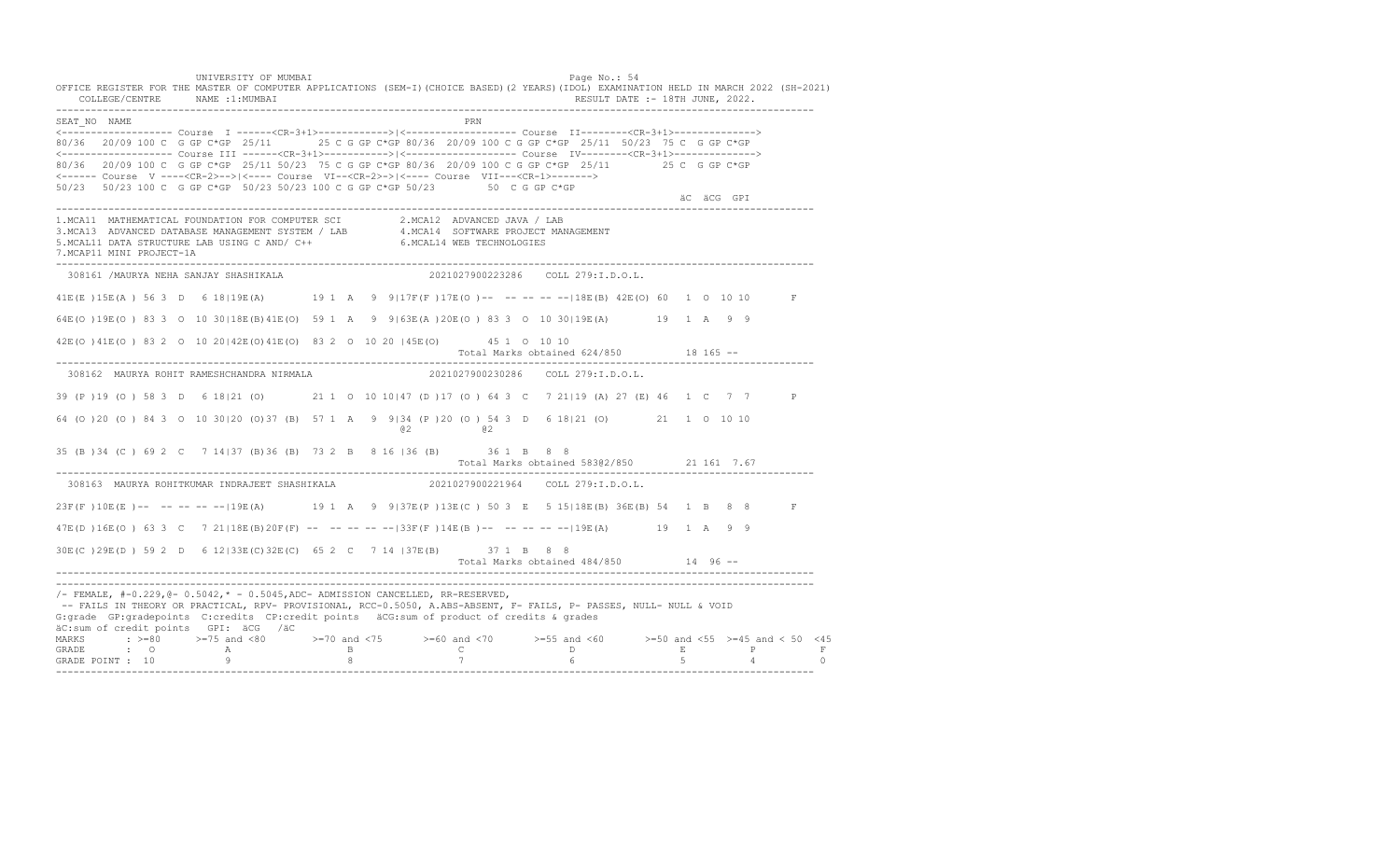UNIVERSITY OF MUMBAI PAGE OF THE PAGE OF THE PAGE OF THE PAGE OF THE PAGE OF THE PAGE OF THE PAGE OF THE PAGE OF THE PAGE OF THE PAGE OF THE PAGE OF THE PAGE OF THE PAGE OF THE PAGE OF THE PAGE OF THE PAGE OF THE PAGE OF T OFFICE REGISTER FOR THE MASTER OF COMPUTER APPLICATIONS (SEM-I)(CHOICE BASED)(2 YEARS)(IDOL) EXAMINATION HELD IN MARCH 2022 (SH-2021) COLLEGE/CENTRE NAME :1:MUMBAI RESULT DATE :- 18TH JUNE, 2022. ---------------------------------------------------------------------------------------------------------------------------------- SEAT\_NO NAME PRIMAGE PRODUCED IN THE PRIMAGE PRIMAGE PRIMAGE PRIMAGE PRIMAGE PRIMAGE PRIMAGE PRIMAGE PRIMAGE PRIMAGE PRIMAGE PRIMAGE PRIMAGE PRIMAGE PRIMAGE PRIMAGE PRIMAGE PRIMAGE PRIMAGE PRIMAGE PRIMAGE PRIMAGE PRIMAGE P <------------------- Course I ------<CR-3+1>------------>|<------------------- Course II--------<CR-3+1>--------------> 80/36 20/09 100 C G GP C\*GP 25/11 25 C G GP C\*GP 80/36 20/09 100 C G GP C\*GP 25/11 50/23 75 C G GP C\*GP <------------------- Course III ------<CR-3+1>----------->|<------------------- Course IV--------<CR-3+1>--------------> 80/36 20/09 100 C G GP C\*GP 25/11 50/23 75 C G GP C\*GP 80/36 20/09 100 C G GP C\*GP 25/11 25 C G GP C\*GP <------ Course V ----<CR-2>-->|<---- Course VI--<CR-2>->|<---- Course VII---<CR-1>-------> 50/23 50/23 100 C G GP C\*GP 50/23 50/23 100 C G GP C\*GP 50/23 50 C G GP C\*GP äC äCG GPI ä<sup>n v</sup>ächtliche State und der State und der State und der State und der State und der State und der State und der State und der State und der State und der State und der State und der State und der State und der ---------------------------------------------------------------------------------------------------------------------------------- 1.MCA11 MATHEMATICAL FOUNDATION FOR COMPUTER SCI 2.MCA12 ADVANCED JAVA / LAB<br>3.MCA13 ADVANCED DATABASE MANAGEMENT SYSTEM / LAB 4.MCA14 SOFTWARE PROJECT MANAGEMENT<br>5.MCAL11 DATA STRUCTURE LAB USI 7.MCAP11 MINI PROJECT-1A ---------------------------------------------------------------------------------------------------------------------------------- 308161 /MAURYA NEHA SANJAY SHASHIKALA 2021027900223286 COLL 279:I.D.O.L. 41E(E )15E(A ) 56 3 D 6 18|19E(A) 19 1 A 9 9|17F(F )17E(O )-- -- -- -- --|18E(B) 42E(O) 60 1 O 10 10 F 64E(O )19E(O ) 83 3 O 10 30|18E(B)41E(O) 59 1 A 9 9|63E(A )20E(O ) 83 3 O 10 30|19E(A) 19 1 A 9 9 42E(O )41E(O ) 83 2 O 10 20|42E(O)41E(O) 83 2 O 10 20 |45E(O) 45 1 O 10 10 Total Marks obtained 624/850 18 165 ------------------------------------------------------------------------------------------------------------------------------------ 308162 MAURYA ROHIT RAMESHCHANDRA NIRMALA 2021027900230286 COLL 279:I.D.O.L. 39 (P )19 (O ) 58 3 D 6 18|21 (O) 21 1 O 10 10|47 (D )17 (O ) 64 3 C 7 21|19 (A) 27 (E) 46 1 C 7 7 P 64 (O )20 (O ) 84 3 O 10 30|20 (O)37 (B) 57 1 A 9 9|34 (P )20 (O ) 54 3 D 6 18|21 (O) 21 1 O 10 10 @2 @2 35 (B )34 (C ) 69 2 C 7 14|37 (B)36 (B) 73 2 B 8 16 |36 (B) 36 1 B 8 8 Total Marks obtained 583@2/850 21 161 7.67 ---------------------------------------------------------------------------------------------------------------------------------- 308163 MAURYA ROHITKUMAR INDRAJEET SHASHIKALA 2021027900221964 COLL 279:I.D.O.L. 23F(F )10E(E )-- -- -- -- --|19E(A) 19 1 A 9 9|37E(P )13E(C ) 50 3 E 5 15|18E(B) 36E(B) 54 1 B 8 8 F 47E(D )16E(O ) 63 3 C 7 21|18E(B)20F(F) -- -- -- -- --|33F(F )14E(B )-- -- -- -- --|19E(A) 19 1 A 9 9 30E(C )29E(D ) 59 2 D 6 12|33E(C)32E(C) 65 2 C 7 14 |37E(B) 37 1 B 8 8 Total Marks obtained 484/850 14 96 -- ---------------------------------------------------------------------------------------------------------------------------------- ----------------------------------------------------------------------------------------------------------------------------------  $/-$  FEMALE,  $#-0.229$ ,  $@-0.5042$ ,  $* -0.5045$ , ADC- ADMISSION CANCELLED, RR-RESERVED, -- FAILS IN THEORY OR PRACTICAL, RPV- PROVISIONAL, RCC-0.5050, A.ABS-ABSENT, F- FAILS, P- PASSES, NULL- NULL & VOID G:grade GP:gradepoints C:credits CP:credit points äCG:sum of product of credits & grades äC:sum of credit points GPI: äCG /äC MARKS : >=80 >=75 and <80 >=70 and <75 >=60 and <70 >=55 and <60 >=50 and <55 >=45 and < 50 <45<br>GRADE : O A B C D E P F<br>GRADE POINT : 10 9 8 7 6 5 4 0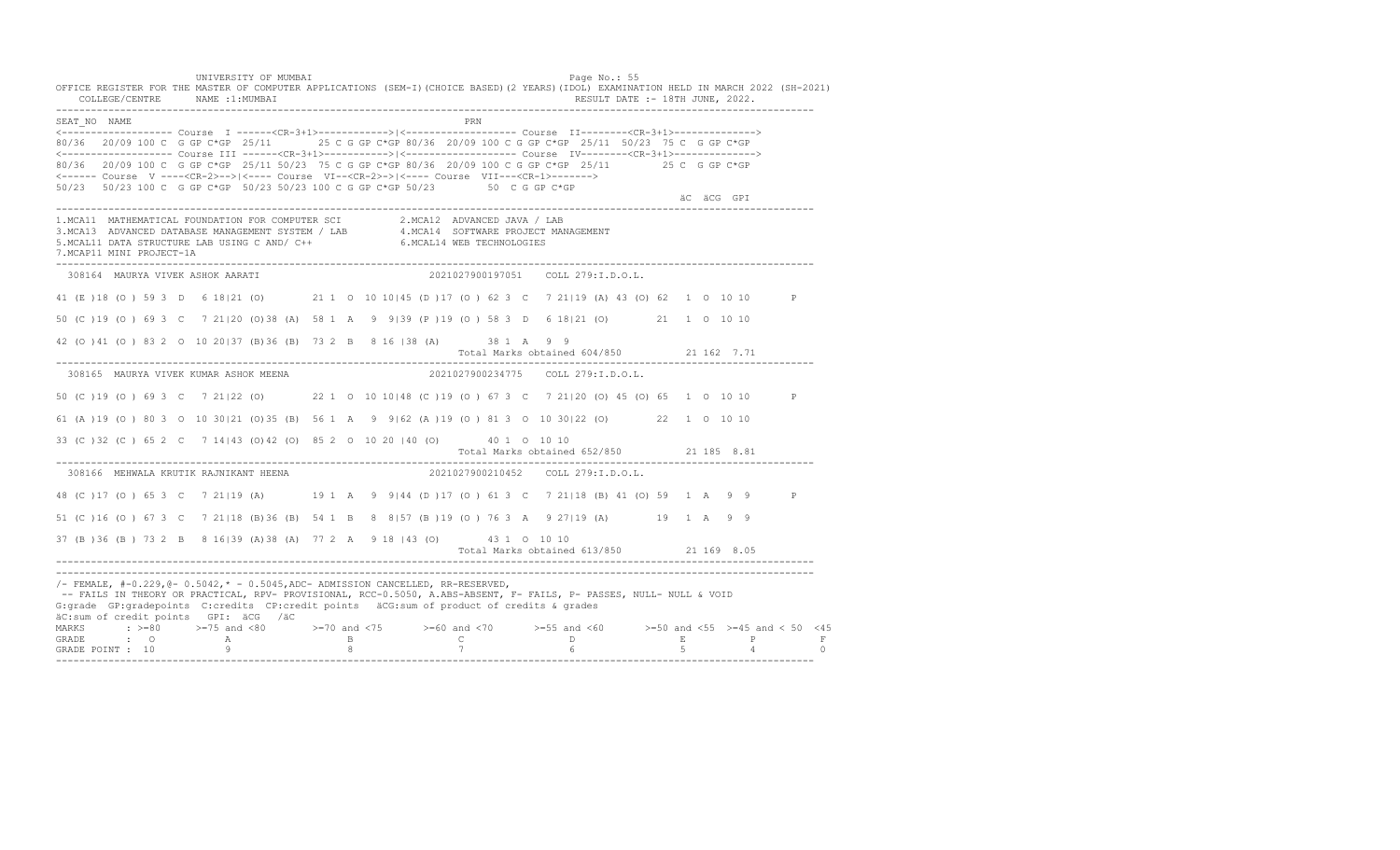UNIVERSITY OF MUMBAI PAGE OF THE PAGE OF THE PAGE OF THE PAGE OF THE PAGE OF THE PAGE OF THE PAGE OF THE PAGE OF THE PAGE OF THE PAGE OF THE PAGE OF THE PAGE OF THE PAGE OF THE PAGE OF THE PAGE OF THE PAGE OF THE PAGE OF T OFFICE REGISTER FOR THE MASTER OF COMPUTER APPLICATIONS (SEM-I)(CHOICE BASED)(2 YEARS)(IDOL) EXAMINATION HELD IN MARCH 2022 (SH-2021) COLLEGE/CENTRE NAME :1:MUMBAI RESULT DATE :- 18TH JUNE, 2022. ---------------------------------------------------------------------------------------------------------------------------------- SEAT\_NO NAME <------------------- Course I ------<CR-3+1>------------>|<------------------- Course II--------<CR-3+1>--------------> 80/36 20/09 100 C G GP C\*GP 25/11 25 C G GP C\*GP 80/36 20/09 100 C G GP C\*GP 25/11 50/23 75 C G GP C\*GP <------------------- Course III ------<CR-3+1>----------->|<------------------- Course IV--------<CR-3+1>--------------> 80/36 20/09 100 C G GP C\*GP 25/11 50/23 75 C G GP C\*GP 80/36 20/09 100 C G GP C\*GP 25/11 25 C G GP C\*GP <------ Course V ----<CR-2>-->|<---- Course VI--<CR-2>->|<---- Course VII---<CR-1>-------> 50/23 50/23 100 C G GP C\*GP 50/23 50/23 100 C G GP C\*GP 50/23 50 C G GP C\*GP äC äCG GPI ä<sup>n v</sup>ächtliche State und der State und der State und der State und der State und der State und der State und der State und der State und der State und der State und der State und der State und der State und der ---------------------------------------------------------------------------------------------------------------------------------- 1.MCA11 MATHEMATICAL FOUNDATION FOR COMPUTER SCI 2.MCA12 ADVANCED JAVA / LAB 3.MCA13 ADVANCED DATABASE MANAGEMENT SYSTEM / LAB 4.MCA14 SOFTWARE PROJECT MANAGEMENT 5.MCAL11 DATA STRUCTURE LAB USING C AND/ C++ 6.MCAL14 WEB TECHNOLOGIES 7.MCAP11 MINI PROJECT-1A ---------------------------------------------------------------------------------------------------------------------------------- 308164 MAURYA VIVEK ASHOK AARATI 2021027900197051 COLL 279:I.D.O.L. 41 (E )18 (O ) 59 3 D 6 18|21 (O) 21 1 O 10 10|45 (D )17 (O ) 62 3 C 7 21|19 (A) 43 (O) 62 1 O 10 10 P 50 (C )19 (O ) 69 3 C 7 21|20 (O)38 (A) 58 1 A 9 9|39 (P )19 (O ) 58 3 D 6 18|21 (O) 21 1 O 10 10 42 (O )41 (O ) 83 2 O 10 20|37 (B)36 (B) 73 2 B 8 16 |38 (A) 38 1 A 9 9 Total Marks obtained 604/850 21 162 7.71 ---------------------------------------------------------------------------------------------------------------------------------- 308165 MAURYA VIVEK KUMAR ASHOK MEENA 2021027900234775 COLL 279:I.D.O.L. 50 (C )19 (O ) 69 3 C 7 21|22 (O) 22 1 O 10 10|48 (C )19 (O ) 67 3 C 7 21|20 (O) 45 (O) 65 1 O 10 10 P 61 (A )19 (O ) 80 3 O 10 30|21 (O)35 (B) 56 1 A 9 9|62 (A )19 (O ) 81 3 O 10 30|22 (O) 22 1 O 10 10 33 (C )32 (C ) 65 2 C 7 14|43 (O)42 (O) 85 2 O 10 20 |40 (O) 40 1 O 10 10 Total Marks obtained 652/850 21 185 8.81 ---------------------------------------------------------------------------------------------------------------------------------- 308166 MEHWALA KRUTIK RAJNIKANT HEENA 48 (C )17 (O ) 65 3 C 7 21|19 (A) 19 1 A 9 9|44 (D )17 (O ) 61 3 C 7 21|18 (B) 41 (O) 59 1 A 9 9 P 51 (C )16 (O ) 67 3 C 7 21|18 (B)36 (B) 54 1 B 8 8|57 (B )19 (O ) 76 3 A 9 27|19 (A) 19 1 A 9 9 37 (B )36 (B ) 73 2 B 8 16|39 (A)38 (A) 77 2 A 9 18 |43 (O) 43 1 O 10 10 Total Marks obtained 613/850 21 169 8.05 ---------------------------------------------------------------------------------------------------------------------------------- ---------------------------------------------------------------------------------------------------------------------------------- /- FEMALE, #-0.229,@- 0.5042,\* - 0.5045,ADC- ADMISSION CANCELLED, RR-RESERVED, -- FAILS IN THEORY OR PRACTICAL, RPV- PROVISIONAL, RCC-0.5050, A.ABS-ABSENT, F- FAILS, P- PASSES, NULL- NULL & VOID G:grade GP:gradepoints C:credits CP:credit points äCG:sum of product of credits & grades äC:sum of credit points GPI: äCG /äC MARKS : >=80 >=75 and <80 >=70 and <75 >=60 and <70 >=55 and <60 >=50 and <55 >=45 and < 50 <45 GRADE : O A B C D E P F<br>GRADE POINT : 10 9 9 8 7 7 6 5 4 0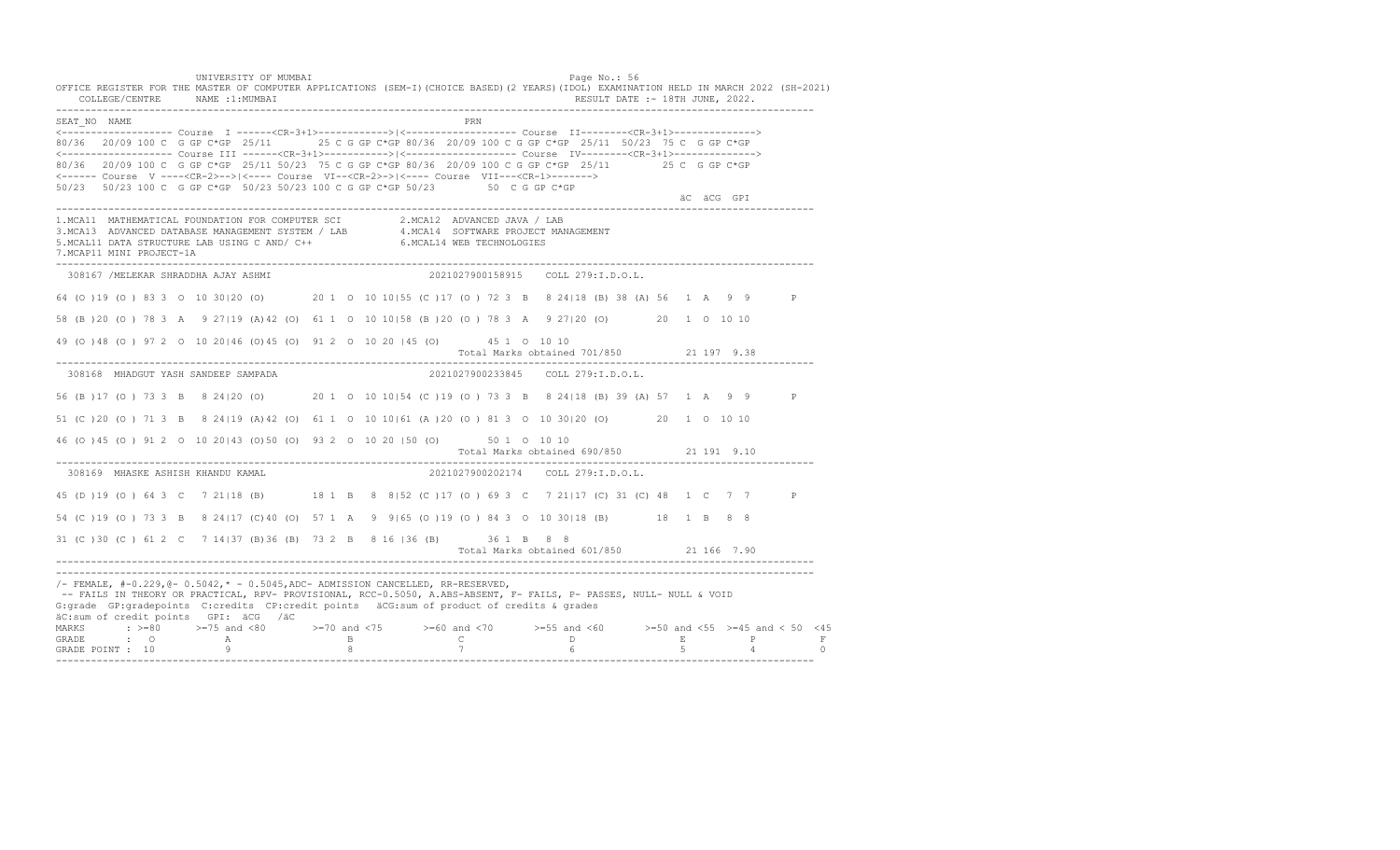UNIVERSITY OF MUMBAI PAGE OF THE PAGE OF THE PAGE OF THE PAGE OF THE PAGE OF THE PAGE OF THE PAGE OF THE PAGE OF THE PAGE OF THE PAGE OF THE PAGE OF THE PAGE OF THE PAGE OF THE PAGE OF THE PAGE OF THE PAGE OF THE PAGE OF T OFFICE REGISTER FOR THE MASTER OF COMPUTER APPLICATIONS (SEM-I)(CHOICE BASED)(2 YEARS)(IDOL) EXAMINATION HELD IN MARCH 2022 (SH-2021) COLLEGE/CENTRE NAME :1:MUMBAI RESULT DATE :- 18TH JUNE, 2022. ---------------------------------------------------------------------------------------------------------------------------------- SEAT\_NO NAME <------------------- Course I ------<CR-3+1>------------>|<------------------- Course II--------<CR-3+1>--------------> 80/36 20/09 100 C G GP C\*GP 25/11 25 C G GP C\*GP 80/36 20/09 100 C G GP C\*GP 25/11 50/23 75 C G GP C\*GP <------------------- Course III ------<CR-3+1>----------->|<------------------- Course IV--------<CR-3+1>--------------> 80/36 20/09 100 C G GP C\*GP 25/11 50/23 75 C G GP C\*GP 80/36 20/09 100 C G GP C\*GP 25/11 25 C G GP C\*GP <------ Course V ----<CR-2>-->|<---- Course VI--<CR-2>->|<---- Course VII---<CR-1>-------> 50/23 50/23 100 C G GP C\*GP 50/23 50/23 100 C G GP C\*GP 50/23 50 C G GP C\*GP äC äCG GPI ä<sup>n v</sup>ächtliche State und der State und der State und der State und der State und der State und der State und der State und der State und der State und der State und der State und der State und der State und der ---------------------------------------------------------------------------------------------------------------------------------- 1.MCA11 MATHEMATICAL FOUNDATION FOR COMPUTER SCI 2.MCA12 ADVANCED JAVA / LAB<br>3.MCA13 ADVANCED DATABASE MANAGEMENT SYSTEM / LAB 4.MCA14 SOFTWARE PROJECT MANAGEMENT<br>5.MCAL11 DATA STRUCTURE LAB U 7.MCAP11 MINI PROJECT-1A ---------------------------------------------------------------------------------------------------------------------------------- 308167 /MELEKAR SHRADDHA AJAY ASHMI 2021027900158915 COLL 279:I.D.O.L. 64 (O )19 (O ) 83 3 O 10 30|20 (O) 20 1 O 10 10|55 (C )17 (O ) 72 3 B 8 24|18 (B) 38 (A) 56 1 A 9 9 P 58 (B )20 (O ) 78 3 A 9 27|19 (A)42 (O) 61 1 O 10 10|58 (B )20 (O ) 78 3 A 9 27|20 (O) 20 1 O 10 10 49 (O )48 (O ) 97 2 O 10 20|46 (O)45 (O) 91 2 O 10 20 |45 (O) 45 1 O 10 10 Total Marks obtained 701/850 21 197 9.38 ---------------------------------------------------------------------------------------------------------------------------------- 308168 MHADGUT YASH SANDEEP SAMPADA 2021027900233845 COLL 279:I.D.O.L. 56 (B )17 (O ) 73 3 B 8 24|20 (O) 20 1 O 10 10|54 (C )19 (O ) 73 3 B 8 24|18 (B) 39 (A) 57 1 A 9 9 P 51 (C )20 (O ) 71 3 B 8 24|19 (A)42 (O) 61 1 O 10 10|61 (A )20 (O ) 81 3 O 10 30|20 (O) 20 1 O 10 10 46 (O )45 (O ) 91 2 O 10 20|43 (O)50 (O) 93 2 O 10 20 |50 (O) 50 1 O 10 10 Total Marks obtained 690/850 21 191 9.10 ---------------------------------------------------------------------------------------------------------------------------------- 308169 MHASKE ASHISH KHANDU KAMAL 2021027900202174 COLL 279:I.D.O.L. 45 (D )19 (O ) 64 3 C 7 21|18 (B) 18 1 B 8 8|52 (C )17 (O ) 69 3 C 7 21|17 (C) 31 (C) 48 1 C 7 7 P 54 (C )19 (O ) 73 3 B 8 24|17 (C)40 (O) 57 1 A 9 9|65 (O )19 (O ) 84 3 O 10 30|18 (B) 18 1 B 8 8 31 (C )30 (C ) 61 2 C 7 14|37 (B)36 (B) 73 2 B 8 16 |36 (B) 36 1 B 8 8 Total Marks obtained 601/850 21 166 7.90 ---------------------------------------------------------------------------------------------------------------------------------- ---------------------------------------------------------------------------------------------------------------------------------- /- FEMALE, #-0.229,@- 0.5042,\* - 0.5045,ADC- ADMISSION CANCELLED, RR-RESERVED, -- FAILS IN THEORY OR PRACTICAL, RPV- PROVISIONAL, RCC-0.5050, A.ABS-ABSENT, F- FAILS, P- PASSES, NULL- NULL & VOID G:grade GP:gradepoints C:credits CP:credit points äCG:sum of product of credits & grades äC:sum of credit points GPI: äCG /äC MARKS : >=80 >=75 and <80 >=70 and <75 >=60 and <70 >=55 and <60 >=50 and <55 >=45 and < 50 <45 GRADE : O A B C D E P F<br>GRADE POINT : 10 9 9 8 7 7 6 5 4 0 ----------------------------------------------------------------------------------------------------------------------------------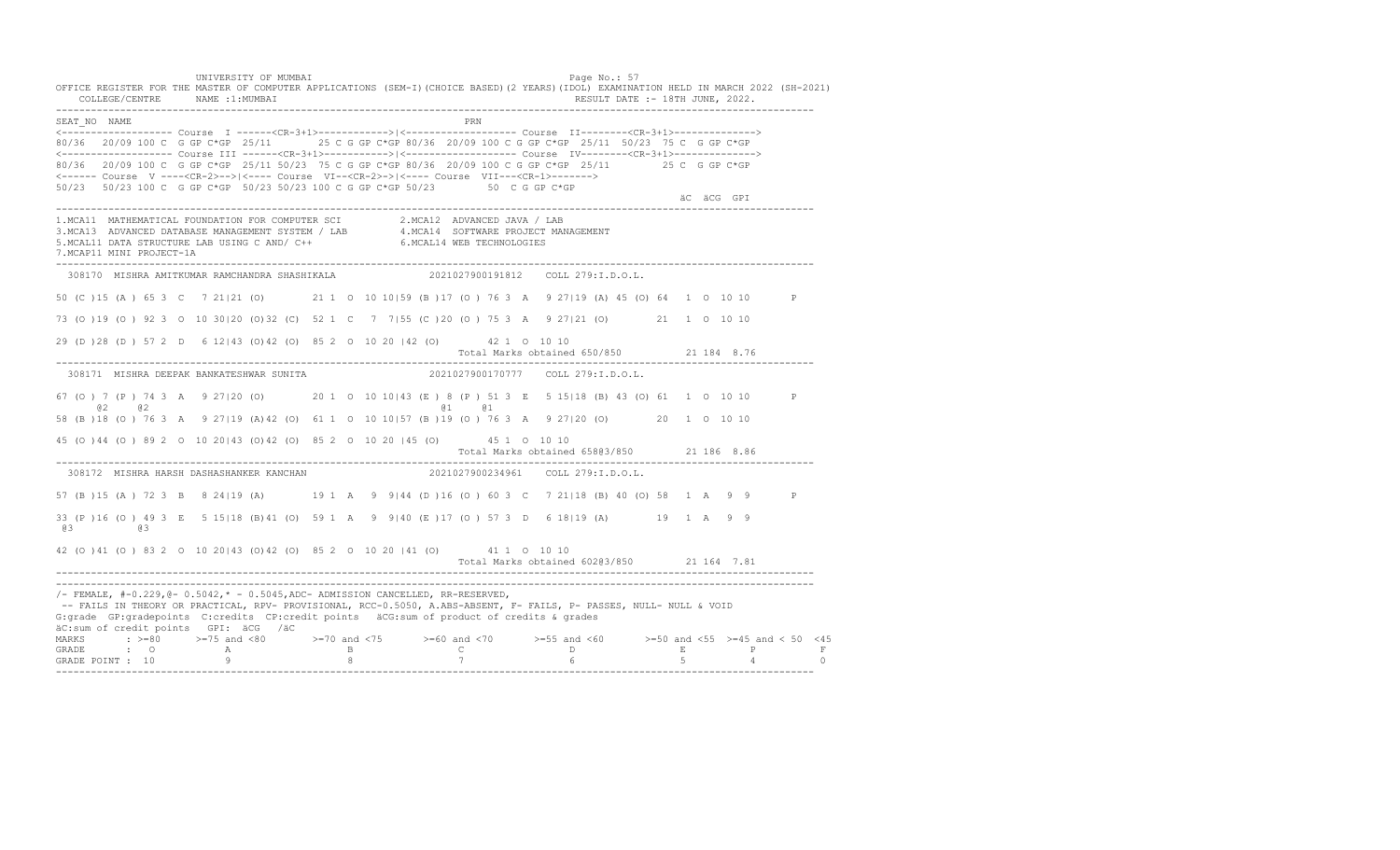UNIVERSITY OF MUMBAI PAGE OF A SALE PAGE OF A SALE PAGE OF A SALE PAGE OF A SALE PAGE OF A SALE PAGE OF A SALE OFFICE REGISTER FOR THE MASTER OF COMPUTER APPLICATIONS (SEM-I)(CHOICE BASED)(2 YEARS)(IDOL) EXAMINATION HELD IN MARCH 2022 (SH-2021)<br>COLLEGE/CENTRE NAME :1:MUMBAI COLLEGE IN THE SECTION OF THE SECTION OF THE SECTION OF  $\mathbf{R} = \mathbf{R} \cdot \mathbf{R} \cdot \mathbf{R}$ ---------------------------------------------------------------------------------------------------------------------------------- SEAT\_NO NAME PRIMAGE PRODUCED IN THE PRODUCED SEAT NO PRIMAGE PRIMAGE PRIMAGE PRIMAGE PRIMAGE PRIMAGE PRIMAGE PRIMAGE PRIMAGE PRIMAGE PRIMAGE PRIMAGE PRIMAGE PRIMAGE PRIMAGE PRIMAGE PRIMAGE PRIMAGE PRIMAGE PRIMAGE PRIMAGE <------------------- Course I ------<CR-3+1>------------>|<------------------- Course II--------<CR-3+1>--------------> 80/36 20/09 100 C G GP C\*GP 25/11 25 C G GP C\*GP 80/36 20/09 100 C G GP C\*GP 25/11 50/23 75 C G GP C\*GP <------------------- Course III ------<CR-3+1>----------->|<------------------- Course IV--------<CR-3+1>--------------> 80/36 20/09 100 C G GP C\*GP 25/11 50/23 75 C G GP C\*GP 80/36 20/09 100 C G GP C\*GP 25/11 25 C G GP C\*GP <------ Course V ----<CR-2>-->|<---- Course VI--<CR-2>->|<---- Course VII---<CR-1>-------> 50/23 50/23 100 C G GP C\*GP 50/23 50/23 100 C G GP C\*GP 50/23 50 C G GP C\*GP äC äCG GPI ä<sup>n v</sup>ächtliche State und der State und der State und der State und der State und der State und der State und der State und der State und der State und der State und der State und der State und der State und der ---------------------------------------------------------------------------------------------------------------------------------- 1.MCA11 MATHEMATICAL FOUNDATION FOR COMPUTER SCI 2.MCA12 ADVANCED JAVA / LAB<br>3.MCA13 ADVANCED DATABASE MANAGEMENT SYSTEM / LAB 4.MCA14 SOFTWARE PROJECT MANAGEMENT<br>5.MCAL11 DATA STRUCTURE LAB USI 7.MCAP11 MINI PROJECT-1A ---------------------------------------------------------------------------------------------------------------------------------- 308170 MISHRA AMITKUMAR RAMCHANDRA SHASHIKALA 2021027900191812 COLL 279:I.D.O.L. 50 (C )15 (A ) 65 3 C 7 21|21 (O) 21 1 O 10 10|59 (B )17 (O ) 76 3 A 9 27|19 (A) 45 (O) 64 1 O 10 10 P 73 (O )19 (O ) 92 3 O 10 30|20 (O)32 (C) 52 1 C 7 7|55 (C )20 (O ) 75 3 A 9 27|21 (O) 21 1 O 10 10 29 (D )28 (D ) 57 2 D 6 12|43 (O)42 (O) 85 2 O 10 20 |42 (O) 42 1 O 10 10 Total Marks obtained 650/850 21 184 8.76 ---------------------------------------------------------------------------------------------------------------------------------- 308171 MISHRA DEEPAK BANKATESHWAR SUNITA 2021027900170777 COLL 279:I.D.O.L. 67 (O ) 7 (P ) 74 3 A 9 27|20 (O) 20 1 O 10 10|43 (E ) 8 (P ) 51 3 E 5 15|18 (B) 43 (O) 61 1 O 10 10 P @2 @2 @1 @1 58 (B )18 (O ) 76 3 A 9 27|19 (A)42 (O) 61 1 O 10 10|57 (B )19 (O ) 76 3 A 9 27|20 (O) 20 1 O 10 10 45 (O )44 (O ) 89 2 O 10 20|43 (O)42 (O) 85 2 O 10 20 |45 (O) 45 1 O 10 10 Total Marks obtained 658@3/850 21 186 8.86 ---------------------------------------------------------------------------------------------------------------------------------- 308172 MISHRA HARSH DASHASHANKER KANCHAN 57 (B )15 (A ) 72 3 B 8 24|19 (A) 19 1 A 9 9|44 (D )16 (O ) 60 3 C 7 21|18 (B) 40 (O) 58 1 A 9 9 P 33 (P )16 (O ) 49 3 E 5 15|18 (B)41 (O) 59 1 A 9 9|40 (E )17 (O ) 57 3 D 6 18|19 (A) 19 1 A 9 9 @3 @3 42 (O )41 (O ) 83 2 O 10 20|43 (O)42 (O) 85 2 O 10 20 |41 (O) 41 1 O 10 10 Total Marks obtained 602@3/850 21 164 7.81 ---------------------------------------------------------------------------------------------------------------------------------- ----------------------------------------------------------------------------------------------------------------------------------  $/-$  FEMALE,  $#-0.229$ ,  $@-0.5042$ ,  $* -0.5045$ , ADC- ADMISSION CANCELLED, RR-RESERVED, -- FAILS IN THEORY OR PRACTICAL, RPV- PROVISIONAL, RCC-0.5050, A.ABS-ABSENT, F- FAILS, P- PASSES, NULL- NULL & VOID G:grade GP:gradepoints C:credits CP:credit points äCG:sum of product of credits & grades äC:sum of credit points GPI: äCG /äC MARKS : >=80 >=75 and <80 >=70 and <75 >=60 and <70 >=55 and <60 >=50 and <55 >=45 and < 50 <45<br>GRADE : O A B C D E P F<br>GRADE POINT : 10 9 8 7 6 5 4 0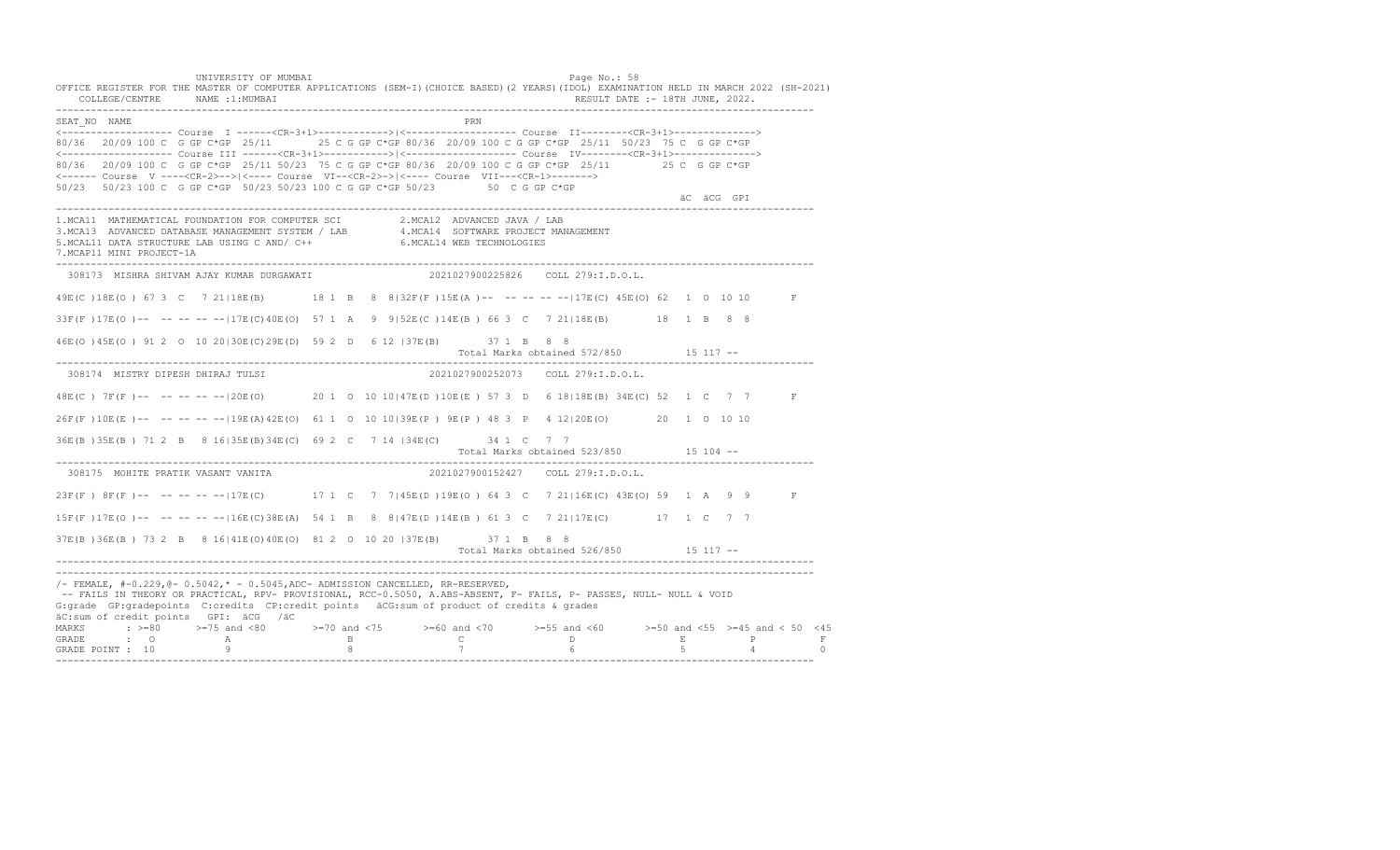UNIVERSITY OF MUMBAI PAGE OF THE PAGE OF THE PAGE OF THE PAGE OF THE PAGE OF THE PAGE OF THE PAGE OF THE PAGE OF THE PAGE OF THE PAGE OF THE PAGE OF THE PAGE OF THE PAGE OF THE PAGE OF THE PAGE OF THE PAGE OF THE PAGE OF T OFFICE REGISTER FOR THE MASTER OF COMPUTER APPLICATIONS (SEM-I)(CHOICE BASED)(2 YEARS)(IDOL) EXAMINATION HELD IN MARCH 2022 (SH-2021) COLLEGE/CENTRE NAME :1:MUMBAI RESULT DATE :- 18TH JUNE, 2022. ---------------------------------------------------------------------------------------------------------------------------------- SEAT\_NO NAME PRIME PRIME PRODUCED A CONTROL IN THE PRIME PRIME PRIME PRIME PRIME PRIME PRIME PRIME PRIME PRIME PRIME PRIME PRIME PRIME PRIME PRIME PRIME PRIME PRIME PRIME PRIME PRIME PRIME PRIME PRIME PRIME PRIME PRIME PRI <------------------- Course I ------<CR-3+1>------------>|<------------------- Course II--------<CR-3+1>--------------> 80/36 20/09 100 C G GP C\*GP 25/11 25 C G GP C\*GP 80/36 20/09 100 C G GP C\*GP 25/11 50/23 75 C G GP C\*GP <------------------- Course III ------<CR-3+1>----------->|<------------------- Course IV--------<CR-3+1>--------------> 80/36 20/09 100 C G GP C\*GP 25/11 50/23 75 C G GP C\*GP 80/36 20/09 100 C G GP C\*GP 25/11 25 C G GP C\*GP <------ Course V ----<CR-2>-->|<---- Course VI--<CR-2>->|<---- Course VII---<CR-1>-------> 50/23 50/23 100 C G GP C\*GP 50/23 50/23 100 C G GP C\*GP 50/23 50 C G GP C\*GP äC äCG GPI ä<sup>n v</sup>ächtliche State und der State und der State und der State und der State und der State und der State und der State und der State und der State und der State und der State und der State und der State und der ---------------------------------------------------------------------------------------------------------------------------------- 1.MCA11 MATHEMATICAL FOUNDATION FOR COMPUTER SCI 2.MCA12 ADVANCED JAVA / LAB<br>3.MCA13 ADVANCED DATABASE MANAGEMENT SYSTEM / LAB 4.MCA14 SOFTWARE PROJECT MANAGEMENT<br>5.MCAL11 DATA STRUCTURE LAB US 7.MCAP11 MINI PROJECT-1A ---------------------------------------------------------------------------------------------------------------------------------- 308173 MISHRA SHIVAM AJAY KUMAR DURGAWATI 2021027900225826 COLL 279:I.D.O.L. 49E(C )18E(O ) 67 3 C 7 21|18E(B) 18 1 B 8 8|32F(F )15E(A )-- -- -- -- --|17E(C) 45E(O) 62 1 O 10 10 F 33F(F )17E(O )-- -- -- -- --|17E(C)40E(O) 57 1 A 9 9|52E(C )14E(B ) 66 3 C 7 21|18E(B) 18 1 B 8 8 46E(O )45E(O ) 91 2 O 10 20|30E(C)29E(D) 59 2 D 6 12 |37E(B) 37 1 B 8 8 Total Marks obtained 572/850 15 117 ------------------------------------------------------------------------------------------------------------------------------------ 308174 MISTRY DIPESH DHIRAJ TULSI 2021027900252073 COLL 279:I.D.O.L. 48E(C ) 7F(F )-- -- -- -- --|20E(O) 20 1 O 10 10|47E(D )10E(E ) 57 3 D 6 18|18E(B) 34E(C) 52 1 C 7 7 F 26F(F )10E(E )-- -- -- -- --|19E(A)42E(O) 61 1 O 10 10|39E(P ) 9E(P ) 48 3 P 4 12|20E(O) 20 1 O 10 10 36E(B )35E(B ) 71 2 B 8 16|35E(B)34E(C) 69 2 C 7 14 |34E(C) 34 1 C 7 7 Total Marks obtained 523/850 15 104 ------------------------------------------------------------------------------------------------------------------------------------ 308175 MOHITE PRATIK VASANT VANITA 23F(F) 8F(F)-- -- -- -- -- 17E(C) 17 1 C 7 7|45E(D) 19E(O) 64 3 C 7 21|16E(C) 43E(O) 59 1 A 9 9 F 15F(F )17E(O )-- -- -- -- --|16E(C)38E(A) 54 1 B 8 8|47E(D )14E(B ) 61 3 C 7 21|17E(C) 17 1 C 7 7 37E(B )36E(B ) 73 2 B 8 16|41E(O)40E(O) 81 2 O 10 20 |37E(B) 37 1 B 8 8 Total Marks obtained 526/850 15 117 ------------------------------------------------------------------------------------------------------------------------------------ ---------------------------------------------------------------------------------------------------------------------------------- /- FEMALE, #-0.229,@- 0.5042,\* - 0.5045,ADC- ADMISSION CANCELLED, RR-RESERVED, -- FAILS IN THEORY OR PRACTICAL, RPV- PROVISIONAL, RCC-0.5050, A.ABS-ABSENT, F- FAILS, P- PASSES, NULL- NULL & VOID G:grade GP:gradepoints C:credits CP:credit points äCG:sum of product of credits & grades äC:sum of credit points GPI: äCG /äC MARKS : >=80 >=75 and <80 >=70 and <75 >=60 and <70 >=55 and <60 >=50 and <55 >=45 and < 50 <45 GRADE : O A B C D E P F<br>GRADE POINT : 10 9 9 8 7 7 6 5 4 0 ----------------------------------------------------------------------------------------------------------------------------------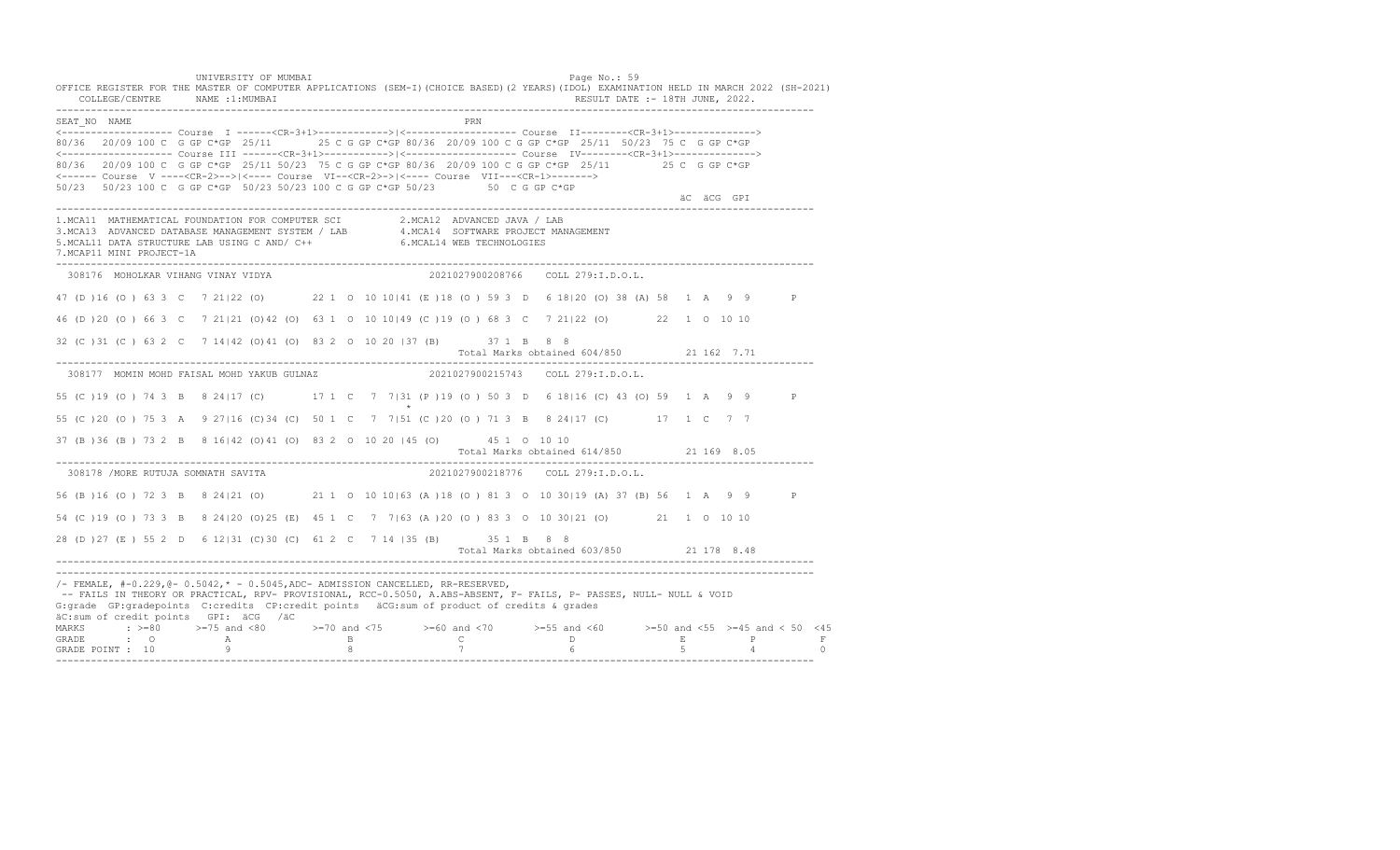UNIVERSITY OF MUMBAI PAGE OF THE PAGE OF THE PAGE OF THE PAGE OF THE PAGE OF THE PAGE OF THE PAGE OF THE PAGE OF THE PAGE OF THE PAGE OF THE PAGE OF THE PAGE OF THE PAGE OF THE PAGE OF THE PAGE OF THE PAGE OF THE PAGE OF T OFFICE REGISTER FOR THE MASTER OF COMPUTER APPLICATIONS (SEM-I)(CHOICE BASED)(2 YEARS)(IDOL) EXAMINATION HELD IN MARCH 2022 (SH-2021) COLLEGE/CENTRE NAME :1:MUMBAI RESULT DATE :- 18TH JUNE, 2022. ---------------------------------------------------------------------------------------------------------------------------------- SEAT\_NO NAME PRN <------------------- Course I ------<CR-3+1>------------>|<------------------- Course II--------<CR-3+1>--------------> 80/36 20/09 100 C G GP C\*GP 25/11 25 C G GP C\*GP 80/36 20/09 100 C G GP C\*GP 25/11 50/23 75 C G GP C\*GP <------------------- Course III ------<CR-3+1>----------->|<------------------- Course IV--------<CR-3+1>--------------> 80/36 20/09 100 C G GP C\*GP 25/11 50/23 75 C G GP C\*GP 80/36 20/09 100 C G GP C\*GP 25/11 25 C G GP C\*GP <------ Course V ----<CR-2>-->|<---- Course VI--<CR-2>->|<---- Course VII---<CR-1>-------> 50/23 50/23 100 C G GP C\*GP 50/23 50/23 100 C G GP C\*GP 50/23 50 C G GP C\*GP äC äCG GPI ä<sup>n v</sup>ächtliche State und der State und der State und der State und der State und der State und der State und der State und der State und der State und der State und der State und der State und der State und der ---------------------------------------------------------------------------------------------------------------------------------- 1.MCA11 MATHEMATICAL FOUNDATION FOR COMPUTER SCI 2.MCA12 ADVANCED JAVA / LAB<br>3.MCA13 ADVANCED DATABASE MANAGEMENT SYSTEM / LAB 4.MCA14 SOFTWARE PROJECT MANAGEMENT<br>5.MCAL11 DATA STRUCTURE LAB US 7.MCAP11 MINI PROJECT-1A ---------------------------------------------------------------------------------------------------------------------------------- 308176 MOHOLKAR VIHANG VINAY VIDYA 2021027900208766 COLL 279:I.D.O.L. 47 (D )16 (O ) 63 3 C 7 21|22 (O) 22 1 O 10 10|41 (E )18 (O ) 59 3 D 6 18|20 (O) 38 (A) 58 1 A 9 9 P 46 (D )20 (O ) 66 3 C 7 21|21 (O)42 (O) 63 1 O 10 10|49 (C )19 (O ) 68 3 C 7 21|22 (O) 22 1 O 10 10 32 (C )31 (C ) 63 2 C 7 14|42 (O)41 (O) 83 2 O 10 20 |37 (B) 37 1 B 8 8 Total Marks obtained 604/850 21 162 7.71 ---------------------------------------------------------------------------------------------------------------------------------- 308177 MOMIN MOHD FAISAL MOHD YAKUB GULNAZ 2021027900215743 COLL 279:I.D.O.L. 55 (C )19 (O ) 74 3 B 8 24|17 (C) 17 1 C 7 7|31 (P )19 (O ) 50 3 D 6 18|16 (C) 43 (O) 59 1 A 9 9 P  $\star$ 55 (C )20 (O ) 75 3 A 9 27|16 (C)34 (C) 50 1 C 7 7|51 (C )20 (O ) 71 3 B 8 24|17 (C) 17 1 C 7 7 37 (B )36 (B ) 73 2 B 8 16|42 (O)41 (O) 83 2 O 10 20 |45 (O) 45 1 O 10 10 Total Marks obtained 614/850 21 169 8.05 ---------------------------------------------------------------------------------------------------------------------------------- 308178 /MORE RUTUJA SOMNATH SAVITA 2021027900218776 COLL 279:I.D.O.L. 56 (B )16 (O ) 72 3 B 8 24|21 (O) 21 1 O 10 10|63 (A )18 (O ) 81 3 O 10 30|19 (A) 37 (B) 56 1 A 9 9 P 54 (C )19 (O ) 73 3 B 8 24|20 (O)25 (E) 45 1 C 7 7|63 (A )20 (O ) 83 3 O 10 30|21 (O) 21 1 O 10 10 28 (D )27 (E ) 55 2 D 6 12|31 (C)30 (C) 61 2 C 7 14 |35 (B) 35 1 B 8 8 Total Marks obtained 603/850 21 178 8.48 ---------------------------------------------------------------------------------------------------------------------------------- ---------------------------------------------------------------------------------------------------------------------------------- /- FEMALE, #-0.229,@- 0.5042,\* - 0.5045,ADC- ADMISSION CANCELLED, RR-RESERVED, -- FAILS IN THEORY OR PRACTICAL, RPV- PROVISIONAL, RCC-0.5050, A.ABS-ABSENT, F- FAILS, P- PASSES, NULL- NULL & VOID G:grade GP:gradepoints C:credits CP:credit points äCG:sum of product of credits & grades äC:sum of credit points GPI: äCG /äC MARKS : >=80 >=75 and <80 >=70 and <75 >=60 and <70 >=55 and <60 >=50 and <55 >=45 and < 50 <45 GRADE : O A B C D E P F<br>GRADE POINT : 10 9 9 8 7 7 6 5 4 0 ----------------------------------------------------------------------------------------------------------------------------------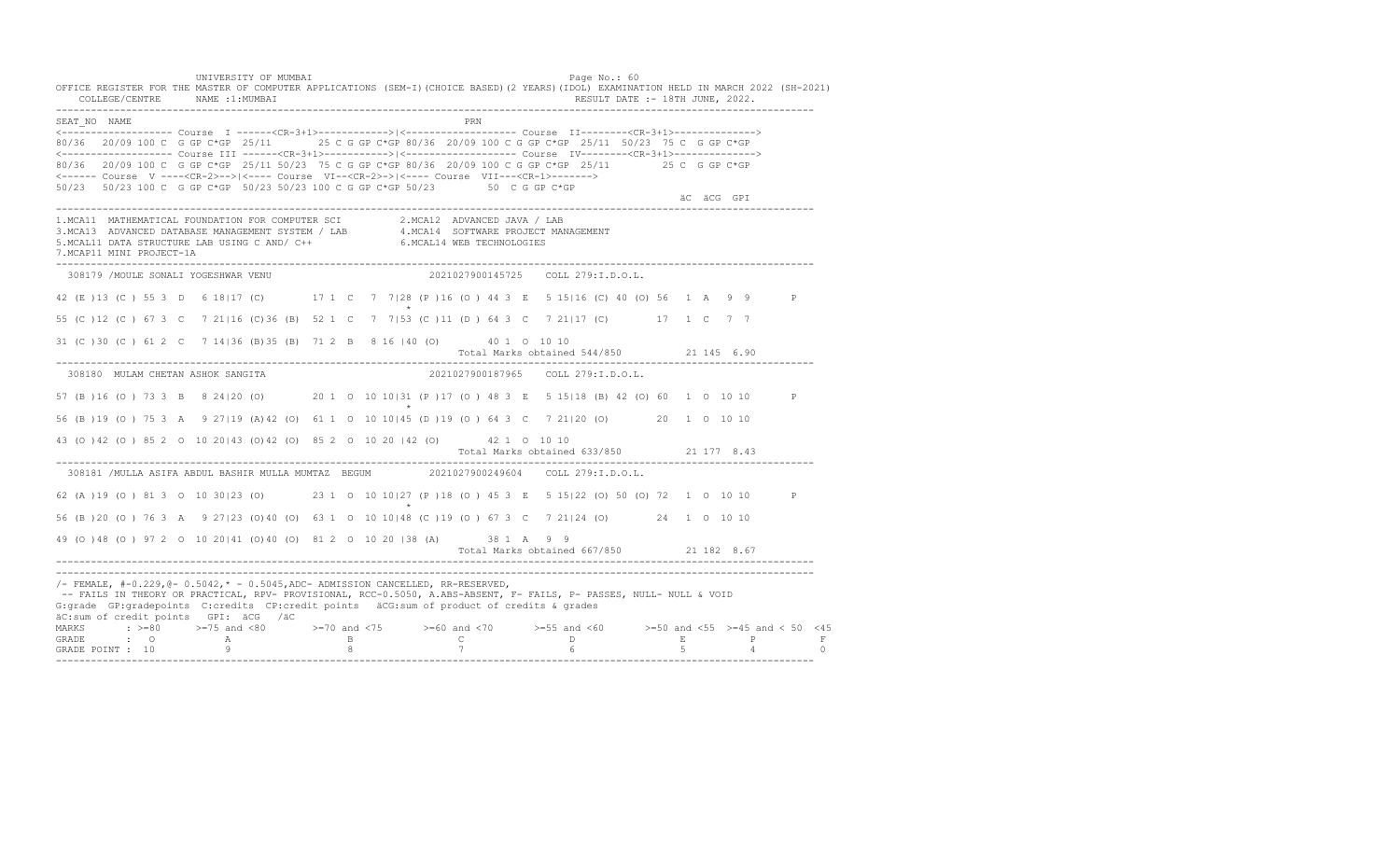UNIVERSITY OF MUMBAI PAGE OF THE PAGE OF THE PAGE OF THE PAGE OF THE PAGE OF THE PAGE OF THE PAGE OF THE PAGE O OFFICE REGISTER FOR THE MASTER OF COMPUTER APPLICATIONS (SEM-I)(CHOICE BASED)(2 YEARS)(IDOL) EXAMINATION HELD IN MARCH 2022 (SH-2021) COLLEGE/CENTRE NAME :1:MUMBAI RESULT DATE :- 18TH JUNE, 2022. ---------------------------------------------------------------------------------------------------------------------------------- SEAT\_NO NAME PRN <------------------- Course I ------<CR-3+1>------------>|<------------------- Course II--------<CR-3+1>--------------> 80/36 20/09 100 C G GP C\*GP 25/11 25 C G GP C\*GP 80/36 20/09 100 C G GP C\*GP 25/11 50/23 75 C G GP C\*GP <------------------- Course III ------<CR-3+1>----------->|<------------------- Course IV--------<CR-3+1>--------------> 80/36 20/09 100 C G GP C\*GP 25/11 50/23 75 C G GP C\*GP 80/36 20/09 100 C G GP C\*GP 25/11 25 C G GP C\*GP <------ Course V ----<CR-2>-->|<---- Course VI--<CR-2>->|<---- Course VII---<CR-1>-------> 50/23 50/23 100 C G GP C\*GP 50/23 50/23 100 C G GP C\*GP 50/23 50 C G GP C\*GP äC äCG GPI ä<sup>n v</sup>ächtliche State und der State und der State und der State und der State und der State und der State und der State und der State und der State und der State und der State und der State und der State und der ---------------------------------------------------------------------------------------------------------------------------------- 1.MCA11 MATHEMATICAL FOUNDATION FOR COMPUTER SCI 2.MCA12 ADVANCED JAVA / LAB<br>3.MCA13 ADVANCED DATABASE MANAGEMENT SYSTEM / LAB 4.MCA14 SOFTWARE PROJECT MANAGEMENT<br>5.MCAL11 DATA STRUCTURE LAB US 7.MCAP11 MINI PROJECT-1A ---------------------------------------------------------------------------------------------------------------------------------- 308179 /MOULE SONALI YOGESHWAR VENU 2021027900145725 COLL 279:I.D.O.L. 42 (E )13 (C ) 55 3 D 6 18|17 (C) 17 1 C 7 7|28 (P )16 (O ) 44 3 E 5 15|16 (C) 40 (O) 56 1 A 9 9 P  $\star$ 55 (C )12 (C ) 67 3 C 7 21|16 (C)36 (B) 52 1 C 7 7|53 (C )11 (D ) 64 3 C 7 21|17 (C) 17 1 C 7 7 31 (C )30 (C ) 61 2 C 7 14|36 (B)35 (B) 71 2 B 8 16 |40 (O) 40 1 O 10 10 Total Marks obtained 544/850 21 145 6.90 ---------------------------------------------------------------------------------------------------------------------------------- 308180 MULAM CHETAN ASHOK SANGITA 2021027900187965 COLL 279:I.D.O.L. 57 (B )16 (O ) 73 3 B 8 24|20 (O) 20 1 O 10 10|31 (P )17 (O ) 48 3 E 5 15|18 (B) 42 (O) 60 1 O 10 10 P  $\star$ 56 (B )19 (O ) 75 3 A 9 27|19 (A)42 (O) 61 1 O 10 10|45 (D )19 (O ) 64 3 C 7 21|20 (O) 20 1 O 10 10 43 (O )42 (O ) 85 2 O 10 20|43 (O)42 (O) 85 2 O 10 20 |42 (O) 42 1 O 10 10 Total Marks obtained 633/850 21 177 8.43 ---------------------------------------------------------------------------------------------------------------------------------- 308181 /MULLA ASIFA ABDUL BASHIR MULLA MUMTAZ BEGUM 2021027900249604 COLL 279:I.D.O.L. 62 (A )19 (O ) 81 3 O 10 30|23 (O) 23 1 O 10 10|27 (P )18 (O ) 45 3 E 5 15|22 (O) 50 (O) 72 1 O 10 10 P  $\star$ 56 (B )20 (O ) 76 3 A 9 27|23 (O)40 (O) 63 1 O 10 10|48 (C )19 (O ) 67 3 C 7 21|24 (O) 24 1 O 10 10 49 (O )48 (O ) 97 2 O 10 20|41 (O)40 (O) 81 2 O 10 20 |38 (A) 38 1 A 9 9 Total Marks obtained 667/850 21 182 8.67 ---------------------------------------------------------------------------------------------------------------------------------- ---------------------------------------------------------------------------------------------------------------------------------- /- FEMALE, #-0.229,@- 0.5042,\* - 0.5045,ADC- ADMISSION CANCELLED, RR-RESERVED, -- FAILS IN THEORY OR PRACTICAL, RPV- PROVISIONAL, RCC-0.5050, A.ABS-ABSENT, F- FAILS, P- PASSES, NULL- NULL & VOID G:grade GP:gradepoints C:credits CP:credit points äCG:sum of product of credits & grades äC:sum of credit points GPI: äCG /äC MARKS : >=80 >=75 and <80 >=70 and <75 >=60 and <70 >=55 and <60 >=50 and <55 >=45 and < 50 <45 GRADE : O A B C D E P F GRADE POINT : 10 9 8 7 6 5 4 0 ----------------------------------------------------------------------------------------------------------------------------------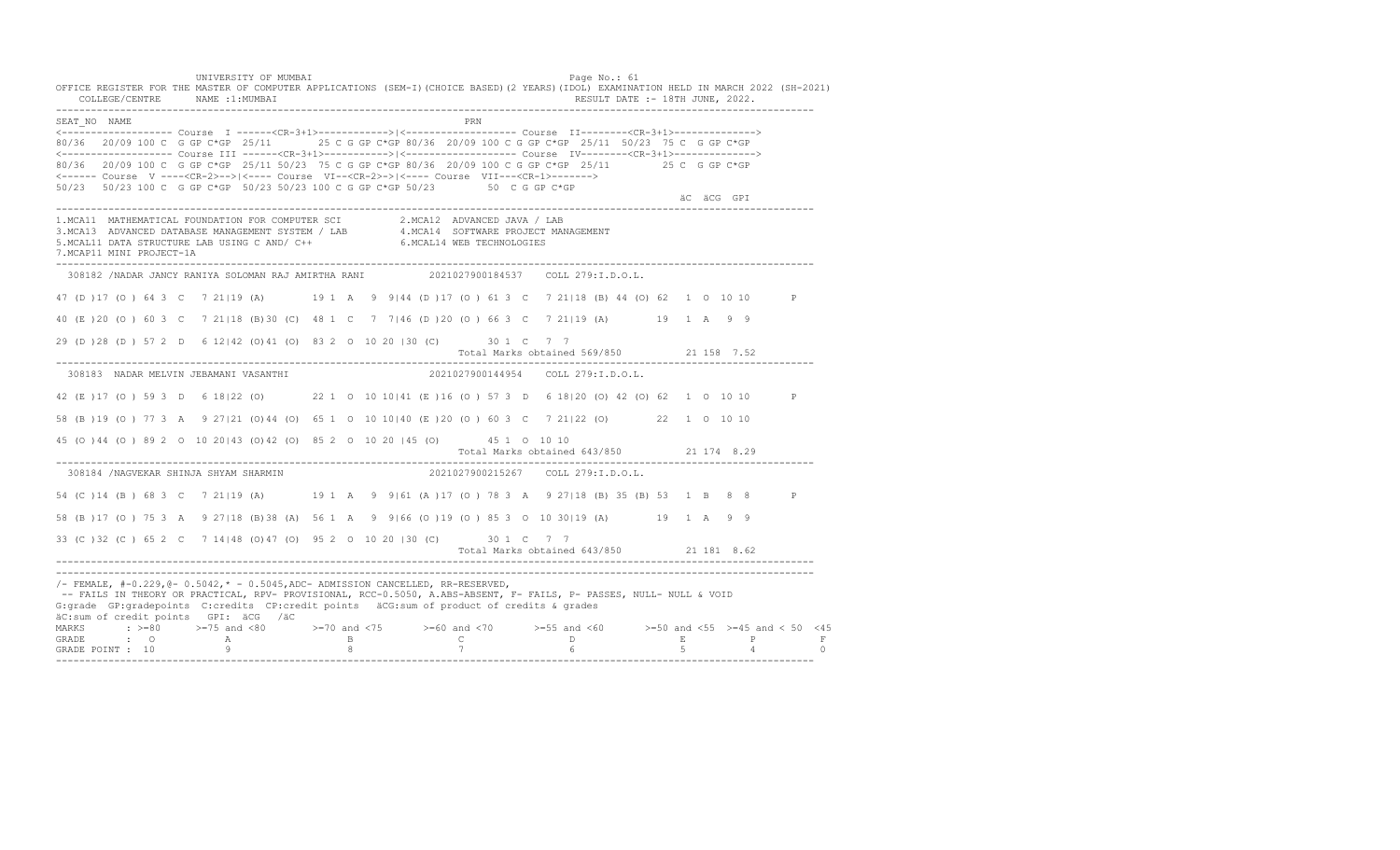UNIVERSITY OF MUMBAI PAGE OF THE PAGE OF THE PAGE OF THE PAGE OF THE PAGE OF THE PAGE OF THE PAGE OF THE PAGE OF THE PAGE OF THE PAGE OF THE PAGE OF THE PAGE OF THE PAGE OF THE PAGE OF THE PAGE OF THE PAGE OF THE PAGE OF T OFFICE REGISTER FOR THE MASTER OF COMPUTER APPLICATIONS (SEM-I)(CHOICE BASED)(2 YEARS)(IDOL) EXAMINATION HELD IN MARCH 2022 (SH-2021) COLLEGE/CENTRE NAME :1:MUMBAI RESULT DATE :- 18TH JUNE, 2022. ---------------------------------------------------------------------------------------------------------------------------------- SEAT\_NO NAME PRN <------------------- Course I ------<CR-3+1>------------>|<------------------- Course II--------<CR-3+1>--------------> 80/36 20/09 100 C G GP C\*GP 25/11 25 C G GP C\*GP 80/36 20/09 100 C G GP C\*GP 25/11 50/23 75 C G GP C\*GP <------------------- Course III ------<CR-3+1>----------->|<------------------- Course IV--------<CR-3+1>--------------> 80/36 20/09 100 C G GP C\*GP 25/11 50/23 75 C G GP C\*GP 80/36 20/09 100 C G GP C\*GP 25/11 25 C G GP C\*GP <------ Course V ----<CR-2>-->|<---- Course VI--<CR-2>->|<---- Course VII---<CR-1>-------> 50/23 50/23 100 C G GP C\*GP 50/23 50/23 100 C G GP C\*GP 50/23 50 C G GP C\*GP äC äCG GPI ä<sup>n v</sup>ächtliche State und der State und der State und der State und der State und der State und der State und der State und der State und der State und der State und der State und der State und der State und der ---------------------------------------------------------------------------------------------------------------------------------- 1.MCA11 MATHEMATICAL FOUNDATION FOR COMPUTER SCI 2.MCA12 ADVANCED JAVA / LAB 3.MCA13 ADVANCED DATABASE MANAGEMENT SYSTEM / LAB 4.MCA14 SOFTWARE PROJECT MANAGEMENT 5.MCAL11 DATA STRUCTURE LAB USING C AND/ C++ 6.MCAL14 WEB TECHNOLOGIES 7.MCAP11 MINI PROJECT-1A ---------------------------------------------------------------------------------------------------------------------------------- 308182 /NADAR JANCY RANIYA SOLOMAN RAJ AMIRTHA RANI 2021027900184537 COLL 279:I.D.O.L. 47 (D )17 (O ) 64 3 C 7 21|19 (A) 19 1 A 9 9|44 (D )17 (O ) 61 3 C 7 21|18 (B) 44 (O) 62 1 O 10 10 P 40 (E )20 (O ) 60 3 C 7 21|18 (B)30 (C) 48 1 C 7 7|46 (D )20 (O ) 66 3 C 7 21|19 (A) 19 1 A 9 9 29 (D )28 (D ) 57 2 D 6 12|42 (O)41 (O) 83 2 O 10 20 |30 (C) 30 1 C 7 7 Total Marks obtained 569/850 21 158 7.52 ---------------------------------------------------------------------------------------------------------------------------------- 308183 NADAR MELVIN JEBAMANI VASANTHI 2021027900144954 COLL 279:I.D.O.L. 42 (E )17 (O ) 59 3 D 6 18|22 (O) 22 1 O 10 10|41 (E )16 (O ) 57 3 D 6 18|20 (O) 42 (O) 62 1 O 10 10 P 58 (B )19 (O ) 77 3 A 9 27|21 (O)44 (O) 65 1 O 10 10|40 (E )20 (O ) 60 3 C 7 21|22 (O) 22 1 O 10 10 45 (O )44 (O ) 89 2 O 10 20|43 (O)42 (O) 85 2 O 10 20 |45 (O) 45 1 O 10 10 Total Marks obtained 643/850 21 174 8.29 ---------------------------------------------------------------------------------------------------------------------------------- 308184 /NAGVEKAR SHINJA SHYAM SHARMIN 54 (C ) 14 (B ) 68 3 C 7 21 | 19 (A) 19 1 A 9 9 | 61 (A ) 17 (O ) 78 3 A 9 27 | 18 (B) 35 (B) 53 1 B 8 8 P 58 (B )17 (O ) 75 3 A 9 27|18 (B)38 (A) 56 1 A 9 9|66 (O )19 (O ) 85 3 O 10 30|19 (A) 19 1 A 9 9 33 (C )32 (C ) 65 2 C 7 14|48 (O)47 (O) 95 2 O 10 20 |30 (C) 30 1 C 7 7 Total Marks obtained 643/850 21 181 8.62 ---------------------------------------------------------------------------------------------------------------------------------- ---------------------------------------------------------------------------------------------------------------------------------- /- FEMALE, #-0.229,@- 0.5042,\* - 0.5045,ADC- ADMISSION CANCELLED, RR-RESERVED, -- FAILS IN THEORY OR PRACTICAL, RPV- PROVISIONAL, RCC-0.5050, A.ABS-ABSENT, F- FAILS, P- PASSES, NULL- NULL & VOID G:grade GP:gradepoints C:credits CP:credit points äCG:sum of product of credits & grades äC:sum of credit points GPI: äCG /äC MARKS : >=80 >=75 and <80 >=70 and <75 >=60 and <70 >=55 and <60 >=50 and <55 >=45 and < 50 <45 GRADE : O A B C D E P F GRADE POINT : 10 9 8 7 6 5 4 0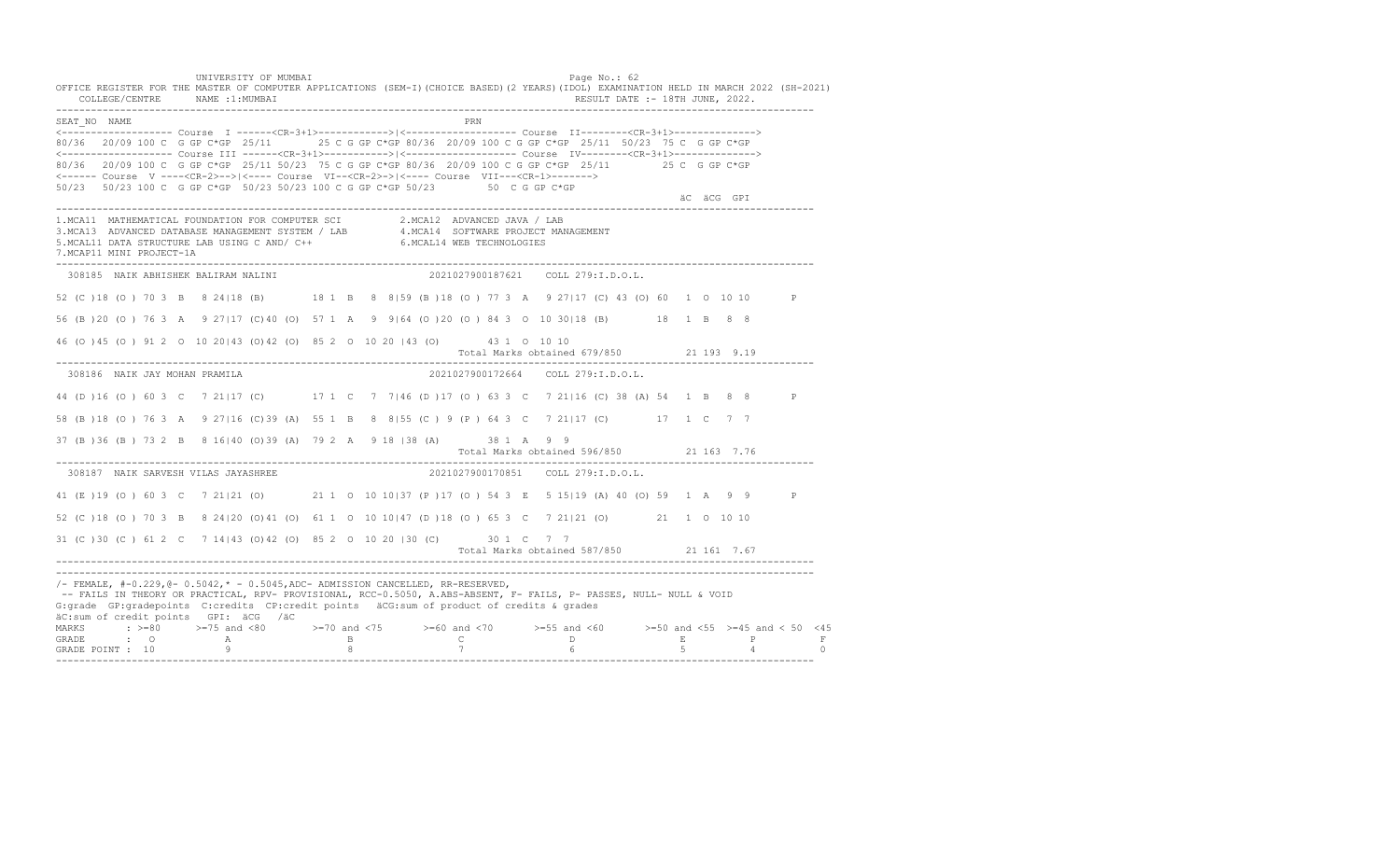UNIVERSITY OF MUMBAI PAGE OF THE PAGE OF THE PAGE OF THE PAGE OF THE PAGE OF THE PAGE OF THE PAGE OF THE PAGE OF THE PAGE OF THE PAGE OF THE PAGE OF THE PAGE OF THE PAGE OF THE PAGE OF THE PAGE OF THE PAGE OF THE PAGE OF T OFFICE REGISTER FOR THE MASTER OF COMPUTER APPLICATIONS (SEM-I)(CHOICE BASED)(2 YEARS)(IDOL) EXAMINATION HELD IN MARCH 2022 (SH-2021) COLLEGE/CENTRE NAME :1:MUMBAI RESULT DATE :- 18TH JUNE, 2022. ---------------------------------------------------------------------------------------------------------------------------------- SEAT\_NO NAME PRN <------------------- Course I ------<CR-3+1>------------>|<------------------- Course II--------<CR-3+1>--------------> 80/36 20/09 100 C G GP C\*GP 25/11 25 C G GP C\*GP 80/36 20/09 100 C G GP C\*GP 25/11 50/23 75 C G GP C\*GP <------------------- Course III ------<CR-3+1>----------->|<------------------- Course IV--------<CR-3+1>--------------> 80/36 20/09 100 C G GP C\*GP 25/11 50/23 75 C G GP C\*GP 80/36 20/09 100 C G GP C\*GP 25/11 25 C G GP C\*GP <------ Course V ----<CR-2>-->|<---- Course VI--<CR-2>->|<---- Course VII---<CR-1>-------> 50/23 50/23 100 C G GP C\*GP 50/23 50/23 100 C G GP C\*GP 50/23 50 C G GP C\*GP äC äCG GPI ä<sup>n v</sup>ächtliche State und der State und der State und der State und der State und der State und der State und der State und der State und der State und der State und der State und der State und der State und der ---------------------------------------------------------------------------------------------------------------------------------- 1.MCA11 MATHEMATICAL FOUNDATION FOR COMPUTER SCI 2.MCA12 ADVANCED JAVA / LAB<br>3.MCA13 ADVANCED DATABASE MANAGEMENT SYSTEM / LAB 4.MCA14 SOFTWARE PROJECT MANAGEMENT<br>5.MCAL11 DATA STRUCTURE LAB U 7.MCAP11 MINI PROJECT-1A ---------------------------------------------------------------------------------------------------------------------------------- 308185 NAIK ABHISHEK BALIRAM NALINI 2021027900187621 COLL 279:I.D.O.L. 52 (C )18 (O ) 70 3 B 8 24|18 (B) 18 1 B 8 8|59 (B )18 (O ) 77 3 A 9 27|17 (C) 43 (O) 60 1 O 10 10 P 56 (B )20 (O ) 76 3 A 9 27|17 (C)40 (O) 57 1 A 9 9|64 (O )20 (O ) 84 3 O 10 30|18 (B) 18 1 B 8 8 46 (O )45 (O ) 91 2 O 10 20|43 (O)42 (O) 85 2 O 10 20 |43 (O) 43 1 O 10 10 Total Marks obtained 679/850 21 193 9.19 ---------------------------------------------------------------------------------------------------------------------------------- 308186 NAIK JAY MOHAN PRAMILA 2021027900172664 COLL 279:I.D.O.L. 44 (D )16 (O ) 60 3 C 7 21|17 (C) 17 1 C 7 7|46 (D )17 (O ) 63 3 C 7 21|16 (C) 38 (A) 54 1 B 8 8 P 58 (B )18 (O ) 76 3 A 9 27|16 (C)39 (A) 55 1 B 8 8|55 (C ) 9 (P ) 64 3 C 7 21|17 (C) 17 1 C 7 7 37 (B )36 (B ) 73 2 B 8 16|40 (O)39 (A) 79 2 A 9 18 |38 (A) 38 1 A 9 9 Total Marks obtained 596/850 21 163 7.76 ---------------------------------------------------------------------------------------------------------------------------------- 308187 NAIK SARVESH VILAS JAYASHREE 41 (E )19 (O ) 60 3 C 7 21|21 (O) 21 1 O 10 10|37 (P )17 (O ) 54 3 E 5 15|19 (A) 40 (O) 59 1 A 9 9 P 52 (C )18 (O ) 70 3 B 8 24|20 (O)41 (O) 61 1 O 10 10|47 (D )18 (O ) 65 3 C 7 21|21 (O) 21 1 O 10 10 31 (C )30 (C ) 61 2 C 7 14|43 (O)42 (O) 85 2 O 10 20 |30 (C) 30 1 C 7 7 Total Marks obtained 587/850 21 161 7.67 ---------------------------------------------------------------------------------------------------------------------------------- ---------------------------------------------------------------------------------------------------------------------------------- /- FEMALE, #-0.229,@- 0.5042,\* - 0.5045,ADC- ADMISSION CANCELLED, RR-RESERVED, -- FAILS IN THEORY OR PRACTICAL, RPV- PROVISIONAL, RCC-0.5050, A.ABS-ABSENT, F- FAILS, P- PASSES, NULL- NULL & VOID G:grade GP:gradepoints C:credits CP:credit points äCG:sum of product of credits & grades äC:sum of credit points GPI: äCG /äC MARKS : >=80 >=75 and <80 >=70 and <75 >=60 and <70 >=55 and <60 >=50 and <55 >=45 and < 50 <45 GRADE : O A B C D E P F<br>GRADE POINT : 10 9 9 8 7 7 6 5 4 0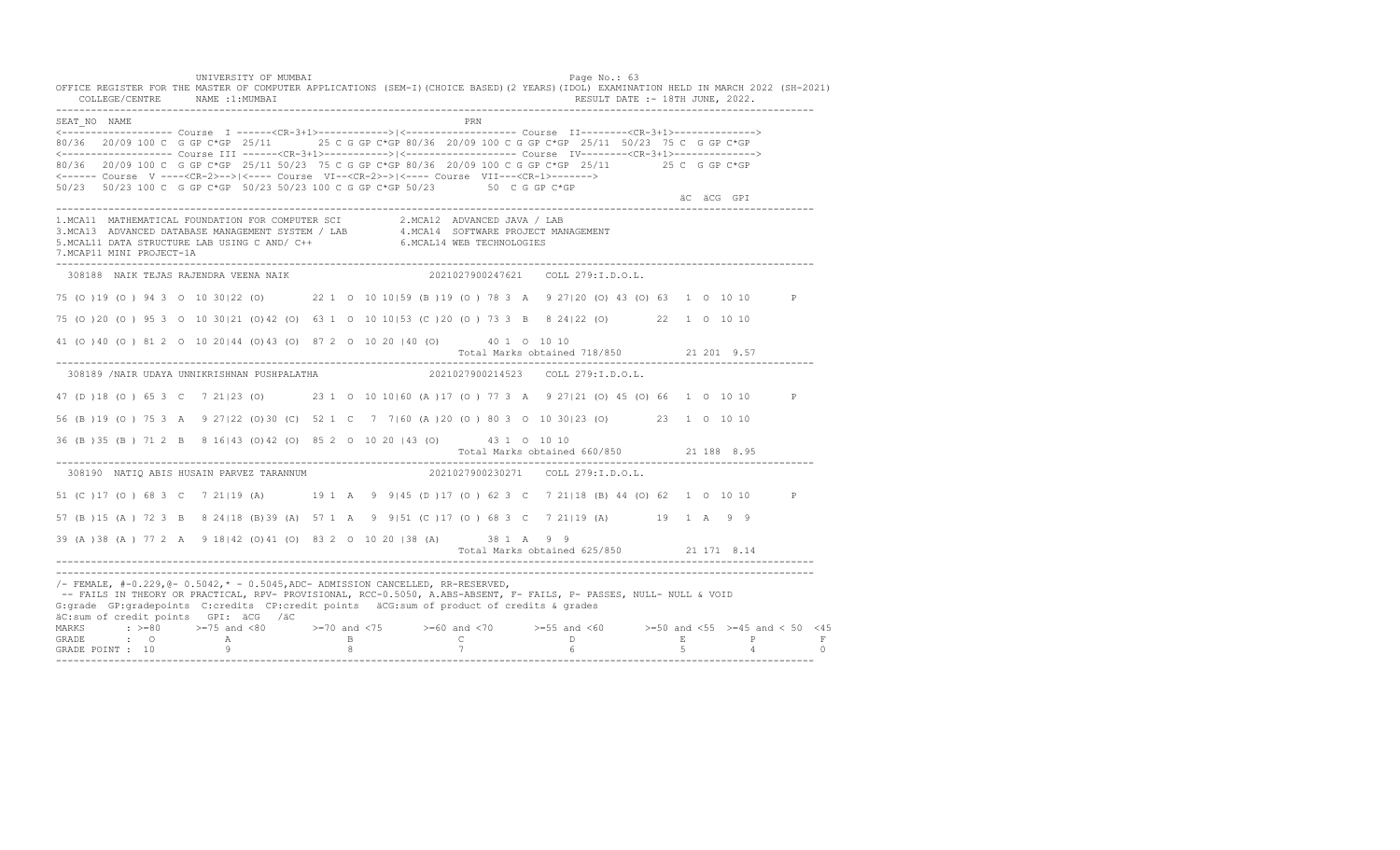UNIVERSITY OF MUMBAI PAGE OF THE PAGE OF THE PAGE OF THE PAGE OF THE PAGE OF THE PAGE OF THE PAGE OF THE PAGE OF THE PAGE OF THE PAGE OF THE PAGE OF THE PAGE OF THE PAGE OF THE PAGE OF THE PAGE OF THE PAGE OF THE PAGE OF T OFFICE REGISTER FOR THE MASTER OF COMPUTER APPLICATIONS (SEM-I)(CHOICE BASED)(2 YEARS)(IDOL) EXAMINATION HELD IN MARCH 2022 (SH-2021) COLLEGE/CENTRE NAME :1:MUMBAI RESULT DATE :- 18TH JUNE, 2022. ---------------------------------------------------------------------------------------------------------------------------------- SEAT\_NO NAME PRN <------------------- Course I ------<CR-3+1>------------>|<------------------- Course II--------<CR-3+1>--------------> 80/36 20/09 100 C G GP C\*GP 25/11 25 C G GP C\*GP 80/36 20/09 100 C G GP C\*GP 25/11 50/23 75 C G GP C\*GP <------------------- Course III ------<CR-3+1>----------->|<------------------- Course IV--------<CR-3+1>--------------> 80/36 20/09 100 C G GP C\*GP 25/11 50/23 75 C G GP C\*GP 80/36 20/09 100 C G GP C\*GP 25/11 25 C G GP C\*GP <------ Course V ----<CR-2>-->|<---- Course VI--<CR-2>->|<---- Course VII---<CR-1>-------> 50/23 50/23 100 C G GP C\*GP 50/23 50/23 100 C G GP C\*GP 50/23 50 C G GP C\*GP äC äCG GPI ä<sup>n v</sup>ächtliche State und der State und der State und der State und der State und der State und der State und der State und der State und der State und der State und der State und der State und der State und der ---------------------------------------------------------------------------------------------------------------------------------- 1.MCA11 MATHEMATICAL FOUNDATION FOR COMPUTER SCI 2.MCA12 ADVANCED JAVA / LAB<br>3.MCA13 ADVANCED DATABASE MANAGEMENT SYSTEM / LAB 4.MCA14 SOFTWARE PROJECT MANAGEMENT<br>5.MCAL11 DATA STRUCTURE LAB U 7.MCAP11 MINI PROJECT-1A ---------------------------------------------------------------------------------------------------------------------------------- 308188 NAIK TEJAS RAJENDRA VEENA NAIK 2021027900247621 COLL 279:I.D.O.L. 75 (O )19 (O ) 94 3 O 10 30|22 (O) 22 1 O 10 10|59 (B )19 (O ) 78 3 A 9 27|20 (O) 43 (O) 63 1 O 10 10 P 75 (O )20 (O ) 95 3 O 10 30|21 (O)42 (O) 63 1 O 10 10|53 (C )20 (O ) 73 3 B 8 24|22 (O) 22 1 O 10 10 41 (O )40 (O ) 81 2 O 10 20|44 (O)43 (O) 87 2 O 10 20 |40 (O) 40 1 O 10 10 Total Marks obtained 718/850 21 201 9.57 ---------------------------------------------------------------------------------------------------------------------------------- 308189 /NAIR UDAYA UNNIKRISHNAN PUSHPALATHA 2021027900214523 COLL 279:I.D.O.L. 47 (D )18 (O ) 65 3 C 7 21|23 (O) 23 1 O 10 10|60 (A )17 (O ) 77 3 A 9 27|21 (O) 45 (O) 66 1 O 10 10 P 56 (B )19 (O ) 75 3 A 9 27|22 (O)30 (C) 52 1 C 7 7|60 (A )20 (O ) 80 3 O 10 30|23 (O) 23 1 O 10 10 36 (B )35 (B ) 71 2 B 8 16|43 (O)42 (O) 85 2 O 10 20 |43 (O) 43 1 O 10 10 Total Marks obtained 660/850 21 188 8.95 ---------------------------------------------------------------------------------------------------------------------------------- 308190 NATIO ABIS HUSAIN PARVEZ TARANNUM 51 (C )17 (O ) 68 3 C 7 21|19 (A) 19 1 A 9 9|45 (D )17 (O ) 62 3 C 7 21|18 (B) 44 (O) 62 1 O 10 10 P 57 (B )15 (A ) 72 3 B 8 24|18 (B)39 (A) 57 1 A 9 9|51 (C )17 (O ) 68 3 C 7 21|19 (A) 19 1 A 9 9 39 (A )38 (A ) 77 2 A 9 18|42 (O)41 (O) 83 2 O 10 20 |38 (A) 38 1 A 9 9 Total Marks obtained 625/850 21 171 8.14 ---------------------------------------------------------------------------------------------------------------------------------- ---------------------------------------------------------------------------------------------------------------------------------- /- FEMALE, #-0.229,@- 0.5042,\* - 0.5045,ADC- ADMISSION CANCELLED, RR-RESERVED, -- FAILS IN THEORY OR PRACTICAL, RPV- PROVISIONAL, RCC-0.5050, A.ABS-ABSENT, F- FAILS, P- PASSES, NULL- NULL & VOID G:grade GP:gradepoints C:credits CP:credit points äCG:sum of product of credits & grades äC:sum of credit points GPI: äCG /äC MARKS : >=80 >=75 and <80 >=70 and <75 >=60 and <70 >=55 and <60 >=50 and <55 >=45 and < 50 <45 GRADE : O A B C D E P F GRADE POINT : 10 9 8 7 6 5 4 0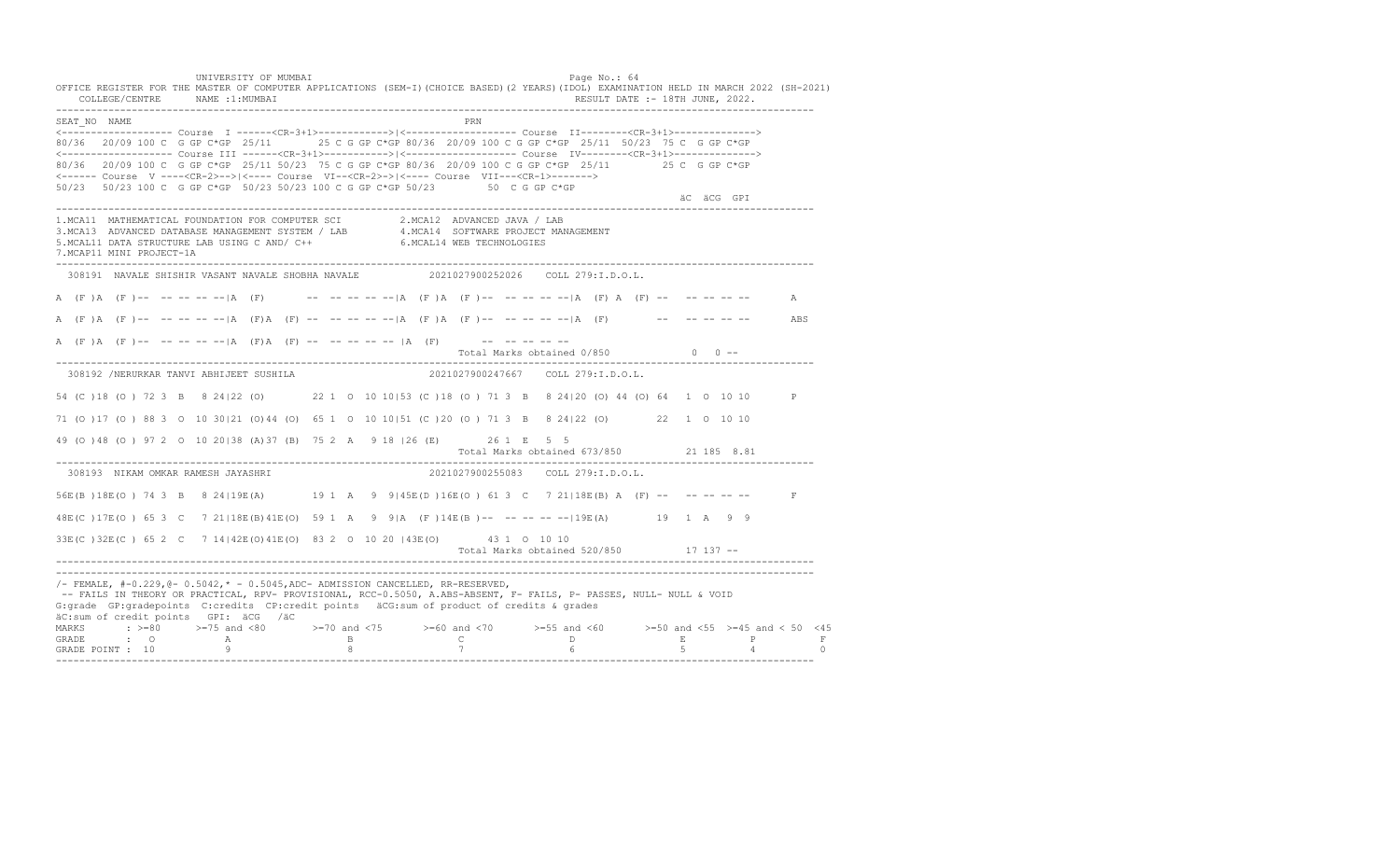UNIVERSITY OF MUMBAI PAGE OF THE PAGE OF THE PAGE OF THE PAGE OF THE PAGE OF THE PAGE OF THE PAGE OF THE PAGE OF THE PAGE OF THE PAGE OF THE PAGE OF THE PAGE OF THE PAGE OF THE PAGE OF THE PAGE OF THE PAGE OF THE PAGE OF T OFFICE REGISTER FOR THE MASTER OF COMPUTER APPLICATIONS (SEM-I)(CHOICE BASED)(2 YEARS)(IDOL) EXAMINATION HELD IN MARCH 2022 (SH-2021) COLLEGE/CENTRE NAME :1:MUMBAI RESULT DATE :- 18TH JUNE, 2022. ---------------------------------------------------------------------------------------------------------------------------------- SEAT\_NO NAME PRIMAGE PRODUCED IN THE PRODUCED SEAT NO PRIMAGE PRIMAGE PRIMAGE PRIMAGE PRIMAGE PRIMAGE PRIMAGE PRIMAGE PRIMAGE PRIMAGE PRIMAGE PRIMAGE PRIMAGE PRIMAGE PRIMAGE PRIMAGE PRIMAGE PRIMAGE PRIMAGE PRIMAGE PRIMAGE <------------------- Course I ------<CR-3+1>------------>|<------------------- Course II--------<CR-3+1>--------------> 80/36 20/09 100 C G GP C\*GP 25/11 25 C G GP C\*GP 80/36 20/09 100 C G GP C\*GP 25/11 50/23 75 C G GP C\*GP <------------------- Course III ------<CR-3+1>----------->|<------------------- Course IV--------<CR-3+1>--------------> 80/36 20/09 100 C G GP C\*GP 25/11 50/23 75 C G GP C\*GP 80/36 20/09 100 C G GP C\*GP 25/11 25 C G GP C\*GP <------ Course V ----<CR-2>-->|<---- Course VI--<CR-2>->|<---- Course VII---<CR-1>-------> 50/23 50/23 100 C G GP C\*GP 50/23 50/23 100 C G GP C\*GP 50/23 50 C G GP C\*GP äC äCG GPI ä<sup>n v</sup>ächtliche State und der State und der State und der State und der State und der State und der State und der State und der State und der State und der State und der State und der State und der State und der ---------------------------------------------------------------------------------------------------------------------------------- 1.MCA11 MATHEMATICAL FOUNDATION FOR COMPUTER SCI 2.MCA12 ADVANCED JAVA / LAB 3.MCA13 ADVANCED DATABASE MANAGEMENT SYSTEM / LAB 4.MCA14 SOFTWARE PROJECT MANAGEMENT 5.MCAL11 DATA STRUCTURE LAB USING C AND/ C++ 6.MCAL14 WEB TECHNOLOGIES 7.MCAP11 MINI PROJECT-1A ---------------------------------------------------------------------------------------------------------------------------------- 308191 NAVALE SHISHIR VASANT NAVALE SHOBHA NAVALE 2021027900252026 COLL 279:I.D.O.L. A (F )A (F )-- -- -- -- -- |A (F) -- -- -- -- -- |A (F )A (F )-- -- -- -- -- -- |A (F) A (F) -- -- -- -- -- -- A A (F )A (F )-- -- -- -- --|A (F)A (F) -- -- -- -- --|A (F )A (F )-- -- -- -- --|A (F) -- -- -- -- -- ABS A (F)A (F)-- -- -- -- -- |A (F)A (F) -- -- -- -- -- |A (F) -- -- -- -- -- -- --Total Marks obtained  $0/850$  0 ------------------------------------------------------------------------------------------------------------------------------------ 308192 /NERURKAR TANVI ABHIJEET SUSHILA 2021027900247667 COLL 279:I.D.O.L. 54 (C )18 (O ) 72 3 B 8 24|22 (O) 22 1 O 10 10|53 (C )18 (O ) 71 3 B 8 24|20 (O) 44 (O) 64 1 O 10 10 P 71 (O )17 (O ) 88 3 O 10 30|21 (O)44 (O) 65 1 O 10 10|51 (C )20 (O ) 71 3 B 8 24|22 (O) 22 1 O 10 10 49 (O )48 (O ) 97 2 O 10 20|38 (A)37 (B) 75 2 A 9 18 |26 (E) 26 1 E 5 5 Total Marks obtained 673/850 21 185 8.81 ---------------------------------------------------------------------------------------------------------------------------------- 308193 NIKAM OMKAR RAMESH JAYASHRI 56E(B )18E(O ) 74 3 B 8 24|19E(A) 19 1 A 9 9|45E(D )16E(O ) 61 3 C 7 21|18E(B) A (F) -- -- -- -- -- F 48E(C )17E(O ) 65 3 C 7 21|18E(B)41E(O) 59 1 A 9 9|A (F )14E(B )-- -- -- -- --|19E(A) 19 1 A 9 9 33E(C )32E(C ) 65 2 C 7 14|42E(O)41E(O) 83 2 O 10 20 |43E(O) 43 1 O 10 10 Total Marks obtained 520/850 17 137 ------------------------------------------------------------------------------------------------------------------------------------ ---------------------------------------------------------------------------------------------------------------------------------- /- FEMALE, #-0.229,@- 0.5042,\* - 0.5045,ADC- ADMISSION CANCELLED, RR-RESERVED, -- FAILS IN THEORY OR PRACTICAL, RPV- PROVISIONAL, RCC-0.5050, A.ABS-ABSENT, F- FAILS, P- PASSES, NULL- NULL & VOID G:grade GP:gradepoints C:credits CP:credit points äCG:sum of product of credits & grades äC:sum of credit points GPI: äCG /äC MARKS : >=80 >=75 and <80 >=70 and <75 >=60 and <70 >=55 and <60 >=50 and <55 >=45 and < 50 <45 GRADE : O A B C D E P F GRADE POINT : 10 9 8 7 6 5 4 0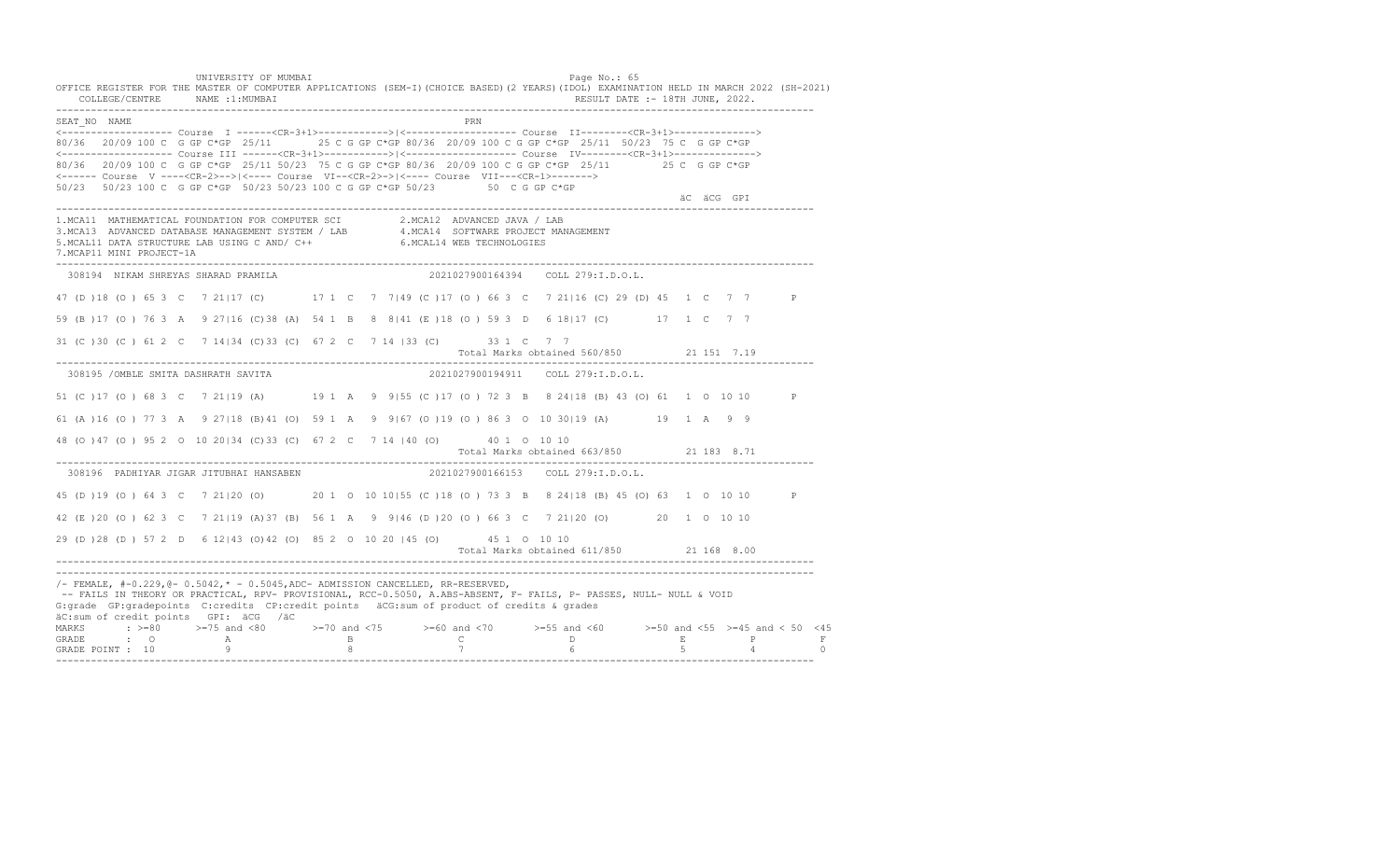UNIVERSITY OF MUMBAI PAGE OF THE PAGE OF THE PAGE OF THE PAGE OF THE PAGE OF THE PAGE OF THE PAGE OF THE PAGE OF THE PAGE OF THE PAGE OF THE PAGE OF THE PAGE OF THE PAGE OF THE PAGE OF THE PAGE OF THE PAGE OF THE PAGE OF T OFFICE REGISTER FOR THE MASTER OF COMPUTER APPLICATIONS (SEM-I)(CHOICE BASED)(2 YEARS)(IDOL) EXAMINATION HELD IN MARCH 2022 (SH-2021) COLLEGE/CENTRE NAME :1:MUMBAI RESULT DATE :- 18TH JUNE, 2022. ---------------------------------------------------------------------------------------------------------------------------------- SEAT\_NO NAME <------------------- Course I ------<CR-3+1>------------>|<------------------- Course II--------<CR-3+1>--------------> 80/36 20/09 100 C G GP C\*GP 25/11 25 C G GP C\*GP 80/36 20/09 100 C G GP C\*GP 25/11 50/23 75 C G GP C\*GP <------------------- Course III ------<CR-3+1>----------->|<------------------- Course IV--------<CR-3+1>--------------> 80/36 20/09 100 C G GP C\*GP 25/11 50/23 75 C G GP C\*GP 80/36 20/09 100 C G GP C\*GP 25/11 25 C G GP C\*GP <------ Course V ----<CR-2>-->|<---- Course VI--<CR-2>->|<---- Course VII---<CR-1>-------> 50/23 50/23 100 C G GP C\*GP 50/23 50/23 100 C G GP C\*GP 50/23 50 C G GP C\*GP äC äCG GPI ä<sup>n v</sup>ächtliche State und der State und der State und der State und der State und der State und der State und der State und der State und der State und der State und der State und der State und der State und der ---------------------------------------------------------------------------------------------------------------------------------- 1.MCA11 MATHEMATICAL FOUNDATION FOR COMPUTER SCI 2.MCA12 ADVANCED JAVA / LAB<br>3.MCA13 ADVANCED DATABASE MANAGEMENT SYSTEM / LAB 4.MCA14 SOFTWARE PROJECT MANAGEMENT<br>5.MCAL11 DATA STRUCTURE LAB U 7.MCAP11 MINI PROJECT-1A ---------------------------------------------------------------------------------------------------------------------------------- 308194 NIKAM SHREYAS SHARAD PRAMILA 2021027900164394 COLL 279:I.D.O.L. 47 (D )18 (O ) 65 3 C 7 21|17 (C) 17 1 C 7 7|49 (C )17 (O ) 66 3 C 7 21|16 (C) 29 (D) 45 1 C 7 7 P 59 (B )17 (O ) 76 3 A 9 27|16 (C)38 (A) 54 1 B 8 8|41 (E )18 (O ) 59 3 D 6 18|17 (C) 17 1 C 7 7 31 (C )30 (C ) 61 2 C 7 14|34 (C)33 (C) 67 2 C 7 14 |33 (C) 33 1 C 7 7 Total Marks obtained 560/850 21 151 7.19 ---------------------------------------------------------------------------------------------------------------------------------- 308195 /OMBLE SMITA DASHRATH SAVITA 2021027900194911 COLL 279:I.D.O.L. 51 (C )17 (O ) 68 3 C 7 21|19 (A) 19 1 A 9 9|55 (C )17 (O ) 72 3 B 8 24|18 (B) 43 (O) 61 1 O 10 10 P 61 (A )16 (O ) 77 3 A 9 27|18 (B)41 (O) 59 1 A 9 9|67 (O )19 (O ) 86 3 O 10 30|19 (A) 19 1 A 9 9 48 (O )47 (O ) 95 2 O 10 20|34 (C)33 (C) 67 2 C 7 14 |40 (O) 40 1 O 10 10 Total Marks obtained 663/850 21 183 8.71 ---------------------------------------------------------------------------------------------------------------------------------- 308196 PADHIYAR JIGAR JITUBHAI HANSABEN 45 (D )19 (O ) 64 3 C 7 21|20 (O) 20 1 O 10 10|55 (C )18 (O ) 73 3 B 8 24|18 (B) 45 (O) 63 1 O 10 10 P 42 (E )20 (O ) 62 3 C 7 21|19 (A)37 (B) 56 1 A 9 9|46 (D )20 (O ) 66 3 C 7 21|20 (O) 20 1 O 10 10 29 (D )28 (D ) 57 2 D 6 12|43 (O)42 (O) 85 2 O 10 20 |45 (O) 45 1 O 10 10 Total Marks obtained 611/850 21 168 8.00 ---------------------------------------------------------------------------------------------------------------------------------- ---------------------------------------------------------------------------------------------------------------------------------- /- FEMALE, #-0.229,@- 0.5042,\* - 0.5045,ADC- ADMISSION CANCELLED, RR-RESERVED, -- FAILS IN THEORY OR PRACTICAL, RPV- PROVISIONAL, RCC-0.5050, A.ABS-ABSENT, F- FAILS, P- PASSES, NULL- NULL & VOID G:grade GP:gradepoints C:credits CP:credit points äCG:sum of product of credits & grades äC:sum of credit points GPI: äCG /äC MARKS : >=80 >=75 and <80 >=70 and <75 >=60 and <70 >=55 and <60 >=50 and <55 >=45 and < 50 <45 GRADE : O A B C D E P F GRADE POINT : 10 9 8 7 6 5 4 0 ----------------------------------------------------------------------------------------------------------------------------------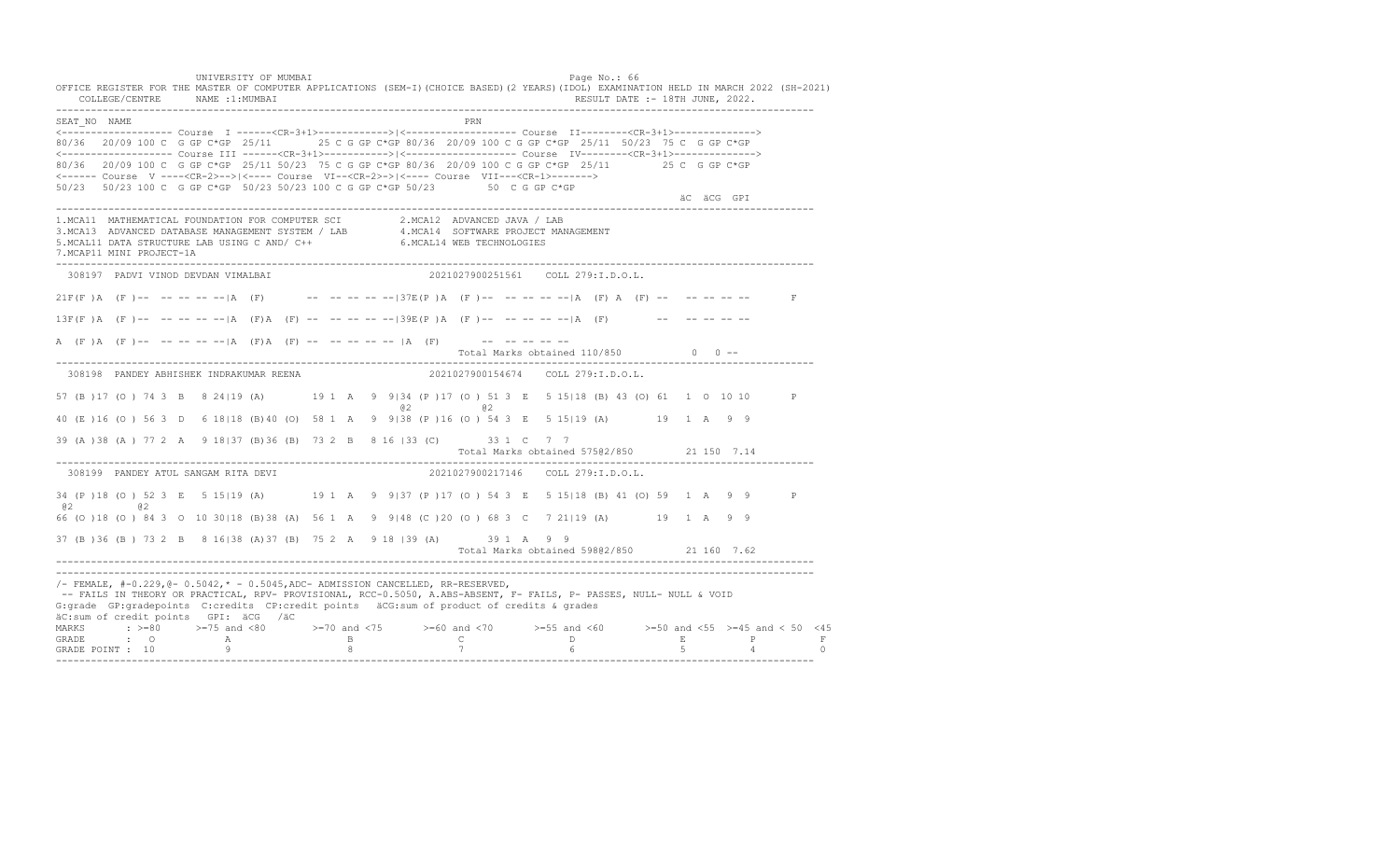UNIVERSITY OF MUMBAI PAGE OF THE PAGE OF THE PAGE OF THE PAGE OF THE PAGE OF THE PAGE OF THE PAGE OF THE PAGE OF THE PAGE OF THE PAGE OF THE PAGE OF THE PAGE OF THE PAGE OF THE PAGE OF THE PAGE OF THE PAGE OF THE PAGE OF T OFFICE REGISTER FOR THE MASTER OF COMPUTER APPLICATIONS (SEM-I)(CHOICE BASED)(2 YEARS)(IDOL) EXAMINATION HELD IN MARCH 2022 (SH-2021) COLLEGE/CENTRE NAME :1:MUMBAI RESULT DATE :- 18TH JUNE, 2022. ---------------------------------------------------------------------------------------------------------------------------------- SEAT\_NO NAME PRIMAGE PRODUCED IN THE PRIMAGE PRIMAGE PRIMAGE PRIMAGE PRIMAGE PRIMAGE PRIMAGE PRIMAGE PRIMAGE PRIMAGE PRIMAGE PRIMAGE PRIMAGE PRIMAGE PRIMAGE PRIMAGE PRIMAGE PRIMAGE PRIMAGE PRIMAGE PRIMAGE PRIMAGE PRIMAGE P <------------------- Course I ------<CR-3+1>------------>|<------------------- Course II--------<CR-3+1>--------------> 80/36 20/09 100 C G GP C\*GP 25/11 25 C G GP C\*GP 80/36 20/09 100 C G GP C\*GP 25/11 50/23 75 C G GP C\*GP <------------------- Course III ------<CR-3+1>----------->|<------------------- Course IV--------<CR-3+1>--------------> 80/36 20/09 100 C G GP C\*GP 25/11 50/23 75 C G GP C\*GP 80/36 20/09 100 C G GP C\*GP 25/11 25 C G GP C\*GP <------ Course V ----<CR-2>-->|<---- Course VI--<CR-2>->|<---- Course VII---<CR-1>-------> 50/23 50/23 100 C G GP C\*GP 50/23 50/23 100 C G GP C\*GP 50/23 50 C G GP C\*GP äC äCG GPI ä<sup>n v</sup>ächtliche State und der State und der State und der State und der State und der State und der State und der State und der State und der State und der State und der State und der State und der State und der ---------------------------------------------------------------------------------------------------------------------------------- 1.MCA11 MATHEMATICAL FOUNDATION FOR COMPUTER SCI 2.MCA12 ADVANCED JAVA / LAB 3.MCA13 ADVANCED DATABASE MANAGEMENT SYSTEM / LAB 4.MCA14 SOFTWARE PROJECT MANAGEMENT 5.MCAL11 DATA STRUCTURE LAB USING C AND/ C++ 6.MCAL14 WEB TECHNOLOGIES 7.MCAP11 MINI PROJECT-1A ---------------------------------------------------------------------------------------------------------------------------------- 308197 PADVI VINOD DEVDAN VIMALBAI 2021027900251561 COLL 279:I.D.O.L.  $21F(F)$  A  $(F)$  -- -- -- -- -- |A  $(F)$  -- -- -- -- -- -- -- 37E(P) A  $(F)$  -- -- -- -- -- |A  $(F)$  A  $(F)$  -- -- -- -- -- -- F  $13F(F)$  A (F)-- -- -- -- -- |A (F)A (F) -- -- -- -- -- |39E(P)A (F)-- -- -- -- -- |A (F) -- -- -- -- -- -- --A  $(F)$  A  $(F)$  -- -- -- -- -- |A  $(F)$  A  $(F)$  -- -- -- -- -- |A  $(F)$  -- -- -- -- -- --Total Marks obtained 110/850 0 0 ------------------------------------------------------------------------------------------------------------------------------------ 308198 PANDEY ABHISHEK INDRAKUMAR REENA 2021027900154674 COLL 279:I.D.O.L. 57 (B )17 (O ) 74 3 B 8 24|19 (A) 19 1 A 9 9|34 (P )17 (O ) 51 3 E 5 15|18 (B) 43 (O) 61 1 O 10 10 P @2 @2 40 (E )16 (O ) 56 3 D 6 18|18 (B)40 (O) 58 1 A 9 9|38 (P )16 (O ) 54 3 E 5 15|19 (A) 19 1 A 9 9 39 (A )38 (A ) 77 2 A 9 18|37 (B)36 (B) 73 2 B 8 16 |33 (C) 33 1 C 7 7 Total Marks obtained 575@2/850 21 150 7.14 ---------------------------------------------------------------------------------------------------------------------------------- 308199 PANDEY ATUL SANGAM RITA DEVI 34 (P )18 (O ) 52 3 E 5 15|19 (A) 19 1 A 9 9|37 (P )17 (O ) 54 3 E 5 15|18 (B) 41 (O) 59 1 A 9 9 P @2 @2 66 (O )18 (O ) 84 3 O 10 30|18 (B)38 (A) 56 1 A 9 9|48 (C )20 (O ) 68 3 C 7 21|19 (A) 19 1 A 9 9 37 (B )36 (B ) 73 2 B 8 16|38 (A)37 (B) 75 2 A 9 18 |39 (A) 39 1 A 9 9 Total Marks obtained 598@2/850 21 160 7.62 ---------------------------------------------------------------------------------------------------------------------------------- ---------------------------------------------------------------------------------------------------------------------------------- /- FEMALE, #-0.229,@- 0.5042,\* - 0.5045,ADC- ADMISSION CANCELLED, RR-RESERVED, -- FAILS IN THEORY OR PRACTICAL, RPV- PROVISIONAL, RCC-0.5050, A.ABS-ABSENT, F- FAILS, P- PASSES, NULL- NULL & VOID G:grade GP:gradepoints C:credits CP:credit points äCG:sum of product of credits & grades äC:sum of credit points GPI: äCG /äC MARKS : >=80 >=75 and <80 >=70 and <75 >=60 and <70 >=55 and <60 >=50 and <55 >=45 and < 50 <45 GRADE : O A B C D E P F GRADE POINT : 10 9 8 7 6 5 4 0 ----------------------------------------------------------------------------------------------------------------------------------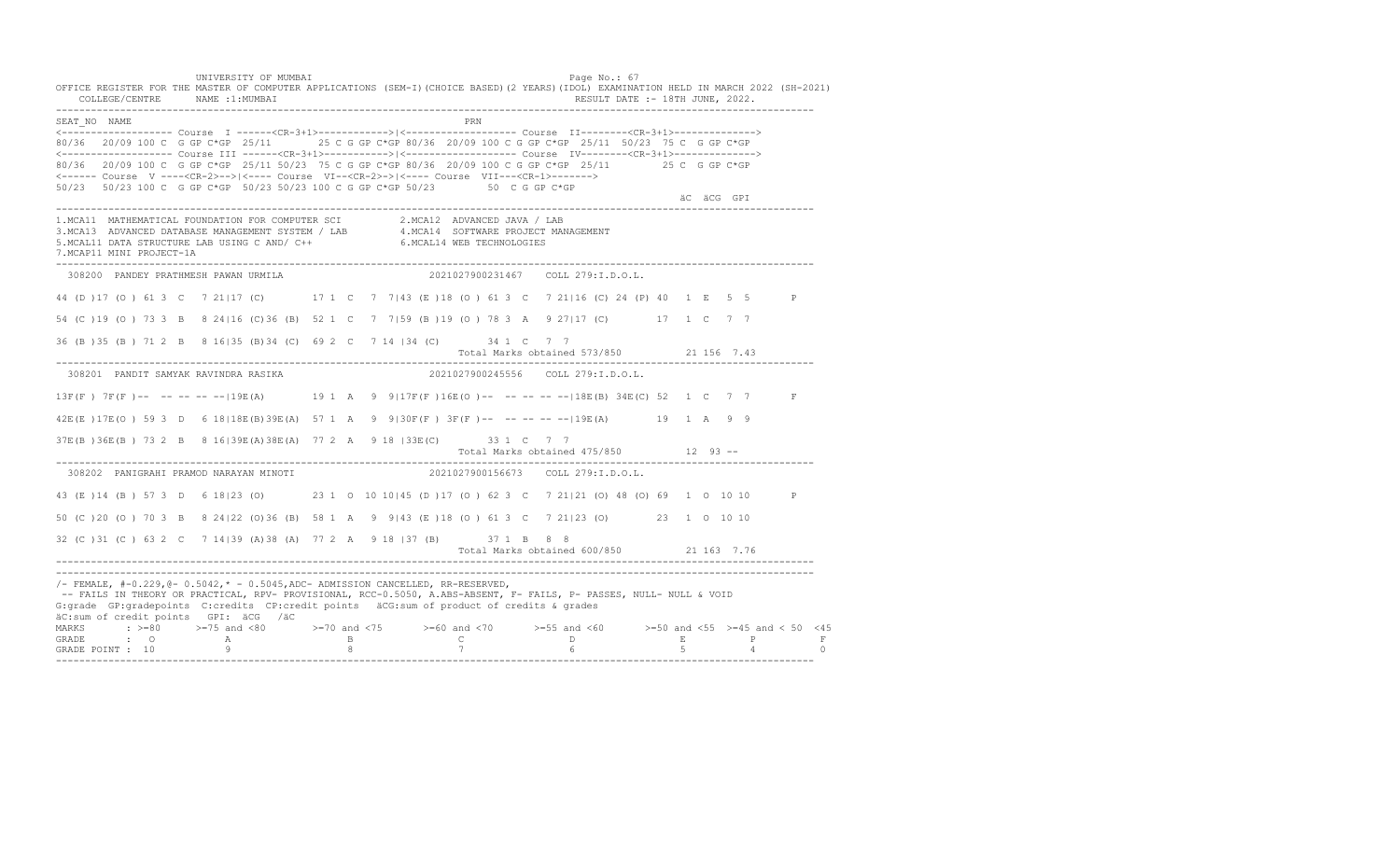UNIVERSITY OF MUMBAI PAGE OF THE PAGE OF THE PAGE OF THE PAGE OF THE PAGE OF THE PAGE OF THE PAGE OF THE PAGE O OFFICE REGISTER FOR THE MASTER OF COMPUTER APPLICATIONS (SEM-I)(CHOICE BASED)(2 YEARS)(IDOL) EXAMINATION HELD IN MARCH 2022 (SH-2021) COLLEGE/CENTRE NAME :1:MUMBAI RESULT DATE :- 18TH JUNE, 2022. ---------------------------------------------------------------------------------------------------------------------------------- SEAT\_NO NAME PRIME PRIME PRODUCED A CONTROL IN THE PRIME PRIME PRIME PRIME PRIME PRIME PRIME PRIME PRIME PRIME PRIME PRIME PRIME PRIME PRIME PRIME PRIME PRIME PRIME PRIME PRIME PRIME PRIME PRIME PRIME PRIME PRIME PRIME PRI <------------------- Course I ------<CR-3+1>------------>|<------------------- Course II--------<CR-3+1>--------------> 80/36 20/09 100 C G GP C\*GP 25/11 25 C G GP C\*GP 80/36 20/09 100 C G GP C\*GP 25/11 50/23 75 C G GP C\*GP <------------------- Course III ------<CR-3+1>----------->|<------------------- Course IV--------<CR-3+1>--------------> 80/36 20/09 100 C G GP C\*GP 25/11 50/23 75 C G GP C\*GP 80/36 20/09 100 C G GP C\*GP 25/11 25 C G GP C\*GP <------ Course V ----<CR-2>-->|<---- Course VI--<CR-2>->|<---- Course VII---<CR-1>-------> 50/23 50/23 100 C G GP C\*GP 50/23 50/23 100 C G GP C\*GP 50/23 50 C G GP C\*GP äC äCG GPI ä<sup>n v</sup>ächtliche State und der State und der State und der State und der State und der State und der State und der State und der State und der State und der State und der State und der State und der State und der ---------------------------------------------------------------------------------------------------------------------------------- 1.MCA11 MATHEMATICAL FOUNDATION FOR COMPUTER SCI 2.MCA12 ADVANCED JAVA / LAB<br>3.MCA13 ADVANCED DATABASE MANAGEMENT SYSTEM / LAB 4.MCA14 SOFTWARE PROJECT MANAGEMENT<br>5.MCAL11 DATA STRUCTURE LAB U 7.MCAP11 MINI PROJECT-1A ---------------------------------------------------------------------------------------------------------------------------------- 308200 PANDEY PRATHMESH PAWAN URMILA 2021027900231467 COLL 279:I.D.O.L. 44 (D )17 (O ) 61 3 C 7 21|17 (C) 17 1 C 7 7|43 (E )18 (O ) 61 3 C 7 21|16 (C) 24 (P) 40 1 E 5 5 P 54 (C )19 (O ) 73 3 B 8 24|16 (C)36 (B) 52 1 C 7 7|59 (B )19 (O ) 78 3 A 9 27|17 (C) 17 1 C 7 7 36 (B )35 (B ) 71 2 B 8 16|35 (B)34 (C) 69 2 C 7 14 |34 (C) 34 1 C 7 7 Total Marks obtained 573/850 21 156 7.43 ---------------------------------------------------------------------------------------------------------------------------------- 308201 PANDIT SAMYAK RAVINDRA RASIKA 2021027900245556 COLL 279:I.D.O.L. 13F(F ) 7F(F )-- -- -- -- --|19E(A) 19 1 A 9 9|17F(F )16E(O )-- -- -- -- --|18E(B) 34E(C) 52 1 C 7 7 F 42E(E )17E(O ) 59 3 D 6 18|18E(B)39E(A) 57 1 A 9 9|30F(F ) 3F(F )-- -- -- -- --|19E(A) 19 1 A 9 9 37E(B )36E(B ) 73 2 B 8 16|39E(A)38E(A) 77 2 A 9 18 |33E(C) 33 1 C 7 7 Total Marks obtained 475/850 12 93 ------------------------------------------------------------------------------------------------------------------------------------ 308202 PANIGRAHI PRAMOD NARAYAN MINOTI 43 (E )14 (B ) 57 3 D 6 18|23 (O) 23 1 O 10 10|45 (D )17 (O ) 62 3 C 7 21|21 (O) 48 (O) 69 1 O 10 10 P 50 (C )20 (O ) 70 3 B 8 24|22 (O)36 (B) 58 1 A 9 9|43 (E )18 (O ) 61 3 C 7 21|23 (O) 23 1 O 10 10 32 (C )31 (C ) 63 2 C 7 14|39 (A)38 (A) 77 2 A 9 18 |37 (B) 37 1 B 8 8 Total Marks obtained 600/850 21 163 7.76 ---------------------------------------------------------------------------------------------------------------------------------- ---------------------------------------------------------------------------------------------------------------------------------- /- FEMALE, #-0.229,@- 0.5042,\* - 0.5045,ADC- ADMISSION CANCELLED, RR-RESERVED, -- FAILS IN THEORY OR PRACTICAL, RPV- PROVISIONAL, RCC-0.5050, A.ABS-ABSENT, F- FAILS, P- PASSES, NULL- NULL & VOID G:grade GP:gradepoints C:credits CP:credit points äCG:sum of product of credits & grades äC:sum of credit points GPI: äCG /äC MARKS : >=80 >=75 and <80 >=70 and <75 >=60 and <70 >=55 and <60 >=50 and <55 >=45 and < 50 <45 GRADE : O A B C D E P F<br>GRADE POINT : 10 9 9 8 7 7 6 5 4 0 ----------------------------------------------------------------------------------------------------------------------------------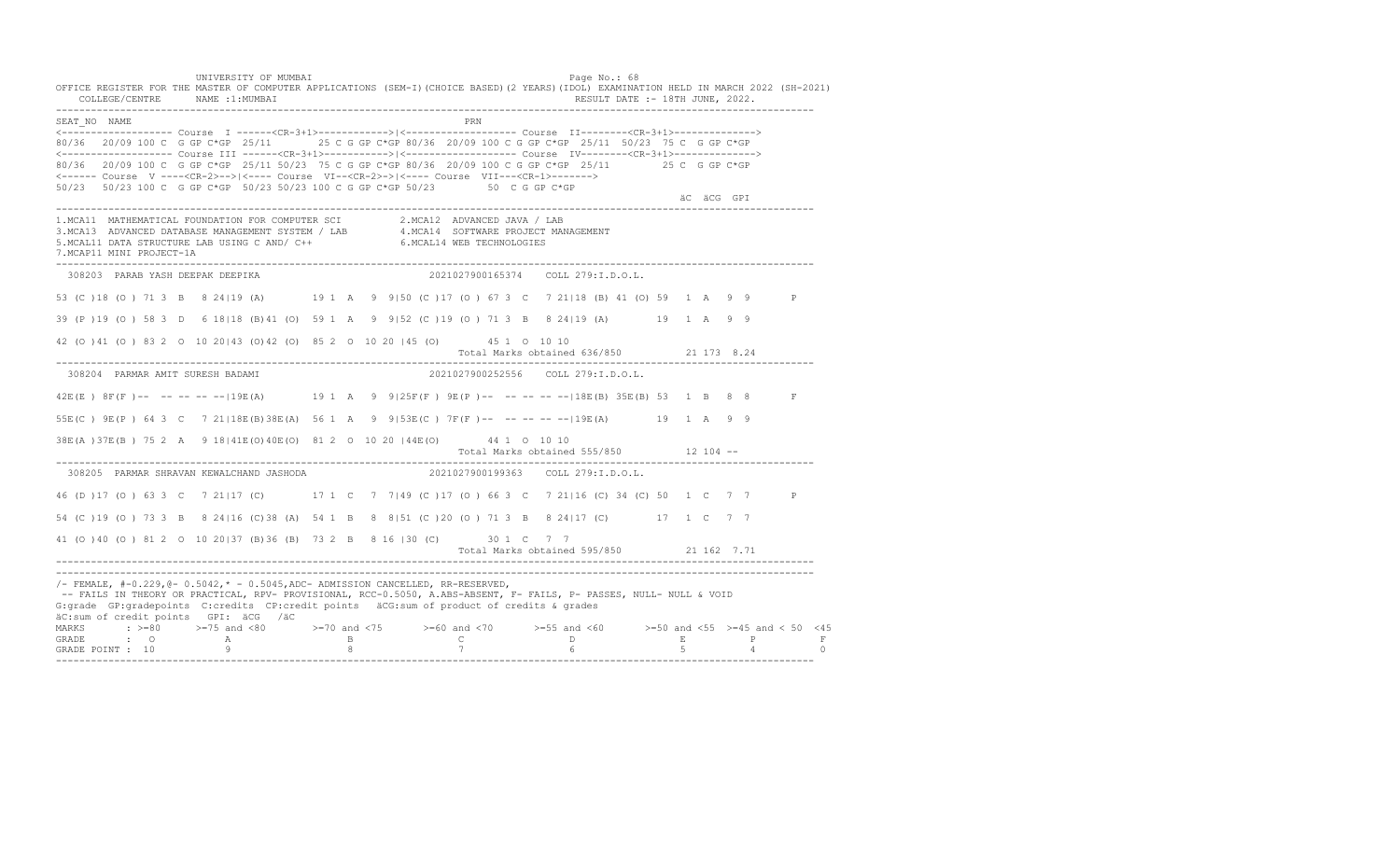UNIVERSITY OF MUMBAI PAGE OF THE PAGE OF THE PAGE OF THE PAGE OF THE PAGE OF THE PAGE OF THE PAGE OF THE PAGE O OFFICE REGISTER FOR THE MASTER OF COMPUTER APPLICATIONS (SEM-I)(CHOICE BASED)(2 YEARS)(IDOL) EXAMINATION HELD IN MARCH 2022 (SH-2021) COLLEGE/CENTRE NAME :1:MUMBAI RESULT DATE :- 18TH JUNE, 2022. ---------------------------------------------------------------------------------------------------------------------------------- SEAT\_NO NAME PRIME PRIME PRODUCED A CONTROL IN THE PRIME PRIME PRIME PRIME PRIME PRIME PRIME PRIME PRIME PRIME PRIME PRIME PRIME PRIME PRIME PRIME PRIME PRIME PRIME PRIME PRIME PRIME PRIME PRIME PRIME PRIME PRIME PRIME PRI <------------------- Course I ------<CR-3+1>------------>|<------------------- Course II--------<CR-3+1>--------------> 80/36 20/09 100 C G GP C\*GP 25/11 25 C G GP C\*GP 80/36 20/09 100 C G GP C\*GP 25/11 50/23 75 C G GP C\*GP <------------------- Course III ------<CR-3+1>----------->|<------------------- Course IV--------<CR-3+1>--------------> 80/36 20/09 100 C G GP C\*GP 25/11 50/23 75 C G GP C\*GP 80/36 20/09 100 C G GP C\*GP 25/11 25 C G GP C\*GP <------ Course V ----<CR-2>-->|<---- Course VI--<CR-2>->|<---- Course VII---<CR-1>-------> 50/23 50/23 100 C G GP C\*GP 50/23 50/23 100 C G GP C\*GP 50/23 50 C G GP C\*GP äC äCG GPI ä<sup>n v</sup>ächtliche State und der State und der State und der State und der State und der State und der State und der State und der State und der State und der State und der State und der State und der State und der ---------------------------------------------------------------------------------------------------------------------------------- 1.MCA11 MATHEMATICAL FOUNDATION FOR COMPUTER SCI 2.MCA12 ADVANCED JAVA / LAB 3.MCA13 ADVANCED DATABASE MANAGEMENT SYSTEM / LAB 4.MCA14 SOFTWARE PROJECT MANAGEMENT 5.MCAL11 DATA STRUCTURE LAB USING C AND/ C++ 6.MCAL14 WEB TECHNOLOGIES 7.MCAP11 MINI PROJECT-1A ---------------------------------------------------------------------------------------------------------------------------------- 308203 PARAB YASH DEEPAK DEEPIKA 2021027900165374 COLL 279:I.D.O.L. 53 (C )18 (O ) 71 3 B 8 24|19 (A) 19 1 A 9 9|50 (C )17 (O ) 67 3 C 7 21|18 (B) 41 (O) 59 1 A 9 9 P 39 (P )19 (O ) 58 3 D 6 18|18 (B)41 (O) 59 1 A 9 9|52 (C )19 (O ) 71 3 B 8 24|19 (A) 19 1 A 9 9 42 (O )41 (O ) 83 2 O 10 20|43 (O)42 (O) 85 2 O 10 20 |45 (O) 45 1 O 10 10 Total Marks obtained 636/850 21 173 8.24 ---------------------------------------------------------------------------------------------------------------------------------- 308204 PARMAR AMIT SURESH BADAMI 2021027900252556 COLL 279:I.D.O.L. 42E(E ) 8F(F )-- -- -- -- --|19E(A) 19 1 A 9 9|25F(F ) 9E(P )-- -- -- -- --|18E(B) 35E(B) 53 1 B 8 8 F 55E(C ) 9E(P ) 64 3 C 7 21|18E(B)38E(A) 56 1 A 9 9|53E(C ) 7F(F )-- -- -- -- --|19E(A) 19 1 A 9 9 38E(A )37E(B ) 75 2 A 9 18|41E(O)40E(O) 81 2 O 10 20 |44E(O) 44 1 O 10 10 Total Marks obtained 555/850 12 104 ------------------------------------------------------------------------------------------------------------------------------------ 308205 PARMAR SHRAVAN KEWALCHAND JASHODA 46 (D )17 (O ) 63 3 C 7 21|17 (C) 17 1 C 7 7|49 (C )17 (O ) 66 3 C 7 21|16 (C) 34 (C) 50 1 C 7 7 P 54 (C )19 (O ) 73 3 B 8 24|16 (C)38 (A) 54 1 B 8 8|51 (C )20 (O ) 71 3 B 8 24|17 (C) 17 1 C 7 7 41 (O )40 (O ) 81 2 O 10 20|37 (B)36 (B) 73 2 B 8 16 |30 (C) 30 1 C 7 7 Total Marks obtained 595/850 21 162 7.71 ---------------------------------------------------------------------------------------------------------------------------------- ---------------------------------------------------------------------------------------------------------------------------------- /- FEMALE, #-0.229,@- 0.5042,\* - 0.5045,ADC- ADMISSION CANCELLED, RR-RESERVED, -- FAILS IN THEORY OR PRACTICAL, RPV- PROVISIONAL, RCC-0.5050, A.ABS-ABSENT, F- FAILS, P- PASSES, NULL- NULL & VOID G:grade GP:gradepoints C:credits CP:credit points äCG:sum of product of credits & grades äC:sum of credit points GPI: äCG /äC MARKS : >=80 >=75 and <80 >=70 and <75 >=60 and <70 >=55 and <60 >=50 and <55 >=45 and < 50 <45 GRADE : O A B C D E P F<br>GRADE POINT : 10 9 9 8 7 7 6 5 4 0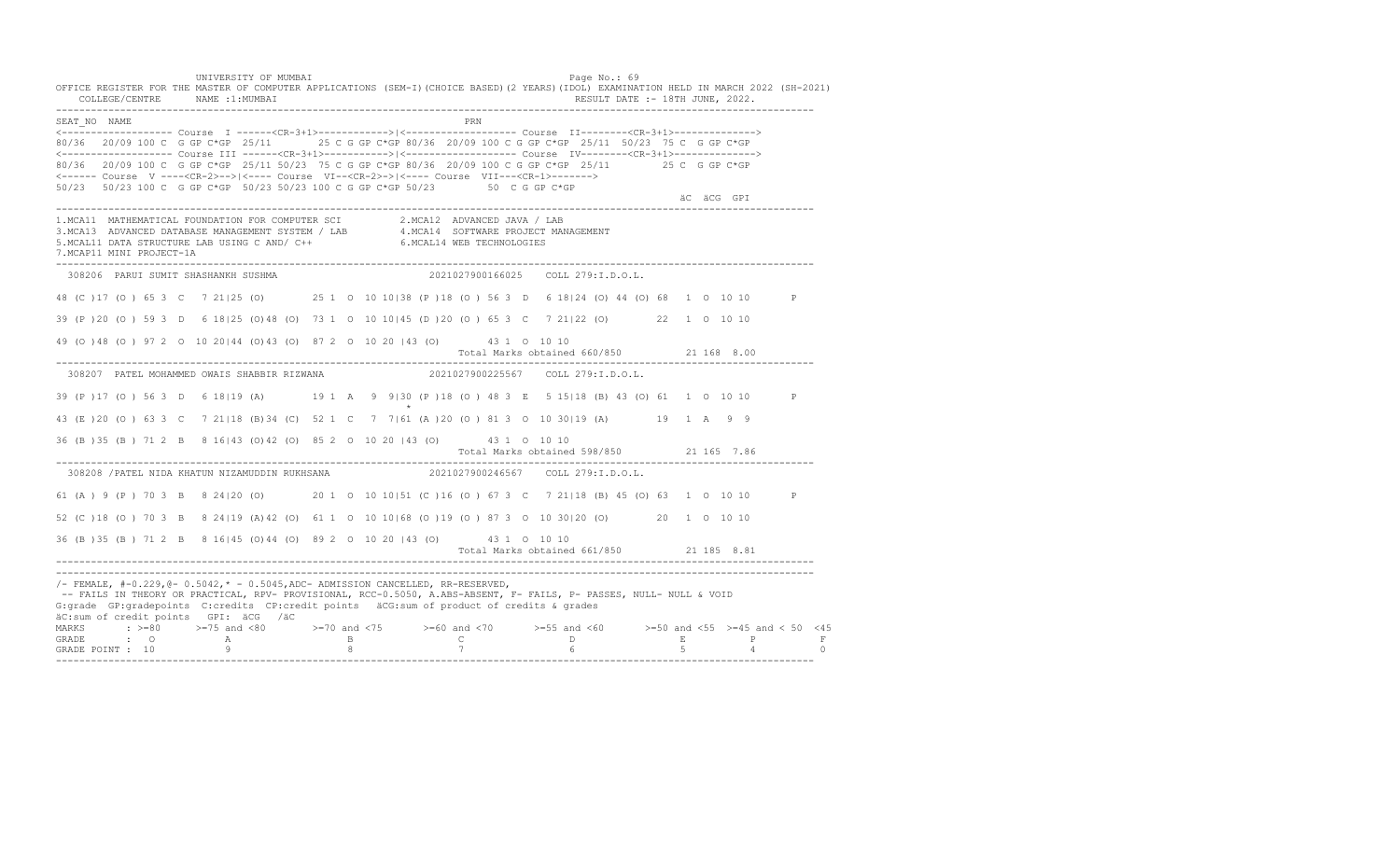UNIVERSITY OF MUMBAI PAGE OF A SALE OF A SALE PAGE OF A SALE OF A SALE OF A SALE OF A SALE OF A SALE OF A SALE OFFICE REGISTER FOR THE MASTER OF COMPUTER APPLICATIONS (SEM-I)(CHOICE BASED)(2 YEARS)(IDOL) EXAMINATION HELD IN MARCH 2022 (SH-2021) COLLEGE/CENTRE NAME :1:MUMBAI RESULT DATE :- 18TH JUNE, 2022. ---------------------------------------------------------------------------------------------------------------------------------- SEAT\_NO NAME PRN <------------------- Course I ------<CR-3+1>------------>|<------------------- Course II--------<CR-3+1>--------------> 80/36 20/09 100 C G GP C\*GP 25/11 25 C G GP C\*GP 80/36 20/09 100 C G GP C\*GP 25/11 50/23 75 C G GP C\*GP <------------------- Course III ------<CR-3+1>----------->|<------------------- Course IV--------<CR-3+1>--------------> 80/36 20/09 100 C G GP C\*GP 25/11 50/23 75 C G GP C\*GP 80/36 20/09 100 C G GP C\*GP 25/11 25 C G GP C\*GP <------ Course V ----<CR-2>-->|<---- Course VI--<CR-2>->|<---- Course VII---<CR-1>-------> 50/23 50/23 100 C G GP C\*GP 50/23 50/23 100 C G GP C\*GP 50/23 50 C G GP C\*GP äC äCG GPI ä<sup>n v</sup>ächtliche State und der State und der State und der State und der State und der State und der State und der State und der State und der State und der State und der State und der State und der State und der ---------------------------------------------------------------------------------------------------------------------------------- 1.MCA11 MATHEMATICAL FOUNDATION FOR COMPUTER SCI 2.MCA12 ADVANCED JAVA / LAB<br>3.MCA13 ADVANCED DATABASE MANAGEMENT SYSTEM / LAB 4.MCA14 SOFTWARE PROJECT MANAGEMENT<br>5.MCAL11 DATA STRUCTURE LAB USI 7.MCAP11 MINI PROJECT-1A ---------------------------------------------------------------------------------------------------------------------------------- 308206 PARUI SUMIT SHASHANKH SUSHMA 2021027900166025 COLL 279:I.D.O.L. 48 (C )17 (O ) 65 3 C 7 21|25 (O) 25 1 O 10 10|38 (P )18 (O ) 56 3 D 6 18|24 (O) 44 (O) 68 1 O 10 10 P 39 (P )20 (O ) 59 3 D 6 18|25 (O)48 (O) 73 1 O 10 10|45 (D )20 (O ) 65 3 C 7 21|22 (O) 22 1 O 10 10 49 (O )48 (O ) 97 2 O 10 20|44 (O)43 (O) 87 2 O 10 20 |43 (O) 43 1 O 10 10 Total Marks obtained 660/850 21 168 8.00 ---------------------------------------------------------------------------------------------------------------------------------- 308207 PATEL MOHAMMED OWAIS SHABBIR RIZWANA 2021027900225567 COLL 279:I.D.O.L. 39 (P )17 (O ) 56 3 D 6 18|19 (A) 19 1 A 9 9|30 (P )18 (O ) 48 3 E 5 15|18 (B) 43 (O) 61 1 O 10 10 P  $\star$ 43 (E )20 (O ) 63 3 C 7 21|18 (B)34 (C) 52 1 C 7 7|61 (A )20 (O ) 81 3 O 10 30|19 (A) 19 1 A 9 9 36 (B )35 (B ) 71 2 B 8 16|43 (O)42 (O) 85 2 O 10 20 |43 (O) 43 1 O 10 10 Total Marks obtained 598/850 21 165 7.86 ---------------------------------------------------------------------------------------------------------------------------------- 308208 /PATEL NIDA KHATUN NIZAMUDDIN RUKHSANA 61 (A ) 9 (P ) 70 3 B 8 24|20 (O) 20 1 O 10 10|51 (C )16 (O ) 67 3 C 7 21|18 (B) 45 (O) 63 1 O 10 10 P 52 (C )18 (O ) 70 3 B 8 24|19 (A)42 (O) 61 1 O 10 10|68 (O )19 (O ) 87 3 O 10 30|20 (O) 20 1 O 10 10 36 (B )35 (B ) 71 2 B 8 16|45 (O)44 (O) 89 2 O 10 20 |43 (O) 43 1 O 10 10 Total Marks obtained 661/850 21 185 8.81 ---------------------------------------------------------------------------------------------------------------------------------- ---------------------------------------------------------------------------------------------------------------------------------- /- FEMALE, #-0.229,@- 0.5042,\* - 0.5045,ADC- ADMISSION CANCELLED, RR-RESERVED, -- FAILS IN THEORY OR PRACTICAL, RPV- PROVISIONAL, RCC-0.5050, A.ABS-ABSENT, F- FAILS, P- PASSES, NULL- NULL & VOID G:grade GP:gradepoints C:credits CP:credit points äCG:sum of product of credits & grades äC:sum of credit points GPI: äCG /äC MARKS : >=80 >=75 and <80 >=70 and <75 >=60 and <70 >=55 and <60 >=50 and <55 >=45 and < 50 <45 GRADE : O A B C D E P F GRADE POINT : 10 9 8 7 6 5 4 0 ----------------------------------------------------------------------------------------------------------------------------------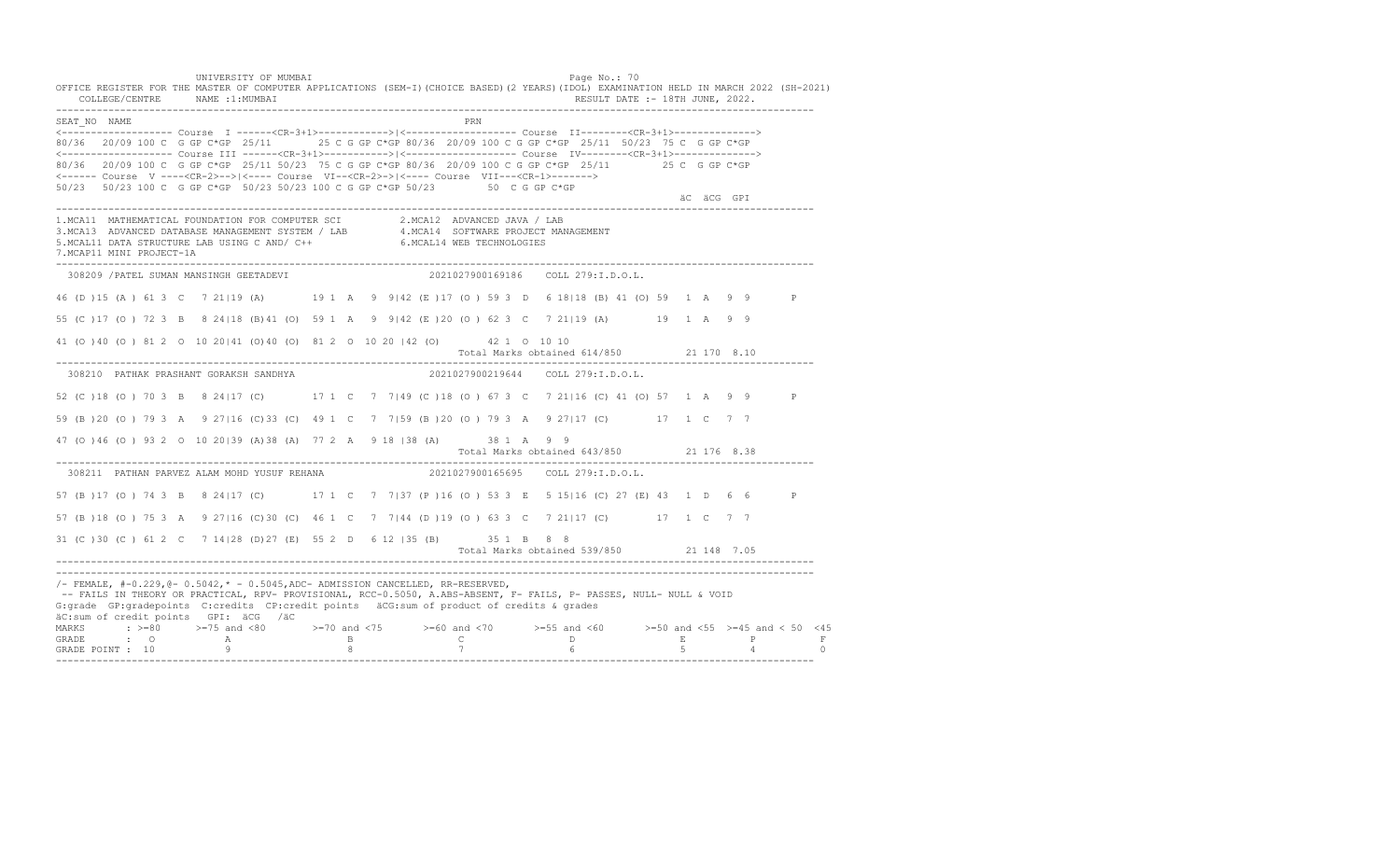UNIVERSITY OF MUMBAI PAGE OF THE PAGE OF THE PAGE OF THE PAGE OF THE PAGE OF THE PAGE OF THE PAGE OF THE PAGE OF THE PAGE OF THE PAGE OF THE PAGE OF THE PAGE OF THE PAGE OF THE PAGE OF THE PAGE OF THE PAGE OF THE PAGE OF T OFFICE REGISTER FOR THE MASTER OF COMPUTER APPLICATIONS (SEM-I)(CHOICE BASED)(2 YEARS)(IDOL) EXAMINATION HELD IN MARCH 2022 (SH-2021) COLLEGE/CENTRE NAME :1:MUMBAI RESULT DATE :- 18TH JUNE, 2022. ---------------------------------------------------------------------------------------------------------------------------------- SEAT\_NO NAME <------------------- Course I ------<CR-3+1>------------>|<------------------- Course II--------<CR-3+1>--------------> 80/36 20/09 100 C G GP C\*GP 25/11 25 C G GP C\*GP 80/36 20/09 100 C G GP C\*GP 25/11 50/23 75 C G GP C\*GP <------------------- Course III ------<CR-3+1>----------->|<------------------- Course IV--------<CR-3+1>--------------> 80/36 20/09 100 C G GP C\*GP 25/11 50/23 75 C G GP C\*GP 80/36 20/09 100 C G GP C\*GP 25/11 25 C G GP C\*GP <------ Course V ----<CR-2>-->|<---- Course VI--<CR-2>->|<---- Course VII---<CR-1>-------> 50/23 50/23 100 C G GP C\*GP 50/23 50/23 100 C G GP C\*GP 50/23 50 C G GP C\*GP äC äCG GPI ä<sup>n v</sup>ächtliche State und der State und der State und der State und der State und der State und der State und der State und der State und der State und der State und der State und der State und der State und der ---------------------------------------------------------------------------------------------------------------------------------- 1.MCA11 MATHEMATICAL FOUNDATION FOR COMPUTER SCI 2.MCA12 ADVANCED JAVA / LAB<br>3.MCA13 ADVANCED DATABASE MANAGEMENT SYSTEM / LAB 4.MCA14 SOFTWARE PROJECT MANAGEMENT<br>5.MCAL11 DATA STRUCTURE LAB USI 7.MCAP11 MINI PROJECT-1A ---------------------------------------------------------------------------------------------------------------------------------- 308209 /PATEL SUMAN MANSINGH GEETADEVI 2021027900169186 COLL 279:I.D.O.L. 46 (D )15 (A ) 61 3 C 7 21|19 (A) 19 1 A 9 9|42 (E )17 (O ) 59 3 D 6 18|18 (B) 41 (O) 59 1 A 9 9 P 55 (C )17 (O ) 72 3 B 8 24|18 (B)41 (O) 59 1 A 9 9|42 (E )20 (O ) 62 3 C 7 21|19 (A) 19 1 A 9 9 41 (O )40 (O ) 81 2 O 10 20|41 (O)40 (O) 81 2 O 10 20 |42 (O) 42 1 O 10 10 Total Marks obtained 614/850 21 170 8.10 ---------------------------------------------------------------------------------------------------------------------------------- 308210 PATHAK PRASHANT GORAKSH SANDHYA 2021027900219644 COLL 279:I.D.O.L. 52 (C )18 (O ) 70 3 B 8 24|17 (C) 17 1 C 7 7|49 (C )18 (O ) 67 3 C 7 21|16 (C) 41 (O) 57 1 A 9 9 P 59 (B )20 (O ) 79 3 A 9 27|16 (C)33 (C) 49 1 C 7 7|59 (B )20 (O ) 79 3 A 9 27|17 (C) 17 1 C 7 7 47 (O )46 (O ) 93 2 O 10 20|39 (A)38 (A) 77 2 A 9 18 |38 (A) 38 1 A 9 9 Total Marks obtained 643/850 21 176 8.38 ---------------------------------------------------------------------------------------------------------------------------------- 308211 PATHAN PARVEZ ALAM MOHD YUSUF REHANA 57 (B )17 (O ) 74 3 B 8 24|17 (C) 17 1 C 7 7|37 (P )16 (O ) 53 3 E 5 15|16 (C) 27 (E) 43 1 D 6 6 P 57 (B )18 (O ) 75 3 A 9 27|16 (C)30 (C) 46 1 C 7 7|44 (D )19 (O ) 63 3 C 7 21|17 (C) 17 1 C 7 7 31 (C )30 (C ) 61 2 C 7 14|28 (D)27 (E) 55 2 D 6 12 |35 (B) 35 1 B 8 8 Total Marks obtained 539/850 21 148 7.05 ---------------------------------------------------------------------------------------------------------------------------------- ---------------------------------------------------------------------------------------------------------------------------------- /- FEMALE, #-0.229,@- 0.5042,\* - 0.5045,ADC- ADMISSION CANCELLED, RR-RESERVED, -- FAILS IN THEORY OR PRACTICAL, RPV- PROVISIONAL, RCC-0.5050, A.ABS-ABSENT, F- FAILS, P- PASSES, NULL- NULL & VOID G:grade GP:gradepoints C:credits CP:credit points äCG:sum of product of credits & grades äC:sum of credit points GPI: äCG /äC MARKS : >=80 >=75 and <80 >=70 and <75 >=60 and <70 >=55 and <60 >=50 and <55 >=45 and < 50 <45 GRADE : O A B C D E P F<br>GRADE POINT : 10 9 9 8 7 7 6 5 4 0 ----------------------------------------------------------------------------------------------------------------------------------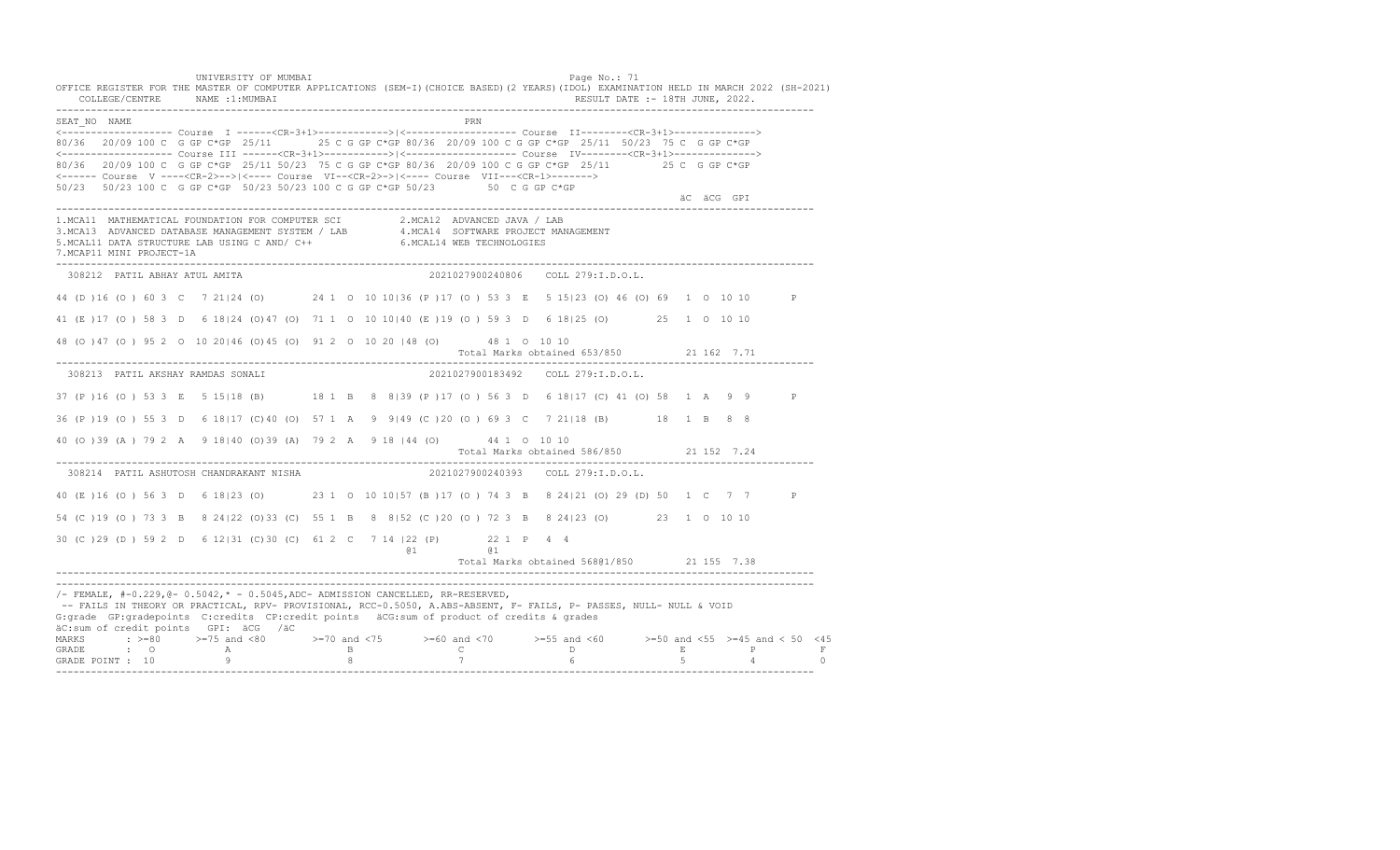UNIVERSITY OF MUMBAI PAGE OF A SALE OF A SALE PAGE OF A SALE PAGE OF A SALE PAGE OF A SALE PAGE OF A SALE PAGE OFFICE REGISTER FOR THE MASTER OF COMPUTER APPLICATIONS (SEM-I)(CHOICE BASED)(2 YEARS)(IDOL) EXAMINATION HELD IN MARCH 2022 (SH-2021) COLLEGE/CENTRE NAME :1:MUMBAI RESULT DATE :- 18TH JUNE, 2022. ---------------------------------------------------------------------------------------------------------------------------------- SEAT\_NO NAME PRIMAGE PRODUCED IN THE PRODUCED SEAT NO PRIMAGE PRIMAGE PRIMAGE PRIMAGE PRIMAGE PRIMAGE PRIMAGE PRIMAGE PRIMAGE PRIMAGE PRIMAGE PRIMAGE PRIMAGE PRIMAGE PRIMAGE PRIMAGE PRIMAGE PRIMAGE PRIMAGE PRIMAGE PRIMAGE <------------------- Course I ------<CR-3+1>------------>|<------------------- Course II--------<CR-3+1>--------------> 80/36 20/09 100 C G GP C\*GP 25/11 25 C G GP C\*GP 80/36 20/09 100 C G GP C\*GP 25/11 50/23 75 C G GP C\*GP <------------------- Course III ------<CR-3+1>----------->|<------------------- Course IV--------<CR-3+1>--------------> 80/36 20/09 100 C G GP C\*GP 25/11 50/23 75 C G GP C\*GP 80/36 20/09 100 C G GP C\*GP 25/11 25 C G GP C\*GP <------ Course V ----<CR-2>-->|<---- Course VI--<CR-2>->|<---- Course VII---<CR-1>-------> 50/23 50/23 100 C G GP C\*GP 50/23 50/23 100 C G GP C\*GP 50/23 50 C G GP C\*GP äC äCG GPI ä<sup>n v</sup>ächtliche State und der State und der State und der State und der State und der State und der State und der State und der State und der State und der State und der State und der State und der State und der ---------------------------------------------------------------------------------------------------------------------------------- 1.MCA11 MATHEMATICAL FOUNDATION FOR COMPUTER SCI 2.MCA12 ADVANCED JAVA / LAB<br>3.MCA13 ADVANCED DATABASE MANAGEMENT SYSTEM / LAB 4.MCA14 SOFTWARE PROJECT MANAGEMENT<br>5.MCAL11 DATA STRUCTURE LAB U 7.MCAP11 MINI PROJECT-1A ---------------------------------------------------------------------------------------------------------------------------------- 308212 PATIL ABHAY ATUL AMITA 2021027900240806 COLL 279:I.D.O.L. 44 (D )16 (O ) 60 3 C 7 21|24 (O) 24 1 O 10 10|36 (P )17 (O ) 53 3 E 5 15|23 (O) 46 (O) 69 1 O 10 10 P 41 (E )17 (O ) 58 3 D 6 18|24 (O)47 (O) 71 1 O 10 10|40 (E )19 (O ) 59 3 D 6 18|25 (O) 25 1 O 10 10 48 (O )47 (O ) 95 2 O 10 20|46 (O)45 (O) 91 2 O 10 20 |48 (O) 48 1 O 10 10 Total Marks obtained 653/850 21 162 7.71 ---------------------------------------------------------------------------------------------------------------------------------- 308213 PATIL AKSHAY RAMDAS SONALI 2021027900183492 COLL 279:I.D.O.L. 37 (P )16 (O ) 53 3 E 5 15|18 (B) 18 1 B 8 8|39 (P )17 (O ) 56 3 D 6 18|17 (C) 41 (O) 58 1 A 9 9 P 36 (P )19 (O ) 55 3 D 6 18|17 (C)40 (O) 57 1 A 9 9|49 (C )20 (O ) 69 3 C 7 21|18 (B) 18 1 B 8 8 40 (O )39 (A ) 79 2 A 9 18|40 (O)39 (A) 79 2 A 9 18 |44 (O) 44 1 O 10 10 Total Marks obtained 586/850 21 152 7.24 ---------------------------------------------------------------------------------------------------------------------------------- 308214 PATIL ASHUTOSH CHANDRAKANT NISHA 40 (E )16 (O ) 56 3 D 6 18|23 (O) 23 1 O 10 10|57 (B )17 (O ) 74 3 B 8 24|21 (O) 29 (D) 50 1 C 7 7 P 54 (C )19 (O ) 73 3 B 8 24|22 (O)33 (C) 55 1 B 8 8|52 (C )20 (O ) 72 3 B 8 24|23 (O) 23 1 O 10 10 30 (C )29 (D ) 59 2 D 6 12|31 (C)30 (C) 61 2 C 7 14 |22 (P) 22 1 P 4 4 @1 @1 Total Marks obtained 568@1/850 21 155 7.38 ---------------------------------------------------------------------------------------------------------------------------------- ----------------------------------------------------------------------------------------------------------------------------------  $/-$  FEMALE,  $#-0.229$ ,  $@-0.5042$ ,  $* -0.5045$ , ADC- ADMISSION CANCELLED, RR-RESERVED, -- FAILS IN THEORY OR PRACTICAL, RPV- PROVISIONAL, RCC-0.5050, A.ABS-ABSENT, F- FAILS, P- PASSES, NULL- NULL & VOID G:grade GP:gradepoints C:credits CP:credit points äCG:sum of product of credits & grades äC:sum of credit points GPI: äCG /äC MARKS : >=80 >=75 and <80 >=70 and <75 >=60 and <70 >=55 and <60 >=50 and <55 >=45 and < 50 <45<br>GRADE : O A B C D E P F<br>GRADE POINT : 10 9 8 7 6 5 4 0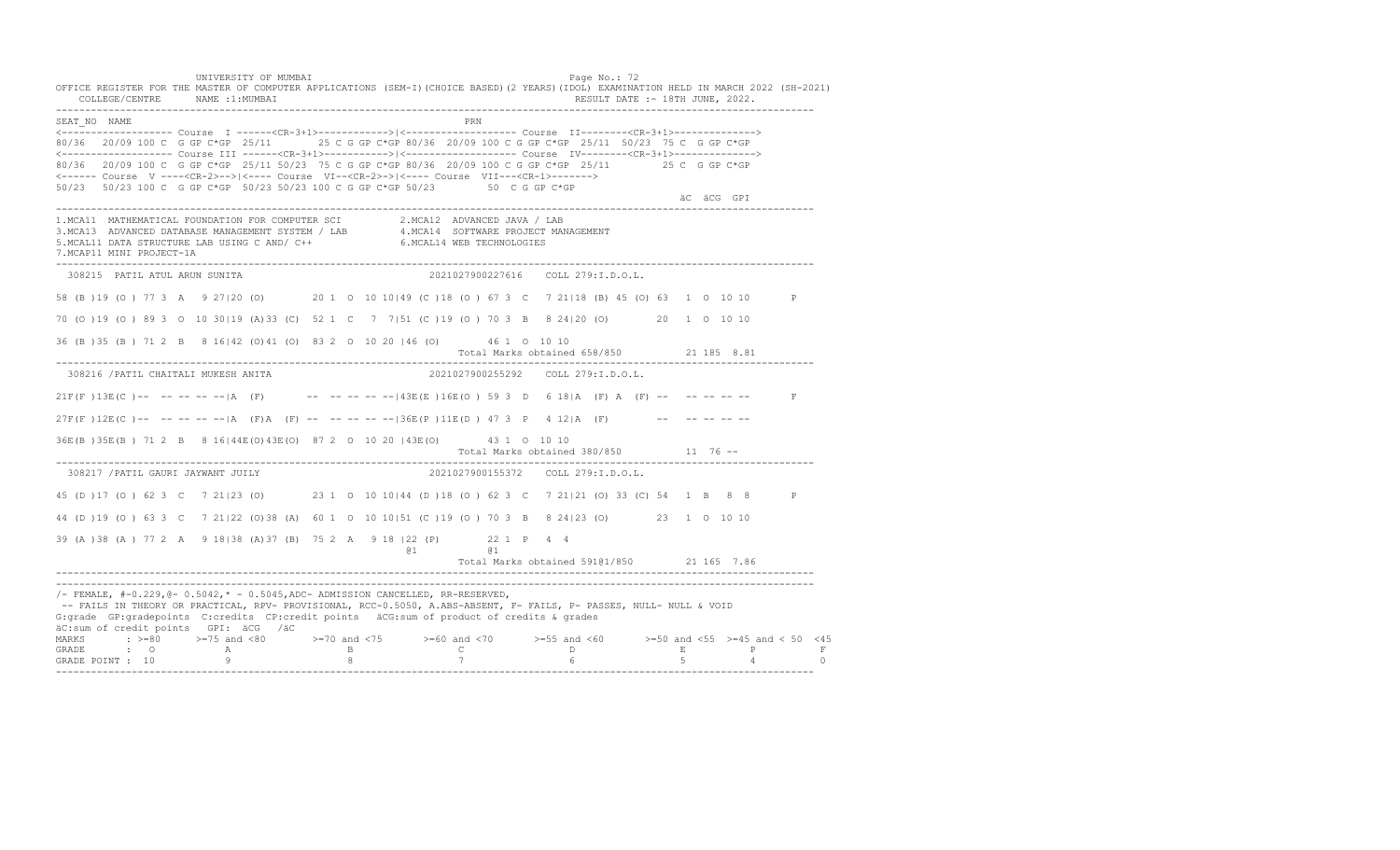UNIVERSITY OF MUMBAI PAGE OF A SALE OF A SALE OF A SALE OF A SALE OF A SALE OF A SALE OF A SALE OF A SALE OF A OFFICE REGISTER FOR THE MASTER OF COMPUTER APPLICATIONS (SEM-I)(CHOICE BASED)(2 YEARS)(IDOL) EXAMINATION HELD IN MARCH 2022 (SH-2021) COLLEGE/CENTRE NAME :1:MUMBAI RESULT DATE :- 18TH JUNE, 2022. ---------------------------------------------------------------------------------------------------------------------------------- SEAT\_NO NAME PRIMAGE PRODUCED IN THE PRODUCED SEAT NO PRIMAGE PRIMAGE PRIMAGE PRIMAGE PRIMAGE PRIMAGE PRIMAGE PRIMAGE PRIMAGE PRIMAGE PRIMAGE PRIMAGE PRIMAGE PRIMAGE PRIMAGE PRIMAGE PRIMAGE PRIMAGE PRIMAGE PRIMAGE PRIMAGE <------------------- Course I ------<CR-3+1>------------>|<------------------- Course II--------<CR-3+1>--------------> 80/36 20/09 100 C G GP C\*GP 25/11 25 C G GP C\*GP 80/36 20/09 100 C G GP C\*GP 25/11 50/23 75 C G GP C\*GP <------------------- Course III ------<CR-3+1>----------->|<------------------- Course IV--------<CR-3+1>--------------> 80/36 20/09 100 C G GP C\*GP 25/11 50/23 75 C G GP C\*GP 80/36 20/09 100 C G GP C\*GP 25/11 25 C G GP C\*GP <------ Course V ----<CR-2>-->|<---- Course VI--<CR-2>->|<---- Course VII---<CR-1>-------> 50/23 50/23 100 C G GP C\*GP 50/23 50/23 100 C G GP C\*GP 50/23 50 C G GP C\*GP äC äCG GPI ä<sup>n v</sup>ächtliche State und der State und der State und der State und der State und der State und der State und der State und der State und der State und der State und der State und der State und der State und der ---------------------------------------------------------------------------------------------------------------------------------- 1.MCA11 MATHEMATICAL FOUNDATION FOR COMPUTER SCI 2.MCA12 ADVANCED JAVA / LAB 3.MCA13 ADVANCED DATABASE MANAGEMENT SYSTEM / LAB 4.MCA14 SOFTWARE PROJECT MANAGEMENT 5.MCAL11 DATA STRUCTURE LAB USING C AND/ C++ 6.MCAL14 WEB TECHNOLOGIES 7.MCAP11 MINI PROJECT-1A ---------------------------------------------------------------------------------------------------------------------------------- 308215 PATIL ATUL ARUN SUNITA 2021027900227616 COLL 279:I.D.O.L. 58 (B )19 (O ) 77 3 A 9 27|20 (O) 20 1 O 10 10|49 (C )18 (O ) 67 3 C 7 21|18 (B) 45 (O) 63 1 O 10 10 P 70 (O )19 (O ) 89 3 O 10 30|19 (A)33 (C) 52 1 C 7 7|51 (C )19 (O ) 70 3 B 8 24|20 (O) 20 1 O 10 10 36 (B )35 (B ) 71 2 B 8 16|42 (O)41 (O) 83 2 O 10 20 |46 (O) 46 1 O 10 10 Total Marks obtained 658/850 21 185 8.81 ---------------------------------------------------------------------------------------------------------------------------------- 308216 /PATIL CHAITALI MUKESH ANITA 2021027900255292 COLL 279:I.D.O.L.  $21F(F) 13E(C)$ -- -- -- -- -- |A (F) -- -- -- -- -- -- -- 143E(E)16E(O) 59 3 D 6 18|A (F) A (F) -- -- -- -- -- $27F(F)12E(C)$ -- -- -- -- -- |A (F)A (F) -- -- -- -- -- -- -- 136E(P)11E(D) 47 3 P 4 12|A (F) -- -- -- -- -- --36E(B )35E(B ) 71 2 B 8 16|44E(O)43E(O) 87 2 O 10 20 |43E(O) 43 1 O 10 10 Total Marks obtained 380/850 11 76 ------------------------------------------------------------------------------------------------------------------------------------ 308217 /PATIL GAURI JAYWANT JUILY 2021027900155372 COLL 279:I.D.O.L. 45 (D )17 (O ) 62 3 C 7 21|23 (O) 23 1 O 10 10|44 (D )18 (O ) 62 3 C 7 21|21 (O) 33 (C) 54 1 B 8 8 P 44 (D )19 (O ) 63 3 C 7 21|22 (O)38 (A) 60 1 O 10 10|51 (C )19 (O ) 70 3 B 8 24|23 (O) 23 1 O 10 10 39 (A )38 (A ) 77 2 A 9 18|38 (A)37 (B) 75 2 A 9 18 |22 (P) 22 1 P 4 4 @1 @1 Total Marks obtained 591@1/850 21 165 7.86 ---------------------------------------------------------------------------------------------------------------------------------- ----------------------------------------------------------------------------------------------------------------------------------  $/-$  FEMALE,  $#-0.229$ ,  $@-0.5042$ ,  $* -0.5045$ , ADC- ADMISSION CANCELLED, RR-RESERVED, -- FAILS IN THEORY OR PRACTICAL, RPV- PROVISIONAL, RCC-0.5050, A.ABS-ABSENT, F- FAILS, P- PASSES, NULL- NULL & VOID G:grade GP:gradepoints C:credits CP:credit points äCG:sum of product of credits & grades äC:sum of credit points GPI: äCG /äC MARKS : >=80 >=75 and <80 >=70 and <75 >=60 and <70 >=55 and <60 >=50 and <55 >=45 and < 50 <45<br>GRADE : O A B C D E P F<br>GRADE POINT : 10 9 8 7 6 5 4 0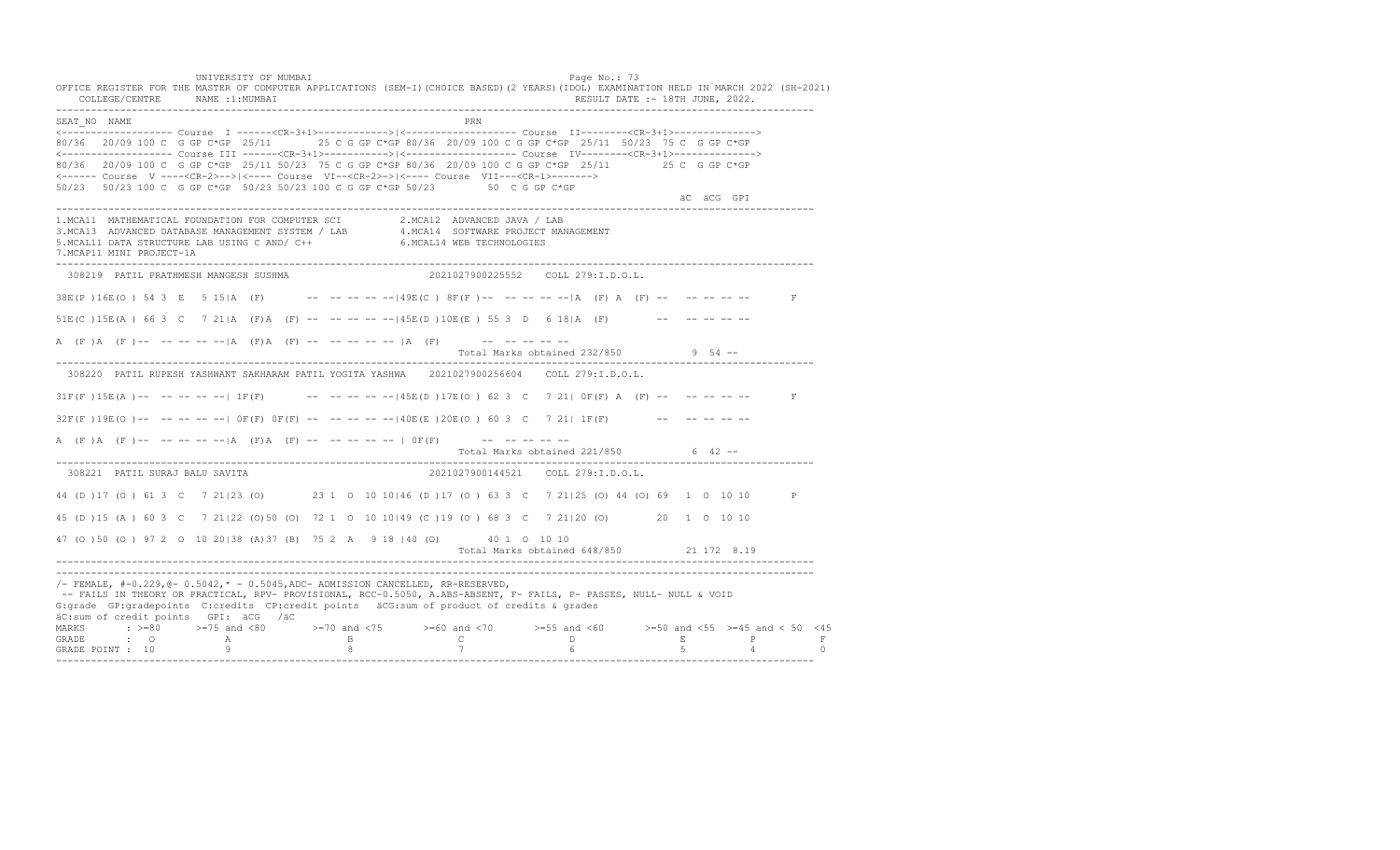UNIVERSITY OF MUMBAI PAGE OF THE PAGE OF THE PAGE OF THE PAGE OF THE PAGE OF THE PAGE OF THE PAGE OF THE PAGE OF THE PAGE OF THE PAGE OF THE PAGE OF THE PAGE OF THE PAGE OF THE PAGE OF THE PAGE OF THE PAGE OF THE PAGE OF T OFFICE REGISTER FOR THE MASTER OF COMPUTER APPLICATIONS (SEM-I)(CHOICE BASED)(2 YEARS)(IDOL) EXAMINATION HELD IN MARCH 2022 (SH-2021)<br>COLLEGE/CENTRE NAME :1:MUMBAI COLLEGE/CENTRE NAME :1: MUMBAI ---------------------------------------------------------------------------------------------------------------------------------- SEAT\_NO NAME PRN <------------------- Course I ------<CR-3+1>------------>|<------------------- Course II--------<CR-3+1>--------------> 80/36 20/09 100 C G GP C\*GP 25/11 25 C G GP C\*GP 80/36 20/09 100 C G GP C\*GP 25/11 50/23 75 C G GP C\*GP <------------------- Course III ------<CR-3+1>----------->|<------------------- Course IV--------<CR-3+1>--------------> 80/36 20/09 100 C G GP C\*GP 25/11 50/23 75 C G GP C\*GP 80/36 20/09 100 C G GP C\*GP 25/11 25 C G GP C\*GP <------ Course V ----<CR-2>-->|<---- Course VI--<CR-2>->|<---- Course VII---<CR-1>-------> 50/23 50/23 100 C G GP C\*GP 50/23 50/23 100 C G GP C\*GP 50/23 50 C G GP C\*GP äC äCG GPI ä<sup>n v</sup>ächtliche State und der State und der State und der State und der State und der State und der State und der State und der State und der State und der State und der State und der State und der State und der ---------------------------------------------------------------------------------------------------------------------------------- 1.MCA11 MATHEMATICAL FOUNDATION FOR COMPUTER SCI 2.MCA12 ADVANCED JAVA / LAB 3.MCA13 ADVANCED DATABASE MANAGEMENT SYSTEM / LAB 4.MCA14 SOFTWARE PROJECT MANAGEMENT 5.MCAL11 DATA STRUCTURE LAB USING C AND/ C++ 6.MCAL14 WEB TECHNOLOGIES 7.MCAP11 MINI PROJECT-1A ---------------------------------------------------------------------------------------------------------------------------------- 308219 PATIL PRATHMESH MANGESH SUSHMA 2021027900225552 COLL 279:I.D.O.L.  $38E(P) 16E(O) 543 E 515|A (F)$  -- -- -- -- --  $149E(C) 8F(F)$  -- -- -- -- -- A (F) A (F) -- -- -- -- -- F 51E(C )15E(A ) 66 3 C 7 21|A (F)A (F) -- -- -- -- --|45E(D )10E(E ) 55 3 D 6 18|A (F) -- -- -- -- -- A (F)A (F)-- -- -- -- -- |A (F)A (F) -- -- -- -- -- |A (F) -- -- -- -- -- -- --Total Marks obtained 232/850 9 54 ------------------------------------------------------------------------------------------------------------------------------------ 308220 PATIL RUPESH YASHWANT SAKHARAM PATIL YOGITA YASHWA 2021027900256604 COLL 279:I.D.O.L.  $31F(F) 15E(A)$  -- -- -- --  $-11F(F)$  -- -- -- --  $-145E(D) 17E(O) 62 3 C 7 211 0F(F) A (F)$  -- -- -- -- -- $32F(F)19E(O)$ -- -- -- -- --  $O(F(F)$   $OF(F)$  -- -- -- -- --  $140E(E) 20E(O) 603$  C  $7 211 1F(F)$  -- -- -- -- -- --A (F )A (F )-- -- -- -- -- |A (F)A (F) -- -- -- -- -- | OF(F) -- -- -- -- -- --Total Marks obtained 221/850 6 42 ------------------------------------------------------------------------------------------------------------------------------------ 308221 PATIL SURAJ BALU SAVITA 2021027900144521 COLL 279:I.D.O.L. 44 (D )17 (O ) 61 3 C 7 21|23 (O) 23 1 O 10 10|46 (D )17 (O ) 63 3 C 7 21|25 (O) 44 (O) 69 1 O 10 10 P 45 (D )15 (A ) 60 3 C 7 21|22 (O)50 (O) 72 1 O 10 10|49 (C )19 (O ) 68 3 C 7 21|20 (O) 20 1 O 10 10 47 (O )50 (O ) 97 2 O 10 20|38 (A)37 (B) 75 2 A 9 18 |40 (O) 40 1 O 10 10 Total Marks obtained 648/850 21 172 8.19 ---------------------------------------------------------------------------------------------------------------------------------- ---------------------------------------------------------------------------------------------------------------------------------- /- FEMALE, #-0.229,@- 0.5042,\* - 0.5045,ADC- ADMISSION CANCELLED, RR-RESERVED, -- FAILS IN THEORY OR PRACTICAL, RPV- PROVISIONAL, RCC-0.5050, A.ABS-ABSENT, F- FAILS, P- PASSES, NULL- NULL & VOID G:grade GP:gradepoints C:credits CP:credit points äCG:sum of product of credits & grades äC:sum of credit points GPI: äCG /äC MARKS : >=80 >=75 and <80 >=70 and <75 >=60 and <70 >=55 and <60 >=50 and <55 >=45 and < 50 <45<br>GRADE : O A B C D E P F<br>GRADE POINT : 10 9 8 7 6 5 4 0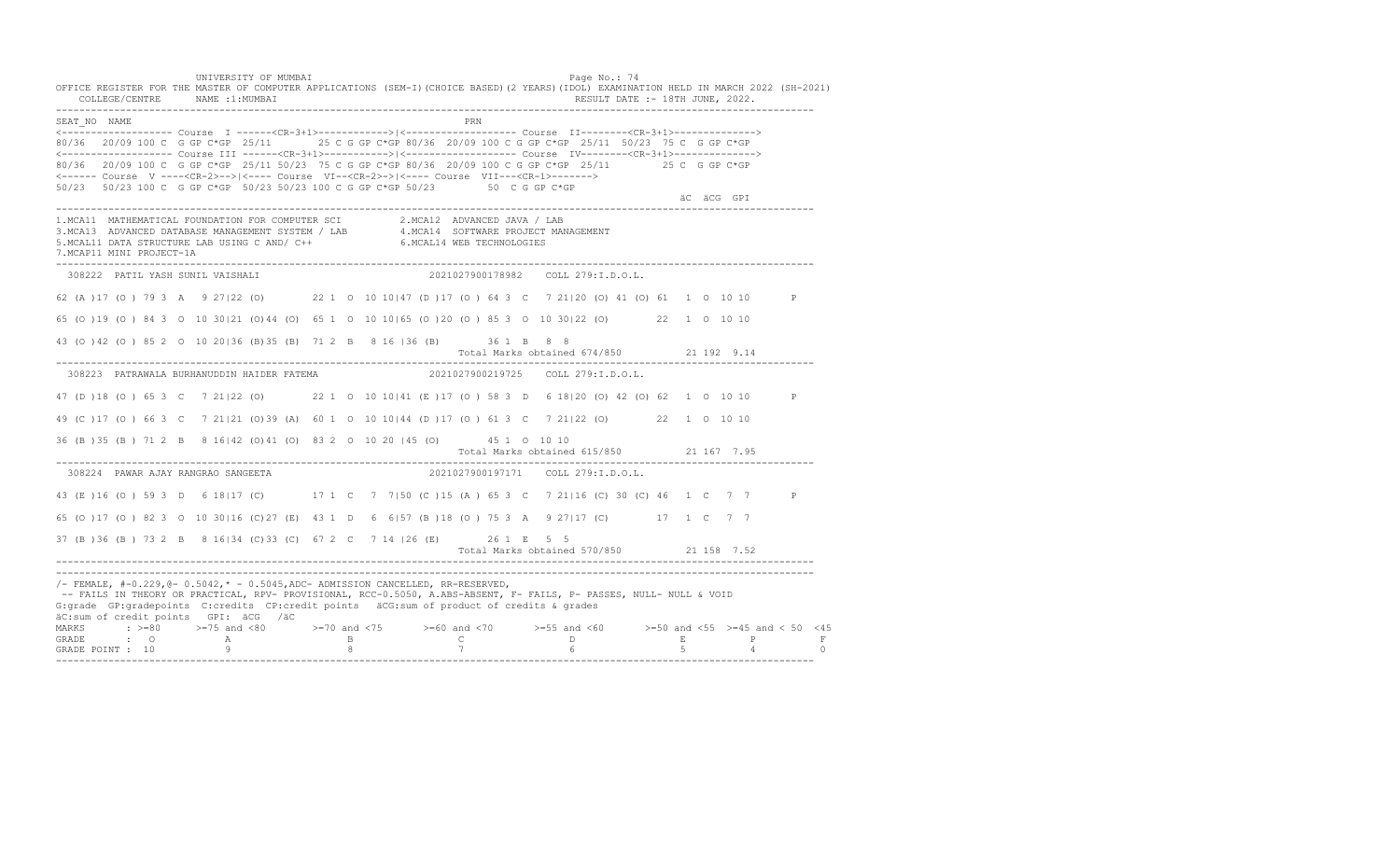UNIVERSITY OF MUMBAI PAGE OF THE PAGE OF THE PAGE OF THE PAGE OF THE PAGE OF THE PAGE OF THE PAGE OF THE PAGE OF THE PAGE OF THE PAGE OF THE PAGE OF THE PAGE OF THE PAGE OF THE PAGE OF THE PAGE OF THE PAGE OF THE PAGE OF T OFFICE REGISTER FOR THE MASTER OF COMPUTER APPLICATIONS (SEM-I)(CHOICE BASED)(2 YEARS)(IDOL) EXAMINATION HELD IN MARCH 2022 (SH-2021) COLLEGE/CENTRE NAME :1:MUMBAI RESULT DATE :- 18TH JUNE, 2022. ---------------------------------------------------------------------------------------------------------------------------------- SEAT\_NO NAME PRN <------------------- Course I ------<CR-3+1>------------>|<------------------- Course II--------<CR-3+1>--------------> 80/36 20/09 100 C G GP C\*GP 25/11 25 C G GP C\*GP 80/36 20/09 100 C G GP C\*GP 25/11 50/23 75 C G GP C\*GP <------------------- Course III ------<CR-3+1>----------->|<------------------- Course IV--------<CR-3+1>--------------> 80/36 20/09 100 C G GP C\*GP 25/11 50/23 75 C G GP C\*GP 80/36 20/09 100 C G GP C\*GP 25/11 25 C G GP C\*GP <------ Course V ----<CR-2>-->|<---- Course VI--<CR-2>->|<---- Course VII---<CR-1>-------> 50/23 50/23 100 C G GP C\*GP 50/23 50/23 100 C G GP C\*GP 50/23 50 C G GP C\*GP äC äCG GPI ä<sup>n v</sup>ächtliche State und der State und der State und der State und der State und der State und der State und der State und der State und der State und der State und der State und der State und der State und der ---------------------------------------------------------------------------------------------------------------------------------- 1.MCA11 MATHEMATICAL FOUNDATION FOR COMPUTER SCI 2.MCA12 ADVANCED JAVA / LAB<br>3.MCA13 ADVANCED DATABASE MANAGEMENT SYSTEM / LAB 4.MCA14 SOFTWARE PROJECT MANAGEMENT<br>5.MCAL11 DATA STRUCTURE LAB U 7.MCAP11 MINI PROJECT-1A ---------------------------------------------------------------------------------------------------------------------------------- 308222 PATIL YASH SUNIL VAISHALI 2021027900178982 COLL 279:I.D.O.L. 62 (A )17 (O ) 79 3 A 9 27|22 (O) 22 1 O 10 10|47 (D )17 (O ) 64 3 C 7 21|20 (O) 41 (O) 61 1 O 10 10 P 65 (O )19 (O ) 84 3 O 10 30|21 (O)44 (O) 65 1 O 10 10|65 (O )20 (O ) 85 3 O 10 30|22 (O) 22 1 O 10 10 43 (O )42 (O ) 85 2 O 10 20|36 (B)35 (B) 71 2 B 8 16 |36 (B) 36 1 B 8 8 Total Marks obtained 674/850 21 192 9.14 ---------------------------------------------------------------------------------------------------------------------------------- 308223 PATRAWALA BURHANUDDIN HAIDER FATEMA 2021027900219725 COLL 279:I.D.O.L. 47 (D )18 (O ) 65 3 C 7 21|22 (O) 22 1 O 10 10|41 (E )17 (O ) 58 3 D 6 18|20 (O) 42 (O) 62 1 O 10 10 P 49 (C )17 (O ) 66 3 C 7 21|21 (O)39 (A) 60 1 O 10 10|44 (D )17 (O ) 61 3 C 7 21|22 (O) 22 1 O 10 10 36 (B )35 (B ) 71 2 B 8 16|42 (O)41 (O) 83 2 O 10 20 |45 (O) 45 1 O 10 10 Total Marks obtained 615/850 21 167 7.95 ---------------------------------------------------------------------------------------------------------------------------------- 308224 PAWAR AJAY RANGRAO SANGEETA 2021027900197171 COLL 279:I.D.O.L. 43 (E )16 (O ) 59 3 D 6 18|17 (C) 17 1 C 7 7|50 (C )15 (A ) 65 3 C 7 21|16 (C) 30 (C) 46 1 C 7 7 P 65 (O )17 (O ) 82 3 O 10 30|16 (C)27 (E) 43 1 D 6 6|57 (B )18 (O ) 75 3 A 9 27|17 (C) 17 1 C 7 7 37 (B )36 (B ) 73 2 B 8 16|34 (C)33 (C) 67 2 C 7 14 |26 (E) 26 1 E 5 5 Total Marks obtained 570/850 21 158 7.52 ---------------------------------------------------------------------------------------------------------------------------------- ---------------------------------------------------------------------------------------------------------------------------------- /- FEMALE, #-0.229,@- 0.5042,\* - 0.5045,ADC- ADMISSION CANCELLED, RR-RESERVED, -- FAILS IN THEORY OR PRACTICAL, RPV- PROVISIONAL, RCC-0.5050, A.ABS-ABSENT, F- FAILS, P- PASSES, NULL- NULL & VOID G:grade GP:gradepoints C:credits CP:credit points äCG:sum of product of credits & grades äC:sum of credit points GPI: äCG /äC MARKS : >=80 >=75 and <80 >=70 and <75 >=60 and <70 >=55 and <60 >=50 and <55 >=45 and < 50 <45 GRADE : O A B C D E P F GRADE POINT : 10 9 8 7 6 5 4 0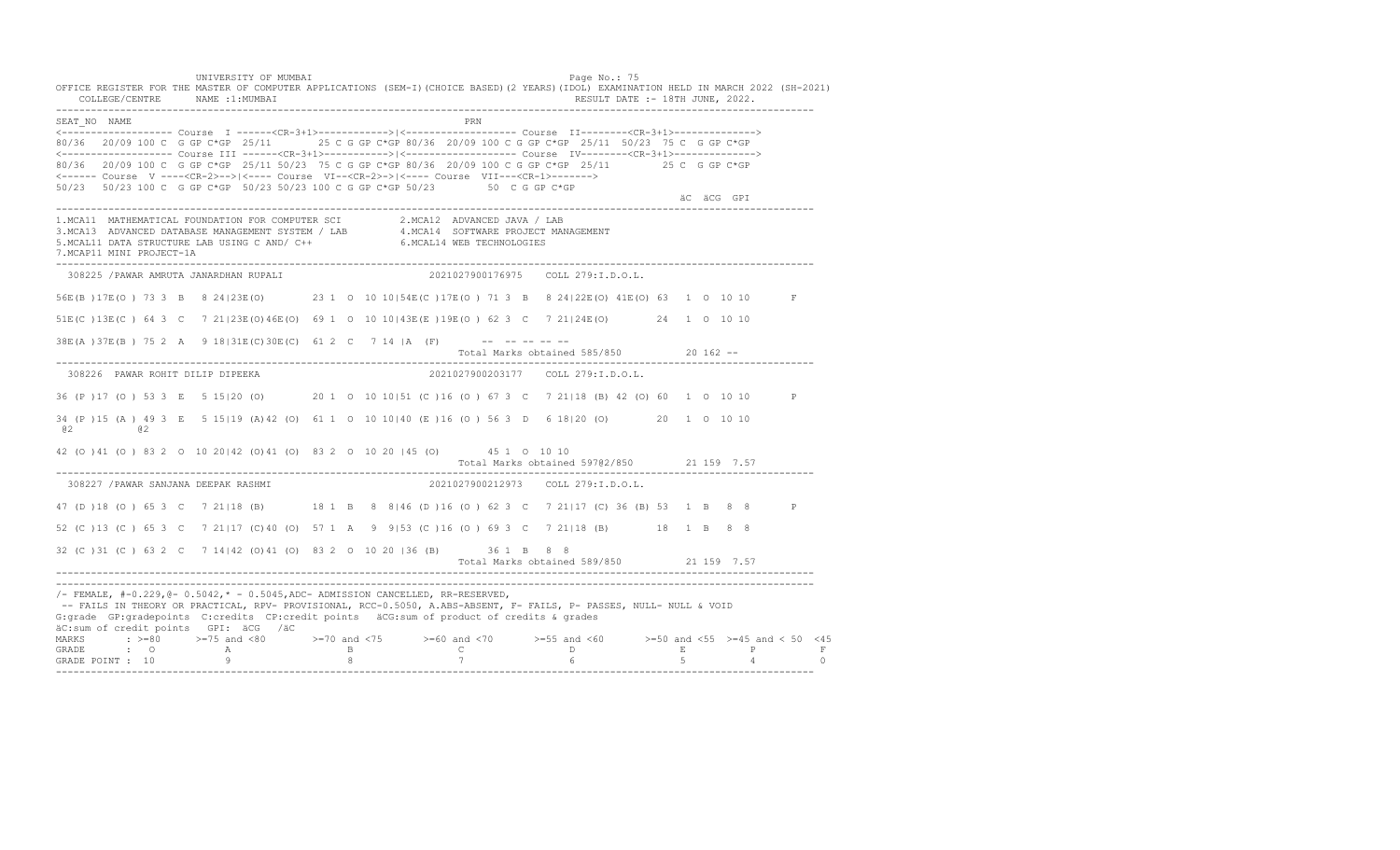UNIVERSITY OF MUMBAI PAGE OF THE PAGE OF THE PAGE OF THE PAGE OF THE PAGE OF THE PAGE OF THE PAGE OF THE PAGE OF THE PAGE OF THE PAGE OF THE PAGE OF THE PAGE OF THE PAGE OF THE PAGE OF THE PAGE OF THE PAGE OF THE PAGE OF T OFFICE REGISTER FOR THE MASTER OF COMPUTER APPLICATIONS (SEM-I)(CHOICE BASED)(2 YEARS)(IDOL) EXAMINATION HELD IN MARCH 2022 (SH-2021) COLLEGE/CENTRE NAME :1:MUMBAI RESULT DATE :- 18TH JUNE, 2022. ---------------------------------------------------------------------------------------------------------------------------------- SEAT\_NO NAME PRIMAGE PRODUCED IN THE PRIMAGE PRIMAGE PRIMAGE PRIMAGE PRIMAGE PRIMAGE PRIMAGE PRIMAGE PRIMAGE PRIMAGE PRIMAGE PRIMAGE PRIMAGE PRIMAGE PRIMAGE PRIMAGE PRIMAGE PRIMAGE PRIMAGE PRIMAGE PRIMAGE PRIMAGE PRIMAGE P <------------------- Course I ------<CR-3+1>------------>|<------------------- Course II--------<CR-3+1>--------------> 80/36 20/09 100 C G GP C\*GP 25/11 25 C G GP C\*GP 80/36 20/09 100 C G GP C\*GP 25/11 50/23 75 C G GP C\*GP <------------------- Course III ------<CR-3+1>----------->|<------------------- Course IV--------<CR-3+1>--------------> 80/36 20/09 100 C G GP C\*GP 25/11 50/23 75 C G GP C\*GP 80/36 20/09 100 C G GP C\*GP 25/11 25 C G GP C\*GP <------ Course V ----<CR-2>-->|<---- Course VI--<CR-2>->|<---- Course VII---<CR-1>-------> 50/23 50/23 100 C G GP C\*GP 50/23 50/23 100 C G GP C\*GP 50/23 50 C G GP C\*GP äC äCG GPI ä<sup>n v</sup>ächtliche State und der State und der State und der State und der State und der State und der State und der State und der State und der State und der State und der State und der State und der State und der ---------------------------------------------------------------------------------------------------------------------------------- 1.MCA11 MATHEMATICAL FOUNDATION FOR COMPUTER SCI 2.MCA12 ADVANCED JAVA / LAB<br>3.MCA13 ADVANCED DATABASE MANAGEMENT SYSTEM / LAB 4.MCA14 SOFTWARE PROJECT MANAGEMENT<br>5.MCAL11 DATA STRUCTURE LAB U 7.MCAP11 MINI PROJECT-1A ---------------------------------------------------------------------------------------------------------------------------------- 308225 /PAWAR AMRUTA JANARDHAN RUPALI 2021027900176975 COLL 279:I.D.O.L. 56E(B )17E(O ) 73 3 B 8 24|23E(O) 23 1 O 10 10|54E(C )17E(O ) 71 3 B 8 24|22E(O) 41E(O) 63 1 O 10 10 F 51E(C )13E(C ) 64 3 C 7 21|23E(O)46E(O) 69 1 O 10 10|43E(E )19E(O ) 62 3 C 7 21|24E(O) 24 1 O 10 10  $38E(A) 37E(B) 75 2 A 9 18|31E(C) 30E(C) 61 2 C 7 14 |A (F)$  -- ------ Total Marks obtained 585/850 20 162 -- ---------------------------------------------------------------------------------------------------------------------------------- 308226 PAWAR ROHIT DILIP DIPEEKA 2021027900203177 COLL 279:I.D.O.L. 36 (P )17 (O ) 53 3 E 5 15|20 (O) 20 1 O 10 10|51 (C )16 (O ) 67 3 C 7 21|18 (B) 42 (O) 60 1 O 10 10 P 34 (P )15 (A ) 49 3 E 5 15|19 (A)42 (O) 61 1 O 10 10|40 (E )16 (O ) 56 3 D 6 18|20 (O) 20 1 O 10 10 @2 @2 42 (O )41 (O ) 83 2 O 10 20|42 (O)41 (O) 83 2 O 10 20 |45 (O) 45 1 O 10 10 Total Marks obtained 597@2/850 21 159 7.57 ---------------------------------------------------------------------------------------------------------------------------------- 308227 /PAWAR SANJANA DEEPAK RASHMI 2021027900212973 COLL 279:I.D.O.L. 47 (D )18 (O ) 65 3 C 7 21|18 (B) 18 1 B 8 8|46 (D )16 (O ) 62 3 C 7 21|17 (C) 36 (B) 53 1 B 8 8 P 52 (C )13 (C ) 65 3 C 7 21|17 (C)40 (O) 57 1 A 9 9|53 (C )16 (O ) 69 3 C 7 21|18 (B) 18 1 B 8 8 32 (C )31 (C ) 63 2 C 7 14|42 (O)41 (O) 83 2 O 10 20 |36 (B) 36 1 B 8 8 Total Marks obtained 589/850 21 159 7.57 ---------------------------------------------------------------------------------------------------------------------------------- ----------------------------------------------------------------------------------------------------------------------------------  $/-$  FEMALE,  $#-0.229$ ,  $@-0.5042$ ,  $* -0.5045$ , ADC- ADMISSION CANCELLED, RR-RESERVED, -- FAILS IN THEORY OR PRACTICAL, RPV- PROVISIONAL, RCC-0.5050, A.ABS-ABSENT, F- FAILS, P- PASSES, NULL- NULL & VOID G:grade GP:gradepoints C:credits CP:credit points äCG:sum of product of credits & grades äC:sum of credit points GPI: äCG /äC MARKS : >=80 >=75 and <80 >=70 and <75 >=60 and <70 >=55 and <60 >=50 and <55 >=45 and < 50 <45<br>GRADE : O A B C D E P F<br>GRADE POINT : 10 9 8 7 6 5 4 0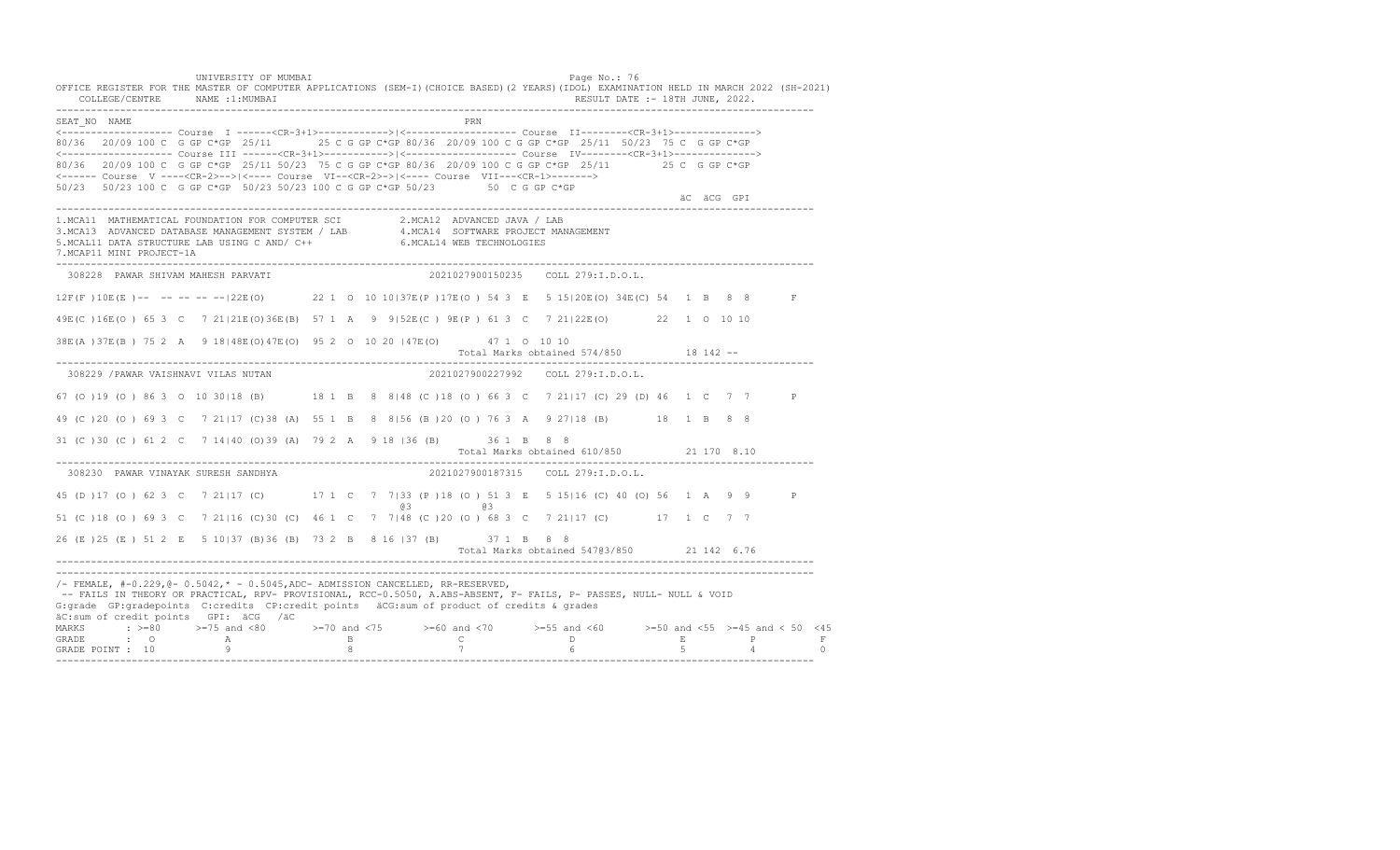UNIVERSITY OF MUMBAI PAGE OF THE PAGE OF THE PAGE OF THE PAGE OF THE PAGE OF THE PAGE OF THE PAGE OF THE PAGE OF THE PAGE OF THE PAGE OF THE PAGE OF THE PAGE OF THE PAGE OF THE PAGE OF THE PAGE OF THE PAGE OF THE PAGE OF T OFFICE REGISTER FOR THE MASTER OF COMPUTER APPLICATIONS (SEM-I)(CHOICE BASED)(2 YEARS)(IDOL) EXAMINATION HELD IN MARCH 2022 (SH-2021) COLLEGE/CENTRE NAME :1:MUMBAI RESULT DATE :- 18TH JUNE, 2022. ---------------------------------------------------------------------------------------------------------------------------------- SEAT\_NO NAME PRN <------------------- Course I ------<CR-3+1>------------>|<------------------- Course II--------<CR-3+1>--------------> 80/36 20/09 100 C G GP C\*GP 25/11 25 C G GP C\*GP 80/36 20/09 100 C G GP C\*GP 25/11 50/23 75 C G GP C\*GP <------------------- Course III ------<CR-3+1>----------->|<------------------- Course IV--------<CR-3+1>--------------> 80/36 20/09 100 C G GP C\*GP 25/11 50/23 75 C G GP C\*GP 80/36 20/09 100 C G GP C\*GP 25/11 25 C G GP C\*GP <------ Course V ----<CR-2>-->|<---- Course VI--<CR-2>->|<---- Course VII---<CR-1>-------> 50/23 50/23 100 C G GP C\*GP 50/23 50/23 100 C G GP C\*GP 50/23 50 C G GP C\*GP äC äCG GPI ä<sup>n v</sup>ächtliche State und der State und der State und der State und der State und der State und der State und der State und der State und der State und der State und der State und der State und der State und der ---------------------------------------------------------------------------------------------------------------------------------- 1.MCA11 MATHEMATICAL FOUNDATION FOR COMPUTER SCI 2.MCA12 ADVANCED JAVA / LAB<br>3.MCA13 ADVANCED DATABASE MANAGEMENT SYSTEM / LAB 4.MCA14 SOFTWARE PROJECT MANAGEMENT<br>5.MCAL11 DATA STRUCTURE LAB US 7.MCAP11 MINI PROJECT-1A ---------------------------------------------------------------------------------------------------------------------------------- 308228 PAWAR SHIVAM MAHESH PARVATI 2021027900150235 COLL 279:I.D.O.L. 12F(F )10E(E )-- -- -- -- --|22E(O) 22 1 O 10 10|37E(P )17E(O ) 54 3 E 5 15|20E(O) 34E(C) 54 1 B 8 8 F 49E(C )16E(O ) 65 3 C 7 21|21E(O)36E(B) 57 1 A 9 9|52E(C ) 9E(P ) 61 3 C 7 21|22E(O) 22 1 O 10 10 38E(A )37E(B ) 75 2 A 9 18|48E(O)47E(O) 95 2 O 10 20 |47E(O) 47 1 O 10 10 Total Marks obtained 574/850 18 142 ------------------------------------------------------------------------------------------------------------------------------------ 308229 /PAWAR VAISHNAVI VILAS NUTAN 2021027900227992 COLL 279:I.D.O.L. 67 (O )19 (O ) 86 3 O 10 30|18 (B) 18 1 B 8 8|48 (C )18 (O ) 66 3 C 7 21|17 (C) 29 (D) 46 1 C 7 7 P 49 (C )20 (O ) 69 3 C 7 21|17 (C)38 (A) 55 1 B 8 8|56 (B )20 (O ) 76 3 A 9 27|18 (B) 18 1 B 8 8 31 (C )30 (C ) 61 2 C 7 14|40 (O)39 (A) 79 2 A 9 18 |36 (B) 36 1 B 8 8 Total Marks obtained 610/850 21 170 8.10 ---------------------------------------------------------------------------------------------------------------------------------- 308230 PAWAR VINAYAK SURESH SANDHYA 2021027900187315 COLL 279:I.D.O.L. 45 (D )17 (O ) 62 3 C 7 21|17 (C) 17 1 C 7 7|33 (P )18 (O ) 51 3 E 5 15|16 (C) 40 (O) 56 1 A 9 9 P @3 @3 51 (C )18 (O ) 69 3 C 7 21|16 (C)30 (C) 46 1 C 7 7|48 (C )20 (O ) 68 3 C 7 21|17 (C) 17 1 C 7 7 26 (E )25 (E ) 51 2 E 5 10|37 (B)36 (B) 73 2 B 8 16 |37 (B) 37 1 B 8 8 Total Marks obtained 547@3/850 21 142 6.76 ---------------------------------------------------------------------------------------------------------------------------------- ---------------------------------------------------------------------------------------------------------------------------------- /- FEMALE, #-0.229,@- 0.5042,\* - 0.5045,ADC- ADMISSION CANCELLED, RR-RESERVED, -- FAILS IN THEORY OR PRACTICAL, RPV- PROVISIONAL, RCC-0.5050, A.ABS-ABSENT, F- FAILS, P- PASSES, NULL- NULL & VOID G:grade GP:gradepoints C:credits CP:credit points äCG:sum of product of credits & grades äC:sum of credit points GPI: äCG /äC MARKS : >=80 >=75 and <80 >=70 and <75 >=60 and <70 >=55 and <60 >=50 and <55 >=45 and < 50 <45 GRADE : O A B C D E P F GRADE POINT : 10 9 8 7 6 5 4 0 ----------------------------------------------------------------------------------------------------------------------------------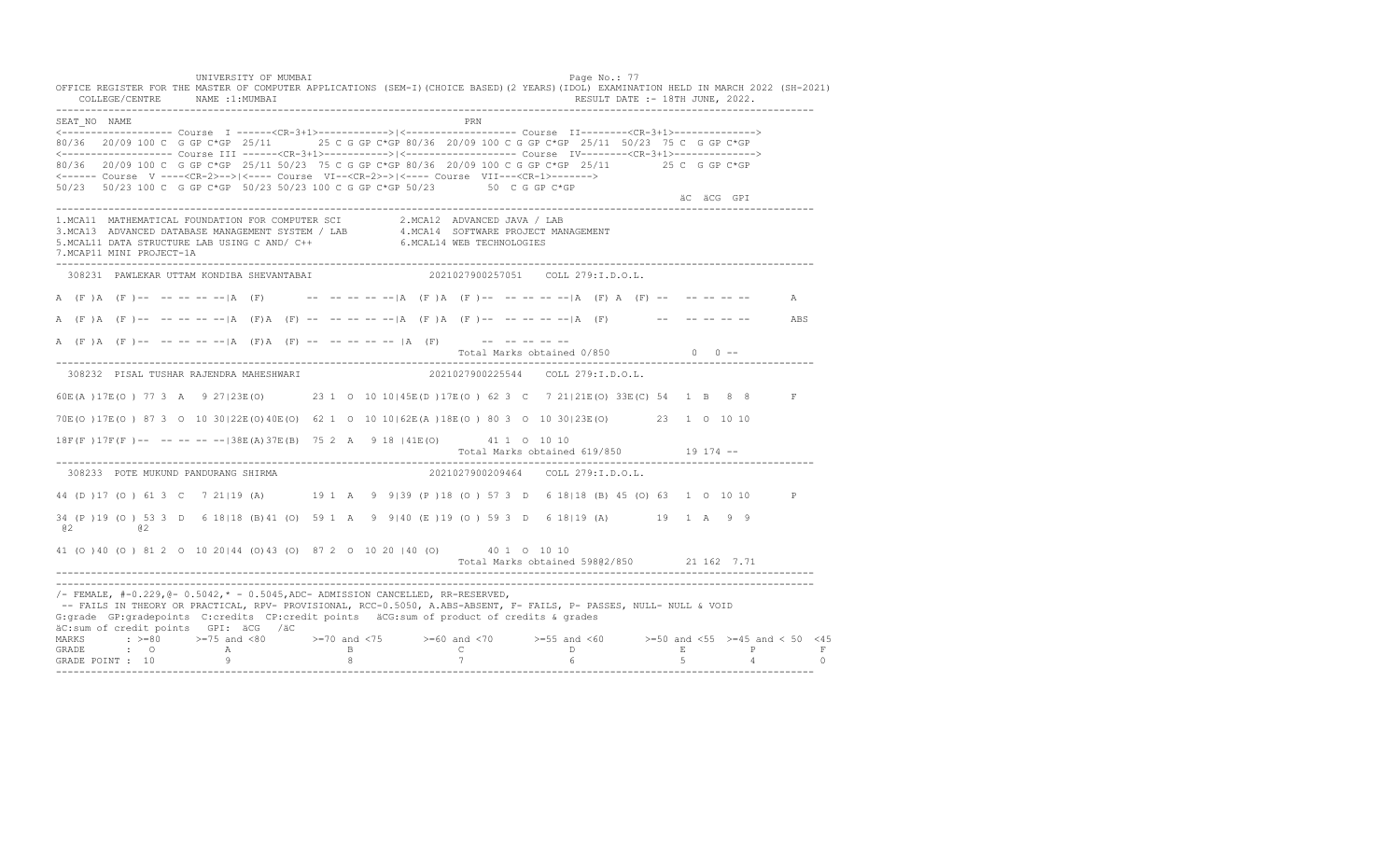UNIVERSITY OF MUMBAI PAGE OF THE PAGE OF THE PAGE OF THE PAGE OF THE PAGE OF THE PAGE OF THE PAGE OF THE PAGE OF THE PAGE OF THE PAGE OF THE PAGE OF THE PAGE OF THE PAGE OF THE PAGE OF THE PAGE OF THE PAGE OF THE PAGE OF T OFFICE REGISTER FOR THE MASTER OF COMPUTER APPLICATIONS (SEM-I)(CHOICE BASED)(2 YEARS)(IDOL) EXAMINATION HELD IN MARCH 2022 (SH-2021) COLLEGE/CENTRE NAME :1:MUMBAI RESULT DATE :- 18TH JUNE, 2022. ---------------------------------------------------------------------------------------------------------------------------------- SEAT\_NO NAME PRIMAGE PRODUCED IN THE PRODUCED SEAT NO PRIMAGE PRIMAGE PRIMAGE PRIMAGE PRIMAGE PRIMAGE PRIMAGE PRIMAGE PRIMAGE PRIMAGE PRIMAGE PRIMAGE PRIMAGE PRIMAGE PRIMAGE PRIMAGE PRIMAGE PRIMAGE PRIMAGE PRIMAGE PRIMAGE <------------------- Course I ------<CR-3+1>------------>|<------------------- Course II--------<CR-3+1>--------------> 80/36 20/09 100 C G GP C\*GP 25/11 25 C G GP C\*GP 80/36 20/09 100 C G GP C\*GP 25/11 50/23 75 C G GP C\*GP <------------------- Course III ------<CR-3+1>----------->|<------------------- Course IV--------<CR-3+1>--------------> 80/36 20/09 100 C G GP C\*GP 25/11 50/23 75 C G GP C\*GP 80/36 20/09 100 C G GP C\*GP 25/11 25 C G GP C\*GP <------ Course V ----<CR-2>-->|<---- Course VI--<CR-2>->|<---- Course VII---<CR-1>-------> 50/23 50/23 100 C G GP C\*GP 50/23 50/23 100 C G GP C\*GP 50/23 50 C G GP C\*GP äC äCG GPI ä<sup>n v</sup>ächtliche State und der State und der State und der State und der State und der State und der State und der State und der State und der State und der State und der State und der State und der State und der ---------------------------------------------------------------------------------------------------------------------------------- 1.MCA11 MATHEMATICAL FOUNDATION FOR COMPUTER SCI 2.MCA12 ADVANCED JAVA / LAB<br>3.MCA13 ADVANCED DATABASE MANAGEMENT SYSTEM / LAB 4.MCA14 SOFTWARE PROJECT MANAGEMENT<br>5.MCAL11 DATA STRUCTURE LAB U 7.MCAP11 MINI PROJECT-1A ---------------------------------------------------------------------------------------------------------------------------------- 308231 PAWLEKAR UTTAM KONDIBA SHEVANTABAI 2021027900257051 COLL 279:I.D.O.L. A (F )A (F )-- -- -- -- -- |A (F) -- -- -- -- -- |A (F )A (F )-- -- -- -- -- -- |A (F) A (F) -- -- -- -- -- -- A A (F )A (F )-- -- -- -- --|A (F)A (F) -- -- -- -- --|A (F )A (F )-- -- -- -- --|A (F) -- -- -- -- -- ABS A (F )A (F )-- -- -- -- -- |A (F)A (F) -- -- -- -- -- |A (F) -- -- -- -- -- -- --Total Marks obtained  $0/850$  0 ------------------------------------------------------------------------------------------------------------------------------------ 308232 PISAL TUSHAR RAJENDRA MAHESHWARI 2021027900225544 COLL 279:I.D.O.L. 60E(A )17E(O ) 77 3 A 9 27|23E(O) 23 1 O 10 10|45E(D )17E(O ) 62 3 C 7 21|21E(O) 33E(C) 54 1 B 8 8 F 70E(O )17E(O ) 87 3 O 10 30|22E(O)40E(O) 62 1 O 10 10|62E(A )18E(O ) 80 3 O 10 30|23E(O) 23 1 O 10 10 18F(F )17F(F )-- -- -- -- --|38E(A)37E(B) 75 2 A 9 18 |41E(O) 41 1 O 10 10 Total Marks obtained 619/850 19 174 -- ---------------------------------------------------------------------------------------------------------------------------------- 308233 POTE MUKUND PANDURANG SHIRMA 44 (D )17 (O ) 61 3 C 7 21|19 (A) 19 1 A 9 9|39 (P )18 (O ) 57 3 D 6 18|18 (B) 45 (O) 63 1 O 10 10 P 34 (P )19 (O ) 53 3 D 6 18|18 (B)41 (O) 59 1 A 9 9|40 (E )19 (O ) 59 3 D 6 18|19 (A) 19 1 A 9 9 @2 @2 41 (O )40 (O ) 81 2 O 10 20|44 (O)43 (O) 87 2 O 10 20 |40 (O) 40 1 O 10 10 Total Marks obtained 598@2/850 21 162 7.71 ---------------------------------------------------------------------------------------------------------------------------------- ----------------------------------------------------------------------------------------------------------------------------------  $/-$  FEMALE,  $#-0.229$ ,  $@-0.5042$ ,  $* -0.5045$ , ADC- ADMISSION CANCELLED, RR-RESERVED, -- FAILS IN THEORY OR PRACTICAL, RPV- PROVISIONAL, RCC-0.5050, A.ABS-ABSENT, F- FAILS, P- PASSES, NULL- NULL & VOID G:grade GP:gradepoints C:credits CP:credit points äCG:sum of product of credits & grades äC:sum of credit points GPI: äCG /äC MARKS : >=80 >=75 and <80 >=70 and <75 >=60 and <70 >=55 and <60 >=50 and <55 >=45 and < 50 <45<br>GRADE : O A B C D E P F<br>GRADE POINT : 10 9 8 7 6 5 4 0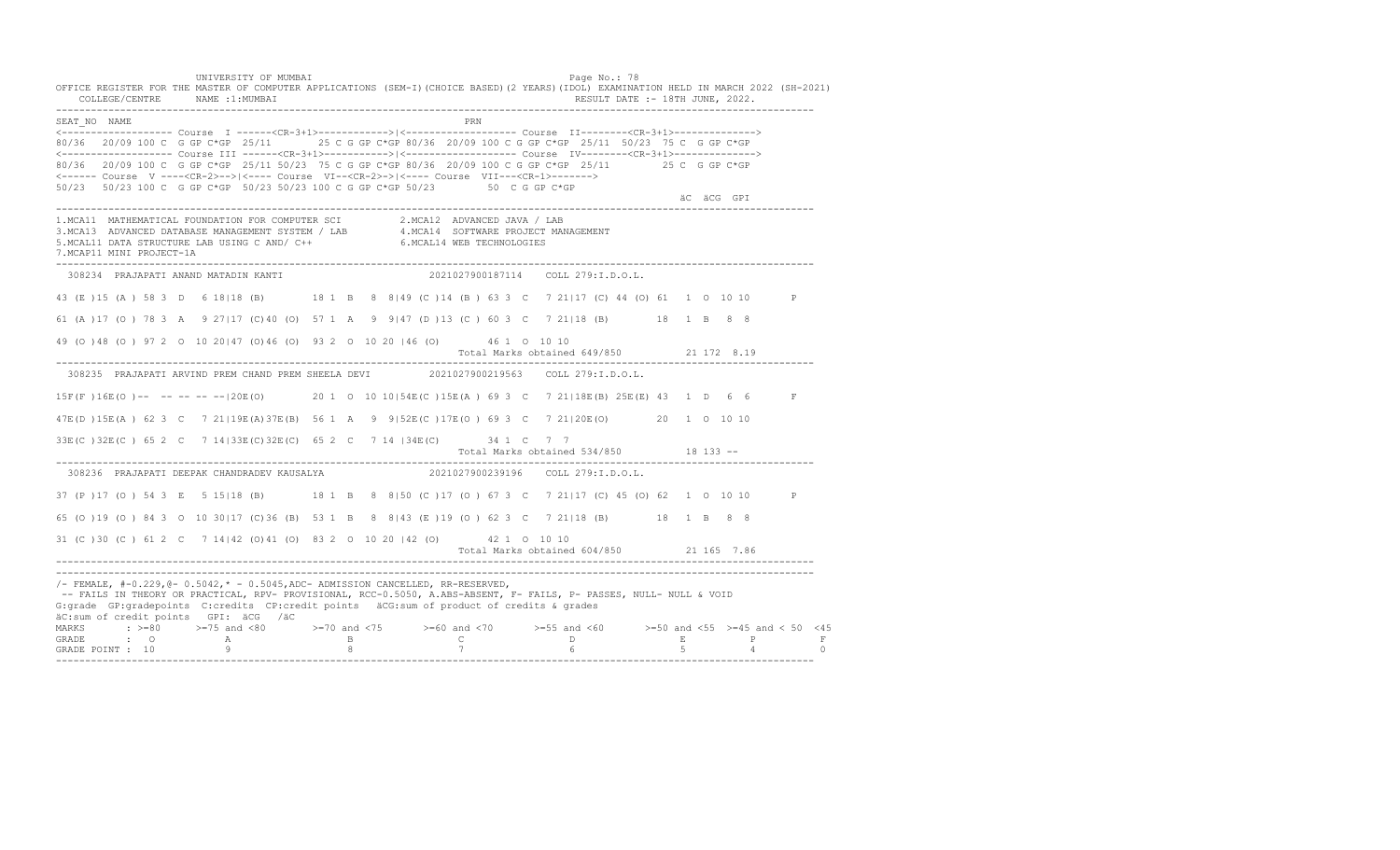UNIVERSITY OF MUMBAI PAGE OF THE PAGE OF THE PAGE OF THE PAGE OF THE PAGE OF THE PAGE OF THE PAGE OF THE PAGE OF THE PAGE OF THE PAGE OF THE PAGE OF THE PAGE OF THE PAGE OF THE PAGE OF THE PAGE OF THE PAGE OF THE PAGE OF T OFFICE REGISTER FOR THE MASTER OF COMPUTER APPLICATIONS (SEM-I)(CHOICE BASED)(2 YEARS)(IDOL) EXAMINATION HELD IN MARCH 2022 (SH-2021) COLLEGE/CENTRE NAME :1:MUMBAI RESULT DATE :- 18TH JUNE, 2022. ---------------------------------------------------------------------------------------------------------------------------------- SEAT\_NO NAME <------------------- Course I ------<CR-3+1>------------>|<------------------- Course II--------<CR-3+1>--------------> 80/36 20/09 100 C G GP C\*GP 25/11 25 C G GP C\*GP 80/36 20/09 100 C G GP C\*GP 25/11 50/23 75 C G GP C\*GP <------------------- Course III ------<CR-3+1>----------->|<------------------- Course IV--------<CR-3+1>--------------> 80/36 20/09 100 C G GP C\*GP 25/11 50/23 75 C G GP C\*GP 80/36 20/09 100 C G GP C\*GP 25/11 25 C G GP C\*GP <------ Course V ----<CR-2>-->|<---- Course VI--<CR-2>->|<---- Course VII---<CR-1>-------> 50/23 50/23 100 C G GP C\*GP 50/23 50/23 100 C G GP C\*GP 50/23 50 C G GP C\*GP äC äCG GPI ä<sup>n v</sup>ächtliche State und der State und der State und der State und der State und der State und der State und der State und der State und der State und der State und der State und der State und der State und der ---------------------------------------------------------------------------------------------------------------------------------- 1.MCA11 MATHEMATICAL FOUNDATION FOR COMPUTER SCI 2.MCA12 ADVANCED JAVA / LAB<br>3.MCA13 ADVANCED DATABASE MANAGEMENT SYSTEM / LAB 4.MCA14 SOFTWARE PROJECT MANAGEMENT<br>5.MCAL11 DATA STRUCTURE LAB U 7.MCAP11 MINI PROJECT-1A ---------------------------------------------------------------------------------------------------------------------------------- 308234 PRAJAPATI ANAND MATADIN KANTI 2021027900187114 COLL 279:I.D.O.L. 43 (E )15 (A ) 58 3 D 6 18|18 (B) 18 1 B 8 8|49 (C )14 (B ) 63 3 C 7 21|17 (C) 44 (O) 61 1 O 10 10 P 61 (A )17 (O ) 78 3 A 9 27|17 (C)40 (O) 57 1 A 9 9|47 (D )13 (C ) 60 3 C 7 21|18 (B) 18 1 B 8 8 49 (O )48 (O ) 97 2 O 10 20|47 (O)46 (O) 93 2 O 10 20 |46 (O) 46 1 O 10 10 Total Marks obtained 649/850 21 172 8.19 ---------------------------------------------------------------------------------------------------------------------------------- 308235 PRAJAPATI ARVIND PREM CHAND PREM SHEELA DEVI 2021027900219563 COLL 279:I.D.O.L. 15F(F )16E(O )-- -- -- -- --|20E(O) 20 1 O 10 10|54E(C )15E(A ) 69 3 C 7 21|18E(B) 25E(E) 43 1 D 6 6 F 47E(D )15E(A ) 62 3 C 7 21|19E(A)37E(B) 56 1 A 9 9|52E(C )17E(O ) 69 3 C 7 21|20E(O) 20 1 O 10 10 33E(C )32E(C ) 65 2 C 7 14|33E(C)32E(C) 65 2 C 7 14 |34E(C) 34 1 C 7 7 Total Marks obtained 534/850 18 133 ------------------------------------------------------------------------------------------------------------------------------------ 308236 PRAJAPATI DEEPAK CHANDRADEV KAUSALYA 37 (P )17 (O ) 54 3 E 5 15|18 (B) 18 1 B 8 8|50 (C )17 (O ) 67 3 C 7 21|17 (C) 45 (O) 62 1 O 10 10 P 65 (O )19 (O ) 84 3 O 10 30|17 (C)36 (B) 53 1 B 8 8|43 (E )19 (O ) 62 3 C 7 21|18 (B) 18 1 B 8 8 31 (C )30 (C ) 61 2 C 7 14|42 (O)41 (O) 83 2 O 10 20 |42 (O) 42 1 O 10 10 Total Marks obtained 604/850 21 165 7.86 ---------------------------------------------------------------------------------------------------------------------------------- ---------------------------------------------------------------------------------------------------------------------------------- /- FEMALE, #-0.229,@- 0.5042,\* - 0.5045,ADC- ADMISSION CANCELLED, RR-RESERVED, -- FAILS IN THEORY OR PRACTICAL, RPV- PROVISIONAL, RCC-0.5050, A.ABS-ABSENT, F- FAILS, P- PASSES, NULL- NULL & VOID G:grade GP:gradepoints C:credits CP:credit points äCG:sum of product of credits & grades äC:sum of credit points GPI: äCG /äC MARKS : >=80 >=75 and <80 >=70 and <75 >=60 and <70 >=55 and <60 >=50 and <55 >=45 and < 50 <45 GRADE : O A B C D E P F<br>GRADE POINT : 10 9 9 8 7 7 6 5 4 0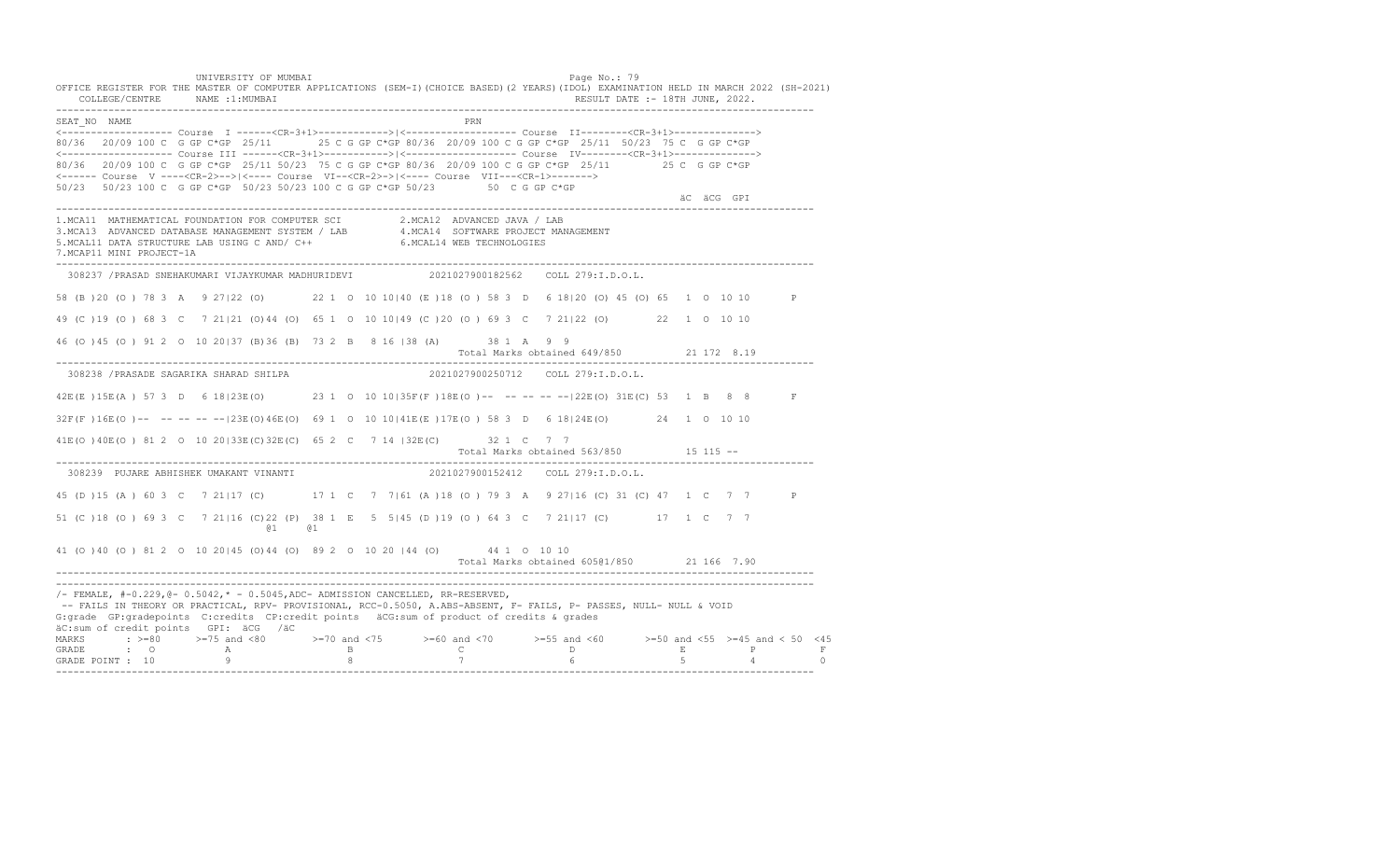UNIVERSITY OF MUMBAI PAGE OF THE PAGE OF THE PAGE OF THE PAGE OF THE PAGE OF THE PAGE OF THE PAGE OF THE PAGE OF THE PAGE OF THE PAGE OF THE PAGE OF THE PAGE OF THE PAGE OF THE PAGE OF THE PAGE OF THE PAGE OF THE PAGE OF T OFFICE REGISTER FOR THE MASTER OF COMPUTER APPLICATIONS (SEM-I)(CHOICE BASED)(2 YEARS)(IDOL) EXAMINATION HELD IN MARCH 2022 (SH-2021) COLLEGE/CENTRE NAME :1:MUMBAI RESULT DATE :- 18TH JUNE, 2022. ---------------------------------------------------------------------------------------------------------------------------------- SEAT\_NO NAME PRIMAGE PRODUCED IN THE PRODUCED SEAT NO PRIMAGE PRIMAGE PRIMAGE PRIMAGE PRIMAGE PRIMAGE PRIMAGE PRIMAGE PRIMAGE PRIMAGE PRIMAGE PRIMAGE PRIMAGE PRIMAGE PRIMAGE PRIMAGE PRIMAGE PRIMAGE PRIMAGE PRIMAGE PRIMAGE <------------------- Course I ------<CR-3+1>------------>|<------------------- Course II--------<CR-3+1>--------------> 80/36 20/09 100 C G GP C\*GP 25/11 25 C G GP C\*GP 80/36 20/09 100 C G GP C\*GP 25/11 50/23 75 C G GP C\*GP <------------------- Course III ------<CR-3+1>----------->|<------------------- Course IV--------<CR-3+1>--------------> 80/36 20/09 100 C G GP C\*GP 25/11 50/23 75 C G GP C\*GP 80/36 20/09 100 C G GP C\*GP 25/11 25 C G GP C\*GP <------ Course V ----<CR-2>-->|<---- Course VI--<CR-2>->|<---- Course VII---<CR-1>-------> 50/23 50/23 100 C G GP C\*GP 50/23 50/23 100 C G GP C\*GP 50/23 50 C G GP C\*GP äC äCG GPI ä<sup>n v</sup>ächtliche State und der State und der State und der State und der State und der State und der State und der State und der State und der State und der State und der State und der State und der State und der ---------------------------------------------------------------------------------------------------------------------------------- 1.MCA11 MATHEMATICAL FOUNDATION FOR COMPUTER SCI 2.MCA12 ADVANCED JAVA / LAB<br>3.MCA13 ADVANCED DATABASE MANAGEMENT SYSTEM / LAB 4.MCA14 SOFTWARE PROJECT MANAGEMENT<br>5.MCAL11 DATA STRUCTURE LAB U 7.MCAP11 MINI PROJECT-1A ---------------------------------------------------------------------------------------------------------------------------------- 308237 /PRASAD SNEHAKUMARI VIJAYKUMAR MADHURIDEVI 2021027900182562 COLL 279:I.D.O.L. 58 (B )20 (O ) 78 3 A 9 27|22 (O) 22 1 O 10 10|40 (E )18 (O ) 58 3 D 6 18|20 (O) 45 (O) 65 1 O 10 10 P 49 (C )19 (O ) 68 3 C 7 21|21 (O)44 (O) 65 1 O 10 10|49 (C )20 (O ) 69 3 C 7 21|22 (O) 22 1 O 10 10 46 (O )45 (O ) 91 2 O 10 20|37 (B)36 (B) 73 2 B 8 16 |38 (A) 38 1 A 9 9 Total Marks obtained 649/850 21 172 8.19 ---------------------------------------------------------------------------------------------------------------------------------- 308238 /PRASADE SAGARIKA SHARAD SHILPA 2021027900250712 COLL 279:I.D.O.L. 42E(E )15E(A ) 57 3 D 6 18|23E(O) 23 1 O 10 10|35F(F )18E(O )-- -- -- -- --|22E(O) 31E(C) 53 1 B 8 8 F 32F(F )16E(O )-- -- -- -- --|23E(O)46E(O) 69 1 O 10 10|41E(E )17E(O ) 58 3 D 6 18|24E(O) 24 1 O 10 10 41E(O )40E(O ) 81 2 O 10 20|33E(C)32E(C) 65 2 C 7 14 |32E(C) 32 1 C 7 7 Total Marks obtained 563/850 15 115 ------------------------------------------------------------------------------------------------------------------------------------ 308239 PUJARE ABHISHEK UMAKANT VINANTI 45 (D )15 (A ) 60 3 C 7 21|17 (C) 17 1 C 7 7|61 (A )18 (O ) 79 3 A 9 27|16 (C) 31 (C) 47 1 C 7 7 P 51 (C )18 (O ) 69 3 C 7 21|16 (C)22 (P) 38 1 E 5 5|45 (D )19 (O ) 64 3 C 7 21|17 (C) 17 1 C 7 7 @1 @1 41 (O )40 (O ) 81 2 O 10 20|45 (O)44 (O) 89 2 O 10 20 |44 (O) 44 1 O 10 10 Total Marks obtained 605@1/850 21 166 7.90 ---------------------------------------------------------------------------------------------------------------------------------- ----------------------------------------------------------------------------------------------------------------------------------  $/-$  FEMALE,  $#-0.229$ ,  $@-0.5042$ ,  $* -0.5045$ , ADC- ADMISSION CANCELLED, RR-RESERVED, -- FAILS IN THEORY OR PRACTICAL, RPV- PROVISIONAL, RCC-0.5050, A.ABS-ABSENT, F- FAILS, P- PASSES, NULL- NULL & VOID G:grade GP:gradepoints C:credits CP:credit points äCG:sum of product of credits & grades äC:sum of credit points GPI: äCG /äC MARKS : >=80 >=75 and <80 >=70 and <75 >=60 and <70 >=55 and <60 >=50 and <55 >=45 and < 50 <45<br>GRADE : O A B C D E P F<br>GRADE POINT : 10 9 8 7 6 5 4 0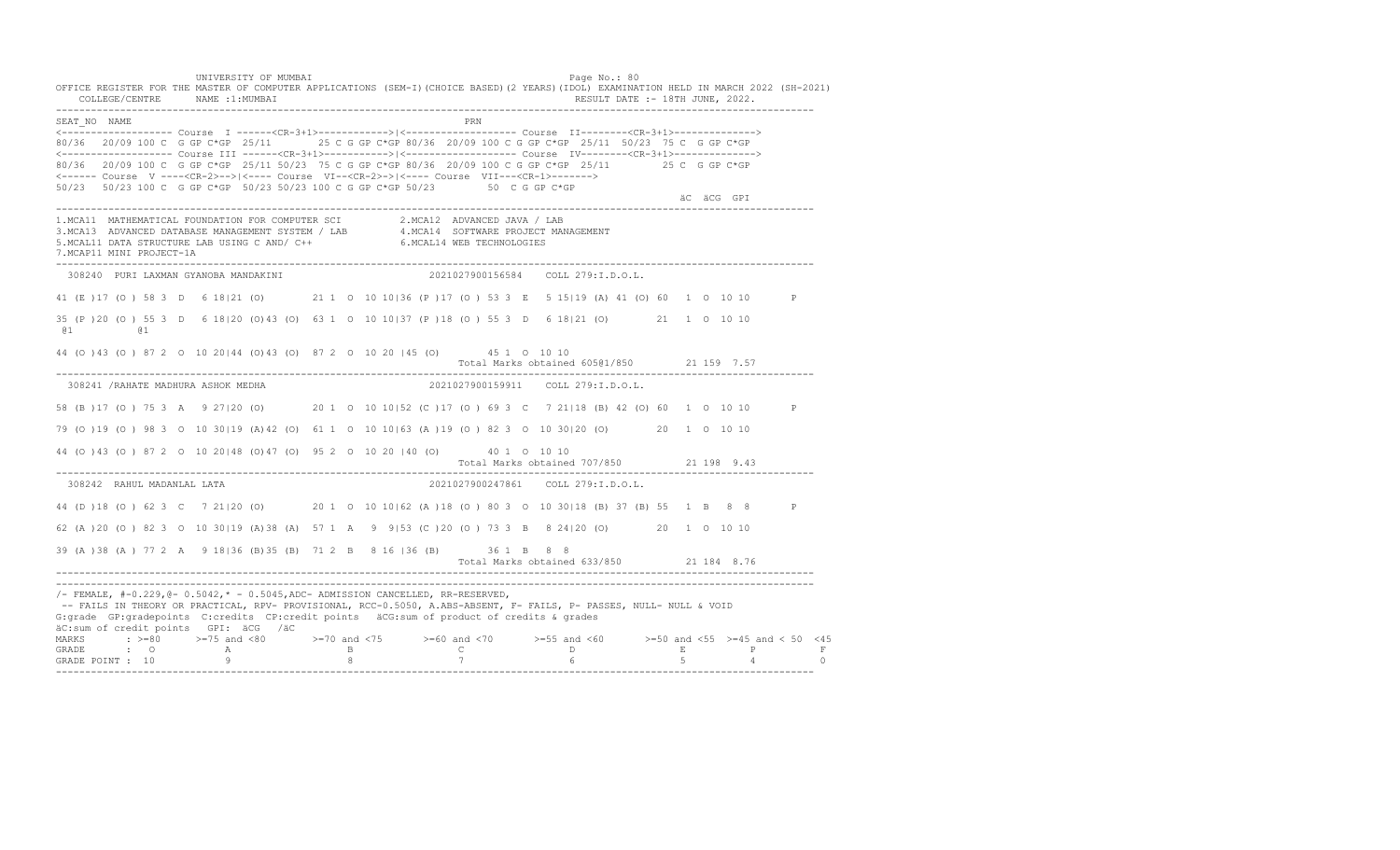UNIVERSITY OF MUMBAI PAGE OF THE PAGE OF THE PAGE OF THE PAGE OF THE PAGE OF THE PAGE OF THE PAGE OF THE PAGE OF THE PAGE OF THE PAGE OF THE PAGE OF THE PAGE OF THE PAGE OF THE PAGE OF THE PAGE OF THE PAGE OF THE PAGE OF T OFFICE REGISTER FOR THE MASTER OF COMPUTER APPLICATIONS (SEM-I)(CHOICE BASED)(2 YEARS)(IDOL) EXAMINATION HELD IN MARCH 2022 (SH-2021) COLLEGE/CENTRE NAME :1:MUMBAI RESULT DATE :- 18TH JUNE, 2022. ---------------------------------------------------------------------------------------------------------------------------------- SEAT\_NO NAME PRIMAGE PRODUCED IN THE PRODUCED SEAT NO PRIMAGE PRIMAGE PRIMAGE PRIMAGE PRIMAGE PRIMAGE PRIMAGE PRIMAGE PRIMAGE PRIMAGE PRIMAGE PRIMAGE PRIMAGE PRIMAGE PRIMAGE PRIMAGE PRIMAGE PRIMAGE PRIMAGE PRIMAGE PRIMAGE <------------------- Course I ------<CR-3+1>------------>|<------------------- Course II--------<CR-3+1>--------------> 80/36 20/09 100 C G GP C\*GP 25/11 25 C G GP C\*GP 80/36 20/09 100 C G GP C\*GP 25/11 50/23 75 C G GP C\*GP <------------------- Course III ------<CR-3+1>----------->|<------------------- Course IV--------<CR-3+1>--------------> 80/36 20/09 100 C G GP C\*GP 25/11 50/23 75 C G GP C\*GP 80/36 20/09 100 C G GP C\*GP 25/11 25 C G GP C\*GP <------ Course V ----<CR-2>-->|<---- Course VI--<CR-2>->|<---- Course VII---<CR-1>-------> 50/23 50/23 100 C G GP C\*GP 50/23 50/23 100 C G GP C\*GP 50/23 50 C G GP C\*GP äC äCG GPI ---------------------------------------------------------------------------------------------------------------------------------- 1.MCA11 MATHEMATICAL FOUNDATION FOR COMPUTER SCI 2.MCA12 ADVANCED JAVA / LAB<br>3.MCA13 ADVANCED DATABASE MANAGEMENT SYSTEM / LAB 4.MCA14 SOFTWARE PROJECT MANAGEMENT<br>5.MCAL11 DATA STRUCTURE LAB U 7.MCAP11 MINI PROJECT-1A ---------------------------------------------------------------------------------------------------------------------------------- 308240 PURI LAXMAN GYANOBA MANDAKINI 2021027900156584 COLL 279:I.D.O.L. 41 (E )17 (O ) 58 3 D 6 18|21 (O) 21 1 O 10 10|36 (P )17 (O ) 53 3 E 5 15|19 (A) 41 (O) 60 1 O 10 10 P 35 (P )20 (O ) 55 3 D 6 18|20 (O)43 (O) 63 1 O 10 10|37 (P )18 (O ) 55 3 D 6 18|21 (O) 21 1 O 10 10 @1 @1 44 (O )43 (O ) 87 2 O 10 20|44 (O)43 (O) 87 2 O 10 20 |45 (O) 45 1 O 10 10 Total Marks obtained 605@1/850 21 159 7.57 ---------------------------------------------------------------------------------------------------------------------------------- 308241 /RAHATE MADHURA ASHOK MEDHA 2021027900159911 COLL 279:I.D.O.L. 58 (B )17 (O ) 75 3 A 9 27|20 (O) 20 1 O 10 10|52 (C )17 (O ) 69 3 C 7 21|18 (B) 42 (O) 60 1 O 10 10 P 79 (O )19 (O ) 98 3 O 10 30|19 (A)42 (O) 61 1 O 10 10|63 (A )19 (O ) 82 3 O 10 30|20 (O) 20 1 O 10 10 44 (O )43 (O ) 87 2 O 10 20|48 (O)47 (O) 95 2 O 10 20 |40 (O) 40 1 O 10 10 Total Marks obtained 707/850 21 198 9.43 ---------------------------------------------------------------------------------------------------------------------------------- 308242 RAHUL MADANLAL LATA 2021027900247861 COLL 279:I.D.O.L. 44 (D )18 (O ) 62 3 C 7 21|20 (O) 20 1 O 10 10|62 (A )18 (O ) 80 3 O 10 30|18 (B) 37 (B) 55 1 B 8 8 P 62 (A )20 (O ) 82 3 O 10 30|19 (A)38 (A) 57 1 A 9 9|53 (C )20 (O ) 73 3 B 8 24|20 (O) 20 1 O 10 10 39 (A )38 (A ) 77 2 A 9 18|36 (B)35 (B) 71 2 B 8 16 |36 (B) 36 1 B 8 8 Total Marks obtained 633/850 21 184 8.76 ---------------------------------------------------------------------------------------------------------------------------------- ----------------------------------------------------------------------------------------------------------------------------------  $/-$  FEMALE,  $#-0.229$ ,  $@-0.5042$ ,  $* -0.5045$ , ADC- ADMISSION CANCELLED, RR-RESERVED, -- FAILS IN THEORY OR PRACTICAL, RPV- PROVISIONAL, RCC-0.5050, A.ABS-ABSENT, F- FAILS, P- PASSES, NULL- NULL & VOID G:grade GP:gradepoints C:credits CP:credit points äCG:sum of product of credits & grades äC:sum of credit points GPI: äCG /äC MARKS : >=80 >=75 and <80 >=70 and <75 >=60 and <70 >=55 and <60 >=50 and <55 >=45 and < 50 <45<br>GRADE : O A B C D E P F<br>GRADE POINT : 10 9 8 7 6 5 4 0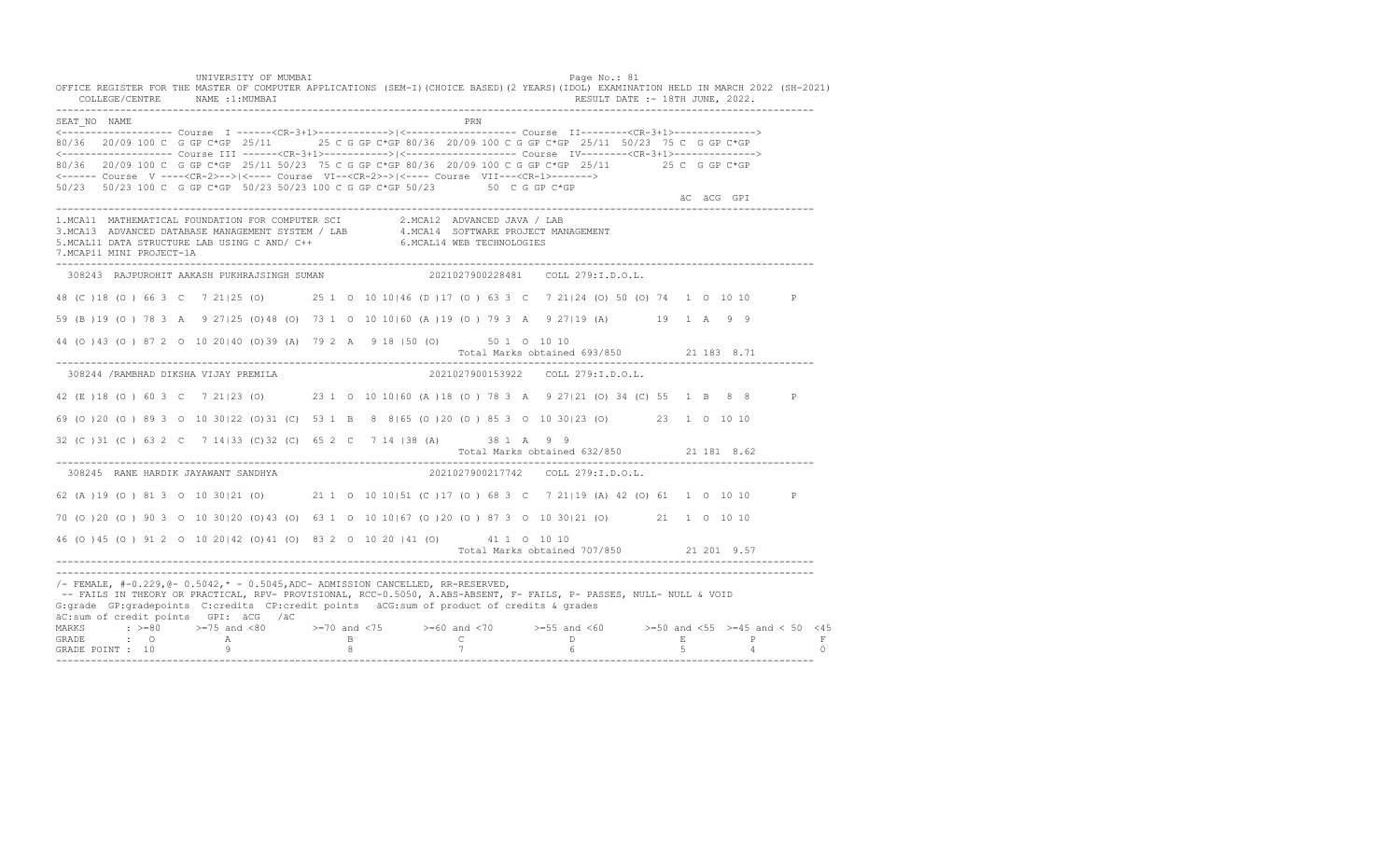UNIVERSITY OF MUMBAI PAGE OF THE PAGE OF THE PAGE OF THE PAGE OF THE PAGE OF THE PAGE OF THE PAGE OF THE PAGE OF THE PAGE OF THE PAGE OF THE PAGE OF THE PAGE OF THE PAGE OF THE PAGE OF THE PAGE OF THE PAGE OF THE PAGE OF T OFFICE REGISTER FOR THE MASTER OF COMPUTER APPLICATIONS (SEM-I)(CHOICE BASED)(2 YEARS)(IDOL) EXAMINATION HELD IN MARCH 2022 (SH-2021) COLLEGE/CENTRE NAME :1:MUMBAI RESULT DATE :- 18TH JUNE, 2022. ---------------------------------------------------------------------------------------------------------------------------------- SEAT\_NO NAME PRIMAGE PRODUCED IN THE PRIMAGE PRIMAGE PRIMAGE PRIMAGE PRIMAGE PRIMAGE PRIMAGE PRIMAGE PRIMAGE PRIMAGE PRIMAGE PRIMAGE PRIMAGE PRIMAGE PRIMAGE PRIMAGE PRIMAGE PRIMAGE PRIMAGE PRIMAGE PRIMAGE PRIMAGE PRIMAGE P <------------------- Course I ------<CR-3+1>------------>|<------------------- Course II--------<CR-3+1>--------------> 80/36 20/09 100 C G GP C\*GP 25/11 25 C G GP C\*GP 80/36 20/09 100 C G GP C\*GP 25/11 50/23 75 C G GP C\*GP <------------------- Course III ------<CR-3+1>----------->|<------------------- Course IV--------<CR-3+1>--------------> 80/36 20/09 100 C G GP C\*GP 25/11 50/23 75 C G GP C\*GP 80/36 20/09 100 C G GP C\*GP 25/11 25 C G GP C\*GP <------ Course V ----<CR-2>-->|<---- Course VI--<CR-2>->|<---- Course VII---<CR-1>-------> 50/23 50/23 100 C G GP C\*GP 50/23 50/23 100 C G GP C\*GP 50/23 50 C G GP C\*GP äC äCG GPI ---------------------------------------------------------------------------------------------------------------------------------- 1.MCA11 MATHEMATICAL FOUNDATION FOR COMPUTER SCI 2.MCA12 ADVANCED JAVA / LAB<br>3.MCA13 ADVANCED DATABASE MANAGEMENT SYSTEM / LAB 4.MCA14 SOFTWARE PROJECT MANAGEMENT<br>5.MCAL11 DATA STRUCTURE LAB U 7.MCAP11 MINI PROJECT-1A ---------------------------------------------------------------------------------------------------------------------------------- 308243 RAJPUROHIT AAKASH PUKHRAJSINGH SUMAN 2021027900228481 COLL 279:I.D.O.L. 48 (C )18 (O ) 66 3 C 7 21|25 (O) 25 1 O 10 10|46 (D )17 (O ) 63 3 C 7 21|24 (O) 50 (O) 74 1 O 10 10 P 59 (B )19 (O ) 78 3 A 9 27|25 (O)48 (O) 73 1 O 10 10|60 (A )19 (O ) 79 3 A 9 27|19 (A) 19 1 A 9 9 44 (O )43 (O ) 87 2 O 10 20|40 (O)39 (A) 79 2 A 9 18 |50 (O) 50 1 O 10 10 Total Marks obtained 693/850 21 183 8.71 ---------------------------------------------------------------------------------------------------------------------------------- 308244 /RAMBHAD DIKSHA VIJAY PREMILA 2021027900153922 COLL 279:I.D.O.L. 42 (E )18 (O ) 60 3 C 7 21|23 (O) 23 1 O 10 10|60 (A )18 (O ) 78 3 A 9 27|21 (O) 34 (C) 55 1 B 8 8 P 69 (O )20 (O ) 89 3 O 10 30|22 (O)31 (C) 53 1 B 8 8|65 (O )20 (O ) 85 3 O 10 30|23 (O) 23 1 O 10 10 32 (C )31 (C ) 63 2 C 7 14|33 (C)32 (C) 65 2 C 7 14 |38 (A) 38 1 A 9 9 Total Marks obtained 632/850 21 181 8.62 ---------------------------------------------------------------------------------------------------------------------------------- 308245 RANE HARDIK JAYAWANT SANDHYA 62 (A )19 (O ) 81 3 O 10 30|21 (O) 21 1 O 10 10|51 (C )17 (O ) 68 3 C 7 21|19 (A) 42 (O) 61 1 O 10 10 P 70 (O )20 (O ) 90 3 O 10 30|20 (O)43 (O) 63 1 O 10 10|67 (O )20 (O ) 87 3 O 10 30|21 (O) 21 1 O 10 10 46 (O )45 (O ) 91 2 O 10 20|42 (O)41 (O) 83 2 O 10 20 |41 (O) 41 1 O 10 10 Total Marks obtained 707/850 21 201 9.57 ---------------------------------------------------------------------------------------------------------------------------------- ---------------------------------------------------------------------------------------------------------------------------------- /- FEMALE, #-0.229,@- 0.5042,\* - 0.5045,ADC- ADMISSION CANCELLED, RR-RESERVED, -- FAILS IN THEORY OR PRACTICAL, RPV- PROVISIONAL, RCC-0.5050, A.ABS-ABSENT, F- FAILS, P- PASSES, NULL- NULL & VOID G:grade GP:gradepoints C:credits CP:credit points äCG:sum of product of credits & grades äC:sum of credit points GPI: äCG /äC MARKS : >=80 >=75 and <80 >=70 and <75 >=60 and <70 >=55 and <60 >=50 and <55 >=45 and < 50 <45 GRADE : O A B C D E P F<br>GRADE POINT : 10 9 9 8 7 7 6 5 4 0 ----------------------------------------------------------------------------------------------------------------------------------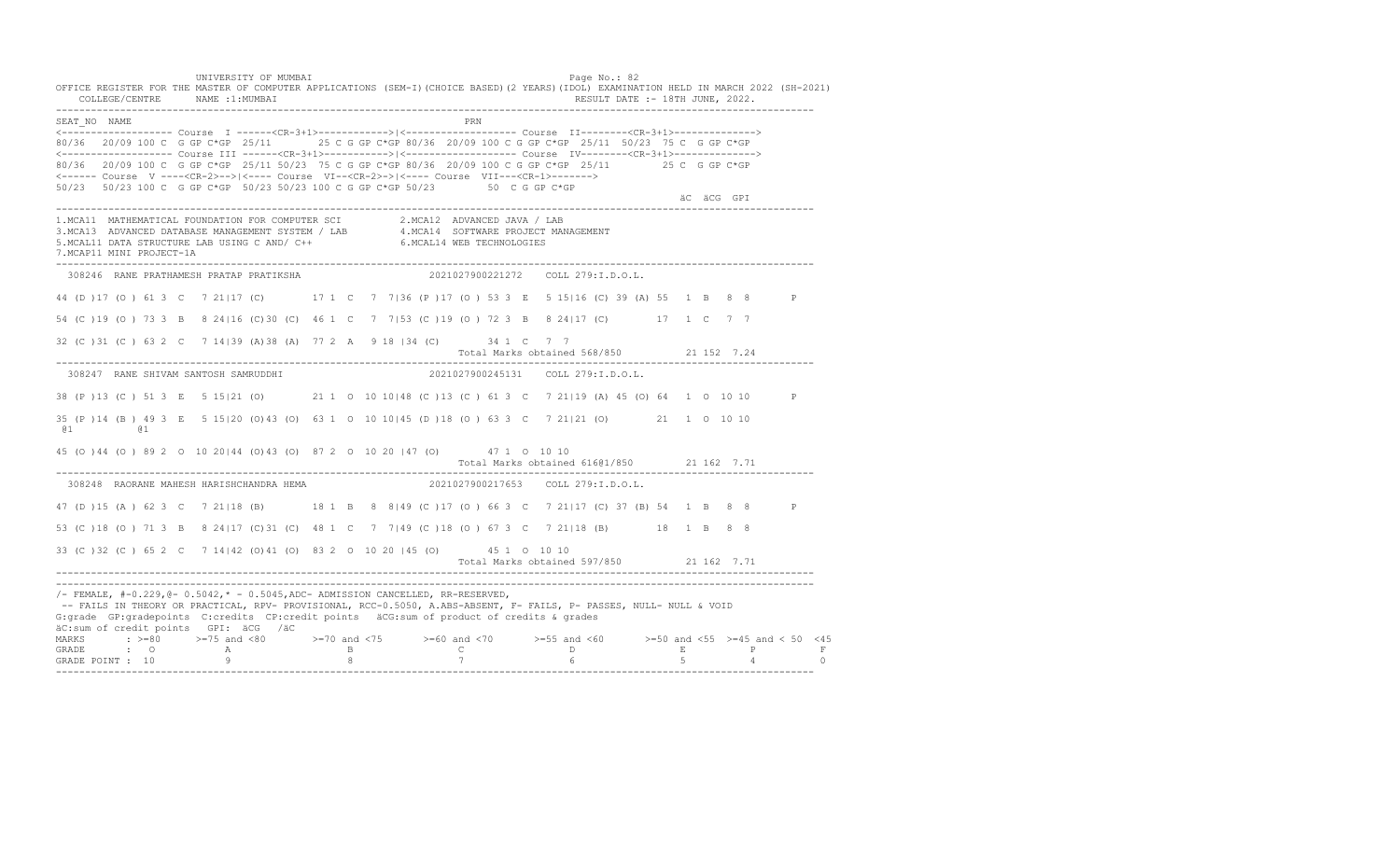UNIVERSITY OF MUMBAI PAGE OF THE PAGE OF THE PAGE OF THE PAGE OF THE PAGE OF THE PAGE OF THE PAGE OF THE PAGE OF THE PAGE OF THE PAGE OF THE PAGE OF THE PAGE OF THE PAGE OF THE PAGE OF THE PAGE OF THE PAGE OF THE PAGE OF T OFFICE REGISTER FOR THE MASTER OF COMPUTER APPLICATIONS (SEM-I)(CHOICE BASED)(2 YEARS)(IDOL) EXAMINATION HELD IN MARCH 2022 (SH-2021) COLLEGE/CENTRE NAME :1:MUMBAI RESULT DATE :- 18TH JUNE, 2022. ---------------------------------------------------------------------------------------------------------------------------------- SEAT\_NO NAME PRIMAGE PRODUCED IN THE PRODUCED SEAT NO PRIMAGE PRIMAGE PRIMAGE PRIMAGE PRIMAGE PRIMAGE PRIMAGE PRIMAGE PRIMAGE PRIMAGE PRIMAGE PRIMAGE PRIMAGE PRIMAGE PRIMAGE PRIMAGE PRIMAGE PRIMAGE PRIMAGE PRIMAGE PRIMAGE <------------------- Course I ------<CR-3+1>------------>|<------------------- Course II--------<CR-3+1>--------------> 80/36 20/09 100 C G GP C\*GP 25/11 25 C G GP C\*GP 80/36 20/09 100 C G GP C\*GP 25/11 50/23 75 C G GP C\*GP <------------------- Course III ------<CR-3+1>----------->|<------------------- Course IV--------<CR-3+1>--------------> 80/36 20/09 100 C G GP C\*GP 25/11 50/23 75 C G GP C\*GP 80/36 20/09 100 C G GP C\*GP 25/11 25 C G GP C\*GP <------ Course V ----<CR-2>-->|<---- Course VI--<CR-2>->|<---- Course VII---<CR-1>-------> 50/23 50/23 100 C G GP C\*GP 50/23 50/23 100 C G GP C\*GP 50/23 50 C G GP C\*GP äC äCG GPI ---------------------------------------------------------------------------------------------------------------------------------- 1.MCA11 MATHEMATICAL FOUNDATION FOR COMPUTER SCI 2.MCA12 ADVANCED JAVA / LAB<br>3.MCA13 ADVANCED DATABASE MANAGEMENT SYSTEM / LAB 4.MCA14 SOFTWARE PROJECT MANAGEMENT<br>5.MCAL11 DATA STRUCTURE LAB U 7.MCAP11 MINI PROJECT-1A ---------------------------------------------------------------------------------------------------------------------------------- 308246 RANE PRATHAMESH PRATAP PRATIKSHA 2021027900221272 COLL 279:I.D.O.L. 44 (D )17 (O ) 61 3 C 7 21|17 (C) 17 1 C 7 7|36 (P )17 (O ) 53 3 E 5 15|16 (C) 39 (A) 55 1 B 8 8 P 54 (C )19 (O ) 73 3 B 8 24|16 (C)30 (C) 46 1 C 7 7|53 (C )19 (O ) 72 3 B 8 24|17 (C) 17 1 C 7 7 32 (C )31 (C ) 63 2 C 7 14|39 (A)38 (A) 77 2 A 9 18 |34 (C) 34 1 C 7 7 Total Marks obtained 568/850 21 152 7.24 ---------------------------------------------------------------------------------------------------------------------------------- 308247 RANE SHIVAM SANTOSH SAMRUDDHI 2021027900245131 COLL 279:I.D.O.L. 38 (P )13 (C ) 51 3 E 5 15|21 (O) 21 1 O 10 10|48 (C )13 (C ) 61 3 C 7 21|19 (A) 45 (O) 64 1 O 10 10 P 35 (P )14 (B ) 49 3 E 5 15|20 (O)43 (O) 63 1 O 10 10|45 (D )18 (O ) 63 3 C 7 21|21 (O) 21 1 O 10 10 @1 @1 45 (O )44 (O ) 89 2 O 10 20|44 (O)43 (O) 87 2 O 10 20 |47 (O) 47 1 O 10 10 Total Marks obtained 616@1/850 21 162 7.71 ---------------------------------------------------------------------------------------------------------------------------------- 308248 RAORANE MAHESH HARISHCHANDRA HEMA 2021027900217653 COLL 279:I.D.O.L. 47 (D )15 (A ) 62 3 C 7 21|18 (B) 18 1 B 8 8|49 (C )17 (O ) 66 3 C 7 21|17 (C) 37 (B) 54 1 B 8 8 P 53 (C )18 (O ) 71 3 B 8 24|17 (C)31 (C) 48 1 C 7 7|49 (C )18 (O ) 67 3 C 7 21|18 (B) 18 1 B 8 8 33 (C )32 (C ) 65 2 C 7 14|42 (O)41 (O) 83 2 O 10 20 |45 (O) 45 1 O 10 10 Total Marks obtained 597/850 21 162 7.71 ---------------------------------------------------------------------------------------------------------------------------------- ----------------------------------------------------------------------------------------------------------------------------------  $/-$  FEMALE,  $#-0.229$ ,  $@-0.5042$ ,  $* -0.5045$ , ADC- ADMISSION CANCELLED, RR-RESERVED, -- FAILS IN THEORY OR PRACTICAL, RPV- PROVISIONAL, RCC-0.5050, A.ABS-ABSENT, F- FAILS, P- PASSES, NULL- NULL & VOID G:grade GP:gradepoints C:credits CP:credit points äCG:sum of product of credits & grades äC:sum of credit points GPI: äCG /äC MARKS : >=80 >=75 and <80 >=70 and <75 >=60 and <70 >=55 and <60 >=50 and <55 >=45 and < 50 <45<br>GRADE : O A B C D E P F<br>GRADE POINT : 10 9 8 7 6 5 4 0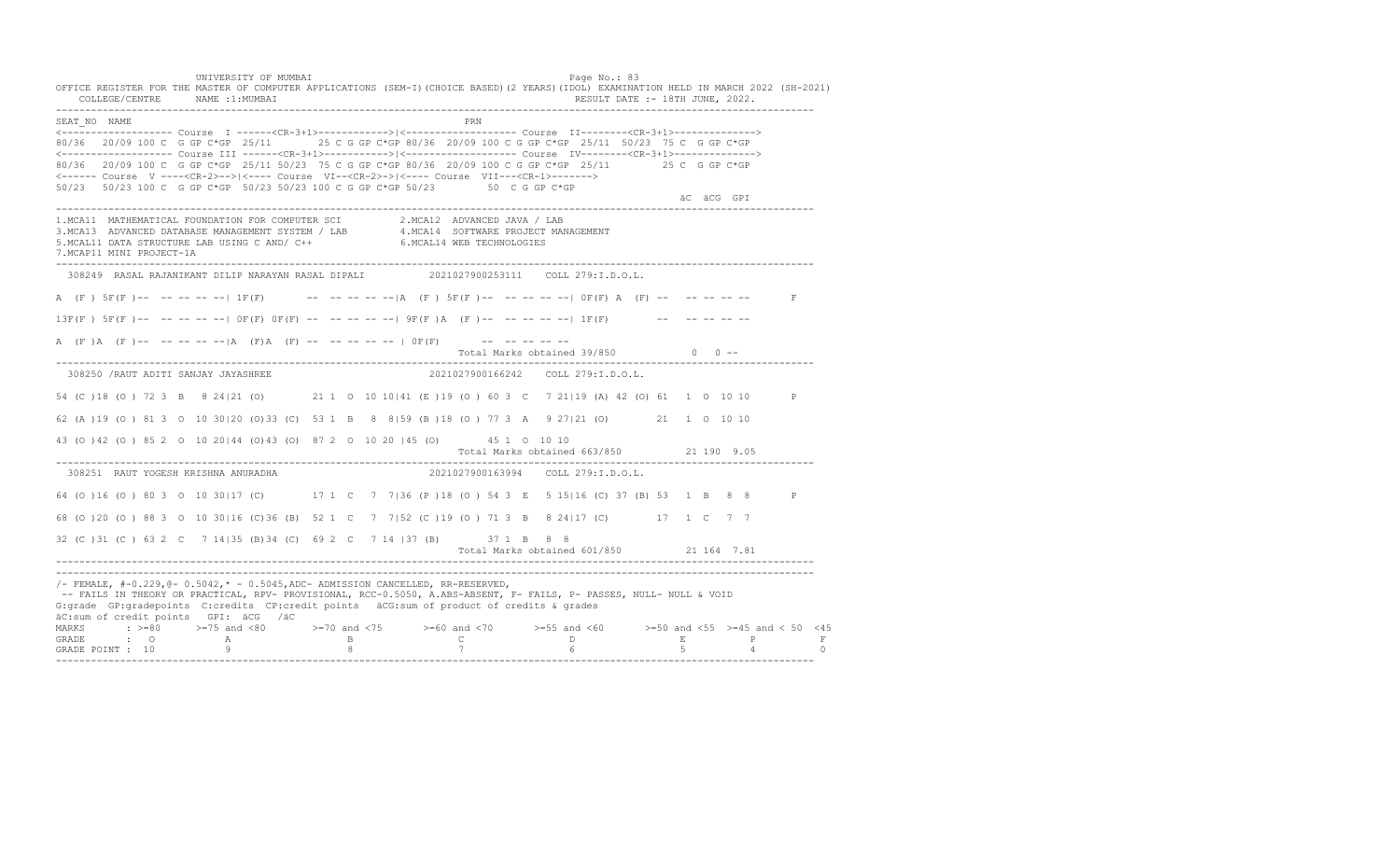UNIVERSITY OF MUMBAI PAGE OF THE PAGE OF THE PAGE OF THE PAGE OF THE PAGE OF THE PAGE OF THE PAGE OF THE PAGE O OFFICE REGISTER FOR THE MASTER OF COMPUTER APPLICATIONS (SEM-I)(CHOICE BASED)(2 YEARS)(IDOL) EXAMINATION HELD IN MARCH 2022 (SH-2021) COLLEGE/CENTRE NAME :1:MUMBAI RESULT DATE :- 18TH JUNE, 2022. ---------------------------------------------------------------------------------------------------------------------------------- SEAT\_NO NAME PRN <------------------- Course I ------<CR-3+1>------------>|<------------------- Course II--------<CR-3+1>--------------> 80/36 20/09 100 C G GP C\*GP 25/11 25 C G GP C\*GP 80/36 20/09 100 C G GP C\*GP 25/11 50/23 75 C G GP C\*GP <------------------- Course III ------<CR-3+1>----------->|<------------------- Course IV--------<CR-3+1>--------------> 80/36 20/09 100 C G GP C\*GP 25/11 50/23 75 C G GP C\*GP 80/36 20/09 100 C G GP C\*GP 25/11 25 C G GP C\*GP <------ Course V ----<CR-2>-->|<---- Course VI--<CR-2>->|<---- Course VII---<CR-1>-------> 50/23 50/23 100 C G GP C\*GP 50/23 50/23 100 C G GP C\*GP 50/23 50 C G GP C\*GP äC äCG GPI ---------------------------------------------------------------------------------------------------------------------------------- 1.MCA11 MATHEMATICAL FOUNDATION FOR COMPUTER SCI 2.MCA12 ADVANCED JAVA / LAB 3.MCA13 ADVANCED DATABASE MANAGEMENT SYSTEM / LAB 4.MCA14 SOFTWARE PROJECT MANAGEMENT 5.MCAL11 DATA STRUCTURE LAB USING C AND/ C++ 6.MCAL14 WEB TECHNOLOGIES 7.MCAP11 MINI PROJECT-1A ---------------------------------------------------------------------------------------------------------------------------------- 308249 RASAL RAJANIKANT DILIP NARAYAN RASAL DIPALI 2021027900253111 COLL 279:I.D.O.L. A (F ) 5F(F )-- -- -- -- -- 1F(F) -- -- -- -- -- -- -- A (F ) 5F(F )-- -- -- -- -- -- | 0F(F) A (F) -- -- -- -- -- -- F  $13F(F)$   $5F(F)$ -- -- -- -- --  $0F(F)$   $0F(F)$  -- -- -- -- --  $9F(F)$  A (F)-- -- -- -- --  $1F(F)$  -- -- -- -- -- --A (F)A (F)-- -- -- -- -- |A (F)A (F) -- -- -- -- -- | OF(F) -- -- -- -- -- --Total Marks obtained  $39/850$  0 ------------------------------------------------------------------------------------------------------------------------------------ 308250 /RAUT ADITI SANJAY JAYASHREE 2021027900166242 COLL 279:I.D.O.L. 54 (C )18 (O ) 72 3 B 8 24|21 (O) 21 1 O 10 10|41 (E )19 (O ) 60 3 C 7 21|19 (A) 42 (O) 61 1 O 10 10 P 62 (A )19 (O ) 81 3 O 10 30|20 (O)33 (C) 53 1 B 8 8|59 (B )18 (O ) 77 3 A 9 27|21 (O) 21 1 O 10 10 43 (O )42 (O ) 85 2 O 10 20|44 (O)43 (O) 87 2 O 10 20 |45 (O) 45 1 O 10 10 Total Marks obtained 663/850 21 190 9.05 ---------------------------------------------------------------------------------------------------------------------------------- 308251 RAUT YOGESH KRISHNA ANURADHA 2021027900163994 COLL 279:I.D.O.L. 64 (O )16 (O ) 80 3 O 10 30|17 (C) 17 1 C 7 7|36 (P )18 (O ) 54 3 E 5 15|16 (C) 37 (B) 53 1 B 8 8 P 68 (O )20 (O ) 88 3 O 10 30|16 (C)36 (B) 52 1 C 7 7|52 (C )19 (O ) 71 3 B 8 24|17 (C) 17 1 C 7 7 32 (C )31 (C ) 63 2 C 7 14|35 (B)34 (C) 69 2 C 7 14 |37 (B) 37 1 B 8 8 Total Marks obtained 601/850 21 164 7.81 ---------------------------------------------------------------------------------------------------------------------------------- ---------------------------------------------------------------------------------------------------------------------------------- /- FEMALE, #-0.229,@- 0.5042,\* - 0.5045,ADC- ADMISSION CANCELLED, RR-RESERVED, -- FAILS IN THEORY OR PRACTICAL, RPV- PROVISIONAL, RCC-0.5050, A.ABS-ABSENT, F- FAILS, P- PASSES, NULL- NULL & VOID G:grade GP:gradepoints C:credits CP:credit points äCG:sum of product of credits & grades äC:sum of credit points GPI: äCG /äC MARKS : >=80 >=75 and <80 >=70 and <75 >=60 and <70 >=55 and <60 >=50 and <55 >=45 and < 50 <45 GRADE : O A B C D E P F GRADE POINT : 10 9 8 7 6 5 4 0 ----------------------------------------------------------------------------------------------------------------------------------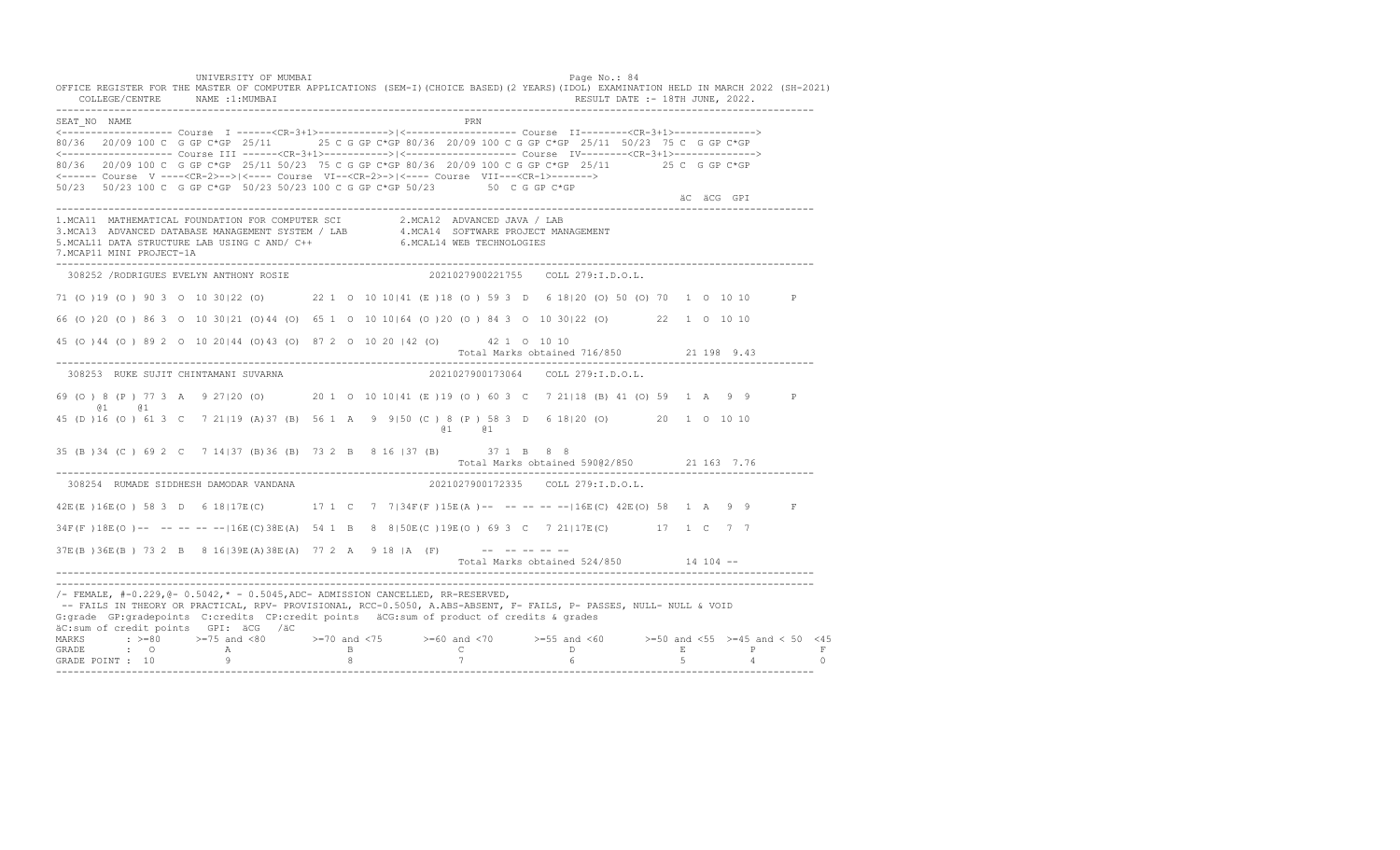UNIVERSITY OF MUMBAI PAGE OF THE PAGE OF THE PAGE OF THE PAGE OF THE PAGE OF THE PAGE OF THE PAGE OF THE PAGE OF THE PAGE OF THE PAGE OF THE PAGE OF THE PAGE OF THE PAGE OF THE PAGE OF THE PAGE OF THE PAGE OF THE PAGE OF T OFFICE REGISTER FOR THE MASTER OF COMPUTER APPLICATIONS (SEM-I)(CHOICE BASED)(2 YEARS)(IDOL) EXAMINATION HELD IN MARCH 2022 (SH-2021) COLLEGE/CENTRE NAME :1:MUMBAI RESULT DATE :- 18TH JUNE, 2022. ---------------------------------------------------------------------------------------------------------------------------------- SEAT\_NO NAME PRIMAGE PRODUCED IN THE PRODUCED SEAT NO PRIMAGE PRIMAGE PRIMAGE PRIMAGE PRIMAGE PRIMAGE PRIMAGE PRIMAGE PRIMAGE PRIMAGE PRIMAGE PRIMAGE PRIMAGE PRIMAGE PRIMAGE PRIMAGE PRIMAGE PRIMAGE PRIMAGE PRIMAGE PRIMAGE <------------------- Course I ------<CR-3+1>------------>|<------------------- Course II--------<CR-3+1>--------------> 80/36 20/09 100 C G GP C\*GP 25/11 25 C G GP C\*GP 80/36 20/09 100 C G GP C\*GP 25/11 50/23 75 C G GP C\*GP <------------------- Course III ------<CR-3+1>----------->|<------------------- Course IV--------<CR-3+1>--------------> 80/36 20/09 100 C G GP C\*GP 25/11 50/23 75 C G GP C\*GP 80/36 20/09 100 C G GP C\*GP 25/11 25 C G GP C\*GP <------ Course V ----<CR-2>-->|<---- Course VI--<CR-2>->|<---- Course VII---<CR-1>-------> 50/23 50/23 100 C G GP C\*GP 50/23 50/23 100 C G GP C\*GP 50/23 50 C G GP C\*GP äC äCG GPI ---------------------------------------------------------------------------------------------------------------------------------- 1.MCA11 MATHEMATICAL FOUNDATION FOR COMPUTER SCI 2.MCA12 ADVANCED JAVA / LAB<br>3.MCA13 ADVANCED DATABASE MANAGEMENT SYSTEM / LAB 4.MCA14 SOFTWARE PROJECT MANAGEMENT<br>5.MCAL11 DATA STRUCTURE LAB USI 7.MCAP11 MINI PROJECT-1A ---------------------------------------------------------------------------------------------------------------------------------- 308252 /RODRIGUES EVELYN ANTHONY ROSIE 2021027900221755 COLL 279:I.D.O.L. 71 (O )19 (O ) 90 3 O 10 30|22 (O) 22 1 O 10 10|41 (E )18 (O ) 59 3 D 6 18|20 (O) 50 (O) 70 1 O 10 10 P 66 (O )20 (O ) 86 3 O 10 30|21 (O)44 (O) 65 1 O 10 10|64 (O )20 (O ) 84 3 O 10 30|22 (O) 22 1 O 10 10 45 (O )44 (O ) 89 2 O 10 20|44 (O)43 (O) 87 2 O 10 20 |42 (O) 42 1 O 10 10 Total Marks obtained 716/850 21 198 9.43 ---------------------------------------------------------------------------------------------------------------------------------- 308253 RUKE SUJIT CHINTAMANI SUVARNA 2021027900173064 COLL 279:I.D.O.L. 69 (O ) 8 (P ) 77 3 A 9 27|20 (O) 20 1 O 10 10|41 (E )19 (O ) 60 3 C 7 21|18 (B) 41 (O) 59 1 A 9 9 P @1 @1 45 (D )16 (O ) 61 3 C 7 21|19 (A)37 (B) 56 1 A 9 9|50 (C ) 8 (P ) 58 3 D 6 18|20 (O) 20 1 O 10 10 @1 @1 35 (B )34 (C ) 69 2 C 7 14|37 (B)36 (B) 73 2 B 8 16 |37 (B) 37 1 B 8 8 Total Marks obtained 590@2/850 21 163 7.76 ---------------------------------------------------------------------------------------------------------------------------------- 308254 RUMADE SIDDHESH DAMODAR VANDANA 2021027900172335 COLL 279:I.D.O.L. 42E(E )16E(O ) 58 3 D 6 18|17E(C) 17 1 C 7 7|34F(F )15E(A )-- -- -- -- --|16E(C) 42E(O) 58 1 A 9 9 F 34F(F )18E(O )-- -- -- -- --|16E(C)38E(A) 54 1 B 8 8|50E(C )19E(O ) 69 3 C 7 21|17E(C) 17 1 C 7 7 37E(B)36E(B) 73 2 B 8 16|39E(A)38E(A) 77 2 A 9 18 |A (F) -------- Total Marks obtained 524/850 14 104 -- ---------------------------------------------------------------------------------------------------------------------------------- ----------------------------------------------------------------------------------------------------------------------------------  $/-$  FEMALE,  $# -0.229$ ,  $@ - 0.5042$ ,  $* - 0.5045$ , ADC- ADMISSION CANCELLED, RR-RESERVED, -- FAILS IN THEORY OR PRACTICAL, RPV- PROVISIONAL, RCC-0.5050, A.ABS-ABSENT, F- FAILS, P- PASSES, NULL- NULL & VOID G:grade GP:gradepoints C:credits CP:credit points äCG:sum of product of credits & grades äC:sum of credit points GPI: äCG /äC MARKS : >=80 >=75 and <80 >=70 and <75 >=60 and <70 >=55 and <60 >=50 and <55 >=45 and < 50 <45<br>GRADE : O A B C D E P F<br>GRADE POINT : 10 9 8 7 6 5 4 0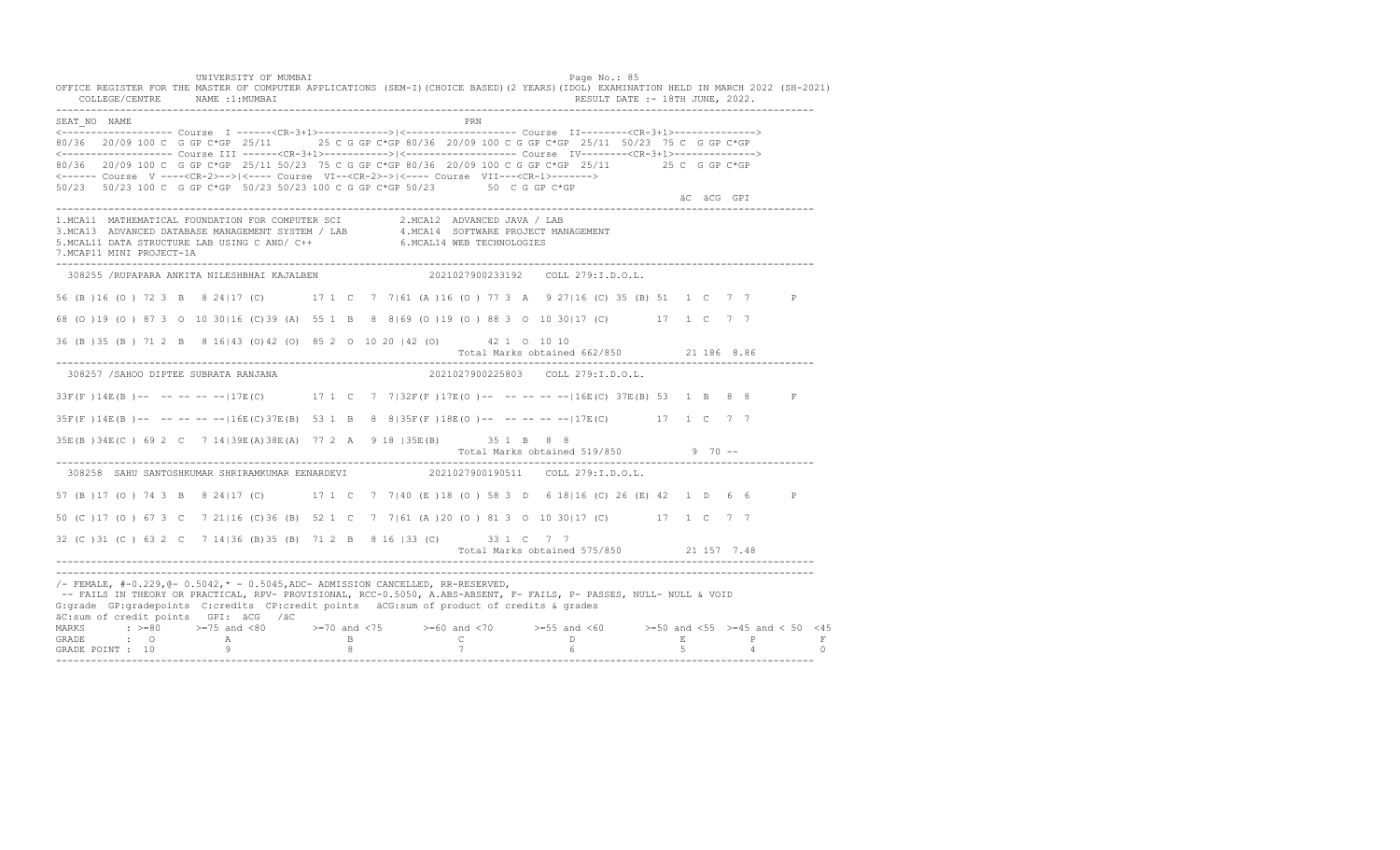UNIVERSITY OF MUMBAI PAGE OF THE PAGE OF THE PAGE OF THE PAGE OF THE PAGE OF THE PAGE OF THE PAGE OF THE PAGE O OFFICE REGISTER FOR THE MASTER OF COMPUTER APPLICATIONS (SEM-I)(CHOICE BASED)(2 YEARS)(IDOL) EXAMINATION HELD IN MARCH 2022 (SH-2021) COLLEGE/CENTRE NAME :1:MUMBAI RESULT DATE :- 18TH JUNE, 2022. ---------------------------------------------------------------------------------------------------------------------------------- SEAT\_NO NAME PRN <------------------- Course I ------<CR-3+1>------------>|<------------------- Course II--------<CR-3+1>--------------> 80/36 20/09 100 C G GP C\*GP 25/11 25 C G GP C\*GP 80/36 20/09 100 C G GP C\*GP 25/11 50/23 75 C G GP C\*GP <------------------- Course III ------<CR-3+1>----------->|<------------------- Course IV--------<CR-3+1>--------------> 80/36 20/09 100 C G GP C\*GP 25/11 50/23 75 C G GP C\*GP 80/36 20/09 100 C G GP C\*GP 25/11 25 C G GP C\*GP <------ Course V ----<CR-2>-->|<---- Course VI--<CR-2>->|<---- Course VII---<CR-1>-------> 50/23 50/23 100 C G GP C\*GP 50/23 50/23 100 C G GP C\*GP 50/23 50 C G GP C\*GP äC äCG GPI ---------------------------------------------------------------------------------------------------------------------------------- 1.MCA11 MATHEMATICAL FOUNDATION FOR COMPUTER SCI 2.MCA12 ADVANCED JAVA / LAB<br>3.MCA13 ADVANCED DATABASE MANAGEMENT SYSTEM / LAB 4.MCA14 SOFTWARE PROJECT MANAGEMENT<br>5.MCAL11 DATA STRUCTURE LAB US 7.MCAP11 MINI PROJECT-1A ---------------------------------------------------------------------------------------------------------------------------------- 308255 /RUPAPARA ANKITA NILESHBHAI KAJALBEN 2021027900233192 COLL 279:I.D.O.L. 56 (B )16 (O ) 72 3 B 8 24|17 (C) 17 1 C 7 7|61 (A )16 (O ) 77 3 A 9 27|16 (C) 35 (B) 51 1 C 7 7 P 68 (O )19 (O ) 87 3 O 10 30|16 (C)39 (A) 55 1 B 8 8|69 (O )19 (O ) 88 3 O 10 30|17 (C) 17 1 C 7 7 36 (B )35 (B ) 71 2 B 8 16|43 (O)42 (O) 85 2 O 10 20 |42 (O) 42 1 O 10 10 Total Marks obtained 662/850 21 186 8.86 ---------------------------------------------------------------------------------------------------------------------------------- 308257 /SAHOO DIPTEE SUBRATA RANJANA 2021027900225803 COLL 279:I.D.O.L. 33F(F )14E(B )-- -- -- -- --|17E(C) 17 1 C 7 7|32F(F )17E(O )-- -- -- -- --|16E(C) 37E(B) 53 1 B 8 8 F 35F(F )14E(B )-- -- -- -- --|16E(C)37E(B) 53 1 B 8 8|35F(F )18E(O )-- -- -- -- --|17E(C) 17 1 C 7 7 35E(B )34E(C ) 69 2 C 7 14|39E(A)38E(A) 77 2 A 9 18 |35E(B) 35 1 B 8 8 Total Marks obtained 519/850 9 70 ------------------------------------------------------------------------------------------------------------------------------------ 308258 SAHU SANTOSHKUMAR SHRIRAMKUMAR EENARDEVI 2021027900190511 COLL 279:I.D.O.L. 57 (B )17 (O ) 74 3 B 8 24|17 (C) 17 1 C 7 7|40 (E )18 (O ) 58 3 D 6 18|16 (C) 26 (E) 42 1 D 6 6 P 50 (C )17 (O ) 67 3 C 7 21|16 (C)36 (B) 52 1 C 7 7|61 (A )20 (O ) 81 3 O 10 30|17 (C) 17 1 C 7 7 32 (C )31 (C ) 63 2 C 7 14|36 (B)35 (B) 71 2 B 8 16 |33 (C) 33 1 C 7 7 Total Marks obtained 575/850 21 157 7.48 ---------------------------------------------------------------------------------------------------------------------------------- ---------------------------------------------------------------------------------------------------------------------------------- /- FEMALE, #-0.229,@- 0.5042,\* - 0.5045,ADC- ADMISSION CANCELLED, RR-RESERVED, -- FAILS IN THEORY OR PRACTICAL, RPV- PROVISIONAL, RCC-0.5050, A.ABS-ABSENT, F- FAILS, P- PASSES, NULL- NULL & VOID G:grade GP:gradepoints C:credits CP:credit points äCG:sum of product of credits & grades äC:sum of credit points GPI: äCG /äC MARKS : >=80 >=75 and <80 >=70 and <75 >=60 and <70 >=55 and <60 >=50 and <55 >=45 and < 50 <45 GRADE : O A B C D E P F GRADE POINT : 10 9 8 7 6 5 4 0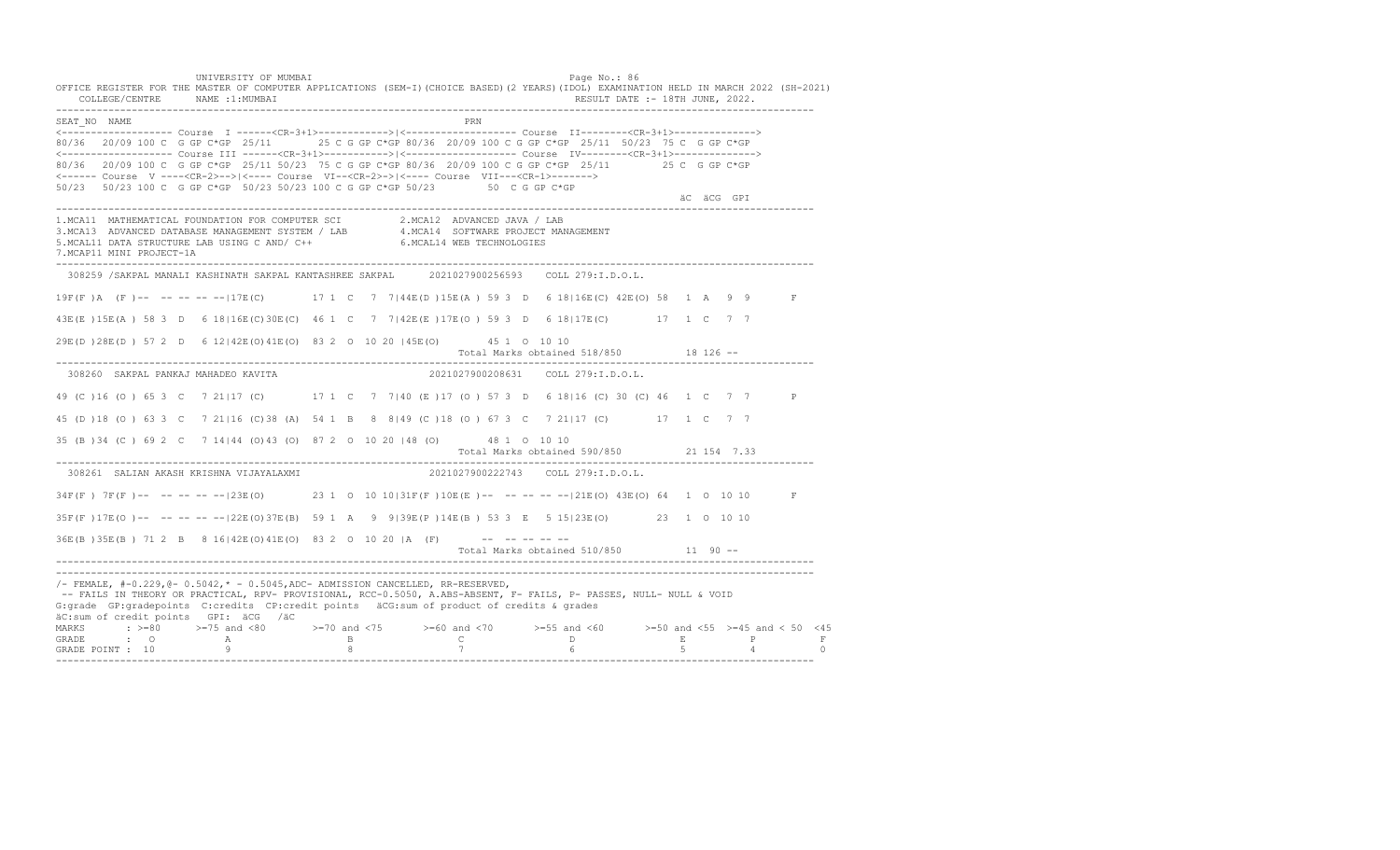UNIVERSITY OF MUMBAI PAGE OF THE PAGE OF THE PAGE OF THE PAGE OF THE PAGE OF THE PAGE OF THE PAGE OF THE PAGE OF THE PAGE OF THE PAGE OF THE PAGE OF THE PAGE OF THE PAGE OF THE PAGE OF THE PAGE OF THE PAGE OF THE PAGE OF T OFFICE REGISTER FOR THE MASTER OF COMPUTER APPLICATIONS (SEM-I)(CHOICE BASED)(2 YEARS)(IDOL) EXAMINATION HELD IN MARCH 2022 (SH-2021) COLLEGE/CENTRE NAME :1:MUMBAI RESULT DATE :- 18TH JUNE, 2022. ---------------------------------------------------------------------------------------------------------------------------------- SEAT\_NO NAME PRN <------------------- Course I ------<CR-3+1>------------>|<------------------- Course II--------<CR-3+1>--------------> 80/36 20/09 100 C G GP C\*GP 25/11 25 C G GP C\*GP 80/36 20/09 100 C G GP C\*GP 25/11 50/23 75 C G GP C\*GP <------------------- Course III ------<CR-3+1>----------->|<------------------- Course IV--------<CR-3+1>--------------> 80/36 20/09 100 C G GP C\*GP 25/11 50/23 75 C G GP C\*GP 80/36 20/09 100 C G GP C\*GP 25/11 25 C G GP C\*GP <------ Course V ----<CR-2>-->|<---- Course VI--<CR-2>->|<---- Course VII---<CR-1>-------> 50/23 50/23 100 C G GP C\*GP 50/23 50/23 100 C G GP C\*GP 50/23 50 C G GP C\*GP äC äCG GPI ---------------------------------------------------------------------------------------------------------------------------------- 1.MCA11 MATHEMATICAL FOUNDATION FOR COMPUTER SCI 2.MCA12 ADVANCED JAVA / LAB 3.MCA13 ADVANCED DATABASE MANAGEMENT SYSTEM / LAB 4.MCA14 SOFTWARE PROJECT MANAGEMENT 5.MCAL11 DATA STRUCTURE LAB USING C AND/ C++ 6.MCAL14 WEB TECHNOLOGIES 7.MCAP11 MINI PROJECT-1A ---------------------------------------------------------------------------------------------------------------------------------- 308259 /SAKPAL MANALI KASHINATH SAKPAL KANTASHREE SAKPAL 2021027900256593 COLL 279:I.D.O.L. 19F(F )A (F )-- -- -- -- --|17E(C) 17 1 C 7 7|44E(D )15E(A ) 59 3 D 6 18|16E(C) 42E(O) 58 1 A 9 9 F 43E(E )15E(A ) 58 3 D 6 18|16E(C)30E(C) 46 1 C 7 7|42E(E )17E(O ) 59 3 D 6 18|17E(C) 17 1 C 7 7 29E(D )28E(D ) 57 2 D 6 12|42E(O)41E(O) 83 2 O 10 20 |45E(O) 45 1 O 10 10 Total Marks obtained 518/850 18 126 ------------------------------------------------------------------------------------------------------------------------------------ 308260 SAKPAL PANKAJ MAHADEO KAVITA 2021027900208631 COLL 279:I.D.O.L. 49 (C )16 (O ) 65 3 C 7 21|17 (C) 17 1 C 7 7|40 (E )17 (O ) 57 3 D 6 18|16 (C) 30 (C) 46 1 C 7 7 P 45 (D )18 (O ) 63 3 C 7 21|16 (C)38 (A) 54 1 B 8 8|49 (C )18 (O ) 67 3 C 7 21|17 (C) 17 1 C 7 7 35 (B )34 (C ) 69 2 C 7 14|44 (O)43 (O) 87 2 O 10 20 |48 (O) 48 1 O 10 10 Total Marks obtained 590/850 21 154 7.33 ---------------------------------------------------------------------------------------------------------------------------------- 308261 SALIAN AKASH KRISHNA VIJAYALAXMI 34F(F) 7F(F)-- -- -- -- -- | 23E(O) 23 1 0 10 10|31F(F) 10E(E)-- -- -- -- -- | 21E(O) 43E(O) 64 1 0 10 10 F 35F(F )17E(O )-- -- -- -- --|22E(O)37E(B) 59 1 A 9 9|39E(P )14E(B ) 53 3 E 5 15|23E(O) 23 1 O 10 10  $36E(B)$   $35E(B)$  71 2 B 8 16 | 42E (O)  $41E(0)$  83 2 0 10 20 | A (F) --------Total Marks obtained 510/850 11 90 ------------------------------------------------------------------------------------------------------------------------------------ ---------------------------------------------------------------------------------------------------------------------------------- /- FEMALE, #-0.229,@- 0.5042,\* - 0.5045,ADC- ADMISSION CANCELLED, RR-RESERVED, -- FAILS IN THEORY OR PRACTICAL, RPV- PROVISIONAL, RCC-0.5050, A.ABS-ABSENT, F- FAILS, P- PASSES, NULL- NULL & VOID G:grade GP:gradepoints C:credits CP:credit points äCG:sum of product of credits & grades äC:sum of credit points GPI: äCG /äC MARKS : >=80 >=75 and <80 >=70 and <75 >=60 and <70 >=55 and <60 >=50 and <55 >=45 and < 50 <45 GRADE : O A B C D E P F GRADE POINT : 10 9 8 7 6 5 4 0 ----------------------------------------------------------------------------------------------------------------------------------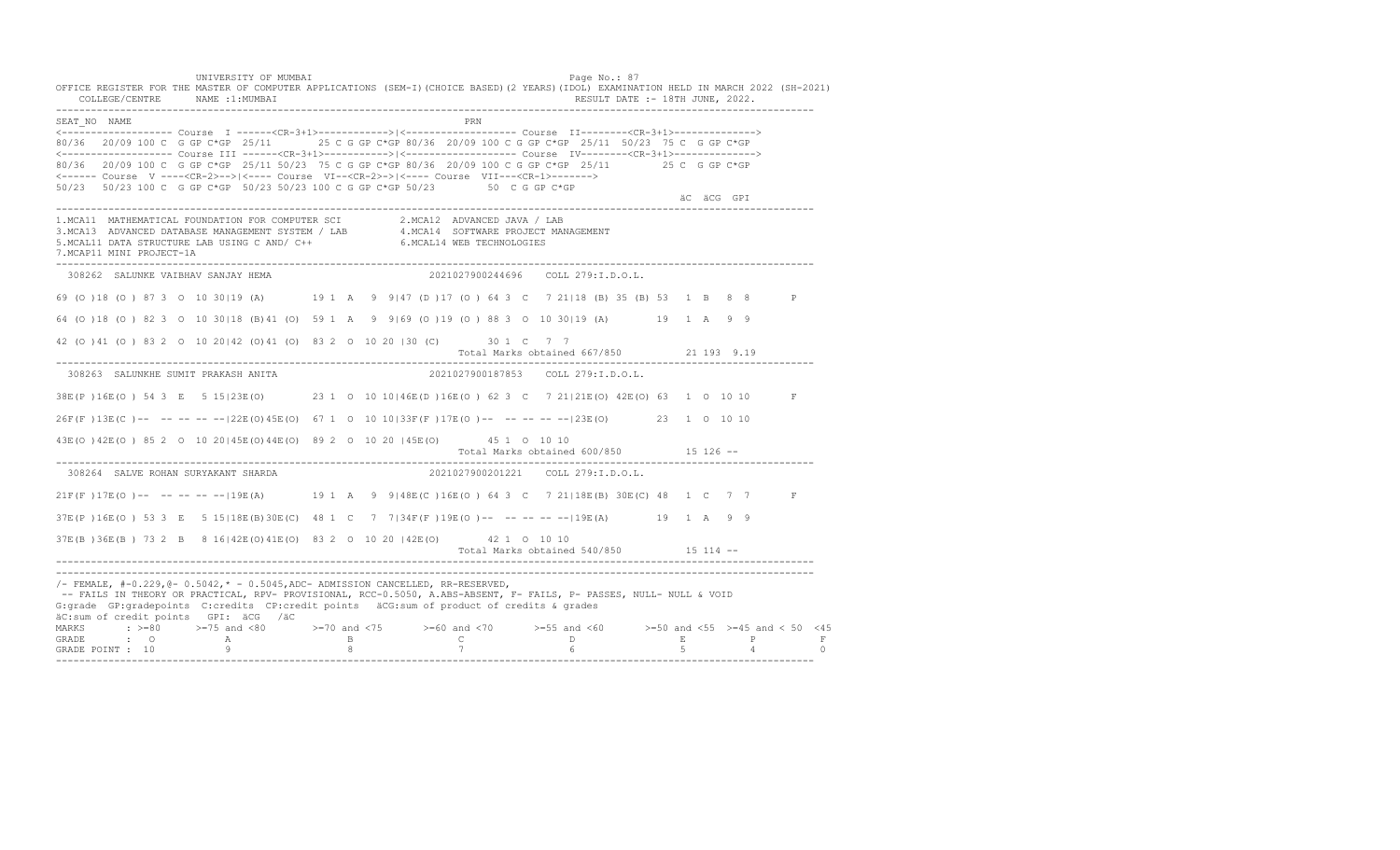UNIVERSITY OF MUMBAI PAGE OF THE PAGE OF THE PAGE OF THE PAGE OF THE PAGE OF THE PAGE OF THE PAGE OF THE PAGE OF THE PAGE OF THE PAGE OF THE PAGE OF THE PAGE OF THE PAGE OF THE PAGE OF THE PAGE OF THE PAGE OF THE PAGE OF T OFFICE REGISTER FOR THE MASTER OF COMPUTER APPLICATIONS (SEM-I)(CHOICE BASED)(2 YEARS)(IDOL) EXAMINATION HELD IN MARCH 2022 (SH-2021) COLLEGE/CENTRE NAME :1:MUMBAI RESULT DATE :- 18TH JUNE, 2022. ---------------------------------------------------------------------------------------------------------------------------------- SEAT\_NO NAME PRN <------------------- Course I ------<CR-3+1>------------>|<------------------- Course II--------<CR-3+1>--------------> 80/36 20/09 100 C G GP C\*GP 25/11 25 C G GP C\*GP 80/36 20/09 100 C G GP C\*GP 25/11 50/23 75 C G GP C\*GP <------------------- Course III ------<CR-3+1>----------->|<------------------- Course IV--------<CR-3+1>--------------> 80/36 20/09 100 C G GP C\*GP 25/11 50/23 75 C G GP C\*GP 80/36 20/09 100 C G GP C\*GP 25/11 25 C G GP C\*GP <------ Course V ----<CR-2>-->|<---- Course VI--<CR-2>->|<---- Course VII---<CR-1>-------> 50/23 50/23 100 C G GP C\*GP 50/23 50/23 100 C G GP C\*GP 50/23 50 C G GP C\*GP äC äCG GPI ---------------------------------------------------------------------------------------------------------------------------------- 1.MCA11 MATHEMATICAL FOUNDATION FOR COMPUTER SCI 2.MCA12 ADVANCED JAVA / LAB<br>3.MCA13 ADVANCED DATABASE MANAGEMENT SYSTEM / LAB 4.MCA14 SOFTWARE PROJECT MANAGEMENT<br>5.MCAL11 DATA STRUCTURE LAB USI 7.MCAP11 MINI PROJECT-1A ---------------------------------------------------------------------------------------------------------------------------------- 308262 SALUNKE VAIBHAV SANJAY HEMA 2021027900244696 COLL 279:I.D.O.L. 69 (O )18 (O ) 87 3 O 10 30|19 (A) 19 1 A 9 9|47 (D )17 (O ) 64 3 C 7 21|18 (B) 35 (B) 53 1 B 8 8 P 64 (O )18 (O ) 82 3 O 10 30|18 (B)41 (O) 59 1 A 9 9|69 (O )19 (O ) 88 3 O 10 30|19 (A) 19 1 A 9 9 42 (O )41 (O ) 83 2 O 10 20|42 (O)41 (O) 83 2 O 10 20 |30 (C) 30 1 C 7 7 Total Marks obtained 667/850 21 193 9.19 ---------------------------------------------------------------------------------------------------------------------------------- 308263 SALUNKHE SUMIT PRAKASH ANITA 2021027900187853 COLL 279:I.D.O.L. 38E(P )16E(O ) 54 3 E 5 15|23E(O) 23 1 O 10 10|46E(D )16E(O ) 62 3 C 7 21|21E(O) 42E(O) 63 1 O 10 10 F 26F(F )13E(C )-- -- -- -- --|22E(O)45E(O) 67 1 O 10 10|33F(F )17E(O )-- -- -- -- --|23E(O) 23 1 O 10 10 43E(O )42E(O ) 85 2 O 10 20|45E(O)44E(O) 89 2 O 10 20 |45E(O) 45 1 O 10 10 Total Marks obtained 600/850 15 126 ------------------------------------------------------------------------------------------------------------------------------------ 308264 SALVE ROHAN SURYAKANT SHARDA 21F(F) 17E(O) -- -- -- -- -- 19E(A) 19 1 A 9 9|48E(C) 16E(O) 64 3 C 7 21|18E(B) 30E(C) 48 1 C 7 7 F 37E(P )16E(O ) 53 3 E 5 15|18E(B)30E(C) 48 1 C 7 7|34F(F )19E(O )-- -- -- -- --|19E(A) 19 1 A 9 9 37E(B )36E(B ) 73 2 B 8 16|42E(O)41E(O) 83 2 O 10 20 |42E(O) 42 1 O 10 10 Total Marks obtained 540/850 15 114 ------------------------------------------------------------------------------------------------------------------------------------ ---------------------------------------------------------------------------------------------------------------------------------- /- FEMALE, #-0.229,@- 0.5042,\* - 0.5045,ADC- ADMISSION CANCELLED, RR-RESERVED, -- FAILS IN THEORY OR PRACTICAL, RPV- PROVISIONAL, RCC-0.5050, A.ABS-ABSENT, F- FAILS, P- PASSES, NULL- NULL & VOID G:grade GP:gradepoints C:credits CP:credit points äCG:sum of product of credits & grades äC:sum of credit points GPI: äCG /äC MARKS : >=80 >=75 and <80 >=70 and <75 >=60 and <70 >=55 and <60 >=50 and <55 >=45 and < 50 <45 GRADE : O A B C D E P F<br>GRADE POINT : 10 9 9 8 7 7 6 5 4 0 ----------------------------------------------------------------------------------------------------------------------------------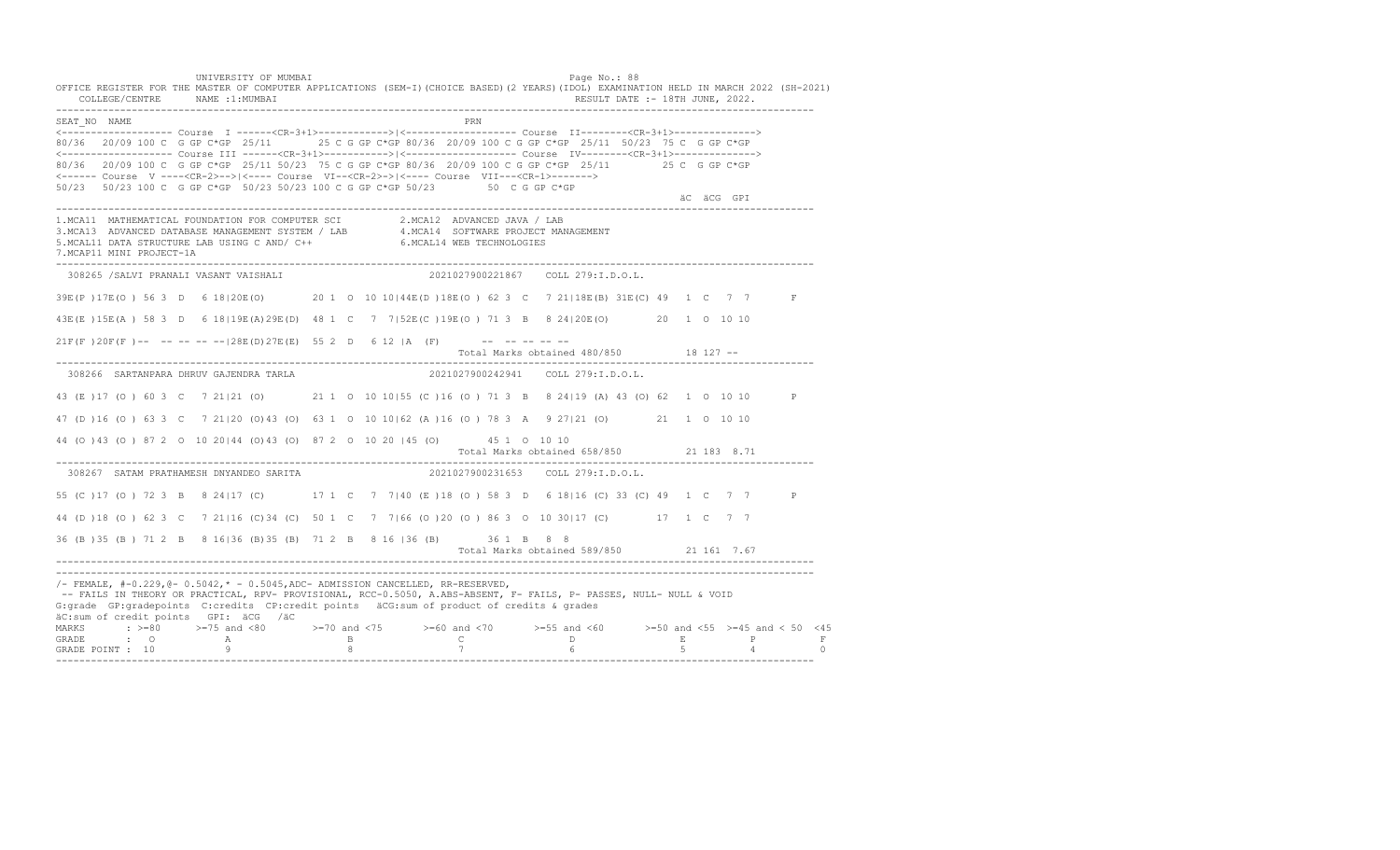UNIVERSITY OF MUMBAI PAGE OF THE PAGE OF THE PAGE OF THE PAGE OF THE PAGE OF THE PAGE OF THE PAGE OF THE PAGE OF THE PAGE OF THE PAGE OF THE PAGE OF THE PAGE OF THE PAGE OF THE PAGE OF THE PAGE OF THE PAGE OF THE PAGE OF T OFFICE REGISTER FOR THE MASTER OF COMPUTER APPLICATIONS (SEM-I)(CHOICE BASED)(2 YEARS)(IDOL) EXAMINATION HELD IN MARCH 2022 (SH-2021) COLLEGE/CENTRE NAME :1:MUMBAI RESULT DATE :- 18TH JUNE, 2022. ---------------------------------------------------------------------------------------------------------------------------------- SEAT\_NO NAME PRN <------------------- Course I ------<CR-3+1>------------>|<------------------- Course II--------<CR-3+1>--------------> 80/36 20/09 100 C G GP C\*GP 25/11 25 C G GP C\*GP 80/36 20/09 100 C G GP C\*GP 25/11 50/23 75 C G GP C\*GP <------------------- Course III ------<CR-3+1>----------->|<------------------- Course IV--------<CR-3+1>--------------> 80/36 20/09 100 C G GP C\*GP 25/11 50/23 75 C G GP C\*GP 80/36 20/09 100 C G GP C\*GP 25/11 25 C G GP C\*GP <------ Course V ----<CR-2>-->|<---- Course VI--<CR-2>->|<---- Course VII---<CR-1>-------> 50/23 50/23 100 C G GP C\*GP 50/23 50/23 100 C G GP C\*GP 50/23 50 C G GP C\*GP äC äCG GPI ---------------------------------------------------------------------------------------------------------------------------------- 1.MCA11 MATHEMATICAL FOUNDATION FOR COMPUTER SCI 2.MCA12 ADVANCED JAVA / LAB<br>3.MCA13 ADVANCED DATABASE MANAGEMENT SYSTEM / LAB 4.MCA14 SOFTWARE PROJECT MANAGEMENT<br>5.MCAL11 DATA STRUCTURE LAB U 7.MCAP11 MINI PROJECT-1A ---------------------------------------------------------------------------------------------------------------------------------- 308265 /SALVI PRANALI VASANT VAISHALI 2021027900221867 COLL 279:I.D.O.L. 39E(P )17E(O ) 56 3 D 6 18|20E(O) 20 1 O 10 10|44E(D )18E(O ) 62 3 C 7 21|18E(B) 31E(C) 49 1 C 7 7 F 43E(E )15E(A ) 58 3 D 6 18|19E(A)29E(D) 48 1 C 7 7|52E(C )19E(O ) 71 3 B 8 24|20E(O) 20 1 O 10 10  $21F(F)20F(F)$  -- -- -- -- --  $|28E(D)27E(E)$  55 2 D 6 12 |A (F) -- -- -- -- --Total Marks obtained 480/850 18 127 ------------------------------------------------------------------------------------------------------------------------------------ 308266 SARTANPARA DHRUV GAJENDRA TARLA 2021027900242941 COLL 279:I.D.O.L. 43 (E )17 (O ) 60 3 C 7 21|21 (O) 21 1 O 10 10|55 (C )16 (O ) 71 3 B 8 24|19 (A) 43 (O) 62 1 O 10 10 P 47 (D )16 (O ) 63 3 C 7 21|20 (O)43 (O) 63 1 O 10 10|62 (A )16 (O ) 78 3 A 9 27|21 (O) 21 1 O 10 10 44 (O )43 (O ) 87 2 O 10 20|44 (O)43 (O) 87 2 O 10 20 |45 (O) 45 1 O 10 10 Total Marks obtained 658/850 21 183 8.71 ---------------------------------------------------------------------------------------------------------------------------------- 308267 SATAM PRATHAMESH DNYANDEO SARITA 55 (C )17 (O ) 72 3 B 8 24|17 (C) 17 1 C 7 7|40 (E )18 (O ) 58 3 D 6 18|16 (C) 33 (C) 49 1 C 7 7 P 44 (D )18 (O ) 62 3 C 7 21|16 (C)34 (C) 50 1 C 7 7|66 (O )20 (O ) 86 3 O 10 30|17 (C) 17 1 C 7 7 36 (B )35 (B ) 71 2 B 8 16|36 (B)35 (B) 71 2 B 8 16 |36 (B) 36 1 B 8 8 Total Marks obtained 589/850 21 161 7.67 ---------------------------------------------------------------------------------------------------------------------------------- ---------------------------------------------------------------------------------------------------------------------------------- /- FEMALE, #-0.229,@- 0.5042,\* - 0.5045,ADC- ADMISSION CANCELLED, RR-RESERVED, -- FAILS IN THEORY OR PRACTICAL, RPV- PROVISIONAL, RCC-0.5050, A.ABS-ABSENT, F- FAILS, P- PASSES, NULL- NULL & VOID G:grade GP:gradepoints C:credits CP:credit points äCG:sum of product of credits & grades äC:sum of credit points GPI: äCG /äC MARKS : >=80 >=75 and <80 >=70 and <75 >=60 and <70 >=55 and <60 >=50 and <55 >=45 and < 50 <45 GRADE : O A B C D E P F GRADE POINT : 10 9 8 7 6 5 4 0 ----------------------------------------------------------------------------------------------------------------------------------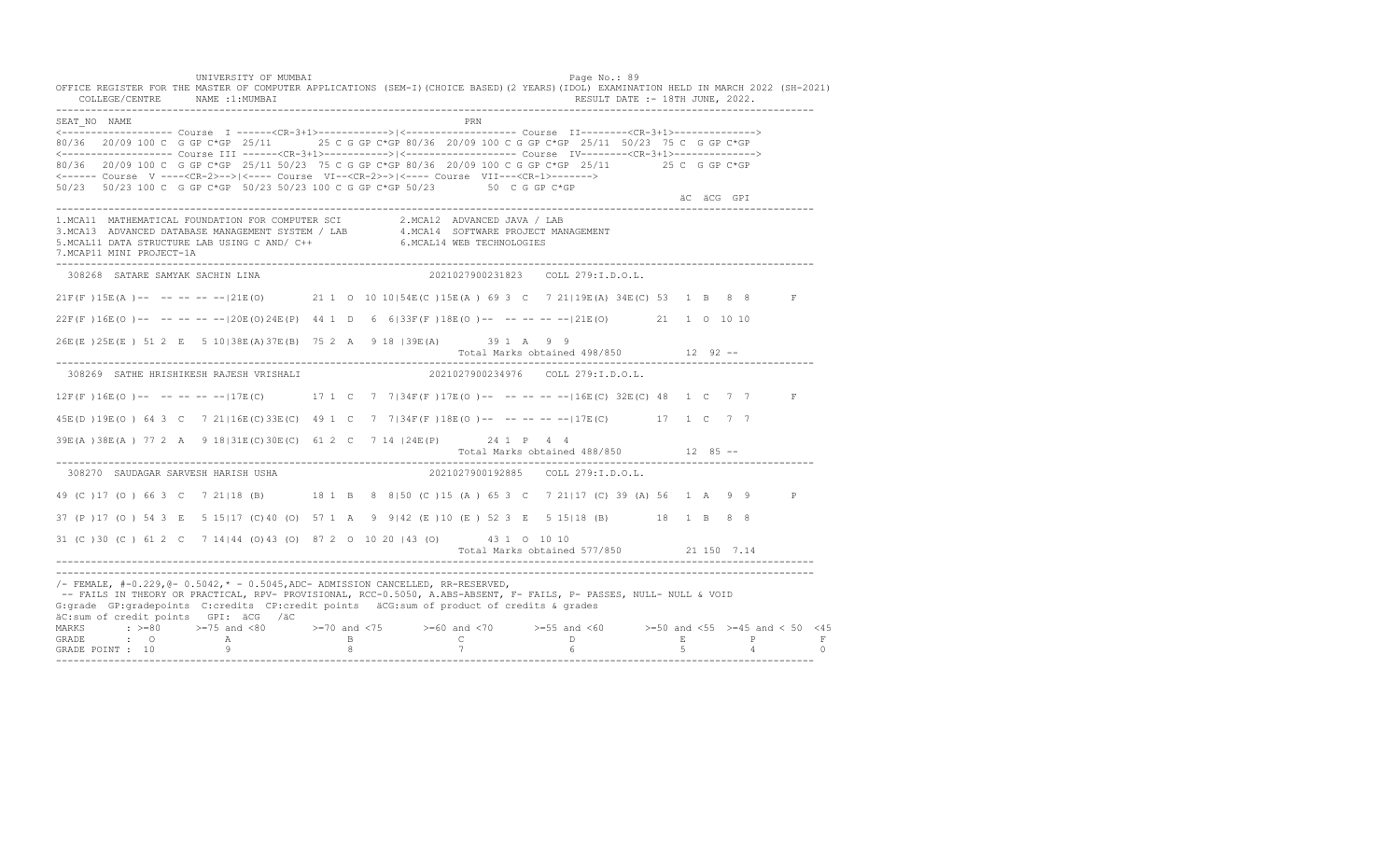UNIVERSITY OF MUMBAI PAGE OF THE PAGE OF THE PAGE OF THE PAGE OF THE PAGE OF THE PAGE OF THE PAGE OF THE PAGE OF THE PAGE OF THE PAGE OF THE PAGE OF THE PAGE OF THE PAGE OF THE PAGE OF THE PAGE OF THE PAGE OF THE PAGE OF T OFFICE REGISTER FOR THE MASTER OF COMPUTER APPLICATIONS (SEM-I)(CHOICE BASED)(2 YEARS)(IDOL) EXAMINATION HELD IN MARCH 2022 (SH-2021) COLLEGE/CENTRE NAME :1:MUMBAI RESULT DATE :- 18TH JUNE, 2022. ---------------------------------------------------------------------------------------------------------------------------------- SEAT\_NO NAME PRIME PRIME PRODUCED A CONTROL IN THE PRIME PRIME PRIME PRIME PRIME PRIME PRIME PRIME PRIME PRIME PRIME PRIME PRIME PRIME PRIME PRIME PRIME PRIME PRIME PRIME PRIME PRIME PRIME PRIME PRIME PRIME PRIME PRIME PRI <------------------- Course I ------<CR-3+1>------------>|<------------------- Course II--------<CR-3+1>--------------> 80/36 20/09 100 C G GP C\*GP 25/11 25 C G GP C\*GP 80/36 20/09 100 C G GP C\*GP 25/11 50/23 75 C G GP C\*GP <------------------- Course III ------<CR-3+1>----------->|<------------------- Course IV--------<CR-3+1>--------------> 80/36 20/09 100 C G GP C\*GP 25/11 50/23 75 C G GP C\*GP 80/36 20/09 100 C G GP C\*GP 25/11 25 C G GP C\*GP <------ Course V ----<CR-2>-->|<---- Course VI--<CR-2>->|<---- Course VII---<CR-1>-------> 50/23 50/23 100 C G GP C\*GP 50/23 50/23 100 C G GP C\*GP 50/23 50 C G GP C\*GP äC äCG GPI ---------------------------------------------------------------------------------------------------------------------------------- 1.MCA11 MATHEMATICAL FOUNDATION FOR COMPUTER SCI 2.MCA12 ADVANCED JAVA / LAB<br>3.MCA13 ADVANCED DATABASE MANAGEMENT SYSTEM / LAB 4.MCA14 SOFTWARE PROJECT MANAGEMENT<br>5.MCAL11 DATA STRUCTURE LAB U 7.MCAP11 MINI PROJECT-1A ---------------------------------------------------------------------------------------------------------------------------------- 308268 SATARE SAMYAK SACHIN LINA 2021027900231823 COLL 279:I.D.O.L. 21F(F )15E(A )-- -- -- -- --|21E(O) 21 1 O 10 10|54E(C )15E(A ) 69 3 C 7 21|19E(A) 34E(C) 53 1 B 8 8 F 22F(F )16E(O )-- -- -- -- --|20E(O)24E(P) 44 1 D 6 6|33F(F )18E(O )-- -- -- -- --|21E(O) 21 1 O 10 10 26E(E )25E(E ) 51 2 E 5 10|38E(A)37E(B) 75 2 A 9 18 |39E(A) 39 1 A 9 9 Total Marks obtained 498/850 12 92 ------------------------------------------------------------------------------------------------------------------------------------ 308269 SATHE HRISHIKESH RAJESH VRISHALI 2021027900234976 COLL 279:I.D.O.L. 12F(F )16E(O )-- -- -- -- --|17E(C) 17 1 C 7 7|34F(F )17E(O )-- -- -- -- --|16E(C) 32E(C) 48 1 C 7 7 F 45E(D )19E(O ) 64 3 C 7 21|16E(C)33E(C) 49 1 C 7 7|34F(F )18E(O )-- -- -- -- --|17E(C) 17 1 C 7 7 39E(A )38E(A ) 77 2 A 9 18|31E(C)30E(C) 61 2 C 7 14 |24E(P) 24 1 P 4 4 Total Marks obtained 488/850 12 85 -- ---------------------------------------------------------------------------------------------------------------------------------- 308270 SAUDAGAR SARVESH HARISH USHA 49 (C )17 (O ) 66 3 C 7 21|18 (B) 18 1 B 8 8|50 (C )15 (A ) 65 3 C 7 21|17 (C) 39 (A) 56 1 A 9 9 P 37 (P )17 (O ) 54 3 E 5 15|17 (C)40 (O) 57 1 A 9 9|42 (E )10 (E ) 52 3 E 5 15|18 (B) 18 1 B 8 8 31 (C )30 (C ) 61 2 C 7 14|44 (O)43 (O) 87 2 O 10 20 |43 (O) 43 1 O 10 10 Total Marks obtained 577/850 21 150 7.14 ---------------------------------------------------------------------------------------------------------------------------------- ---------------------------------------------------------------------------------------------------------------------------------- /- FEMALE, #-0.229,@- 0.5042,\* - 0.5045,ADC- ADMISSION CANCELLED, RR-RESERVED, -- FAILS IN THEORY OR PRACTICAL, RPV- PROVISIONAL, RCC-0.5050, A.ABS-ABSENT, F- FAILS, P- PASSES, NULL- NULL & VOID G:grade GP:gradepoints C:credits CP:credit points äCG:sum of product of credits & grades äC:sum of credit points GPI: äCG /äC MARKS : >=80 >=75 and <80 >=70 and <75 >=60 and <70 >=55 and <60 >=50 and <55 >=45 and < 50 <45 GRADE : O A B C D E P F<br>GRADE POINT : 10 9 9 8 7 7 6 5 4 0 ----------------------------------------------------------------------------------------------------------------------------------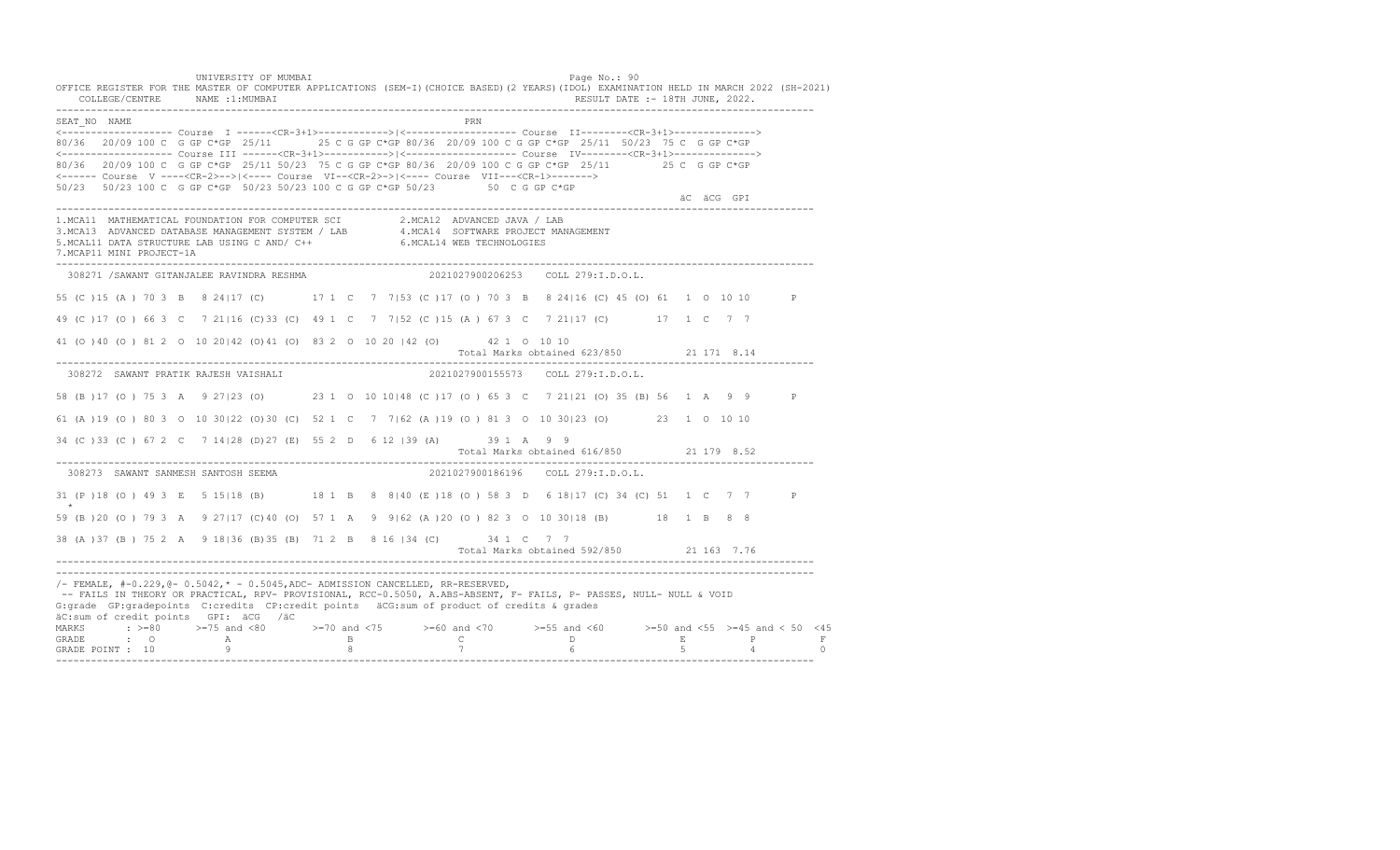UNIVERSITY OF MUMBAI PAGE OF THE PAGE OF THE PAGE OF THE PAGE OF THE PAGE OF THE PAGE OF THE PAGE OF THE PAGE OF THE PAGE OF THE PAGE OF THE PAGE OF THE PAGE OF THE PAGE OF THE PAGE OF THE PAGE OF THE PAGE OF THE PAGE OF T OFFICE REGISTER FOR THE MASTER OF COMPUTER APPLICATIONS (SEM-I)(CHOICE BASED)(2 YEARS)(IDOL) EXAMINATION HELD IN MARCH 2022 (SH-2021) COLLEGE/CENTRE NAME :1:MUMBAI RESULT DATE :- 18TH JUNE, 2022. ---------------------------------------------------------------------------------------------------------------------------------- SEAT\_NO NAME PRN <------------------- Course I ------<CR-3+1>------------>|<------------------- Course II--------<CR-3+1>--------------> 80/36 20/09 100 C G GP C\*GP 25/11 25 C G GP C\*GP 80/36 20/09 100 C G GP C\*GP 25/11 50/23 75 C G GP C\*GP <------------------- Course III ------<CR-3+1>----------->|<------------------- Course IV--------<CR-3+1>--------------> 80/36 20/09 100 C G GP C\*GP 25/11 50/23 75 C G GP C\*GP 80/36 20/09 100 C G GP C\*GP 25/11 25 C G GP C\*GP <------ Course V ----<CR-2>-->|<---- Course VI--<CR-2>->|<---- Course VII---<CR-1>-------> 50/23 50/23 100 C G GP C\*GP 50/23 50/23 100 C G GP C\*GP 50/23 50 C G GP C\*GP äC äCG GPI ---------------------------------------------------------------------------------------------------------------------------------- 1.MCA11 MATHEMATICAL FOUNDATION FOR COMPUTER SCI 2.MCA12 ADVANCED JAVA / LAB<br>3.MCA13 ADVANCED DATABASE MANAGEMENT SYSTEM / LAB 4.MCA14 SOFTWARE PROJECT MANAGEMENT<br>5.MCAL11 DATA STRUCTURE LAB U 7.MCAP11 MINI PROJECT-1A ---------------------------------------------------------------------------------------------------------------------------------- 308271 /SAWANT GITANJALEE RAVINDRA RESHMA 2021027900206253 COLL 279:I.D.O.L. 55 (C )15 (A ) 70 3 B 8 24|17 (C) 17 1 C 7 7|53 (C )17 (O ) 70 3 B 8 24|16 (C) 45 (O) 61 1 O 10 10 P 49 (C )17 (O ) 66 3 C 7 21|16 (C)33 (C) 49 1 C 7 7|52 (C )15 (A ) 67 3 C 7 21|17 (C) 17 1 C 7 7 41 (O )40 (O ) 81 2 O 10 20|42 (O)41 (O) 83 2 O 10 20 |42 (O) 42 1 O 10 10 Total Marks obtained 623/850 21 171 8.14 ---------------------------------------------------------------------------------------------------------------------------------- 308272 SAWANT PRATIK RAJESH VAISHALI 2021027900155573 COLL 279:I.D.O.L. 58 (B )17 (O ) 75 3 A 9 27|23 (O) 23 1 O 10 10|48 (C )17 (O ) 65 3 C 7 21|21 (O) 35 (B) 56 1 A 9 9 P 61 (A )19 (O ) 80 3 O 10 30|22 (O)30 (C) 52 1 C 7 7|62 (A )19 (O ) 81 3 O 10 30|23 (O) 23 1 O 10 10 34 (C )33 (C ) 67 2 C 7 14|28 (D)27 (E) 55 2 D 6 12 |39 (A) 39 1 A 9 9 Total Marks obtained 616/850 21 179 8.52 ---------------------------------------------------------------------------------------------------------------------------------- 308273 SAWANT SANMESH SANTOSH SEEMA 31 (P )18 (O ) 49 3 E 5 15|18 (B) 18 1 B 8 8|40 (E )18 (O ) 58 3 D 6 18|17 (C) 34 (C) 51 1 C 7 7 P \* 59 (B )20 (O ) 79 3 A 9 27|17 (C)40 (O) 57 1 A 9 9|62 (A )20 (O ) 82 3 O 10 30|18 (B) 18 1 B 8 8 38 (A )37 (B ) 75 2 A 9 18|36 (B)35 (B) 71 2 B 8 16 |34 (C) 34 1 C 7 7 Total Marks obtained 592/850 21 163 7.76 ---------------------------------------------------------------------------------------------------------------------------------- ---------------------------------------------------------------------------------------------------------------------------------- /- FEMALE, #-0.229,@- 0.5042,\* - 0.5045,ADC- ADMISSION CANCELLED, RR-RESERVED, -- FAILS IN THEORY OR PRACTICAL, RPV- PROVISIONAL, RCC-0.5050, A.ABS-ABSENT, F- FAILS, P- PASSES, NULL- NULL & VOID G:grade GP:gradepoints C:credits CP:credit points äCG:sum of product of credits & grades äC:sum of credit points GPI: äCG /äC MARKS : >=80 >=75 and <80 >=70 and <75 >=60 and <70 >=55 and <60 >=50 and <55 >=45 and < 50 <45 GRADE : O A B C D E P F<br>GRADE POINT : 10 9 9 8 7 7 6 5 4 0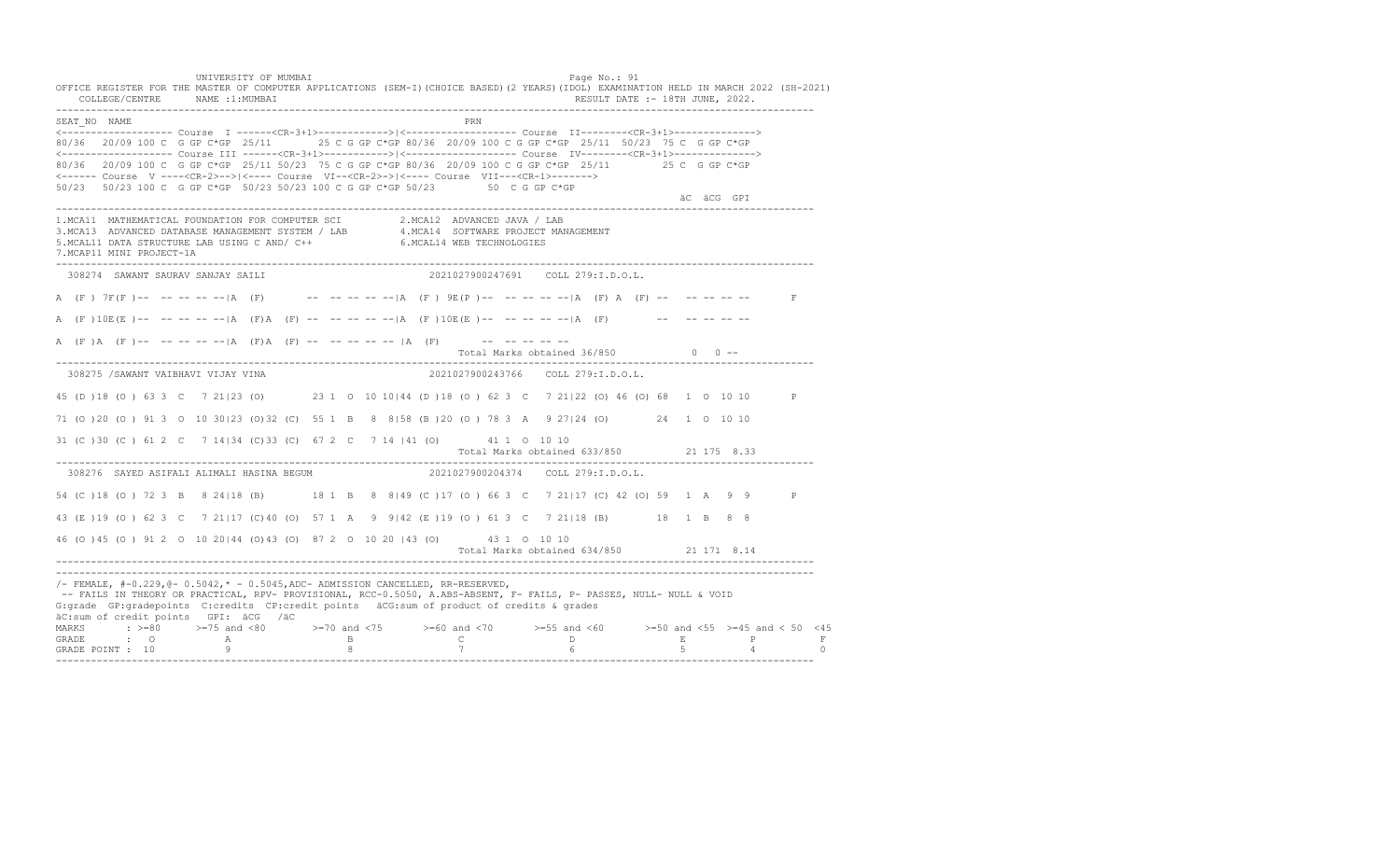UNIVERSITY OF MUMBAI PAGE OF THE PAGE OF THE PAGE OF THE PAGE OF THE PAGE OF THE PAGE OF THE PAGE OF THE PAGE OF THE PAGE OF THE PAGE OF THE PAGE OF THE PAGE OF THE PAGE OF THE PAGE OF THE PAGE OF THE PAGE OF THE PAGE OF T OFFICE REGISTER FOR THE MASTER OF COMPUTER APPLICATIONS (SEM-I)(CHOICE BASED)(2 YEARS)(IDOL) EXAMINATION HELD IN MARCH 2022 (SH-2021) COLLEGE/CENTRE NAME :1:MUMBAI RESULT DATE :- 18TH JUNE, 2022. ---------------------------------------------------------------------------------------------------------------------------------- SEAT\_NO NAME PRN <------------------- Course I ------<CR-3+1>------------>|<------------------- Course II--------<CR-3+1>--------------> 80/36 20/09 100 C G GP C\*GP 25/11 25 C G GP C\*GP 80/36 20/09 100 C G GP C\*GP 25/11 50/23 75 C G GP C\*GP <------------------- Course III ------<CR-3+1>----------->|<------------------- Course IV--------<CR-3+1>--------------> 80/36 20/09 100 C G GP C\*GP 25/11 50/23 75 C G GP C\*GP 80/36 20/09 100 C G GP C\*GP 25/11 25 C G GP C\*GP <------ Course V ----<CR-2>-->|<---- Course VI--<CR-2>->|<---- Course VII---<CR-1>-------> 50/23 50/23 100 C G GP C\*GP 50/23 50/23 100 C G GP C\*GP 50/23 50 C G GP C\*GP äC äCG GPI ---------------------------------------------------------------------------------------------------------------------------------- 1.MCA11 MATHEMATICAL FOUNDATION FOR COMPUTER SCI 2.MCA12 ADVANCED JAVA / LAB 3.MCA13 ADVANCED DATABASE MANAGEMENT SYSTEM / LAB 4.MCA14 SOFTWARE PROJECT MANAGEMENT 5.MCAL11 DATA STRUCTURE LAB USING C AND/ C++ 6.MCAL14 WEB TECHNOLOGIES 7.MCAP11 MINI PROJECT-1A ---------------------------------------------------------------------------------------------------------------------------------- 308274 SAWANT SAURAV SANJAY SAILI 2021027900247691 COLL 279:I.D.O.L. A (F) 7F(F)-- -- -- -- -- |A (F) -- -- -- -- -- |A (F) 9E(P)-- -- -- -- -- |A (F) A (F) -- -- -- -- -- -- F A  $(F) 10E(E)$ -- -- -- -- -- |A  $(F)$ A  $(F)$  -- -- -- -- -- |A  $(F) 10E(E)$ -- -- -- -- -- |A  $(F)$  -- -- -- -- -- --A (F)A (F)-- -- -- -- -- |A (F)A (F) -- -- -- -- -- |A (F) -- -- -- -- -- -- --Total Marks obtained  $36/850$  0 ------------------------------------------------------------------------------------------------------------------------------------ 308275 /SAWANT VAIBHAVI VIJAY VINA 2021027900243766 COLL 279:I.D.O.L. 45 (D )18 (O ) 63 3 C 7 21|23 (O) 23 1 O 10 10|44 (D )18 (O ) 62 3 C 7 21|22 (O) 46 (O) 68 1 O 10 10 P 71 (O )20 (O ) 91 3 O 10 30|23 (O)32 (C) 55 1 B 8 8|58 (B )20 (O ) 78 3 A 9 27|24 (O) 24 1 O 10 10 31 (C )30 (C ) 61 2 C 7 14|34 (C)33 (C) 67 2 C 7 14 |41 (O) 41 1 O 10 10 Total Marks obtained 633/850 21 175 8.33 ---------------------------------------------------------------------------------------------------------------------------------- 308276 SAYED ASIFALI ALIMALI HASINA BEGUM 54 (C ) 18 (O ) 72 3 B 8 24 | 18 (B) 18 1 B 8 8 | 49 (C ) 17 (O ) 66 3 C 7 21 | 17 (C) 42 (O) 59 1 A 9 9 P 43 (E )19 (O ) 62 3 C 7 21|17 (C)40 (O) 57 1 A 9 9|42 (E )19 (O ) 61 3 C 7 21|18 (B) 18 1 B 8 8 46 (O )45 (O ) 91 2 O 10 20|44 (O)43 (O) 87 2 O 10 20 |43 (O) 43 1 O 10 10 Total Marks obtained 634/850 21 171 8.14 ---------------------------------------------------------------------------------------------------------------------------------- ---------------------------------------------------------------------------------------------------------------------------------- /- FEMALE, #-0.229,@- 0.5042,\* - 0.5045,ADC- ADMISSION CANCELLED, RR-RESERVED, -- FAILS IN THEORY OR PRACTICAL, RPV- PROVISIONAL, RCC-0.5050, A.ABS-ABSENT, F- FAILS, P- PASSES, NULL- NULL & VOID G:grade GP:gradepoints C:credits CP:credit points äCG:sum of product of credits & grades äC:sum of credit points GPI: äCG /äC MARKS : >=80 >=75 and <80 >=70 and <75 >=60 and <70 >=55 and <60 >=50 and <55 >=45 and < 50 <45 GRADE : O A B C D E P F GRADE POINT : 10 9 8 7 6 5 4 0 ----------------------------------------------------------------------------------------------------------------------------------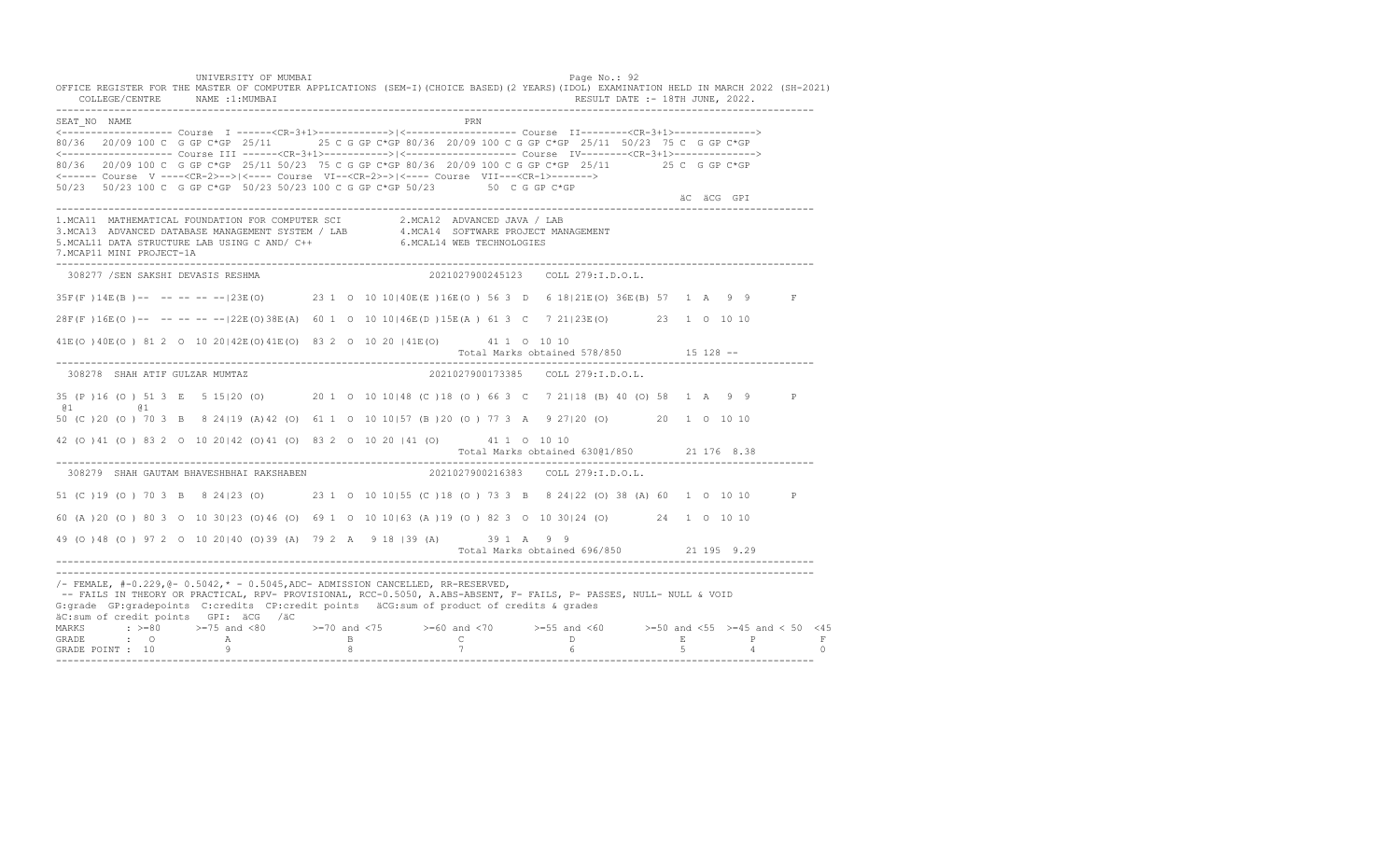UNIVERSITY OF MUMBAI PAGE OF A SALE OF A SALE OF A SALE OF A SALE OF A SALE OF A SALE OF A SALE OF A SALE OF A OFFICE REGISTER FOR THE MASTER OF COMPUTER APPLICATIONS (SEM-I)(CHOICE BASED)(2 YEARS)(IDOL) EXAMINATION HELD IN MARCH 2022 (SH-2021) COLLEGE/CENTRE NAME :1:MUMBAI RESULT DATE :- 18TH JUNE, 2022. ---------------------------------------------------------------------------------------------------------------------------------- SEAT\_NO NAME PRN <------------------- Course I ------<CR-3+1>------------>|<------------------- Course II--------<CR-3+1>--------------> 80/36 20/09 100 C G GP C\*GP 25/11 25 C G GP C\*GP 80/36 20/09 100 C G GP C\*GP 25/11 50/23 75 C G GP C\*GP <------------------- Course III ------<CR-3+1>----------->|<------------------- Course IV--------<CR-3+1>--------------> 80/36 20/09 100 C G GP C\*GP 25/11 50/23 75 C G GP C\*GP 80/36 20/09 100 C G GP C\*GP 25/11 25 C G GP C\*GP <------ Course V ----<CR-2>-->|<---- Course VI--<CR-2>->|<---- Course VII---<CR-1>-------> 50/23 50/23 100 C G GP C\*GP 50/23 50/23 100 C G GP C\*GP 50/23 50 C G GP C\*GP äC äCG GPI ---------------------------------------------------------------------------------------------------------------------------------- 1.MCA11 MATHEMATICAL FOUNDATION FOR COMPUTER SCI 2.MCA12 ADVANCED JAVA / LAB 3.MCA13 ADVANCED DATABASE MANAGEMENT SYSTEM / LAB 4.MCA14 SOFTWARE PROJECT MANAGEMENT 5.MCAL11 DATA STRUCTURE LAB USING C AND/ C++ 6.MCAL14 WEB TECHNOLOGIES 7.MCAP11 MINI PROJECT-1A ---------------------------------------------------------------------------------------------------------------------------------- 308277 /SEN SAKSHI DEVASIS RESHMA 2021027900245123 COLL 279:I.D.O.L. 35F(F )14E(B )-- -- -- -- --|23E(O) 23 1 O 10 10|40E(E )16E(O ) 56 3 D 6 18|21E(O) 36E(B) 57 1 A 9 9 F 28F(F )16E(O )-- -- -- -- --|22E(O)38E(A) 60 1 O 10 10|46E(D )15E(A ) 61 3 C 7 21|23E(O) 23 1 O 10 10 41E(O )40E(O ) 81 2 O 10 20|42E(O)41E(O) 83 2 O 10 20 |41E(O) 41 1 O 10 10 Total Marks obtained 578/850 15 128 -- ---------------------------------------------------------------------------------------------------------------------------------- 308278 SHAH ATIF GULZAR MUMTAZ 2021027900173385 COLL 279:I.D.O.L. 35 (P )16 (O ) 51 3 E 5 15|20 (O) 20 1 O 10 10|48 (C )18 (O ) 66 3 C 7 21|18 (B) 40 (O) 58 1 A 9 9 P @1 @1 50 (C )20 (O ) 70 3 B 8 24|19 (A)42 (O) 61 1 O 10 10|57 (B )20 (O ) 77 3 A 9 27|20 (O) 20 1 O 10 10 42 (O )41 (O ) 83 2 O 10 20|42 (O)41 (O) 83 2 O 10 20 |41 (O) 41 1 O 10 10 Total Marks obtained 630@1/850 21 176 8.38 ---------------------------------------------------------------------------------------------------------------------------------- 308279 SHAH GAUTAM BHAVESHBHAI RAKSHABEN 51 (C )19 (O ) 70 3 B 8 24|23 (O) 23 1 O 10 10|55 (C )18 (O ) 73 3 B 8 24|22 (O) 38 (A) 60 1 O 10 10 P 60 (A )20 (O ) 80 3 O 10 30|23 (O)46 (O) 69 1 O 10 10|63 (A )19 (O ) 82 3 O 10 30|24 (O) 24 1 O 10 10 49 (O )48 (O ) 97 2 O 10 20|40 (O)39 (A) 79 2 A 9 18 |39 (A) 39 1 A 9 9 Total Marks obtained 696/850 21 195 9.29 ---------------------------------------------------------------------------------------------------------------------------------- ---------------------------------------------------------------------------------------------------------------------------------- /- FEMALE, #-0.229,@- 0.5042,\* - 0.5045,ADC- ADMISSION CANCELLED, RR-RESERVED, -- FAILS IN THEORY OR PRACTICAL, RPV- PROVISIONAL, RCC-0.5050, A.ABS-ABSENT, F- FAILS, P- PASSES, NULL- NULL & VOID G:grade GP:gradepoints C:credits CP:credit points äCG:sum of product of credits & grades äC:sum of credit points GPI: äCG /äC MARKS : >=80 >=75 and <80 >=70 and <75 >=60 and <70 >=55 and <60 >=50 and <55 >=45 and < 50 <45 GRADE : O A B C D E P F GRADE POINT : 10 9 8 7 6 5 4 0 ----------------------------------------------------------------------------------------------------------------------------------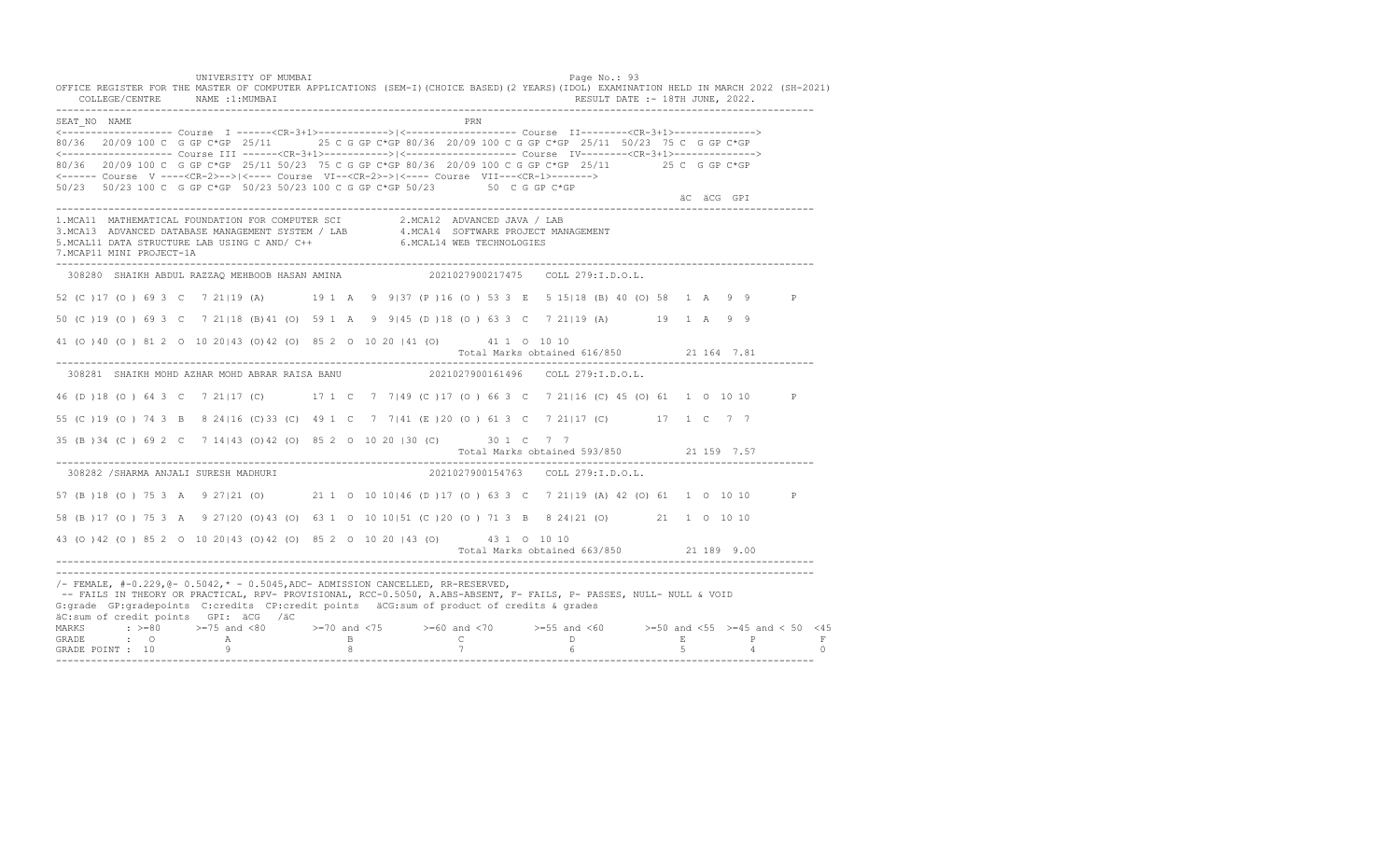UNIVERSITY OF MUMBAI PAGE OF THE PAGE OF THE PAGE OF THE PAGE OF THE PAGE OF THE PAGE OF THE PAGE OF THE PAGE OF THE PAGE OF THE PAGE OF THE PAGE OF THE PAGE OF THE PAGE OF THE PAGE OF THE PAGE OF THE PAGE OF THE PAGE OF T OFFICE REGISTER FOR THE MASTER OF COMPUTER APPLICATIONS (SEM-I)(CHOICE BASED)(2 YEARS)(IDOL) EXAMINATION HELD IN MARCH 2022 (SH-2021) COLLEGE/CENTRE NAME :1:MUMBAI RESULT DATE :- 18TH JUNE, 2022. ---------------------------------------------------------------------------------------------------------------------------------- SEAT\_NO NAME PRN <------------------- Course I ------<CR-3+1>------------>|<------------------- Course II--------<CR-3+1>--------------> 80/36 20/09 100 C G GP C\*GP 25/11 25 C G GP C\*GP 80/36 20/09 100 C G GP C\*GP 25/11 50/23 75 C G GP C\*GP <------------------- Course III ------<CR-3+1>----------->|<------------------- Course IV--------<CR-3+1>--------------> 80/36 20/09 100 C G GP C\*GP 25/11 50/23 75 C G GP C\*GP 80/36 20/09 100 C G GP C\*GP 25/11 25 C G GP C\*GP <------ Course V ----<CR-2>-->|<---- Course VI--<CR-2>->|<---- Course VII---<CR-1>-------> 50/23 50/23 100 C G GP C\*GP 50/23 50/23 100 C G GP C\*GP 50/23 50 C G GP C\*GP äC äCG GPI ---------------------------------------------------------------------------------------------------------------------------------- 1.MCA11 MATHEMATICAL FOUNDATION FOR COMPUTER SCI 2.MCA12 ADVANCED JAVA / LAB<br>3.MCA13 ADVANCED DATABASE MANAGEMENT SYSTEM / LAB 4.MCA14 SOFTWARE PROJECT MANAGEMENT<br>5.MCAL11 DATA STRUCTURE LAB U 7.MCAP11 MINI PROJECT-1A ---------------------------------------------------------------------------------------------------------------------------------- 308280 SHAIKH ABDUL RAZZAQ MEHBOOB HASAN AMINA 2021027900217475 COLL 279:I.D.O.L. 52 (C )17 (O ) 69 3 C 7 21|19 (A) 19 1 A 9 9|37 (P )16 (O ) 53 3 E 5 15|18 (B) 40 (O) 58 1 A 9 9 P 50 (C )19 (O ) 69 3 C 7 21|18 (B)41 (O) 59 1 A 9 9|45 (D )18 (O ) 63 3 C 7 21|19 (A) 19 1 A 9 9 41 (O )40 (O ) 81 2 O 10 20|43 (O)42 (O) 85 2 O 10 20 |41 (O) 41 1 O 10 10 Total Marks obtained 616/850 21 164 7.81 ---------------------------------------------------------------------------------------------------------------------------------- 308281 SHAIKH MOHD AZHAR MOHD ABRAR RAISA BANU 2021027900161496 COLL 279:I.D.O.L. 46 (D )18 (O ) 64 3 C 7 21|17 (C) 17 1 C 7 7|49 (C )17 (O ) 66 3 C 7 21|16 (C) 45 (O) 61 1 O 10 10 P 55 (C )19 (O ) 74 3 B 8 24|16 (C)33 (C) 49 1 C 7 7|41 (E )20 (O ) 61 3 C 7 21|17 (C) 17 1 C 7 7 35 (B )34 (C ) 69 2 C 7 14|43 (O)42 (O) 85 2 O 10 20 |30 (C) 30 1 C 7 7 Total Marks obtained 593/850 21 159 7.57 ---------------------------------------------------------------------------------------------------------------------------------- 308282 /SHARMA ANJALI SURESH MADHURI 57 (B )18 (O ) 75 3 A 9 27|21 (O) 21 1 O 10 10|46 (D )17 (O ) 63 3 C 7 21|19 (A) 42 (O) 61 1 O 10 10 P 58 (B )17 (O ) 75 3 A 9 27|20 (O)43 (O) 63 1 O 10 10|51 (C )20 (O ) 71 3 B 8 24|21 (O) 21 1 O 10 10 43 (O )42 (O ) 85 2 O 10 20|43 (O)42 (O) 85 2 O 10 20 |43 (O) 43 1 O 10 10 Total Marks obtained 663/850 21 189 9.00 ---------------------------------------------------------------------------------------------------------------------------------- ---------------------------------------------------------------------------------------------------------------------------------- /- FEMALE, #-0.229,@- 0.5042,\* - 0.5045,ADC- ADMISSION CANCELLED, RR-RESERVED, -- FAILS IN THEORY OR PRACTICAL, RPV- PROVISIONAL, RCC-0.5050, A.ABS-ABSENT, F- FAILS, P- PASSES, NULL- NULL & VOID G:grade GP:gradepoints C:credits CP:credit points äCG:sum of product of credits & grades äC:sum of credit points GPI: äCG /äC MARKS : >=80 >=75 and <80 >=70 and <75 >=60 and <70 >=55 and <60 >=50 and <55 >=45 and < 50 <45 GRADE : O A B C D E P F<br>GRADE POINT : 10 9 9 8 7 7 6 5 4 0 ----------------------------------------------------------------------------------------------------------------------------------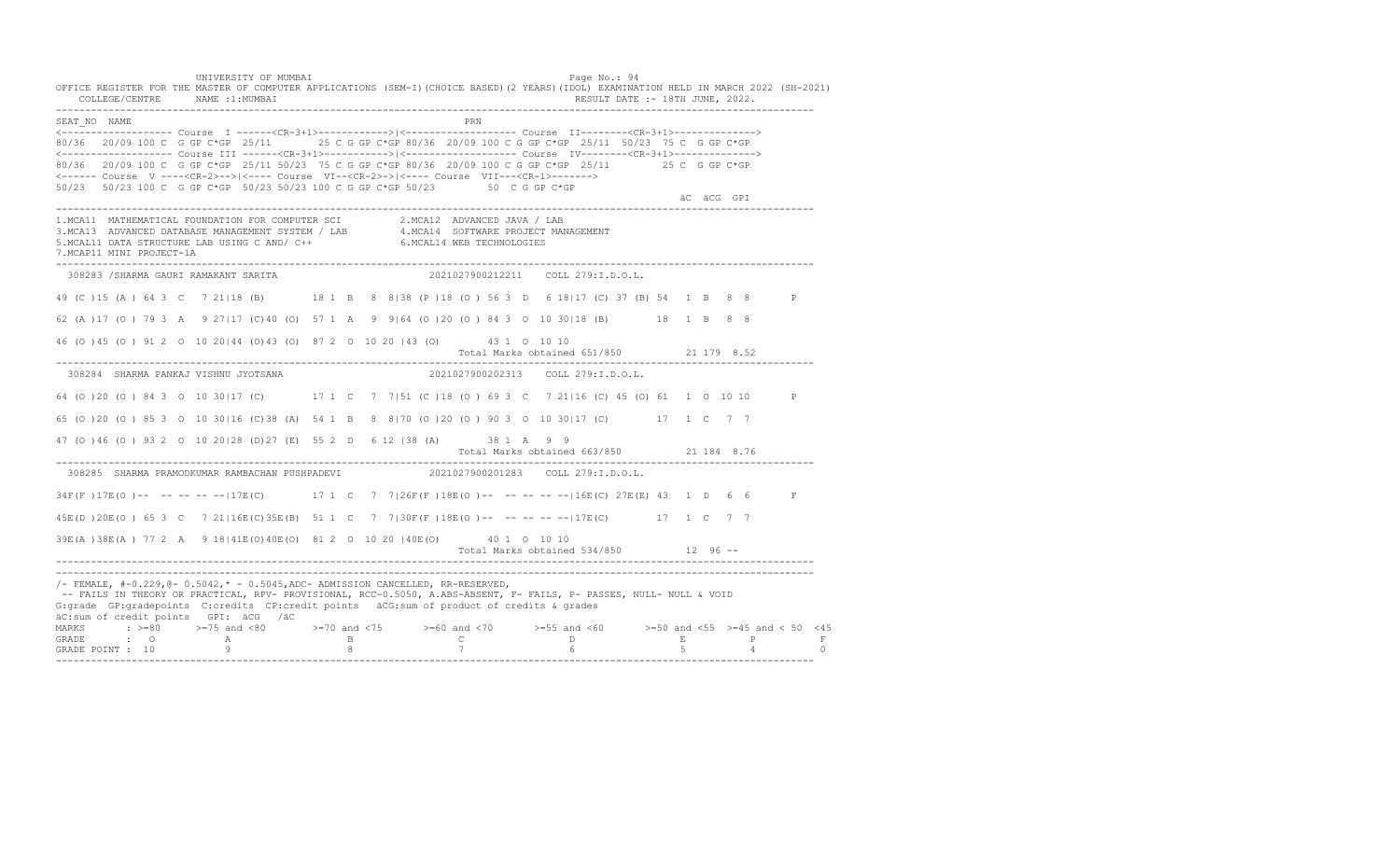UNIVERSITY OF MUMBAI PAGE OF THE PAGE OF THE PAGE OF THE PAGE OF THE PAGE OF THE PAGE OF THE PAGE OF THE PAGE OF THE PAGE OF THE PAGE OF THE PAGE OF THE PAGE OF THE PAGE OF THE PAGE OF THE PAGE OF THE PAGE OF THE PAGE OF T OFFICE REGISTER FOR THE MASTER OF COMPUTER APPLICATIONS (SEM-I)(CHOICE BASED)(2 YEARS)(IDOL) EXAMINATION HELD IN MARCH 2022 (SH-2021) COLLEGE/CENTRE NAME :1:MUMBAI RESULT DATE :- 18TH JUNE, 2022. ---------------------------------------------------------------------------------------------------------------------------------- SEAT\_NO NAME PRN <------------------- Course I ------<CR-3+1>------------>|<------------------- Course II--------<CR-3+1>--------------> 80/36 20/09 100 C G GP C\*GP 25/11 25 C G GP C\*GP 80/36 20/09 100 C G GP C\*GP 25/11 50/23 75 C G GP C\*GP <------------------- Course III ------<CR-3+1>----------->|<------------------- Course IV--------<CR-3+1>--------------> 80/36 20/09 100 C G GP C\*GP 25/11 50/23 75 C G GP C\*GP 80/36 20/09 100 C G GP C\*GP 25/11 25 C G GP C\*GP <------ Course V ----<CR-2>-->|<---- Course VI--<CR-2>->|<---- Course VII---<CR-1>-------> 50/23 50/23 100 C G GP C\*GP 50/23 50/23 100 C G GP C\*GP 50/23 50 C G GP C\*GP äC äCG GPI ---------------------------------------------------------------------------------------------------------------------------------- 1.MCA11 MATHEMATICAL FOUNDATION FOR COMPUTER SCI 2.MCA12 ADVANCED JAVA / LAB<br>3.MCA13 ADVANCED DATABASE MANAGEMENT SYSTEM / LAB 4.MCA14 SOFTWARE PROJECT MANAGEMENT<br>5.MCAL11 DATA STRUCTURE LAB U 7.MCAP11 MINI PROJECT-1A ---------------------------------------------------------------------------------------------------------------------------------- 308283 /SHARMA GAURI RAMAKANT SARITA 2021027900212211 COLL 279:I.D.O.L. 49 (C )15 (A ) 64 3 C 7 21|18 (B) 18 1 B 8 8|38 (P )18 (O ) 56 3 D 6 18|17 (C) 37 (B) 54 1 B 8 8 P 62 (A )17 (O ) 79 3 A 9 27|17 (C)40 (O) 57 1 A 9 9|64 (O )20 (O ) 84 3 O 10 30|18 (B) 18 1 B 8 8 46 (O )45 (O ) 91 2 O 10 20|44 (O)43 (O) 87 2 O 10 20 |43 (O) 43 1 O 10 10 Total Marks obtained 651/850 21 179 8.52 ---------------------------------------------------------------------------------------------------------------------------------- 308284 SHARMA PANKAJ VISHNU JYOTSANA 2021027900202313 COLL 279:I.D.O.L. 64 (O )20 (O ) 84 3 O 10 30|17 (C) 17 1 C 7 7|51 (C )18 (O ) 69 3 C 7 21|16 (C) 45 (O) 61 1 O 10 10 P 65 (O )20 (O ) 85 3 O 10 30|16 (C)38 (A) 54 1 B 8 8|70 (O )20 (O ) 90 3 O 10 30|17 (C) 17 1 C 7 7 47 (O )46 (O ) 93 2 O 10 20|28 (D)27 (E) 55 2 D 6 12 |38 (A) 38 1 A 9 9 Total Marks obtained 663/850 21 184 8.76 ---------------------------------------------------------------------------------------------------------------------------------- 308285 SHARMA PRAMODKUMAR RAMBACHAN PUSHPADEVI 2021027900201283 COLL 279:I.D.O.L. 34F(F)17E(O)-- -- -- -- --|17E(C) 17 1 C 7 7|26F(F)18E(O)-- -- -- -----|16E(C) 27E(E) 43 1 D 6 6 F 45E(D )20E(O ) 65 3 C 7 21|16E(C)35E(B) 51 1 C 7 7|30F(F )18E(O )-- -- -- -- --|17E(C) 17 1 C 7 7 39E(A )38E(A ) 77 2 A 9 18|41E(O)40E(O) 81 2 O 10 20 |40E(O) 40 1 O 10 10 Total Marks obtained 534/850 12 96 ------------------------------------------------------------------------------------------------------------------------------------ ---------------------------------------------------------------------------------------------------------------------------------- /- FEMALE, #-0.229,@- 0.5042,\* - 0.5045,ADC- ADMISSION CANCELLED, RR-RESERVED, -- FAILS IN THEORY OR PRACTICAL, RPV- PROVISIONAL, RCC-0.5050, A.ABS-ABSENT, F- FAILS, P- PASSES, NULL- NULL & VOID G:grade GP:gradepoints C:credits CP:credit points äCG:sum of product of credits & grades äC:sum of credit points GPI: äCG /äC MARKS : >=80 >=75 and <80 >=70 and <75 >=60 and <70 >=55 and <60 >=50 and <55 >=45 and < 50 <45 GRADE : O A B C D E P F GRADE POINT : 10 9 8 7 6 5 4 0 ----------------------------------------------------------------------------------------------------------------------------------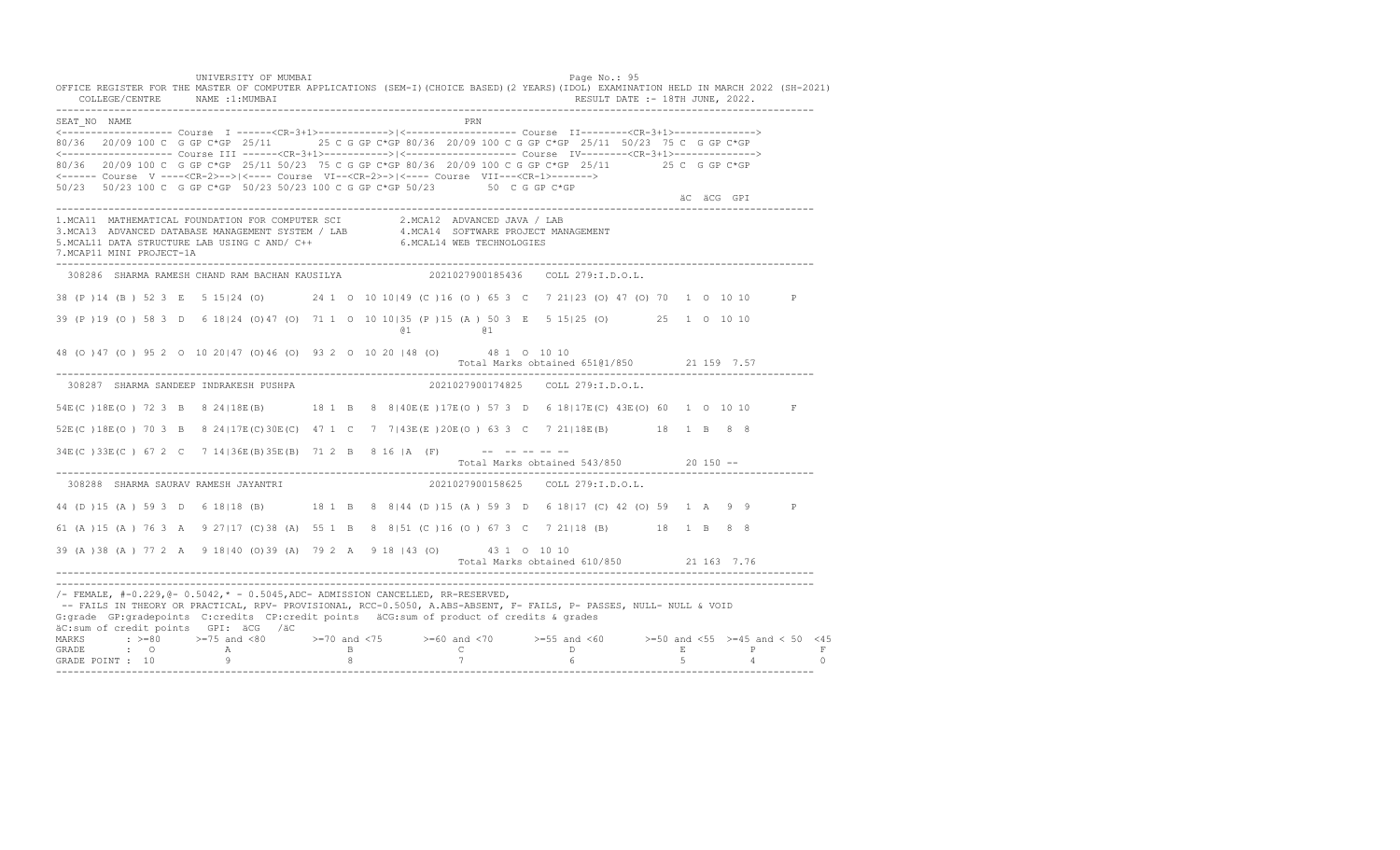UNIVERSITY OF MUMBAI PAGE OF THE PAGE OF THE PAGE OF THE PAGE OF THE PAGE OF THE PAGE OF THE PAGE OF THE PAGE OF THE PAGE OF THE PAGE OF THE PAGE OF THE PAGE OF THE PAGE OF THE PAGE OF THE PAGE OF THE PAGE OF THE PAGE OF T OFFICE REGISTER FOR THE MASTER OF COMPUTER APPLICATIONS (SEM-I)(CHOICE BASED)(2 YEARS)(IDOL) EXAMINATION HELD IN MARCH 2022 (SH-2021) COLLEGE/CENTRE NAME :1:MUMBAI RESULT DATE :- 18TH JUNE, 2022. ---------------------------------------------------------------------------------------------------------------------------------- SEAT\_NO NAME PRIMAGE PRODUCED IN THE PRODUCED SEAT NO PRIMAGE PRIMAGE PRIMAGE PRIMAGE PRIMAGE PRIMAGE PRIMAGE PRIMAGE PRIMAGE PRIMAGE PRIMAGE PRIMAGE PRIMAGE PRIMAGE PRIMAGE PRIMAGE PRIMAGE PRIMAGE PRIMAGE PRIMAGE PRIMAGE <------------------- Course I ------<CR-3+1>------------>|<------------------- Course II--------<CR-3+1>--------------> 80/36 20/09 100 C G GP C\*GP 25/11 25 C G GP C\*GP 80/36 20/09 100 C G GP C\*GP 25/11 50/23 75 C G GP C\*GP <------------------- Course III ------<CR-3+1>----------->|<------------------- Course IV--------<CR-3+1>--------------> 80/36 20/09 100 C G GP C\*GP 25/11 50/23 75 C G GP C\*GP 80/36 20/09 100 C G GP C\*GP 25/11 25 C G GP C\*GP <------ Course V ----<CR-2>-->|<---- Course VI--<CR-2>->|<---- Course VII---<CR-1>-------> 50/23 50/23 100 C G GP C\*GP 50/23 50/23 100 C G GP C\*GP 50/23 50 C G GP C\*GP äC äCG GPI ---------------------------------------------------------------------------------------------------------------------------------- 1.MCA11 MATHEMATICAL FOUNDATION FOR COMPUTER SCI 2.MCA12 ADVANCED JAVA / LAB<br>3.MCA13 ADVANCED DATABASE MANAGEMENT SYSTEM / LAB 4.MCA14 SOFTWARE PROJECT MANAGEMENT<br>5.MCAL11 DATA STRUCTURE LAB USI 7.MCAP11 MINI PROJECT-1A ---------------------------------------------------------------------------------------------------------------------------------- 308286 SHARMA RAMESH CHAND RAM BACHAN KAUSILYA 2021027900185436 COLL 279:I.D.O.L. 38 (P )14 (B ) 52 3 E 5 15|24 (O) 24 1 O 10 10|49 (C )16 (O ) 65 3 C 7 21|23 (O) 47 (O) 70 1 O 10 10 P 39 (P )19 (O ) 58 3 D 6 18|24 (O)47 (O) 71 1 O 10 10|35 (P )15 (A ) 50 3 E 5 15|25 (O) 25 1 O 10 10 @1 @1 48 (O )47 (O ) 95 2 O 10 20|47 (O)46 (O) 93 2 O 10 20 |48 (O) 48 1 O 10 10 Total Marks obtained 651@1/850 21 159 7.57 ---------------------------------------------------------------------------------------------------------------------------------- 308287 SHARMA SANDEEP INDRAKESH PUSHPA 54E(C)18E(O) 72 3 B 8 24|18E(B) 18 1 B 8 8|40E(E)17E(O) 57 3 D 6 18|17E(C) 43E(O) 60 1 0 10 10 F 52E(C )18E(O ) 70 3 B 8 24|17E(C)30E(C) 47 1 C 7 7|43E(E )20E(O ) 63 3 C 7 21|18E(B) 18 1 B 8 8 34E(C)33E(C) 67 2 C 7 14 | 36E(B) 35E(B) 71 2 B 8 16 | A (F) -------- Total Marks obtained 543/850 20 150 -- ---------------------------------------------------------------------------------------------------------------------------------- 308288 SHARMA SAURAV RAMESH JAYANTRI 2021027900158625 COLL 279:I.D.O.L. 44 (D )15 (A ) 59 3 D 6 18|18 (B) 18 1 B 8 8|44 (D )15 (A ) 59 3 D 6 18|17 (C) 42 (O) 59 1 A 9 9 P 61 (A )15 (A ) 76 3 A 9 27|17 (C)38 (A) 55 1 B 8 8|51 (C )16 (O ) 67 3 C 7 21|18 (B) 18 1 B 8 8 39 (A )38 (A ) 77 2 A 9 18|40 (O)39 (A) 79 2 A 9 18 |43 (O) 43 1 O 10 10 Total Marks obtained 610/850 21 163 7.76 ---------------------------------------------------------------------------------------------------------------------------------- ----------------------------------------------------------------------------------------------------------------------------------  $/-$  FEMALE,  $#-0.229$ ,  $@-0.5042$ ,  $* -0.5045$ , ADC- ADMISSION CANCELLED, RR-RESERVED, -- FAILS IN THEORY OR PRACTICAL, RPV- PROVISIONAL, RCC-0.5050, A.ABS-ABSENT, F- FAILS, P- PASSES, NULL- NULL & VOID G:grade GP:gradepoints C:credits CP:credit points äCG:sum of product of credits & grades äC:sum of credit points GPI: äCG /äC MARKS : >=80 >=75 and <80 >=70 and <75 >=60 and <70 >=55 and <60 >=50 and <55 >=45 and < 50 <45<br>GRADE : O A B C D E P F<br>GRADE POINT : 10 9 8 7 6 5 4 0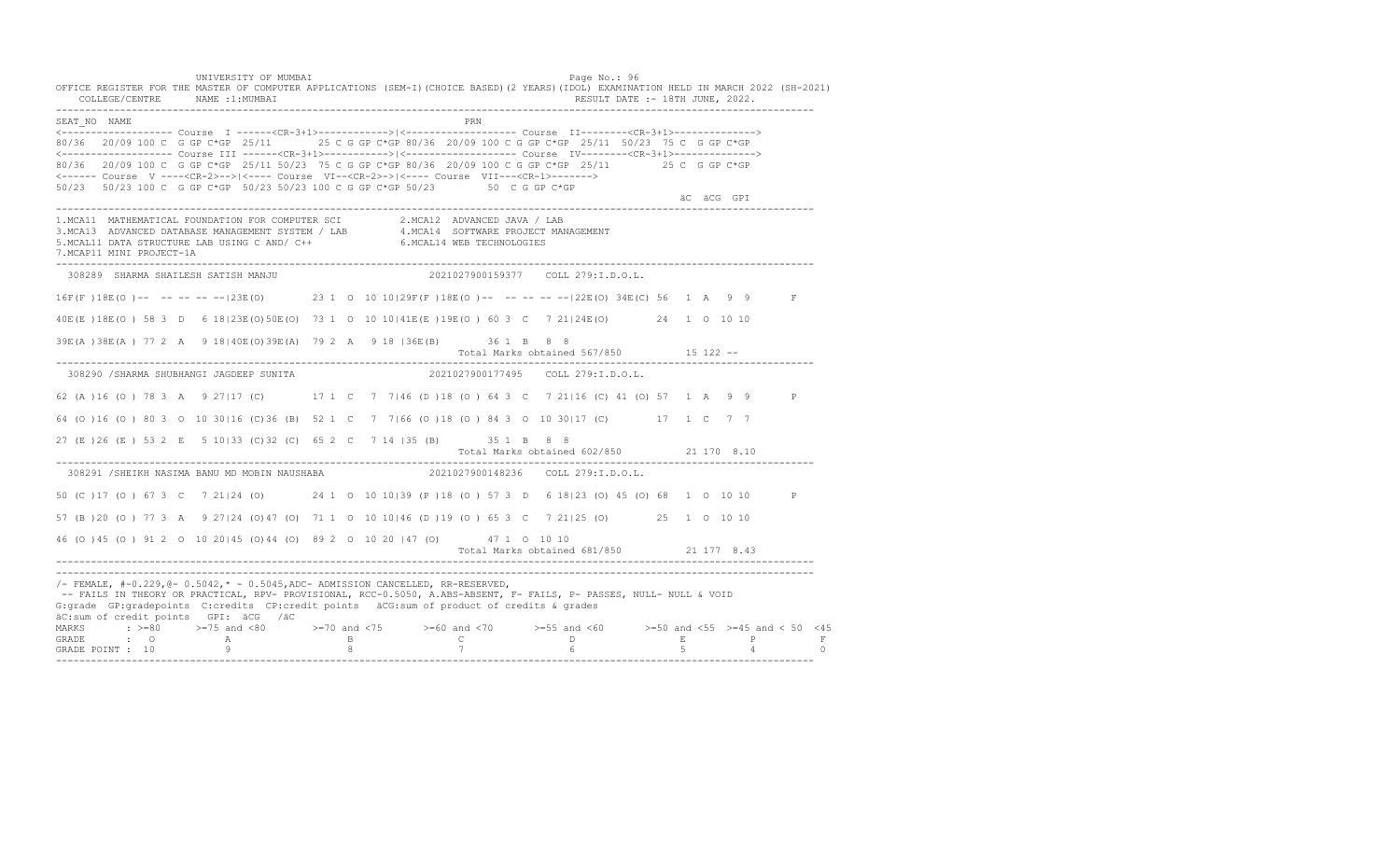UNIVERSITY OF MUMBAI PAGE OF THE PAGE OF THE PAGE OF THE PAGE OF THE PAGE OF THE PAGE OF THE PAGE OF THE PAGE OF THE PAGE OF THE PAGE OF THE PAGE OF THE PAGE OF THE PAGE OF THE PAGE OF THE PAGE OF THE PAGE OF THE PAGE OF T OFFICE REGISTER FOR THE MASTER OF COMPUTER APPLICATIONS (SEM-I)(CHOICE BASED)(2 YEARS)(IDOL) EXAMINATION HELD IN MARCH 2022 (SH-2021) COLLEGE/CENTRE NAME :1:MUMBAI RESULT DATE :- 18TH JUNE, 2022. ---------------------------------------------------------------------------------------------------------------------------------- SEAT\_NO NAME PRN <------------------- Course I ------<CR-3+1>------------>|<------------------- Course II--------<CR-3+1>--------------> 80/36 20/09 100 C G GP C\*GP 25/11 25 C G GP C\*GP 80/36 20/09 100 C G GP C\*GP 25/11 50/23 75 C G GP C\*GP <------------------- Course III ------<CR-3+1>----------->|<------------------- Course IV--------<CR-3+1>--------------> 80/36 20/09 100 C G GP C\*GP 25/11 50/23 75 C G GP C\*GP 80/36 20/09 100 C G GP C\*GP 25/11 25 C G GP C\*GP <------ Course V ----<CR-2>-->|<---- Course VI--<CR-2>->|<---- Course VII---<CR-1>-------> 50/23 50/23 100 C G GP C\*GP 50/23 50/23 100 C G GP C\*GP 50/23 50 C G GP C\*GP äC äCG GPI ---------------------------------------------------------------------------------------------------------------------------------- 1.MCA11 MATHEMATICAL FOUNDATION FOR COMPUTER SCI 2.MCA12 ADVANCED JAVA / LAB<br>3.MCA13 ADVANCED DATABASE MANAGEMENT SYSTEM / LAB 4.MCA14 SOFTWARE PROJECT MANAGEMENT<br>5.MCAL11 DATA STRUCTURE LAB USI 7.MCAP11 MINI PROJECT-1A ---------------------------------------------------------------------------------------------------------------------------------- 308289 SHARMA SHAILESH SATISH MANJU 2021027900159377 COLL 279:I.D.O.L. 16F(F )18E(O )-- -- -- -- --|23E(O) 23 1 O 10 10|29F(F )18E(O )-- -- -- -- --|22E(O) 34E(C) 56 1 A 9 9 F 40E(E )18E(O ) 58 3 D 6 18|23E(O)50E(O) 73 1 O 10 10|41E(E )19E(O ) 60 3 C 7 21|24E(O) 24 1 O 10 10 39E(A )38E(A ) 77 2 A 9 18|40E(O)39E(A) 79 2 A 9 18 |36E(B) 36 1 B 8 8 Total Marks obtained 567/850 15 122 -- ---------------------------------------------------------------------------------------------------------------------------------- 308290 /SHARMA SHUBHANGI JAGDEEP SUNITA 2021027900177495 COLL 279:I.D.O.L. 62 (A )16 (O ) 78 3 A 9 27|17 (C) 17 1 C 7 7|46 (D )18 (O ) 64 3 C 7 21|16 (C) 41 (O) 57 1 A 9 9 P 64 (O )16 (O ) 80 3 O 10 30|16 (C)36 (B) 52 1 C 7 7|66 (O )18 (O ) 84 3 O 10 30|17 (C) 17 1 C 7 7 27 (E )26 (E ) 53 2 E 5 10|33 (C)32 (C) 65 2 C 7 14 |35 (B) 35 1 B 8 8 Total Marks obtained 602/850 21 170 8.10 ---------------------------------------------------------------------------------------------------------------------------------- 308291 /SHEIKH NASIMA BANU MD MOBIN NAUSHABA 50 (C )17 (O ) 67 3 C 7 21|24 (O) 24 1 O 10 10|39 (P )18 (O ) 57 3 D 6 18|23 (O) 45 (O) 68 1 O 10 10 P 57 (B )20 (O ) 77 3 A 9 27|24 (O)47 (O) 71 1 O 10 10|46 (D )19 (O ) 65 3 C 7 21|25 (O) 25 1 O 10 10 46 (O )45 (O ) 91 2 O 10 20|45 (O)44 (O) 89 2 O 10 20 |47 (O) 47 1 O 10 10 Total Marks obtained 681/850 21 177 8.43 ---------------------------------------------------------------------------------------------------------------------------------- ---------------------------------------------------------------------------------------------------------------------------------- /- FEMALE, #-0.229,@- 0.5042,\* - 0.5045,ADC- ADMISSION CANCELLED, RR-RESERVED, -- FAILS IN THEORY OR PRACTICAL, RPV- PROVISIONAL, RCC-0.5050, A.ABS-ABSENT, F- FAILS, P- PASSES, NULL- NULL & VOID G:grade GP:gradepoints C:credits CP:credit points äCG:sum of product of credits & grades äC:sum of credit points GPI: äCG /äC MARKS : >=80 >=75 and <80 >=70 and <75 >=60 and <70 >=55 and <60 >=50 and <55 >=45 and < 50 <45 GRADE : O A B C D E P F GRADE POINT : 10 9 8 7 6 5 4 0 ----------------------------------------------------------------------------------------------------------------------------------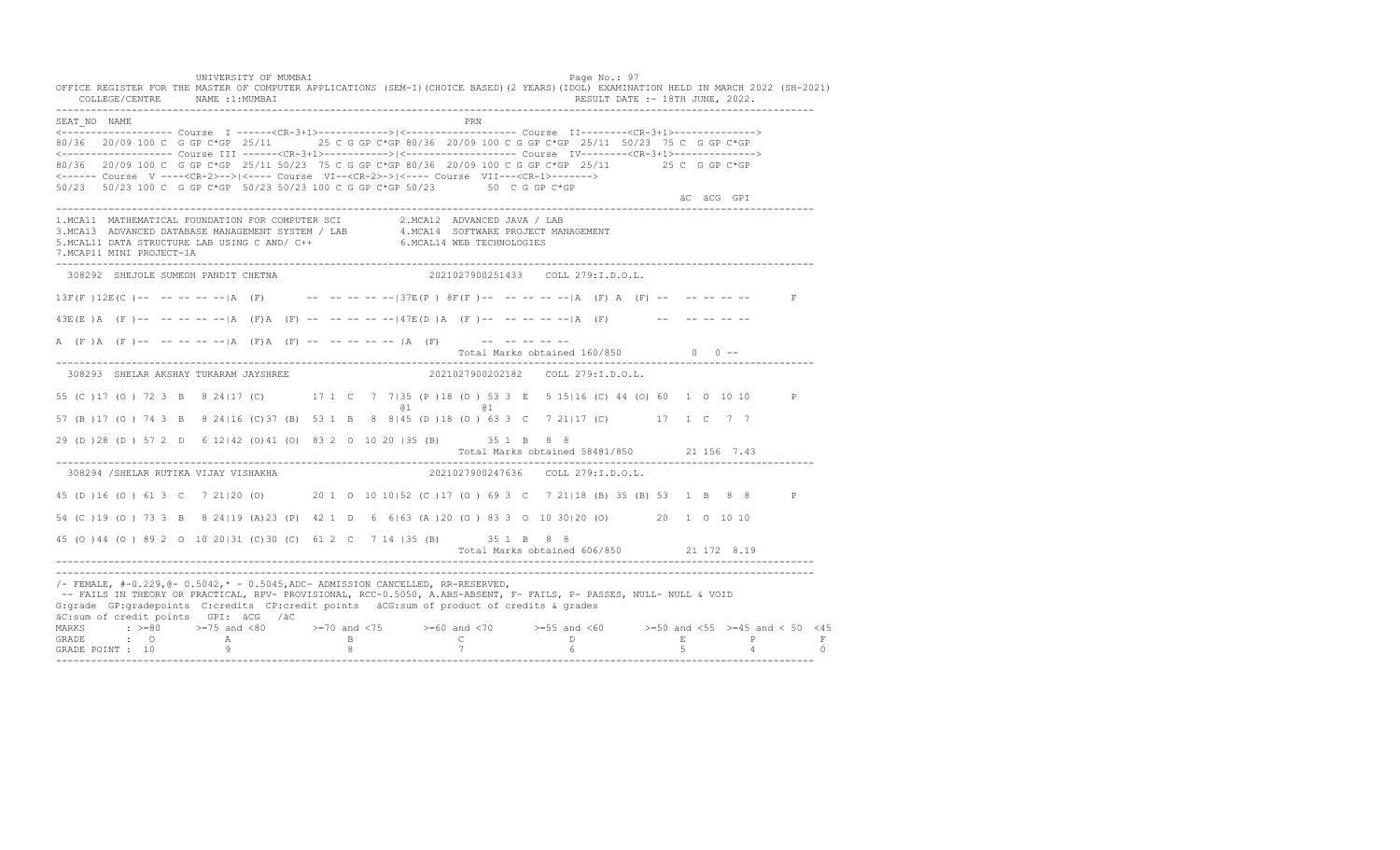UNIVERSITY OF MUMBAI PAGE OF THE PAGE OF THE PAGE OF THE PAGE OF THE PAGE OF THE PAGE OF THE PAGE OF THE PAGE O OFFICE REGISTER FOR THE MASTER OF COMPUTER APPLICATIONS (SEM-I)(CHOICE BASED)(2 YEARS)(IDOL) EXAMINATION HELD IN MARCH 2022 (SH-2021) COLLEGE/CENTRE NAME :1:MUMBAI RESULT DATE :- 18TH JUNE, 2022. ---------------------------------------------------------------------------------------------------------------------------------- SEAT\_NO NAME PRN <------------------- Course I ------<CR-3+1>------------>|<------------------- Course II--------<CR-3+1>--------------> 80/36 20/09 100 C G GP C\*GP 25/11 25 C G GP C\*GP 80/36 20/09 100 C G GP C\*GP 25/11 50/23 75 C G GP C\*GP <------------------- Course III ------<CR-3+1>----------->|<------------------- Course IV--------<CR-3+1>--------------> 80/36 20/09 100 C G GP C\*GP 25/11 50/23 75 C G GP C\*GP 80/36 20/09 100 C G GP C\*GP 25/11 25 C G GP C\*GP <------ Course V ----<CR-2>-->|<---- Course VI--<CR-2>->|<---- Course VII---<CR-1>-------> 50/23 50/23 100 C G GP C\*GP 50/23 50/23 100 C G GP C\*GP 50/23 50 C G GP C\*GP äC äCG GPI ---------------------------------------------------------------------------------------------------------------------------------- 1.MCA11 MATHEMATICAL FOUNDATION FOR COMPUTER SCI 2.MCA12 ADVANCED JAVA / LAB 3.MCA13 ADVANCED DATABASE MANAGEMENT SYSTEM / LAB 4.MCA14 SOFTWARE PROJECT MANAGEMENT 5.MCAL11 DATA STRUCTURE LAB USING C AND/ C++ 6.MCAL14 WEB TECHNOLOGIES 7.MCAP11 MINI PROJECT-1A ---------------------------------------------------------------------------------------------------------------------------------- 308292 SHEJOLE SUMEDH PANDIT CHETNA 2021027900251433 COLL 279:I.D.O.L.  $13F(F) 12E(C)$  -- -- -- -- -- |A (F) -- -- -- -- -- -- |37E(P) 8F(F) -- -- -- -- -- |A (F) A (F) -- -- -- -- -- -- F  $43E(E)$   $\overline{A}$   $(F)$  -- -- -- -- --  $\overline{A}$   $(F)$   $\overline{A}$   $(F)$   $\overline{C}$  -- -- -- --  $-147E(D)$   $\overline{A}$   $(F)$  -- -- -- --  $\overline{A}$   $(F)$  -- -- -- -- -- --A (F)A (F)-- -- -- -- -- |A (F)A (F) -- -- -- -- -- |A (F) -- -- -- -- -- -- --Total Marks obtained 160/850 0 0 ------------------------------------------------------------------------------------------------------------------------------------ 308293 SHELAR AKSHAY TUKARAM JAYSHREE 2021027900202182 COLL 279:I.D.O.L. 55 (C )17 (O ) 72 3 B 8 24|17 (C) 17 1 C 7 7|35 (P )18 (O ) 53 3 E 5 15|16 (C) 44 (O) 60 1 O 10 10 P @1 @1 57 (B )17 (O ) 74 3 B 8 24|16 (C)37 (B) 53 1 B 8 8|45 (D )18 (O ) 63 3 C 7 21|17 (C) 17 1 C 7 7 29 (D )28 (D ) 57 2 D 6 12|42 (O)41 (O) 83 2 O 10 20 |35 (B) 35 1 B 8 8 Total Marks obtained 584@1/850 21 156 7.43 ---------------------------------------------------------------------------------------------------------------------------------- 308294 /SHELAR RUTIKA VIJAY VISHAKHA 45 (D )16 (O ) 61 3 C 7 21|20 (O) 20 1 O 10 10|52 (C )17 (O ) 69 3 C 7 21|18 (B) 35 (B) 53 1 B 8 8 P 54 (C )19 (O ) 73 3 B 8 24|19 (A)23 (P) 42 1 D 6 6|63 (A )20 (O ) 83 3 O 10 30|20 (O) 20 1 O 10 10 45 (O )44 (O ) 89 2 O 10 20|31 (C)30 (C) 61 2 C 7 14 |35 (B) 35 1 B 8 8 Total Marks obtained 606/850 21 172 8.19 ---------------------------------------------------------------------------------------------------------------------------------- ---------------------------------------------------------------------------------------------------------------------------------- /- FEMALE, #-0.229,@- 0.5042,\* - 0.5045,ADC- ADMISSION CANCELLED, RR-RESERVED, -- FAILS IN THEORY OR PRACTICAL, RPV- PROVISIONAL, RCC-0.5050, A.ABS-ABSENT, F- FAILS, P- PASSES, NULL- NULL & VOID G:grade GP:gradepoints C:credits CP:credit points äCG:sum of product of credits & grades äC:sum of credit points GPI: äCG /äC MARKS : >=80 >=75 and <80 >=70 and <75 >=60 and <70 >=55 and <60 >=50 and <55 >=45 and < 50 <45 GRADE : O A B C D E P F<br>GRADE POINT : 10 9 9 8 7 7 6 5 4 0 ----------------------------------------------------------------------------------------------------------------------------------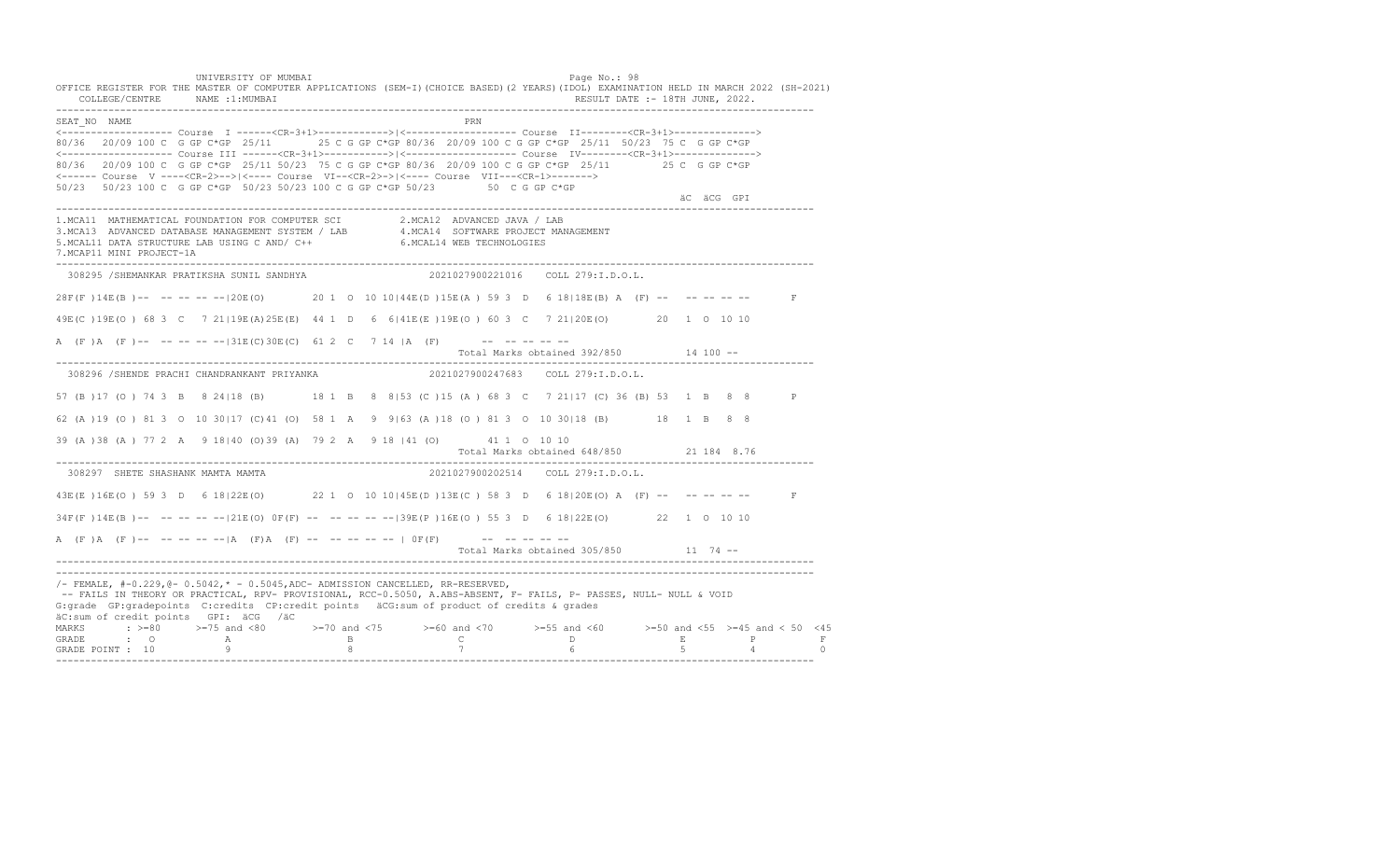UNIVERSITY OF MUMBAI PAGE OF THE PAGE OF THE PAGE OF THE PAGE OF THE PAGE OF THE PAGE OF THE PAGE OF THE PAGE O OFFICE REGISTER FOR THE MASTER OF COMPUTER APPLICATIONS (SEM-I)(CHOICE BASED)(2 YEARS)(IDOL) EXAMINATION HELD IN MARCH 2022 (SH-2021) COLLEGE/CENTRE NAME :1:MUMBAI RESULT DATE :- 18TH JUNE, 2022. ---------------------------------------------------------------------------------------------------------------------------------- SEAT\_NO NAME PRN <------------------- Course I ------<CR-3+1>------------>|<------------------- Course II--------<CR-3+1>--------------> 80/36 20/09 100 C G GP C\*GP 25/11 25 C G GP C\*GP 80/36 20/09 100 C G GP C\*GP 25/11 50/23 75 C G GP C\*GP <------------------- Course III ------<CR-3+1>----------->|<------------------- Course IV--------<CR-3+1>--------------> 80/36 20/09 100 C G GP C\*GP 25/11 50/23 75 C G GP C\*GP 80/36 20/09 100 C G GP C\*GP 25/11 25 C G GP C\*GP <------ Course V ----<CR-2>-->|<---- Course VI--<CR-2>->|<---- Course VII---<CR-1>-------> 50/23 50/23 100 C G GP C\*GP 50/23 50/23 100 C G GP C\*GP 50/23 50 C G GP C\*GP äC äCG GPI ---------------------------------------------------------------------------------------------------------------------------------- 1.MCA11 MATHEMATICAL FOUNDATION FOR COMPUTER SCI 2.MCA12 ADVANCED JAVA / LAB<br>3.MCA13 ADVANCED DATABASE MANAGEMENT SYSTEM / LAB 4.MCA14 SOFTWARE PROJECT MANAGEMENT<br>5.MCAL11 DATA STRUCTURE LAB U 7.MCAP11 MINI PROJECT-1A ---------------------------------------------------------------------------------------------------------------------------------- 308295 /SHEMANKAR PRATIKSHA SUNIL SANDHYA 2021027900221016 COLL 279:I.D.O.L. 28F(F )14E(B )-- -- -- -- --|20E(O) 20 1 O 10 10|44E(D )15E(A ) 59 3 D 6 18|18E(B) A (F) -- -- -- -- -- F 49E(C )19E(O ) 68 3 C 7 21|19E(A)25E(E) 44 1 D 6 6|41E(E )19E(O ) 60 3 C 7 21|20E(O) 20 1 O 10 10 A (F)A (F)-- -- -- -- --|31E(C)30E(C) 61 2 C 7 14 |A (F) -- -- -- -- -- Total Marks obtained 392/850 14 100 -- ---------------------------------------------------------------------------------------------------------------------------------- 308296 /SHENDE PRACHI CHANDRANKANT PRIYANKA 2021027900247683 COLL 279:I.D.O.L. 57 (B )17 (O ) 74 3 B 8 24|18 (B) 18 1 B 8 8|53 (C )15 (A ) 68 3 C 7 21|17 (C) 36 (B) 53 1 B 8 8 P 62 (A )19 (O ) 81 3 O 10 30|17 (C)41 (O) 58 1 A 9 9|63 (A )18 (O ) 81 3 O 10 30|18 (B) 18 1 B 8 8 39 (A )38 (A ) 77 2 A 9 18|40 (O)39 (A) 79 2 A 9 18 |41 (O) 41 1 O 10 10 Total Marks obtained 648/850 21 184 8.76 ---------------------------------------------------------------------------------------------------------------------------------- 308297 SHETE SHASHANK MAMTA MAMTA 2021027900202514 COLL 279:I.D.O.L. 43E(E )16E(O ) 59 3 D 6 18|22E(O) 22 1 O 10 10|45E(D )13E(C ) 58 3 D 6 18|20E(O) A (F) -- -- -- -- -- F 34F(F )14E(B )-- -- -- -- --|21E(O) 0F(F) -- -- -- -- --|39E(P )16E(O ) 55 3 D 6 18|22E(O) 22 1 O 10 10 A  $(F)$   $(A \cap (F)$  -- -- -- -- --  $|A \cap (F)$   $A \cap (F)$  -- -- -- -- -- --  $|A \cap (F)$  -- -- -- -- --Total Marks obtained 305/850 11 74 ------------------------------------------------------------------------------------------------------------------------------------ ----------------------------------------------------------------------------------------------------------------------------------  $/$ - FEMALE,  $#$ -0.229, @- 0.5042,  $*$  - 0.5045, ADC- ADMISSION CANCELLED, RR-RESERVED, -- FAILS IN THEORY OR PRACTICAL, RPV- PROVISIONAL, RCC-0.5050, A.ABS-ABSENT, F- FAILS, P- PASSES, NULL- NULL & VOID G:grade GP:gradepoints C:credits CP:credit points äCG:sum of product of credits & grades äC:sum of credit points GPI: äCG /äC MARKS : >=80 >=75 and <80 >=70 and <75 >=60 and <70 >=55 and <60 >=50 and <55 >=45 and < 50 <45 GRADE : O A B C D E P F GRADE POINT : 10 9 8 7 6 5 4 0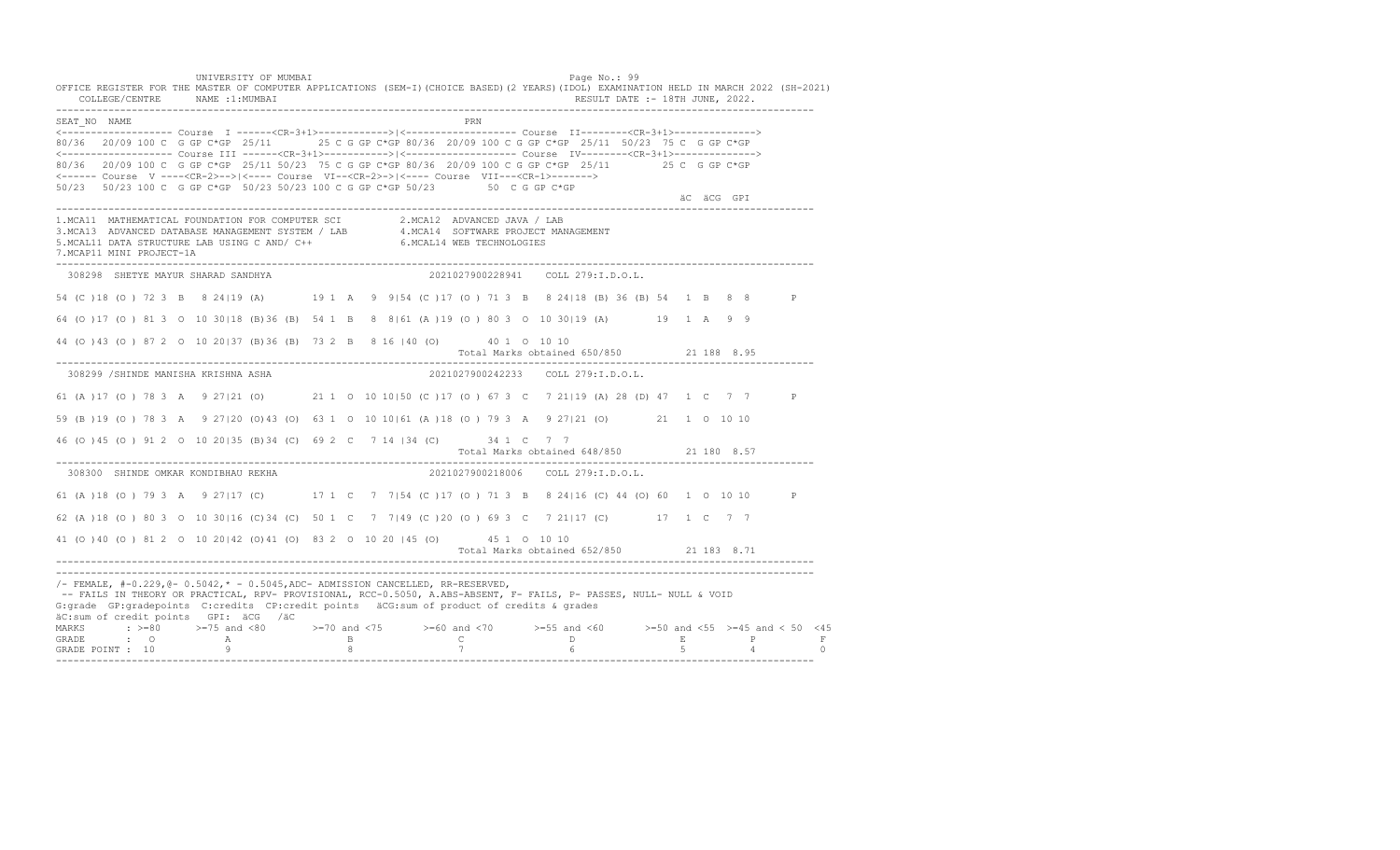UNIVERSITY OF MUMBAI PAGE OF THE PAGE OF THE PAGE OF THE PAGE OF THE PAGE OF THE PAGE OF THE PAGE OF THE PAGE OF THE PAGE OF THE PAGE OF THE PAGE OF THE PAGE OF THE PAGE OF THE PAGE OF THE PAGE OF THE PAGE OF THE PAGE OF T OFFICE REGISTER FOR THE MASTER OF COMPUTER APPLICATIONS (SEM-I)(CHOICE BASED)(2 YEARS)(IDOL) EXAMINATION HELD IN MARCH 2022 (SH-2021) COLLEGE/CENTRE NAME :1:MUMBAI RESULT DATE :- 18TH JUNE, 2022. ---------------------------------------------------------------------------------------------------------------------------------- SEAT\_NO NAME PRN <------------------- Course I ------<CR-3+1>------------>|<------------------- Course II--------<CR-3+1>--------------> 80/36 20/09 100 C G GP C\*GP 25/11 25 C G GP C\*GP 80/36 20/09 100 C G GP C\*GP 25/11 50/23 75 C G GP C\*GP <------------------- Course III ------<CR-3+1>----------->|<------------------- Course IV--------<CR-3+1>--------------> 80/36 20/09 100 C G GP C\*GP 25/11 50/23 75 C G GP C\*GP 80/36 20/09 100 C G GP C\*GP 25/11 25 C G GP C\*GP <------ Course V ----<CR-2>-->|<---- Course VI--<CR-2>->|<---- Course VII---<CR-1>-------> 50/23 50/23 100 C G GP C\*GP 50/23 50/23 100 C G GP C\*GP 50/23 50 C G GP C\*GP äC äCG GPI ---------------------------------------------------------------------------------------------------------------------------------- 1.MCA11 MATHEMATICAL FOUNDATION FOR COMPUTER SCI 2.MCA12 ADVANCED JAVA / LAB<br>3.MCA13 ADVANCED DATABASE MANAGEMENT SYSTEM / LAB 4.MCA14 SOFTWARE PROJECT MANAGEMENT<br>5.MCAL11 DATA STRUCTURE LAB USI 7.MCAP11 MINI PROJECT-1A ---------------------------------------------------------------------------------------------------------------------------------- 308298 SHETYE MAYUR SHARAD SANDHYA 2021027900228941 COLL 279:I.D.O.L. 54 (C )18 (O ) 72 3 B 8 24|19 (A) 19 1 A 9 9|54 (C )17 (O ) 71 3 B 8 24|18 (B) 36 (B) 54 1 B 8 8 P 64 (O )17 (O ) 81 3 O 10 30|18 (B)36 (B) 54 1 B 8 8|61 (A )19 (O ) 80 3 O 10 30|19 (A) 19 1 A 9 9 44 (O )43 (O ) 87 2 O 10 20|37 (B)36 (B) 73 2 B 8 16 |40 (O) 40 1 O 10 10 Total Marks obtained 650/850 21 188 8.95 ---------------------------------------------------------------------------------------------------------------------------------- 308299 /SHINDE MANISHA KRISHNA ASHA 2021027900242233 COLL 279:I.D.O.L. 61 (A )17 (O ) 78 3 A 9 27|21 (O) 21 1 O 10 10|50 (C )17 (O ) 67 3 C 7 21|19 (A) 28 (D) 47 1 C 7 7 P 59 (B )19 (O ) 78 3 A 9 27|20 (O)43 (O) 63 1 O 10 10|61 (A )18 (O ) 79 3 A 9 27|21 (O) 21 1 O 10 10 46 (O )45 (O ) 91 2 O 10 20|35 (B)34 (C) 69 2 C 7 14 |34 (C) 34 1 C 7 7 Total Marks obtained 648/850 21 180 8.57 ---------------------------------------------------------------------------------------------------------------------------------- 308300 SHINDE OMKAR KONDIBHAU REKHA 61 (A )18 (O ) 79 3 A 9 27|17 (C) 17 1 C 7 7|54 (C )17 (O ) 71 3 B 8 24|16 (C) 44 (O) 60 1 O 10 10 P 62 (A )18 (O ) 80 3 O 10 30|16 (C)34 (C) 50 1 C 7 7|49 (C )20 (O ) 69 3 C 7 21|17 (C) 17 1 C 7 7 41 (O )40 (O ) 81 2 O 10 20|42 (O)41 (O) 83 2 O 10 20 |45 (O) 45 1 O 10 10 Total Marks obtained 652/850 21 183 8.71 ---------------------------------------------------------------------------------------------------------------------------------- ---------------------------------------------------------------------------------------------------------------------------------- /- FEMALE, #-0.229,@- 0.5042,\* - 0.5045,ADC- ADMISSION CANCELLED, RR-RESERVED, -- FAILS IN THEORY OR PRACTICAL, RPV- PROVISIONAL, RCC-0.5050, A.ABS-ABSENT, F- FAILS, P- PASSES, NULL- NULL & VOID G:grade GP:gradepoints C:credits CP:credit points äCG:sum of product of credits & grades äC:sum of credit points GPI: äCG /äC MARKS : >=80 >=75 and <80 >=70 and <75 >=60 and <70 >=55 and <60 >=50 and <55 >=45 and < 50 <45 GRADE : O A B C D E P F<br>GRADE POINT : 10 9 9 8 7 7 6 5 4 0 ----------------------------------------------------------------------------------------------------------------------------------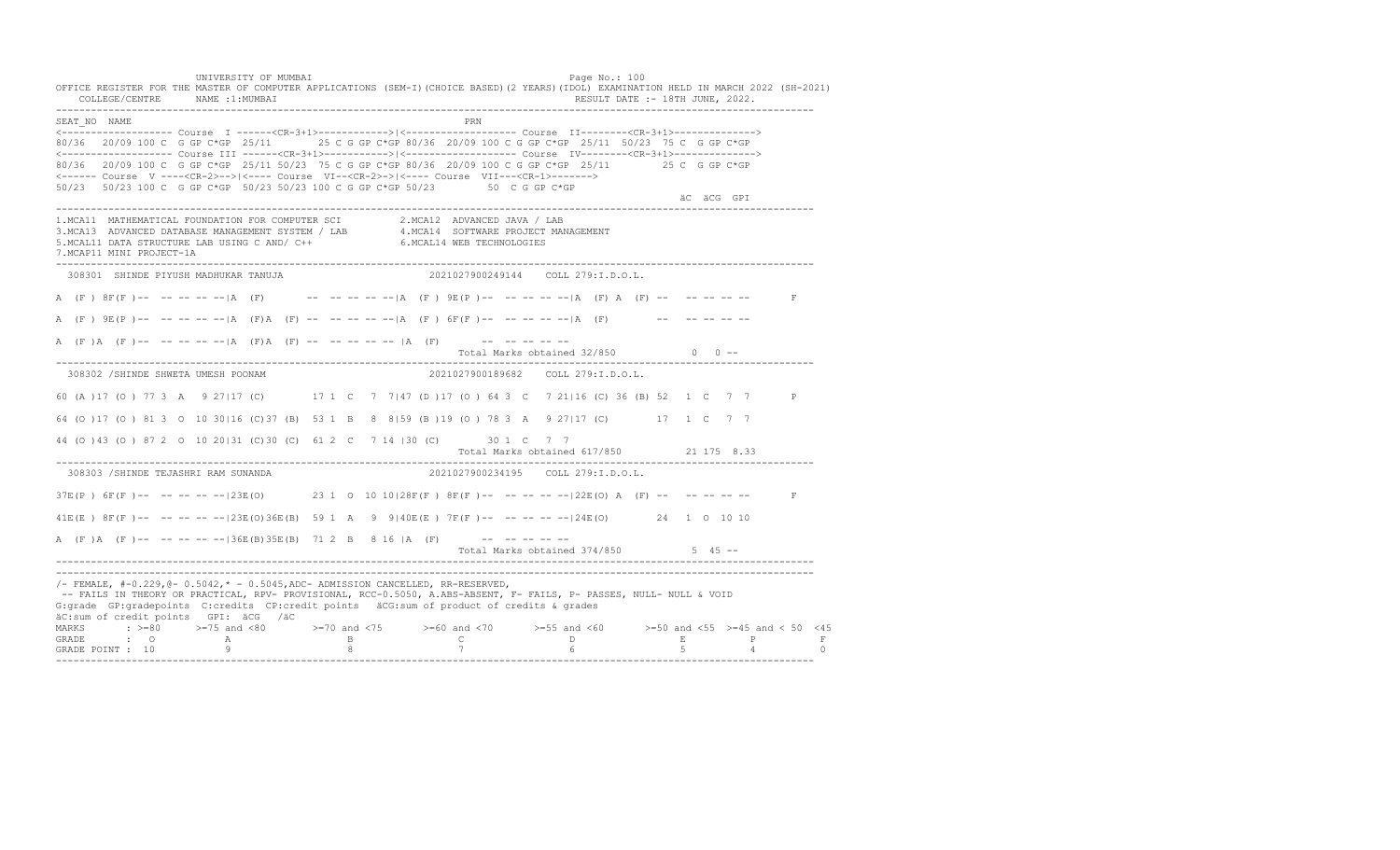UNIVERSITY OF MUMBAI Page No.: 100 OFFICE REGISTER FOR THE MASTER OF COMPUTER APPLICATIONS (SEM-I)(CHOICE BASED)(2 YEARS)(IDOL) EXAMINATION HELD IN MARCH 2022 (SH-2021)<br>COLLEGE/CENTRE NAME :1:MUMBAI COLLEGE/CENTRE NAME :1: MUMBAI ---------------------------------------------------------------------------------------------------------------------------------- SEAT\_NO NAME PRN <------------------- Course I ------<CR-3+1>------------>|<------------------- Course II--------<CR-3+1>--------------> 80/36 20/09 100 C G GP C\*GP 25/11 25 C G GP C\*GP 80/36 20/09 100 C G GP C\*GP 25/11 50/23 75 C G GP C\*GP <------------------- Course III ------<CR-3+1>----------->|<------------------- Course IV--------<CR-3+1>--------------> 80/36 20/09 100 C G GP C\*GP 25/11 50/23 75 C G GP C\*GP 80/36 20/09 100 C G GP C\*GP 25/11 25 C G GP C\*GP <------ Course V ----<CR-2>-->|<---- Course VI--<CR-2>->|<---- Course VII---<CR-1>-------> 50/23 50/23 100 C G GP C\*GP 50/23 50/23 100 C G GP C\*GP 50/23 50 C G GP C\*GP äC äCG GPI ---------------------------------------------------------------------------------------------------------------------------------- 1.MCA11 MATHEMATICAL FOUNDATION FOR COMPUTER SCI 2.MCA12 ADVANCED JAVA / LAB 3.MCA13 ADVANCED DATABASE MANAGEMENT SYSTEM / LAB 4.MCA14 SOFTWARE PROJECT MANAGEMENT 5.MCAL11 DATA STRUCTURE LAB USING C AND/ C++ 6.MCAL14 WEB TECHNOLOGIES 7.MCAP11 MINI PROJECT-1A ---------------------------------------------------------------------------------------------------------------------------------- 308301 SHINDE PIYUSH MADHUKAR TANUJA 2021027900249144 COLL 279:I.D.O.L. A (F ) 8F(F )-- -- -- -- -- |A (F) -- -- -- -- -- |A (F ) 9E(P )-- -- -- -- -- |A (F) A (F) -- -- -- -- -- -- F A  $(F)$   $9E(P)$ -- -- -- -- -- |A  $(F)$ A  $(F)$  -- -- -- -- -- |A  $(F)$  6F $(F)$  -- -- -- -- -- |A  $(F)$  -- -- -- -- -- --A  $(F)$  A  $(F)$  -- -- -- -- -- |A  $(F)$  A  $(F)$  -- -- -- -- -- |A  $(F)$  -- -- -- -- -- --Total Marks obtained  $32/850$  0 ------------------------------------------------------------------------------------------------------------------------------------ 308302 /SHINDE SHWETA UMESH POONAM 2021027900189682 COLL 279:I.D.O.L. 60 (A )17 (O ) 77 3 A 9 27|17 (C) 17 1 C 7 7|47 (D )17 (O ) 64 3 C 7 21|16 (C) 36 (B) 52 1 C 7 7 P 64 (O )17 (O ) 81 3 O 10 30|16 (C)37 (B) 53 1 B 8 8|59 (B )19 (O ) 78 3 A 9 27|17 (C) 17 1 C 7 7 44 (O )43 (O ) 87 2 O 10 20|31 (C)30 (C) 61 2 C 7 14 |30 (C) 30 1 C 7 7 Total Marks obtained 617/850 21 175 8.33 ---------------------------------------------------------------------------------------------------------------------------------- 308303 /SHINDE TEJASHRI RAM SUNANDA 2021027900234195 COLL 279:I.D.O.L.  $37E(P)$   $6F(F)$  -- -- -- -- --|23E(O) 23 1 0 10 10|28F(F) 8F(F) -- -- -- -- --|22E(O) A (F) -- -- -- -- -- -- F 41E(E ) 8F(F )-- -- -- -- --|23E(O)36E(B) 59 1 A 9 9|40E(E ) 7F(F )-- -- -- -- --|24E(O) 24 1 O 10 10 A (F)A (F)-- -- -- -- -- |36E(B)35E(B) 71 2 B 8 16 |A (F) -- -- -- -- --Total Marks obtained 374/850 5 45 ------------------------------------------------------------------------------------------------------------------------------------ ---------------------------------------------------------------------------------------------------------------------------------- /- FEMALE, #-0.229,@- 0.5042,\* - 0.5045,ADC- ADMISSION CANCELLED, RR-RESERVED, -- FAILS IN THEORY OR PRACTICAL, RPV- PROVISIONAL, RCC-0.5050, A.ABS-ABSENT, F- FAILS, P- PASSES, NULL- NULL & VOID G:grade GP:gradepoints C:credits CP:credit points äCG:sum of product of credits & grades äC:sum of credit points GPI: äCG /äC MARKS : >=80 >=75 and <80 >=70 and <75 >=60 and <70 >=55 and <60 >=50 and <55 >=45 and < 50 <45<br>GRADE : O A B C D E P F<br>GRADE POINT : 10 9 8 7 6 5 4 0 ----------------------------------------------------------------------------------------------------------------------------------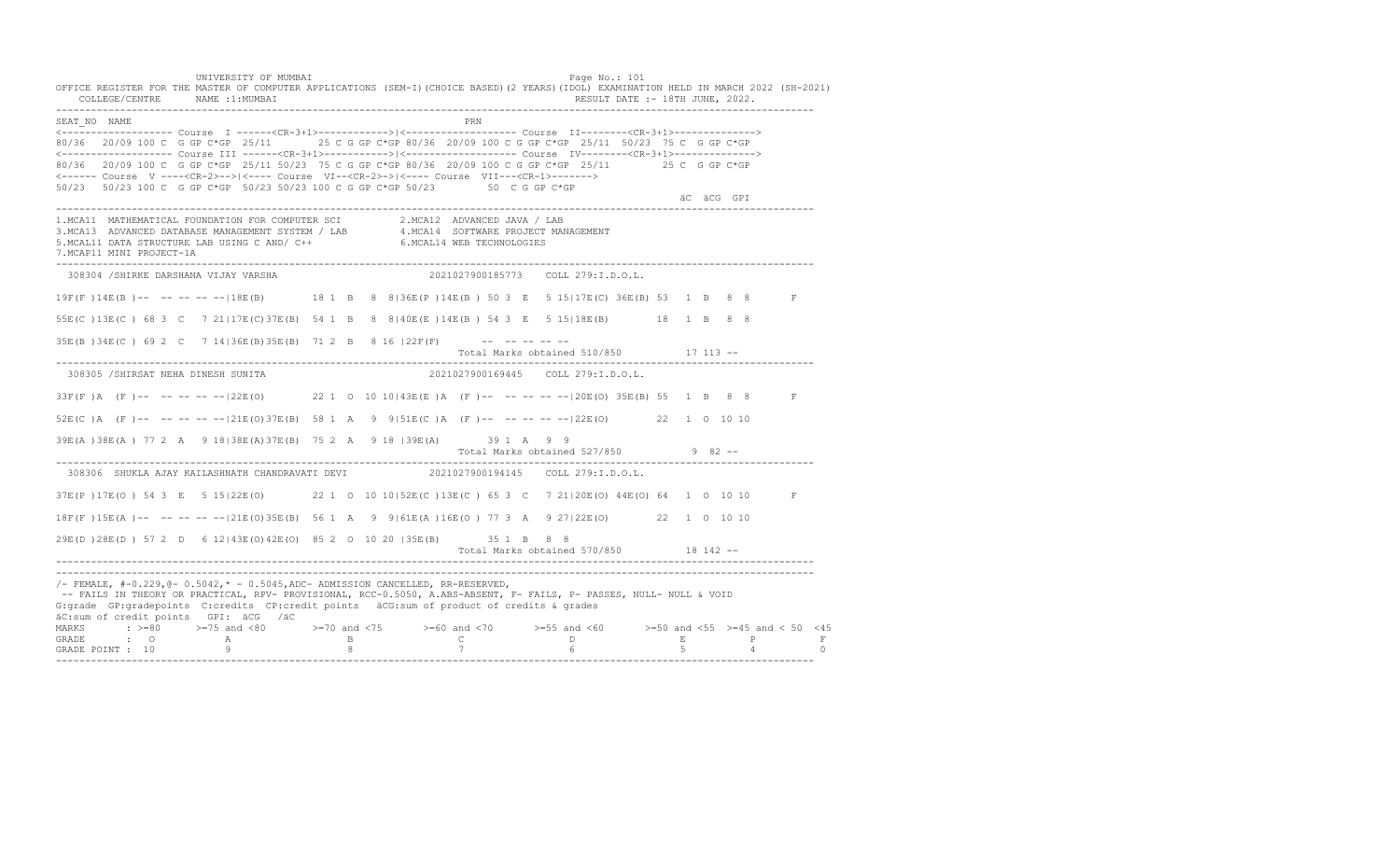UNIVERSITY OF MUMBAI Page No.: 101 OFFICE REGISTER FOR THE MASTER OF COMPUTER APPLICATIONS (SEM-I)(CHOICE BASED)(2 YEARS)(IDOL) EXAMINATION HELD IN MARCH 2022 (SH-2021)<br>COLLEGE/CENTRE NAME :1:MUMBAI COLLEGE/CENTRE NAME :1: MUMBAI ---------------------------------------------------------------------------------------------------------------------------------- SEAT\_NO NAME PRIMAGE PRODUCED IN THE PRODUCED SEAT NO PRIMAGE PRIMAGE PRIMAGE PRIMAGE PRIMAGE PRIMAGE PRIMAGE PRIMAGE PRIMAGE PRIMAGE PRIMAGE PRIMAGE PRIMAGE PRIMAGE PRIMAGE PRIMAGE PRIMAGE PRIMAGE PRIMAGE PRIMAGE PRIMAGE <------------------- Course I ------<CR-3+1>------------>|<------------------- Course II--------<CR-3+1>--------------> 80/36 20/09 100 C G GP C\*GP 25/11 25 C G GP C\*GP 80/36 20/09 100 C G GP C\*GP 25/11 50/23 75 C G GP C\*GP <------------------- Course III ------<CR-3+1>----------->|<------------------- Course IV--------<CR-3+1>--------------> 80/36 20/09 100 C G GP C\*GP 25/11 50/23 75 C G GP C\*GP 80/36 20/09 100 C G GP C\*GP 25/11 25 C G GP C\*GP <------ Course V ----<CR-2>-->|<---- Course VI--<CR-2>->|<---- Course VII---<CR-1>-------> 50/23 50/23 100 C G GP C\*GP 50/23 50/23 100 C G GP C\*GP 50/23 50 C G GP C\*GP äC äCG GPI ---------------------------------------------------------------------------------------------------------------------------------- 1.MCA11 MATHEMATICAL FOUNDATION FOR COMPUTER SCI 2.MCA12 ADVANCED JAVA / LAB<br>3.MCA13 ADVANCED DATABASE MANAGEMENT SYSTEM / LAB 4.MCA14 SOFTWARE PROJECT MANAGEMENT<br>5.MCAL11 DATA STRUCTURE LAB U 7.MCAP11 MINI PROJECT-1A ---------------------------------------------------------------------------------------------------------------------------------- 308304 /SHIRKE DARSHANA VIJAY VARSHA 2021027900185773 COLL 279:I.D.O.L. 19F(F )14E(B )-- -- -- -- --|18E(B) 18 1 B 8 8|36E(P )14E(B ) 50 3 E 5 15|17E(C) 36E(B) 53 1 B 8 8 F 55E(C )13E(C ) 68 3 C 7 21|17E(C)37E(B) 54 1 B 8 8|40E(E )14E(B ) 54 3 E 5 15|18E(B) 18 1 B 8 8  $35E(B)$   $34E(C)$  69 2 C 7  $14$   $36E(B)$   $35E(B)$  71 2 B 8 16  $|22F(F)$  -- -- -- -- -- Total Marks obtained 510/850 17 113 -- ---------------------------------------------------------------------------------------------------------------------------------- 308305 /SHIRSAT NEHA DINESH SUNITA 2021027900169445 COLL 279:I.D.O.L. 33F(F )A (F )-- -- -- -- --|22E(O) 22 1 O 10 10|43E(E )A (F )-- -- -- -- --|20E(O) 35E(B) 55 1 B 8 8 F 52E(C )A (F )-- -- -- -- --|21E(O)37E(B) 58 1 A 9 9|51E(C )A (F )-- -- -- -- --|22E(O) 22 1 O 10 10 39E(A )38E(A ) 77 2 A 9 18|38E(A)37E(B) 75 2 A 9 18 |39E(A) 39 1 A 9 9 Total Marks obtained 527/850 9 82 ------------------------------------------------------------------------------------------------------------------------------------ 308306 SHUKLA AJAY KAILASHNATH CHANDRAVATI DEVI 2021027900194145 COLL 279:I.D.O.L. 37E(P )17E(O ) 54 3 E 5 15|22E(O) 22 1 O 10 10|52E(C )13E(C ) 65 3 C 7 21|20E(O) 44E(O) 64 1 O 10 10 F 18F(F )15E(A )-- -- -- -- --|21E(O)35E(B) 56 1 A 9 9|61E(A )16E(O ) 77 3 A 9 27|22E(O) 22 1 O 10 10 29E(D )28E(D ) 57 2 D 6 12|43E(O)42E(O) 85 2 O 10 20 |35E(B) 35 1 B 8 8 Total Marks obtained 570/850 18 142 ------------------------------------------------------------------------------------------------------------------------------------ ---------------------------------------------------------------------------------------------------------------------------------- /- FEMALE, #-0.229,@- 0.5042,\* - 0.5045,ADC- ADMISSION CANCELLED, RR-RESERVED, -- FAILS IN THEORY OR PRACTICAL, RPV- PROVISIONAL, RCC-0.5050, A.ABS-ABSENT, F- FAILS, P- PASSES, NULL- NULL & VOID G:grade GP:gradepoints C:credits CP:credit points äCG:sum of product of credits & grades äC:sum of credit points GPI: äCG /äC MARKS : >=80 >=75 and <80 >=70 and <75 >=60 and <70 >=55 and <60 >=50 and <55 >=45 and < 50 <45 GRADE : O A B C D E P F<br>GRADE POINT : 10 9 9 8 7 7 6 5 4 0 ----------------------------------------------------------------------------------------------------------------------------------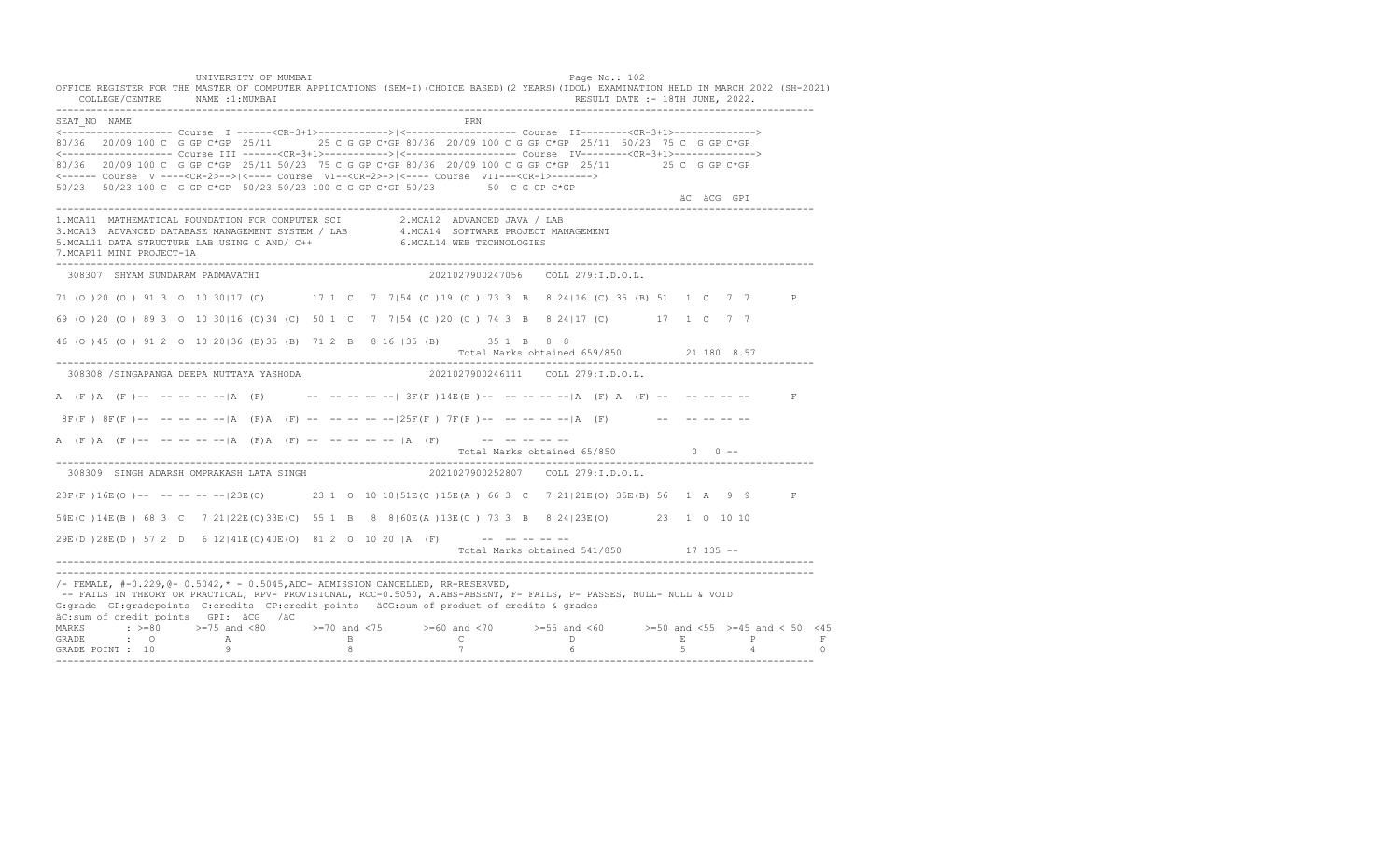UNIVERSITY OF MUMBAI Page No.: 102 OFFICE REGISTER FOR THE MASTER OF COMPUTER APPLICATIONS (SEM-I)(CHOICE BASED)(2 YEARS)(IDOL) EXAMINATION HELD IN MARCH 2022 (SH-2021) COLLEGE/CENTRE NAME :1:MUMBAI RESULT DATE :- 18TH JUNE, 2022. ---------------------------------------------------------------------------------------------------------------------------------- SEAT\_NO NAME PRIME PRIME PRODUCED A CONTROL IN THE PRIME PRIME PRIME PRIME PRIME PRIME PRIME PRIME PRIME PRIME PRIME PRIME PRIME PRIME PRIME PRIME PRIME PRIME PRIME PRIME PRIME PRIME PRIME PRIME PRIME PRIME PRIME PRIME PRI <------------------- Course I ------<CR-3+1>------------>|<------------------- Course II--------<CR-3+1>--------------> 80/36 20/09 100 C G GP C\*GP 25/11 25 C G GP C\*GP 80/36 20/09 100 C G GP C\*GP 25/11 50/23 75 C G GP C\*GP <------------------- Course III ------<CR-3+1>----------->|<------------------- Course IV--------<CR-3+1>--------------> 80/36 20/09 100 C G GP C\*GP 25/11 50/23 75 C G GP C\*GP 80/36 20/09 100 C G GP C\*GP 25/11 25 C G GP C\*GP <------ Course V ----<CR-2>-->|<---- Course VI--<CR-2>->|<---- Course VII---<CR-1>-------> 50/23 50/23 100 C G GP C\*GP 50/23 50/23 100 C G GP C\*GP 50/23 50 C G GP C\*GP äC äCG GPI ---------------------------------------------------------------------------------------------------------------------------------- 1.MCA11 MATHEMATICAL FOUNDATION FOR COMPUTER SCI 2.MCA12 ADVANCED JAVA / LAB 3.MCA13 ADVANCED DATABASE MANAGEMENT SYSTEM / LAB 4.MCA14 SOFTWARE PROJECT MANAGEMENT 5.MCAL11 DATA STRUCTURE LAB USING C AND/ C++ 6.MCAL14 WEB TECHNOLOGIES 7.MCAP11 MINI PROJECT-1A ---------------------------------------------------------------------------------------------------------------------------------- 308307 SHYAM SUNDARAM PADMAVATHI 2021027900247056 COLL 279:I.D.O.L. 71 (O )20 (O ) 91 3 O 10 30|17 (C) 17 1 C 7 7|54 (C )19 (O ) 73 3 B 8 24|16 (C) 35 (B) 51 1 C 7 7 P 69 (O )20 (O ) 89 3 O 10 30|16 (C)34 (C) 50 1 C 7 7|54 (C )20 (O ) 74 3 B 8 24|17 (C) 17 1 C 7 7 46 (O )45 (O ) 91 2 O 10 20|36 (B)35 (B) 71 2 B 8 16 |35 (B) 35 1 B 8 8 Total Marks obtained 659/850 21 180 8.57 ---------------------------------------------------------------------------------------------------------------------------------- 308308 /SINGAPANGA DEEPA MUTTAYA YASHODA 2021027900246111 COLL 279:I.D.O.L. A  $(F)$  A  $(F)$  -- -- -- -- -- A  $(F)$  -- -- -- -- -- 3F $(F)$  14E $(B)$  -- -- -- -- -- -- A  $(F)$  A  $(F)$  -- -- -- -- -- $8F(F)$   $8F(F)$  -- -- -- -- -- |A (F)A (F) -- -- -- -- -- -125F(F) 7F(F) -- -- -- -- -- |A (F) -- -- -- -- -- -- --A (F)A (F) -- -- -- -- -- |A (F) A (F) -- -- -- -- -- |A (F) -- -- -- -- -- --Total Marks obtained  $65/850$  0 ------------------------------------------------------------------------------------------------------------------------------------ 308309 SINGH ADARSH OMPRAKASH LATA SINGH 23F(F )16E(O )-- -- -- -- --|23E(O) 23 1 O 10 10|51E(C )15E(A ) 66 3 C 7 21|21E(O) 35E(B) 56 1 A 9 9 F 54E(C )14E(B ) 68 3 C 7 21|22E(O)33E(C) 55 1 B 8 8|60E(A )13E(C ) 73 3 B 8 24|23E(O) 23 1 O 10 10  $29E(D) 28E(D) 57 2 D 6 12 | 41E(0) 40E(0) 81 2 0 10 20 |A (F)$  -- -- -- -- --Total Marks obtained 541/850 17 135 ------------------------------------------------------------------------------------------------------------------------------------ ---------------------------------------------------------------------------------------------------------------------------------- /- FEMALE, #-0.229,@- 0.5042,\* - 0.5045,ADC- ADMISSION CANCELLED, RR-RESERVED, -- FAILS IN THEORY OR PRACTICAL, RPV- PROVISIONAL, RCC-0.5050, A.ABS-ABSENT, F- FAILS, P- PASSES, NULL- NULL & VOID G:grade GP:gradepoints C:credits CP:credit points äCG:sum of product of credits & grades äC:sum of credit points GPI: äCG /äC MARKS : >=80 >=75 and <80 >=70 and <75 >=60 and <70 >=55 and <60 >=50 and <55 >=45 and < 50 <45 GRADE : O A B C D E P F GRADE POINT : 10 9 8 7 6 5 4 0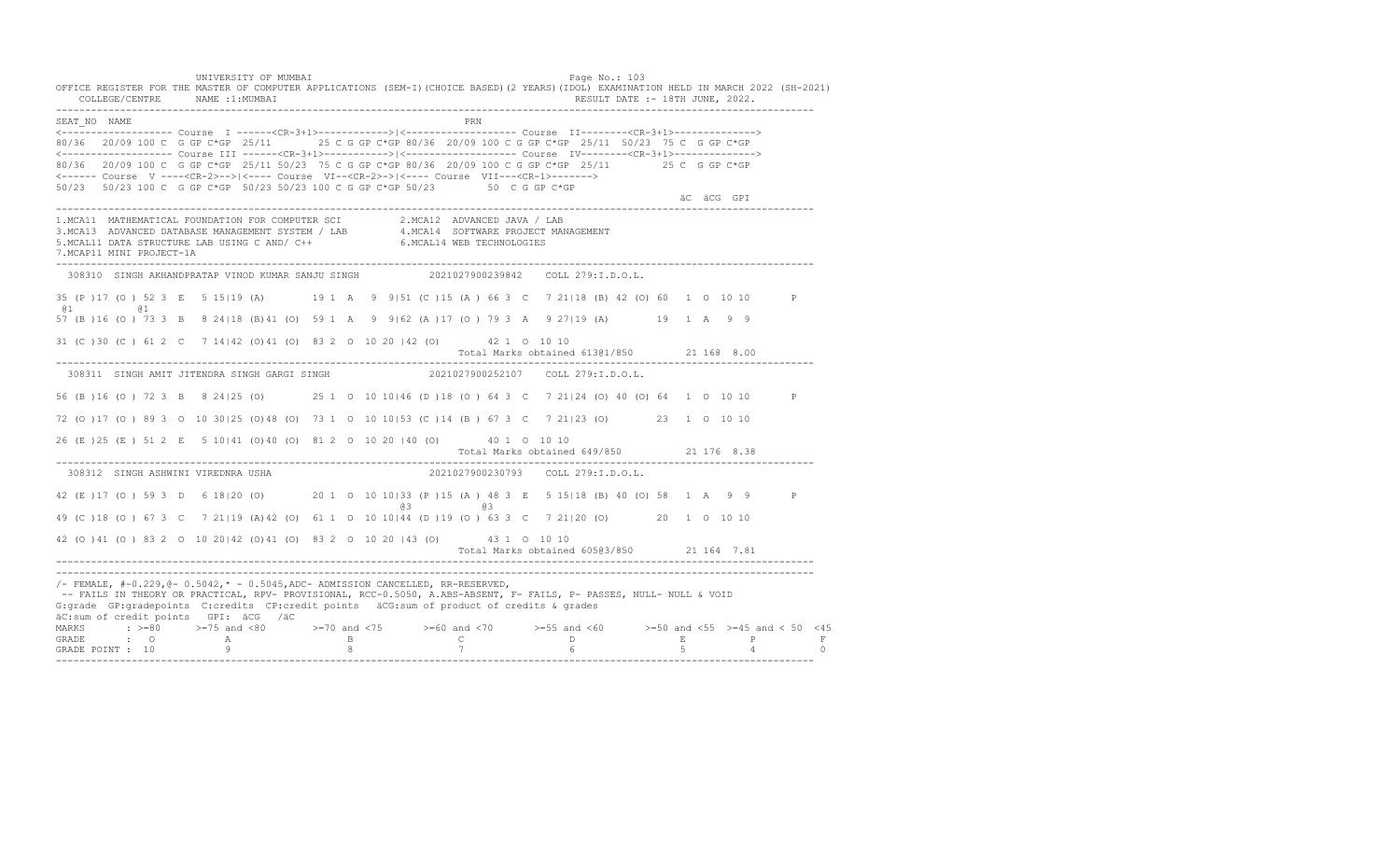UNIVERSITY OF MUMBAI Page No.: 103 OFFICE REGISTER FOR THE MASTER OF COMPUTER APPLICATIONS (SEM-I)(CHOICE BASED)(2 YEARS)(IDOL) EXAMINATION HELD IN MARCH 2022 (SH-2021) COLLEGE/CENTRE NAME :1:MUMBAI RESULT DATE :- 18TH JUNE, 2022. ---------------------------------------------------------------------------------------------------------------------------------- SEAT\_NO NAME PRIMAGE PRODUCED IN THE PRIMAGE PRIMAGE PRIMAGE PRIMAGE PRIMAGE PRIMAGE PRIMAGE PRIMAGE PRIMAGE PRIMAGE PRIMAGE PRIMAGE PRIMAGE PRIMAGE PRIMAGE PRIMAGE PRIMAGE PRIMAGE PRIMAGE PRIMAGE PRIMAGE PRIMAGE PRIMAGE P <------------------- Course I ------<CR-3+1>------------>|<------------------- Course II--------<CR-3+1>--------------> 80/36 20/09 100 C G GP C\*GP 25/11 25 C G GP C\*GP 80/36 20/09 100 C G GP C\*GP 25/11 50/23 75 C G GP C\*GP <------------------- Course III ------<CR-3+1>----------->|<------------------- Course IV--------<CR-3+1>--------------> 80/36 20/09 100 C G GP C\*GP 25/11 50/23 75 C G GP C\*GP 80/36 20/09 100 C G GP C\*GP 25/11 25 C G GP C\*GP <------ Course V ----<CR-2>-->|<---- Course VI--<CR-2>->|<---- Course VII---<CR-1>-------> 50/23 50/23 100 C G GP C\*GP 50/23 50/23 100 C G GP C\*GP 50/23 50 C G GP C\*GP äC äCG GPI ---------------------------------------------------------------------------------------------------------------------------------- 1.MCA11 MATHEMATICAL FOUNDATION FOR COMPUTER SCI 2.MCA12 ADVANCED JAVA / LAB 3.MCA13 ADVANCED DATABASE MANAGEMENT SYSTEM / LAB 4.MCA14 SOFTWARE PROJECT MANAGEMENT 5.MCAL11 DATA STRUCTURE LAB USING C AND/ C++ 6.MCAL14 WEB TECHNOLOGIES 7.MCAP11 MINI PROJECT-1A ---------------------------------------------------------------------------------------------------------------------------------- 308310 SINGH AKHANDPRATAP VINOD KUMAR SANJU SINGH 2021027900239842 COLL 279:I.D.O.L. 35 (P )17 (O ) 52 3 E 5 15|19 (A) 19 1 A 9 9|51 (C )15 (A ) 66 3 C 7 21|18 (B) 42 (O) 60 1 O 10 10 P @1 @1 57 (B )16 (O ) 73 3 B 8 24|18 (B)41 (O) 59 1 A 9 9|62 (A )17 (O ) 79 3 A 9 27|19 (A) 19 1 A 9 9 31 (C )30 (C ) 61 2 C 7 14|42 (O)41 (O) 83 2 O 10 20 |42 (O) 42 1 O 10 10 Total Marks obtained 613@1/850 21 168 8.00 ---------------------------------------------------------------------------------------------------------------------------------- 308311 SINGH AMIT JITENDRA SINGH GARGI SINGH 2021027900252107 COLL 279:I.D.O.L. 56 (B )16 (O ) 72 3 B 8 24|25 (O) 25 1 O 10 10|46 (D )18 (O ) 64 3 C 7 21|24 (O) 40 (O) 64 1 O 10 10 P 72 (O )17 (O ) 89 3 O 10 30|25 (O)48 (O) 73 1 O 10 10|53 (C )14 (B ) 67 3 C 7 21|23 (O) 23 1 O 10 10 26 (E )25 (E ) 51 2 E 5 10|41 (O)40 (O) 81 2 O 10 20 |40 (O) 40 1 O 10 10 Total Marks obtained 649/850 21 176 8.38 ---------------------------------------------------------------------------------------------------------------------------------- 308312 SINGH ASHWINI VIREDNRA USHA 2021027900230793 COLL 279:I.D.O.L. 42 (E )17 (O ) 59 3 D 6 18|20 (O) 20 1 O 10 10|33 (P )15 (A ) 48 3 E 5 15|18 (B) 40 (O) 58 1 A 9 9 P @3 @3 49 (C )18 (O ) 67 3 C 7 21|19 (A)42 (O) 61 1 O 10 10|44 (D )19 (O ) 63 3 C 7 21|20 (O) 20 1 O 10 10 42 (O )41 (O ) 83 2 O 10 20|42 (O)41 (O) 83 2 O 10 20 |43 (O) 43 1 O 10 10 Total Marks obtained 605@3/850 21 164 7.81 ---------------------------------------------------------------------------------------------------------------------------------- ---------------------------------------------------------------------------------------------------------------------------------- /- FEMALE, #-0.229,@- 0.5042,\* - 0.5045,ADC- ADMISSION CANCELLED, RR-RESERVED, -- FAILS IN THEORY OR PRACTICAL, RPV- PROVISIONAL, RCC-0.5050, A.ABS-ABSENT, F- FAILS, P- PASSES, NULL- NULL & VOID G:grade GP:gradepoints C:credits CP:credit points äCG:sum of product of credits & grades äC:sum of credit points GPI: äCG /äC MARKS : >=80 >=75 and <80 >=70 and <75 >=60 and <70 >=55 and <60 >=50 and <55 >=45 and < 50 <45 GRADE : O A B C D E P F GRADE POINT : 10 9 8 7 6 5 4 0 ----------------------------------------------------------------------------------------------------------------------------------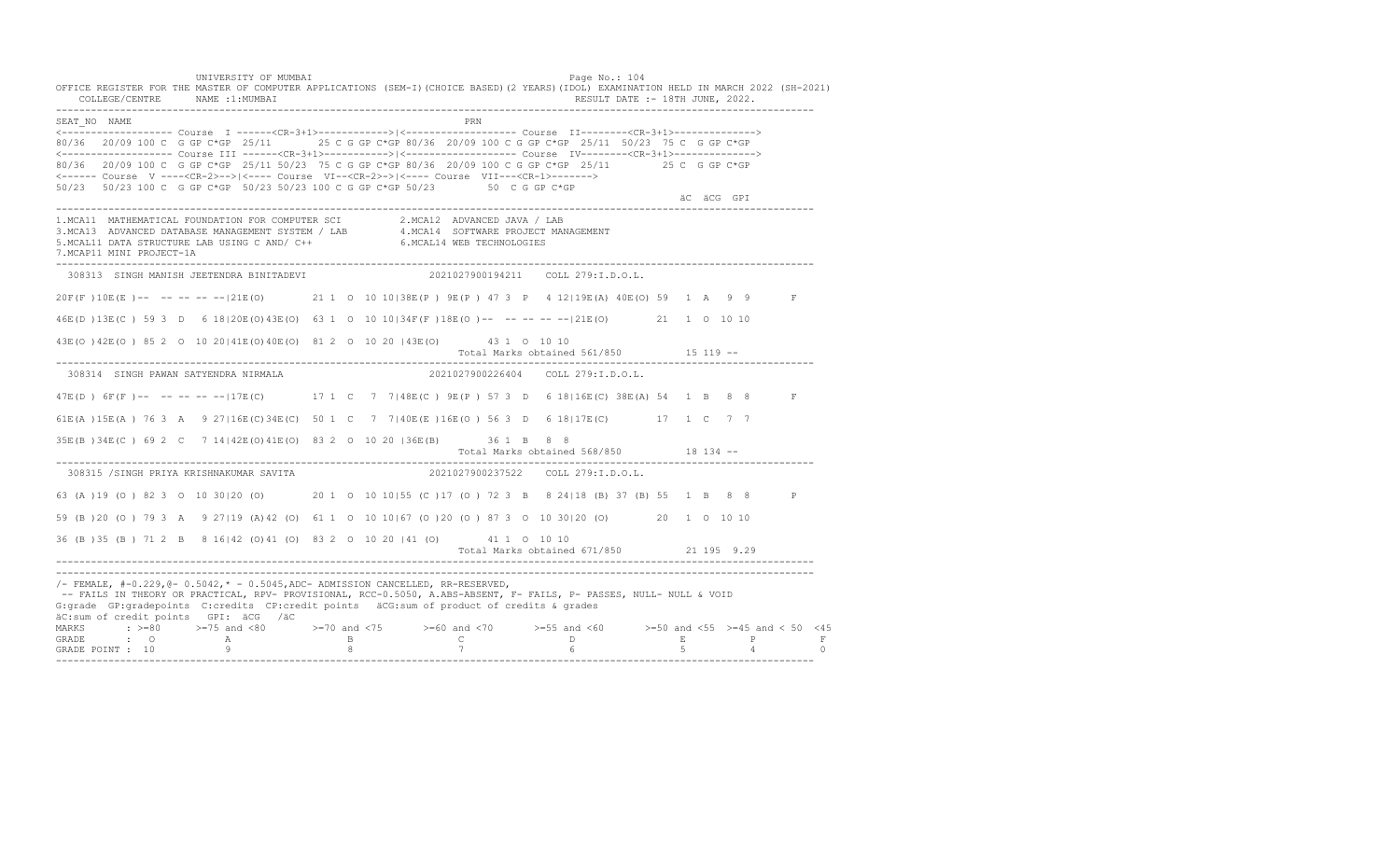UNIVERSITY OF MUMBAI Page No.: 104 OFFICE REGISTER FOR THE MASTER OF COMPUTER APPLICATIONS (SEM-I)(CHOICE BASED)(2 YEARS)(IDOL) EXAMINATION HELD IN MARCH 2022 (SH-2021) COLLEGE/CENTRE NAME :1:MUMBAI RESULT DATE :- 18TH JUNE, 2022. ---------------------------------------------------------------------------------------------------------------------------------- SEAT\_NO NAME PRN <------------------- Course I ------<CR-3+1>------------>|<------------------- Course II--------<CR-3+1>--------------> 80/36 20/09 100 C G GP C\*GP 25/11 25 C G GP C\*GP 80/36 20/09 100 C G GP C\*GP 25/11 50/23 75 C G GP C\*GP <------------------- Course III ------<CR-3+1>----------->|<------------------- Course IV--------<CR-3+1>--------------> 80/36 20/09 100 C G GP C\*GP 25/11 50/23 75 C G GP C\*GP 80/36 20/09 100 C G GP C\*GP 25/11 25 C G GP C\*GP <------ Course V ----<CR-2>-->|<---- Course VI--<CR-2>->|<---- Course VII---<CR-1>-------> 50/23 50/23 100 C G GP C\*GP 50/23 50/23 100 C G GP C\*GP 50/23 50 C G GP C\*GP äC äCG GPI ---------------------------------------------------------------------------------------------------------------------------------- 1.MCA11 MATHEMATICAL FOUNDATION FOR COMPUTER SCI 2.MCA12 ADVANCED JAVA / LAB<br>3.MCA13 ADVANCED DATABASE MANAGEMENT SYSTEM / LAB 4.MCA14 SOFTWARE PROJECT MANAGEMENT<br>5.MCAL11 DATA STRUCTURE LAB U 7.MCAP11 MINI PROJECT-1A ---------------------------------------------------------------------------------------------------------------------------------- 308313 SINGH MANISH JEETENDRA BINITADEVI 2021027900194211 COLL 279:I.D.O.L. 20F(F )10E(E )-- -- -- -- --|21E(O) 21 1 O 10 10|38E(P ) 9E(P ) 47 3 P 4 12|19E(A) 40E(O) 59 1 A 9 9 F 46E(D )13E(C ) 59 3 D 6 18|20E(O)43E(O) 63 1 O 10 10|34F(F )18E(O )-- -- -- -- --|21E(O) 21 1 O 10 10 43E(O )42E(O ) 85 2 O 10 20|41E(O)40E(O) 81 2 O 10 20 |43E(O) 43 1 O 10 10 Total Marks obtained 561/850 15 119 ------------------------------------------------------------------------------------------------------------------------------------ 308314 SINGH PAWAN SATYENDRA NIRMALA 2021027900226404 COLL 279:I.D.O.L. 47E(D ) 6F(F )-- -- -- -- --|17E(C) 17 1 C 7 7|48E(C ) 9E(P ) 57 3 D 6 18|16E(C) 38E(A) 54 1 B 8 8 F 61E(A )15E(A ) 76 3 A 9 27|16E(C)34E(C) 50 1 C 7 7|40E(E )16E(O ) 56 3 D 6 18|17E(C) 17 1 C 7 7 35E(B )34E(C ) 69 2 C 7 14|42E(O)41E(O) 83 2 O 10 20 |36E(B) 36 1 B 8 8 Total Marks obtained 568/850 18 134 -- ---------------------------------------------------------------------------------------------------------------------------------- 308315 /SINGH PRIYA KRISHNAKUMAR SAVITA 63 (A )19 (O ) 82 3 O 10 30|20 (O) 20 1 O 10 10|55 (C )17 (O ) 72 3 B 8 24|18 (B) 37 (B) 55 1 B 8 8 P 59 (B )20 (O ) 79 3 A 9 27|19 (A)42 (O) 61 1 O 10 10|67 (O )20 (O ) 87 3 O 10 30|20 (O) 20 1 O 10 10 36 (B )35 (B ) 71 2 B 8 16|42 (O)41 (O) 83 2 O 10 20 |41 (O) 41 1 O 10 10 Total Marks obtained 671/850 21 195 9.29 ---------------------------------------------------------------------------------------------------------------------------------- ---------------------------------------------------------------------------------------------------------------------------------- /- FEMALE, #-0.229,@- 0.5042,\* - 0.5045,ADC- ADMISSION CANCELLED, RR-RESERVED, -- FAILS IN THEORY OR PRACTICAL, RPV- PROVISIONAL, RCC-0.5050, A.ABS-ABSENT, F- FAILS, P- PASSES, NULL- NULL & VOID G:grade GP:gradepoints C:credits CP:credit points äCG:sum of product of credits & grades äC:sum of credit points GPI: äCG /äC MARKS : >=80 >=75 and <80 >=70 and <75 >=60 and <70 >=55 and <60 >=50 and <55 >=45 and < 50 <45 GRADE : O A B C D E P F GRADE POINT : 10 9 8 7 6 5 4 0 ----------------------------------------------------------------------------------------------------------------------------------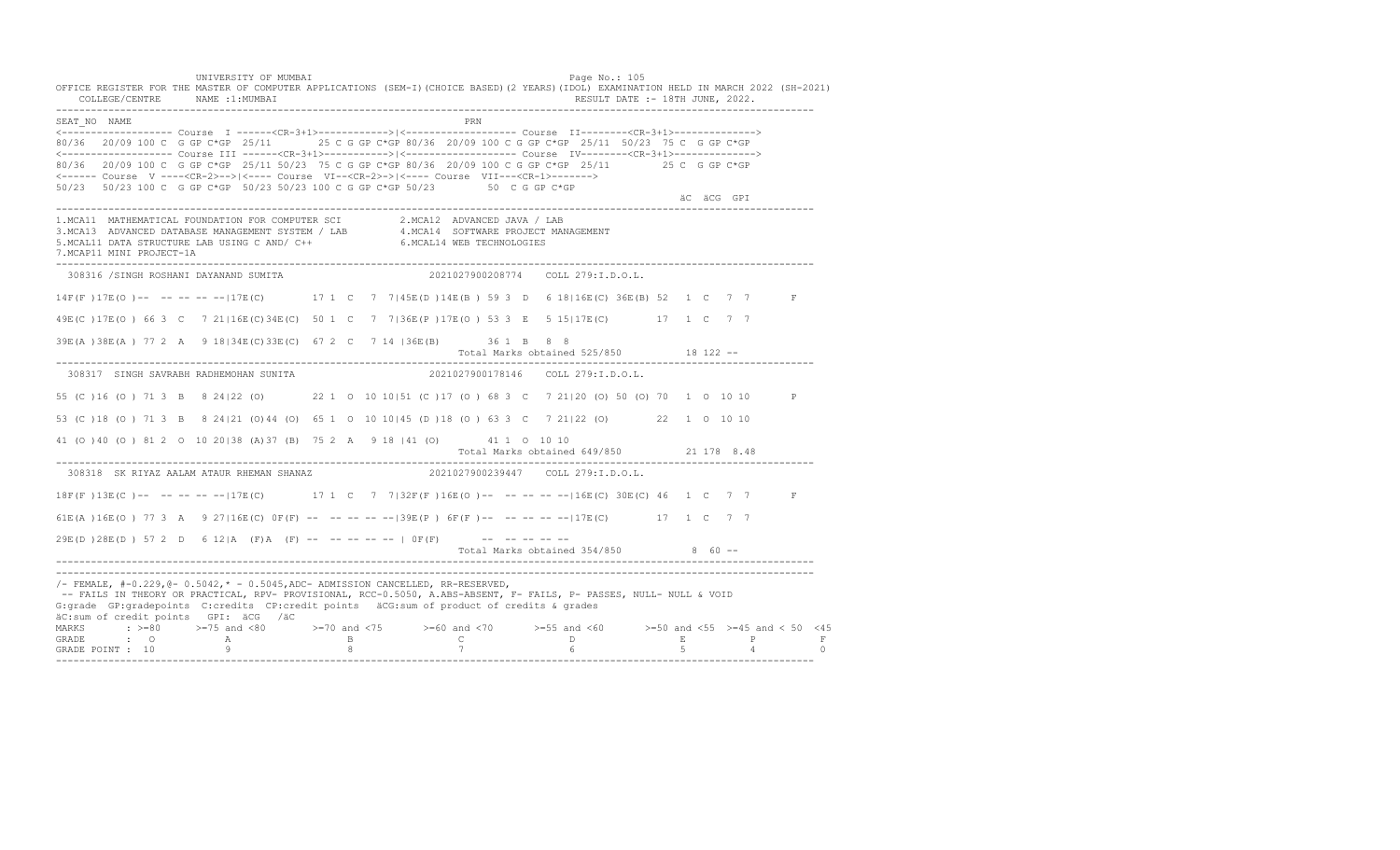UNIVERSITY OF MUMBAI Page No.: 105 OFFICE REGISTER FOR THE MASTER OF COMPUTER APPLICATIONS (SEM-I)(CHOICE BASED)(2 YEARS)(IDOL) EXAMINATION HELD IN MARCH 2022 (SH-2021) COLLEGE/CENTRE NAME :1:MUMBAI RESULT DATE :- 18TH JUNE, 2022. ---------------------------------------------------------------------------------------------------------------------------------- SEAT\_NO NAME PRIME PRIME PRODUCED A CONTROL IN THE PRIME PRIME PRIME PRIME PRIME PRIME PRIME PRIME PRIME PRIME PRIME PRIME PRIME PRIME PRIME PRIME PRIME PRIME PRIME PRIME PRIME PRIME PRIME PRIME PRIME PRIME PRIME PRIME PRI <------------------- Course I ------<CR-3+1>------------>|<------------------- Course II--------<CR-3+1>--------------> 80/36 20/09 100 C G GP C\*GP 25/11 25 C G GP C\*GP 80/36 20/09 100 C G GP C\*GP 25/11 50/23 75 C G GP C\*GP <------------------- Course III ------<CR-3+1>----------->|<------------------- Course IV--------<CR-3+1>--------------> 80/36 20/09 100 C G GP C\*GP 25/11 50/23 75 C G GP C\*GP 80/36 20/09 100 C G GP C\*GP 25/11 25 C G GP C\*GP <------ Course V ----<CR-2>-->|<---- Course VI--<CR-2>->|<---- Course VII---<CR-1>-------> 50/23 50/23 100 C G GP C\*GP 50/23 50/23 100 C G GP C\*GP 50/23 50 C G GP C\*GP äC äCG GPI ---------------------------------------------------------------------------------------------------------------------------------- 1.MCA11 MATHEMATICAL FOUNDATION FOR COMPUTER SCI 2.MCA12 ADVANCED JAVA / LAB<br>3.MCA13 ADVANCED DATABASE MANAGEMENT SYSTEM / LAB 4.MCA14 SOFTWARE PROJECT MANAGEMENT<br>5.MCAL11 DATA STRUCTURE LAB U 7.MCAP11 MINI PROJECT-1A ---------------------------------------------------------------------------------------------------------------------------------- 308316 /SINGH ROSHANI DAYANAND SUMITA 2021027900208774 COLL 279:I.D.O.L. 14F(F )17E(O )-- -- -- -- --|17E(C) 17 1 C 7 7|45E(D )14E(B ) 59 3 D 6 18|16E(C) 36E(B) 52 1 C 7 7 F 49E(C )17E(O ) 66 3 C 7 21|16E(C)34E(C) 50 1 C 7 7|36E(P )17E(O ) 53 3 E 5 15|17E(C) 17 1 C 7 7 39E(A )38E(A ) 77 2 A 9 18|34E(C)33E(C) 67 2 C 7 14 |36E(B) 36 1 B 8 8 Total Marks obtained 525/850 18 122 ------------------------------------------------------------------------------------------------------------------------------------ 308317 SINGH SAVRABH RADHEMOHAN SUNITA 2021027900178146 COLL 279:I.D.O.L. 55 (C )16 (O ) 71 3 B 8 24|22 (O) 22 1 O 10 10|51 (C )17 (O ) 68 3 C 7 21|20 (O) 50 (O) 70 1 O 10 10 P 53 (C )18 (O ) 71 3 B 8 24|21 (O)44 (O) 65 1 O 10 10|45 (D )18 (O ) 63 3 C 7 21|22 (O) 22 1 O 10 10 41 (O )40 (O ) 81 2 O 10 20|38 (A)37 (B) 75 2 A 9 18 |41 (O) 41 1 O 10 10 Total Marks obtained 649/850 21 178 8.48 ---------------------------------------------------------------------------------------------------------------------------------- 308318 SK RIYAZ AALAM ATAUR RHEMAN SHANAZ 18F(F)13E(C)-- -- -- -- --|17E(C) 17 1 C 7 7|32F(F)16E(O)-- -- -- -----|16E(C) 30E(C) 46 1 C 7 7 F 61E(A )16E(O ) 77 3 A 9 27|16E(C) 0F(F) -- -- -- -- --|39E(P ) 6F(F )-- -- -- -- --|17E(C) 17 1 C 7 7 29E(D )28E(D ) 57 2 D 6 12|A (F)A (F) -- -- -- -- -- | 0F(F) -- -- -- -- -- Total Marks obtained  $354/850$  8 60 ------------------------------------------------------------------------------------------------------------------------------------ ---------------------------------------------------------------------------------------------------------------------------------- /- FEMALE, #-0.229,@- 0.5042,\* - 0.5045,ADC- ADMISSION CANCELLED, RR-RESERVED, -- FAILS IN THEORY OR PRACTICAL, RPV- PROVISIONAL, RCC-0.5050, A.ABS-ABSENT, F- FAILS, P- PASSES, NULL- NULL & VOID G:grade GP:gradepoints C:credits CP:credit points äCG:sum of product of credits & grades äC:sum of credit points GPI: äCG /äC MARKS : >=80 >=75 and <80 >=70 and <75 >=60 and <70 >=55 and <60 >=50 and <55 >=45 and < 50 <45 GRADE : O A B C D E P F GRADE POINT : 10 9 8 7 6 5 4 0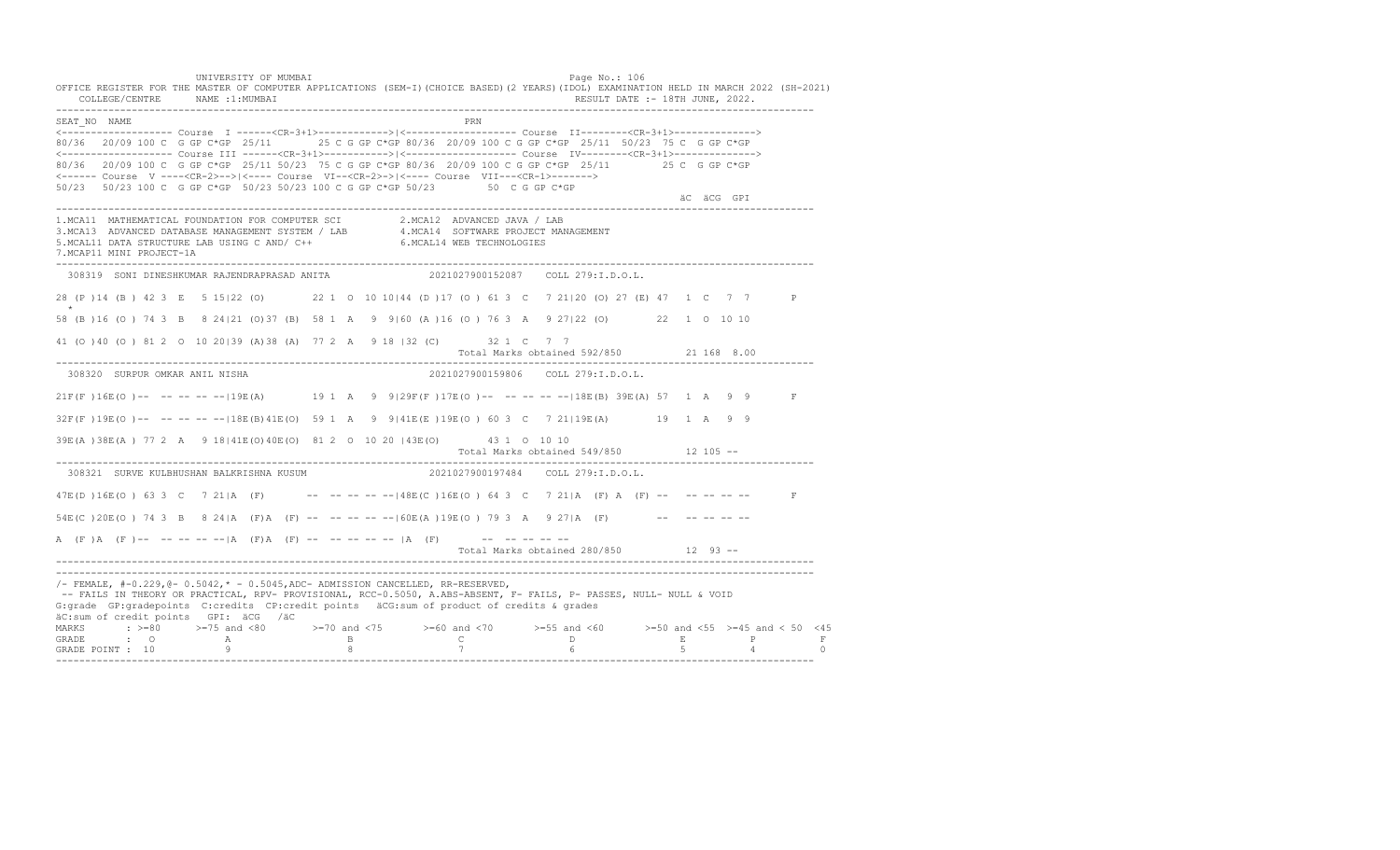UNIVERSITY OF MUMBAI Page No.: 106 OFFICE REGISTER FOR THE MASTER OF COMPUTER APPLICATIONS (SEM-I)(CHOICE BASED)(2 YEARS)(IDOL) EXAMINATION HELD IN MARCH 2022 (SH-2021) COLLEGE/CENTRE NAME :1:MUMBAI RESULT DATE :- 18TH JUNE, 2022. ---------------------------------------------------------------------------------------------------------------------------------- SEAT\_NO NAME PRIME PRIME PRODUCED A CONTROL IN THE PRIME PRIME PRIME PRIME PRIME PRIME PRIME PRIME PRIME PRIME PRIME PRIME PRIME PRIME PRIME PRIME PRIME PRIME PRIME PRIME PRIME PRIME PRIME PRIME PRIME PRIME PRIME PRIME PRI <------------------- Course I ------<CR-3+1>------------>|<------------------- Course II--------<CR-3+1>--------------> 80/36 20/09 100 C G GP C\*GP 25/11 25 C G GP C\*GP 80/36 20/09 100 C G GP C\*GP 25/11 50/23 75 C G GP C\*GP <------------------- Course III ------<CR-3+1>----------->|<------------------- Course IV--------<CR-3+1>--------------> 80/36 20/09 100 C G GP C\*GP 25/11 50/23 75 C G GP C\*GP 80/36 20/09 100 C G GP C\*GP 25/11 25 C G GP C\*GP <------ Course V ----<CR-2>-->|<---- Course VI--<CR-2>->|<---- Course VII---<CR-1>-------> 50/23 50/23 100 C G GP C\*GP 50/23 50/23 100 C G GP C\*GP 50/23 50 C G GP C\*GP äC äCG GPI ---------------------------------------------------------------------------------------------------------------------------------- 1.MCA11 MATHEMATICAL FOUNDATION FOR COMPUTER SCI 2.MCA12 ADVANCED JAVA / LAB<br>3.MCA13 ADVANCED DATABASE MANAGEMENT SYSTEM / LAB 4.MCA14 SOFTWARE PROJECT MANAGEMENT<br>5.MCAL11 DATA STRUCTURE LAB U 7.MCAP11 MINI PROJECT-1A ---------------------------------------------------------------------------------------------------------------------------------- 308319 SONI DINESHKUMAR RAJENDRAPRASAD ANITA 2021027900152087 COLL 279:I.D.O.L. 28 (P )14 (B ) 42 3 E 5 15|22 (O) 22 1 O 10 10|44 (D )17 (O ) 61 3 C 7 21|20 (O) 27 (E) 47 1 C 7 7 P \*\*\* 58 (B )16 (O ) 74 3 B 8 24|21 (O)37 (B) 58 1 A 9 9|60 (A )16 (O ) 76 3 A 9 27|22 (O) 22 1 O 10 10 41 (O )40 (O ) 81 2 O 10 20|39 (A)38 (A) 77 2 A 9 18 |32 (C) 32 1 C 7 7 Total Marks obtained 592/850 21 168 8.00 ---------------------------------------------------------------------------------------------------------------------------------- 308320 SURPUR OMKAR ANIL NISHA 2021027900159806 COLL 279:I.D.O.L. 21F(F )16E(O )-- -- -- -- --|19E(A) 19 1 A 9 9|29F(F )17E(O )-- -- -- -- --|18E(B) 39E(A) 57 1 A 9 9 F 32F(F )19E(O )-- -- -- -- --|18E(B)41E(O) 59 1 A 9 9|41E(E )19E(O ) 60 3 C 7 21|19E(A) 19 1 A 9 9 39E(A )38E(A ) 77 2 A 9 18|41E(O)40E(O) 81 2 O 10 20 |43E(O) 43 1 O 10 10 Total Marks obtained 549/850 12 105 ------------------------------------------------------------------------------------------------------------------------------------ 308321 SURVE KULBHUSHAN BALKRISHNA KUSUM 47E(D )16E(O ) 63 3 C 7 21|A (F) -- -- -- -- --|48E(C )16E(O ) 64 3 C 7 21|A (F) A (F) -- -- -- -- -- F 54E(C)20E(O) 74 3 B 8 24|A (F)A (F) -- -- -- -- -- -- 60E(A)19E(O) 79 3 A 9 27|A (F) -- -- -- -- --A  $(F)$   $(A \cap (F)$  -- -- -- -- --  $|A \cap (F)$   $A \cap (F)$  -- -- -- -- --  $|A \cap (F)$  -- -- -- -- --Total Marks obtained 280/850 12 93 ------------------------------------------------------------------------------------------------------------------------------------ ----------------------------------------------------------------------------------------------------------------------------------  $/$ - FEMALE,  $#$ -0.229, @- 0.5042,  $*$  - 0.5045, ADC- ADMISSION CANCELLED, RR-RESERVED, -- FAILS IN THEORY OR PRACTICAL, RPV- PROVISIONAL, RCC-0.5050, A.ABS-ABSENT, F- FAILS, P- PASSES, NULL- NULL & VOID G:grade GP:gradepoints C:credits CP:credit points äCG:sum of product of credits & grades äC:sum of credit points GPI: äCG /äC MARKS : >=80 >=75 and <80 >=70 and <75 >=60 and <70 >=55 and <60 >=50 and <55 >=45 and < 50 <45 GRADE : O A B C D E P F<br>GRADE POINT : 10 9 9 8 7 7 6 5 4 0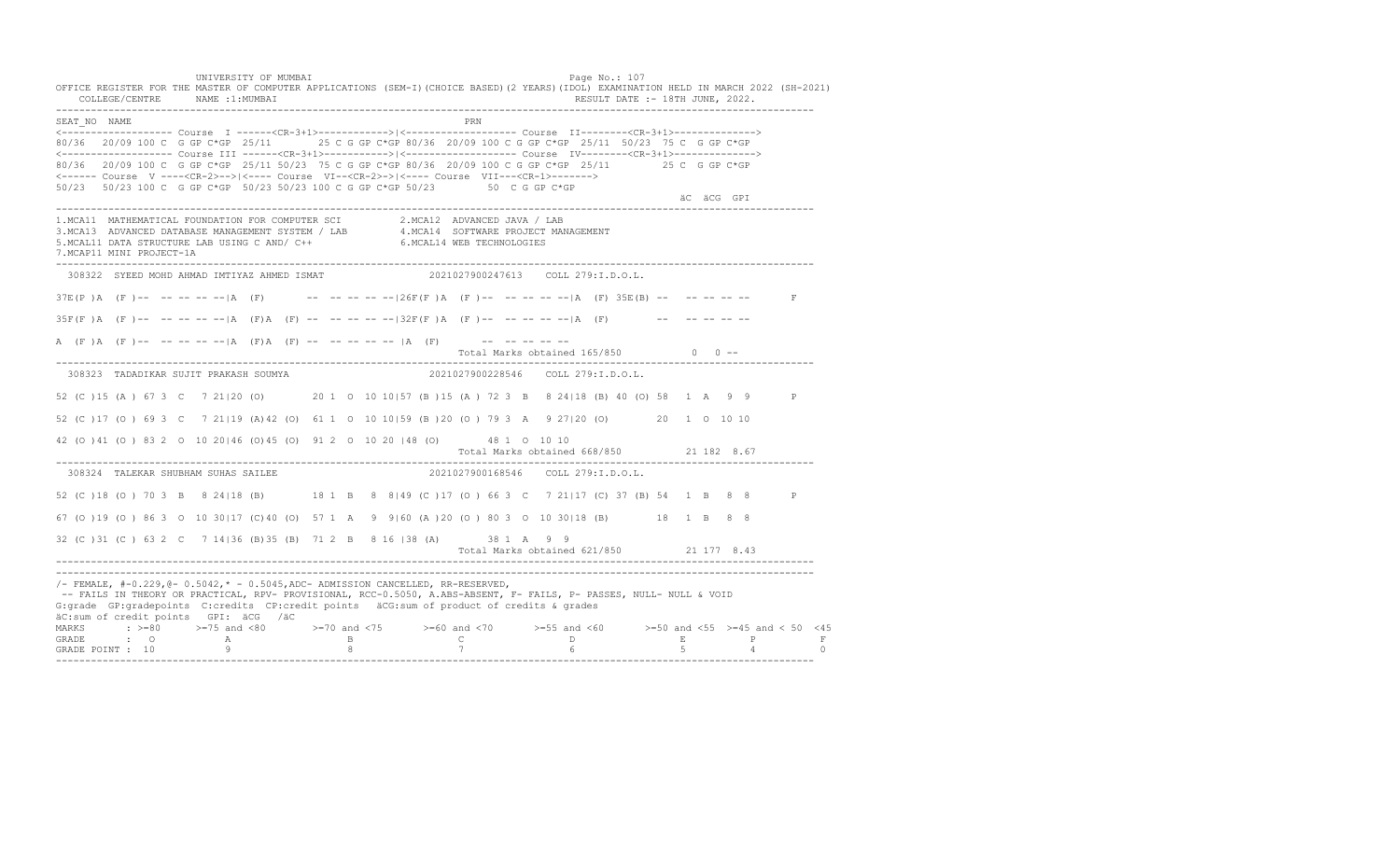UNIVERSITY OF MUMBAI Page No.: 107 OFFICE REGISTER FOR THE MASTER OF COMPUTER APPLICATIONS (SEM-I)(CHOICE BASED)(2 YEARS)(IDOL) EXAMINATION HELD IN MARCH 2022 (SH-2021) COLLEGE/CENTRE NAME :1:MUMBAI RESULT DATE :- 18TH JUNE, 2022. ---------------------------------------------------------------------------------------------------------------------------------- SEAT\_NO NAME PRIMAGE PRODUCED IN THE PRODUCED SEAT NO PRIMAGE PRIMAGE PRIMAGE PRIMAGE PRIMAGE PRIMAGE PRIMAGE PRIMAGE PRIMAGE PRIMAGE PRIMAGE PRIMAGE PRIMAGE PRIMAGE PRIMAGE PRIMAGE PRIMAGE PRIMAGE PRIMAGE PRIMAGE PRIMAGE <------------------- Course I ------<CR-3+1>------------>|<------------------- Course II--------<CR-3+1>--------------> 80/36 20/09 100 C G GP C\*GP 25/11 25 C G GP C\*GP 80/36 20/09 100 C G GP C\*GP 25/11 50/23 75 C G GP C\*GP <------------------- Course III ------<CR-3+1>----------->|<------------------- Course IV--------<CR-3+1>--------------> 80/36 20/09 100 C G GP C\*GP 25/11 50/23 75 C G GP C\*GP 80/36 20/09 100 C G GP C\*GP 25/11 25 C G GP C\*GP <------ Course V ----<CR-2>-->|<---- Course VI--<CR-2>->|<---- Course VII---<CR-1>-------> 50/23 50/23 100 C G GP C\*GP 50/23 50/23 100 C G GP C\*GP 50/23 50 C G GP C\*GP äC äCG GPI ---------------------------------------------------------------------------------------------------------------------------------- 1.MCA11 MATHEMATICAL FOUNDATION FOR COMPUTER SCI 2.MCA12 ADVANCED JAVA / LAB<br>3.MCA13 ADVANCED DATABASE MANAGEMENT SYSTEM / LAB 4.MCA14 SOFTWARE PROJECT MANAGEMENT<br>5.MCAL11 DATA STRUCTURE LAB U 7.MCAP11 MINI PROJECT-1A ---------------------------------------------------------------------------------------------------------------------------------- 308322 SYEED MOHD AHMAD IMTIYAZ AHMED ISMAT 2021027900247613 COLL 279:I.D.O.L.  $37E(P)$  A (F )-- -- -- -- -- |A (F) -- -- -- -- -- -- -|26F(F )A (F )-- -- -- -- -- |A (F) 35E(B) -- -- -- -- -- -- F  $35F(F)$  A (F) -- -- -- -- -- |A (F) A (F) -- -- -- -- -- |32F(F) A (F) -- -- -- -- -- |A (F) -- -- -- -- -- --A (F)A (F)-- -- -- -- -- |A (F)A (F) -- -- -- -- -- |A (F) -- -- -- -- -- -- --Total Marks obtained  $165/850$  0 ------------------------------------------------------------------------------------------------------------------------------------ 308323 TADADIKAR SUJIT PRAKASH SOUMYA 2021027900228546 COLL 279:I.D.O.L. 52 (C )15 (A ) 67 3 C 7 21|20 (O) 20 1 O 10 10|57 (B )15 (A ) 72 3 B 8 24|18 (B) 40 (O) 58 1 A 9 9 P 52 (C )17 (O ) 69 3 C 7 21|19 (A)42 (O) 61 1 O 10 10|59 (B )20 (O ) 79 3 A 9 27|20 (O) 20 1 O 10 10 42 (O )41 (O ) 83 2 O 10 20|46 (O)45 (O) 91 2 O 10 20 |48 (O) 48 1 O 10 10 Total Marks obtained 668/850 21 182 8.67 ---------------------------------------------------------------------------------------------------------------------------------- 308324 TALEKAR SHUBHAM SUHAS SAILEE 52 (C )18 (O ) 70 3 B 8 24|18 (B) 18 1 B 8 8|49 (C )17 (O ) 66 3 C 7 21|17 (C) 37 (B) 54 1 B 8 8 P 67 (O )19 (O ) 86 3 O 10 30|17 (C)40 (O) 57 1 A 9 9|60 (A )20 (O ) 80 3 O 10 30|18 (B) 18 1 B 8 8 32 (C )31 (C ) 63 2 C 7 14|36 (B)35 (B) 71 2 B 8 16 |38 (A) 38 1 A 9 9 Total Marks obtained 621/850 21 177 8.43 ---------------------------------------------------------------------------------------------------------------------------------- ---------------------------------------------------------------------------------------------------------------------------------- /- FEMALE, #-0.229,@- 0.5042,\* - 0.5045,ADC- ADMISSION CANCELLED, RR-RESERVED, -- FAILS IN THEORY OR PRACTICAL, RPV- PROVISIONAL, RCC-0.5050, A.ABS-ABSENT, F- FAILS, P- PASSES, NULL- NULL & VOID G:grade GP:gradepoints C:credits CP:credit points äCG:sum of product of credits & grades äC:sum of credit points GPI: äCG /äC MARKS : >=80 >=75 and <80 >=70 and <75 >=60 and <70 >=55 and <60 >=50 and <55 >=45 and < 50 <45 GRADE : O A B C D E P F GRADE POINT : 10 9 8 7 6 5 4 0 ----------------------------------------------------------------------------------------------------------------------------------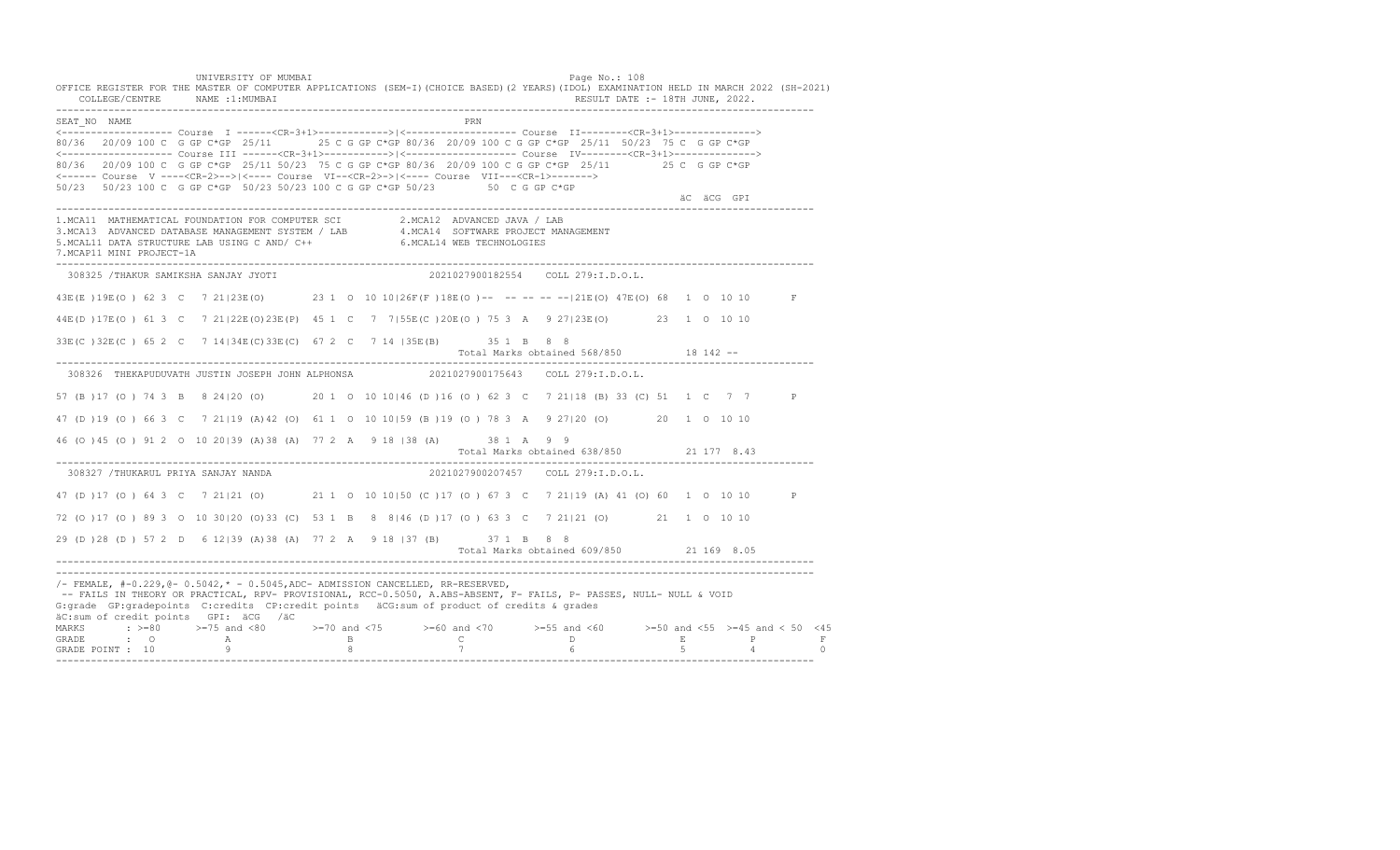UNIVERSITY OF MUMBAI Page No.: 108 OFFICE REGISTER FOR THE MASTER OF COMPUTER APPLICATIONS (SEM-I)(CHOICE BASED)(2 YEARS)(IDOL) EXAMINATION HELD IN MARCH 2022 (SH-2021) COLLEGE/CENTRE NAME :1:MUMBAI RESULT DATE :- 18TH JUNE, 2022. ---------------------------------------------------------------------------------------------------------------------------------- SEAT\_NO NAME PRN <------------------- Course I ------<CR-3+1>------------>|<------------------- Course II--------<CR-3+1>--------------> 80/36 20/09 100 C G GP C\*GP 25/11 25 C G GP C\*GP 80/36 20/09 100 C G GP C\*GP 25/11 50/23 75 C G GP C\*GP <------------------- Course III ------<CR-3+1>----------->|<------------------- Course IV--------<CR-3+1>--------------> 80/36 20/09 100 C G GP C\*GP 25/11 50/23 75 C G GP C\*GP 80/36 20/09 100 C G GP C\*GP 25/11 25 C G GP C\*GP <------ Course V ----<CR-2>-->|<---- Course VI--<CR-2>->|<---- Course VII---<CR-1>-------> 50/23 50/23 100 C G GP C\*GP 50/23 50/23 100 C G GP C\*GP 50/23 50 C G GP C\*GP äC äCG GPI ---------------------------------------------------------------------------------------------------------------------------------- 1.MCA11 MATHEMATICAL FOUNDATION FOR COMPUTER SCI 2.MCA12 ADVANCED JAVA / LAB<br>3.MCA13 ADVANCED DATABASE MANAGEMENT SYSTEM / LAB 4.MCA14 SOFTWARE PROJECT MANAGEMENT<br>5.MCAL11 DATA STRUCTURE LAB U 7.MCAP11 MINI PROJECT-1A ---------------------------------------------------------------------------------------------------------------------------------- 308325 /THAKUR SAMIKSHA SANJAY JYOTI 2021027900182554 COLL 279:I.D.O.L. 43E(E )19E(O ) 62 3 C 7 21|23E(O) 23 1 O 10 10|26F(F )18E(O )-- -- -- -- --|21E(O) 47E(O) 68 1 O 10 10 F 44E(D )17E(O ) 61 3 C 7 21|22E(O)23E(P) 45 1 C 7 7|55E(C )20E(O ) 75 3 A 9 27|23E(O) 23 1 O 10 10 33E(C )32E(C ) 65 2 C 7 14|34E(C)33E(C) 67 2 C 7 14 |35E(B) 35 1 B 8 8 Total Marks obtained 568/850 18 142 ------------------------------------------------------------------------------------------------------------------------------------ 308326 THEKAPUDUVATH JUSTIN JOSEPH JOHN ALPHONSA 2021027900175643 COLL 279:I.D.O.L. 57 (B )17 (O ) 74 3 B 8 24|20 (O) 20 1 O 10 10|46 (D )16 (O ) 62 3 C 7 21|18 (B) 33 (C) 51 1 C 7 7 P 47 (D )19 (O ) 66 3 C 7 21|19 (A)42 (O) 61 1 O 10 10|59 (B )19 (O ) 78 3 A 9 27|20 (O) 20 1 O 10 10 46 (O )45 (O ) 91 2 O 10 20|39 (A)38 (A) 77 2 A 9 18 |38 (A) 38 1 A 9 9 Total Marks obtained 638/850 21 177 8.43 ---------------------------------------------------------------------------------------------------------------------------------- 308327 /THUKARUL PRIYA SANJAY NANDA 47 (D )17 (O ) 64 3 C 7 21|21 (O) 21 1 O 10 10|50 (C )17 (O ) 67 3 C 7 21|19 (A) 41 (O) 60 1 O 10 10 P 72 (O )17 (O ) 89 3 O 10 30|20 (O)33 (C) 53 1 B 8 8|46 (D )17 (O ) 63 3 C 7 21|21 (O) 21 1 O 10 10 29 (D )28 (D ) 57 2 D 6 12|39 (A)38 (A) 77 2 A 9 18 |37 (B) 37 1 B 8 8 Total Marks obtained 609/850 21 169 8.05 ---------------------------------------------------------------------------------------------------------------------------------- ---------------------------------------------------------------------------------------------------------------------------------- /- FEMALE, #-0.229,@- 0.5042,\* - 0.5045,ADC- ADMISSION CANCELLED, RR-RESERVED, -- FAILS IN THEORY OR PRACTICAL, RPV- PROVISIONAL, RCC-0.5050, A.ABS-ABSENT, F- FAILS, P- PASSES, NULL- NULL & VOID G:grade GP:gradepoints C:credits CP:credit points äCG:sum of product of credits & grades äC:sum of credit points GPI: äCG /äC MARKS : >=80 >=75 and <80 >=70 and <75 >=60 and <70 >=55 and <60 >=50 and <55 >=45 and < 50 <45 GRADE : O A B C D E P F GRADE POINT : 10 9 8 7 6 5 4 0 ----------------------------------------------------------------------------------------------------------------------------------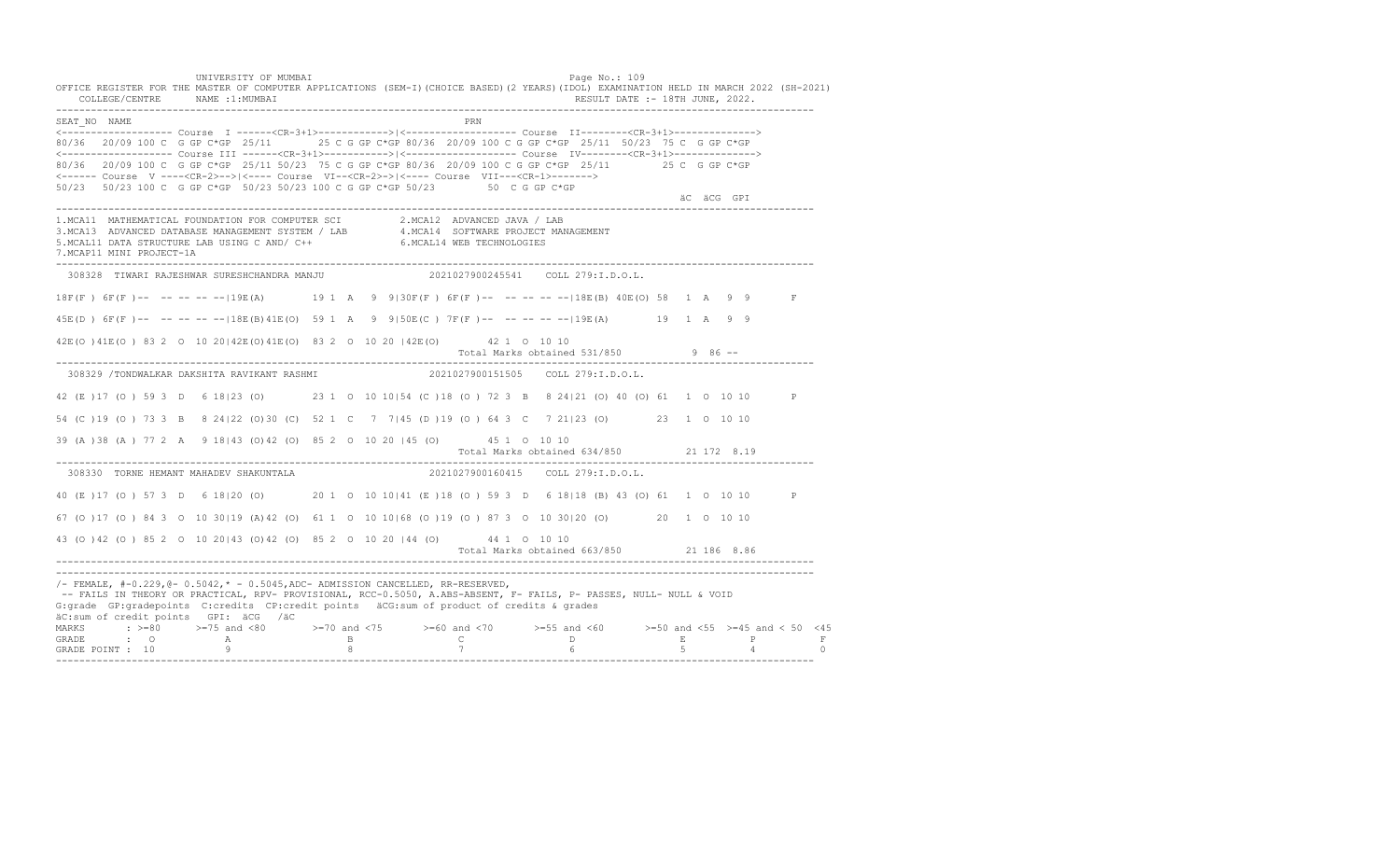UNIVERSITY OF MUMBAI Page No.: 109 OFFICE REGISTER FOR THE MASTER OF COMPUTER APPLICATIONS (SEM-I)(CHOICE BASED)(2 YEARS)(IDOL) EXAMINATION HELD IN MARCH 2022 (SH-2021) COLLEGE/CENTRE NAME :1:MUMBAI RESULT DATE :- 18TH JUNE, 2022. ---------------------------------------------------------------------------------------------------------------------------------- SEAT\_NO NAME PRIME PRIME PRODUCED A SEATLAND PRIME PRIME PRIME PRIME PRIME PRIME PRIME PRIME PRIME PRIME PRIME PRIME PRIME PRIME PRIME PRIME PRIME PRIME PRIME PRIME PRIME PRIME PRIME PRIME PRIME PRIME PRIME PRIME PRIME PRI <------------------- Course I ------<CR-3+1>------------>|<------------------- Course II--------<CR-3+1>--------------> 80/36 20/09 100 C G GP C\*GP 25/11 25 C G GP C\*GP 80/36 20/09 100 C G GP C\*GP 25/11 50/23 75 C G GP C\*GP <------------------- Course III ------<CR-3+1>----------->|<------------------- Course IV--------<CR-3+1>--------------> 80/36 20/09 100 C G GP C\*GP 25/11 50/23 75 C G GP C\*GP 80/36 20/09 100 C G GP C\*GP 25/11 25 C G GP C\*GP <------ Course V ----<CR-2>-->|<---- Course VI--<CR-2>->|<---- Course VII---<CR-1>-------> 50/23 50/23 100 C G GP C\*GP 50/23 50/23 100 C G GP C\*GP 50/23 50 C G GP C\*GP äC äCG GPI ä<sup>n v</sup>ächtliche State und der State und der State und der State und der State und der State und der State und der State und der State und der State und der State und der State und der State und der State und der ---------------------------------------------------------------------------------------------------------------------------------- 1.MCA11 MATHEMATICAL FOUNDATION FOR COMPUTER SCI 2.MCA12 ADVANCED JAVA / LAB<br>3.MCA13 ADVANCED DATABASE MANAGEMENT SYSTEM / LAB 4.MCA14 SOFTWARE PROJECT MANAGEMENT<br>5.MCAL11 DATA STRUCTURE LAB USI 7.MCAP11 MINI PROJECT-1A ---------------------------------------------------------------------------------------------------------------------------------- 308328 TIWARI RAJESHWAR SURESHCHANDRA MANJU 2021027900245541 COLL 279:I.D.O.L. 18F(F ) 6F(F )-- -- -- -- --|19E(A) 19 1 A 9 9|30F(F ) 6F(F )-- -- -- -- --|18E(B) 40E(O) 58 1 A 9 9 F 45E(D ) 6F(F )-- -- -- -- --|18E(B)41E(O) 59 1 A 9 9|50E(C ) 7F(F )-- -- -- -- --|19E(A) 19 1 A 9 9 42E(O )41E(O ) 83 2 O 10 20|42E(O)41E(O) 83 2 O 10 20 |42E(O) 42 1 O 10 10 Total Marks obtained 531/850 9 86 ------------------------------------------------------------------------------------------------------------------------------------ 308329 /TONDWALKAR DAKSHITA RAVIKANT RASHMI 2021027900151505 COLL 279:I.D.O.L. 42 (E )17 (O ) 59 3 D 6 18|23 (O) 23 1 O 10 10|54 (C )18 (O ) 72 3 B 8 24|21 (O) 40 (O) 61 1 O 10 10 P 54 (C )19 (O ) 73 3 B 8 24|22 (O)30 (C) 52 1 C 7 7|45 (D )19 (O ) 64 3 C 7 21|23 (O) 23 1 O 10 10 39 (A )38 (A ) 77 2 A 9 18|43 (O)42 (O) 85 2 O 10 20 |45 (O) 45 1 O 10 10 Total Marks obtained 634/850 21 172 8.19 ---------------------------------------------------------------------------------------------------------------------------------- 308330 TORNE HEMANT MAHADEV SHAKUNTALA 40 (E )17 (O ) 57 3 D 6 18|20 (O) 20 1 O 10 10|41 (E )18 (O ) 59 3 D 6 18|18 (B) 43 (O) 61 1 O 10 10 P 67 (O )17 (O ) 84 3 O 10 30|19 (A)42 (O) 61 1 O 10 10|68 (O )19 (O ) 87 3 O 10 30|20 (O) 20 1 O 10 10 43 (O )42 (O ) 85 2 O 10 20|43 (O)42 (O) 85 2 O 10 20 |44 (O) 44 1 O 10 10 Total Marks obtained 663/850 21 186 8.86 ---------------------------------------------------------------------------------------------------------------------------------- ---------------------------------------------------------------------------------------------------------------------------------- /- FEMALE, #-0.229,@- 0.5042,\* - 0.5045,ADC- ADMISSION CANCELLED, RR-RESERVED, -- FAILS IN THEORY OR PRACTICAL, RPV- PROVISIONAL, RCC-0.5050, A.ABS-ABSENT, F- FAILS, P- PASSES, NULL- NULL & VOID G:grade GP:gradepoints C:credits CP:credit points äCG:sum of product of credits & grades äC:sum of credit points GPI: äCG /äC MARKS : >=80 >=75 and <80 >=70 and <75 >=60 and <70 >=55 and <60 >=50 and <55 >=45 and < 50 <45 GRADE : O A B C D E P F<br>GRADE POINT : 10 9 9 8 7 7 6 5 4 0 ----------------------------------------------------------------------------------------------------------------------------------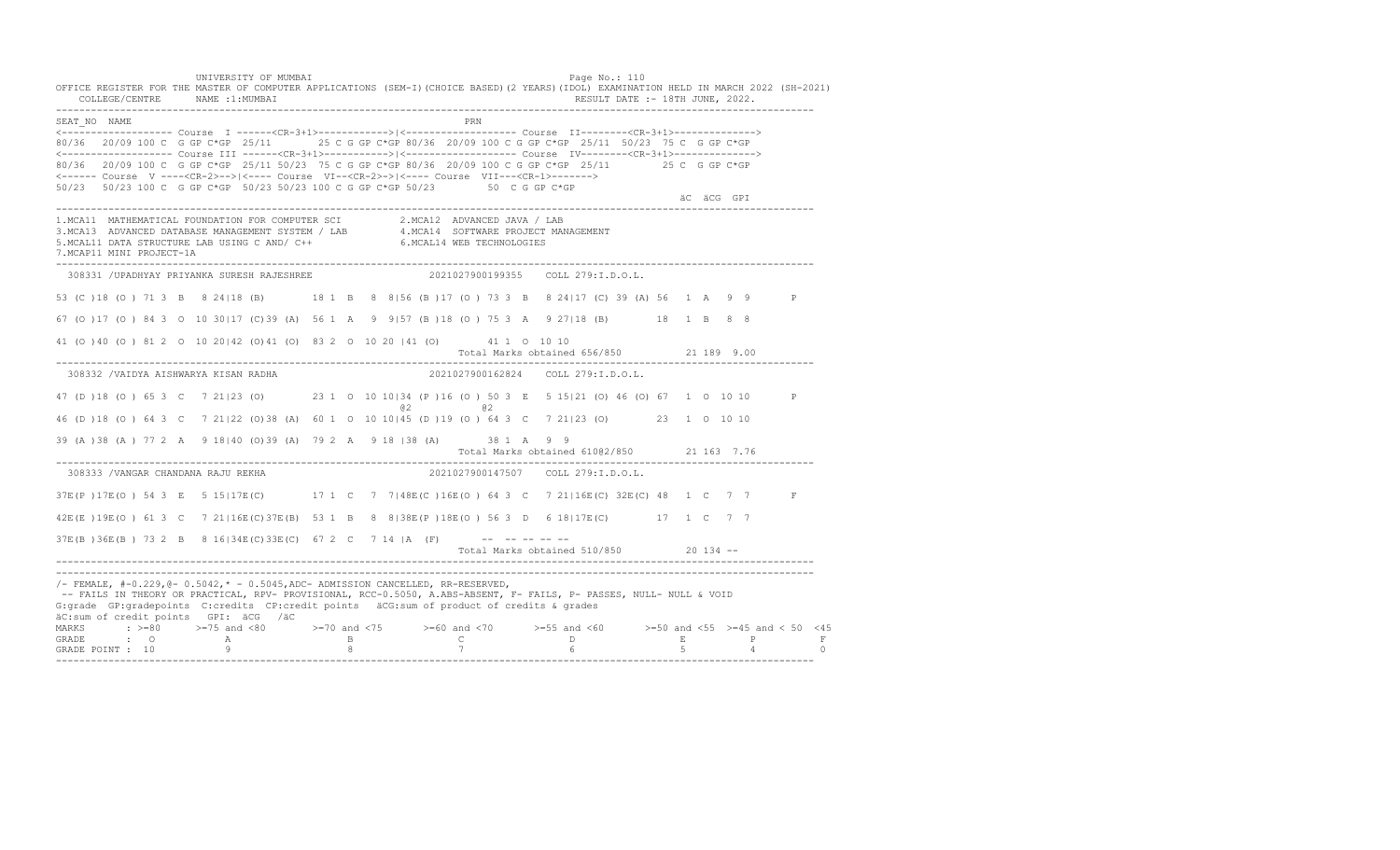UNIVERSITY OF MUMBAI Page No.: 110 OFFICE REGISTER FOR THE MASTER OF COMPUTER APPLICATIONS (SEM-I)(CHOICE BASED)(2 YEARS)(IDOL) EXAMINATION HELD IN MARCH 2022 (SH-2021) COLLEGE/CENTRE NAME :1:MUMBAI RESULT DATE :- 18TH JUNE, 2022. ---------------------------------------------------------------------------------------------------------------------------------- SEAT\_NO NAME PRIME PRIME PRODUCED A SEATLAND PRIME PRIME PRIME PRIME PRIME PRIME PRIME PRIME PRIME PRIME PRIME PRIME PRIME PRIME PRIME PRIME PRIME PRIME PRIME PRIME PRIME PRIME PRIME PRIME PRIME PRIME PRIME PRIME PRIME PRI <------------------- Course I ------<CR-3+1>------------>|<------------------- Course II--------<CR-3+1>--------------> 80/36 20/09 100 C G GP C\*GP 25/11 25 C G GP C\*GP 80/36 20/09 100 C G GP C\*GP 25/11 50/23 75 C G GP C\*GP <------------------- Course III ------<CR-3+1>----------->|<------------------- Course IV--------<CR-3+1>--------------> 80/36 20/09 100 C G GP C\*GP 25/11 50/23 75 C G GP C\*GP 80/36 20/09 100 C G GP C\*GP 25/11 25 C G GP C\*GP <------ Course V ----<CR-2>-->|<---- Course VI--<CR-2>->|<---- Course VII---<CR-1>-------> 50/23 50/23 100 C G GP C\*GP 50/23 50/23 100 C G GP C\*GP 50/23 50 C G GP C\*GP äC äCG GPI ä<sup>n v</sup>ächtliche State und der State und der State und der State und der State und der State und der State und der State und der State und der State und der State und der State und der State und der State und der ---------------------------------------------------------------------------------------------------------------------------------- 1.MCA11 MATHEMATICAL FOUNDATION FOR COMPUTER SCI 2.MCA12 ADVANCED JAVA / LAB<br>3.MCA13 ADVANCED DATABASE MANAGEMENT SYSTEM / LAB 4.MCA14 SOFTWARE PROJECT MANAGEMENT<br>5.MCAL11 DATA STRUCTURE LAB U 7.MCAP11 MINI PROJECT-1A ---------------------------------------------------------------------------------------------------------------------------------- 308331 /UPADHYAY PRIYANKA SURESH RAJESHREE 2021027900199355 COLL 279:I.D.O.L. 53 (C )18 (O ) 71 3 B 8 24|18 (B) 18 1 B 8 8|56 (B )17 (O ) 73 3 B 8 24|17 (C) 39 (A) 56 1 A 9 9 P 67 (O )17 (O ) 84 3 O 10 30|17 (C)39 (A) 56 1 A 9 9|57 (B )18 (O ) 75 3 A 9 27|18 (B) 18 1 B 8 8 41 (O )40 (O ) 81 2 O 10 20|42 (O)41 (O) 83 2 O 10 20 |41 (O) 41 1 O 10 10 Total Marks obtained 656/850 21 189 9.00 ---------------------------------------------------------------------------------------------------------------------------------- 308332 /VAIDYA AISHWARYA KISAN RADHA 2021027900162824 COLL 279:I.D.O.L. 47 (D )18 (O ) 65 3 C 7 21|23 (O) 23 1 O 10 10|34 (P )16 (O ) 50 3 E 5 15|21 (O) 46 (O) 67 1 O 10 10 P @2 @2 46 (D )18 (O ) 64 3 C 7 21|22 (O)38 (A) 60 1 O 10 10|45 (D )19 (O ) 64 3 C 7 21|23 (O) 23 1 O 10 10 39 (A )38 (A ) 77 2 A 9 18|40 (O)39 (A) 79 2 A 9 18 |38 (A) 38 1 A 9 9 Total Marks obtained 610@2/850 21 163 7.76 ---------------------------------------------------------------------------------------------------------------------------------- 308333 /VANGAR CHANDANA RAJU REKHA 2021027900147507 COLL 279:I.D.O.L. 37E(P )17E(O ) 54 3 E 5 15|17E(C) 17 1 C 7 7|48E(C )16E(O ) 64 3 C 7 21|16E(C) 32E(C) 48 1 C 7 7 F 42E(E )19E(O ) 61 3 C 7 21|16E(C)37E(B) 53 1 B 8 8|38E(P )18E(O ) 56 3 D 6 18|17E(C) 17 1 C 7 7  $37E(B) 36E(B) 732 B 8 16|34E(C) 33E(C) 67 2 C 7 14 |A (F)$  -- -- -- -- -- Total Marks obtained 510/850 20 134 -- ---------------------------------------------------------------------------------------------------------------------------------- ---------------------------------------------------------------------------------------------------------------------------------- /- FEMALE, #-0.229,@- 0.5042,\* - 0.5045,ADC- ADMISSION CANCELLED, RR-RESERVED, -- FAILS IN THEORY OR PRACTICAL, RPV- PROVISIONAL, RCC-0.5050, A.ABS-ABSENT, F- FAILS, P- PASSES, NULL- NULL & VOID G:grade GP:gradepoints C:credits CP:credit points äCG:sum of product of credits & grades äC:sum of credit points GPI: äCG /äC MARKS : >=80 >=75 and <80 >=70 and <75 >=60 and <70 >=55 and <60 >=50 and <55 >=45 and < 50 <45 GRADE : O A B C D E P F GRADE POINT : 10 9 8 7 6 5 4 0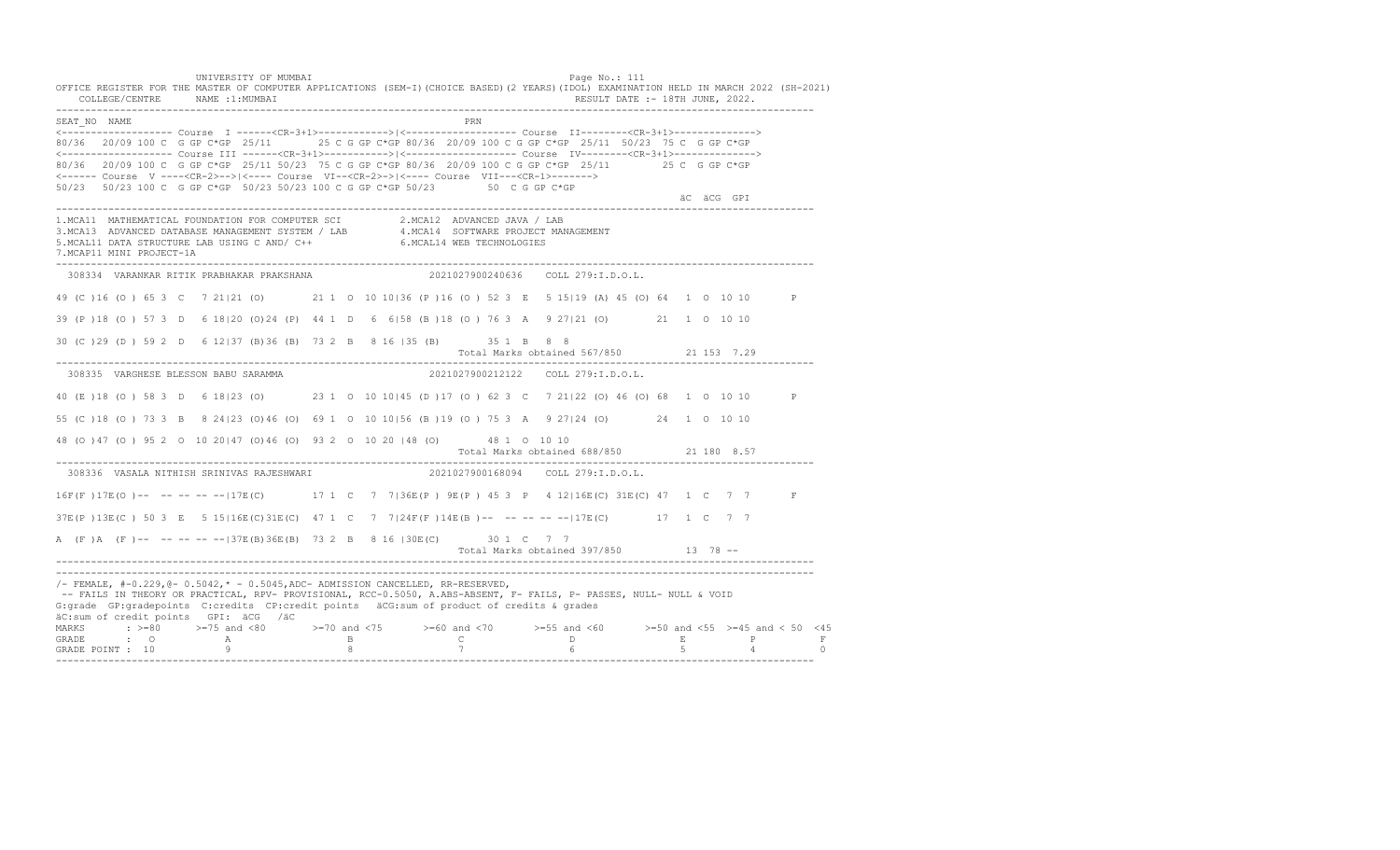UNIVERSITY OF MUMBAI Page No.: 111 OFFICE REGISTER FOR THE MASTER OF COMPUTER APPLICATIONS (SEM-I)(CHOICE BASED)(2 YEARS)(IDOL) EXAMINATION HELD IN MARCH 2022 (SH-2021) COLLEGE/CENTRE NAME :1:MUMBAI RESULT DATE :- 18TH JUNE, 2022. ---------------------------------------------------------------------------------------------------------------------------------- SEAT\_NO NAME PRIME PRIME PRODUCED A SEATLAND PRIME PRIME PRIME PRIME PRIME PRIME PRIME PRIME PRIME PRIME PRIME PRIME PRIME PRIME PRIME PRIME PRIME PRIME PRIME PRIME PRIME PRIME PRIME PRIME PRIME PRIME PRIME PRIME PRIME PRI <------------------- Course I ------<CR-3+1>------------>|<------------------- Course II--------<CR-3+1>--------------> 80/36 20/09 100 C G GP C\*GP 25/11 25 C G GP C\*GP 80/36 20/09 100 C G GP C\*GP 25/11 50/23 75 C G GP C\*GP <------------------- Course III ------<CR-3+1>----------->|<------------------- Course IV--------<CR-3+1>--------------> 80/36 20/09 100 C G GP C\*GP 25/11 50/23 75 C G GP C\*GP 80/36 20/09 100 C G GP C\*GP 25/11 25 C G GP C\*GP <------ Course V ----<CR-2>-->|<---- Course VI--<CR-2>->|<---- Course VII---<CR-1>-------> 50/23 50/23 100 C G GP C\*GP 50/23 50/23 100 C G GP C\*GP 50/23 50 C G GP C\*GP äC äCG GPI ä<sup>n v</sup>ächtliche State und der State und der State und der State und der State und der State und der State und der State und der State und der State und der State und der State und der State und der State und der ---------------------------------------------------------------------------------------------------------------------------------- 1.MCA11 MATHEMATICAL FOUNDATION FOR COMPUTER SCI 2.MCA12 ADVANCED JAVA / LAB<br>3.MCA13 ADVANCED DATABASE MANAGEMENT SYSTEM / LAB 4.MCA14 SOFTWARE PROJECT MANAGEMENT<br>5.MCAL11 DATA STRUCTURE LAB U 7.MCAP11 MINI PROJECT-1A ---------------------------------------------------------------------------------------------------------------------------------- 308334 VARANKAR RITIK PRABHAKAR PRAKSHANA 2021027900240636 COLL 279:I.D.O.L. 49 (C )16 (O ) 65 3 C 7 21|21 (O) 21 1 O 10 10|36 (P )16 (O ) 52 3 E 5 15|19 (A) 45 (O) 64 1 O 10 10 P 39 (P )18 (O ) 57 3 D 6 18|20 (O)24 (P) 44 1 D 6 6|58 (B )18 (O ) 76 3 A 9 27|21 (O) 21 1 O 10 10 30 (C )29 (D ) 59 2 D 6 12|37 (B)36 (B) 73 2 B 8 16 |35 (B) 35 1 B 8 8 Total Marks obtained 567/850 21 153 7.29 ---------------------------------------------------------------------------------------------------------------------------------- 308335 VARGHESE BLESSON BABU SARAMMA 2021027900212122 COLL 279:I.D.O.L. 40 (E )18 (O ) 58 3 D 6 18|23 (O) 23 1 O 10 10|45 (D )17 (O ) 62 3 C 7 21|22 (O) 46 (O) 68 1 O 10 10 P 55 (C )18 (O ) 73 3 B 8 24|23 (O)46 (O) 69 1 O 10 10|56 (B )19 (O ) 75 3 A 9 27|24 (O) 24 1 O 10 10 48 (O )47 (O ) 95 2 O 10 20|47 (O)46 (O) 93 2 O 10 20 |48 (O) 48 1 O 10 10 Total Marks obtained 688/850 21 180 8.57 ---------------------------------------------------------------------------------------------------------------------------------- 308336 VASALA NITHISH SRINIVAS RAJESHWARI 16F(F) 17E(O) -- -- -- -- -- 17E(C) 17 1 C 7 7|36E(P) 9E(P) 45 3 P 4 12|16E(C) 31E(C) 47 1 C 7 7 F 37E(P )13E(C ) 50 3 E 5 15|16E(C)31E(C) 47 1 C 7 7|24F(F )14E(B )-- -- -- -- --|17E(C) 17 1 C 7 7 A (F )A (F )-- -- -- -- --|37E(B)36E(B) 73 2 B 8 16 |30E(C) 30 1 C 7 7 Total Marks obtained 397/850 13 78 ------------------------------------------------------------------------------------------------------------------------------------ ---------------------------------------------------------------------------------------------------------------------------------- /- FEMALE, #-0.229,@- 0.5042,\* - 0.5045,ADC- ADMISSION CANCELLED, RR-RESERVED, -- FAILS IN THEORY OR PRACTICAL, RPV- PROVISIONAL, RCC-0.5050, A.ABS-ABSENT, F- FAILS, P- PASSES, NULL- NULL & VOID G:grade GP:gradepoints C:credits CP:credit points äCG:sum of product of credits & grades äC:sum of credit points GPI: äCG /äC MARKS : >=80 >=75 and <80 >=70 and <75 >=60 and <70 >=55 and <60 >=50 and <55 >=45 and < 50 <45 GRADE : O A B C D E P F<br>GRADE POINT : 10 9 9 8 7 7 6 5 4 0 ----------------------------------------------------------------------------------------------------------------------------------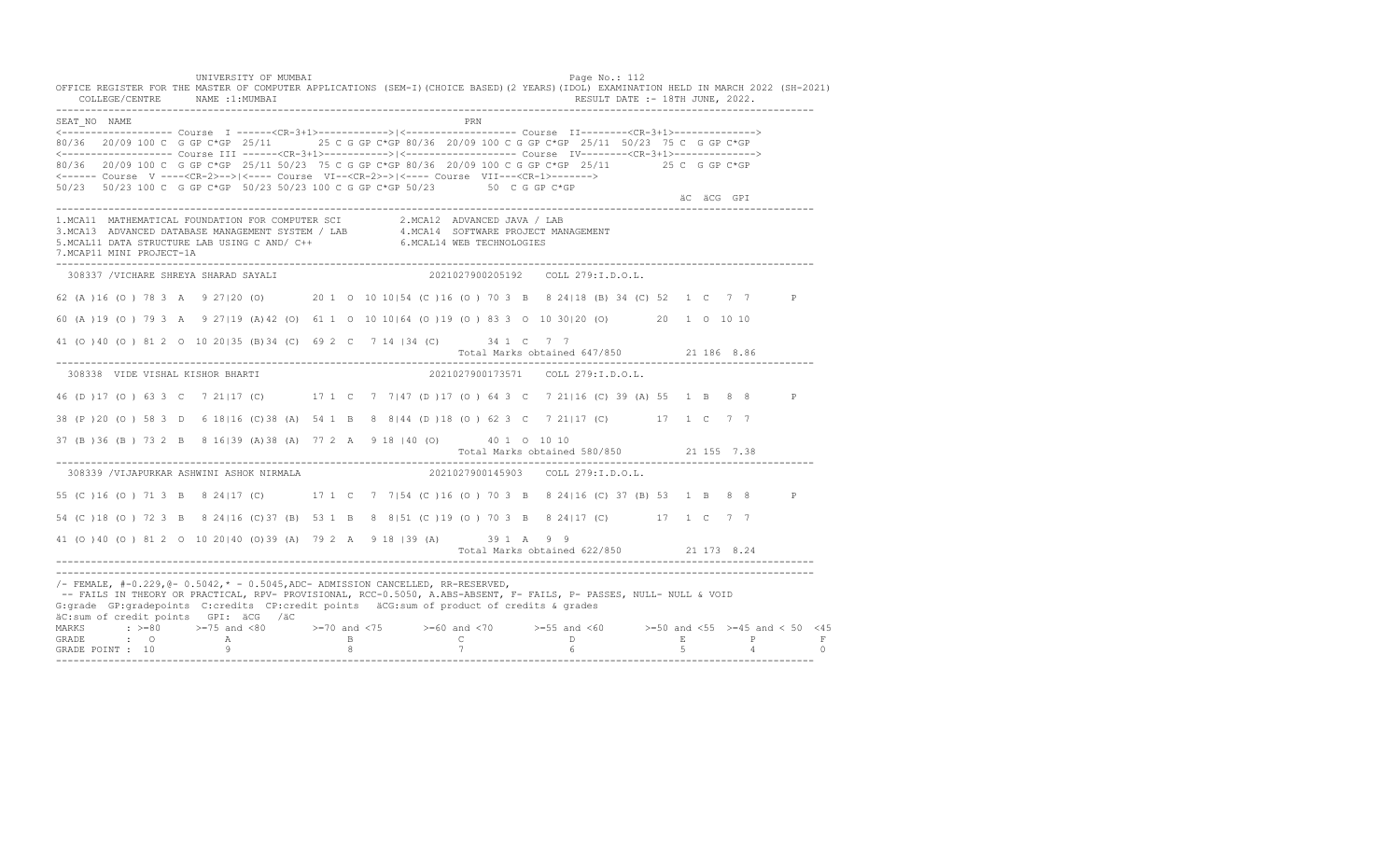UNIVERSITY OF MUMBAI Page No.: 112 OFFICE REGISTER FOR THE MASTER OF COMPUTER APPLICATIONS (SEM-I)(CHOICE BASED)(2 YEARS)(IDOL) EXAMINATION HELD IN MARCH 2022 (SH-2021) COLLEGE/CENTRE NAME :1:MUMBAI RESULT DATE :- 18TH JUNE, 2022. ---------------------------------------------------------------------------------------------------------------------------------- SEAT\_NO NAME PRIME PRIME PRODUCED A SEATLAND PRIME PRIME PRIME PRIME PRIME PRIME PRIME PRIME PRIME PRIME PRIME PRIME PRIME PRIME PRIME PRIME PRIME PRIME PRIME PRIME PRIME PRIME PRIME PRIME PRIME PRIME PRIME PRIME PRIME PRI <------------------- Course I ------<CR-3+1>------------>|<------------------- Course II--------<CR-3+1>--------------> 80/36 20/09 100 C G GP C\*GP 25/11 25 C G GP C\*GP 80/36 20/09 100 C G GP C\*GP 25/11 50/23 75 C G GP C\*GP <------------------- Course III ------<CR-3+1>----------->|<------------------- Course IV--------<CR-3+1>--------------> 80/36 20/09 100 C G GP C\*GP 25/11 50/23 75 C G GP C\*GP 80/36 20/09 100 C G GP C\*GP 25/11 25 C G GP C\*GP <------ Course V ----<CR-2>-->|<---- Course VI--<CR-2>->|<---- Course VII---<CR-1>-------> 50/23 50/23 100 C G GP C\*GP 50/23 50/23 100 C G GP C\*GP 50/23 50 C G GP C\*GP äC äCG GPI ä<sup>n v</sup>ächtliche State und der State und der State und der State und der State und der State und der State und der State und der State und der State und der State und der State und der State und der State und der ---------------------------------------------------------------------------------------------------------------------------------- 1.MCA11 MATHEMATICAL FOUNDATION FOR COMPUTER SCI 2.MCA12 ADVANCED JAVA / LAB<br>3.MCA13 ADVANCED DATABASE MANAGEMENT SYSTEM / LAB 4.MCA14 SOFTWARE PROJECT MANAGEMENT<br>5.MCAL11 DATA STRUCTURE LAB U 7.MCAP11 MINI PROJECT-1A ---------------------------------------------------------------------------------------------------------------------------------- 308337 /VICHARE SHREYA SHARAD SAYALI 2021027900205192 COLL 279:I.D.O.L. 62 (A )16 (O ) 78 3 A 9 27|20 (O) 20 1 O 10 10|54 (C )16 (O ) 70 3 B 8 24|18 (B) 34 (C) 52 1 C 7 7 P 60 (A )19 (O ) 79 3 A 9 27|19 (A)42 (O) 61 1 O 10 10|64 (O )19 (O ) 83 3 O 10 30|20 (O) 20 1 O 10 10 41 (O )40 (O ) 81 2 O 10 20|35 (B)34 (C) 69 2 C 7 14 |34 (C) 34 1 C 7 7 Total Marks obtained 647/850 21 186 8.86 ---------------------------------------------------------------------------------------------------------------------------------- 308338 VIDE VISHAL KISHOR BHARTI 2021027900173571 COLL 279:I.D.O.L. 46 (D )17 (O ) 63 3 C 7 21|17 (C) 17 1 C 7 7|47 (D )17 (O ) 64 3 C 7 21|16 (C) 39 (A) 55 1 B 8 8 P 38 (P )20 (O ) 58 3 D 6 18|16 (C)38 (A) 54 1 B 8 8|44 (D )18 (O ) 62 3 C 7 21|17 (C) 17 1 C 7 7 37 (B )36 (B ) 73 2 B 8 16|39 (A)38 (A) 77 2 A 9 18 |40 (O) 40 1 O 10 10 Total Marks obtained 580/850 21 155 7.38 ---------------------------------------------------------------------------------------------------------------------------------- 308339 /VIJAPURKAR ASHWINI ASHOK NIRMALA 55 (C )16 (O ) 71 3 B 8 24|17 (C) 17 1 C 7 7|54 (C )16 (O ) 70 3 B 8 24|16 (C) 37 (B) 53 1 B 8 8 P 54 (C )18 (O ) 72 3 B 8 24|16 (C)37 (B) 53 1 B 8 8|51 (C )19 (O ) 70 3 B 8 24|17 (C) 17 1 C 7 7 41 (O )40 (O ) 81 2 O 10 20|40 (O)39 (A) 79 2 A 9 18 |39 (A) 39 1 A 9 9 Total Marks obtained 622/850 21 173 8.24 ---------------------------------------------------------------------------------------------------------------------------------- ---------------------------------------------------------------------------------------------------------------------------------- /- FEMALE, #-0.229,@- 0.5042,\* - 0.5045,ADC- ADMISSION CANCELLED, RR-RESERVED, -- FAILS IN THEORY OR PRACTICAL, RPV- PROVISIONAL, RCC-0.5050, A.ABS-ABSENT, F- FAILS, P- PASSES, NULL- NULL & VOID G:grade GP:gradepoints C:credits CP:credit points äCG:sum of product of credits & grades äC:sum of credit points GPI: äCG /äC MARKS : >=80 >=75 and <80 >=70 and <75 >=60 and <70 >=55 and <60 >=50 and <55 >=45 and < 50 <45 GRADE : O A B C D E P F<br>GRADE POINT : 10 9 9 8 7 7 6 5 4 0 ----------------------------------------------------------------------------------------------------------------------------------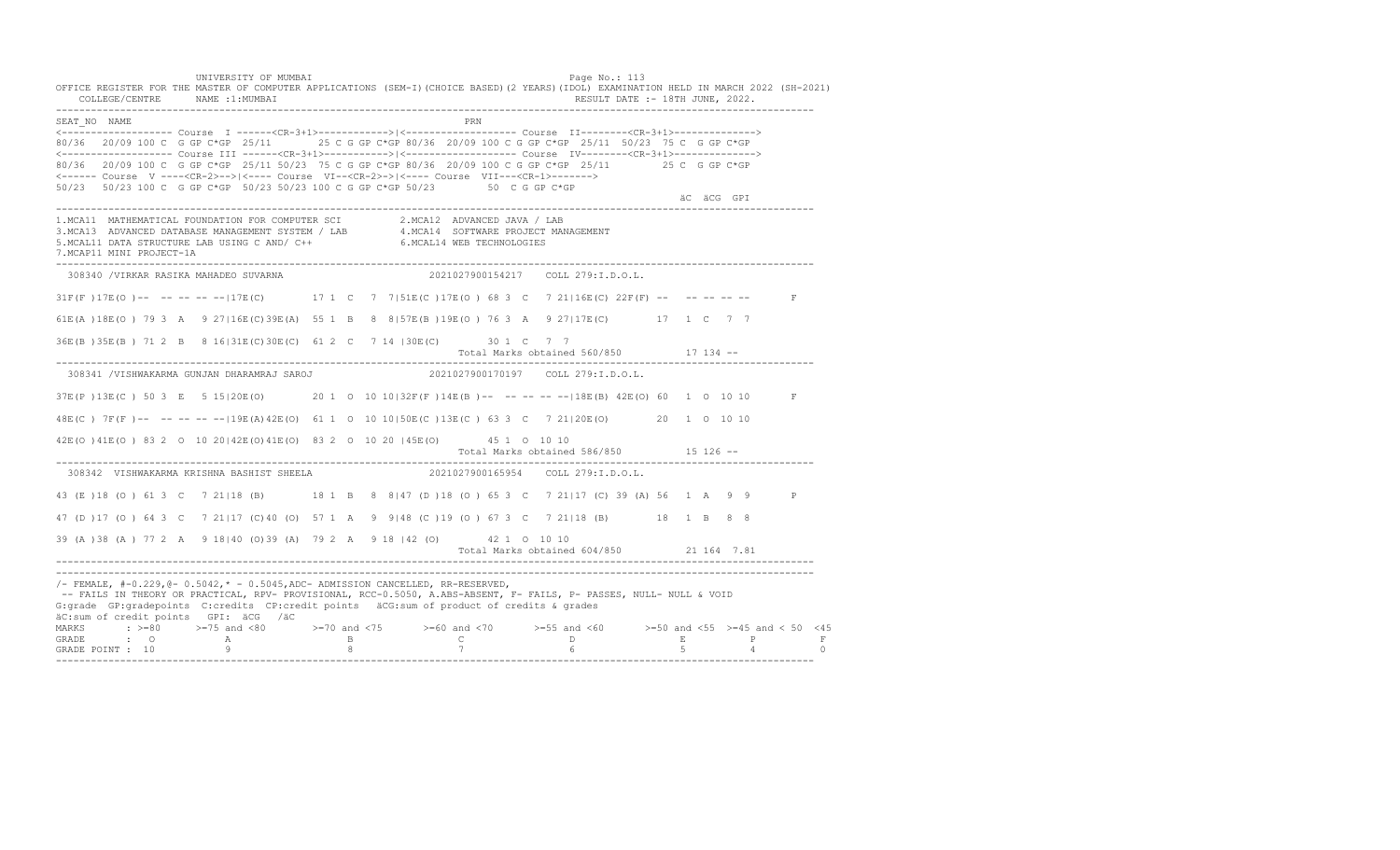UNIVERSITY OF MUMBAI Page No.: 113 OFFICE REGISTER FOR THE MASTER OF COMPUTER APPLICATIONS (SEM-I)(CHOICE BASED)(2 YEARS)(IDOL) EXAMINATION HELD IN MARCH 2022 (SH-2021) COLLEGE/CENTRE NAME :1:MUMBAI RESULT DATE :- 18TH JUNE, 2022. ---------------------------------------------------------------------------------------------------------------------------------- SEAT\_NO NAME PRIME PRIME PRODUCED A SEATLAND PRIME PRIME PRIME PRIME PRIME PRIME PRIME PRIME PRIME PRIME PRIME PRIME PRIME PRIME PRIME PRIME PRIME PRIME PRIME PRIME PRIME PRIME PRIME PRIME PRIME PRIME PRIME PRIME PRIME PRI <------------------- Course I ------<CR-3+1>------------>|<------------------- Course II--------<CR-3+1>--------------> 80/36 20/09 100 C G GP C\*GP 25/11 25 C G GP C\*GP 80/36 20/09 100 C G GP C\*GP 25/11 50/23 75 C G GP C\*GP <------------------- Course III ------<CR-3+1>----------->|<------------------- Course IV--------<CR-3+1>--------------> 80/36 20/09 100 C G GP C\*GP 25/11 50/23 75 C G GP C\*GP 80/36 20/09 100 C G GP C\*GP 25/11 25 C G GP C\*GP <------ Course V ----<CR-2>-->|<---- Course VI--<CR-2>->|<---- Course VII---<CR-1>-------> 50/23 50/23 100 C G GP C\*GP 50/23 50/23 100 C G GP C\*GP 50/23 50 C G GP C\*GP äC äCG GPI ä<sup>n v</sup>ächtliche State und der State und der State und der State und der State und der State und der State und der State und der State und der State und der State und der State und der State und der State und der ---------------------------------------------------------------------------------------------------------------------------------- 1.MCA11 MATHEMATICAL FOUNDATION FOR COMPUTER SCI 2.MCA12 ADVANCED JAVA / LAB<br>3.MCA13 ADVANCED DATABASE MANAGEMENT SYSTEM / LAB 4.MCA14 SOFTWARE PROJECT MANAGEMENT<br>5.MCAL11 DATA STRUCTURE LAB U 7.MCAP11 MINI PROJECT-1A ---------------------------------------------------------------------------------------------------------------------------------- 308340 /VIRKAR RASIKA MAHADEO SUVARNA 2021027900154217 COLL 279:I.D.O.L. 31F(F)17E(O)-- -- -- -- -- 17E(C) 17 1 C 7 7|51E(C)17E(O) 68 3 C 7 21|16E(C) 22F(F) -- -- -- -- -- F 61E(A )18E(O ) 79 3 A 9 27|16E(C)39E(A) 55 1 B 8 8|57E(B )19E(O ) 76 3 A 9 27|17E(C) 17 1 C 7 7 36E(B )35E(B ) 71 2 B 8 16|31E(C)30E(C) 61 2 C 7 14 |30E(C) 30 1 C 7 7 Total Marks obtained 560/850 17 134 ------------------------------------------------------------------------------------------------------------------------------------ 308341 /VISHWAKARMA GUNJAN DHARAMRAJ SAROJ 2021027900170197 COLL 279:I.D.O.L. 37E(P )13E(C ) 50 3 E 5 15|20E(O) 20 1 O 10 10|32F(F )14E(B )-- -- -- -- --|18E(B) 42E(O) 60 1 O 10 10 F 48E(C ) 7F(F )-- -- -- -- --|19E(A)42E(O) 61 1 O 10 10|50E(C )13E(C ) 63 3 C 7 21|20E(O) 20 1 O 10 10 42E(O )41E(O ) 83 2 O 10 20|42E(O)41E(O) 83 2 O 10 20 |45E(O) 45 1 O 10 10 Total Marks obtained 586/850 15 126 ------------------------------------------------------------------------------------------------------------------------------------ 308342 VISHWAKARMA KRISHNA BASHIST SHEELA 43 (E )18 (O ) 61 3 C 7 21|18 (B) 18 1 B 8 8|47 (D )18 (O ) 65 3 C 7 21|17 (C) 39 (A) 56 1 A 9 9 P 47 (D )17 (O ) 64 3 C 7 21|17 (C)40 (O) 57 1 A 9 9|48 (C )19 (O ) 67 3 C 7 21|18 (B) 18 1 B 8 8 39 (A )38 (A ) 77 2 A 9 18|40 (O)39 (A) 79 2 A 9 18 |42 (O) 42 1 O 10 10 Total Marks obtained 604/850 21 164 7.81 ---------------------------------------------------------------------------------------------------------------------------------- ---------------------------------------------------------------------------------------------------------------------------------- /- FEMALE, #-0.229,@- 0.5042,\* - 0.5045,ADC- ADMISSION CANCELLED, RR-RESERVED, -- FAILS IN THEORY OR PRACTICAL, RPV- PROVISIONAL, RCC-0.5050, A.ABS-ABSENT, F- FAILS, P- PASSES, NULL- NULL & VOID G:grade GP:gradepoints C:credits CP:credit points äCG:sum of product of credits & grades äC:sum of credit points GPI: äCG /äC MARKS : >=80 >=75 and <80 >=70 and <75 >=60 and <70 >=55 and <60 >=50 and <55 >=45 and < 50 <45 GRADE : O A B C D E P F GRADE POINT : 10 9 8 7 6 5 4 0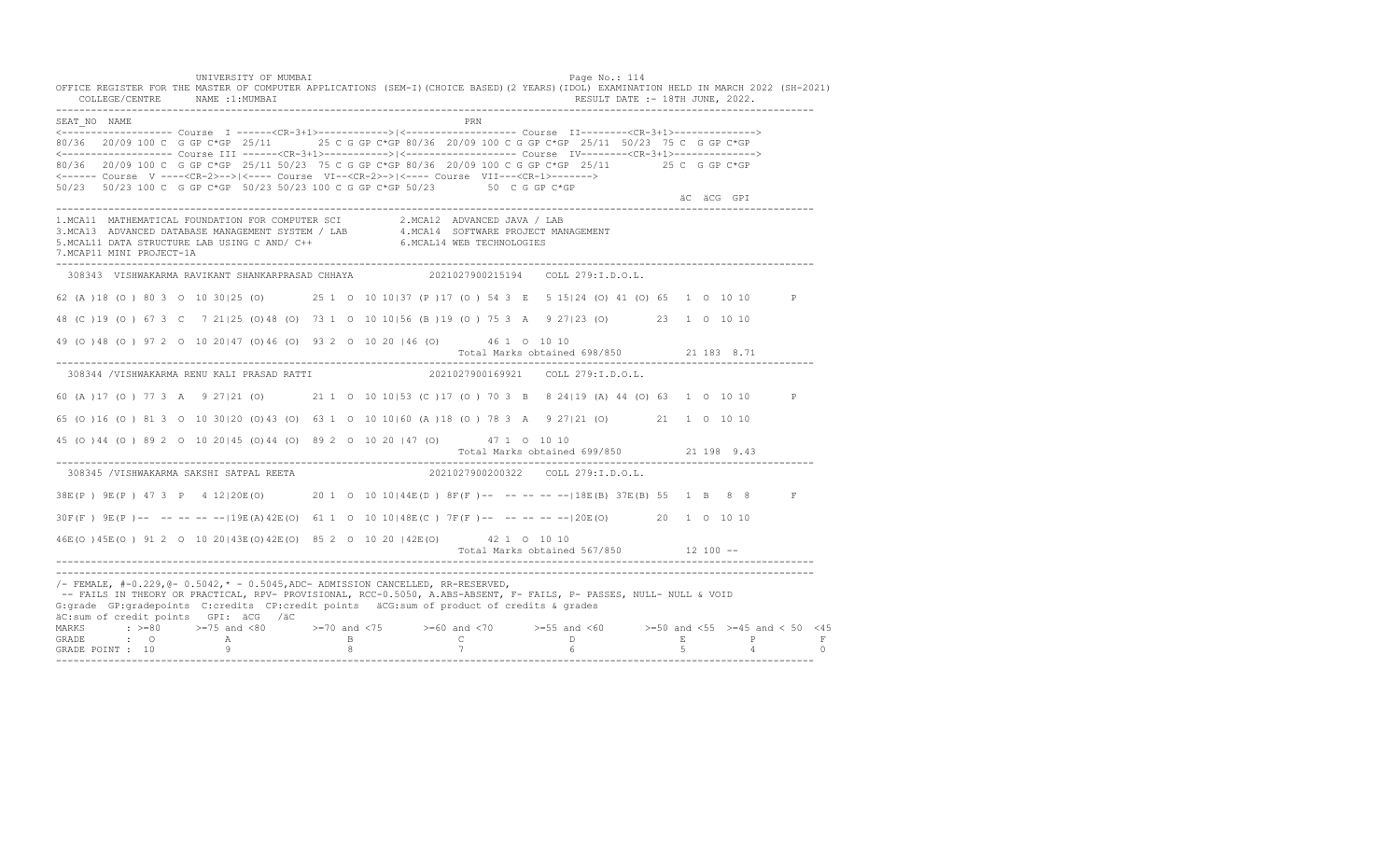UNIVERSITY OF MUMBAI **Example 2018** Page No.: 114 OFFICE REGISTER FOR THE MASTER OF COMPUTER APPLICATIONS (SEM-I)(CHOICE BASED)(2 YEARS)(IDOL) EXAMINATION HELD IN MARCH 2022 (SH-2021) COLLEGE/CENTRE NAME :1:MUMBAI RESULT DATE :- 18TH JUNE, 2022. ---------------------------------------------------------------------------------------------------------------------------------- SEAT\_NO NAME PRIME PRODUCED A CONTROL CONTROL IN THE PRIME PRIME PRIME PRIME PRIME PRIME PRIME PRIME PRIME PRIME PRIME PRIME PRIME PRIME PRIME PRIME PRIME PRIME PRIME PRIME PRIME PRIME PRIME PRIME PRIME PRIME PRIME PRIME P <------------------- Course I ------<CR-3+1>------------>|<------------------- Course II--------<CR-3+1>--------------> 80/36 20/09 100 C G GP C\*GP 25/11 25 C G GP C\*GP 80/36 20/09 100 C G GP C\*GP 25/11 50/23 75 C G GP C\*GP <------------------- Course III ------<CR-3+1>----------->|<------------------- Course IV--------<CR-3+1>--------------> 80/36 20/09 100 C G GP C\*GP 25/11 50/23 75 C G GP C\*GP 80/36 20/09 100 C G GP C\*GP 25/11 25 C G GP C\*GP <------ Course V ----<CR-2>-->|<---- Course VI--<CR-2>->|<---- Course VII---<CR-1>-------> 50/23 50/23 100 C G GP C\*GP 50/23 50/23 100 C G GP C\*GP 50/23 50 C G GP C\*GP äC äCG GPI ä<sup>n v</sup>ächtliche State und der State und der State und der State und der State und der State und der State und der State und der State und der State und der State und der State und der State und der State und der ---------------------------------------------------------------------------------------------------------------------------------- 1.MCA11 MATHEMATICAL FOUNDATION FOR COMPUTER SCI 2.MCA12 ADVANCED JAVA / LAB<br>3.MCA13 ADVANCED DATABASE MANAGEMENT SYSTEM / LAB 4.MCA14 SOFTWARE PROJECT MANAGEMENT<br>5.MCAL11 DATA STRUCTURE LAB U 7.MCAP11 MINI PROJECT-1A ---------------------------------------------------------------------------------------------------------------------------------- 308343 VISHWAKARMA RAVIKANT SHANKARPRASAD CHHAYA 2021027900215194 COLL 279:I.D.O.L. 62 (A )18 (O ) 80 3 O 10 30|25 (O) 25 1 O 10 10|37 (P )17 (O ) 54 3 E 5 15|24 (O) 41 (O) 65 1 O 10 10 P 48 (C )19 (O ) 67 3 C 7 21|25 (O)48 (O) 73 1 O 10 10|56 (B )19 (O ) 75 3 A 9 27|23 (O) 23 1 O 10 10 49 (O )48 (O ) 97 2 O 10 20|47 (O)46 (O) 93 2 O 10 20 |46 (O) 46 1 O 10 10 Total Marks obtained 698/850 21 183 8.71 ---------------------------------------------------------------------------------------------------------------------------------- 308344 /VISHWAKARMA RENU KALI PRASAD RATTI 2021027900169921 COLL 279:I.D.O.L. 60 (A )17 (O ) 77 3 A 9 27|21 (O) 21 1 O 10 10|53 (C )17 (O ) 70 3 B 8 24|19 (A) 44 (O) 63 1 O 10 10 P 65 (O )16 (O ) 81 3 O 10 30|20 (O)43 (O) 63 1 O 10 10|60 (A )18 (O ) 78 3 A 9 27|21 (O) 21 1 O 10 10 45 (O )44 (O ) 89 2 O 10 20|45 (O)44 (O) 89 2 O 10 20 |47 (O) 47 1 O 10 10 Total Marks obtained 699/850 21 198 9.43 ---------------------------------------------------------------------------------------------------------------------------------- 308345 /VISHWAKARMA SAKSHI SATPAL REETA 38E(P ) 9E(P ) 47 3 P 4 12|20E(O) 20 1 O 10 10|44E(D ) 8F(F )-- -- -- -- --|18E(B) 37E(B) 55 1 B 8 8 F 30F(F ) 9E(P )-- -- -- -- --|19E(A)42E(O) 61 1 O 10 10|48E(C ) 7F(F )-- -- -- -- --|20E(O) 20 1 O 10 10 46E(O )45E(O ) 91 2 O 10 20|43E(O)42E(O) 85 2 O 10 20 |42E(O) 42 1 O 10 10 Total Marks obtained 567/850 12 100 ------------------------------------------------------------------------------------------------------------------------------------ ---------------------------------------------------------------------------------------------------------------------------------- /- FEMALE, #-0.229,@- 0.5042,\* - 0.5045,ADC- ADMISSION CANCELLED, RR-RESERVED, -- FAILS IN THEORY OR PRACTICAL, RPV- PROVISIONAL, RCC-0.5050, A.ABS-ABSENT, F- FAILS, P- PASSES, NULL- NULL & VOID G:grade GP:gradepoints C:credits CP:credit points äCG:sum of product of credits & grades äC:sum of credit points GPI: äCG /äC MARKS : >=80 >=75 and <80 >=70 and <75 >=60 and <70 >=55 and <60 >=50 and <55 >=45 and < 50 <45 GRADE : O A B C D E P F<br>GRADE POINT : 10 9 9 8 7 7 6 5 4 0 ----------------------------------------------------------------------------------------------------------------------------------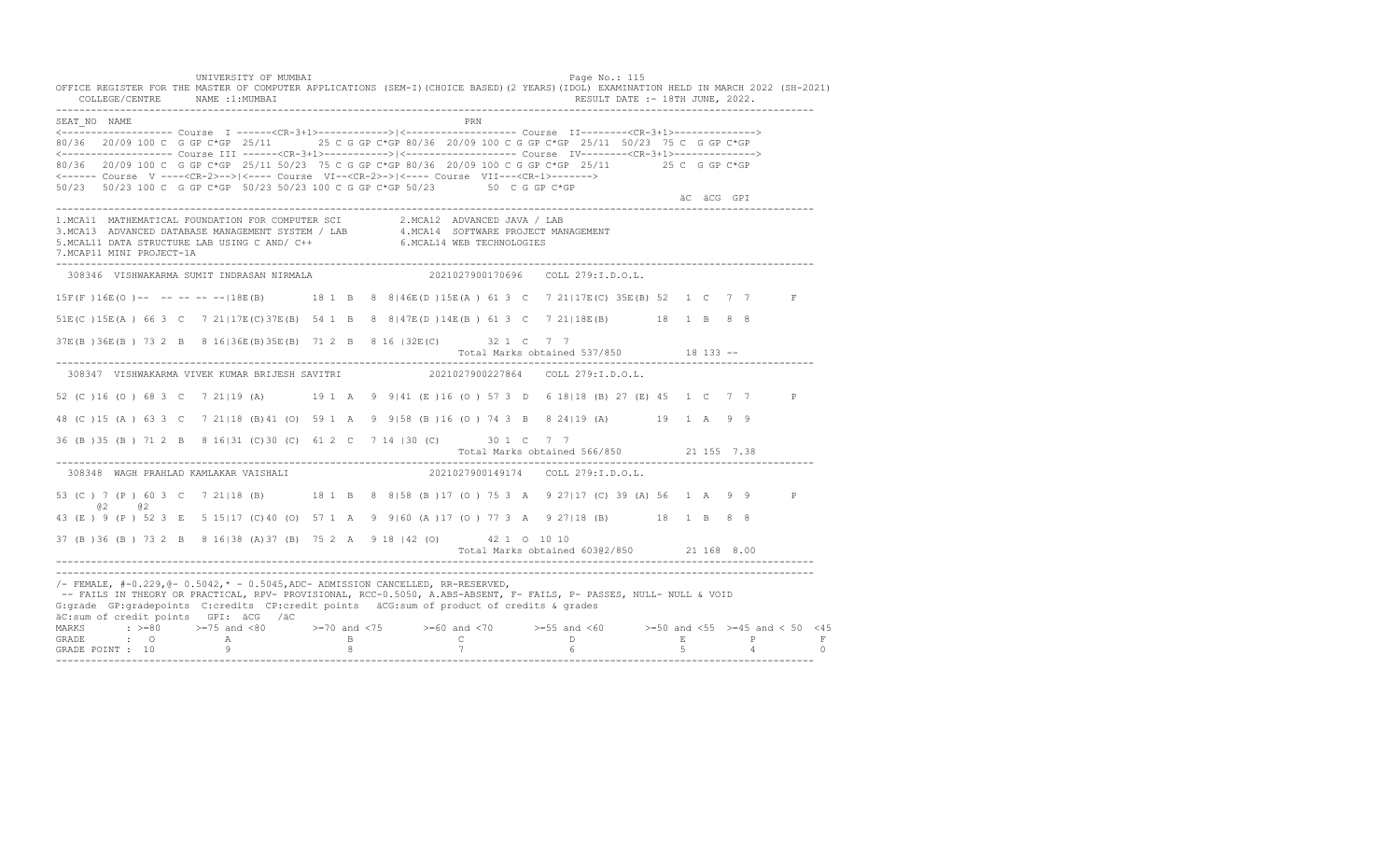UNIVERSITY OF MUMBAI Page No.: 115 OFFICE REGISTER FOR THE MASTER OF COMPUTER APPLICATIONS (SEM-I)(CHOICE BASED)(2 YEARS)(IDOL) EXAMINATION HELD IN MARCH 2022 (SH-2021) COLLEGE/CENTRE NAME :1:MUMBAI RESULT DATE :- 18TH JUNE, 2022. ---------------------------------------------------------------------------------------------------------------------------------- SEAT\_NO NAME PRIME PRIME PRODUCED A SEATLAND PRIME PRIME PRIME PRIME PRIME PRIME PRIME PRIME PRIME PRIME PRIME PRIME PRIME PRIME PRIME PRIME PRIME PRIME PRIME PRIME PRIME PRIME PRIME PRIME PRIME PRIME PRIME PRIME PRIME PRI <------------------- Course I ------<CR-3+1>------------>|<------------------- Course II--------<CR-3+1>--------------> 80/36 20/09 100 C G GP C\*GP 25/11 25 C G GP C\*GP 80/36 20/09 100 C G GP C\*GP 25/11 50/23 75 C G GP C\*GP <------------------- Course III ------<CR-3+1>----------->|<------------------- Course IV--------<CR-3+1>--------------> 80/36 20/09 100 C G GP C\*GP 25/11 50/23 75 C G GP C\*GP 80/36 20/09 100 C G GP C\*GP 25/11 25 C G GP C\*GP <------ Course V ----<CR-2>-->|<---- Course VI--<CR-2>->|<---- Course VII---<CR-1>-------> 50/23 50/23 100 C G GP C\*GP 50/23 50/23 100 C G GP C\*GP 50/23 50 C G GP C\*GP äC äCG GPI ä<sup>n v</sup>ächtliche State und der State und der State und der State und der State und der State und der State und der State und der State und der State und der State und der State und der State und der State und der ---------------------------------------------------------------------------------------------------------------------------------- 1.MCA11 MATHEMATICAL FOUNDATION FOR COMPUTER SCI 2.MCA12 ADVANCED JAVA / LAB<br>3.MCA13 ADVANCED DATABASE MANAGEMENT SYSTEM / LAB 4.MCA14 SOFTWARE PROJECT MANAGEMENT<br>5.MCAL11 DATA STRUCTURE LAB US 7.MCAP11 MINI PROJECT-1A ---------------------------------------------------------------------------------------------------------------------------------- 308346 VISHWAKARMA SUMIT INDRASAN NIRMALA 2021027900170696 COLL 279:I.D.O.L. 15F(F )16E(O )-- -- -- -- --|18E(B) 18 1 B 8 8|46E(D )15E(A ) 61 3 C 7 21|17E(C) 35E(B) 52 1 C 7 7 F 51E(C )15E(A ) 66 3 C 7 21|17E(C)37E(B) 54 1 B 8 8|47E(D )14E(B ) 61 3 C 7 21|18E(B) 18 1 B 8 8 37E(B )36E(B ) 73 2 B 8 16|36E(B)35E(B) 71 2 B 8 16 |32E(C) 32 1 C 7 7 Total Marks obtained 537/850 18 133 ------------------------------------------------------------------------------------------------------------------------------------ 308347 VISHWAKARMA VIVEK KUMAR BRIJESH SAVITRI 2021027900227864 COLL 279:I.D.O.L. 52 (C )16 (O ) 68 3 C 7 21|19 (A) 19 1 A 9 9|41 (E )16 (O ) 57 3 D 6 18|18 (B) 27 (E) 45 1 C 7 7 P 48 (C )15 (A ) 63 3 C 7 21|18 (B)41 (O) 59 1 A 9 9|58 (B )16 (O ) 74 3 B 8 24|19 (A) 19 1 A 9 9 36 (B )35 (B ) 71 2 B 8 16|31 (C)30 (C) 61 2 C 7 14 |30 (C) 30 1 C 7 7 Total Marks obtained 566/850 21 155 7.38 ---------------------------------------------------------------------------------------------------------------------------------- 308348 WAGH PRAHLAD KAMLAKAR VAISHALI 53 (C ) 7 (P ) 60 3 C 7 21 | 18 (B) 18 1 B 8 8 | 58 (B ) 17 (O ) 75 3 A 9 27 | 17 (C) 39 (A) 56 1 A 9 9 P @2 @2 43 (E ) 9 (P ) 52 3 E 5 15|17 (C)40 (O) 57 1 A 9 9|60 (A )17 (O ) 77 3 A 9 27|18 (B) 18 1 B 8 8 37 (B )36 (B ) 73 2 B 8 16|38 (A)37 (B) 75 2 A 9 18 |42 (O) 42 1 O 10 10 Total Marks obtained 603@2/850 21 168 8.00 ---------------------------------------------------------------------------------------------------------------------------------- ---------------------------------------------------------------------------------------------------------------------------------- /- FEMALE, #-0.229,@- 0.5042,\* - 0.5045,ADC- ADMISSION CANCELLED, RR-RESERVED, -- FAILS IN THEORY OR PRACTICAL, RPV- PROVISIONAL, RCC-0.5050, A.ABS-ABSENT, F- FAILS, P- PASSES, NULL- NULL & VOID G:grade GP:gradepoints C:credits CP:credit points äCG:sum of product of credits & grades äC:sum of credit points GPI: äCG /äC MARKS : >=80 >=75 and <80 >=70 and <75 >=60 and <70 >=55 and <60 >=50 and <55 >=45 and < 50 <45 GRADE : O A B C D E P F<br>GRADE POINT : 10 9 9 8 7 7 6 5 4 0 ----------------------------------------------------------------------------------------------------------------------------------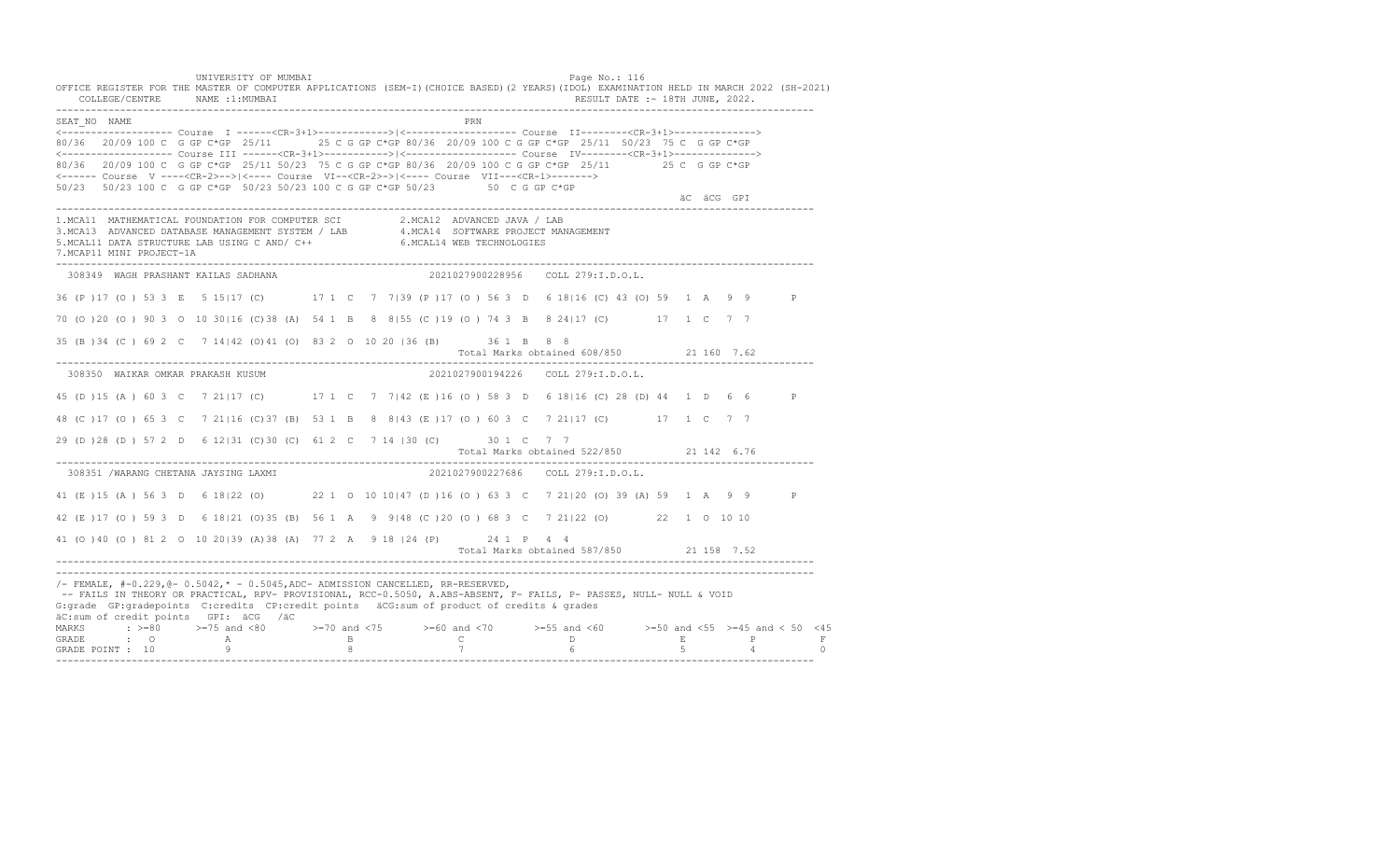UNIVERSITY OF MUMBAI Page No.: 116 OFFICE REGISTER FOR THE MASTER OF COMPUTER APPLICATIONS (SEM-I)(CHOICE BASED)(2 YEARS)(IDOL) EXAMINATION HELD IN MARCH 2022 (SH-2021) COLLEGE/CENTRE NAME :1:MUMBAI RESULT DATE :- 18TH JUNE, 2022. ---------------------------------------------------------------------------------------------------------------------------------- SEAT\_NO NAME PRIME PRIME PRODUCED A SEATLAND PRIME PRIME PRIME PRIME PRIME PRIME PRIME PRIME PRIME PRIME PRIME PRIME PRIME PRIME PRIME PRIME PRIME PRIME PRIME PRIME PRIME PRIME PRIME PRIME PRIME PRIME PRIME PRIME PRIME PRI <------------------- Course I ------<CR-3+1>------------>|<------------------- Course II--------<CR-3+1>--------------> 80/36 20/09 100 C G GP C\*GP 25/11 25 C G GP C\*GP 80/36 20/09 100 C G GP C\*GP 25/11 50/23 75 C G GP C\*GP <------------------- Course III ------<CR-3+1>----------->|<------------------- Course IV--------<CR-3+1>--------------> 80/36 20/09 100 C G GP C\*GP 25/11 50/23 75 C G GP C\*GP 80/36 20/09 100 C G GP C\*GP 25/11 25 C G GP C\*GP <------ Course V ----<CR-2>-->|<---- Course VI--<CR-2>->|<---- Course VII---<CR-1>-------> 50/23 50/23 100 C G GP C\*GP 50/23 50/23 100 C G GP C\*GP 50/23 50 C G GP C\*GP äC äCG GPI ä<sup>n v</sup>ächtliche State und der State und der State und der State und der State und der State und der State und der State und der State und der State und der State und der State und der State und der State und der ---------------------------------------------------------------------------------------------------------------------------------- 1.MCA11 MATHEMATICAL FOUNDATION FOR COMPUTER SCI 2.MCA12 ADVANCED JAVA / LAB<br>3.MCA13 ADVANCED DATABASE MANAGEMENT SYSTEM / LAB 4.MCA14 SOFTWARE PROJECT MANAGEMENT<br>5.MCAL11 DATA STRUCTURE LAB US 7.MCAP11 MINI PROJECT-1A ---------------------------------------------------------------------------------------------------------------------------------- 308349 WAGH PRASHANT KAILAS SADHANA 2021027900228956 COLL 279:I.D.O.L. 36 (P )17 (O ) 53 3 E 5 15|17 (C) 17 1 C 7 7|39 (P )17 (O ) 56 3 D 6 18|16 (C) 43 (O) 59 1 A 9 9 P 70 (O )20 (O ) 90 3 O 10 30|16 (C)38 (A) 54 1 B 8 8|55 (C )19 (O ) 74 3 B 8 24|17 (C) 17 1 C 7 7 35 (B )34 (C ) 69 2 C 7 14|42 (O)41 (O) 83 2 O 10 20 |36 (B) 36 1 B 8 8 Total Marks obtained 608/850 21 160 7.62 ---------------------------------------------------------------------------------------------------------------------------------- 308350 WAIKAR OMKAR PRAKASH KUSUM 2021027900194226 COLL 279:I.D.O.L. 45 (D )15 (A ) 60 3 C 7 21|17 (C) 17 1 C 7 7|42 (E )16 (O ) 58 3 D 6 18|16 (C) 28 (D) 44 1 D 6 6 P 48 (C )17 (O ) 65 3 C 7 21|16 (C)37 (B) 53 1 B 8 8|43 (E )17 (O ) 60 3 C 7 21|17 (C) 17 1 C 7 7 29 (D )28 (D ) 57 2 D 6 12|31 (C)30 (C) 61 2 C 7 14 |30 (C) 30 1 C 7 7 Total Marks obtained 522/850 21 142 6.76 ---------------------------------------------------------------------------------------------------------------------------------- 308351 /WARANG CHETANA JAYSING LAXMI 41 (E )15 (A ) 56 3 D 6 18|22 (O) 22 1 O 10 10|47 (D )16 (O ) 63 3 C 7 21|20 (O) 39 (A) 59 1 A 9 9 P 42 (E )17 (O ) 59 3 D 6 18|21 (O)35 (B) 56 1 A 9 9|48 (C )20 (O ) 68 3 C 7 21|22 (O) 22 1 O 10 10 41 (O )40 (O ) 81 2 O 10 20|39 (A)38 (A) 77 2 A 9 18 |24 (P) 24 1 P 4 4 Total Marks obtained 587/850 21 158 7.52 ---------------------------------------------------------------------------------------------------------------------------------- ---------------------------------------------------------------------------------------------------------------------------------- /- FEMALE, #-0.229,@- 0.5042,\* - 0.5045,ADC- ADMISSION CANCELLED, RR-RESERVED, -- FAILS IN THEORY OR PRACTICAL, RPV- PROVISIONAL, RCC-0.5050, A.ABS-ABSENT, F- FAILS, P- PASSES, NULL- NULL & VOID G:grade GP:gradepoints C:credits CP:credit points äCG:sum of product of credits & grades äC:sum of credit points GPI: äCG /äC MARKS : >=80 >=75 and <80 >=70 and <75 >=60 and <70 >=55 and <60 >=50 and <55 >=45 and < 50 <45 GRADE : O A B C D E P F GRADE POINT : 10 9 8 7 6 5 4 0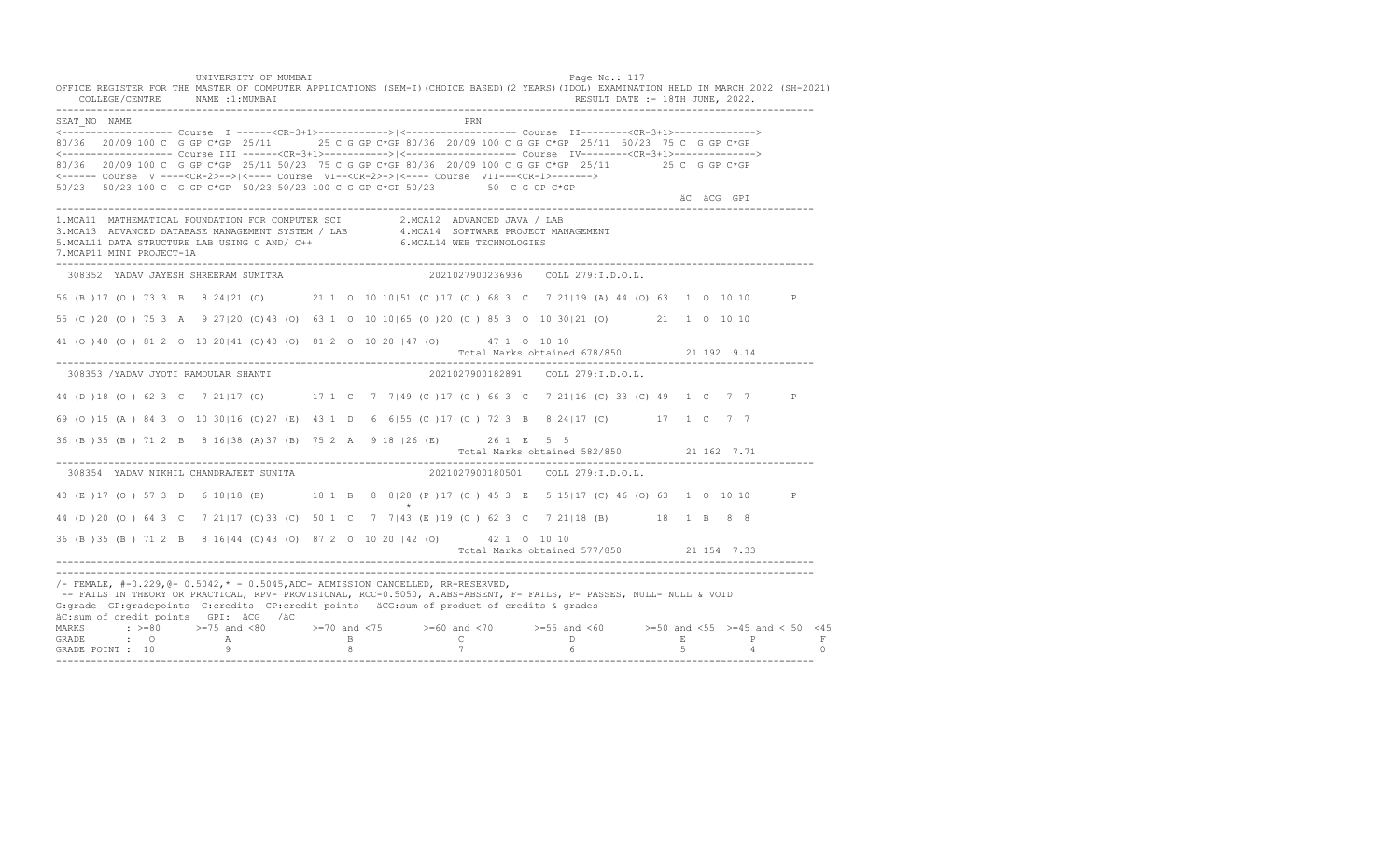UNIVERSITY OF MUMBAI Page No.: 117 OFFICE REGISTER FOR THE MASTER OF COMPUTER APPLICATIONS (SEM-I)(CHOICE BASED)(2 YEARS)(IDOL) EXAMINATION HELD IN MARCH 2022 (SH-2021) COLLEGE/CENTRE NAME :1:MUMBAI RESULT DATE :- 18TH JUNE, 2022. ---------------------------------------------------------------------------------------------------------------------------------- SEAT\_NO NAME PRIMAGE PRODUCED A CONTROL CONTROL CONTROL PRIMAGE PRIMAGE PRIMAGE PRIMAGE PRIMAGE PRIMAGE PRIMAGE <------------------- Course I ------<CR-3+1>------------>|<------------------- Course II--------<CR-3+1>--------------> 80/36 20/09 100 C G GP C\*GP 25/11 25 C G GP C\*GP 80/36 20/09 100 C G GP C\*GP 25/11 50/23 75 C G GP C\*GP <------------------- Course III ------<CR-3+1>----------->|<------------------- Course IV--------<CR-3+1>--------------> 80/36 20/09 100 C G GP C\*GP 25/11 50/23 75 C G GP C\*GP 80/36 20/09 100 C G GP C\*GP 25/11 25 C G GP C\*GP <------ Course V ----<CR-2>-->|<---- Course VI--<CR-2>->|<---- Course VII---<CR-1>-------> 50/23 50/23 100 C G GP C\*GP 50/23 50/23 100 C G GP C\*GP 50/23 50 C G GP C\*GP äC äCG GPI ä<sup>n v</sup>ächtliche State und der State und der State und der State und der State und der State und der State und der State und der State und der State und der State und der State und der State und der State und der ---------------------------------------------------------------------------------------------------------------------------------- 1.MCA11 MATHEMATICAL FOUNDATION FOR COMPUTER SCI 2.MCA12 ADVANCED JAVA / LAB<br>3.MCA13 ADVANCED DATABASE MANAGEMENT SYSTEM / LAB 4.MCA14 SOFTWARE PROJECT MANAGEMENT<br>5.MCAL11 DATA STRUCTURE LAB US 7.MCAP11 MINI PROJECT-1A ---------------------------------------------------------------------------------------------------------------------------------- 308352 YADAV JAYESH SHREERAM SUMITRA 2021027900236936 COLL 279:I.D.O.L. 56 (B )17 (O ) 73 3 B 8 24|21 (O) 21 1 O 10 10|51 (C )17 (O ) 68 3 C 7 21|19 (A) 44 (O) 63 1 O 10 10 P 55 (C )20 (O ) 75 3 A 9 27|20 (O)43 (O) 63 1 O 10 10|65 (O )20 (O ) 85 3 O 10 30|21 (O) 21 1 O 10 10 41 (O )40 (O ) 81 2 O 10 20|41 (O)40 (O) 81 2 O 10 20 |47 (O) 47 1 O 10 10 Total Marks obtained 678/850 21 192 9.14 ---------------------------------------------------------------------------------------------------------------------------------- 308353 /YADAV JYOTI RAMDULAR SHANTI 2021027900182891 COLL 279:I.D.O.L. 44 (D )18 (O ) 62 3 C 7 21|17 (C) 17 1 C 7 7|49 (C )17 (O ) 66 3 C 7 21|16 (C) 33 (C) 49 1 C 7 7 P 69 (O )15 (A ) 84 3 O 10 30|16 (C)27 (E) 43 1 D 6 6|55 (C )17 (O ) 72 3 B 8 24|17 (C) 17 1 C 7 7 36 (B )35 (B ) 71 2 B 8 16|38 (A)37 (B) 75 2 A 9 18 |26 (E) 26 1 E 5 5 Total Marks obtained 582/850 21 162 7.71 ---------------------------------------------------------------------------------------------------------------------------------- 308354 YADAV NIKHIL CHANDRAJEET SUNITA 40 (E ) 17 (O ) 57 3 D 6 18 | 18 (B) 18 1 B 8 8 | 28 (P ) 17 (O ) 45 3 E 5 15 | 17 (C ) 46 (O ) 63 1 0 10 10 P  $\star$ 44 (D )20 (O ) 64 3 C 7 21|17 (C)33 (C) 50 1 C 7 7|43 (E )19 (O ) 62 3 C 7 21|18 (B) 18 1 B 8 8 36 (B )35 (B ) 71 2 B 8 16|44 (O)43 (O) 87 2 O 10 20 |42 (O) 42 1 O 10 10 Total Marks obtained 577/850 21 154 7.33 ---------------------------------------------------------------------------------------------------------------------------------- ---------------------------------------------------------------------------------------------------------------------------------- /- FEMALE, #-0.229,@- 0.5042,\* - 0.5045,ADC- ADMISSION CANCELLED, RR-RESERVED, -- FAILS IN THEORY OR PRACTICAL, RPV- PROVISIONAL, RCC-0.5050, A.ABS-ABSENT, F- FAILS, P- PASSES, NULL- NULL & VOID G:grade GP:gradepoints C:credits CP:credit points äCG:sum of product of credits & grades äC:sum of credit points GPI: äCG /äC MARKS : >=80 >=75 and <80 >=70 and <75 >=60 and <70 >=55 and <60 >=50 and <55 >=45 and < 50 <45 GRADE : O A B C D E P F<br>GRADE POINT : 10 9 9 8 7 7 6 5 4 0 ----------------------------------------------------------------------------------------------------------------------------------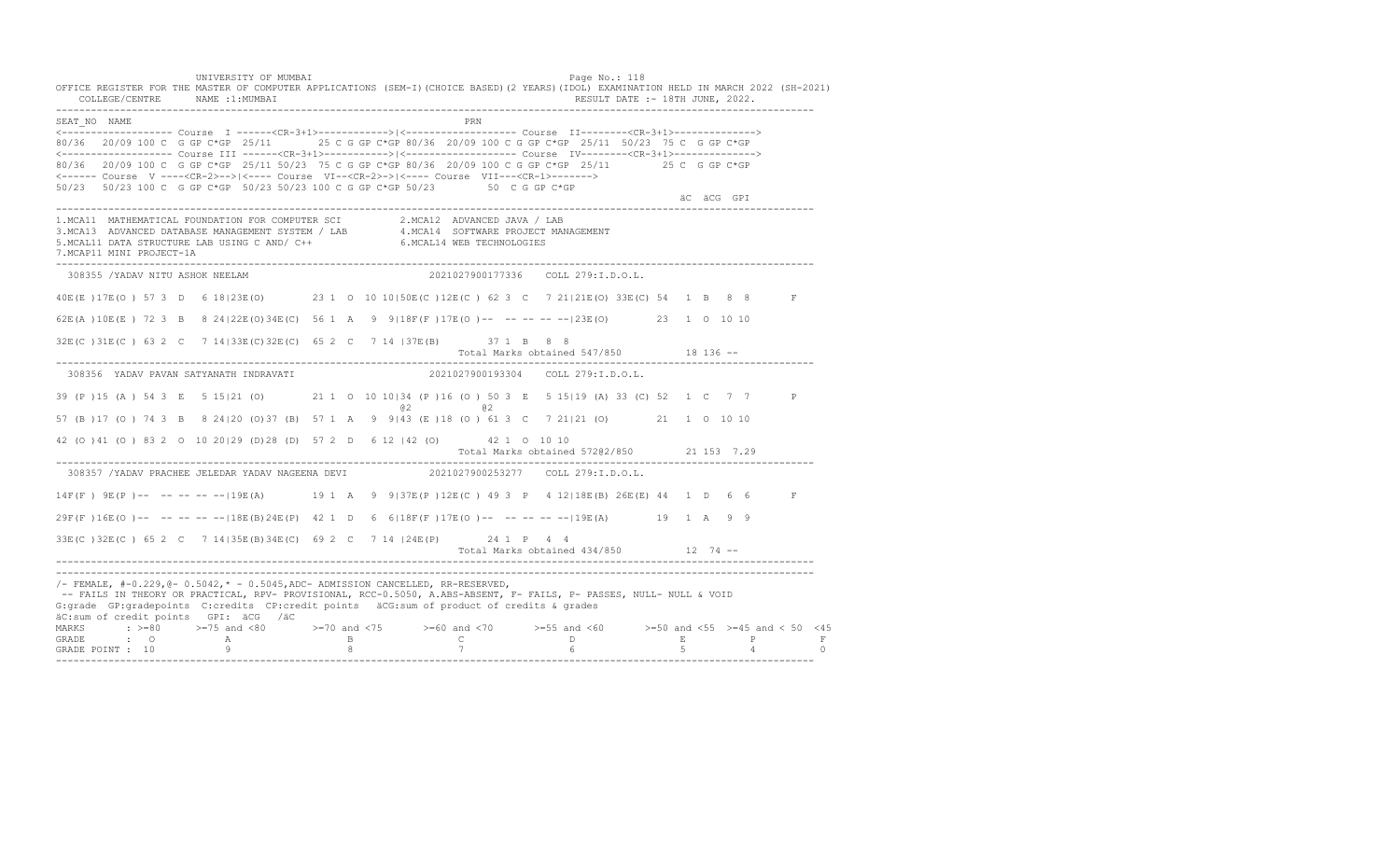UNIVERSITY OF MUMBAI Page No.: 118 OFFICE REGISTER FOR THE MASTER OF COMPUTER APPLICATIONS (SEM-I)(CHOICE BASED)(2 YEARS)(IDOL) EXAMINATION HELD IN MARCH 2022 (SH-2021) COLLEGE/CENTRE NAME :1:MUMBAI RESULT DATE :- 18TH JUNE, 2022. ---------------------------------------------------------------------------------------------------------------------------------- SEAT\_NO NAME PRIME PRODUCED A CONTROL CONTROL IN THE PRIME PRIME PRIME PRIME PRIME PRIME PRIME PRIME PRIME PRIME PRIME PRIME PRIME PRIME PRIME PRIME PRIME PRIME PRIME PRIME PRIME PRIME PRIME PRIME PRIME PRIME PRIME PRIME P <------------------- Course I ------<CR-3+1>------------>|<------------------- Course II--------<CR-3+1>--------------> 80/36 20/09 100 C G GP C\*GP 25/11 25 C G GP C\*GP 80/36 20/09 100 C G GP C\*GP 25/11 50/23 75 C G GP C\*GP <------------------- Course III ------<CR-3+1>----------->|<------------------- Course IV--------<CR-3+1>--------------> 80/36 20/09 100 C G GP C\*GP 25/11 50/23 75 C G GP C\*GP 80/36 20/09 100 C G GP C\*GP 25/11 25 C G GP C\*GP <------ Course V ----<CR-2>-->|<---- Course VI--<CR-2>->|<---- Course VII---<CR-1>-------> 50/23 50/23 100 C G GP C\*GP 50/23 50/23 100 C G GP C\*GP 50/23 50 C G GP C\*GP äC äCG GPI ä<sup>n v</sup>ächtliche State und der State und der State und der State und der State und der State und der State und der State und der State und der State und der State und der State und der State und der State und der ---------------------------------------------------------------------------------------------------------------------------------- 1.MCA11 MATHEMATICAL FOUNDATION FOR COMPUTER SCI 2.MCA12 ADVANCED JAVA / LAB<br>3.MCA13 ADVANCED DATABASE MANAGEMENT SYSTEM / LAB 4.MCA14 SOFTWARE PROJECT MANAGEMENT<br>5.MCAL11 DATA STRUCTURE LAB U 7.MCAP11 MINI PROJECT-1A ---------------------------------------------------------------------------------------------------------------------------------- 308355 /YADAV NITU ASHOK NEELAM 2021027900177336 COLL 279:I.D.O.L. 40E(E )17E(O ) 57 3 D 6 18|23E(O) 23 1 O 10 10|50E(C )12E(C ) 62 3 C 7 21|21E(O) 33E(C) 54 1 B 8 8 F 62E(A )10E(E ) 72 3 B 8 24|22E(O)34E(C) 56 1 A 9 9|18F(F )17E(O )-- -- -- -- --|23E(O) 23 1 O 10 10 32E(C )31E(C ) 63 2 C 7 14|33E(C)32E(C) 65 2 C 7 14 |37E(B) 37 1 B 8 8 Total Marks obtained 547/850 18 136 ------------------------------------------------------------------------------------------------------------------------------------ 308356 YADAV PAVAN SATYANATH INDRAVATI 2021027900193304 COLL 279:I.D.O.L. 39 (P )15 (A ) 54 3 E 5 15|21 (O) 21 1 O 10 10|34 (P )16 (O ) 50 3 E 5 15|19 (A) 33 (C) 52 1 C 7 7 P  $@2$   $@2$ 57 (B )17 (O ) 74 3 B 8 24|20 (O)37 (B) 57 1 A 9 9|43 (E )18 (O ) 61 3 C 7 21|21 (O) 21 1 O 10 10 42 (O )41 (O ) 83 2 O 10 20|29 (D)28 (D) 57 2 D 6 12 |42 (O) 42 1 O 10 10 Total Marks obtained 572@2/850 21 153 7.29 ---------------------------------------------------------------------------------------------------------------------------------- 308357 /YADAV PRACHEE JELEDAR YADAV NAGEENA DEVI 2021027900253277 COLL 279:I.D.O.L. 14F(F ) 9E(P )-- -- -- -- --|19E(A) 19 1 A 9 9|37E(P )12E(C ) 49 3 P 4 12|18E(B) 26E(E) 44 1 D 6 6 F 29F(F )16E(O )-- -- -- -- --|18E(B)24E(P) 42 1 D 6 6|18F(F )17E(O )-- -- -- -- --|19E(A) 19 1 A 9 9 33E(C )32E(C ) 65 2 C 7 14|35E(B)34E(C) 69 2 C 7 14 |24E(P) 24 1 P 4 4 Total Marks obtained 434/850 12 74 ------------------------------------------------------------------------------------------------------------------------------------ ---------------------------------------------------------------------------------------------------------------------------------- /- FEMALE, #-0.229,@- 0.5042,\* - 0.5045,ADC- ADMISSION CANCELLED, RR-RESERVED, -- FAILS IN THEORY OR PRACTICAL, RPV- PROVISIONAL, RCC-0.5050, A.ABS-ABSENT, F- FAILS, P- PASSES, NULL- NULL & VOID G:grade GP:gradepoints C:credits CP:credit points äCG:sum of product of credits & grades äC:sum of credit points GPI: äCG /äC MARKS : >=80 >=75 and <80 >=70 and <75 >=60 and <70 >=55 and <60 >=50 and <55 >=45 and < 50 <45 GRADE : O A B C D E P F GRADE POINT : 10 9 8 7 6 5 4 0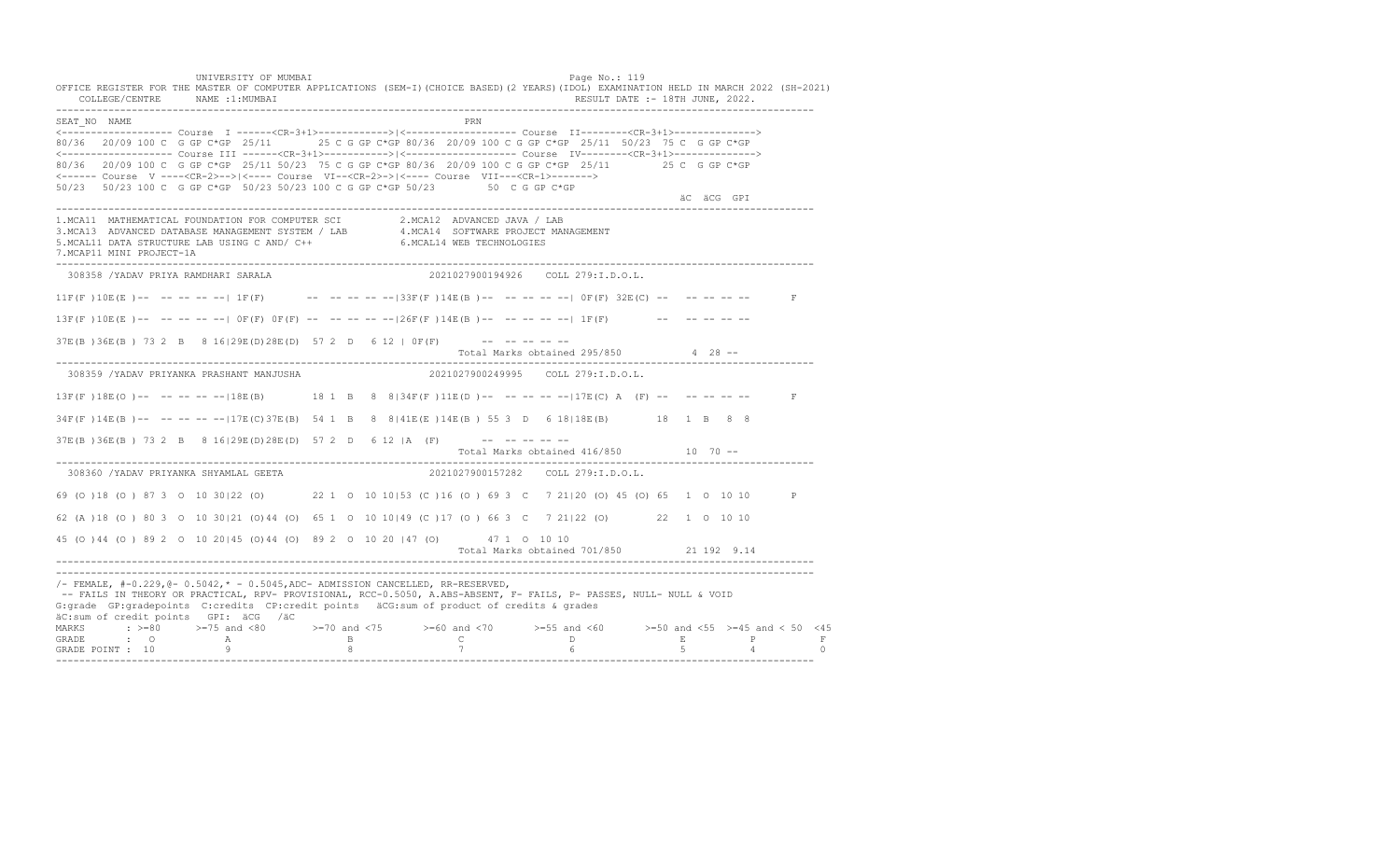UNIVERSITY OF MUMBAI Page No.: 119 OFFICE REGISTER FOR THE MASTER OF COMPUTER APPLICATIONS (SEM-I)(CHOICE BASED)(2 YEARS)(IDOL) EXAMINATION HELD IN MARCH 2022 (SH-2021) COLLEGE/CENTRE NAME :1:MUMBAI RESULT DATE :- 18TH JUNE, 2022. ---------------------------------------------------------------------------------------------------------------------------------- SEAT\_NO NAME PRIME PRODUCED A CONTROL CONTROL IN THE PRIME PRIME PRIME PRIME PRIME PRIME PRIME PRIME PRIME PRIME PRIME PRIME PRIME PRIME PRIME PRIME PRIME PRIME PRIME PRIME PRIME PRIME PRIME PRIME PRIME PRIME PRIME PRIME P <------------------- Course I ------<CR-3+1>------------>|<------------------- Course II--------<CR-3+1>--------------> 80/36 20/09 100 C G GP C\*GP 25/11 25 C G GP C\*GP 80/36 20/09 100 C G GP C\*GP 25/11 50/23 75 C G GP C\*GP <------------------- Course III ------<CR-3+1>----------->|<------------------- Course IV--------<CR-3+1>--------------> 80/36 20/09 100 C G GP C\*GP 25/11 50/23 75 C G GP C\*GP 80/36 20/09 100 C G GP C\*GP 25/11 25 C G GP C\*GP <------ Course V ----<CR-2>-->|<---- Course VI--<CR-2>->|<---- Course VII---<CR-1>-------> 50/23 50/23 100 C G GP C\*GP 50/23 50/23 100 C G GP C\*GP 50/23 50 C G GP C\*GP äC äCG GPI ä<sup>n v</sup>ächtliche State und der State und der State und der State und der State und der State und der State und der State und der State und der State und der State und der State und der State und der State und der ---------------------------------------------------------------------------------------------------------------------------------- 1.MCA11 MATHEMATICAL FOUNDATION FOR COMPUTER SCI 2.MCA12 ADVANCED JAVA / LAB 3.MCA13 ADVANCED DATABASE MANAGEMENT SYSTEM / LAB 4.MCA14 SOFTWARE PROJECT MANAGEMENT 5.MCAL11 DATA STRUCTURE LAB USING C AND/ C++ 6.MCAL14 WEB TECHNOLOGIES 7.MCAP11 MINI PROJECT-1A ---------------------------------------------------------------------------------------------------------------------------------- 308358 /YADAV PRIYA RAMDHARI SARALA 2021027900194926 COLL 279:I.D.O.L.  $11F(F) 10E(E)$  -- -- -- --  $1F(F)$  -- -- -- --  $-133F(F) 14E(B)$  -- -- -- -- -- 0F(F) 32E(C) -- -- -- -- -- -- F  $13F(F)$   $10E(E)$  -- -- -- -- --  $0F(F)$   $0F(F)$  -- -- -- -- --  $26F(F)$   $14E(B)$  -- -- -- -- -- --  $1F(F)$  -- -- -- -- -- -- $37E(B) 36E(B) 73 2 B 8 16|29E(D) 28E(D) 57 2 D 6 12 | 0F(F)$  --------Total Marks obtained 295/850 4 28 ------------------------------------------------------------------------------------------------------------------------------------ 308359 /YADAV PRIYANKA PRASHANT MANJUSHA 2021027900249995 COLL 279:I.D.O.L.  $13F(F) 18E(O)$ -- -- -- -- --  $18E(B)$  18 1 B 8  $8134F(F) 11E(D)$ -- -- -- -- --  $-17E(C)$  A (F) -- -- -- -- --34F(F )14E(B )-- -- -- -- --|17E(C)37E(B) 54 1 B 8 8|41E(E )14E(B ) 55 3 D 6 18|18E(B) 18 1 B 8 8  $37E(B) 36E(B) 73 2 B 8 16|29E(D) 28E(D) 57 2 D 6 12 |A (F)$  -- -- -- -- --Total Marks obtained 416/850 10 70 ------------------------------------------------------------------------------------------------------------------------------------ 308360 /YADAV PRIYANKA SHYAMLAL GEETA 69 (O )18 (O ) 87 3 O 10 30|22 (O) 22 1 O 10 10|53 (C )16 (O ) 69 3 C 7 21|20 (O) 45 (O) 65 1 O 10 10 P 62 (A )18 (O ) 80 3 O 10 30|21 (O)44 (O) 65 1 O 10 10|49 (C )17 (O ) 66 3 C 7 21|22 (O) 22 1 O 10 10 45 (O )44 (O ) 89 2 O 10 20|45 (O)44 (O) 89 2 O 10 20 |47 (O) 47 1 O 10 10 Total Marks obtained 701/850 21 192 9.14 ---------------------------------------------------------------------------------------------------------------------------------- ---------------------------------------------------------------------------------------------------------------------------------- /- FEMALE, #-0.229,@- 0.5042,\* - 0.5045,ADC- ADMISSION CANCELLED, RR-RESERVED, -- FAILS IN THEORY OR PRACTICAL, RPV- PROVISIONAL, RCC-0.5050, A.ABS-ABSENT, F- FAILS, P- PASSES, NULL- NULL & VOID G:grade GP:gradepoints C:credits CP:credit points äCG:sum of product of credits & grades äC:sum of credit points GPI: äCG /äC MARKS : >=80 >=75 and <80 >=70 and <75 >=60 and <70 >=55 and <60 >=50 and <55 >=45 and < 50 <45 GRADE : O A B C D E P F<br>GRADE POINT : 10 9 9 8 7 7 6 5 4 0 ----------------------------------------------------------------------------------------------------------------------------------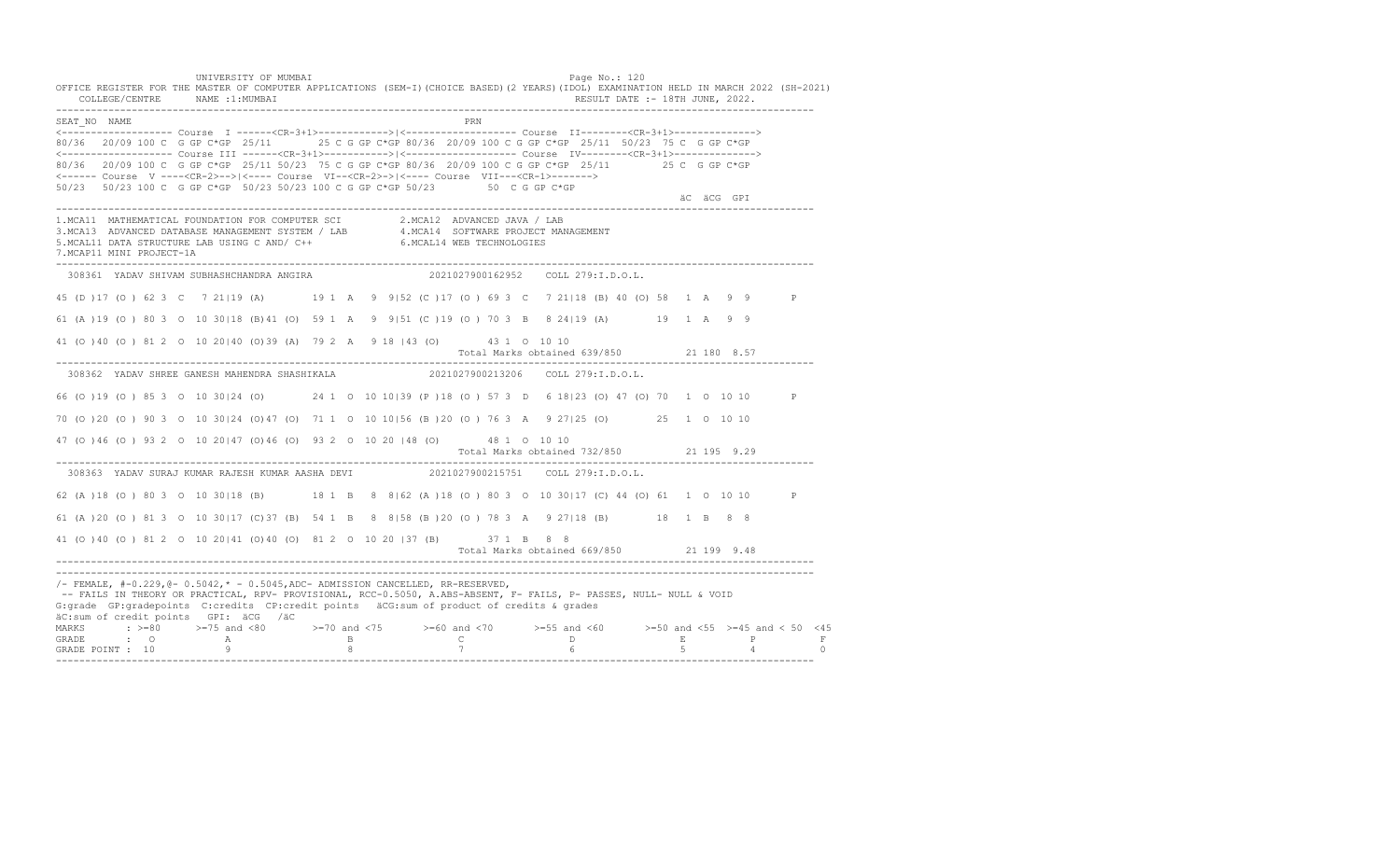UNIVERSITY OF MUMBAI Page No.: 120 OFFICE REGISTER FOR THE MASTER OF COMPUTER APPLICATIONS (SEM-I)(CHOICE BASED)(2 YEARS)(IDOL) EXAMINATION HELD IN MARCH 2022 (SH-2021) COLLEGE/CENTRE NAME :1:MUMBAI RESULT DATE :- 18TH JUNE, 2022. ---------------------------------------------------------------------------------------------------------------------------------- SEAT\_NO NAME PRIME PRIME PRODUCED A CONTROL IN THE PRIME PRIME PRIME PRIME PRIME PRIME PRIME PRIME PRIME PRIME PRIME PRIME PRIME PRIME PRIME PRIME PRIME PRIME PRIME PRIME PRIME PRIME PRIME PRIME PRIME PRIME PRIME PRIME PRI <------------------- Course I ------<CR-3+1>------------>|<------------------- Course II--------<CR-3+1>--------------> 80/36 20/09 100 C G GP C\*GP 25/11 25 C G GP C\*GP 80/36 20/09 100 C G GP C\*GP 25/11 50/23 75 C G GP C\*GP <------------------- Course III ------<CR-3+1>----------->|<------------------- Course IV--------<CR-3+1>--------------> 80/36 20/09 100 C G GP C\*GP 25/11 50/23 75 C G GP C\*GP 80/36 20/09 100 C G GP C\*GP 25/11 25 C G GP C\*GP <------ Course V ----<CR-2>-->|<---- Course VI--<CR-2>->|<---- Course VII---<CR-1>-------> 50/23 50/23 100 C G GP C\*GP 50/23 50/23 100 C G GP C\*GP 50/23 50 C G GP C\*GP äC äCG GPI ä<sup>n v</sup>ächtliche State und der State und der State und der State und der State und der State und der State und der State und der State und der State und der State und der State und der State und der State und der ---------------------------------------------------------------------------------------------------------------------------------- 1.MCA11 MATHEMATICAL FOUNDATION FOR COMPUTER SCI 2.MCA12 ADVANCED JAVA / LAB<br>3.MCA13 ADVANCED DATABASE MANAGEMENT SYSTEM / LAB 4.MCA14 SOFTWARE PROJECT MANAGEMENT<br>5.MCAL11 DATA STRUCTURE LAB USI 7.MCAP11 MINI PROJECT-1A ---------------------------------------------------------------------------------------------------------------------------------- 308361 YADAV SHIVAM SUBHASHCHANDRA ANGIRA 2021027900162952 COLL 279:I.D.O.L. 45 (D )17 (O ) 62 3 C 7 21|19 (A) 19 1 A 9 9|52 (C )17 (O ) 69 3 C 7 21|18 (B) 40 (O) 58 1 A 9 9 P 61 (A )19 (O ) 80 3 O 10 30|18 (B)41 (O) 59 1 A 9 9|51 (C )19 (O ) 70 3 B 8 24|19 (A) 19 1 A 9 9 41 (O )40 (O ) 81 2 O 10 20|40 (O)39 (A) 79 2 A 9 18 |43 (O) 43 1 O 10 10 Total Marks obtained 639/850 21 180 8.57 ---------------------------------------------------------------------------------------------------------------------------------- 308362 YADAV SHREE GANESH MAHENDRA SHASHIKALA 2021027900213206 COLL 279:I.D.O.L. 66 (O )19 (O ) 85 3 O 10 30|24 (O) 24 1 O 10 10|39 (P )18 (O ) 57 3 D 6 18|23 (O) 47 (O) 70 1 O 10 10 P 70 (O )20 (O ) 90 3 O 10 30|24 (O)47 (O) 71 1 O 10 10|56 (B )20 (O ) 76 3 A 9 27|25 (O) 25 1 O 10 10 47 (O )46 (O ) 93 2 O 10 20|47 (O)46 (O) 93 2 O 10 20 |48 (O) 48 1 O 10 10 Total Marks obtained 732/850 21 195 9.29 ---------------------------------------------------------------------------------------------------------------------------------- 308363 YADAV SURAJ KUMAR RAJESH KUMAR AASHA DEVI 62 (A )18 (O ) 80 3 O 10 30|18 (B) 18 1 B 8 8|62 (A )18 (O ) 80 3 O 10 30|17 (C) 44 (O) 61 1 O 10 10 P 61 (A )20 (O ) 81 3 O 10 30|17 (C)37 (B) 54 1 B 8 8|58 (B )20 (O ) 78 3 A 9 27|18 (B) 18 1 B 8 8 41 (O )40 (O ) 81 2 O 10 20|41 (O)40 (O) 81 2 O 10 20 |37 (B) 37 1 B 8 8 Total Marks obtained 669/850 21 199 9.48 ---------------------------------------------------------------------------------------------------------------------------------- ---------------------------------------------------------------------------------------------------------------------------------- /- FEMALE, #-0.229,@- 0.5042,\* - 0.5045,ADC- ADMISSION CANCELLED, RR-RESERVED, -- FAILS IN THEORY OR PRACTICAL, RPV- PROVISIONAL, RCC-0.5050, A.ABS-ABSENT, F- FAILS, P- PASSES, NULL- NULL & VOID G:grade GP:gradepoints C:credits CP:credit points äCG:sum of product of credits & grades äC:sum of credit points GPI: äCG /äC MARKS : >=80 >=75 and <80 >=70 and <75 >=60 and <70 >=55 and <60 >=50 and <55 >=45 and < 50 <45 GRADE : O A B C D E P F GRADE POINT : 10 9 8 7 6 5 4 0 ----------------------------------------------------------------------------------------------------------------------------------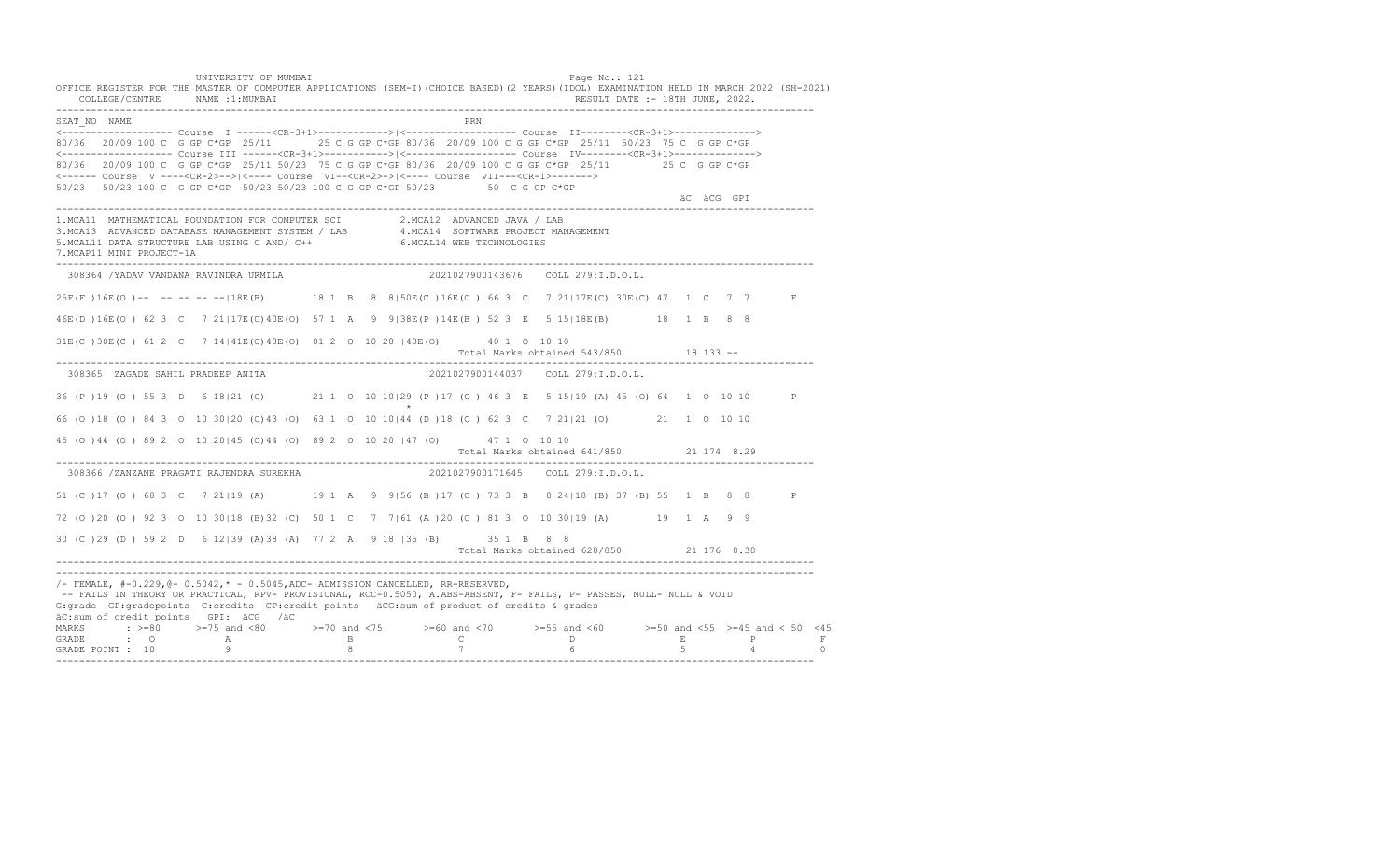UNIVERSITY OF MUMBAI Page No.: 121 OFFICE REGISTER FOR THE MASTER OF COMPUTER APPLICATIONS (SEM-I)(CHOICE BASED)(2 YEARS)(IDOL) EXAMINATION HELD IN MARCH 2022 (SH-2021) COLLEGE/CENTRE NAME :1:MUMBAI RESULT DATE :- 18TH JUNE, 2022. ---------------------------------------------------------------------------------------------------------------------------------- SEAT\_NO NAME PRIME PRIME PRODUCED A CONTROL IN THE PRIME PRIME PRIME PRIME PRIME PRIME PRIME PRIME PRIME PRIME PRIME PRIME PRIME PRIME PRIME PRIME PRIME PRIME PRIME PRIME PRIME PRIME PRIME PRIME PRIME PRIME PRIME PRIME PRI <------------------- Course I ------<CR-3+1>------------>|<------------------- Course II--------<CR-3+1>--------------> 80/36 20/09 100 C G GP C\*GP 25/11 25 C G GP C\*GP 80/36 20/09 100 C G GP C\*GP 25/11 50/23 75 C G GP C\*GP <------------------- Course III ------<CR-3+1>----------->|<------------------- Course IV--------<CR-3+1>--------------> 80/36 20/09 100 C G GP C\*GP 25/11 50/23 75 C G GP C\*GP 80/36 20/09 100 C G GP C\*GP 25/11 25 C G GP C\*GP <------ Course V ----<CR-2>-->|<---- Course VI--<CR-2>->|<---- Course VII---<CR-1>-------> 50/23 50/23 100 C G GP C\*GP 50/23 50/23 100 C G GP C\*GP 50/23 50 C G GP C\*GP äC äCG GPI ä<sup>n v</sup>ächtliche State und der State und der State und der State und der State und der State und der State und der State und der State und der State und der State und der State und der State und der State und der ---------------------------------------------------------------------------------------------------------------------------------- 1.MCA11 MATHEMATICAL FOUNDATION FOR COMPUTER SCI 2.MCA12 ADVANCED JAVA / LAB<br>3.MCA13 ADVANCED DATABASE MANAGEMENT SYSTEM / LAB 4.MCA14 SOFTWARE PROJECT MANAGEMENT<br>5.MCAL11 DATA STRUCTURE LAB U 7.MCAP11 MINI PROJECT-1A ---------------------------------------------------------------------------------------------------------------------------------- 308364 /YADAV VANDANA RAVINDRA URMILA 2021027900143676 COLL 279:I.D.O.L. 25F(F )16E(O )-- -- -- -- --|18E(B) 18 1 B 8 8|50E(C )16E(O ) 66 3 C 7 21|17E(C) 30E(C) 47 1 C 7 7 F 46E(D )16E(O ) 62 3 C 7 21|17E(C)40E(O) 57 1 A 9 9|38E(P )14E(B ) 52 3 E 5 15|18E(B) 18 1 B 8 8 31E(C )30E(C ) 61 2 C 7 14|41E(O)40E(O) 81 2 O 10 20 |40E(O) 40 1 O 10 10 Total Marks obtained 543/850 18 133 ------------------------------------------------------------------------------------------------------------------------------------ 308365 ZAGADE SAHIL PRADEEP ANITA 2021027900144037 COLL 279:I.D.O.L. 36 (P )19 (O ) 55 3 D 6 18|21 (O) 21 1 O 10 10|29 (P )17 (O ) 46 3 E 5 15|19 (A) 45 (O) 64 1 O 10 10 P  $\star$ 66 (O )18 (O ) 84 3 O 10 30|20 (O)43 (O) 63 1 O 10 10|44 (D )18 (O ) 62 3 C 7 21|21 (O) 21 1 O 10 10 45 (O )44 (O ) 89 2 O 10 20|45 (O)44 (O) 89 2 O 10 20 |47 (O) 47 1 O 10 10 Total Marks obtained 641/850 21 174 8.29 ---------------------------------------------------------------------------------------------------------------------------------- 308366 /ZANZANE PRAGATI RAJENDRA SUREKHA 51 (C )17 (O ) 68 3 C 7 21|19 (A) 19 1 A 9 9|56 (B )17 (O ) 73 3 B 8 24|18 (B) 37 (B) 55 1 B 8 8 P 72 (O )20 (O ) 92 3 O 10 30|18 (B)32 (C) 50 1 C 7 7|61 (A )20 (O ) 81 3 O 10 30|19 (A) 19 1 A 9 9 30 (C )29 (D ) 59 2 D 6 12|39 (A)38 (A) 77 2 A 9 18 |35 (B) 35 1 B 8 8 Total Marks obtained 628/850 21 176 8.38 ---------------------------------------------------------------------------------------------------------------------------------- ---------------------------------------------------------------------------------------------------------------------------------- /- FEMALE, #-0.229,@- 0.5042,\* - 0.5045,ADC- ADMISSION CANCELLED, RR-RESERVED, -- FAILS IN THEORY OR PRACTICAL, RPV- PROVISIONAL, RCC-0.5050, A.ABS-ABSENT, F- FAILS, P- PASSES, NULL- NULL & VOID G:grade GP:gradepoints C:credits CP:credit points äCG:sum of product of credits & grades äC:sum of credit points GPI: äCG /äC MARKS : >=80 >=75 and <80 >=70 and <75 >=60 and <70 >=55 and <60 >=50 and <55 >=45 and < 50 <45 GRADE : O A B C D E P F GRADE POINT : 10 9 8 7 6 5 4 0 ----------------------------------------------------------------------------------------------------------------------------------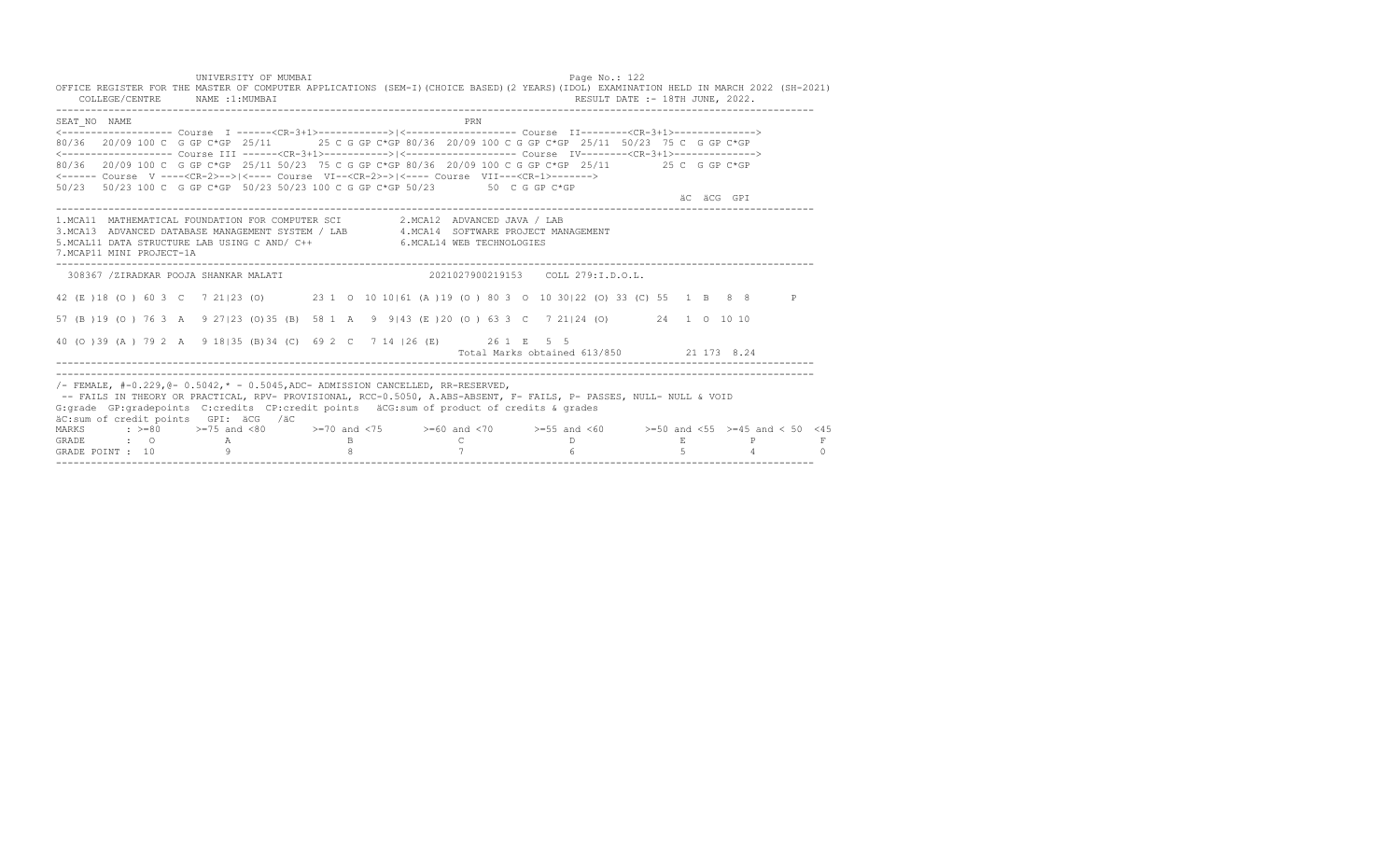UNIVERSITY OF MUMBAI PAGE OF THE SERVICE OF THE PAGE NO.: 122 OFFICE REGISTER FOR THE MASTER OF COMPUTER APPLICATIONS (SEM-I)(CHOICE BASED)(2 YEARS)(IDOL) EXAMINATION HELD IN MARCH 2022 (SH-2021) COLLEGE/CENTRE NAME :1:MUMBAI RESULT DATE :- 18TH JUNE, 2022. ---------------------------------------------------------------------------------------------------------------------------------- SEAT\_NO \_\_NAME PRN <------------------- Course I ------<CR-3+1>------------>|<------------------- Course II--------<CR-3+1>--------------> 80/36 20/09 100 C G GP C\*GP 25/11 25 C G GP C\*GP 80/36 20/09 100 C G GP C\*GP 25/11 50/23 75 C G GP C\*GP <------------------- Course III ------<CR-3+1>----------->|<------------------- Course IV--------<CR-3+1>--------------> 80/36 20/09 100 C G GP C\*GP 25/11 50/23 75 C G GP C\*GP 80/36 20/09 100 C G GP C\*GP 25/11 25 C G GP C\*GP <------ Course V ----<CR-2>-->|<---- Course VI--<CR-2>->|<---- Course VII---<CR-1>-------> 50/23 50/23 100 C G GP C\*GP 50/23 50/23 100 C G GP C\*GP 50/23 50 C G GP C\*GP äC äCG GPI ä<sup>n v</sup>ächtliche State und der State und der State und der State und der State und der State und der State und der State und der State und der State und der State und der State und der State und der State und der ---------------------------------------------------------------------------------------------------------------------------------- 1.MCA11 MATHEMATICAL FOUNDATION FOR COMPUTER SCI 2.MCA12 ADVANCED JAVA / LAB<br>3.MCA13 ADVANCED DATABASE MANAGEMENT SYSTEM / LAB 4.MCA14 SOFTWARE PROJECT MANAGEMENT<br>5.MCAL11 DATA STRUCTURE LAB US 7.MCAP11 MINI PROJECT-1A ---------------------------------------------------------------------------------------------------------------------------------- 308367 /ZIRADKAR POOJA SHANKAR MALATI 2021027900219153 COLL 279:I.D.O.L. 42 (E )18 (O ) 60 3 C 7 21|23 (O) 23 1 O 10 10|61 (A )19 (O ) 80 3 O 10 30|22 (O) 33 (C) 55 1 B 8 8 P 57 (B )19 (O ) 76 3 A 9 27|23 (O)35 (B) 58 1 A 9 9|43 (E )20 (O ) 63 3 C 7 21|24 (O) 24 1 O 10 10 40 (O )39 (A ) 79 2 A 9 18|35 (B)34 (C) 69 2 C 7 14 |26 (E) 26 1 E 5 5 Total Marks obtained 613/850 21 173 8.24 ---------------------------------------------------------------------------------------------------------------------------------- ----------------------------------------------------------------------------------------------------------------------------------  $/$ - FEMALE, #-0.229, $0$ - 0.5042,  $*$  - 0.5045, ADC- ADMISSION CANCELLED, RR-RESERVED, -- FAILS IN THEORY OR PRACTICAL, RPV- PROVISIONAL, RCC-0.5050, A.ABS-ABSENT, F- FAILS, P- PASSES, NULL- NULL & VOID G:grade GP:gradepoints C:credits CP:credit points äCG:sum of product of credits & grades äC:sum of credit points GPI: äCG /äC MARKS : >=80 >=75 and <80 >=70 and <75 >=60 and <70 >=55 and <60 >=50 and <55 >=45 and < 50 <45 GRADE : O A B C D E P F<br>GRADE POINT : 10 9 9 8 7 7 6 5 5 4 0 ----------------------------------------------------------------------------------------------------------------------------------